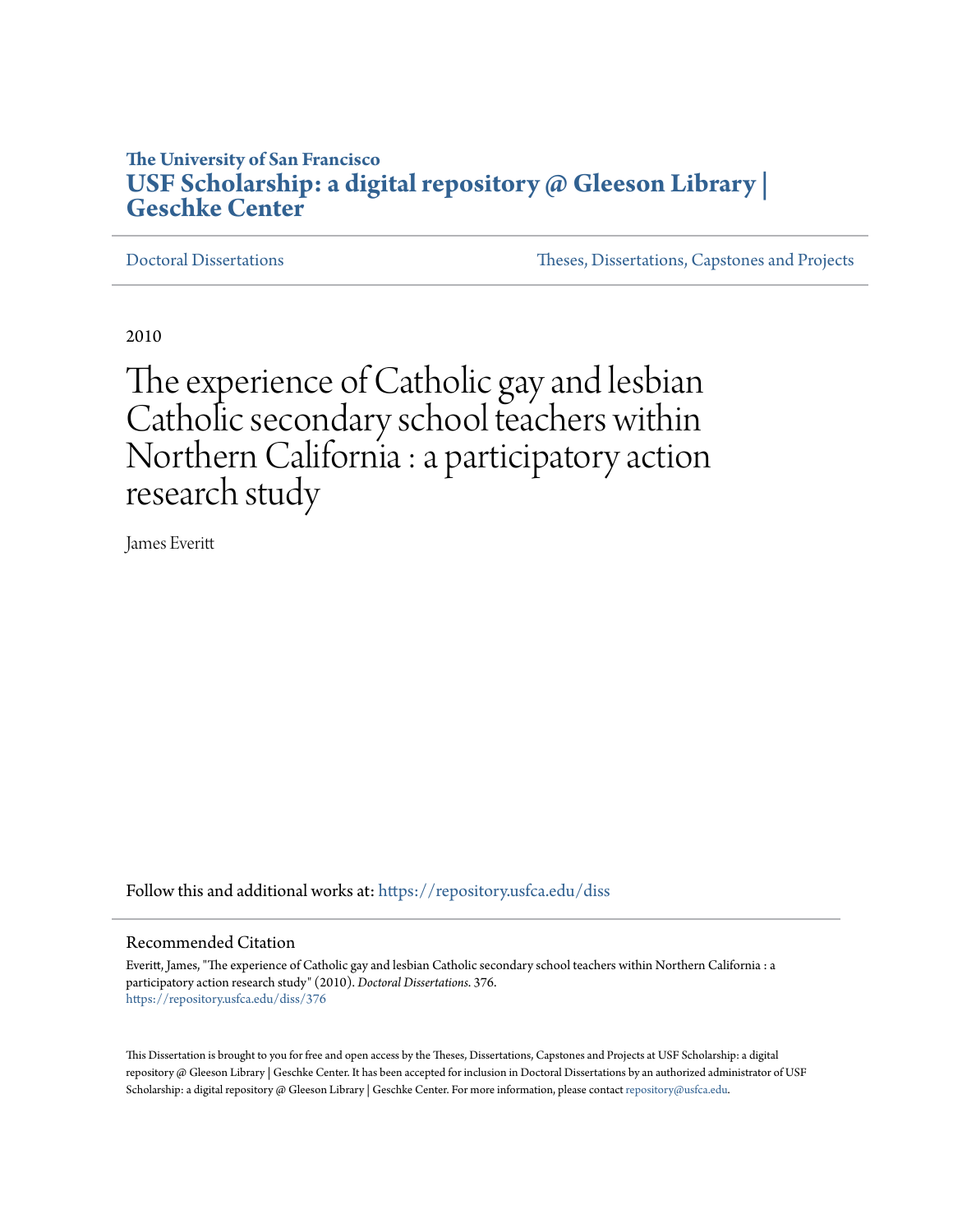# **The University of San Francisco [USF Scholarship: a digital repository @ Gleeson Library |](https://repository.usfca.edu?utm_source=repository.usfca.edu%2Fdiss%2F376&utm_medium=PDF&utm_campaign=PDFCoverPages) [Geschke Center](https://repository.usfca.edu?utm_source=repository.usfca.edu%2Fdiss%2F376&utm_medium=PDF&utm_campaign=PDFCoverPages)**

[Doctoral Dissertations](https://repository.usfca.edu/diss?utm_source=repository.usfca.edu%2Fdiss%2F376&utm_medium=PDF&utm_campaign=PDFCoverPages) [Theses, Dissertations, Capstones and Projects](https://repository.usfca.edu/etd?utm_source=repository.usfca.edu%2Fdiss%2F376&utm_medium=PDF&utm_campaign=PDFCoverPages)

2010

The experience of Catholic gay and lesbian Catholic secondary school teachers within Northern California : a participatory action research study

James Everitt

Follow this and additional works at: [https://repository.usfca.edu/diss](https://repository.usfca.edu/diss?utm_source=repository.usfca.edu%2Fdiss%2F376&utm_medium=PDF&utm_campaign=PDFCoverPages)

#### Recommended Citation

Everitt, James, "The experience of Catholic gay and lesbian Catholic secondary school teachers within Northern California : a participatory action research study" (2010). *Doctoral Dissertations*. 376. [https://repository.usfca.edu/diss/376](https://repository.usfca.edu/diss/376?utm_source=repository.usfca.edu%2Fdiss%2F376&utm_medium=PDF&utm_campaign=PDFCoverPages)

This Dissertation is brought to you for free and open access by the Theses, Dissertations, Capstones and Projects at USF Scholarship: a digital repository @ Gleeson Library | Geschke Center. It has been accepted for inclusion in Doctoral Dissertations by an authorized administrator of USF Scholarship: a digital repository @ Gleeson Library | Geschke Center. For more information, please contact [repository@usfca.edu.](mailto:repository@usfca.edu)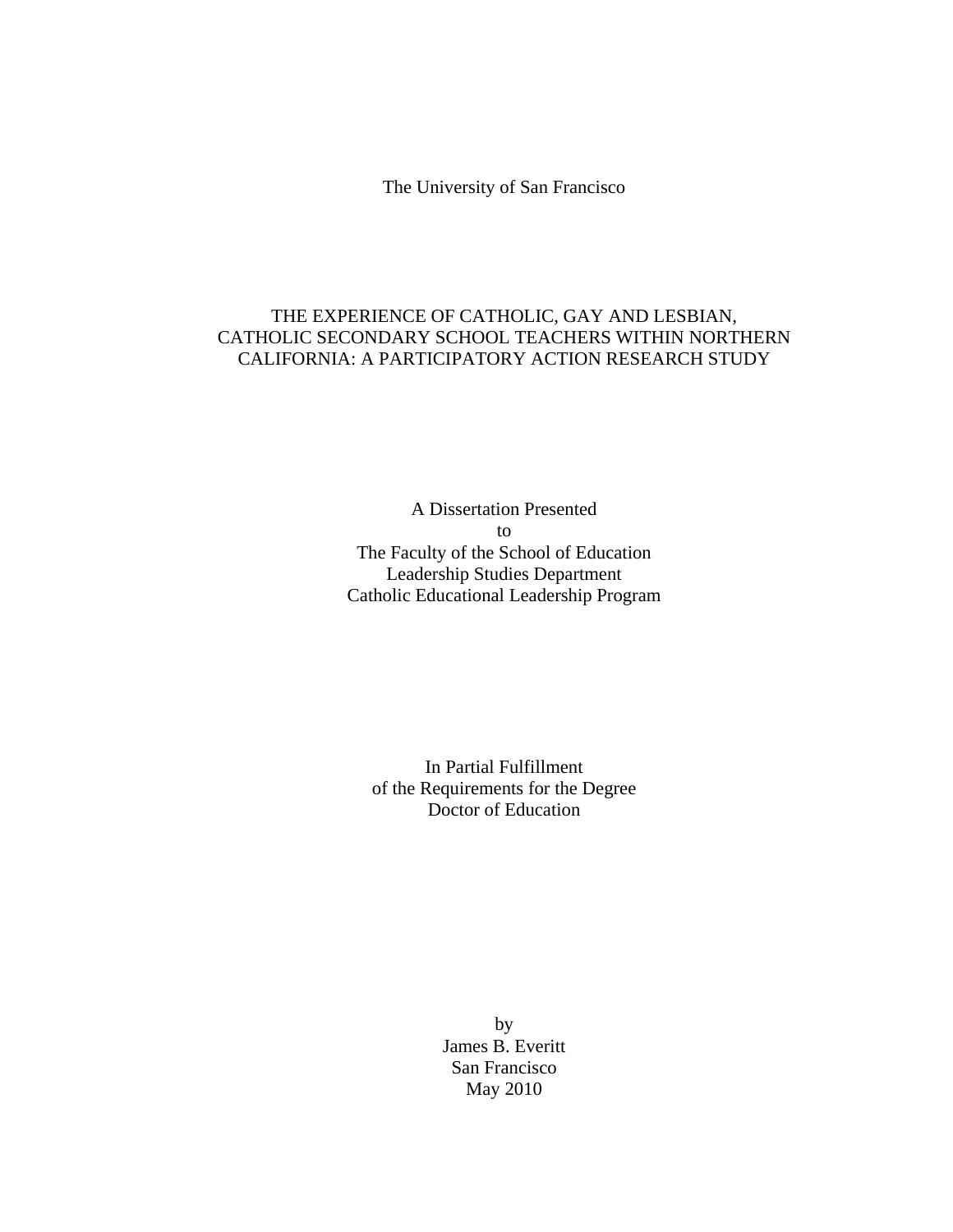The University of San Francisco

# THE EXPERIENCE OF CATHOLIC, GAY AND LESBIAN, CATHOLIC SECONDARY SCHOOL TEACHERS WITHIN NORTHERN CALIFORNIA: A PARTICIPATORY ACTION RESEARCH STUDY

A Dissertation Presented to The Faculty of the School of Education Leadership Studies Department Catholic Educational Leadership Program

In Partial Fulfillment of the Requirements for the Degree Doctor of Education

> by James B. Everitt San Francisco May 2010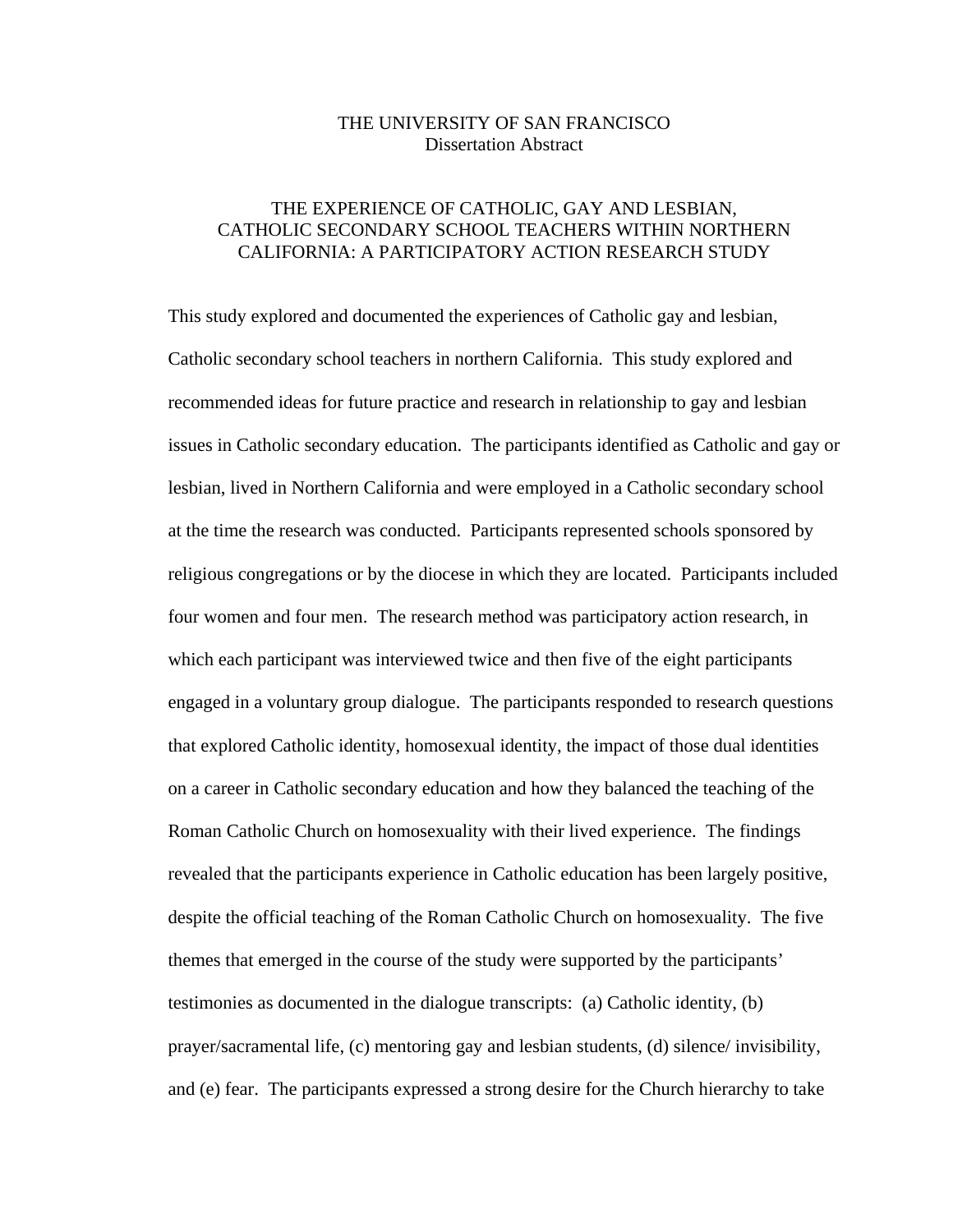## THE UNIVERSITY OF SAN FRANCISCO Dissertation Abstract

## THE EXPERIENCE OF CATHOLIC, GAY AND LESBIAN, CATHOLIC SECONDARY SCHOOL TEACHERS WITHIN NORTHERN CALIFORNIA: A PARTICIPATORY ACTION RESEARCH STUDY

This study explored and documented the experiences of Catholic gay and lesbian, Catholic secondary school teachers in northern California. This study explored and recommended ideas for future practice and research in relationship to gay and lesbian issues in Catholic secondary education. The participants identified as Catholic and gay or lesbian, lived in Northern California and were employed in a Catholic secondary school at the time the research was conducted. Participants represented schools sponsored by religious congregations or by the diocese in which they are located. Participants included four women and four men. The research method was participatory action research, in which each participant was interviewed twice and then five of the eight participants engaged in a voluntary group dialogue. The participants responded to research questions that explored Catholic identity, homosexual identity, the impact of those dual identities on a career in Catholic secondary education and how they balanced the teaching of the Roman Catholic Church on homosexuality with their lived experience. The findings revealed that the participants experience in Catholic education has been largely positive, despite the official teaching of the Roman Catholic Church on homosexuality. The five themes that emerged in the course of the study were supported by the participants' testimonies as documented in the dialogue transcripts: (a) Catholic identity, (b) prayer/sacramental life, (c) mentoring gay and lesbian students, (d) silence/ invisibility, and (e) fear. The participants expressed a strong desire for the Church hierarchy to take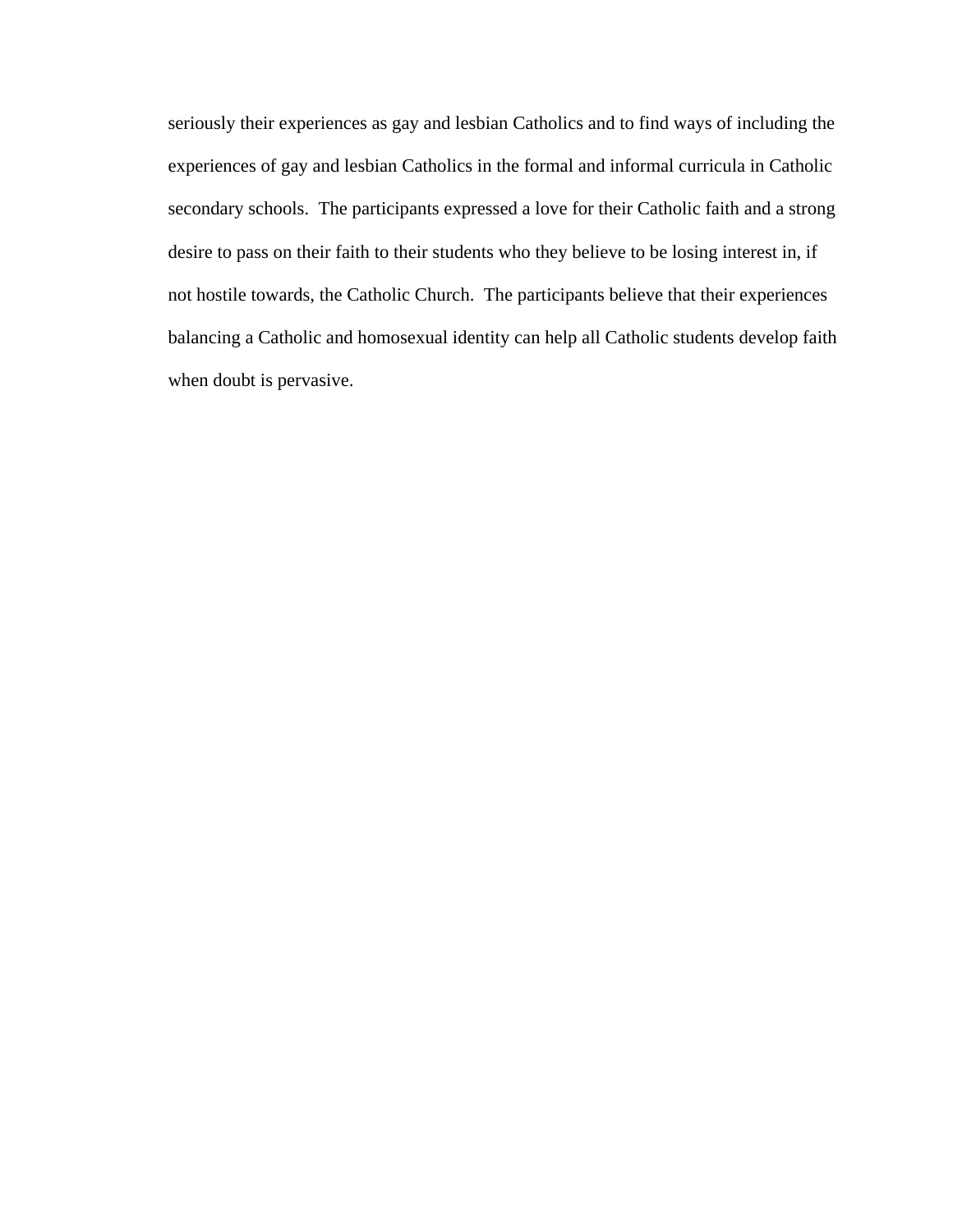seriously their experiences as gay and lesbian Catholics and to find ways of including the experiences of gay and lesbian Catholics in the formal and informal curricula in Catholic secondary schools. The participants expressed a love for their Catholic faith and a strong desire to pass on their faith to their students who they believe to be losing interest in, if not hostile towards, the Catholic Church. The participants believe that their experiences balancing a Catholic and homosexual identity can help all Catholic students develop faith when doubt is pervasive.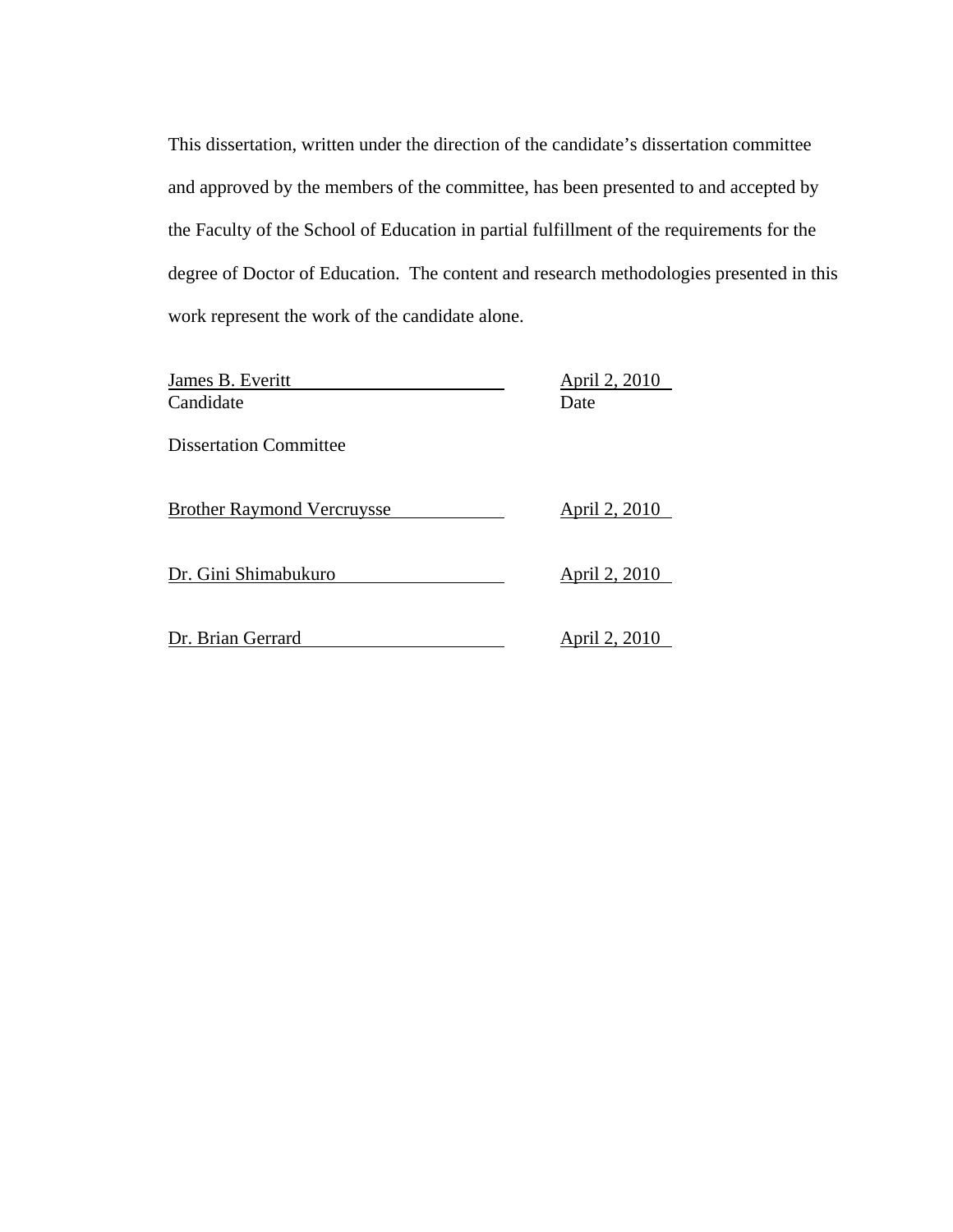This dissertation, written under the direction of the candidate's dissertation committee and approved by the members of the committee, has been presented to and accepted by the Faculty of the School of Education in partial fulfillment of the requirements for the degree of Doctor of Education. The content and research methodologies presented in this work represent the work of the candidate alone.

| James B. Everitt<br>Candidate     | April 2, 2010<br>Date |  |
|-----------------------------------|-----------------------|--|
| <b>Dissertation Committee</b>     |                       |  |
| <b>Brother Raymond Vercruysse</b> | April 2, 2010         |  |
| Dr. Gini Shimabukuro              | April 2, 2010         |  |
| Dr. Brian Gerrard                 | April 2, 2010         |  |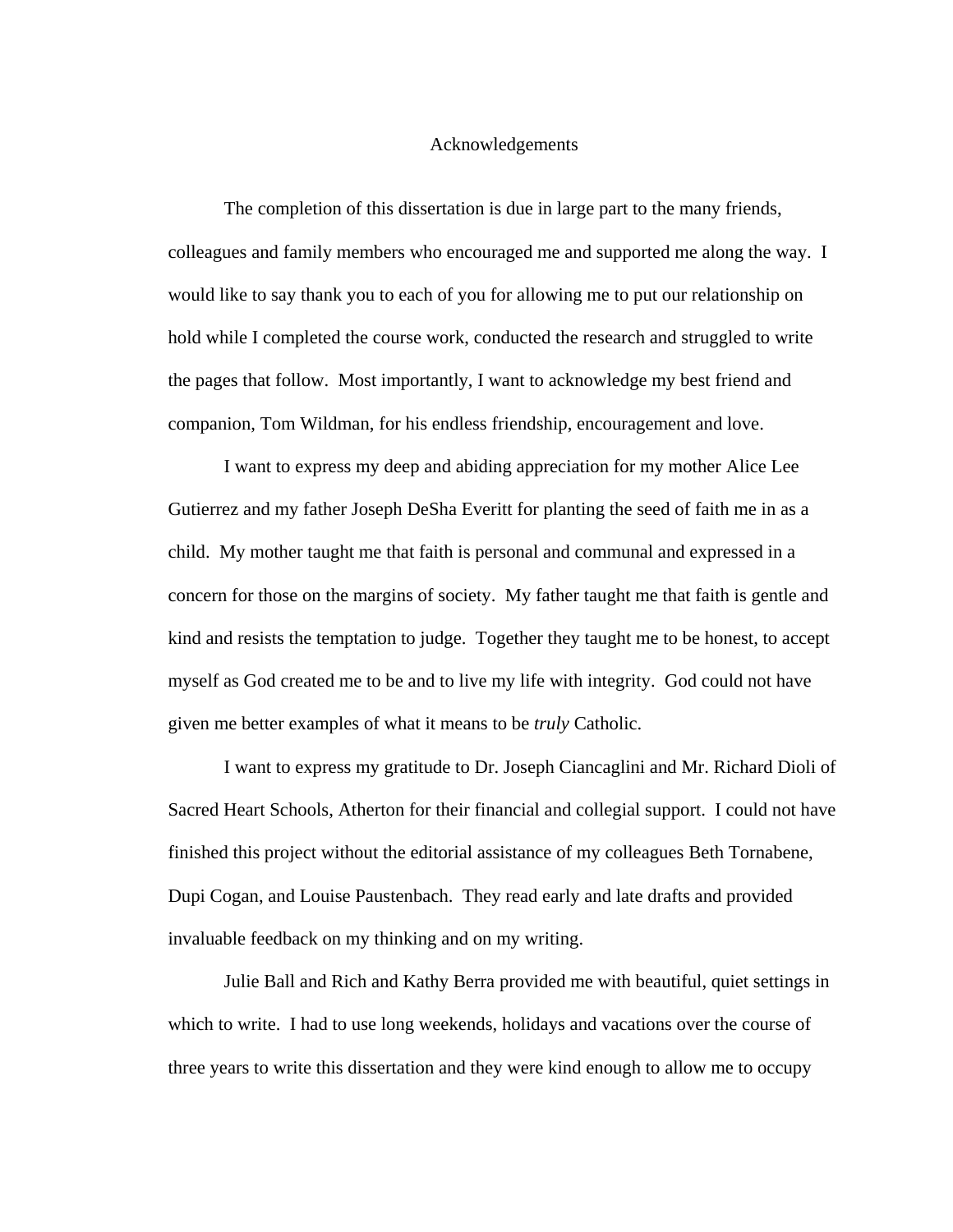## Acknowledgements

 The completion of this dissertation is due in large part to the many friends, colleagues and family members who encouraged me and supported me along the way. I would like to say thank you to each of you for allowing me to put our relationship on hold while I completed the course work, conducted the research and struggled to write the pages that follow. Most importantly, I want to acknowledge my best friend and companion, Tom Wildman, for his endless friendship, encouragement and love.

 I want to express my deep and abiding appreciation for my mother Alice Lee Gutierrez and my father Joseph DeSha Everitt for planting the seed of faith me in as a child. My mother taught me that faith is personal and communal and expressed in a concern for those on the margins of society. My father taught me that faith is gentle and kind and resists the temptation to judge. Together they taught me to be honest, to accept myself as God created me to be and to live my life with integrity. God could not have given me better examples of what it means to be *truly* Catholic.

 I want to express my gratitude to Dr. Joseph Ciancaglini and Mr. Richard Dioli of Sacred Heart Schools, Atherton for their financial and collegial support. I could not have finished this project without the editorial assistance of my colleagues Beth Tornabene, Dupi Cogan, and Louise Paustenbach. They read early and late drafts and provided invaluable feedback on my thinking and on my writing.

 Julie Ball and Rich and Kathy Berra provided me with beautiful, quiet settings in which to write. I had to use long weekends, holidays and vacations over the course of three years to write this dissertation and they were kind enough to allow me to occupy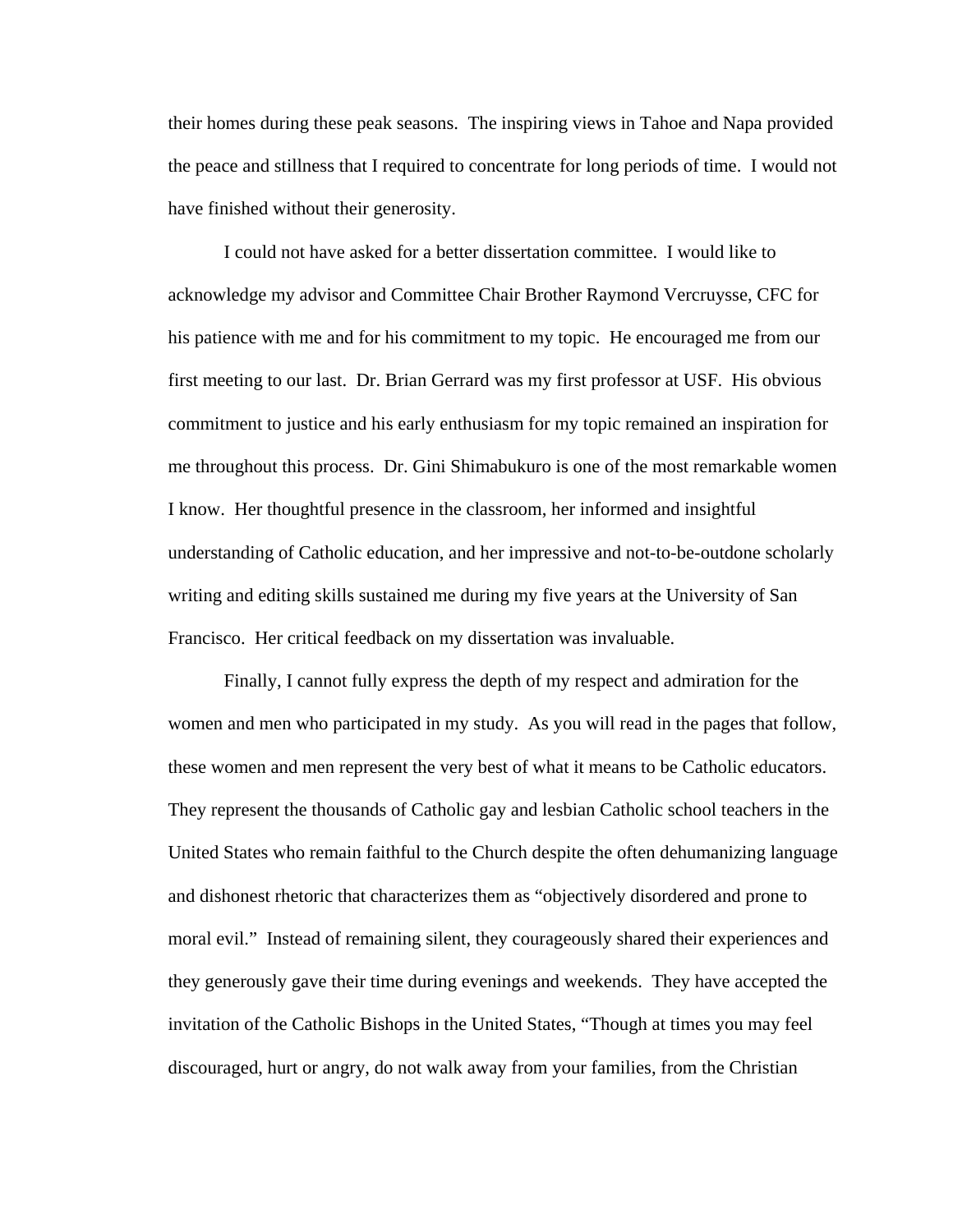their homes during these peak seasons. The inspiring views in Tahoe and Napa provided the peace and stillness that I required to concentrate for long periods of time. I would not have finished without their generosity.

 I could not have asked for a better dissertation committee. I would like to acknowledge my advisor and Committee Chair Brother Raymond Vercruysse, CFC for his patience with me and for his commitment to my topic. He encouraged me from our first meeting to our last. Dr. Brian Gerrard was my first professor at USF. His obvious commitment to justice and his early enthusiasm for my topic remained an inspiration for me throughout this process. Dr. Gini Shimabukuro is one of the most remarkable women I know. Her thoughtful presence in the classroom, her informed and insightful understanding of Catholic education, and her impressive and not-to-be-outdone scholarly writing and editing skills sustained me during my five years at the University of San Francisco. Her critical feedback on my dissertation was invaluable.

Finally, I cannot fully express the depth of my respect and admiration for the women and men who participated in my study. As you will read in the pages that follow, these women and men represent the very best of what it means to be Catholic educators. They represent the thousands of Catholic gay and lesbian Catholic school teachers in the United States who remain faithful to the Church despite the often dehumanizing language and dishonest rhetoric that characterizes them as "objectively disordered and prone to moral evil." Instead of remaining silent, they courageously shared their experiences and they generously gave their time during evenings and weekends. They have accepted the invitation of the Catholic Bishops in the United States, "Though at times you may feel discouraged, hurt or angry, do not walk away from your families, from the Christian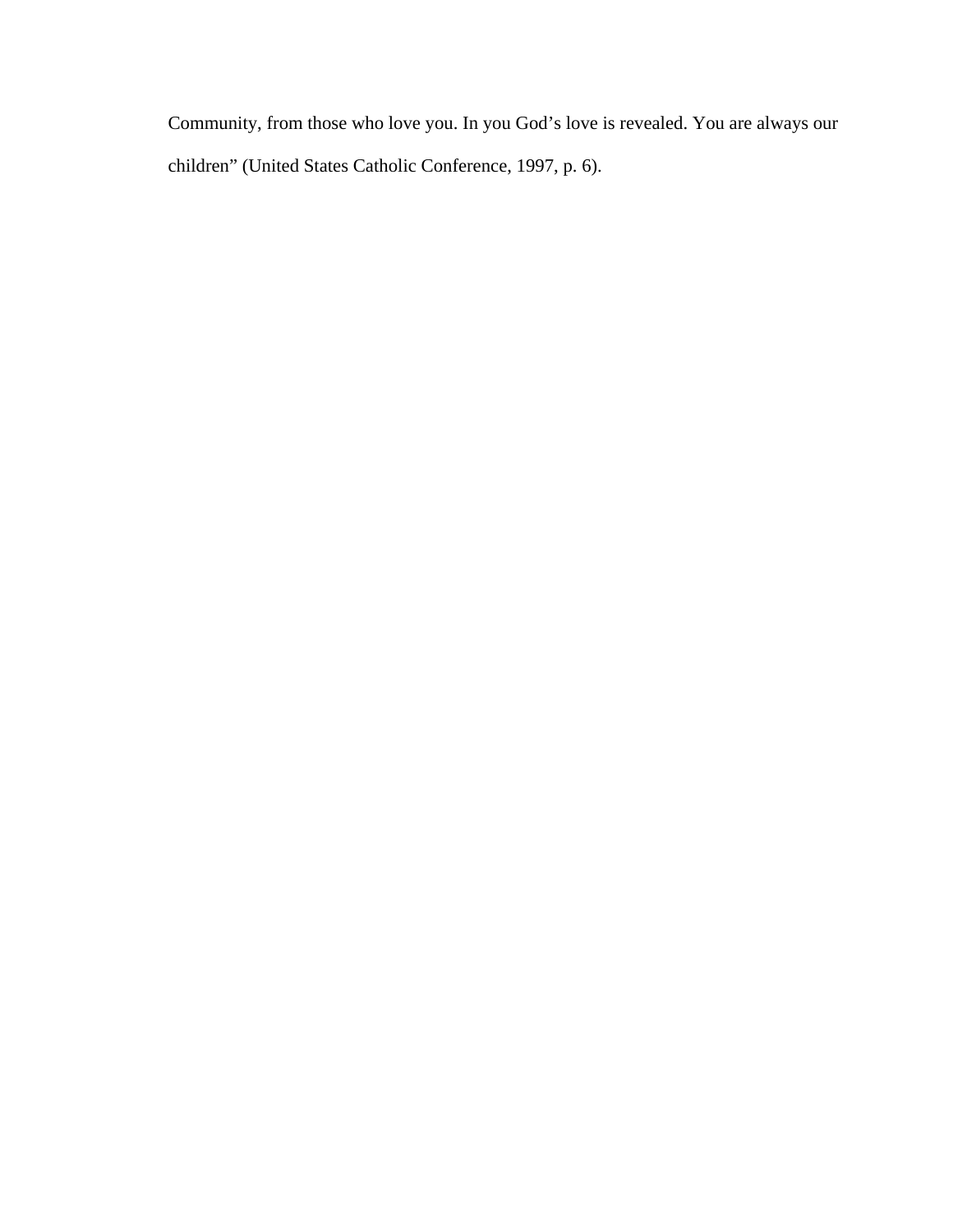Community, from those who love you. In you God's love is revealed. You are always our children" (United States Catholic Conference, 1997, p. 6).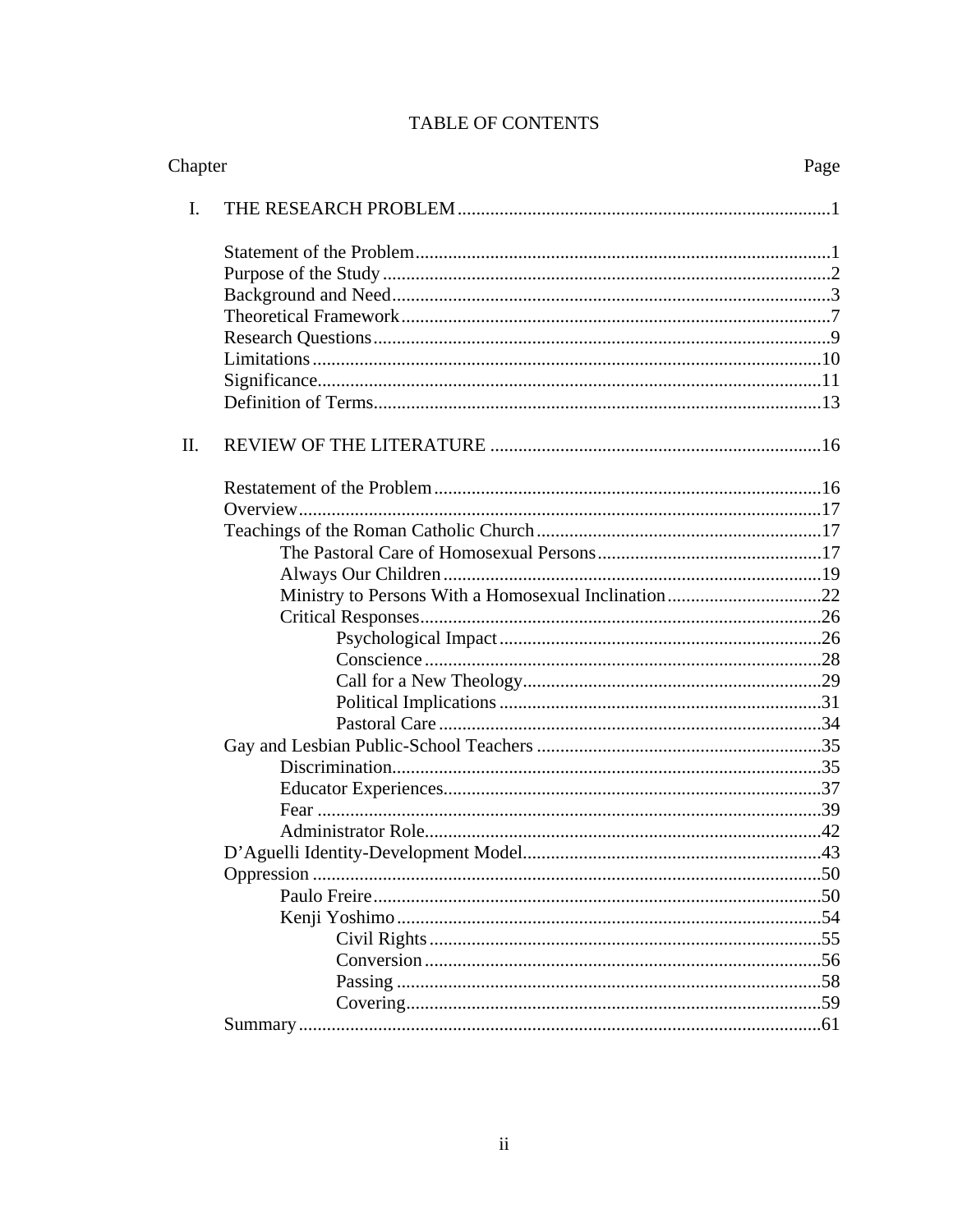| Chapter |                                                     | Page |
|---------|-----------------------------------------------------|------|
| I.      |                                                     |      |
|         |                                                     |      |
|         |                                                     |      |
|         |                                                     |      |
|         |                                                     |      |
|         |                                                     |      |
|         |                                                     |      |
|         |                                                     |      |
|         |                                                     |      |
| Π.      |                                                     |      |
|         |                                                     |      |
|         |                                                     |      |
|         |                                                     |      |
|         |                                                     |      |
|         |                                                     |      |
|         | Ministry to Persons With a Homosexual Inclination22 |      |
|         |                                                     |      |
|         |                                                     |      |
|         |                                                     |      |
|         |                                                     |      |
|         |                                                     |      |
|         |                                                     |      |
|         |                                                     |      |
|         |                                                     |      |
|         |                                                     |      |
|         |                                                     |      |
|         |                                                     |      |
|         |                                                     |      |
|         |                                                     |      |
|         |                                                     |      |
|         |                                                     |      |
|         |                                                     |      |
|         |                                                     |      |
|         |                                                     |      |
|         |                                                     |      |
|         |                                                     |      |

# TABLE OF CONTENTS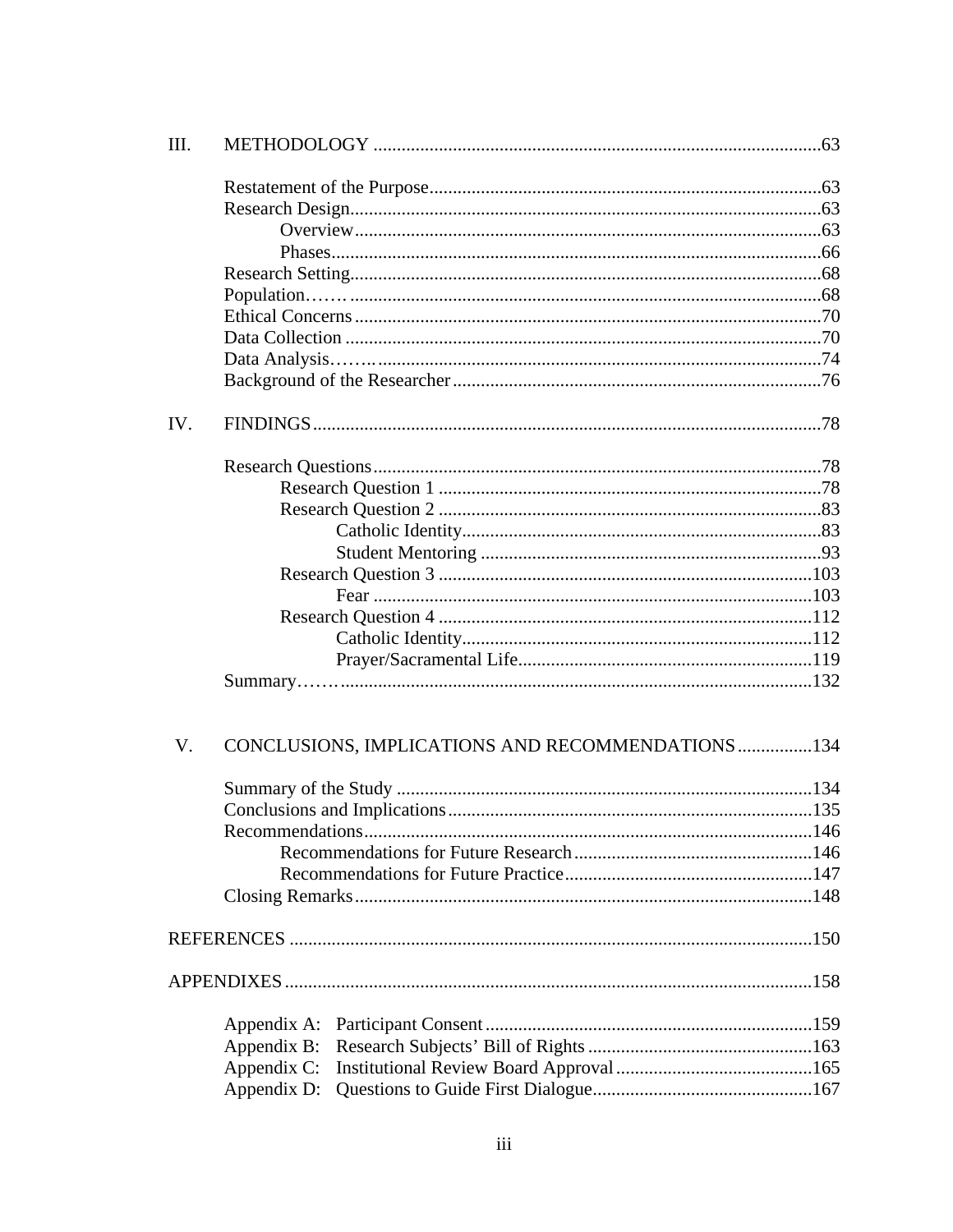| III.        |                                                  |  |
|-------------|--------------------------------------------------|--|
|             |                                                  |  |
|             |                                                  |  |
|             |                                                  |  |
|             |                                                  |  |
|             |                                                  |  |
|             |                                                  |  |
|             |                                                  |  |
|             |                                                  |  |
|             |                                                  |  |
|             |                                                  |  |
| IV.         |                                                  |  |
|             |                                                  |  |
|             |                                                  |  |
|             |                                                  |  |
|             |                                                  |  |
|             |                                                  |  |
|             |                                                  |  |
|             |                                                  |  |
|             |                                                  |  |
|             |                                                  |  |
|             |                                                  |  |
|             |                                                  |  |
| $V_{\cdot}$ | CONCLUSIONS, IMPLICATIONS AND RECOMMENDATIONS134 |  |
|             |                                                  |  |
|             |                                                  |  |
|             |                                                  |  |
|             |                                                  |  |
|             |                                                  |  |
|             |                                                  |  |
|             |                                                  |  |
|             |                                                  |  |
|             |                                                  |  |
|             |                                                  |  |
|             |                                                  |  |
|             |                                                  |  |
|             |                                                  |  |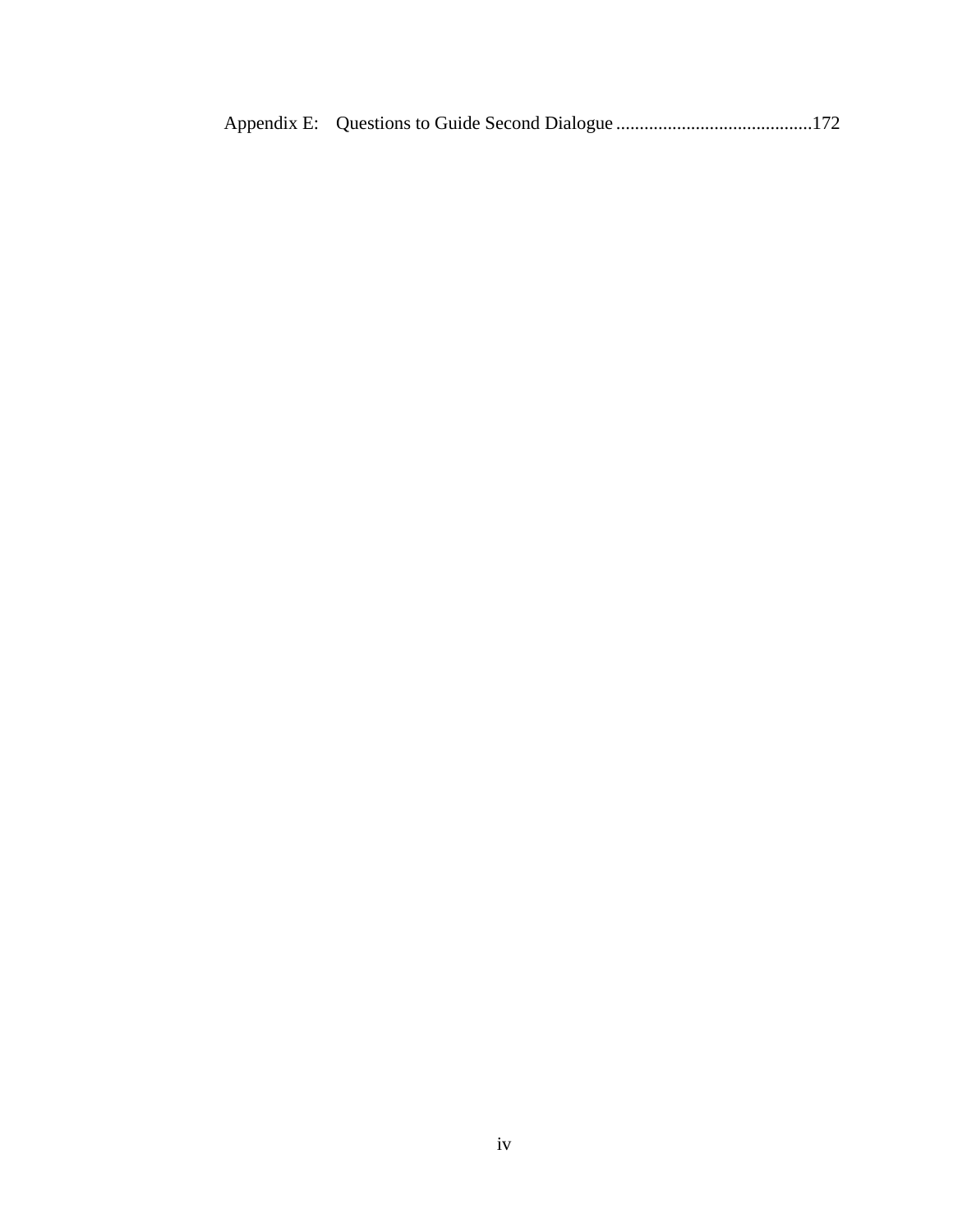|--|--|--|--|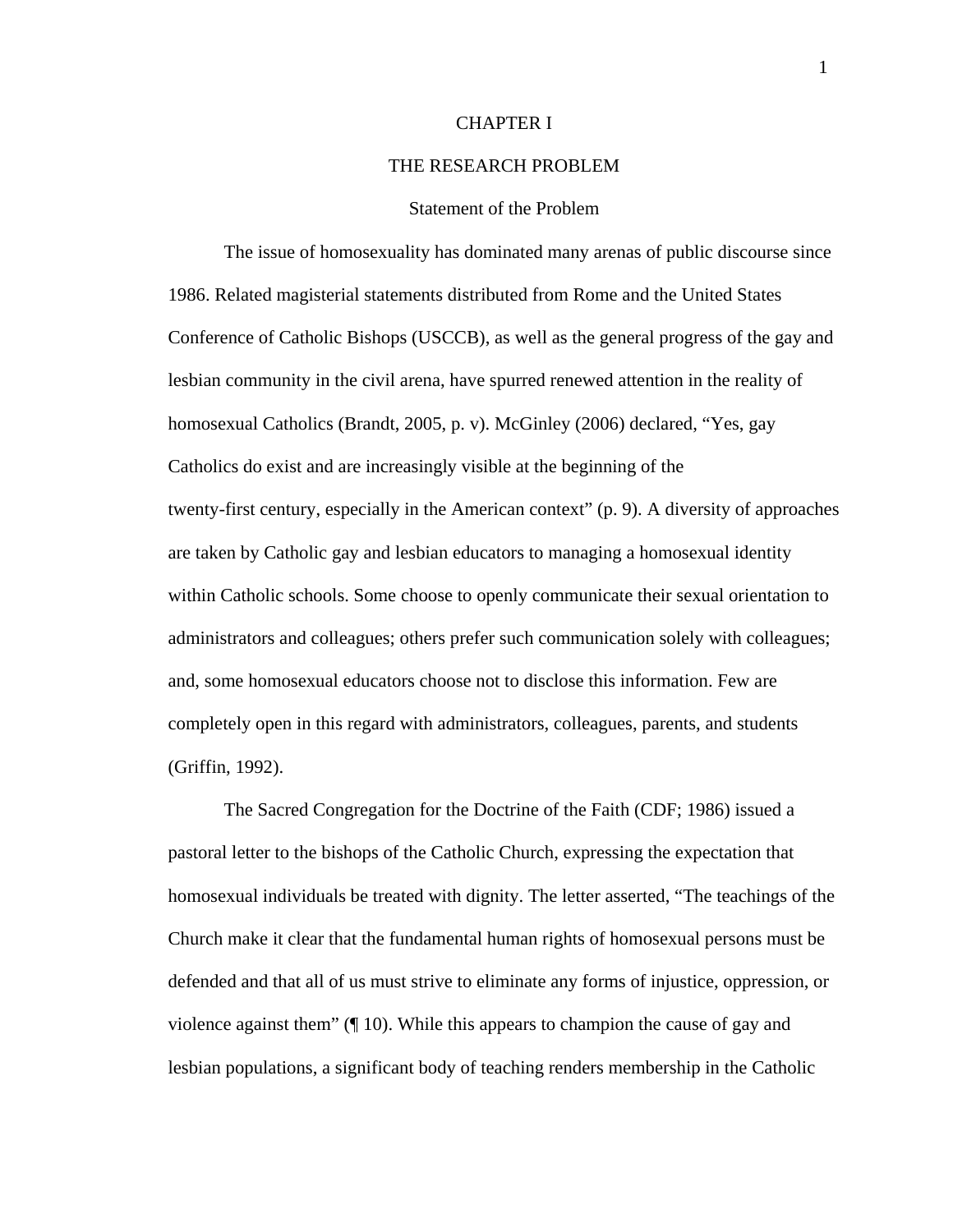### CHAPTER I

#### THE RESEARCH PROBLEM

## Statement of the Problem

The issue of homosexuality has dominated many arenas of public discourse since 1986. Related magisterial statements distributed from Rome and the United States Conference of Catholic Bishops (USCCB), as well as the general progress of the gay and lesbian community in the civil arena, have spurred renewed attention in the reality of homosexual Catholics (Brandt, 2005, p. v). McGinley (2006) declared, "Yes, gay Catholics do exist and are increasingly visible at the beginning of the twenty-first century, especially in the American context" (p. 9). A diversity of approaches are taken by Catholic gay and lesbian educators to managing a homosexual identity within Catholic schools. Some choose to openly communicate their sexual orientation to administrators and colleagues; others prefer such communication solely with colleagues; and, some homosexual educators choose not to disclose this information. Few are completely open in this regard with administrators, colleagues, parents, and students (Griffin, 1992).

The Sacred Congregation for the Doctrine of the Faith (CDF; 1986) issued a pastoral letter to the bishops of the Catholic Church, expressing the expectation that homosexual individuals be treated with dignity. The letter asserted, "The teachings of the Church make it clear that the fundamental human rights of homosexual persons must be defended and that all of us must strive to eliminate any forms of injustice, oppression, or violence against them" (¶ 10). While this appears to champion the cause of gay and lesbian populations, a significant body of teaching renders membership in the Catholic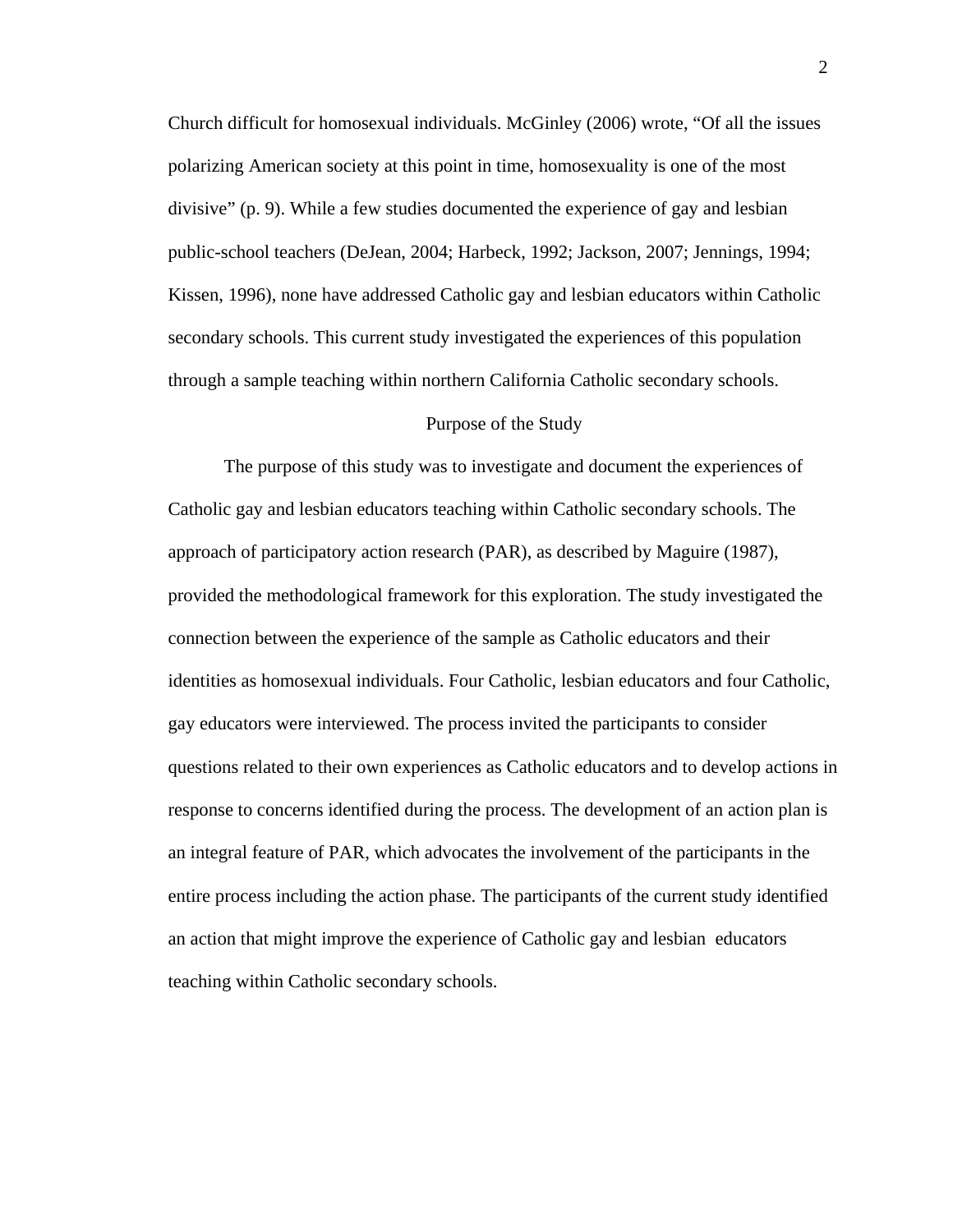Church difficult for homosexual individuals. McGinley (2006) wrote, "Of all the issues polarizing American society at this point in time, homosexuality is one of the most divisive" (p. 9). While a few studies documented the experience of gay and lesbian public-school teachers (DeJean, 2004; Harbeck, 1992; Jackson, 2007; Jennings, 1994; Kissen, 1996), none have addressed Catholic gay and lesbian educators within Catholic secondary schools. This current study investigated the experiences of this population through a sample teaching within northern California Catholic secondary schools.

#### Purpose of the Study

The purpose of this study was to investigate and document the experiences of Catholic gay and lesbian educators teaching within Catholic secondary schools. The approach of participatory action research (PAR), as described by Maguire (1987), provided the methodological framework for this exploration. The study investigated the connection between the experience of the sample as Catholic educators and their identities as homosexual individuals. Four Catholic, lesbian educators and four Catholic, gay educators were interviewed. The process invited the participants to consider questions related to their own experiences as Catholic educators and to develop actions in response to concerns identified during the process. The development of an action plan is an integral feature of PAR, which advocates the involvement of the participants in the entire process including the action phase. The participants of the current study identified an action that might improve the experience of Catholic gay and lesbian educators teaching within Catholic secondary schools.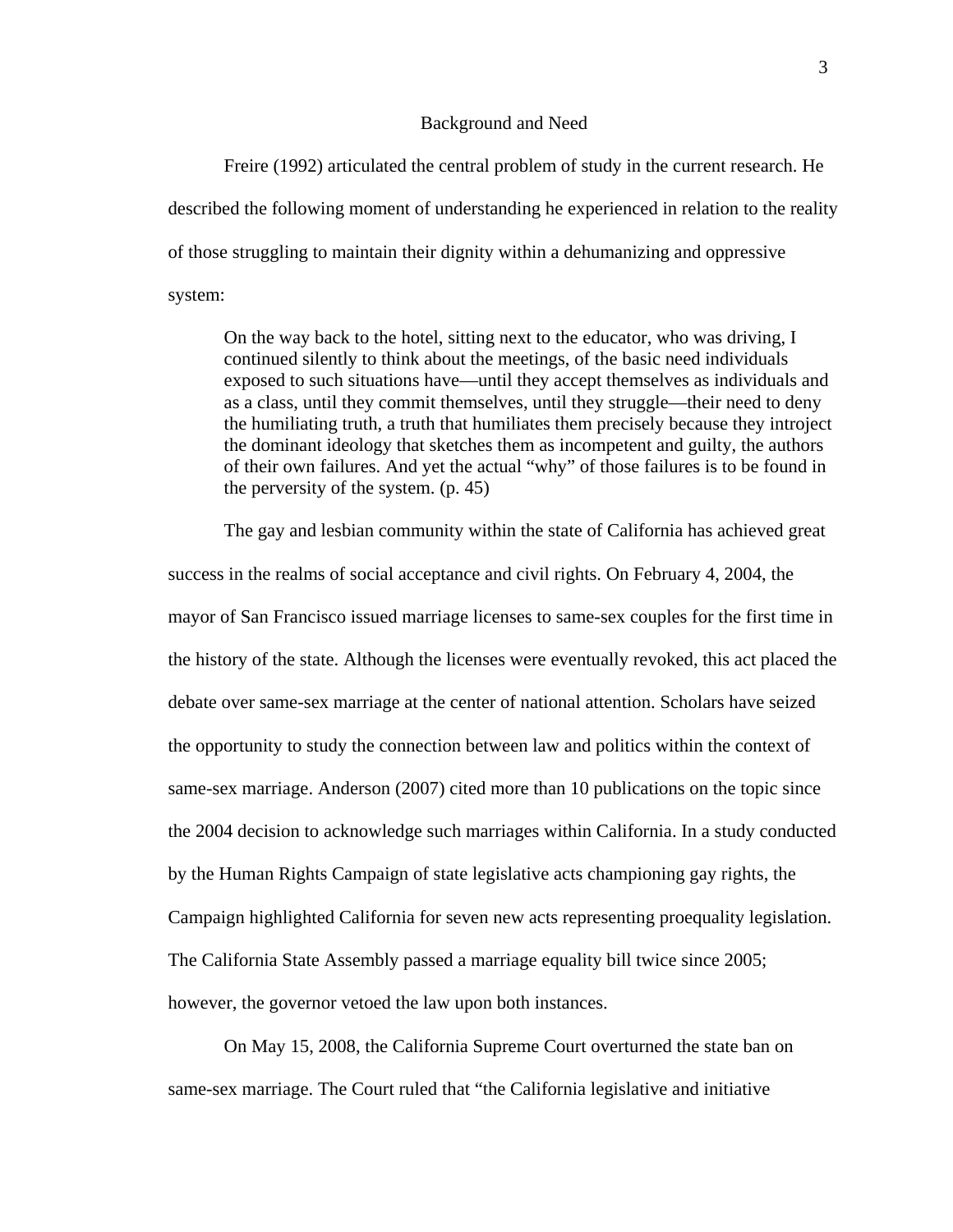#### Background and Need

 Freire (1992) articulated the central problem of study in the current research. He described the following moment of understanding he experienced in relation to the reality of those struggling to maintain their dignity within a dehumanizing and oppressive system:

On the way back to the hotel, sitting next to the educator, who was driving, I continued silently to think about the meetings, of the basic need individuals exposed to such situations have—until they accept themselves as individuals and as a class, until they commit themselves, until they struggle—their need to deny the humiliating truth, a truth that humiliates them precisely because they introject the dominant ideology that sketches them as incompetent and guilty, the authors of their own failures. And yet the actual "why" of those failures is to be found in the perversity of the system. (p. 45)

The gay and lesbian community within the state of California has achieved great success in the realms of social acceptance and civil rights. On February 4, 2004, the mayor of San Francisco issued marriage licenses to same-sex couples for the first time in the history of the state. Although the licenses were eventually revoked, this act placed the debate over same-sex marriage at the center of national attention. Scholars have seized the opportunity to study the connection between law and politics within the context of same-sex marriage. Anderson (2007) cited more than 10 publications on the topic since the 2004 decision to acknowledge such marriages within California. In a study conducted by the Human Rights Campaign of state legislative acts championing gay rights, the Campaign highlighted California for seven new acts representing proequality legislation. The California State Assembly passed a marriage equality bill twice since 2005; however, the governor vetoed the law upon both instances.

On May 15, 2008, the California Supreme Court overturned the state ban on same-sex marriage. The Court ruled that "the California legislative and initiative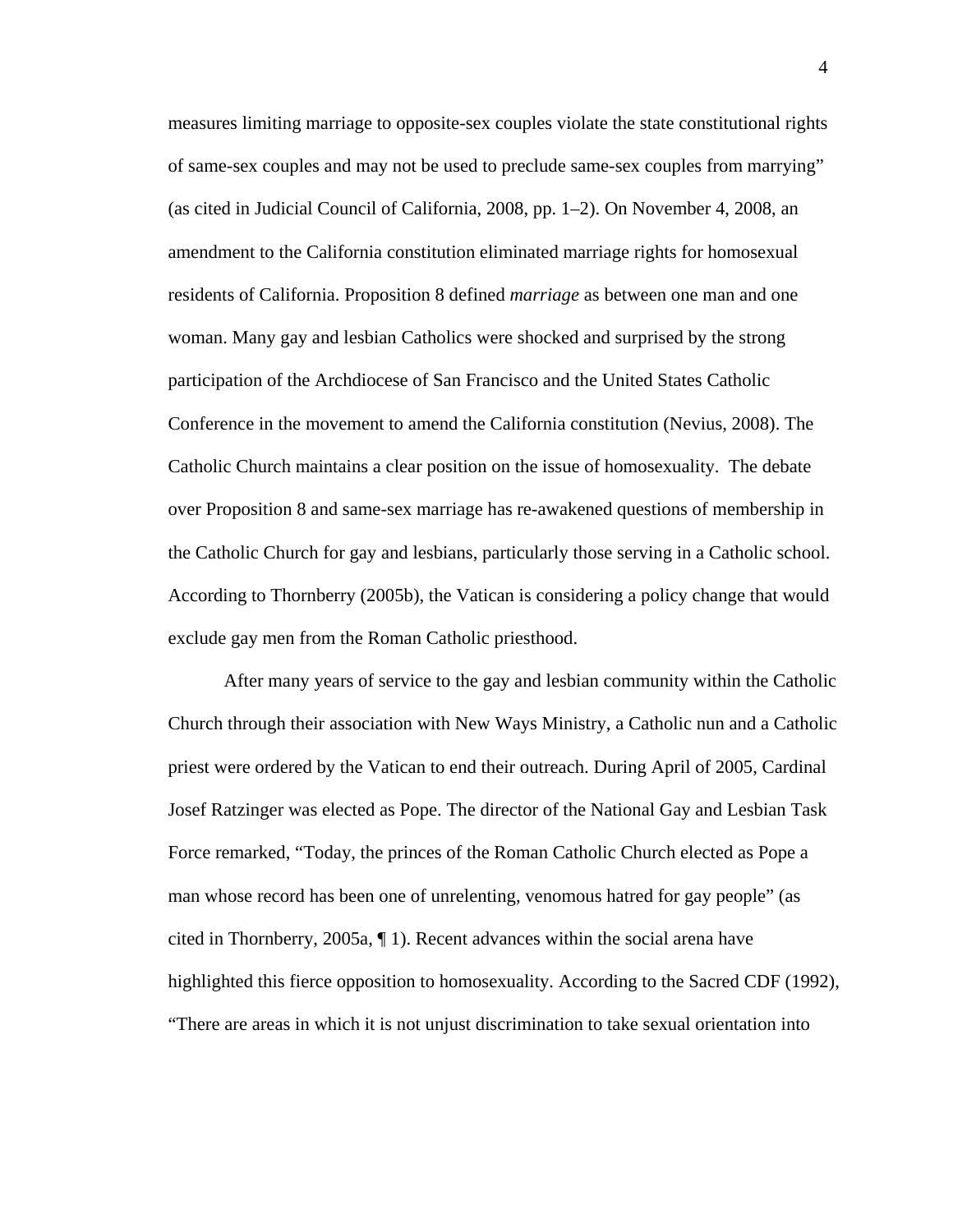measures limiting marriage to opposite-sex couples violate the state constitutional rights of same-sex couples and may not be used to preclude same-sex couples from marrying" (as cited in Judicial Council of California, 2008, pp. 1–2). On November 4, 2008, an amendment to the California constitution eliminated marriage rights for homosexual residents of California. Proposition 8 defined *marriage* as between one man and one woman. Many gay and lesbian Catholics were shocked and surprised by the strong participation of the Archdiocese of San Francisco and the United States Catholic Conference in the movement to amend the California constitution (Nevius, 2008). The Catholic Church maintains a clear position on the issue of homosexuality. The debate over Proposition 8 and same-sex marriage has re-awakened questions of membership in the Catholic Church for gay and lesbians, particularly those serving in a Catholic school. According to Thornberry (2005b), the Vatican is considering a policy change that would exclude gay men from the Roman Catholic priesthood.

After many years of service to the gay and lesbian community within the Catholic Church through their association with New Ways Ministry, a Catholic nun and a Catholic priest were ordered by the Vatican to end their outreach. During April of 2005, Cardinal Josef Ratzinger was elected as Pope. The director of the National Gay and Lesbian Task Force remarked, "Today, the princes of the Roman Catholic Church elected as Pope a man whose record has been one of unrelenting, venomous hatred for gay people" (as cited in Thornberry, 2005a, ¶ 1). Recent advances within the social arena have highlighted this fierce opposition to homosexuality. According to the Sacred CDF (1992), "There are areas in which it is not unjust discrimination to take sexual orientation into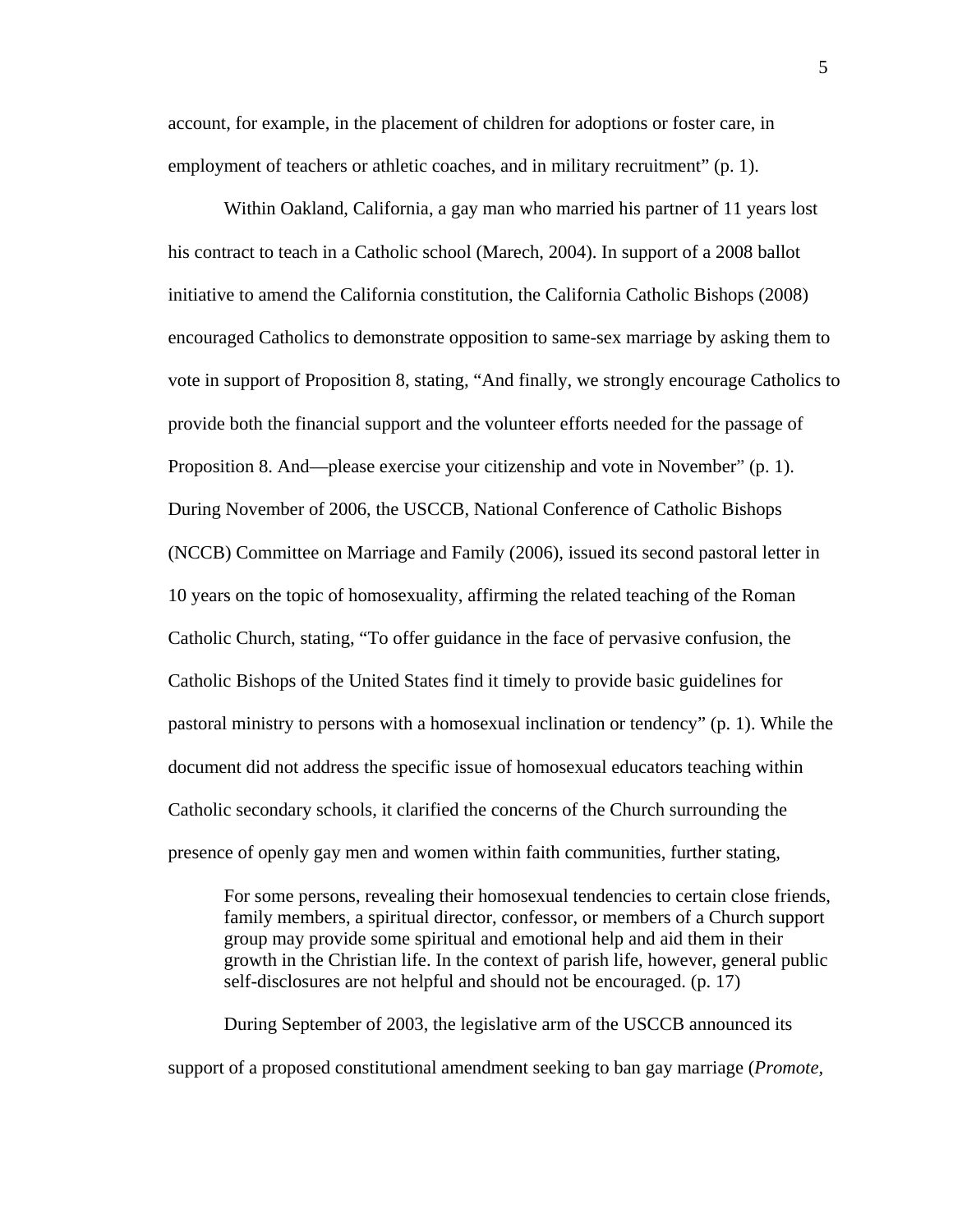account, for example, in the placement of children for adoptions or foster care, in employment of teachers or athletic coaches, and in military recruitment" (p. 1).

Within Oakland, California, a gay man who married his partner of 11 years lost his contract to teach in a Catholic school (Marech, 2004). In support of a 2008 ballot initiative to amend the California constitution, the California Catholic Bishops (2008) encouraged Catholics to demonstrate opposition to same-sex marriage by asking them to vote in support of Proposition 8, stating, "And finally, we strongly encourage Catholics to provide both the financial support and the volunteer efforts needed for the passage of Proposition 8. And—please exercise your citizenship and vote in November" (p. 1). During November of 2006, the USCCB, National Conference of Catholic Bishops (NCCB) Committee on Marriage and Family (2006), issued its second pastoral letter in 10 years on the topic of homosexuality, affirming the related teaching of the Roman Catholic Church, stating, "To offer guidance in the face of pervasive confusion, the Catholic Bishops of the United States find it timely to provide basic guidelines for pastoral ministry to persons with a homosexual inclination or tendency" (p. 1). While the document did not address the specific issue of homosexual educators teaching within Catholic secondary schools, it clarified the concerns of the Church surrounding the presence of openly gay men and women within faith communities, further stating,

For some persons, revealing their homosexual tendencies to certain close friends, family members, a spiritual director, confessor, or members of a Church support group may provide some spiritual and emotional help and aid them in their growth in the Christian life. In the context of parish life, however, general public self-disclosures are not helpful and should not be encouraged. (p. 17)

During September of 2003, the legislative arm of the USCCB announced its support of a proposed constitutional amendment seeking to ban gay marriage (*Promote,*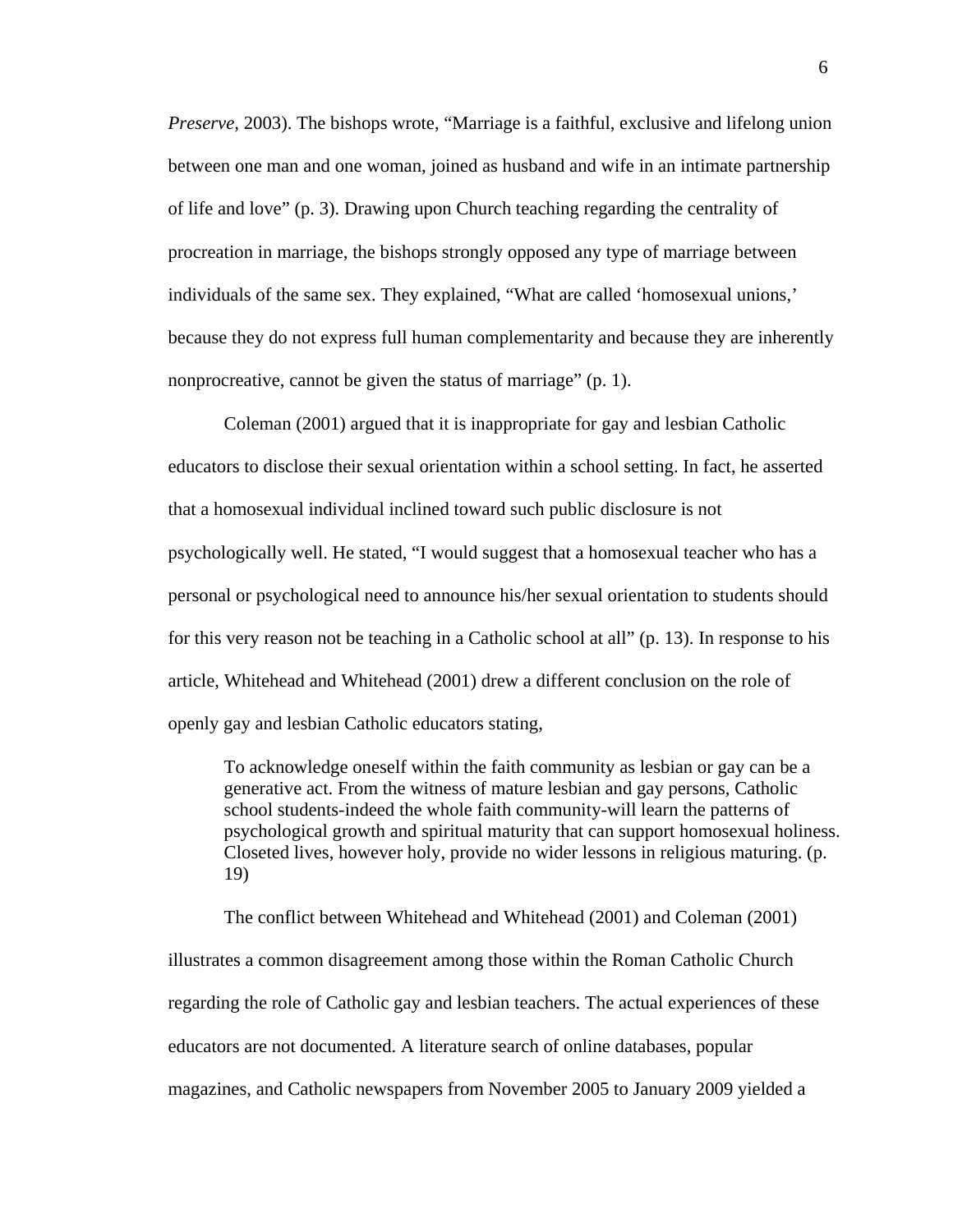*Preserve,* 2003). The bishops wrote, "Marriage is a faithful, exclusive and lifelong union between one man and one woman, joined as husband and wife in an intimate partnership of life and love" (p. 3). Drawing upon Church teaching regarding the centrality of procreation in marriage, the bishops strongly opposed any type of marriage between individuals of the same sex. They explained, "What are called 'homosexual unions,' because they do not express full human complementarity and because they are inherently nonprocreative, cannot be given the status of marriage" (p. 1).

Coleman (2001) argued that it is inappropriate for gay and lesbian Catholic educators to disclose their sexual orientation within a school setting. In fact, he asserted that a homosexual individual inclined toward such public disclosure is not psychologically well. He stated, "I would suggest that a homosexual teacher who has a personal or psychological need to announce his/her sexual orientation to students should for this very reason not be teaching in a Catholic school at all" (p. 13). In response to his article, Whitehead and Whitehead (2001) drew a different conclusion on the role of openly gay and lesbian Catholic educators stating,

To acknowledge oneself within the faith community as lesbian or gay can be a generative act. From the witness of mature lesbian and gay persons, Catholic school students-indeed the whole faith community-will learn the patterns of psychological growth and spiritual maturity that can support homosexual holiness. Closeted lives, however holy, provide no wider lessons in religious maturing. (p. 19)

The conflict between Whitehead and Whitehead (2001) and Coleman (2001)

illustrates a common disagreement among those within the Roman Catholic Church regarding the role of Catholic gay and lesbian teachers. The actual experiences of these educators are not documented. A literature search of online databases, popular magazines, and Catholic newspapers from November 2005 to January 2009 yielded a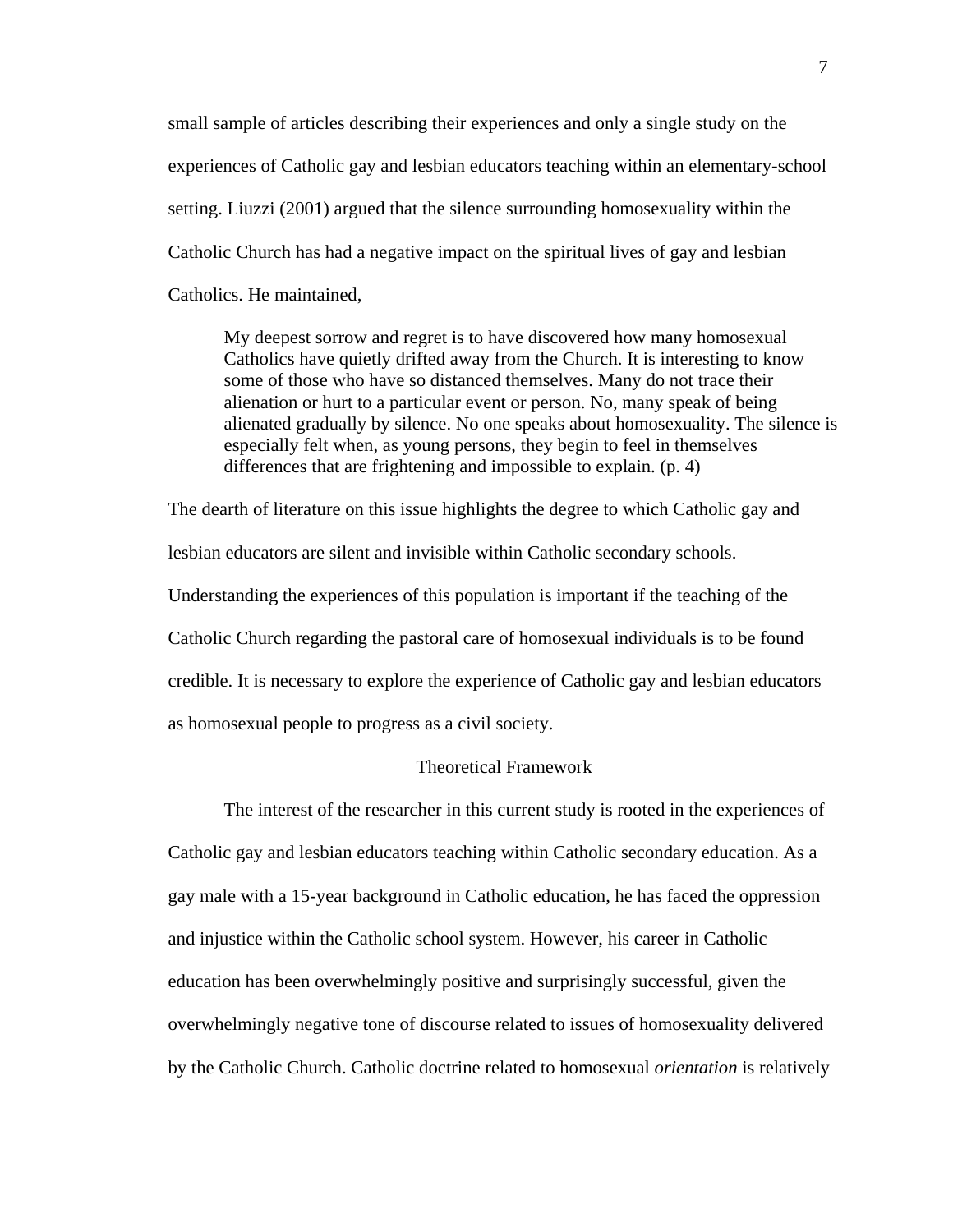small sample of articles describing their experiences and only a single study on the experiences of Catholic gay and lesbian educators teaching within an elementary-school setting. Liuzzi (2001) argued that the silence surrounding homosexuality within the Catholic Church has had a negative impact on the spiritual lives of gay and lesbian Catholics. He maintained,

My deepest sorrow and regret is to have discovered how many homosexual Catholics have quietly drifted away from the Church. It is interesting to know some of those who have so distanced themselves. Many do not trace their alienation or hurt to a particular event or person. No, many speak of being alienated gradually by silence. No one speaks about homosexuality. The silence is especially felt when, as young persons, they begin to feel in themselves differences that are frightening and impossible to explain. (p. 4)

The dearth of literature on this issue highlights the degree to which Catholic gay and lesbian educators are silent and invisible within Catholic secondary schools. Understanding the experiences of this population is important if the teaching of the Catholic Church regarding the pastoral care of homosexual individuals is to be found credible. It is necessary to explore the experience of Catholic gay and lesbian educators as homosexual people to progress as a civil society.

## Theoretical Framework

The interest of the researcher in this current study is rooted in the experiences of Catholic gay and lesbian educators teaching within Catholic secondary education. As a gay male with a 15-year background in Catholic education, he has faced the oppression and injustice within the Catholic school system. However, his career in Catholic education has been overwhelmingly positive and surprisingly successful, given the overwhelmingly negative tone of discourse related to issues of homosexuality delivered by the Catholic Church. Catholic doctrine related to homosexual *orientation* is relatively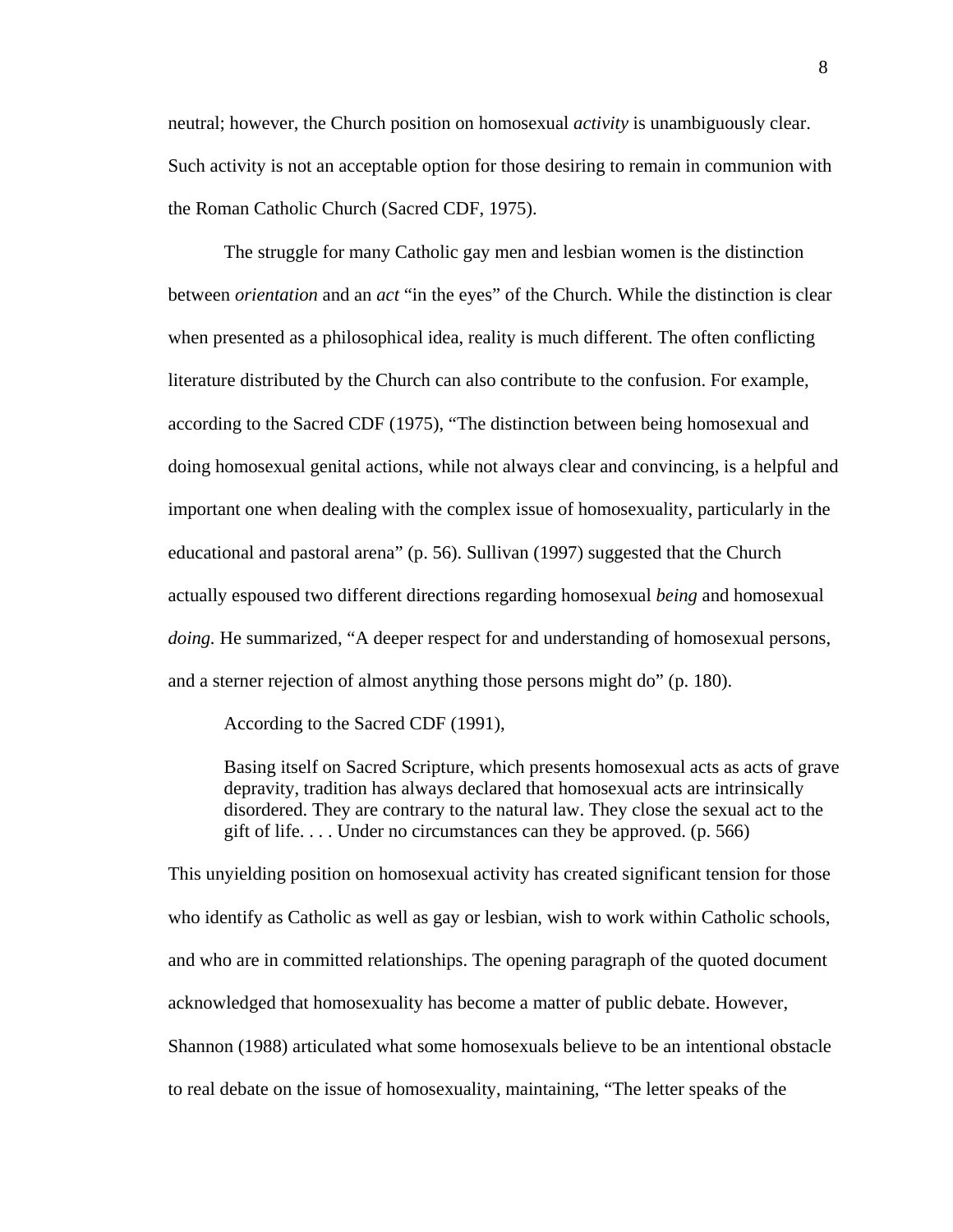neutral; however, the Church position on homosexual *activity* is unambiguously clear. Such activity is not an acceptable option for those desiring to remain in communion with the Roman Catholic Church (Sacred CDF, 1975).

The struggle for many Catholic gay men and lesbian women is the distinction between *orientation* and an *act* "in the eyes" of the Church. While the distinction is clear when presented as a philosophical idea, reality is much different. The often conflicting literature distributed by the Church can also contribute to the confusion. For example, according to the Sacred CDF (1975), "The distinction between being homosexual and doing homosexual genital actions, while not always clear and convincing, is a helpful and important one when dealing with the complex issue of homosexuality, particularly in the educational and pastoral arena" (p. 56). Sullivan (1997) suggested that the Church actually espoused two different directions regarding homosexual *being* and homosexual *doing.* He summarized, "A deeper respect for and understanding of homosexual persons, and a sterner rejection of almost anything those persons might do" (p. 180).

According to the Sacred CDF (1991),

Basing itself on Sacred Scripture, which presents homosexual acts as acts of grave depravity, tradition has always declared that homosexual acts are intrinsically disordered. They are contrary to the natural law. They close the sexual act to the gift of life.... Under no circumstances can they be approved.  $(p. 566)$ 

This unyielding position on homosexual activity has created significant tension for those who identify as Catholic as well as gay or lesbian, wish to work within Catholic schools, and who are in committed relationships. The opening paragraph of the quoted document acknowledged that homosexuality has become a matter of public debate. However, Shannon (1988) articulated what some homosexuals believe to be an intentional obstacle to real debate on the issue of homosexuality, maintaining, "The letter speaks of the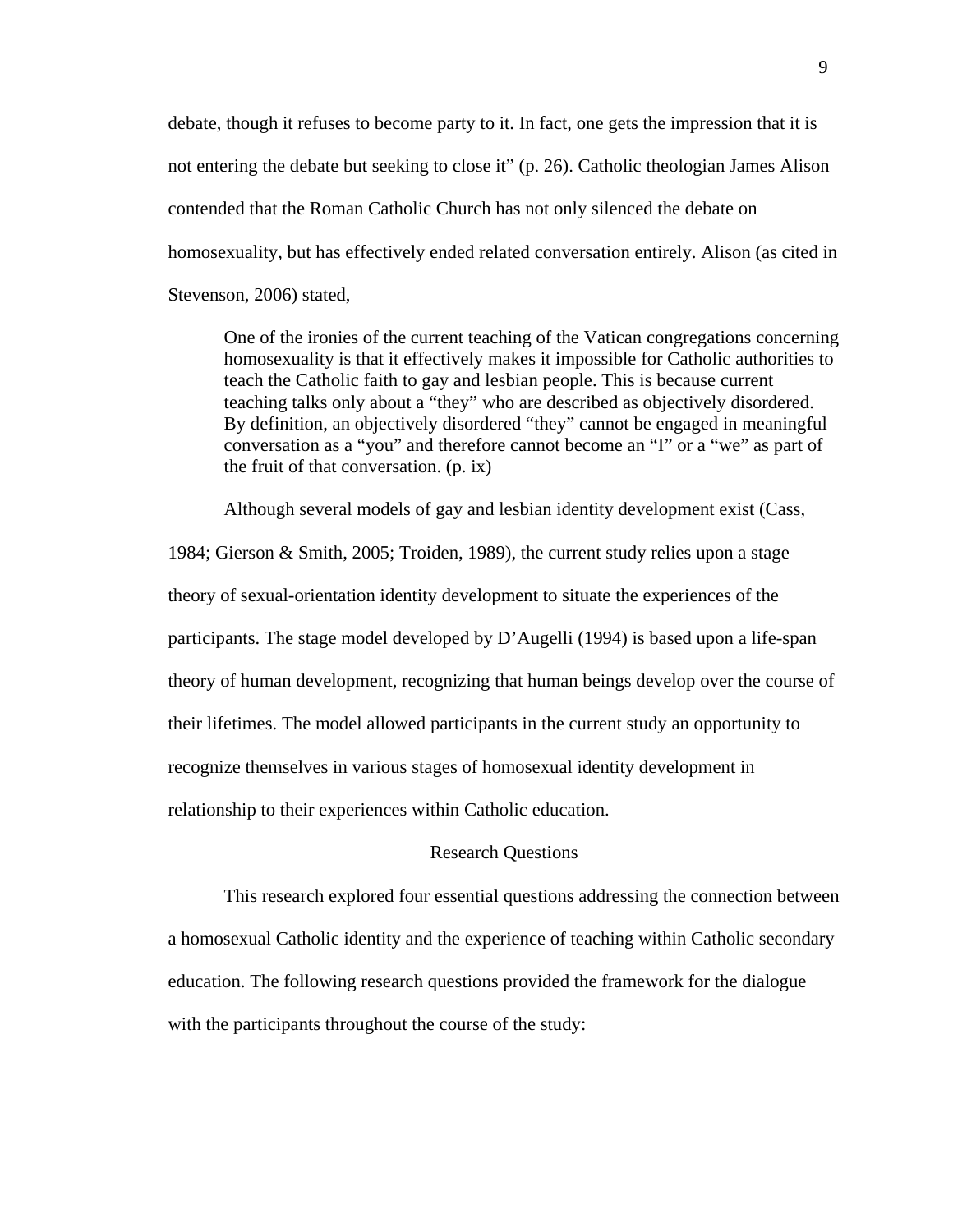debate, though it refuses to become party to it. In fact, one gets the impression that it is not entering the debate but seeking to close it" (p. 26). Catholic theologian James Alison contended that the Roman Catholic Church has not only silenced the debate on homosexuality, but has effectively ended related conversation entirely. Alison (as cited in Stevenson, 2006) stated,

One of the ironies of the current teaching of the Vatican congregations concerning homosexuality is that it effectively makes it impossible for Catholic authorities to teach the Catholic faith to gay and lesbian people. This is because current teaching talks only about a "they" who are described as objectively disordered. By definition, an objectively disordered "they" cannot be engaged in meaningful conversation as a "you" and therefore cannot become an "I" or a "we" as part of the fruit of that conversation. (p. ix)

Although several models of gay and lesbian identity development exist (Cass,

1984; Gierson & Smith, 2005; Troiden, 1989), the current study relies upon a stage theory of sexual-orientation identity development to situate the experiences of the participants. The stage model developed by D'Augelli (1994) is based upon a life-span theory of human development, recognizing that human beings develop over the course of their lifetimes. The model allowed participants in the current study an opportunity to recognize themselves in various stages of homosexual identity development in relationship to their experiences within Catholic education.

#### Research Questions

This research explored four essential questions addressing the connection between a homosexual Catholic identity and the experience of teaching within Catholic secondary education. The following research questions provided the framework for the dialogue with the participants throughout the course of the study: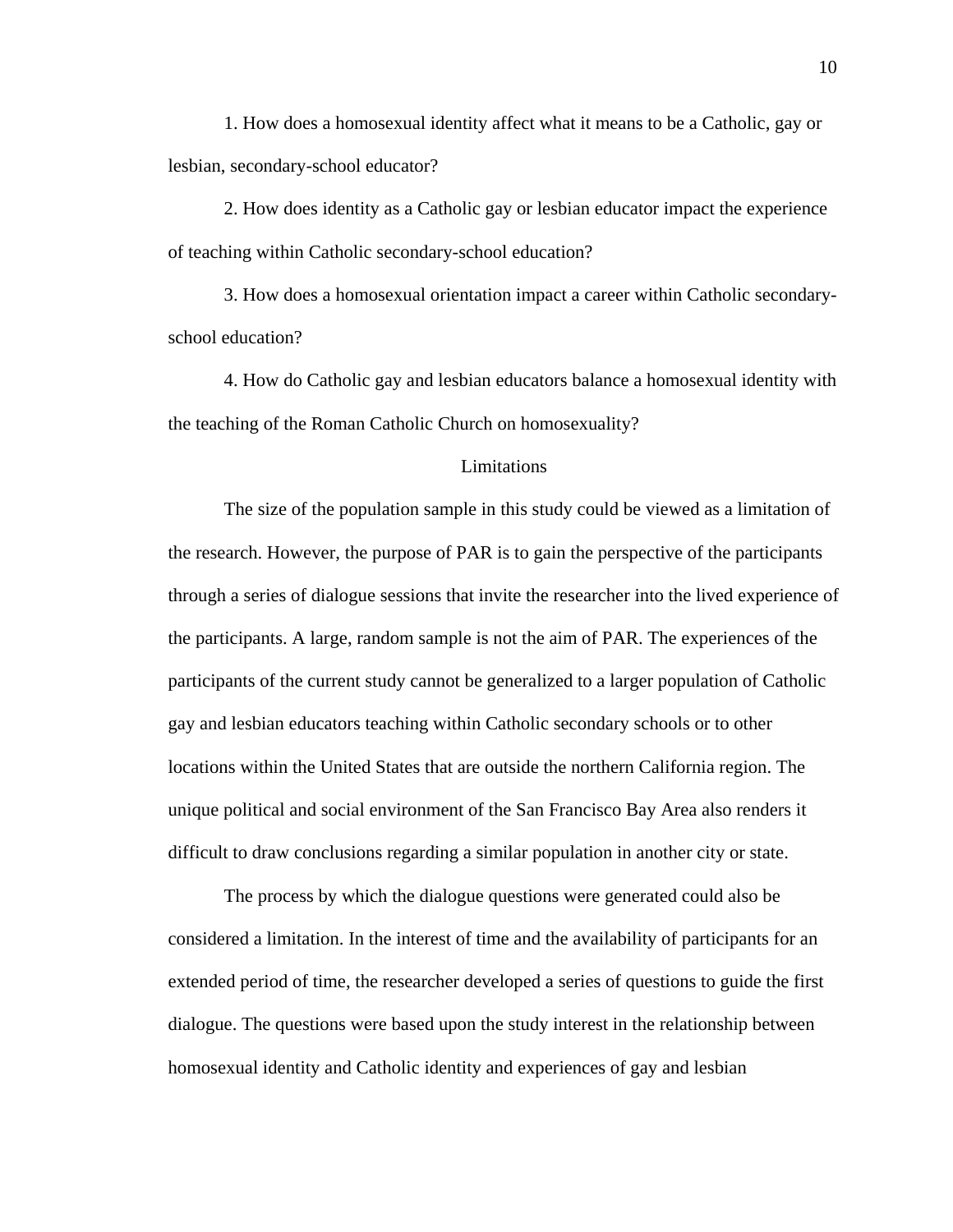1. How does a homosexual identity affect what it means to be a Catholic, gay or lesbian, secondary-school educator?

2. How does identity as a Catholic gay or lesbian educator impact the experience of teaching within Catholic secondary-school education?

3. How does a homosexual orientation impact a career within Catholic secondaryschool education?

4. How do Catholic gay and lesbian educators balance a homosexual identity with the teaching of the Roman Catholic Church on homosexuality?

## Limitations

 The size of the population sample in this study could be viewed as a limitation of the research. However, the purpose of PAR is to gain the perspective of the participants through a series of dialogue sessions that invite the researcher into the lived experience of the participants. A large, random sample is not the aim of PAR. The experiences of the participants of the current study cannot be generalized to a larger population of Catholic gay and lesbian educators teaching within Catholic secondary schools or to other locations within the United States that are outside the northern California region. The unique political and social environment of the San Francisco Bay Area also renders it difficult to draw conclusions regarding a similar population in another city or state.

The process by which the dialogue questions were generated could also be considered a limitation. In the interest of time and the availability of participants for an extended period of time, the researcher developed a series of questions to guide the first dialogue. The questions were based upon the study interest in the relationship between homosexual identity and Catholic identity and experiences of gay and lesbian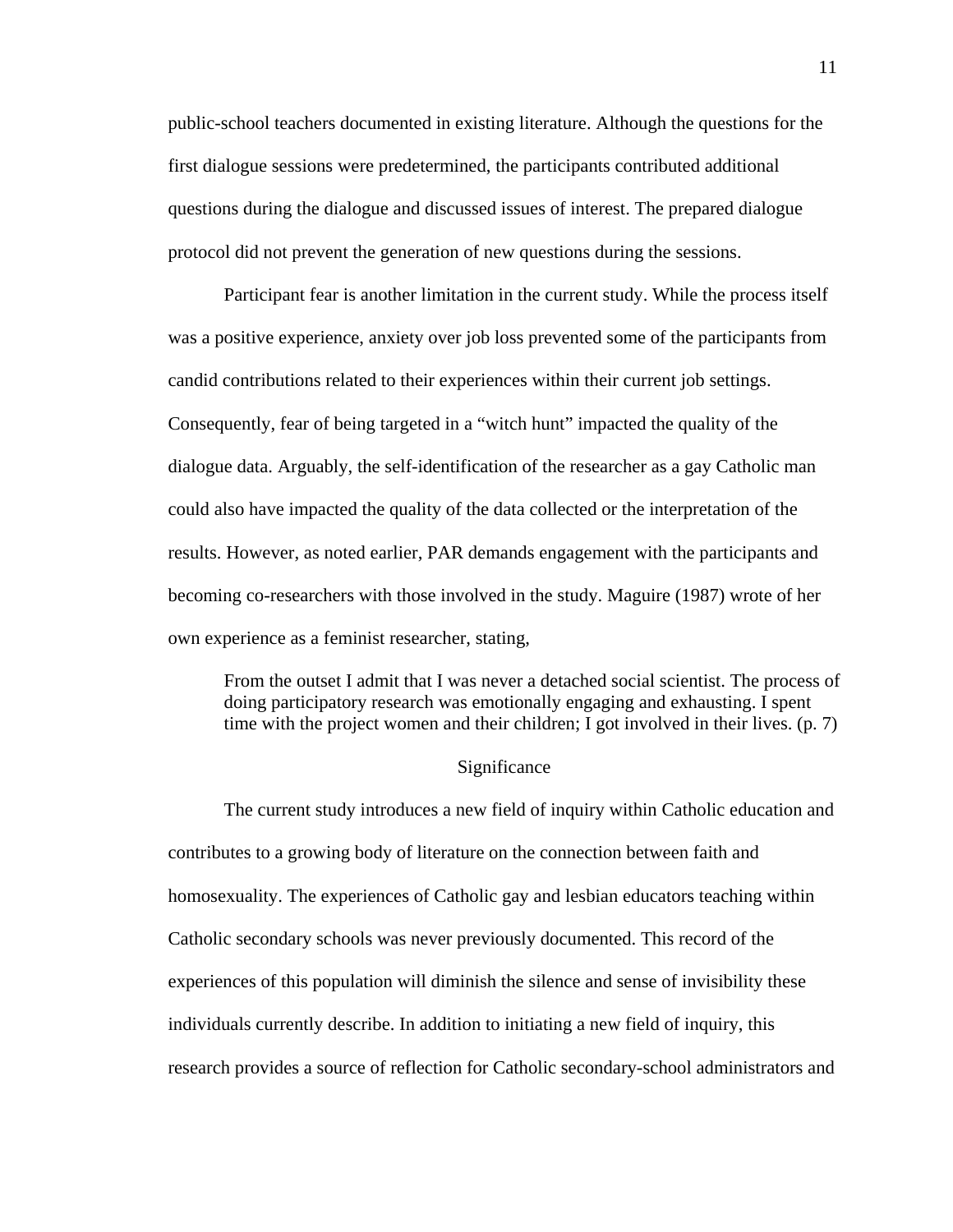public-school teachers documented in existing literature. Although the questions for the first dialogue sessions were predetermined, the participants contributed additional questions during the dialogue and discussed issues of interest. The prepared dialogue protocol did not prevent the generation of new questions during the sessions.

Participant fear is another limitation in the current study. While the process itself was a positive experience, anxiety over job loss prevented some of the participants from candid contributions related to their experiences within their current job settings. Consequently, fear of being targeted in a "witch hunt" impacted the quality of the dialogue data. Arguably, the self-identification of the researcher as a gay Catholic man could also have impacted the quality of the data collected or the interpretation of the results. However, as noted earlier, PAR demands engagement with the participants and becoming co-researchers with those involved in the study. Maguire (1987) wrote of her own experience as a feminist researcher, stating,

From the outset I admit that I was never a detached social scientist. The process of doing participatory research was emotionally engaging and exhausting. I spent time with the project women and their children; I got involved in their lives. (p. 7)

### Significance

The current study introduces a new field of inquiry within Catholic education and contributes to a growing body of literature on the connection between faith and homosexuality. The experiences of Catholic gay and lesbian educators teaching within Catholic secondary schools was never previously documented. This record of the experiences of this population will diminish the silence and sense of invisibility these individuals currently describe. In addition to initiating a new field of inquiry, this research provides a source of reflection for Catholic secondary-school administrators and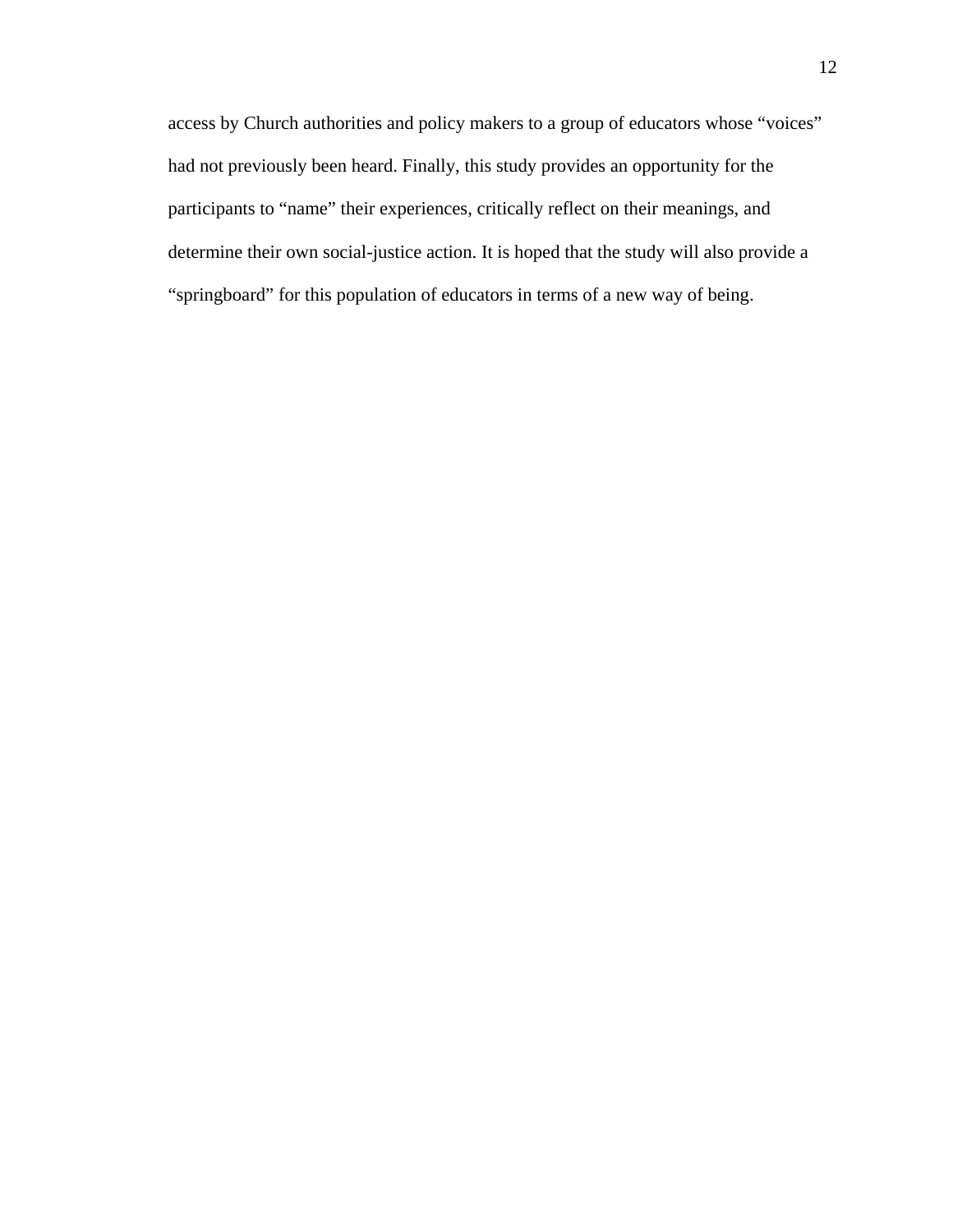access by Church authorities and policy makers to a group of educators whose "voices" had not previously been heard. Finally, this study provides an opportunity for the participants to "name" their experiences, critically reflect on their meanings, and determine their own social-justice action. It is hoped that the study will also provide a "springboard" for this population of educators in terms of a new way of being.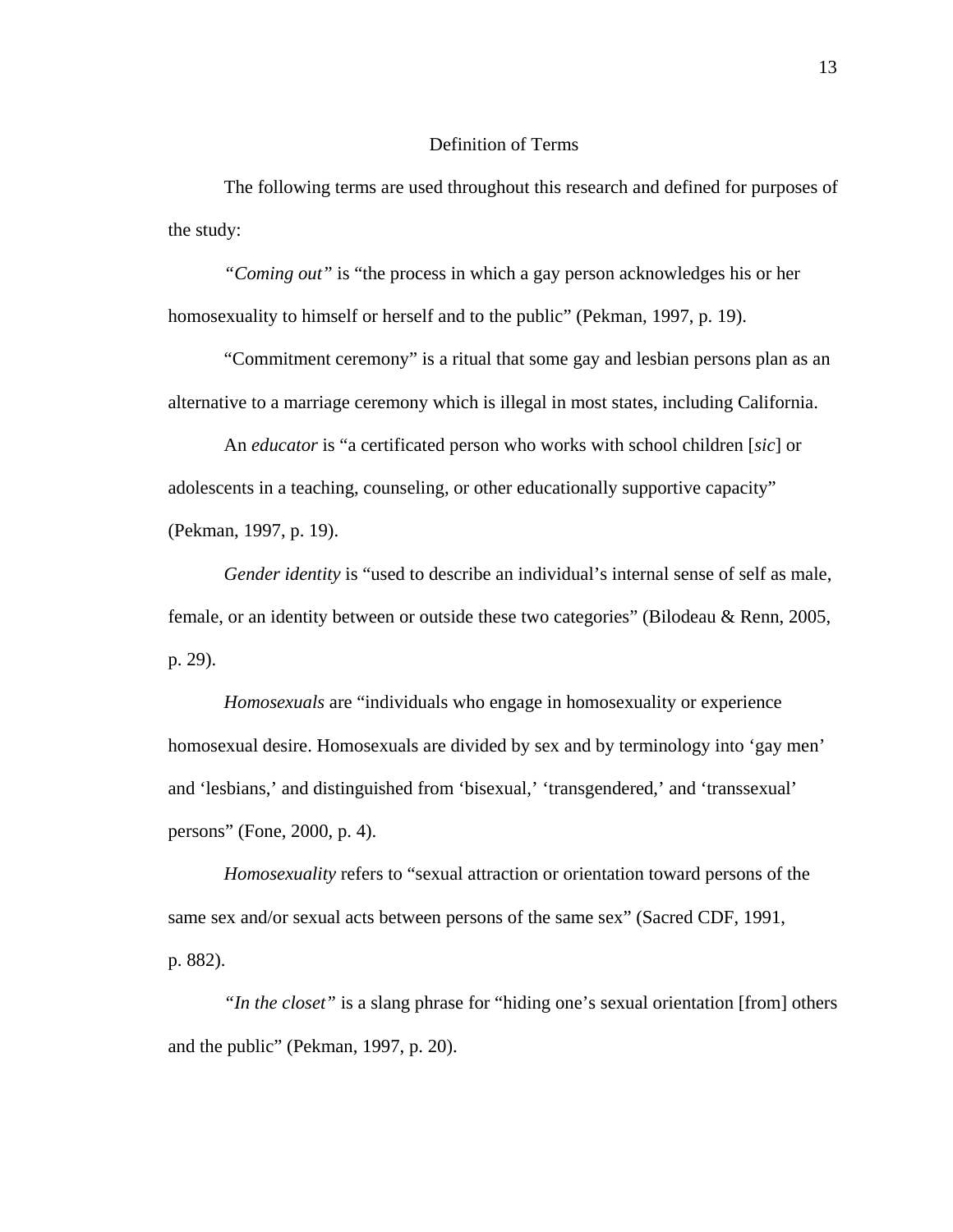## Definition of Terms

The following terms are used throughout this research and defined for purposes of the study:

*"Coming out"* is "the process in which a gay person acknowledges his or her homosexuality to himself or herself and to the public" (Pekman, 1997, p. 19).

"Commitment ceremony" is a ritual that some gay and lesbian persons plan as an alternative to a marriage ceremony which is illegal in most states, including California.

An *educator* is "a certificated person who works with school children [*sic*] or adolescents in a teaching, counseling, or other educationally supportive capacity" (Pekman, 1997, p. 19).

*Gender identity* is "used to describe an individual's internal sense of self as male, female, or an identity between or outside these two categories" (Bilodeau & Renn, 2005, p. 29).

*Homosexuals* are "individuals who engage in homosexuality or experience homosexual desire. Homosexuals are divided by sex and by terminology into 'gay men' and 'lesbians,' and distinguished from 'bisexual,' 'transgendered,' and 'transsexual' persons" (Fone, 2000, p. 4).

*Homosexuality* refers to "sexual attraction or orientation toward persons of the same sex and/or sexual acts between persons of the same sex" (Sacred CDF, 1991, p. 882).

*"In the closet"* is a slang phrase for "hiding one's sexual orientation [from] others and the public" (Pekman, 1997, p. 20).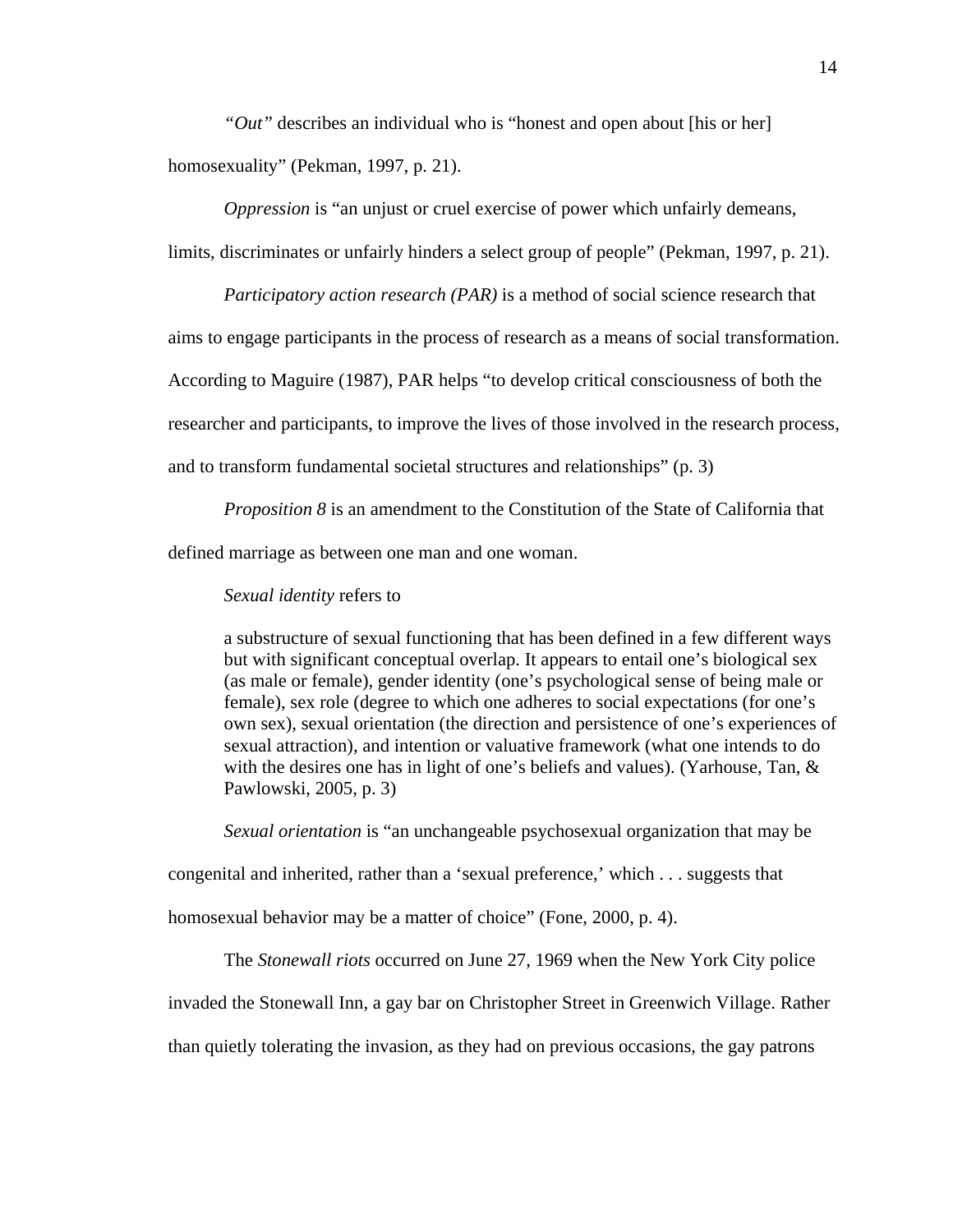*"Out"* describes an individual who is "honest and open about [his or her]

homosexuality" (Pekman, 1997, p. 21).

*Oppression* is "an unjust or cruel exercise of power which unfairly demeans,

limits, discriminates or unfairly hinders a select group of people" (Pekman, 1997, p. 21).

*Participatory action research (PAR)* is a method of social science research that aims to engage participants in the process of research as a means of social transformation. According to Maguire (1987), PAR helps "to develop critical consciousness of both the researcher and participants, to improve the lives of those involved in the research process, and to transform fundamental societal structures and relationships" (p. 3)

*Proposition 8* is an amendment to the Constitution of the State of California that defined marriage as between one man and one woman.

## *Sexual identity* refers to

a substructure of sexual functioning that has been defined in a few different ways but with significant conceptual overlap. It appears to entail one's biological sex (as male or female), gender identity (one's psychological sense of being male or female), sex role (degree to which one adheres to social expectations (for one's own sex), sexual orientation (the direction and persistence of one's experiences of sexual attraction), and intention or valuative framework (what one intends to do with the desires one has in light of one's beliefs and values). (Yarhouse, Tan,  $\&$ Pawlowski, 2005, p. 3)

*Sexual orientation* is "an unchangeable psychosexual organization that may be

congenital and inherited, rather than a 'sexual preference,' which . . . suggests that

homosexual behavior may be a matter of choice" (Fone, 2000, p. 4).

The *Stonewall riots* occurred on June 27, 1969 when the New York City police

invaded the Stonewall Inn, a gay bar on Christopher Street in Greenwich Village. Rather

than quietly tolerating the invasion, as they had on previous occasions, the gay patrons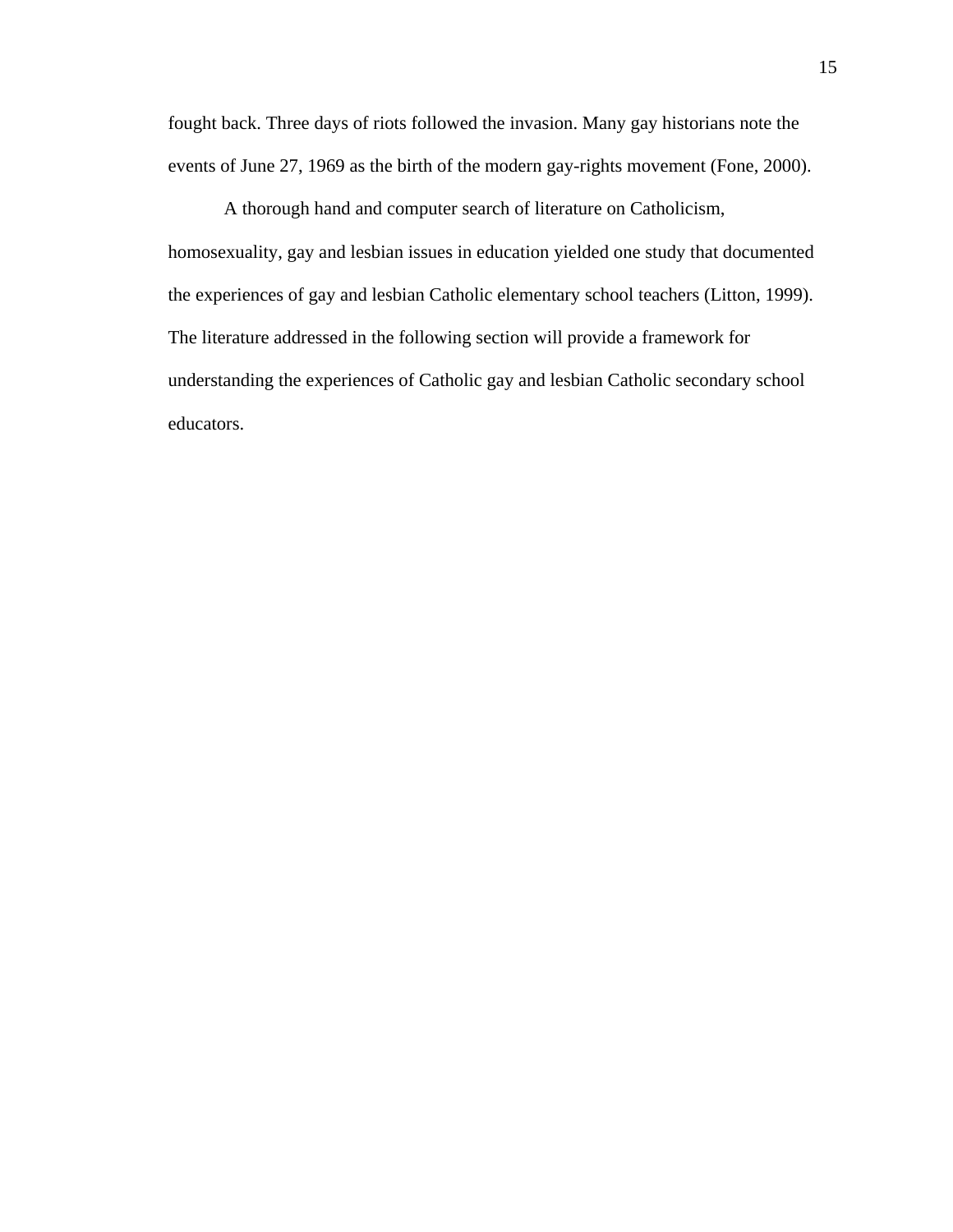fought back. Three days of riots followed the invasion. Many gay historians note the events of June 27, 1969 as the birth of the modern gay-rights movement (Fone, 2000).

A thorough hand and computer search of literature on Catholicism, homosexuality, gay and lesbian issues in education yielded one study that documented the experiences of gay and lesbian Catholic elementary school teachers (Litton, 1999). The literature addressed in the following section will provide a framework for understanding the experiences of Catholic gay and lesbian Catholic secondary school educators.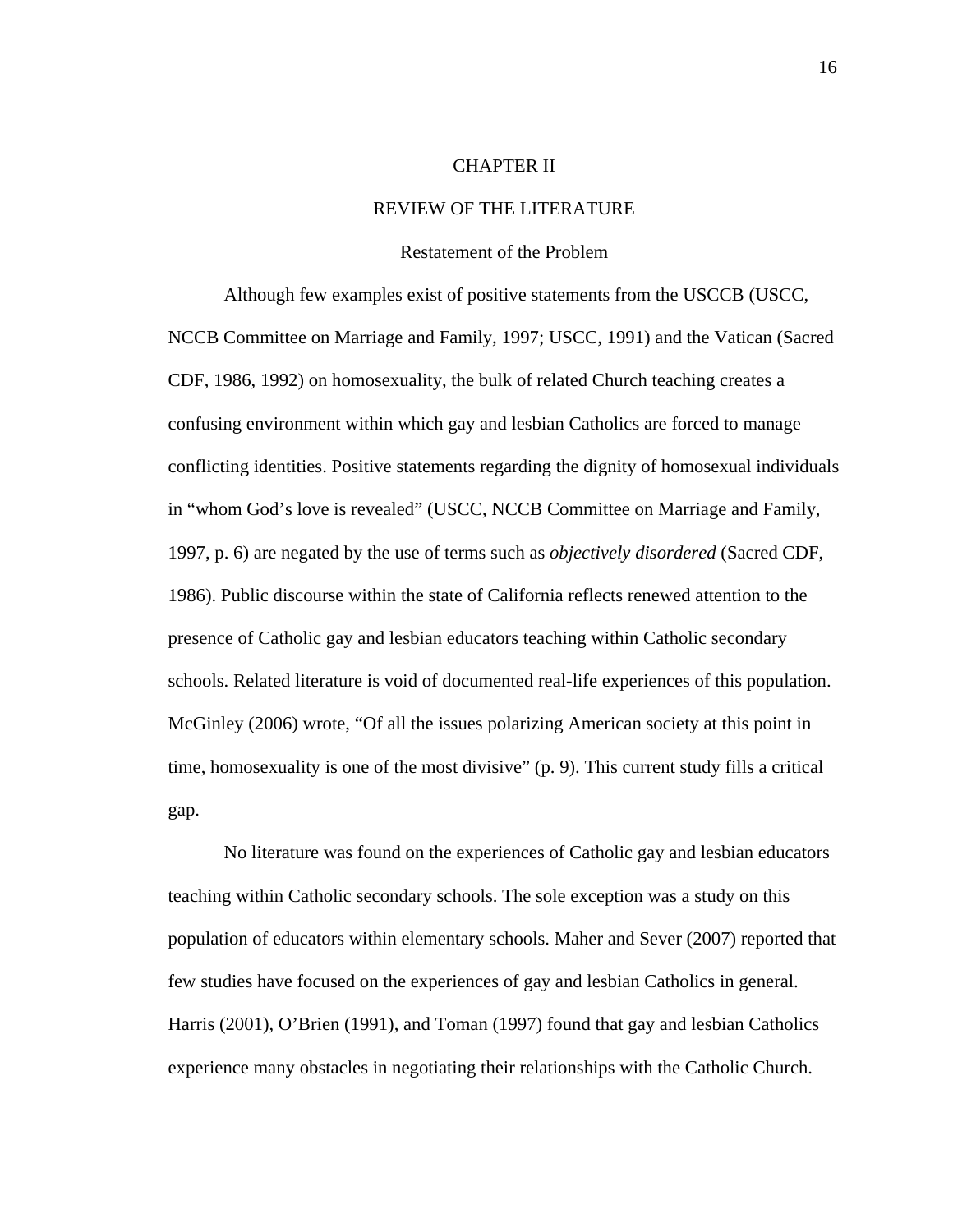## CHAPTER II

## REVIEW OF THE LITERATURE

## Restatement of the Problem

 Although few examples exist of positive statements from the USCCB (USCC, NCCB Committee on Marriage and Family, 1997; USCC, 1991) and the Vatican (Sacred CDF, 1986, 1992) on homosexuality, the bulk of related Church teaching creates a confusing environment within which gay and lesbian Catholics are forced to manage conflicting identities. Positive statements regarding the dignity of homosexual individuals in "whom God's love is revealed" (USCC, NCCB Committee on Marriage and Family*,* 1997, p. 6) are negated by the use of terms such as *objectively disordered* (Sacred CDF, 1986). Public discourse within the state of California reflects renewed attention to the presence of Catholic gay and lesbian educators teaching within Catholic secondary schools. Related literature is void of documented real-life experiences of this population. McGinley (2006) wrote, "Of all the issues polarizing American society at this point in time, homosexuality is one of the most divisive" (p. 9). This current study fills a critical gap.

No literature was found on the experiences of Catholic gay and lesbian educators teaching within Catholic secondary schools. The sole exception was a study on this population of educators within elementary schools. Maher and Sever (2007) reported that few studies have focused on the experiences of gay and lesbian Catholics in general. Harris (2001), O'Brien (1991), and Toman (1997) found that gay and lesbian Catholics experience many obstacles in negotiating their relationships with the Catholic Church.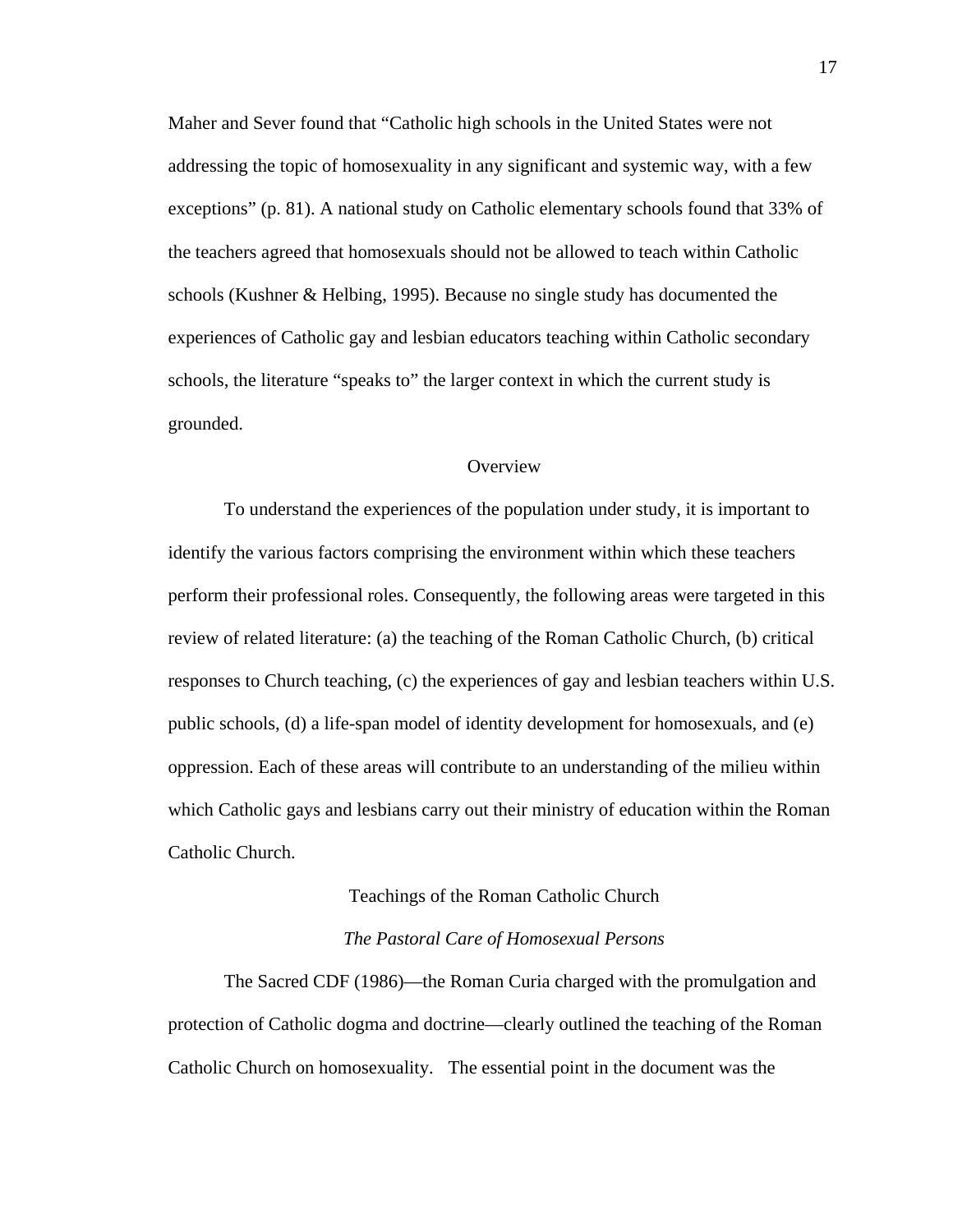Maher and Sever found that "Catholic high schools in the United States were not addressing the topic of homosexuality in any significant and systemic way, with a few exceptions" (p. 81). A national study on Catholic elementary schools found that 33% of the teachers agreed that homosexuals should not be allowed to teach within Catholic schools (Kushner & Helbing, 1995). Because no single study has documented the experiences of Catholic gay and lesbian educators teaching within Catholic secondary schools, the literature "speaks to" the larger context in which the current study is grounded.

### **Overview**

To understand the experiences of the population under study, it is important to identify the various factors comprising the environment within which these teachers perform their professional roles. Consequently, the following areas were targeted in this review of related literature: (a) the teaching of the Roman Catholic Church, (b) critical responses to Church teaching, (c) the experiences of gay and lesbian teachers within U.S. public schools, (d) a life-span model of identity development for homosexuals, and (e) oppression. Each of these areas will contribute to an understanding of the milieu within which Catholic gays and lesbians carry out their ministry of education within the Roman Catholic Church.

#### Teachings of the Roman Catholic Church

#### *The Pastoral Care of Homosexual Persons*

 The Sacred CDF (1986)—the Roman Curia charged with the promulgation and protection of Catholic dogma and doctrine—clearly outlined the teaching of the Roman Catholic Church on homosexuality. The essential point in the document was the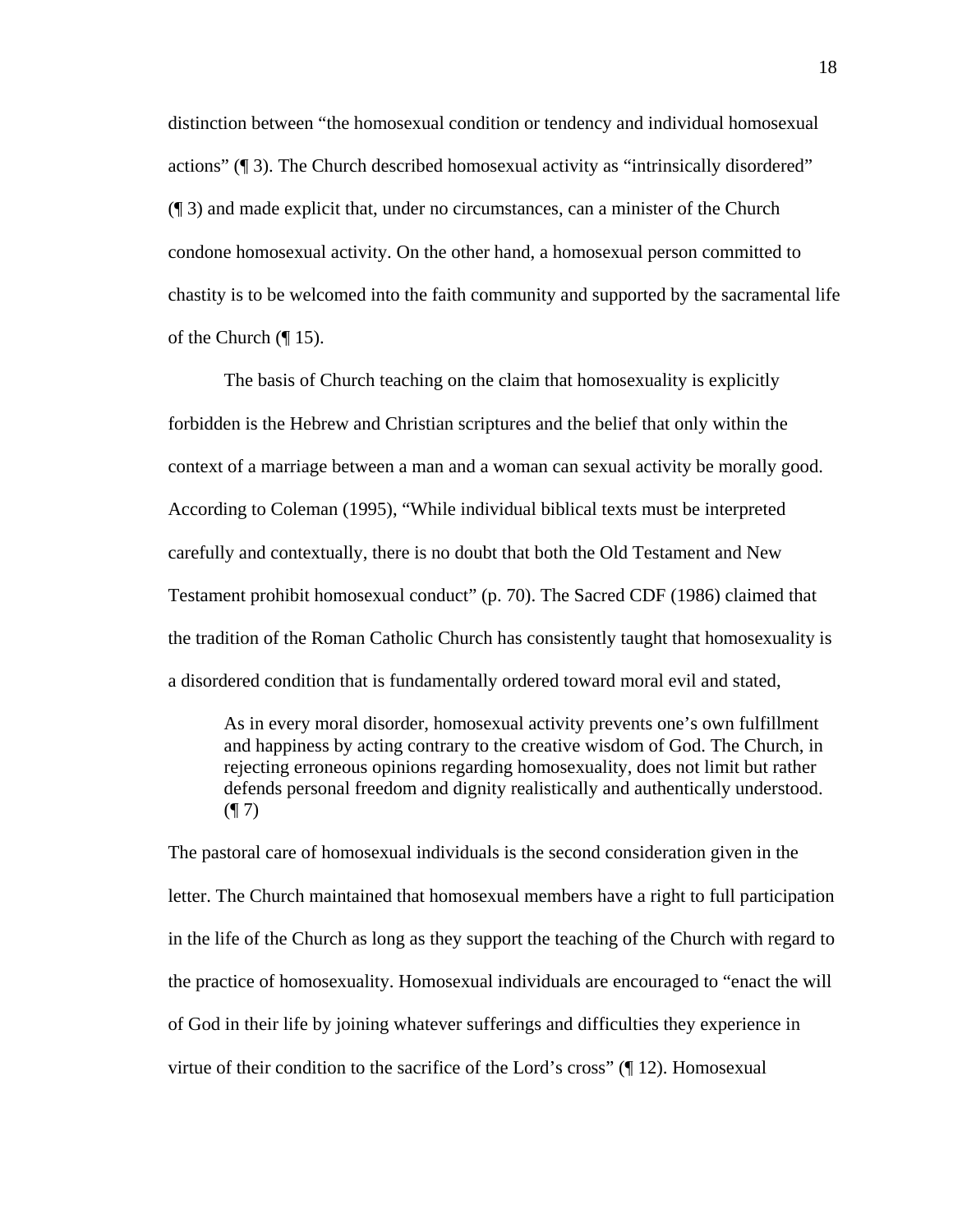distinction between "the homosexual condition or tendency and individual homosexual actions" (¶ 3). The Church described homosexual activity as "intrinsically disordered" (¶ 3) and made explicit that, under no circumstances, can a minister of the Church condone homosexual activity. On the other hand, a homosexual person committed to chastity is to be welcomed into the faith community and supported by the sacramental life of the Church  $(\P 15)$ .

 The basis of Church teaching on the claim that homosexuality is explicitly forbidden is the Hebrew and Christian scriptures and the belief that only within the context of a marriage between a man and a woman can sexual activity be morally good. According to Coleman (1995), "While individual biblical texts must be interpreted carefully and contextually, there is no doubt that both the Old Testament and New Testament prohibit homosexual conduct" (p. 70). The Sacred CDF (1986) claimed that the tradition of the Roman Catholic Church has consistently taught that homosexuality is a disordered condition that is fundamentally ordered toward moral evil and stated,

As in every moral disorder, homosexual activity prevents one's own fulfillment and happiness by acting contrary to the creative wisdom of God. The Church, in rejecting erroneous opinions regarding homosexuality, does not limit but rather defends personal freedom and dignity realistically and authentically understood.  $($ | 7)

The pastoral care of homosexual individuals is the second consideration given in the letter. The Church maintained that homosexual members have a right to full participation in the life of the Church as long as they support the teaching of the Church with regard to the practice of homosexuality. Homosexual individuals are encouraged to "enact the will of God in their life by joining whatever sufferings and difficulties they experience in virtue of their condition to the sacrifice of the Lord's cross" (¶ 12). Homosexual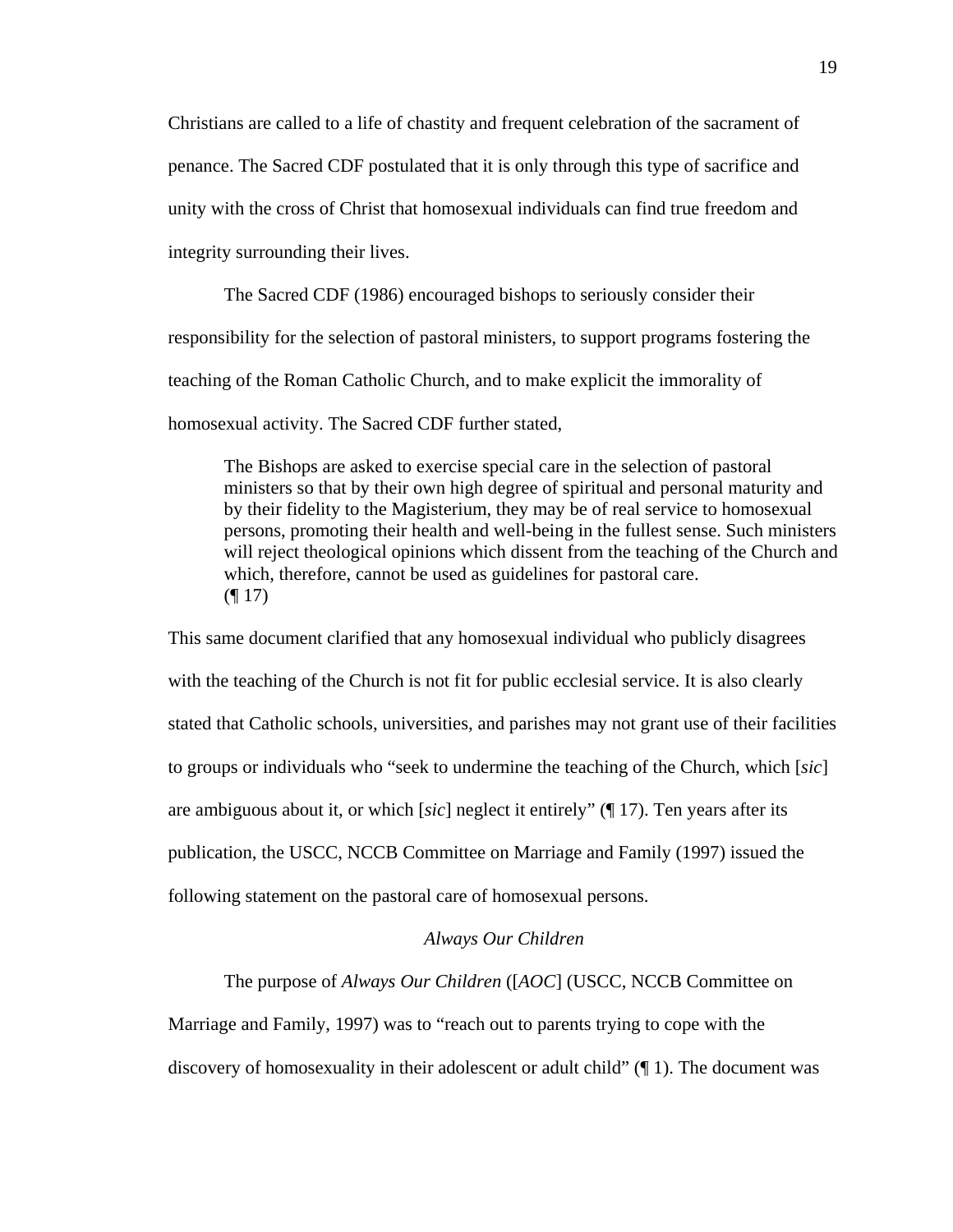Christians are called to a life of chastity and frequent celebration of the sacrament of penance. The Sacred CDF postulated that it is only through this type of sacrifice and unity with the cross of Christ that homosexual individuals can find true freedom and integrity surrounding their lives.

The Sacred CDF (1986) encouraged bishops to seriously consider their responsibility for the selection of pastoral ministers, to support programs fostering the teaching of the Roman Catholic Church, and to make explicit the immorality of homosexual activity. The Sacred CDF further stated,

The Bishops are asked to exercise special care in the selection of pastoral ministers so that by their own high degree of spiritual and personal maturity and by their fidelity to the Magisterium, they may be of real service to homosexual persons, promoting their health and well-being in the fullest sense. Such ministers will reject theological opinions which dissent from the teaching of the Church and which, therefore, cannot be used as guidelines for pastoral care.  $($ | 17)

This same document clarified that any homosexual individual who publicly disagrees with the teaching of the Church is not fit for public ecclesial service. It is also clearly stated that Catholic schools, universities, and parishes may not grant use of their facilities to groups or individuals who "seek to undermine the teaching of the Church, which [*sic*] are ambiguous about it, or which [*sic*] neglect it entirely" (¶ 17). Ten years after its publication, the USCC, NCCB Committee on Marriage and Family (1997) issued the following statement on the pastoral care of homosexual persons.

### *Always Our Children*

The purpose of *Always Our Children* ([*AOC*] (USCC, NCCB Committee on Marriage and Family, 1997) was to "reach out to parents trying to cope with the discovery of homosexuality in their adolescent or adult child"  $(\P 1)$ . The document was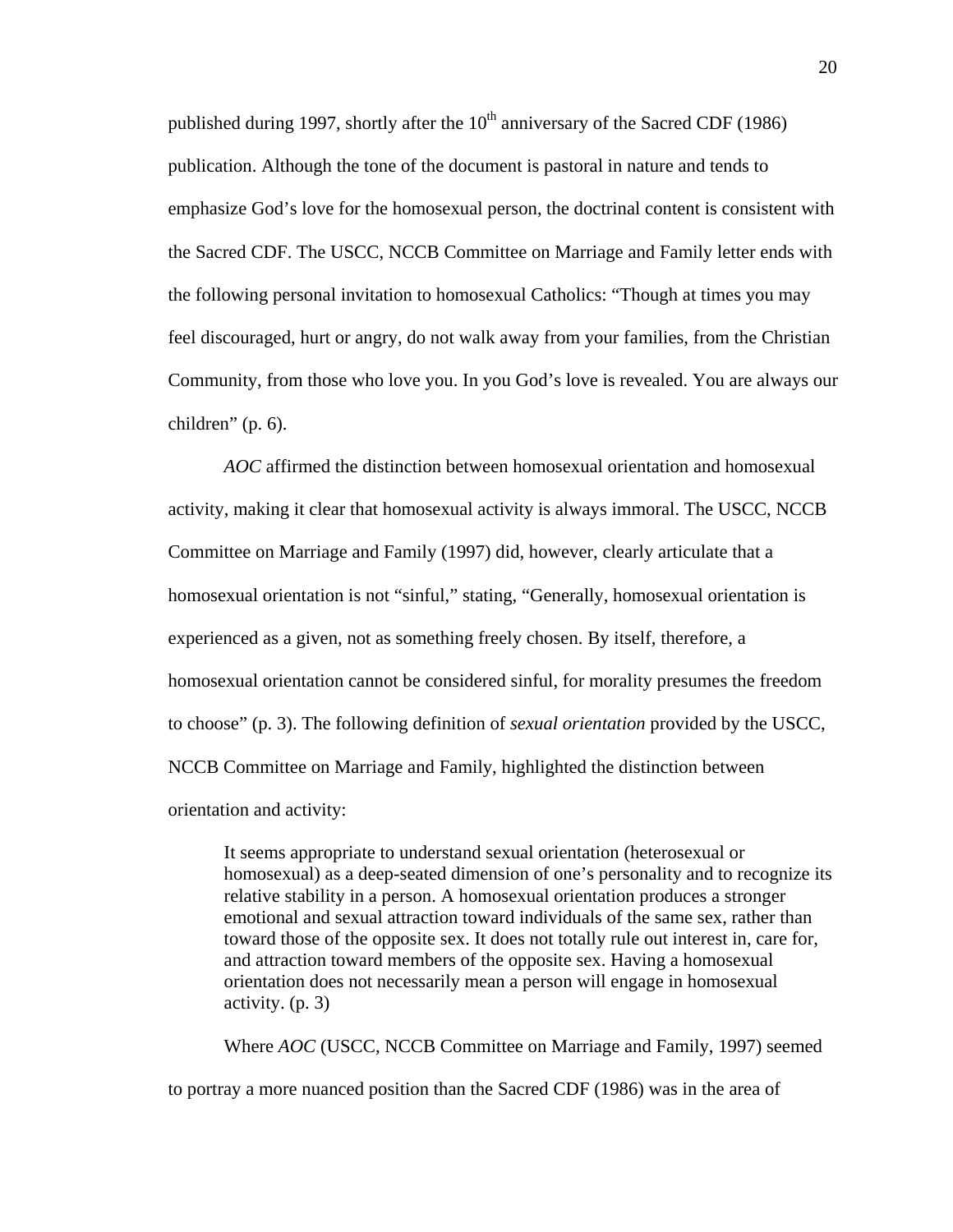published during 1997, shortly after the  $10<sup>th</sup>$  anniversary of the Sacred CDF (1986) publication. Although the tone of the document is pastoral in nature and tends to emphasize God's love for the homosexual person, the doctrinal content is consistent with the Sacred CDF. The USCC, NCCB Committee on Marriage and Family letter ends with the following personal invitation to homosexual Catholics: "Though at times you may feel discouraged, hurt or angry, do not walk away from your families, from the Christian Community, from those who love you. In you God's love is revealed. You are always our children" (p. 6).

*AOC* affirmed the distinction between homosexual orientation and homosexual activity, making it clear that homosexual activity is always immoral. The USCC, NCCB Committee on Marriage and Family (1997) did, however, clearly articulate that a homosexual orientation is not "sinful," stating, "Generally, homosexual orientation is experienced as a given, not as something freely chosen. By itself, therefore, a homosexual orientation cannot be considered sinful, for morality presumes the freedom to choose" (p. 3). The following definition of *sexual orientation* provided by the USCC, NCCB Committee on Marriage and Family, highlighted the distinction between orientation and activity:

It seems appropriate to understand sexual orientation (heterosexual or homosexual) as a deep-seated dimension of one's personality and to recognize its relative stability in a person. A homosexual orientation produces a stronger emotional and sexual attraction toward individuals of the same sex, rather than toward those of the opposite sex. It does not totally rule out interest in, care for, and attraction toward members of the opposite sex. Having a homosexual orientation does not necessarily mean a person will engage in homosexual activity. (p. 3)

Where *AOC* (USCC, NCCB Committee on Marriage and Family, 1997) seemed to portray a more nuanced position than the Sacred CDF (1986) was in the area of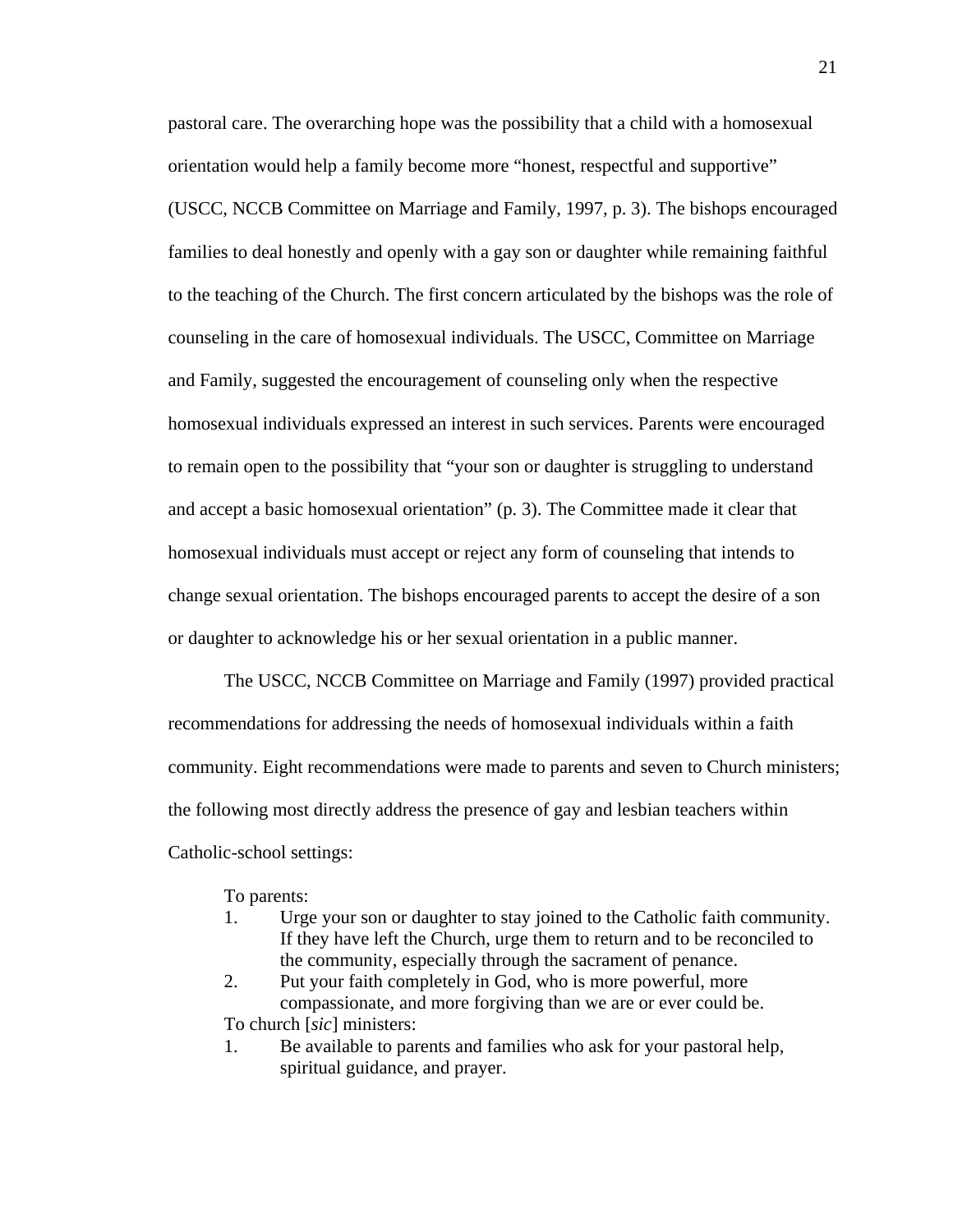pastoral care. The overarching hope was the possibility that a child with a homosexual orientation would help a family become more "honest, respectful and supportive" (USCC, NCCB Committee on Marriage and Family, 1997, p. 3). The bishops encouraged families to deal honestly and openly with a gay son or daughter while remaining faithful to the teaching of the Church. The first concern articulated by the bishops was the role of counseling in the care of homosexual individuals. The USCC, Committee on Marriage and Family, suggested the encouragement of counseling only when the respective homosexual individuals expressed an interest in such services. Parents were encouraged to remain open to the possibility that "your son or daughter is struggling to understand and accept a basic homosexual orientation" (p. 3). The Committee made it clear that homosexual individuals must accept or reject any form of counseling that intends to change sexual orientation. The bishops encouraged parents to accept the desire of a son or daughter to acknowledge his or her sexual orientation in a public manner.

The USCC, NCCB Committee on Marriage and Family (1997) provided practical recommendations for addressing the needs of homosexual individuals within a faith community. Eight recommendations were made to parents and seven to Church ministers; the following most directly address the presence of gay and lesbian teachers within Catholic-school settings:

To parents:

- 1. Urge your son or daughter to stay joined to the Catholic faith community. If they have left the Church, urge them to return and to be reconciled to the community, especially through the sacrament of penance.
- 2. Put your faith completely in God, who is more powerful, more compassionate, and more forgiving than we are or ever could be. To church [*sic*] ministers:
- 1. Be available to parents and families who ask for your pastoral help, spiritual guidance, and prayer.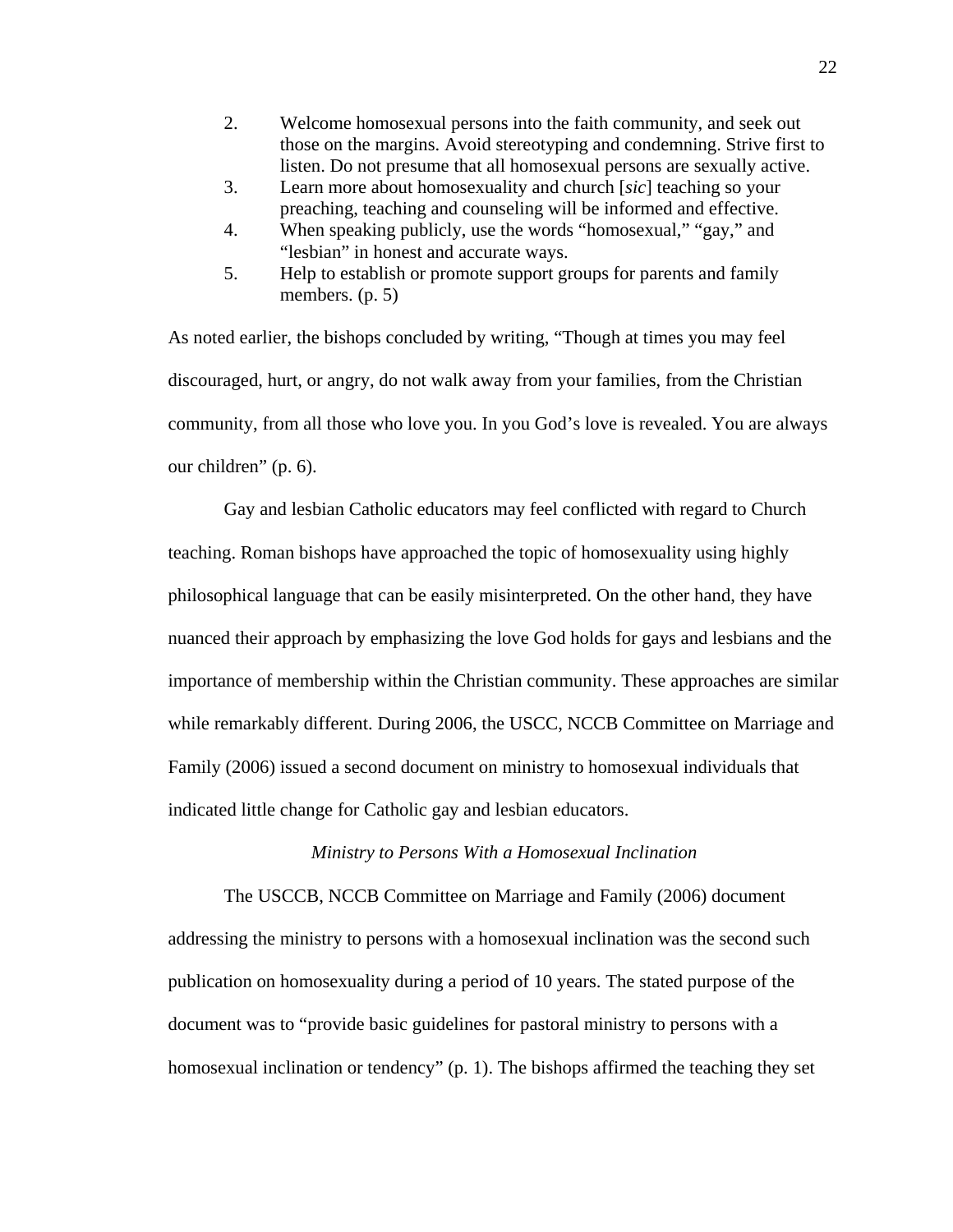- 2. Welcome homosexual persons into the faith community, and seek out those on the margins. Avoid stereotyping and condemning. Strive first to listen. Do not presume that all homosexual persons are sexually active.
- 3. Learn more about homosexuality and church [*sic*] teaching so your preaching, teaching and counseling will be informed and effective.
- 4. When speaking publicly, use the words "homosexual," "gay," and "lesbian" in honest and accurate ways.
- 5. Help to establish or promote support groups for parents and family members. (p. 5)

As noted earlier, the bishops concluded by writing, "Though at times you may feel discouraged, hurt, or angry, do not walk away from your families, from the Christian community, from all those who love you. In you God's love is revealed. You are always our children" (p. 6).

Gay and lesbian Catholic educators may feel conflicted with regard to Church teaching. Roman bishops have approached the topic of homosexuality using highly philosophical language that can be easily misinterpreted. On the other hand, they have nuanced their approach by emphasizing the love God holds for gays and lesbians and the importance of membership within the Christian community. These approaches are similar while remarkably different. During 2006, the USCC, NCCB Committee on Marriage and Family (2006) issued a second document on ministry to homosexual individuals that indicated little change for Catholic gay and lesbian educators.

## *Ministry to Persons With a Homosexual Inclination*

 The USCCB, NCCB Committee on Marriage and Family (2006) document addressing the ministry to persons with a homosexual inclination was the second such publication on homosexuality during a period of 10 years. The stated purpose of the document was to "provide basic guidelines for pastoral ministry to persons with a homosexual inclination or tendency" (p. 1). The bishops affirmed the teaching they set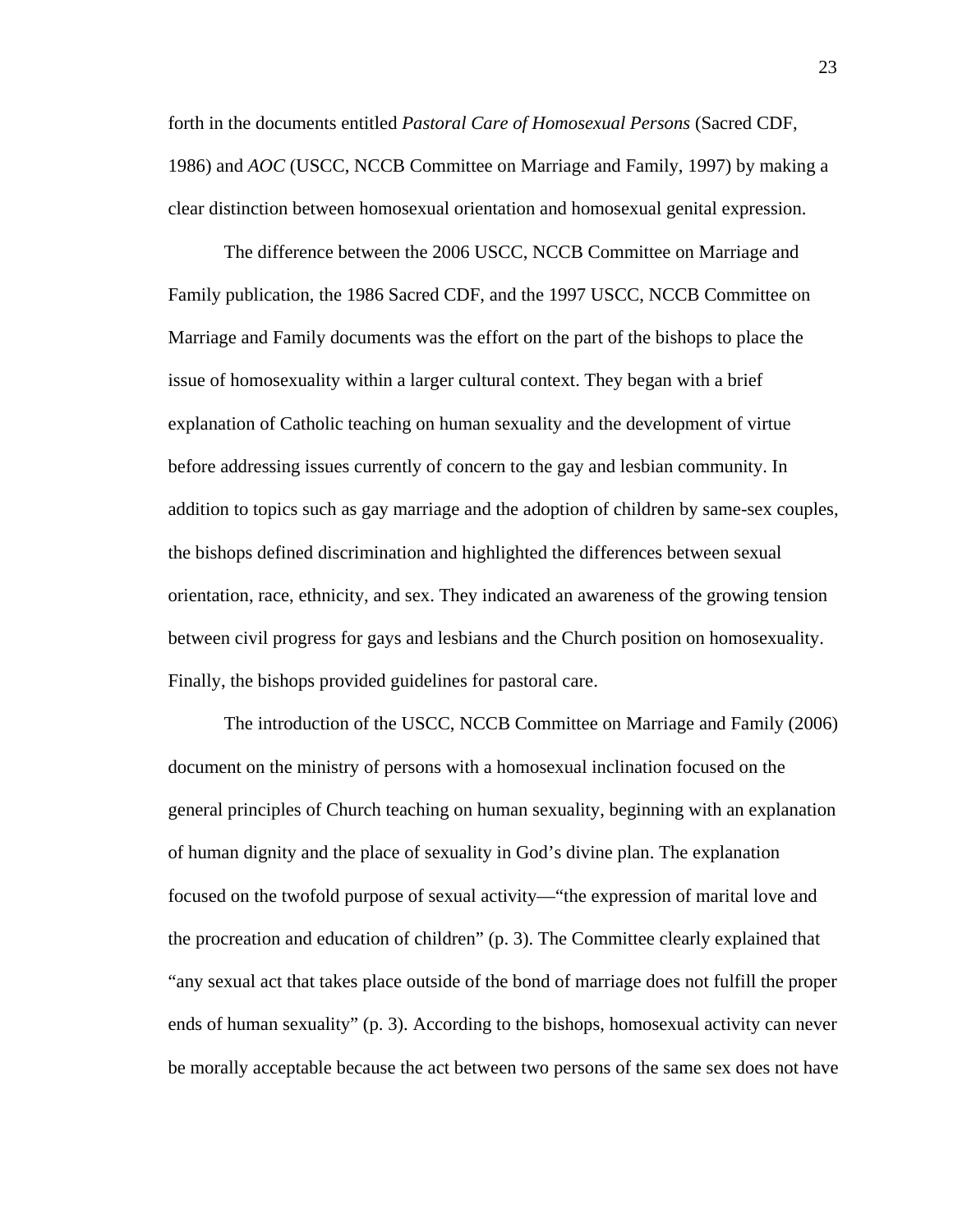forth in the documents entitled *Pastoral Care of Homosexual Persons* (Sacred CDF, 1986) and *AOC* (USCC, NCCB Committee on Marriage and Family, 1997) by making a clear distinction between homosexual orientation and homosexual genital expression.

The difference between the 2006 USCC, NCCB Committee on Marriage and Family publication, the 1986 Sacred CDF, and the 1997 USCC, NCCB Committee on Marriage and Family documents was the effort on the part of the bishops to place the issue of homosexuality within a larger cultural context. They began with a brief explanation of Catholic teaching on human sexuality and the development of virtue before addressing issues currently of concern to the gay and lesbian community. In addition to topics such as gay marriage and the adoption of children by same-sex couples, the bishops defined discrimination and highlighted the differences between sexual orientation, race, ethnicity, and sex. They indicated an awareness of the growing tension between civil progress for gays and lesbians and the Church position on homosexuality. Finally, the bishops provided guidelines for pastoral care.

 The introduction of the USCC, NCCB Committee on Marriage and Family (2006) document on the ministry of persons with a homosexual inclination focused on the general principles of Church teaching on human sexuality, beginning with an explanation of human dignity and the place of sexuality in God's divine plan. The explanation focused on the twofold purpose of sexual activity—"the expression of marital love and the procreation and education of children" (p. 3). The Committee clearly explained that "any sexual act that takes place outside of the bond of marriage does not fulfill the proper ends of human sexuality" (p. 3). According to the bishops, homosexual activity can never be morally acceptable because the act between two persons of the same sex does not have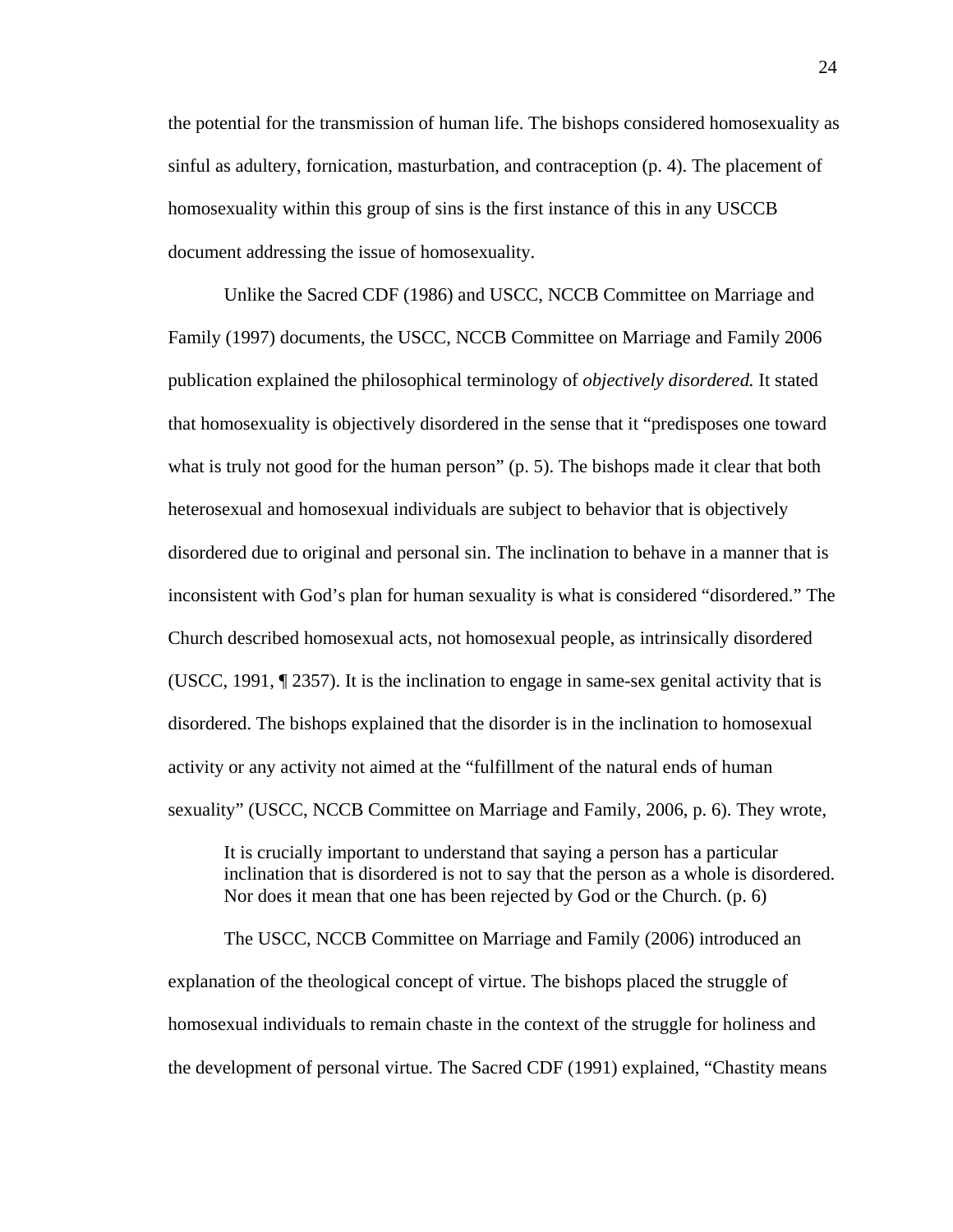the potential for the transmission of human life. The bishops considered homosexuality as sinful as adultery, fornication, masturbation, and contraception (p. 4). The placement of homosexuality within this group of sins is the first instance of this in any USCCB document addressing the issue of homosexuality.

 Unlike the Sacred CDF (1986) and USCC, NCCB Committee on Marriage and Family (1997) documents, the USCC, NCCB Committee on Marriage and Family 2006 publication explained the philosophical terminology of *objectively disordered.* It stated that homosexuality is objectively disordered in the sense that it "predisposes one toward what is truly not good for the human person" (p. 5). The bishops made it clear that both heterosexual and homosexual individuals are subject to behavior that is objectively disordered due to original and personal sin. The inclination to behave in a manner that is inconsistent with God's plan for human sexuality is what is considered "disordered." The Church described homosexual acts, not homosexual people, as intrinsically disordered (USCC, 1991, ¶ 2357). It is the inclination to engage in same-sex genital activity that is disordered. The bishops explained that the disorder is in the inclination to homosexual activity or any activity not aimed at the "fulfillment of the natural ends of human sexuality" (USCC, NCCB Committee on Marriage and Family, 2006, p. 6). They wrote,

It is crucially important to understand that saying a person has a particular inclination that is disordered is not to say that the person as a whole is disordered. Nor does it mean that one has been rejected by God or the Church. (p. 6)

 The USCC, NCCB Committee on Marriage and Family (2006) introduced an explanation of the theological concept of virtue. The bishops placed the struggle of homosexual individuals to remain chaste in the context of the struggle for holiness and the development of personal virtue. The Sacred CDF (1991) explained, "Chastity means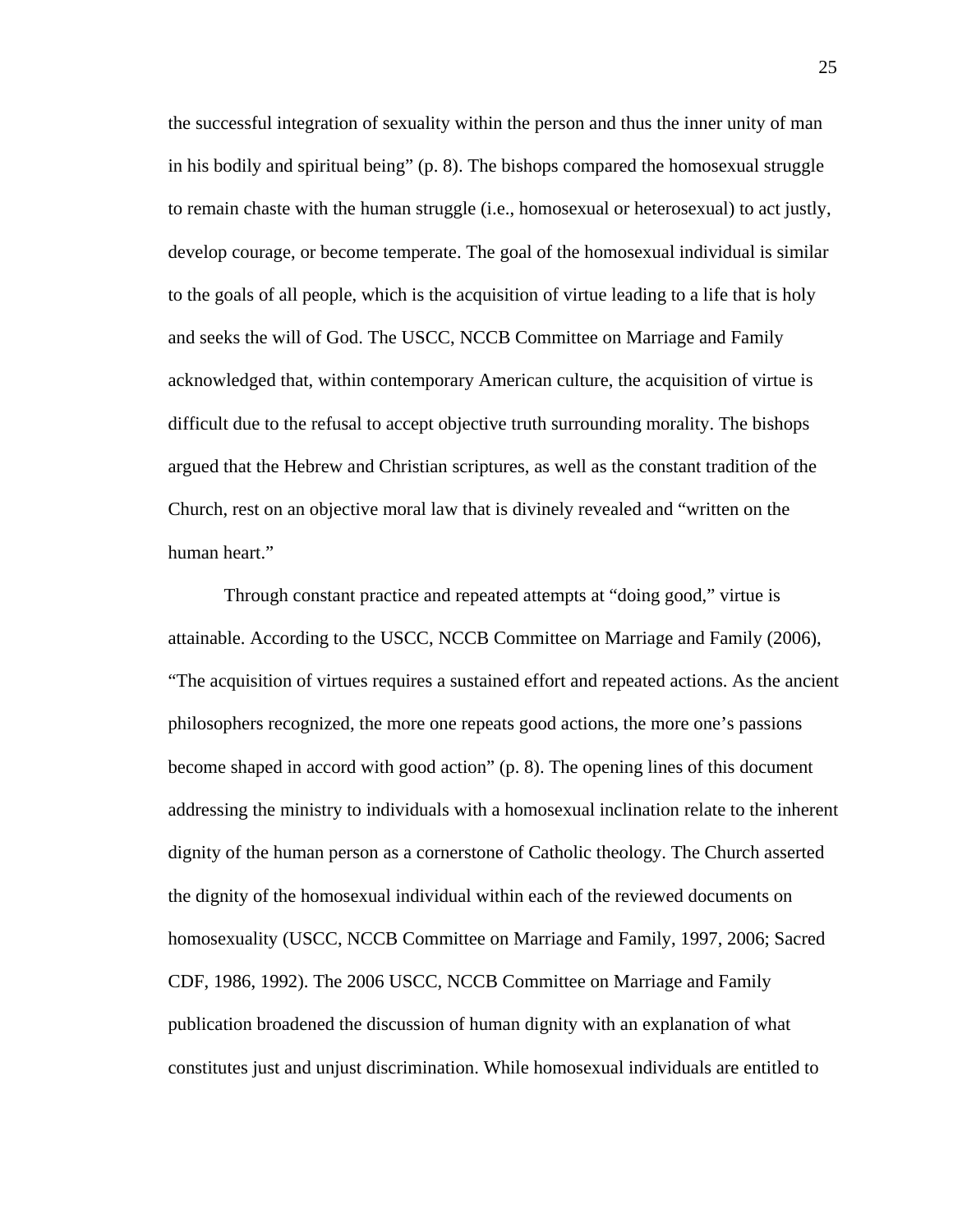the successful integration of sexuality within the person and thus the inner unity of man in his bodily and spiritual being" (p. 8). The bishops compared the homosexual struggle to remain chaste with the human struggle (i.e., homosexual or heterosexual) to act justly, develop courage, or become temperate. The goal of the homosexual individual is similar to the goals of all people, which is the acquisition of virtue leading to a life that is holy and seeks the will of God. The USCC, NCCB Committee on Marriage and Family acknowledged that, within contemporary American culture, the acquisition of virtue is difficult due to the refusal to accept objective truth surrounding morality. The bishops argued that the Hebrew and Christian scriptures, as well as the constant tradition of the Church, rest on an objective moral law that is divinely revealed and "written on the human heart."

 Through constant practice and repeated attempts at "doing good," virtue is attainable. According to the USCC, NCCB Committee on Marriage and Family (2006), "The acquisition of virtues requires a sustained effort and repeated actions. As the ancient philosophers recognized, the more one repeats good actions, the more one's passions become shaped in accord with good action" (p. 8). The opening lines of this document addressing the ministry to individuals with a homosexual inclination relate to the inherent dignity of the human person as a cornerstone of Catholic theology. The Church asserted the dignity of the homosexual individual within each of the reviewed documents on homosexuality (USCC, NCCB Committee on Marriage and Family, 1997, 2006; Sacred CDF, 1986, 1992). The 2006 USCC, NCCB Committee on Marriage and Family publication broadened the discussion of human dignity with an explanation of what constitutes just and unjust discrimination. While homosexual individuals are entitled to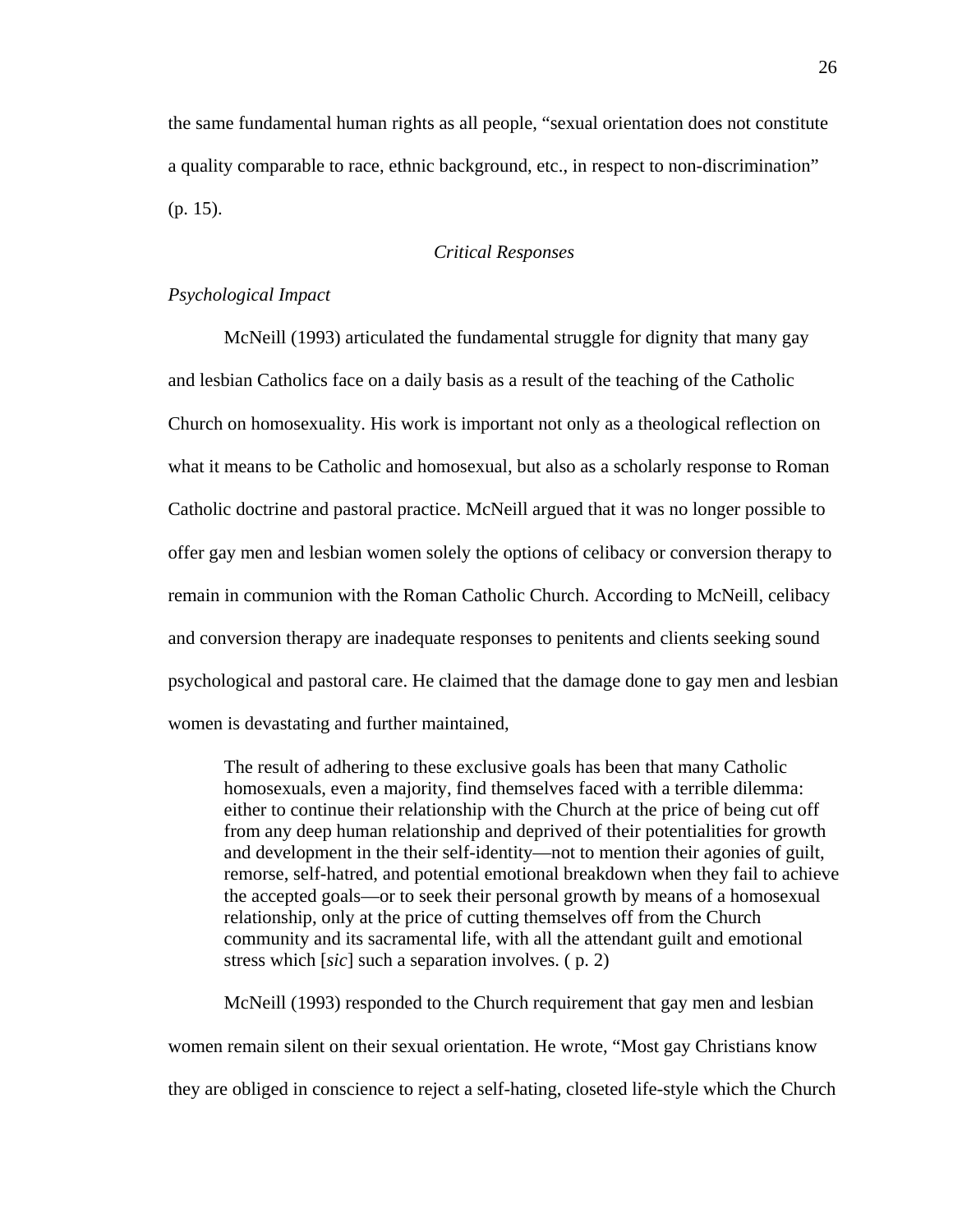the same fundamental human rights as all people, "sexual orientation does not constitute a quality comparable to race, ethnic background, etc., in respect to non-discrimination" (p. 15).

## *Critical Responses*

## *Psychological Impact*

McNeill (1993) articulated the fundamental struggle for dignity that many gay and lesbian Catholics face on a daily basis as a result of the teaching of the Catholic Church on homosexuality. His work is important not only as a theological reflection on what it means to be Catholic and homosexual, but also as a scholarly response to Roman Catholic doctrine and pastoral practice. McNeill argued that it was no longer possible to offer gay men and lesbian women solely the options of celibacy or conversion therapy to remain in communion with the Roman Catholic Church. According to McNeill, celibacy and conversion therapy are inadequate responses to penitents and clients seeking sound psychological and pastoral care. He claimed that the damage done to gay men and lesbian women is devastating and further maintained,

The result of adhering to these exclusive goals has been that many Catholic homosexuals, even a majority, find themselves faced with a terrible dilemma: either to continue their relationship with the Church at the price of being cut off from any deep human relationship and deprived of their potentialities for growth and development in the their self-identity—not to mention their agonies of guilt, remorse, self-hatred, and potential emotional breakdown when they fail to achieve the accepted goals—or to seek their personal growth by means of a homosexual relationship, only at the price of cutting themselves off from the Church community and its sacramental life, with all the attendant guilt and emotional stress which [*sic*] such a separation involves. ( p. 2)

 McNeill (1993) responded to the Church requirement that gay men and lesbian women remain silent on their sexual orientation. He wrote, "Most gay Christians know they are obliged in conscience to reject a self-hating, closeted life-style which the Church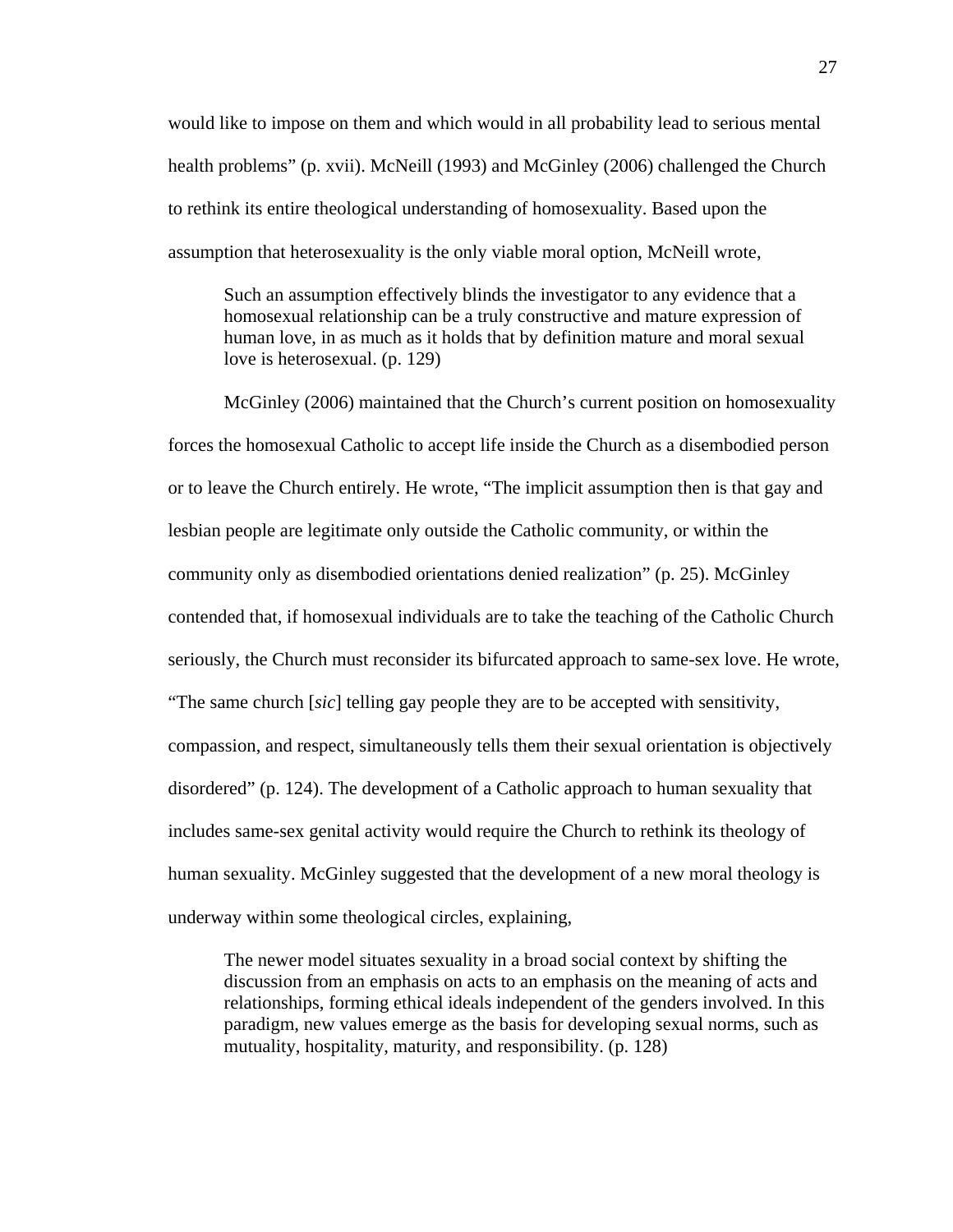would like to impose on them and which would in all probability lead to serious mental health problems" (p. xvii). McNeill (1993) and McGinley (2006) challenged the Church to rethink its entire theological understanding of homosexuality. Based upon the assumption that heterosexuality is the only viable moral option, McNeill wrote,

Such an assumption effectively blinds the investigator to any evidence that a homosexual relationship can be a truly constructive and mature expression of human love, in as much as it holds that by definition mature and moral sexual love is heterosexual. (p. 129)

McGinley (2006) maintained that the Church's current position on homosexuality forces the homosexual Catholic to accept life inside the Church as a disembodied person or to leave the Church entirely. He wrote, "The implicit assumption then is that gay and lesbian people are legitimate only outside the Catholic community, or within the community only as disembodied orientations denied realization" (p. 25). McGinley contended that, if homosexual individuals are to take the teaching of the Catholic Church seriously, the Church must reconsider its bifurcated approach to same-sex love. He wrote, "The same church [*sic*] telling gay people they are to be accepted with sensitivity, compassion, and respect, simultaneously tells them their sexual orientation is objectively disordered" (p. 124). The development of a Catholic approach to human sexuality that includes same-sex genital activity would require the Church to rethink its theology of human sexuality. McGinley suggested that the development of a new moral theology is underway within some theological circles, explaining,

The newer model situates sexuality in a broad social context by shifting the discussion from an emphasis on acts to an emphasis on the meaning of acts and relationships, forming ethical ideals independent of the genders involved. In this paradigm, new values emerge as the basis for developing sexual norms, such as mutuality, hospitality, maturity, and responsibility. (p. 128)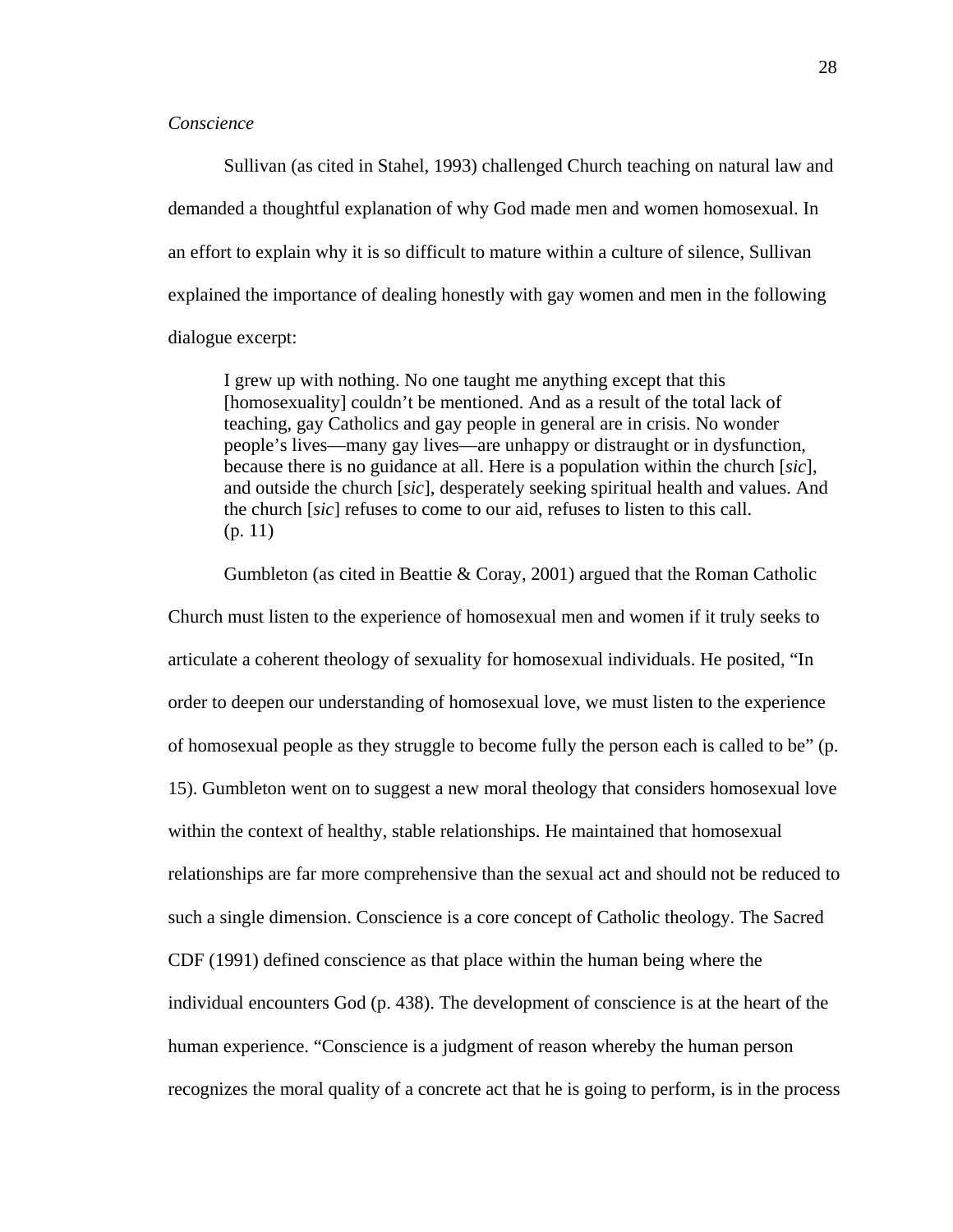# *Conscience*

Sullivan (as cited in Stahel, 1993) challenged Church teaching on natural law and demanded a thoughtful explanation of why God made men and women homosexual. In an effort to explain why it is so difficult to mature within a culture of silence, Sullivan explained the importance of dealing honestly with gay women and men in the following dialogue excerpt:

I grew up with nothing. No one taught me anything except that this [homosexuality] couldn't be mentioned. And as a result of the total lack of teaching, gay Catholics and gay people in general are in crisis. No wonder people's lives—many gay lives—are unhappy or distraught or in dysfunction, because there is no guidance at all. Here is a population within the church [*sic*], and outside the church [*sic*], desperately seeking spiritual health and values. And the church [*sic*] refuses to come to our aid, refuses to listen to this call. (p. 11)

Gumbleton (as cited in Beattie & Coray, 2001) argued that the Roman Catholic Church must listen to the experience of homosexual men and women if it truly seeks to articulate a coherent theology of sexuality for homosexual individuals. He posited, "In order to deepen our understanding of homosexual love, we must listen to the experience of homosexual people as they struggle to become fully the person each is called to be" (p. 15). Gumbleton went on to suggest a new moral theology that considers homosexual love within the context of healthy, stable relationships. He maintained that homosexual relationships are far more comprehensive than the sexual act and should not be reduced to such a single dimension. Conscience is a core concept of Catholic theology. The Sacred CDF (1991) defined conscience as that place within the human being where the individual encounters God (p. 438). The development of conscience is at the heart of the human experience. "Conscience is a judgment of reason whereby the human person recognizes the moral quality of a concrete act that he is going to perform, is in the process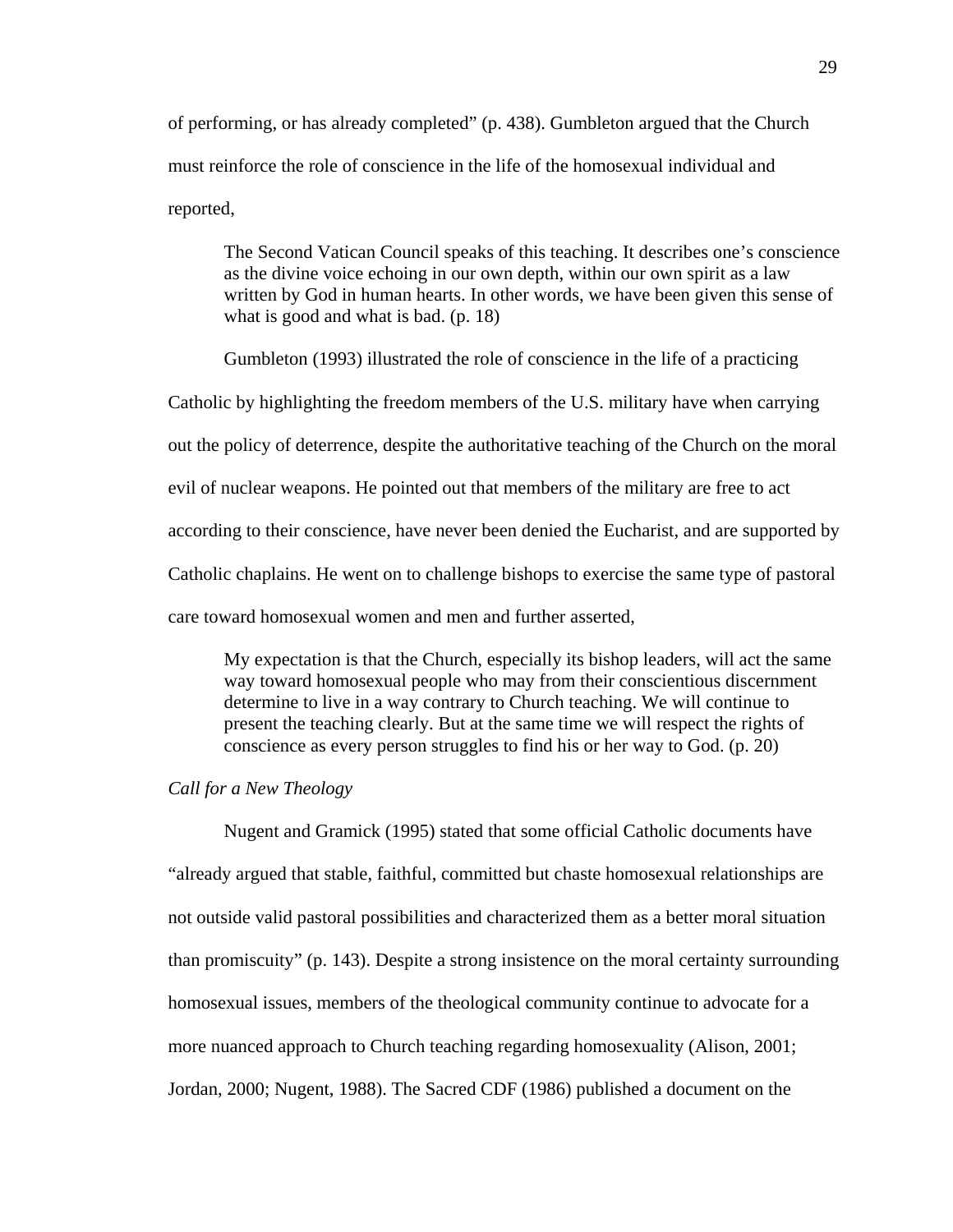of performing, or has already completed" (p. 438). Gumbleton argued that the Church must reinforce the role of conscience in the life of the homosexual individual and reported,

The Second Vatican Council speaks of this teaching. It describes one's conscience as the divine voice echoing in our own depth, within our own spirit as a law written by God in human hearts. In other words, we have been given this sense of what is good and what is bad. (p. 18)

 Gumbleton (1993) illustrated the role of conscience in the life of a practicing Catholic by highlighting the freedom members of the U.S. military have when carrying out the policy of deterrence, despite the authoritative teaching of the Church on the moral evil of nuclear weapons. He pointed out that members of the military are free to act according to their conscience, have never been denied the Eucharist, and are supported by Catholic chaplains. He went on to challenge bishops to exercise the same type of pastoral care toward homosexual women and men and further asserted,

My expectation is that the Church, especially its bishop leaders, will act the same way toward homosexual people who may from their conscientious discernment determine to live in a way contrary to Church teaching. We will continue to present the teaching clearly. But at the same time we will respect the rights of conscience as every person struggles to find his or her way to God. (p. 20)

# *Call for a New Theology*

 Nugent and Gramick (1995) stated that some official Catholic documents have "already argued that stable, faithful, committed but chaste homosexual relationships are not outside valid pastoral possibilities and characterized them as a better moral situation than promiscuity" (p. 143). Despite a strong insistence on the moral certainty surrounding homosexual issues, members of the theological community continue to advocate for a more nuanced approach to Church teaching regarding homosexuality (Alison, 2001; Jordan, 2000; Nugent, 1988). The Sacred CDF (1986) published a document on the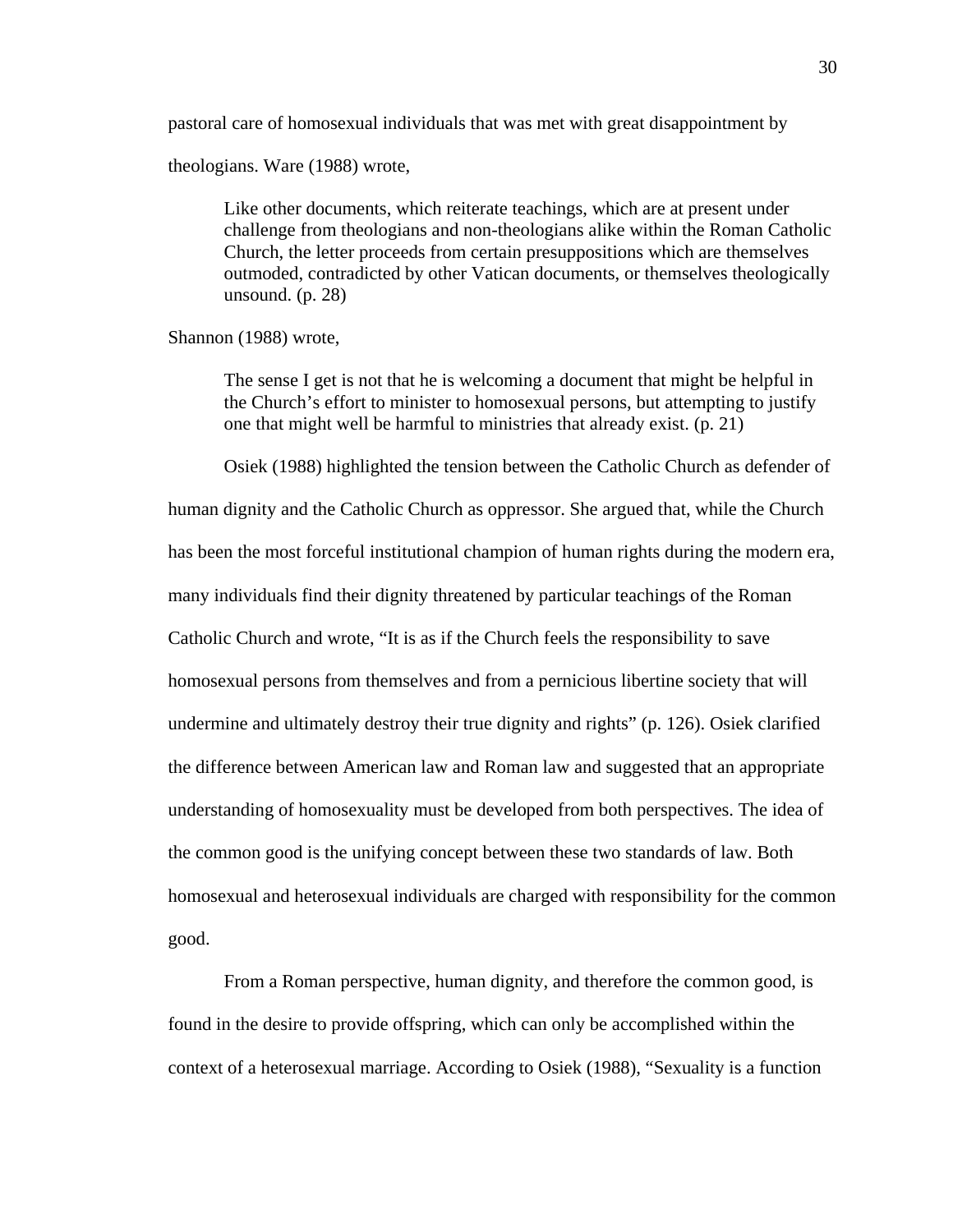pastoral care of homosexual individuals that was met with great disappointment by

theologians. Ware (1988) wrote,

Like other documents, which reiterate teachings, which are at present under challenge from theologians and non-theologians alike within the Roman Catholic Church, the letter proceeds from certain presuppositions which are themselves outmoded, contradicted by other Vatican documents, or themselves theologically unsound. (p. 28)

Shannon (1988) wrote,

The sense I get is not that he is welcoming a document that might be helpful in the Church's effort to minister to homosexual persons, but attempting to justify one that might well be harmful to ministries that already exist. (p. 21)

Osiek (1988) highlighted the tension between the Catholic Church as defender of human dignity and the Catholic Church as oppressor. She argued that, while the Church has been the most forceful institutional champion of human rights during the modern era, many individuals find their dignity threatened by particular teachings of the Roman Catholic Church and wrote, "It is as if the Church feels the responsibility to save homosexual persons from themselves and from a pernicious libertine society that will undermine and ultimately destroy their true dignity and rights" (p. 126). Osiek clarified the difference between American law and Roman law and suggested that an appropriate understanding of homosexuality must be developed from both perspectives. The idea of the common good is the unifying concept between these two standards of law. Both homosexual and heterosexual individuals are charged with responsibility for the common good.

From a Roman perspective, human dignity, and therefore the common good, is found in the desire to provide offspring, which can only be accomplished within the context of a heterosexual marriage. According to Osiek (1988), "Sexuality is a function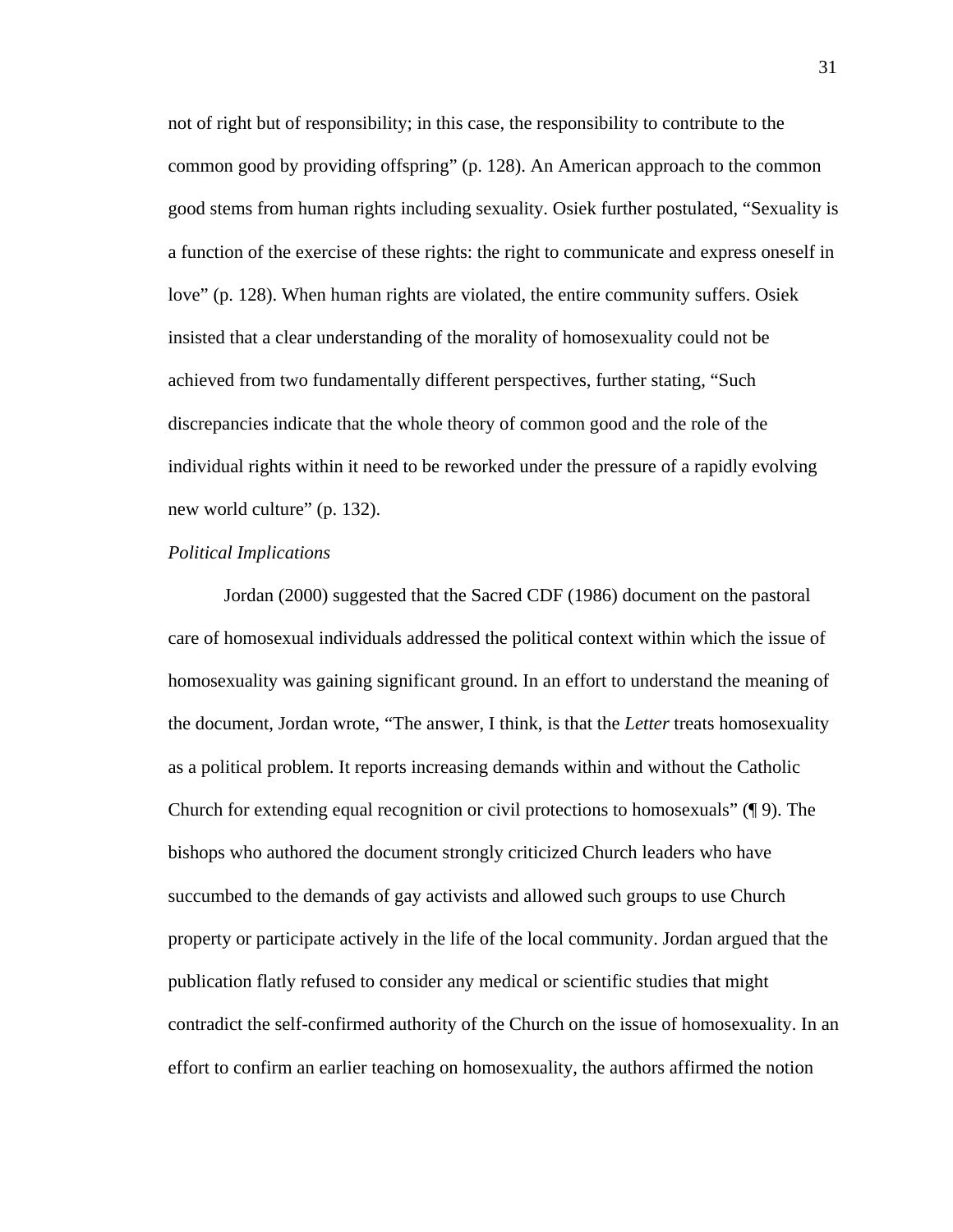not of right but of responsibility; in this case, the responsibility to contribute to the common good by providing offspring" (p. 128). An American approach to the common good stems from human rights including sexuality. Osiek further postulated, "Sexuality is a function of the exercise of these rights: the right to communicate and express oneself in love" (p. 128). When human rights are violated, the entire community suffers. Osiek insisted that a clear understanding of the morality of homosexuality could not be achieved from two fundamentally different perspectives, further stating, "Such discrepancies indicate that the whole theory of common good and the role of the individual rights within it need to be reworked under the pressure of a rapidly evolving new world culture" (p. 132).

### *Political Implications*

Jordan (2000) suggested that the Sacred CDF (1986) document on the pastoral care of homosexual individuals addressed the political context within which the issue of homosexuality was gaining significant ground. In an effort to understand the meaning of the document, Jordan wrote, "The answer, I think, is that the *Letter* treats homosexuality as a political problem. It reports increasing demands within and without the Catholic Church for extending equal recognition or civil protections to homosexuals" (¶ 9). The bishops who authored the document strongly criticized Church leaders who have succumbed to the demands of gay activists and allowed such groups to use Church property or participate actively in the life of the local community. Jordan argued that the publication flatly refused to consider any medical or scientific studies that might contradict the self-confirmed authority of the Church on the issue of homosexuality. In an effort to confirm an earlier teaching on homosexuality, the authors affirmed the notion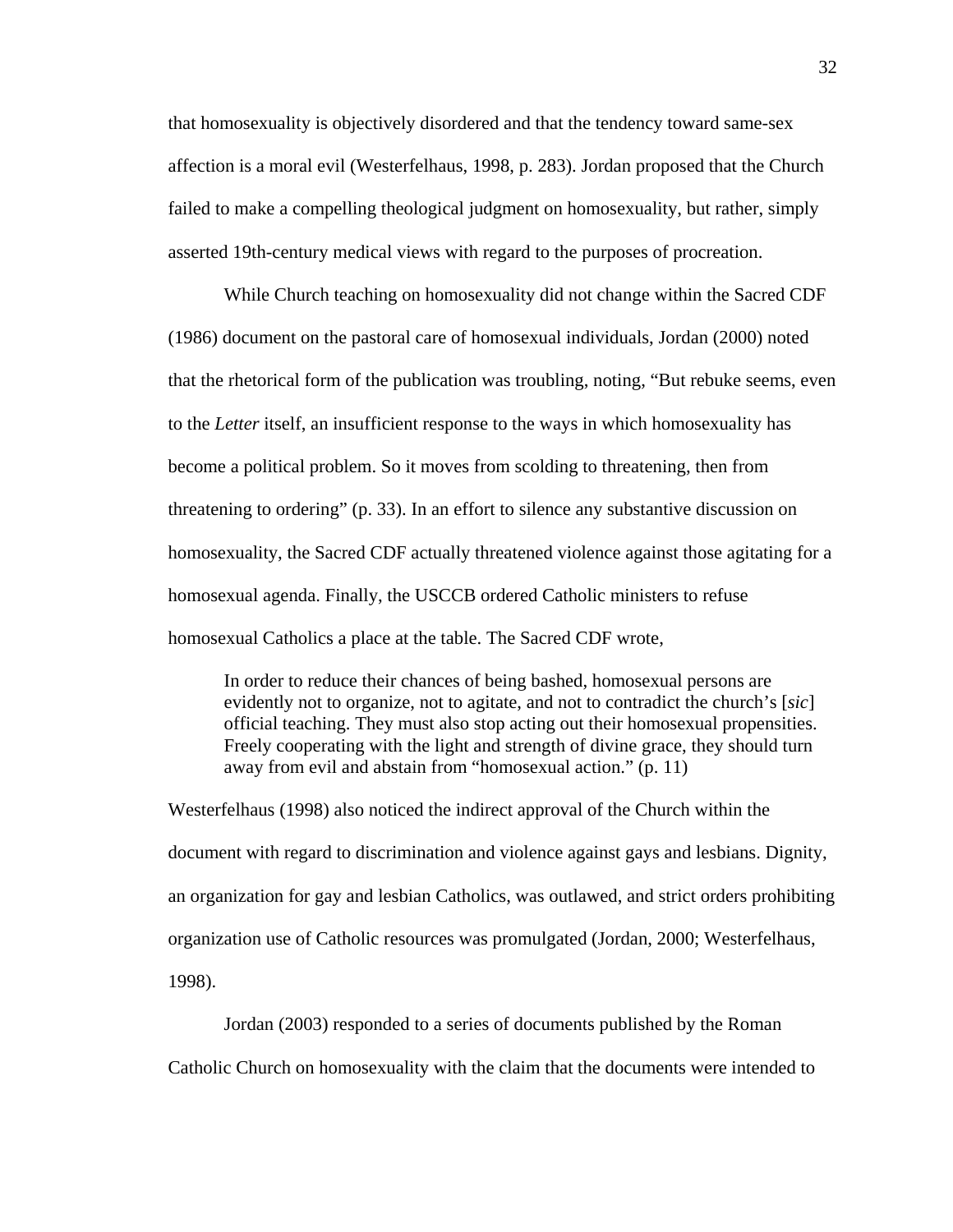that homosexuality is objectively disordered and that the tendency toward same-sex affection is a moral evil (Westerfelhaus, 1998, p. 283). Jordan proposed that the Church failed to make a compelling theological judgment on homosexuality, but rather, simply asserted 19th-century medical views with regard to the purposes of procreation.

While Church teaching on homosexuality did not change within the Sacred CDF (1986) document on the pastoral care of homosexual individuals, Jordan (2000) noted that the rhetorical form of the publication was troubling, noting, "But rebuke seems, even to the *Letter* itself, an insufficient response to the ways in which homosexuality has become a political problem. So it moves from scolding to threatening, then from threatening to ordering" (p. 33). In an effort to silence any substantive discussion on homosexuality, the Sacred CDF actually threatened violence against those agitating for a homosexual agenda. Finally, the USCCB ordered Catholic ministers to refuse homosexual Catholics a place at the table. The Sacred CDF wrote,

In order to reduce their chances of being bashed, homosexual persons are evidently not to organize, not to agitate, and not to contradict the church's [*sic*] official teaching. They must also stop acting out their homosexual propensities. Freely cooperating with the light and strength of divine grace, they should turn away from evil and abstain from "homosexual action." (p. 11)

Westerfelhaus (1998) also noticed the indirect approval of the Church within the document with regard to discrimination and violence against gays and lesbians. Dignity, an organization for gay and lesbian Catholics, was outlawed, and strict orders prohibiting organization use of Catholic resources was promulgated (Jordan, 2000; Westerfelhaus, 1998).

Jordan (2003) responded to a series of documents published by the Roman Catholic Church on homosexuality with the claim that the documents were intended to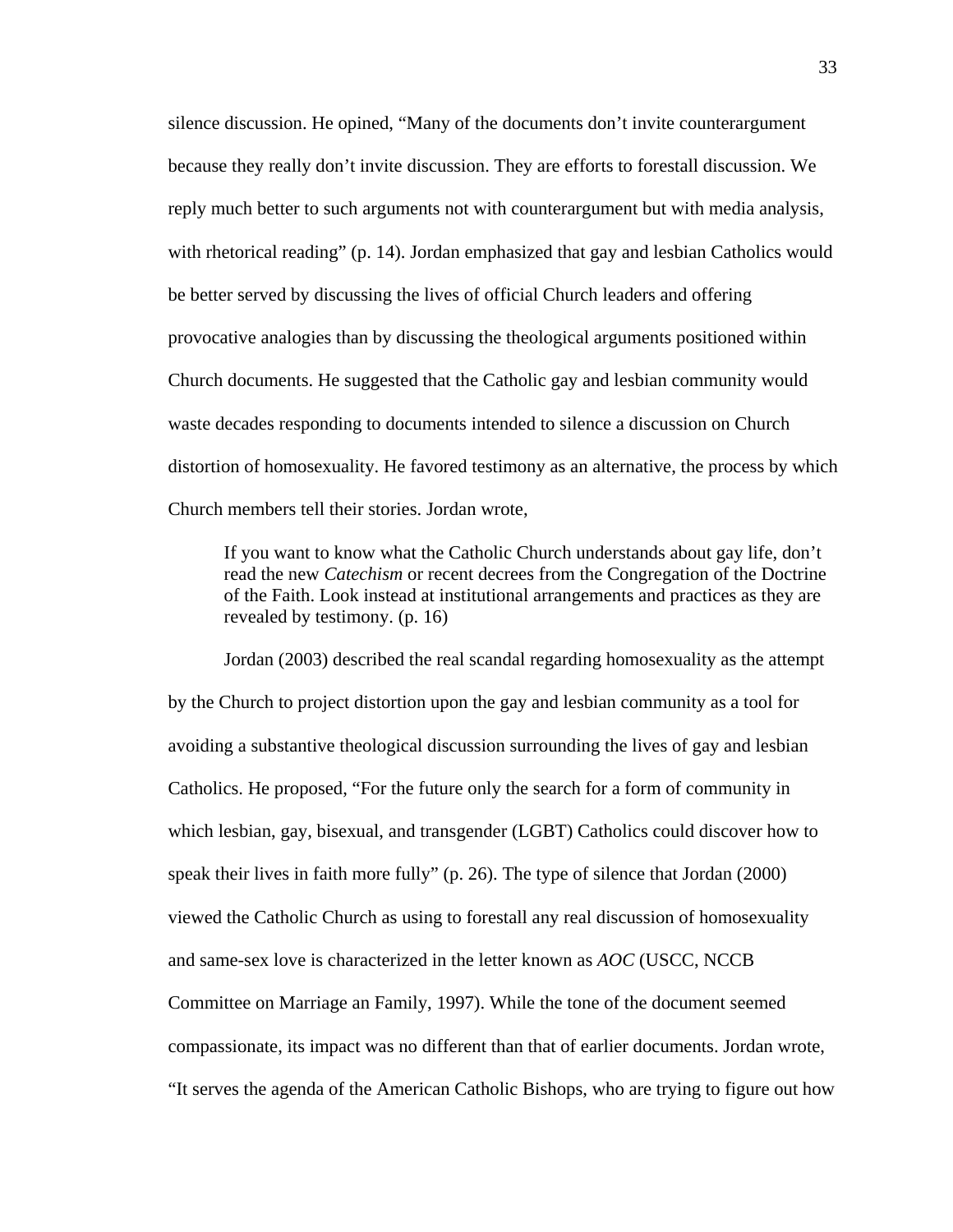silence discussion. He opined, "Many of the documents don't invite counterargument because they really don't invite discussion. They are efforts to forestall discussion. We reply much better to such arguments not with counterargument but with media analysis, with rhetorical reading" (p. 14). Jordan emphasized that gay and lesbian Catholics would be better served by discussing the lives of official Church leaders and offering provocative analogies than by discussing the theological arguments positioned within Church documents. He suggested that the Catholic gay and lesbian community would waste decades responding to documents intended to silence a discussion on Church distortion of homosexuality. He favored testimony as an alternative, the process by which Church members tell their stories. Jordan wrote,

If you want to know what the Catholic Church understands about gay life, don't read the new *Catechism* or recent decrees from the Congregation of the Doctrine of the Faith. Look instead at institutional arrangements and practices as they are revealed by testimony. (p. 16)

 Jordan (2003) described the real scandal regarding homosexuality as the attempt by the Church to project distortion upon the gay and lesbian community as a tool for avoiding a substantive theological discussion surrounding the lives of gay and lesbian Catholics. He proposed, "For the future only the search for a form of community in which lesbian, gay, bisexual, and transgender (LGBT) Catholics could discover how to speak their lives in faith more fully" (p. 26). The type of silence that Jordan (2000) viewed the Catholic Church as using to forestall any real discussion of homosexuality and same-sex love is characterized in the letter known as *AOC* (USCC, NCCB Committee on Marriage an Family, 1997). While the tone of the document seemed compassionate, its impact was no different than that of earlier documents. Jordan wrote, "It serves the agenda of the American Catholic Bishops, who are trying to figure out how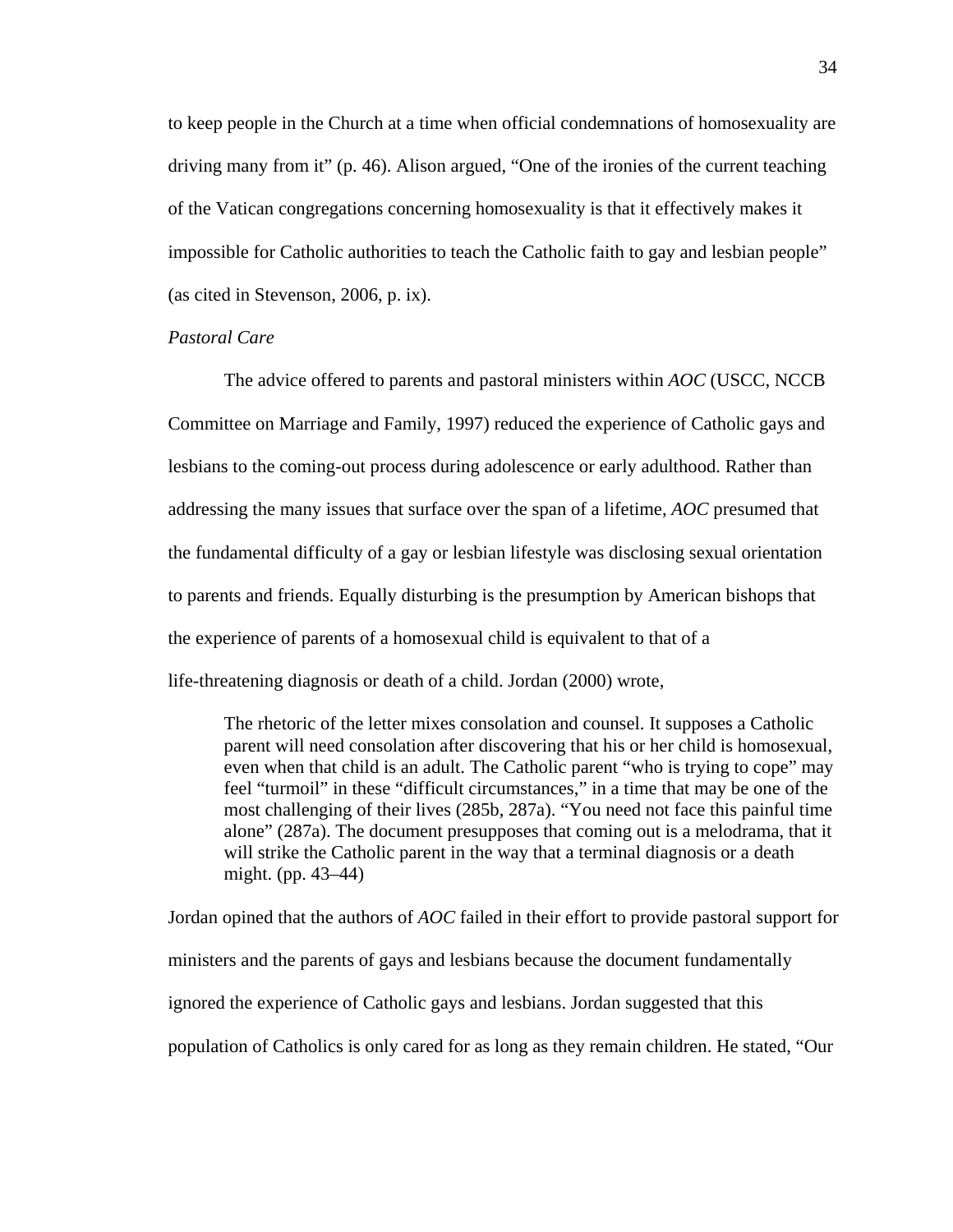to keep people in the Church at a time when official condemnations of homosexuality are driving many from it" (p. 46). Alison argued, "One of the ironies of the current teaching of the Vatican congregations concerning homosexuality is that it effectively makes it impossible for Catholic authorities to teach the Catholic faith to gay and lesbian people" (as cited in Stevenson, 2006, p. ix).

## *Pastoral Care*

The advice offered to parents and pastoral ministers within *AOC* (USCC, NCCB Committee on Marriage and Family, 1997) reduced the experience of Catholic gays and lesbians to the coming-out process during adolescence or early adulthood. Rather than addressing the many issues that surface over the span of a lifetime, *AOC* presumed that the fundamental difficulty of a gay or lesbian lifestyle was disclosing sexual orientation to parents and friends. Equally disturbing is the presumption by American bishops that the experience of parents of a homosexual child is equivalent to that of a life-threatening diagnosis or death of a child. Jordan (2000) wrote,

The rhetoric of the letter mixes consolation and counsel. It supposes a Catholic parent will need consolation after discovering that his or her child is homosexual, even when that child is an adult. The Catholic parent "who is trying to cope" may feel "turmoil" in these "difficult circumstances," in a time that may be one of the most challenging of their lives (285b, 287a). "You need not face this painful time alone" (287a). The document presupposes that coming out is a melodrama, that it will strike the Catholic parent in the way that a terminal diagnosis or a death might. (pp. 43–44)

Jordan opined that the authors of *AOC* failed in their effort to provide pastoral support for ministers and the parents of gays and lesbians because the document fundamentally ignored the experience of Catholic gays and lesbians. Jordan suggested that this population of Catholics is only cared for as long as they remain children. He stated, "Our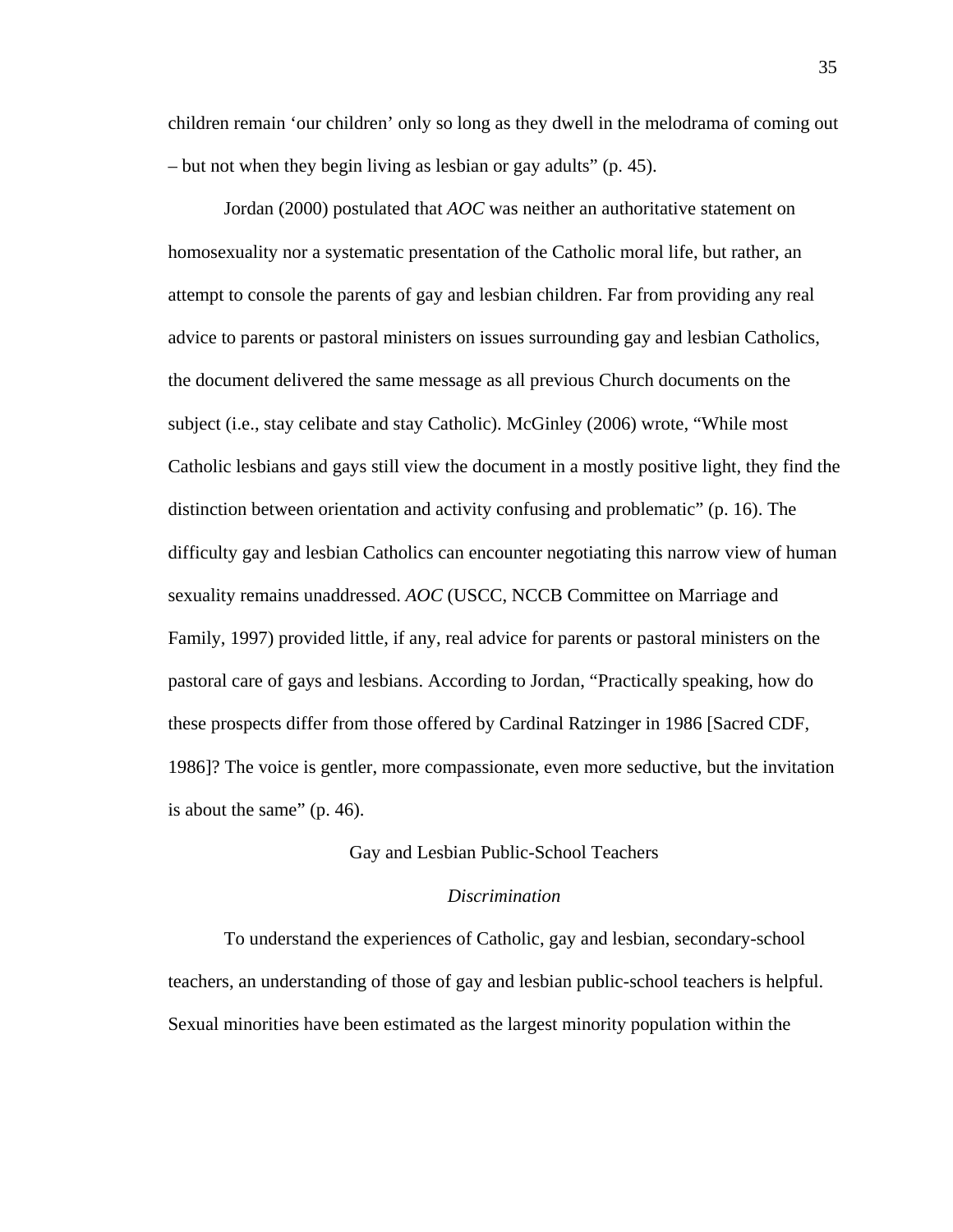children remain 'our children' only so long as they dwell in the melodrama of coming out – but not when they begin living as lesbian or gay adults" (p. 45).

Jordan (2000) postulated that *AOC* was neither an authoritative statement on homosexuality nor a systematic presentation of the Catholic moral life, but rather, an attempt to console the parents of gay and lesbian children. Far from providing any real advice to parents or pastoral ministers on issues surrounding gay and lesbian Catholics, the document delivered the same message as all previous Church documents on the subject (i.e., stay celibate and stay Catholic). McGinley (2006) wrote, "While most Catholic lesbians and gays still view the document in a mostly positive light, they find the distinction between orientation and activity confusing and problematic" (p. 16). The difficulty gay and lesbian Catholics can encounter negotiating this narrow view of human sexuality remains unaddressed. *AOC* (USCC, NCCB Committee on Marriage and Family, 1997) provided little, if any, real advice for parents or pastoral ministers on the pastoral care of gays and lesbians. According to Jordan, "Practically speaking, how do these prospects differ from those offered by Cardinal Ratzinger in 1986 [Sacred CDF, 1986]? The voice is gentler, more compassionate, even more seductive, but the invitation is about the same" (p. 46).

#### Gay and Lesbian Public-School Teachers

#### *Discrimination*

To understand the experiences of Catholic, gay and lesbian, secondary-school teachers, an understanding of those of gay and lesbian public-school teachers is helpful. Sexual minorities have been estimated as the largest minority population within the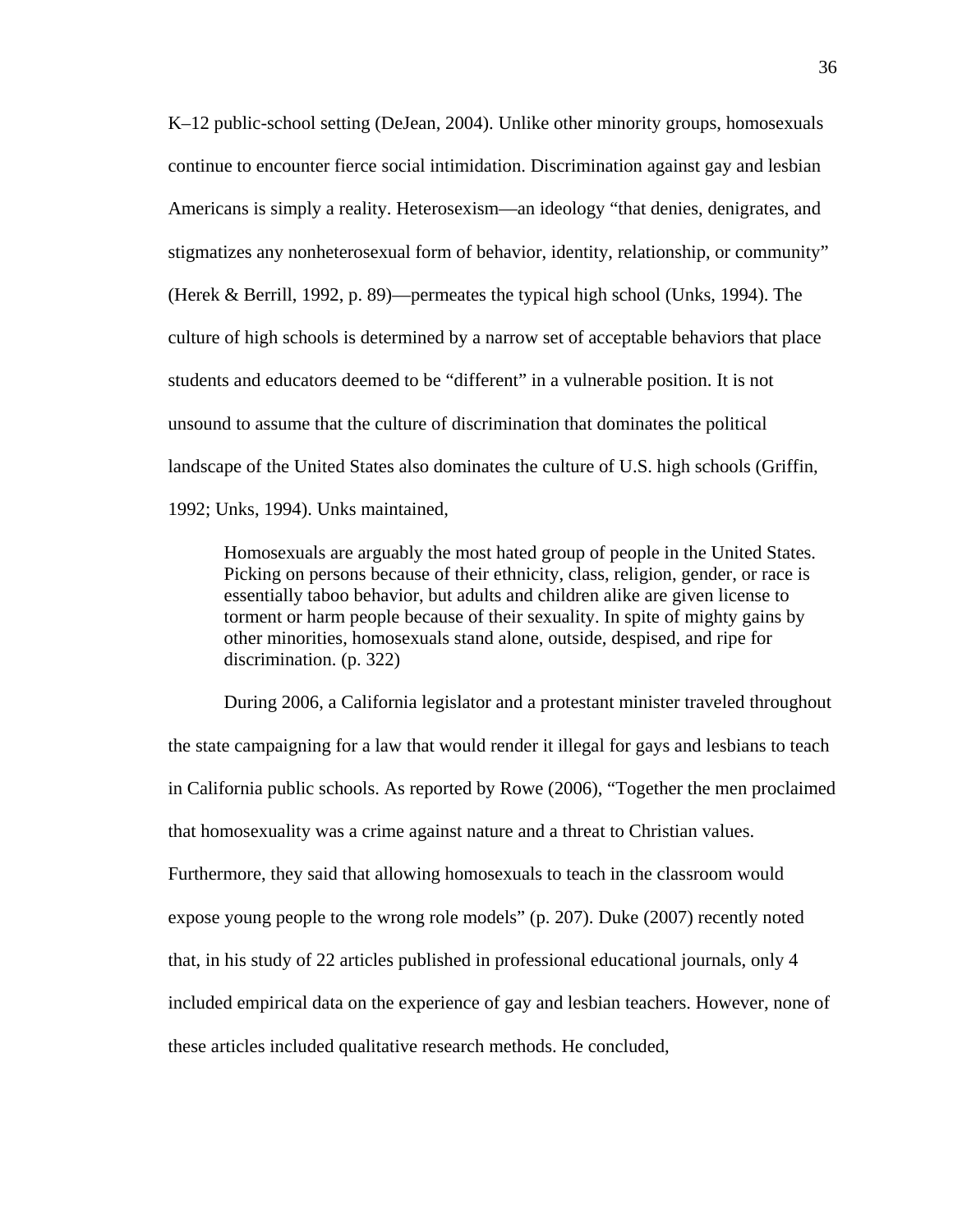K–12 public-school setting (DeJean, 2004). Unlike other minority groups, homosexuals continue to encounter fierce social intimidation. Discrimination against gay and lesbian Americans is simply a reality. Heterosexism—an ideology "that denies, denigrates, and stigmatizes any nonheterosexual form of behavior, identity, relationship, or community" (Herek & Berrill, 1992, p. 89)—permeates the typical high school (Unks, 1994). The culture of high schools is determined by a narrow set of acceptable behaviors that place students and educators deemed to be "different" in a vulnerable position. It is not unsound to assume that the culture of discrimination that dominates the political landscape of the United States also dominates the culture of U.S. high schools (Griffin, 1992; Unks, 1994). Unks maintained,

Homosexuals are arguably the most hated group of people in the United States. Picking on persons because of their ethnicity, class, religion, gender, or race is essentially taboo behavior, but adults and children alike are given license to torment or harm people because of their sexuality. In spite of mighty gains by other minorities, homosexuals stand alone, outside, despised, and ripe for discrimination. (p. 322)

During 2006, a California legislator and a protestant minister traveled throughout the state campaigning for a law that would render it illegal for gays and lesbians to teach in California public schools. As reported by Rowe (2006), "Together the men proclaimed that homosexuality was a crime against nature and a threat to Christian values. Furthermore, they said that allowing homosexuals to teach in the classroom would expose young people to the wrong role models" (p. 207). Duke (2007) recently noted that, in his study of 22 articles published in professional educational journals, only 4 included empirical data on the experience of gay and lesbian teachers. However, none of these articles included qualitative research methods. He concluded,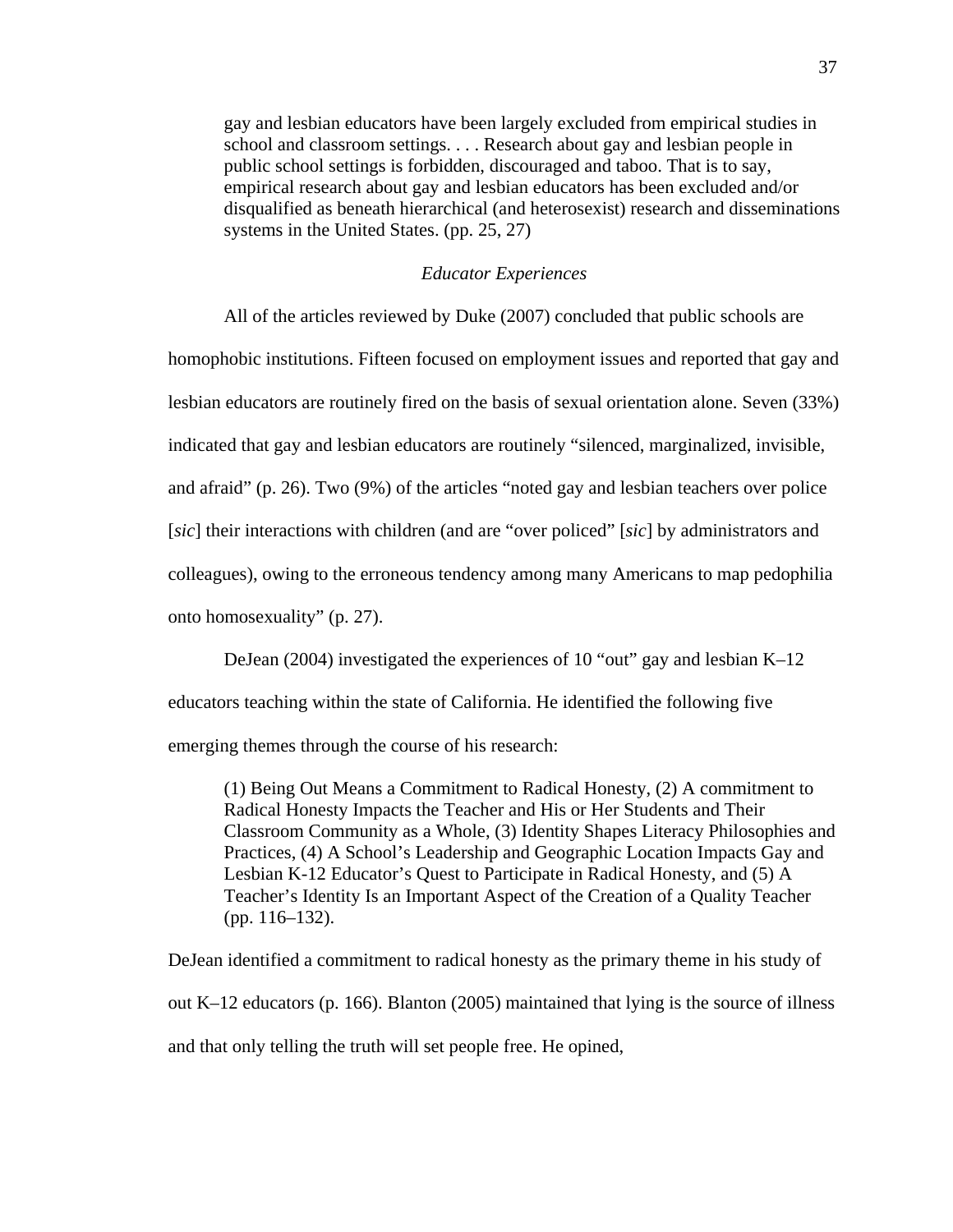gay and lesbian educators have been largely excluded from empirical studies in school and classroom settings. . . . Research about gay and lesbian people in public school settings is forbidden, discouraged and taboo. That is to say, empirical research about gay and lesbian educators has been excluded and/or disqualified as beneath hierarchical (and heterosexist) research and disseminations systems in the United States. (pp. 25, 27)

# *Educator Experiences*

All of the articles reviewed by Duke (2007) concluded that public schools are

homophobic institutions. Fifteen focused on employment issues and reported that gay and lesbian educators are routinely fired on the basis of sexual orientation alone. Seven (33%) indicated that gay and lesbian educators are routinely "silenced, marginalized, invisible, and afraid" (p. 26). Two (9%) of the articles "noted gay and lesbian teachers over police [*sic*] their interactions with children (and are "over policed" [*sic*] by administrators and colleagues), owing to the erroneous tendency among many Americans to map pedophilia

onto homosexuality" (p. 27).

 DeJean (2004) investigated the experiences of 10 "out" gay and lesbian K–12 educators teaching within the state of California. He identified the following five emerging themes through the course of his research:

(1) Being Out Means a Commitment to Radical Honesty, (2) A commitment to Radical Honesty Impacts the Teacher and His or Her Students and Their Classroom Community as a Whole, (3) Identity Shapes Literacy Philosophies and Practices, (4) A School's Leadership and Geographic Location Impacts Gay and Lesbian K-12 Educator's Quest to Participate in Radical Honesty, and (5) A Teacher's Identity Is an Important Aspect of the Creation of a Quality Teacher (pp. 116–132).

DeJean identified a commitment to radical honesty as the primary theme in his study of out K–12 educators (p. 166). Blanton (2005) maintained that lying is the source of illness and that only telling the truth will set people free. He opined,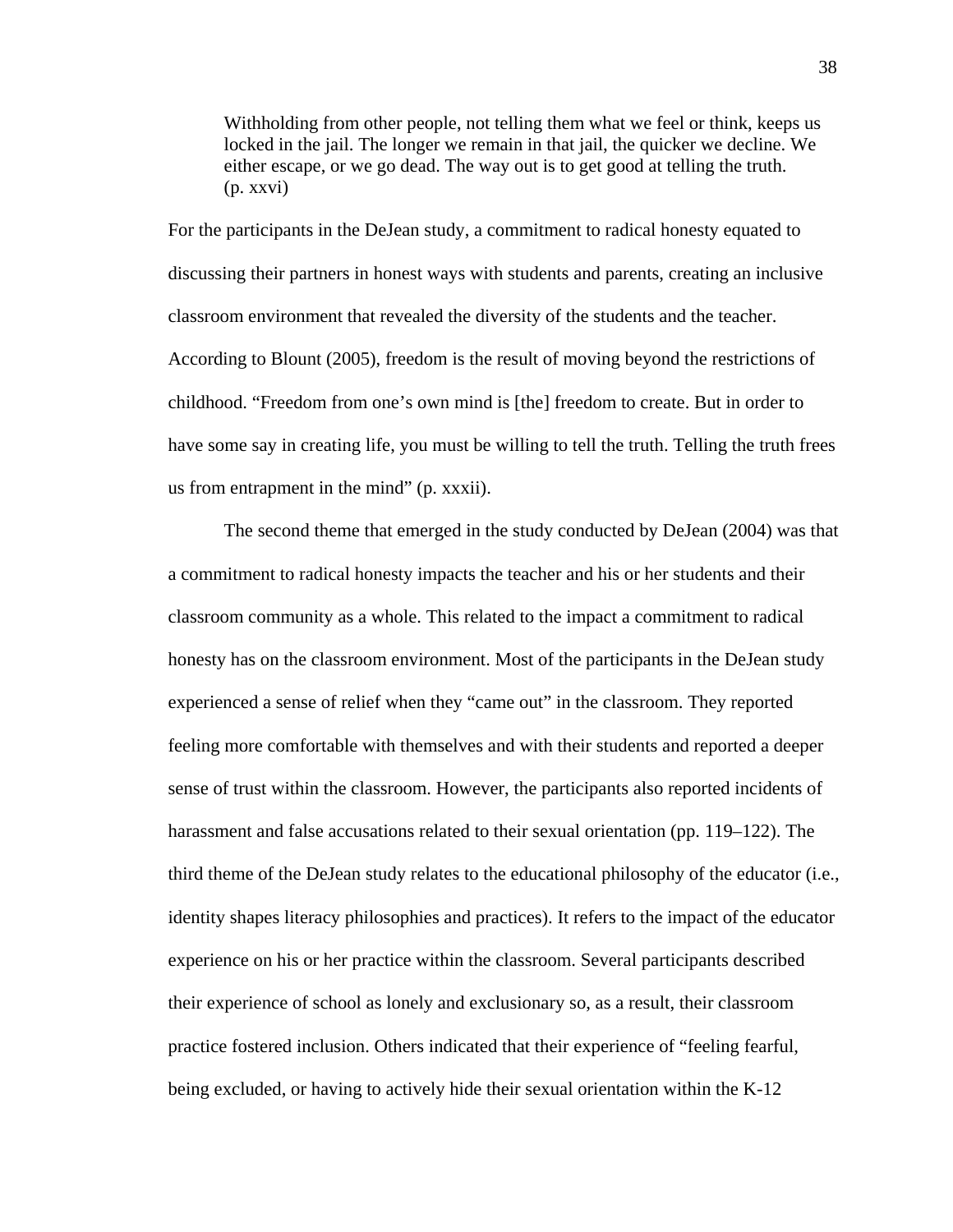Withholding from other people, not telling them what we feel or think, keeps us locked in the jail. The longer we remain in that jail, the quicker we decline. We either escape, or we go dead. The way out is to get good at telling the truth. (p. xxvi)

For the participants in the DeJean study, a commitment to radical honesty equated to discussing their partners in honest ways with students and parents, creating an inclusive classroom environment that revealed the diversity of the students and the teacher. According to Blount (2005), freedom is the result of moving beyond the restrictions of childhood. "Freedom from one's own mind is [the] freedom to create. But in order to have some say in creating life, you must be willing to tell the truth. Telling the truth frees us from entrapment in the mind" (p. xxxii).

The second theme that emerged in the study conducted by DeJean (2004) was that a commitment to radical honesty impacts the teacher and his or her students and their classroom community as a whole. This related to the impact a commitment to radical honesty has on the classroom environment. Most of the participants in the DeJean study experienced a sense of relief when they "came out" in the classroom. They reported feeling more comfortable with themselves and with their students and reported a deeper sense of trust within the classroom. However, the participants also reported incidents of harassment and false accusations related to their sexual orientation (pp. 119–122). The third theme of the DeJean study relates to the educational philosophy of the educator (i.e., identity shapes literacy philosophies and practices). It refers to the impact of the educator experience on his or her practice within the classroom. Several participants described their experience of school as lonely and exclusionary so, as a result, their classroom practice fostered inclusion. Others indicated that their experience of "feeling fearful, being excluded, or having to actively hide their sexual orientation within the K-12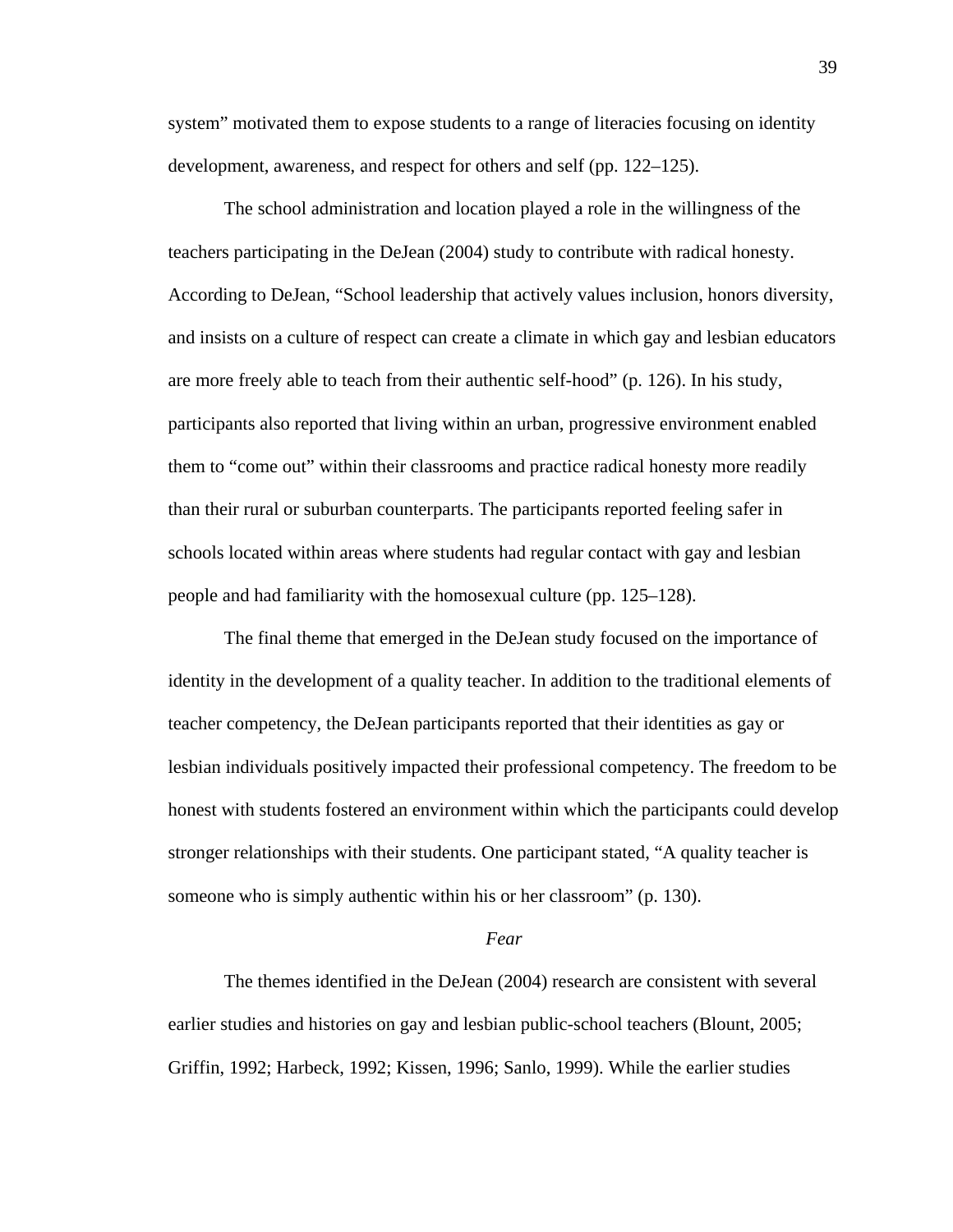system" motivated them to expose students to a range of literacies focusing on identity development, awareness, and respect for others and self (pp. 122–125).

The school administration and location played a role in the willingness of the teachers participating in the DeJean (2004) study to contribute with radical honesty. According to DeJean, "School leadership that actively values inclusion, honors diversity, and insists on a culture of respect can create a climate in which gay and lesbian educators are more freely able to teach from their authentic self-hood" (p. 126). In his study, participants also reported that living within an urban, progressive environment enabled them to "come out" within their classrooms and practice radical honesty more readily than their rural or suburban counterparts. The participants reported feeling safer in schools located within areas where students had regular contact with gay and lesbian people and had familiarity with the homosexual culture (pp. 125–128).

The final theme that emerged in the DeJean study focused on the importance of identity in the development of a quality teacher. In addition to the traditional elements of teacher competency, the DeJean participants reported that their identities as gay or lesbian individuals positively impacted their professional competency. The freedom to be honest with students fostered an environment within which the participants could develop stronger relationships with their students. One participant stated, "A quality teacher is someone who is simply authentic within his or her classroom" (p. 130).

#### *Fear*

The themes identified in the DeJean (2004) research are consistent with several earlier studies and histories on gay and lesbian public-school teachers (Blount, 2005; Griffin, 1992; Harbeck, 1992; Kissen, 1996; Sanlo, 1999). While the earlier studies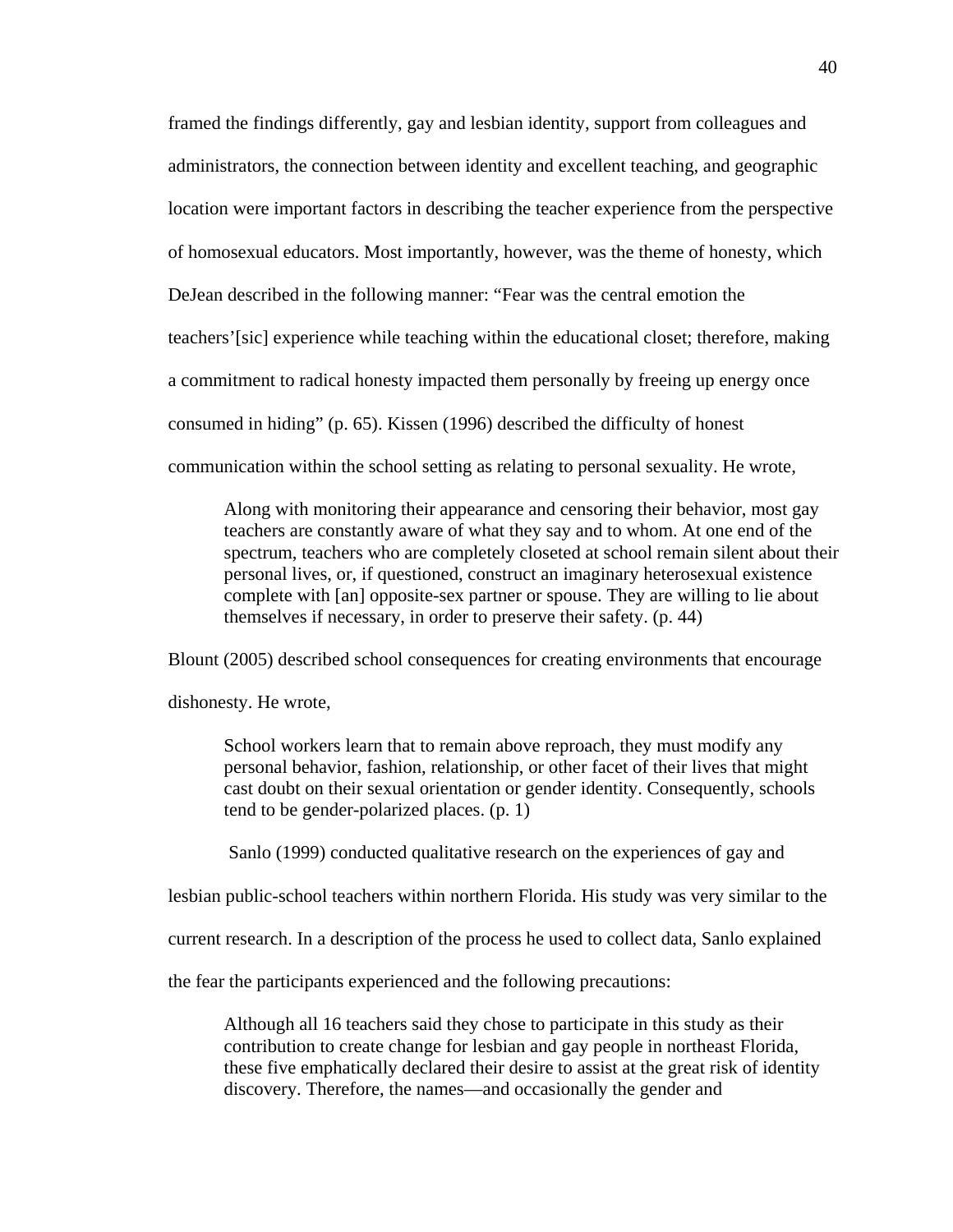framed the findings differently, gay and lesbian identity, support from colleagues and administrators, the connection between identity and excellent teaching, and geographic location were important factors in describing the teacher experience from the perspective of homosexual educators. Most importantly, however, was the theme of honesty, which DeJean described in the following manner: "Fear was the central emotion the teachers'[sic] experience while teaching within the educational closet; therefore, making a commitment to radical honesty impacted them personally by freeing up energy once consumed in hiding" (p. 65). Kissen (1996) described the difficulty of honest communication within the school setting as relating to personal sexuality. He wrote,

Along with monitoring their appearance and censoring their behavior, most gay teachers are constantly aware of what they say and to whom. At one end of the spectrum, teachers who are completely closeted at school remain silent about their personal lives, or, if questioned, construct an imaginary heterosexual existence complete with [an] opposite-sex partner or spouse. They are willing to lie about themselves if necessary, in order to preserve their safety. (p. 44)

Blount (2005) described school consequences for creating environments that encourage

dishonesty. He wrote,

School workers learn that to remain above reproach, they must modify any personal behavior, fashion, relationship, or other facet of their lives that might cast doubt on their sexual orientation or gender identity. Consequently, schools tend to be gender-polarized places. (p. 1)

Sanlo (1999) conducted qualitative research on the experiences of gay and

lesbian public-school teachers within northern Florida. His study was very similar to the

current research. In a description of the process he used to collect data, Sanlo explained

the fear the participants experienced and the following precautions:

Although all 16 teachers said they chose to participate in this study as their contribution to create change for lesbian and gay people in northeast Florida, these five emphatically declared their desire to assist at the great risk of identity discovery. Therefore, the names—and occasionally the gender and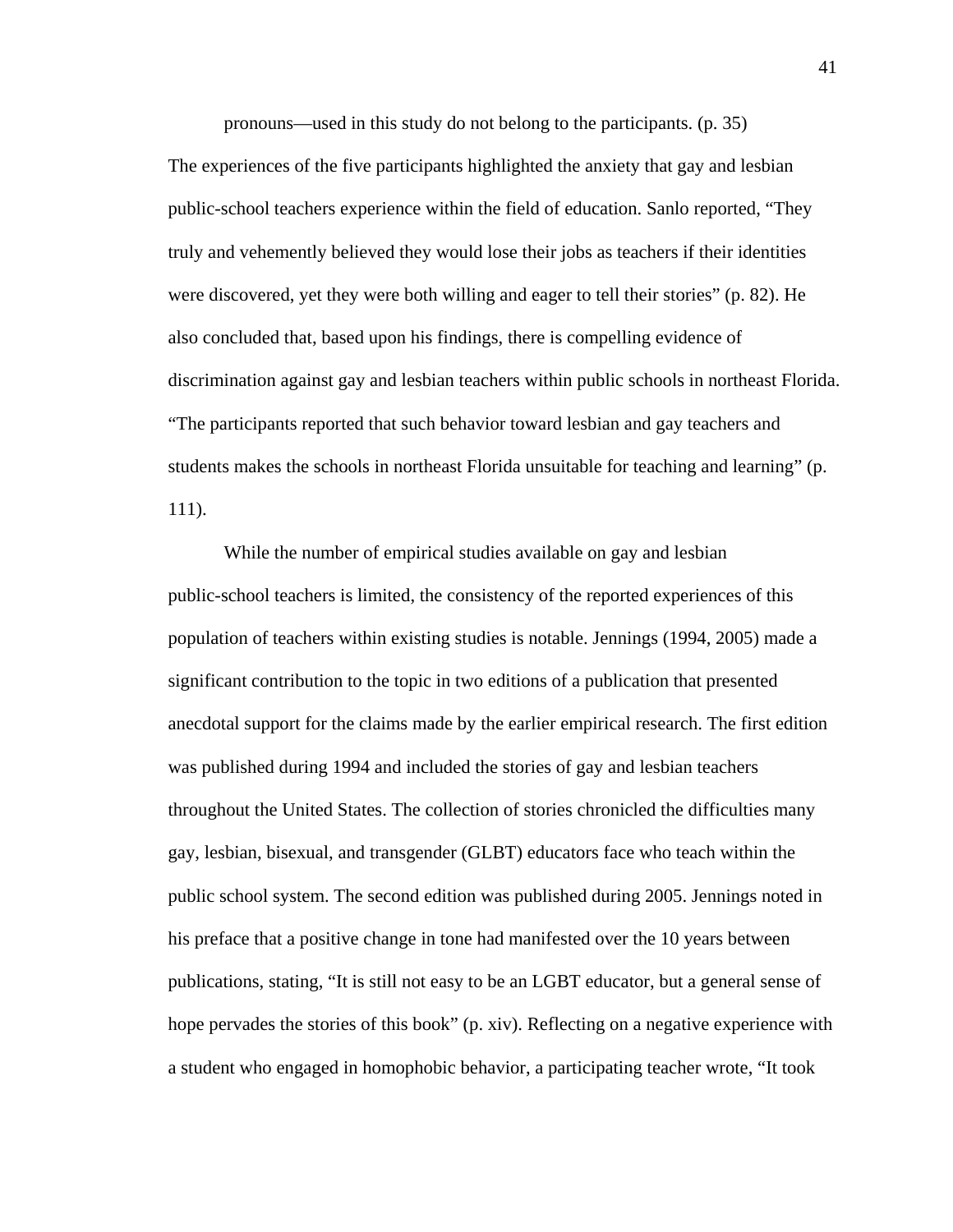pronouns—used in this study do not belong to the participants. (p. 35)

The experiences of the five participants highlighted the anxiety that gay and lesbian public-school teachers experience within the field of education. Sanlo reported, "They truly and vehemently believed they would lose their jobs as teachers if their identities were discovered, yet they were both willing and eager to tell their stories" (p. 82). He also concluded that, based upon his findings, there is compelling evidence of discrimination against gay and lesbian teachers within public schools in northeast Florida. "The participants reported that such behavior toward lesbian and gay teachers and students makes the schools in northeast Florida unsuitable for teaching and learning" (p. 111).

 While the number of empirical studies available on gay and lesbian public-school teachers is limited, the consistency of the reported experiences of this population of teachers within existing studies is notable. Jennings (1994, 2005) made a significant contribution to the topic in two editions of a publication that presented anecdotal support for the claims made by the earlier empirical research. The first edition was published during 1994 and included the stories of gay and lesbian teachers throughout the United States. The collection of stories chronicled the difficulties many gay, lesbian, bisexual, and transgender (GLBT) educators face who teach within the public school system. The second edition was published during 2005. Jennings noted in his preface that a positive change in tone had manifested over the 10 years between publications, stating, "It is still not easy to be an LGBT educator, but a general sense of hope pervades the stories of this book" (p. xiv). Reflecting on a negative experience with a student who engaged in homophobic behavior, a participating teacher wrote, "It took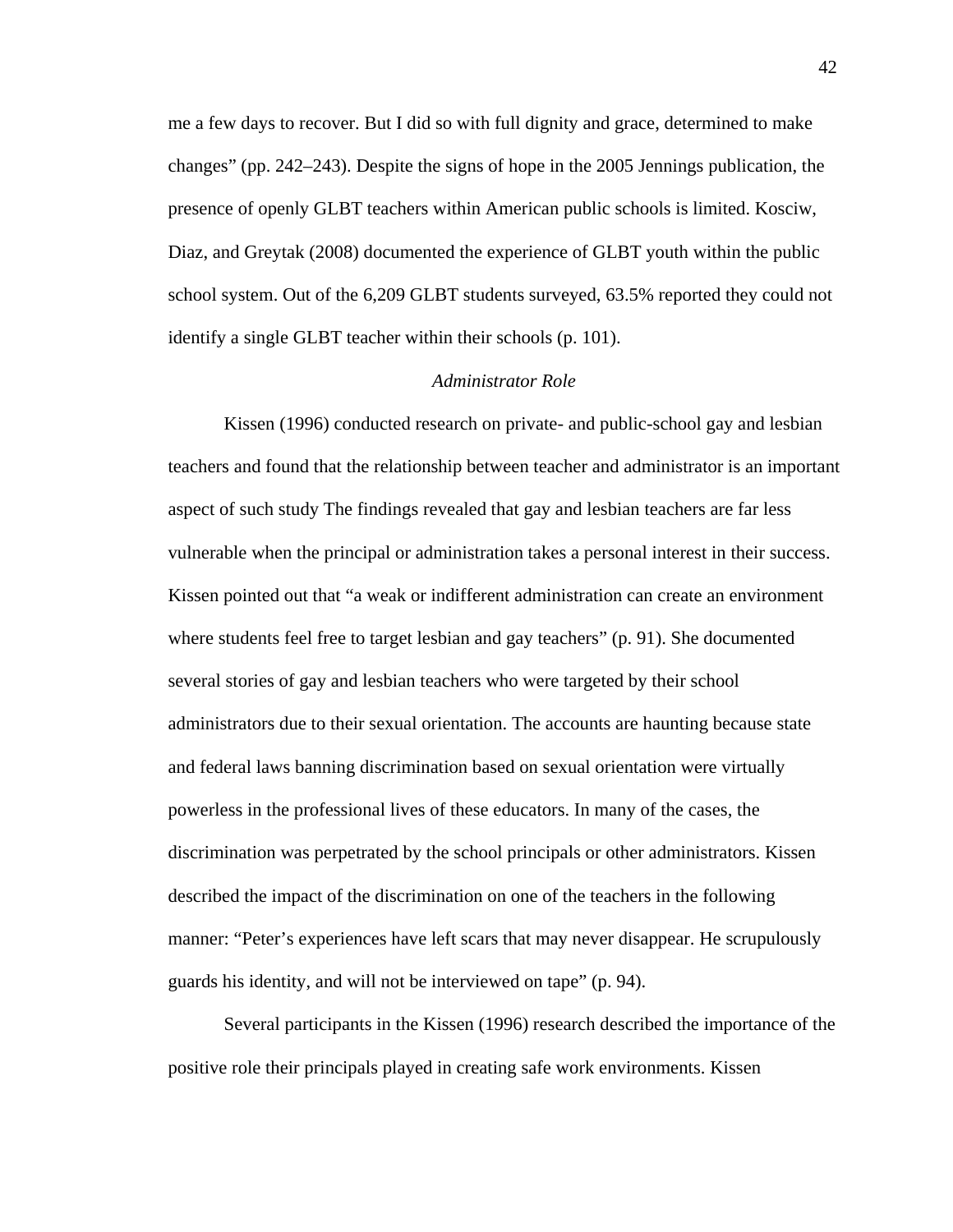me a few days to recover. But I did so with full dignity and grace, determined to make changes" (pp. 242–243). Despite the signs of hope in the 2005 Jennings publication, the presence of openly GLBT teachers within American public schools is limited. Kosciw, Diaz, and Greytak (2008) documented the experience of GLBT youth within the public school system. Out of the 6,209 GLBT students surveyed, 63.5% reported they could not identify a single GLBT teacher within their schools (p. 101).

### *Administrator Role*

 Kissen (1996) conducted research on private- and public-school gay and lesbian teachers and found that the relationship between teacher and administrator is an important aspect of such study The findings revealed that gay and lesbian teachers are far less vulnerable when the principal or administration takes a personal interest in their success. Kissen pointed out that "a weak or indifferent administration can create an environment where students feel free to target lesbian and gay teachers" (p. 91). She documented several stories of gay and lesbian teachers who were targeted by their school administrators due to their sexual orientation. The accounts are haunting because state and federal laws banning discrimination based on sexual orientation were virtually powerless in the professional lives of these educators. In many of the cases, the discrimination was perpetrated by the school principals or other administrators. Kissen described the impact of the discrimination on one of the teachers in the following manner: "Peter's experiences have left scars that may never disappear. He scrupulously guards his identity, and will not be interviewed on tape" (p. 94).

 Several participants in the Kissen (1996) research described the importance of the positive role their principals played in creating safe work environments. Kissen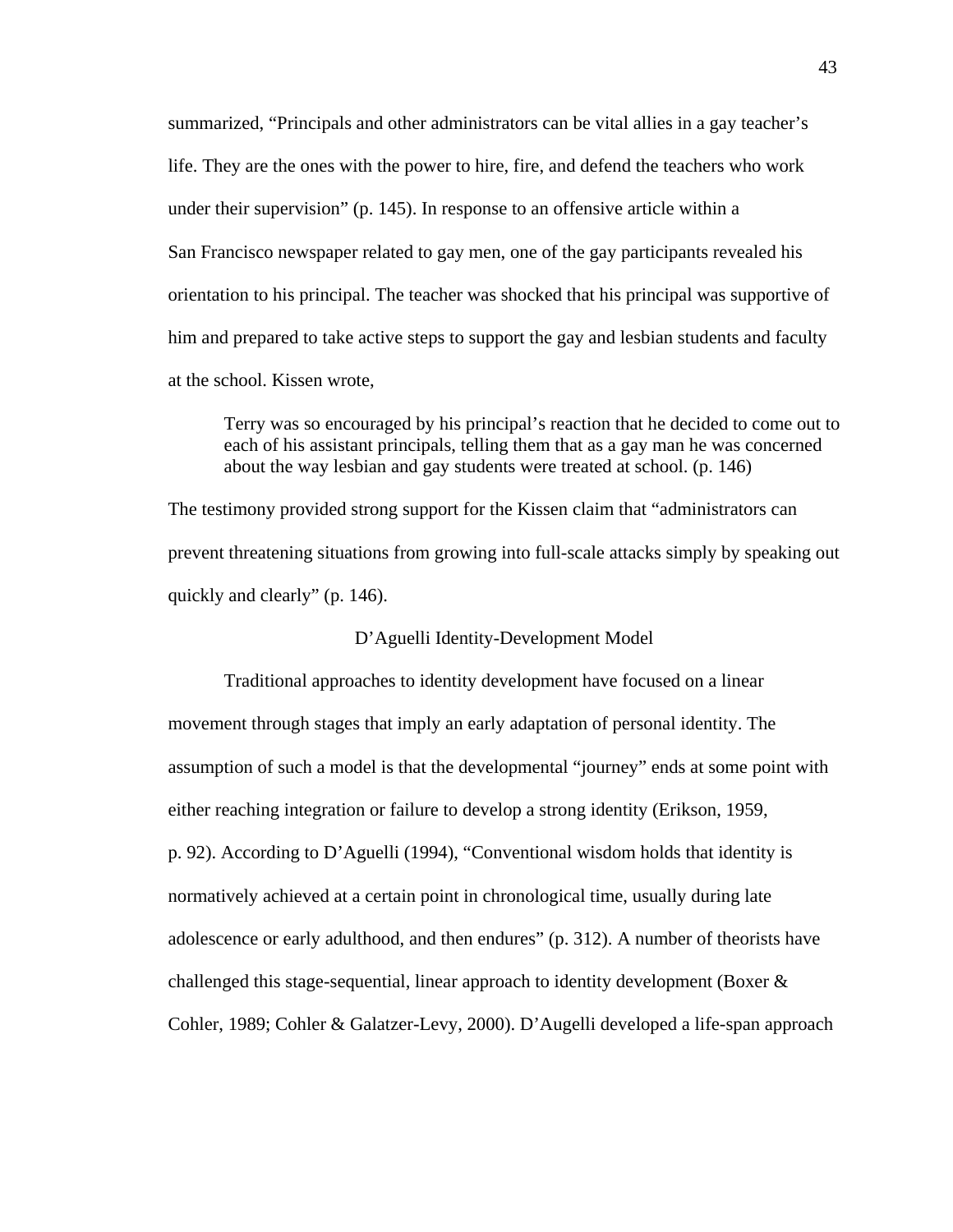summarized, "Principals and other administrators can be vital allies in a gay teacher's life. They are the ones with the power to hire, fire, and defend the teachers who work under their supervision" (p. 145). In response to an offensive article within a San Francisco newspaper related to gay men, one of the gay participants revealed his orientation to his principal. The teacher was shocked that his principal was supportive of him and prepared to take active steps to support the gay and lesbian students and faculty at the school. Kissen wrote,

Terry was so encouraged by his principal's reaction that he decided to come out to each of his assistant principals, telling them that as a gay man he was concerned about the way lesbian and gay students were treated at school. (p. 146)

The testimony provided strong support for the Kissen claim that "administrators can prevent threatening situations from growing into full-scale attacks simply by speaking out quickly and clearly" (p. 146).

## D'Aguelli Identity-Development Model

 Traditional approaches to identity development have focused on a linear movement through stages that imply an early adaptation of personal identity. The assumption of such a model is that the developmental "journey" ends at some point with either reaching integration or failure to develop a strong identity (Erikson, 1959, p. 92). According to D'Aguelli (1994), "Conventional wisdom holds that identity is normatively achieved at a certain point in chronological time, usually during late adolescence or early adulthood, and then endures" (p. 312). A number of theorists have challenged this stage-sequential, linear approach to identity development (Boxer & Cohler, 1989; Cohler & Galatzer-Levy, 2000). D'Augelli developed a life-span approach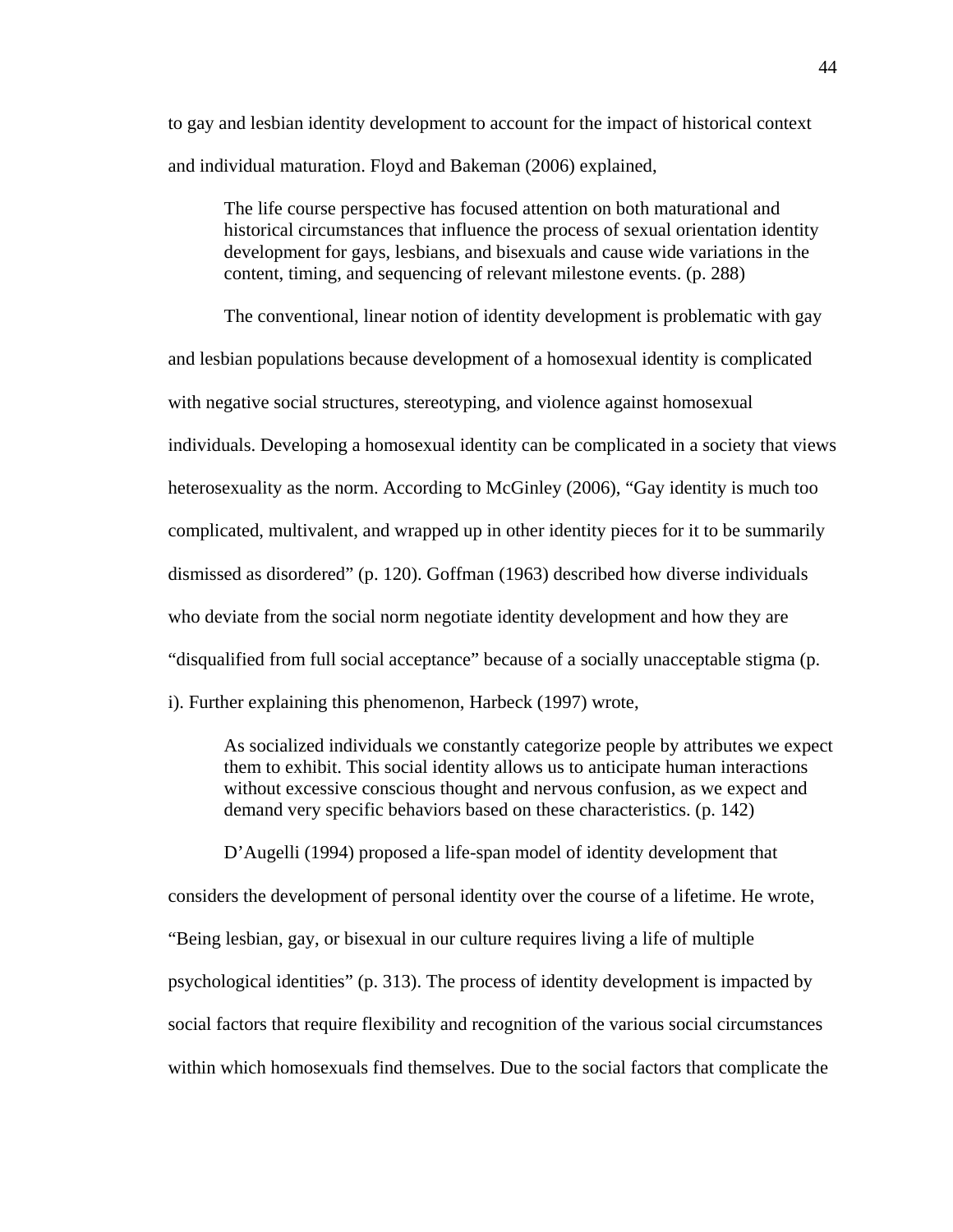to gay and lesbian identity development to account for the impact of historical context and individual maturation. Floyd and Bakeman (2006) explained,

The life course perspective has focused attention on both maturational and historical circumstances that influence the process of sexual orientation identity development for gays, lesbians, and bisexuals and cause wide variations in the content, timing, and sequencing of relevant milestone events. (p. 288)

 The conventional, linear notion of identity development is problematic with gay and lesbian populations because development of a homosexual identity is complicated with negative social structures, stereotyping, and violence against homosexual individuals. Developing a homosexual identity can be complicated in a society that views heterosexuality as the norm. According to McGinley (2006), "Gay identity is much too complicated, multivalent, and wrapped up in other identity pieces for it to be summarily dismissed as disordered" (p. 120). Goffman (1963) described how diverse individuals who deviate from the social norm negotiate identity development and how they are "disqualified from full social acceptance" because of a socially unacceptable stigma (p. i). Further explaining this phenomenon, Harbeck (1997) wrote,

As socialized individuals we constantly categorize people by attributes we expect them to exhibit. This social identity allows us to anticipate human interactions without excessive conscious thought and nervous confusion, as we expect and demand very specific behaviors based on these characteristics. (p. 142)

D'Augelli (1994) proposed a life-span model of identity development that considers the development of personal identity over the course of a lifetime. He wrote, "Being lesbian, gay, or bisexual in our culture requires living a life of multiple psychological identities" (p. 313). The process of identity development is impacted by social factors that require flexibility and recognition of the various social circumstances within which homosexuals find themselves. Due to the social factors that complicate the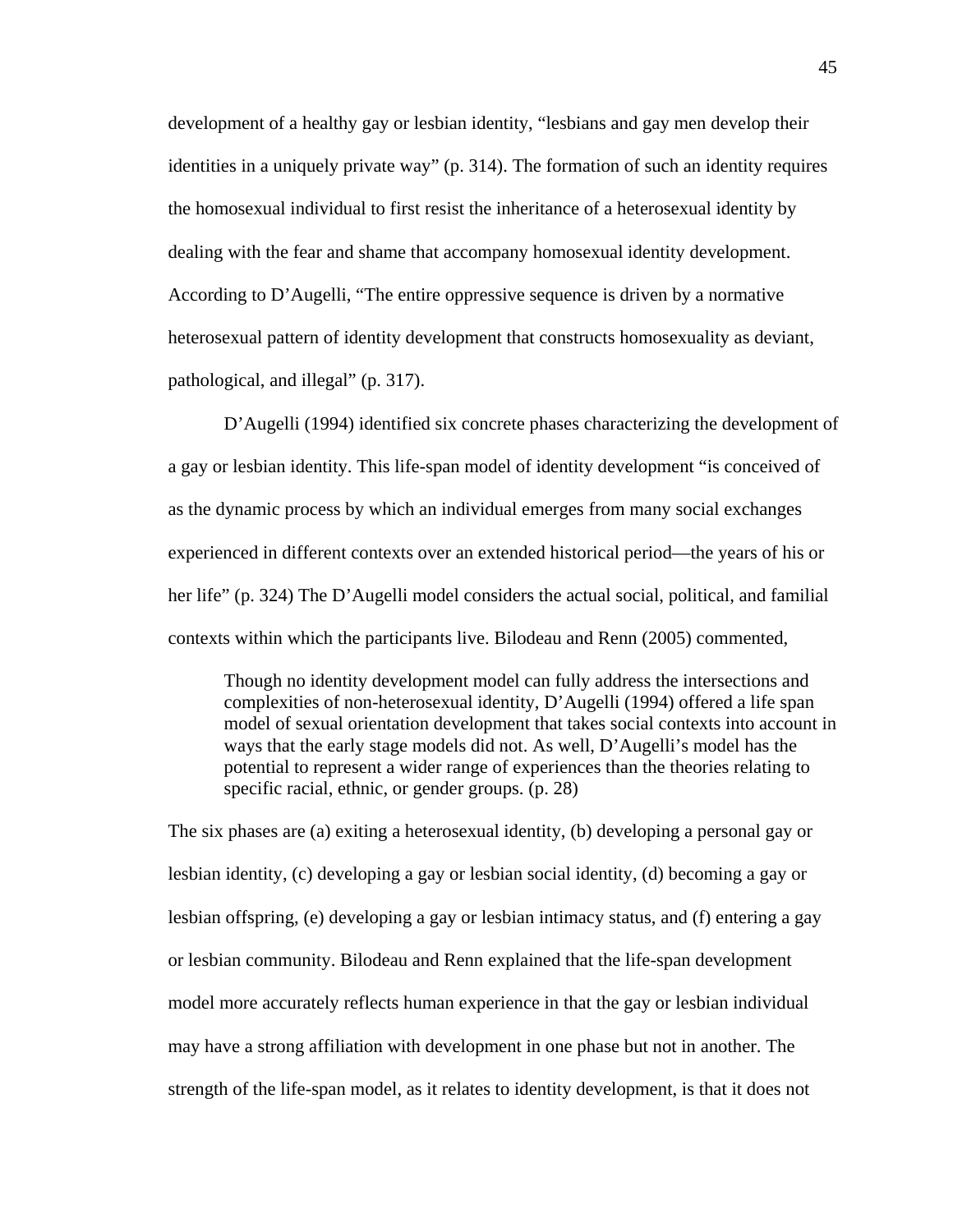development of a healthy gay or lesbian identity, "lesbians and gay men develop their identities in a uniquely private way" (p. 314). The formation of such an identity requires the homosexual individual to first resist the inheritance of a heterosexual identity by dealing with the fear and shame that accompany homosexual identity development. According to D'Augelli, "The entire oppressive sequence is driven by a normative heterosexual pattern of identity development that constructs homosexuality as deviant, pathological, and illegal" (p. 317).

D'Augelli (1994) identified six concrete phases characterizing the development of a gay or lesbian identity. This life-span model of identity development "is conceived of as the dynamic process by which an individual emerges from many social exchanges experienced in different contexts over an extended historical period—the years of his or her life" (p. 324) The D'Augelli model considers the actual social, political, and familial contexts within which the participants live. Bilodeau and Renn (2005) commented,

Though no identity development model can fully address the intersections and complexities of non-heterosexual identity, D'Augelli (1994) offered a life span model of sexual orientation development that takes social contexts into account in ways that the early stage models did not. As well, D'Augelli's model has the potential to represent a wider range of experiences than the theories relating to specific racial, ethnic, or gender groups. (p. 28)

The six phases are (a) exiting a heterosexual identity, (b) developing a personal gay or lesbian identity, (c) developing a gay or lesbian social identity, (d) becoming a gay or lesbian offspring, (e) developing a gay or lesbian intimacy status, and (f) entering a gay or lesbian community. Bilodeau and Renn explained that the life-span development model more accurately reflects human experience in that the gay or lesbian individual may have a strong affiliation with development in one phase but not in another. The strength of the life-span model, as it relates to identity development, is that it does not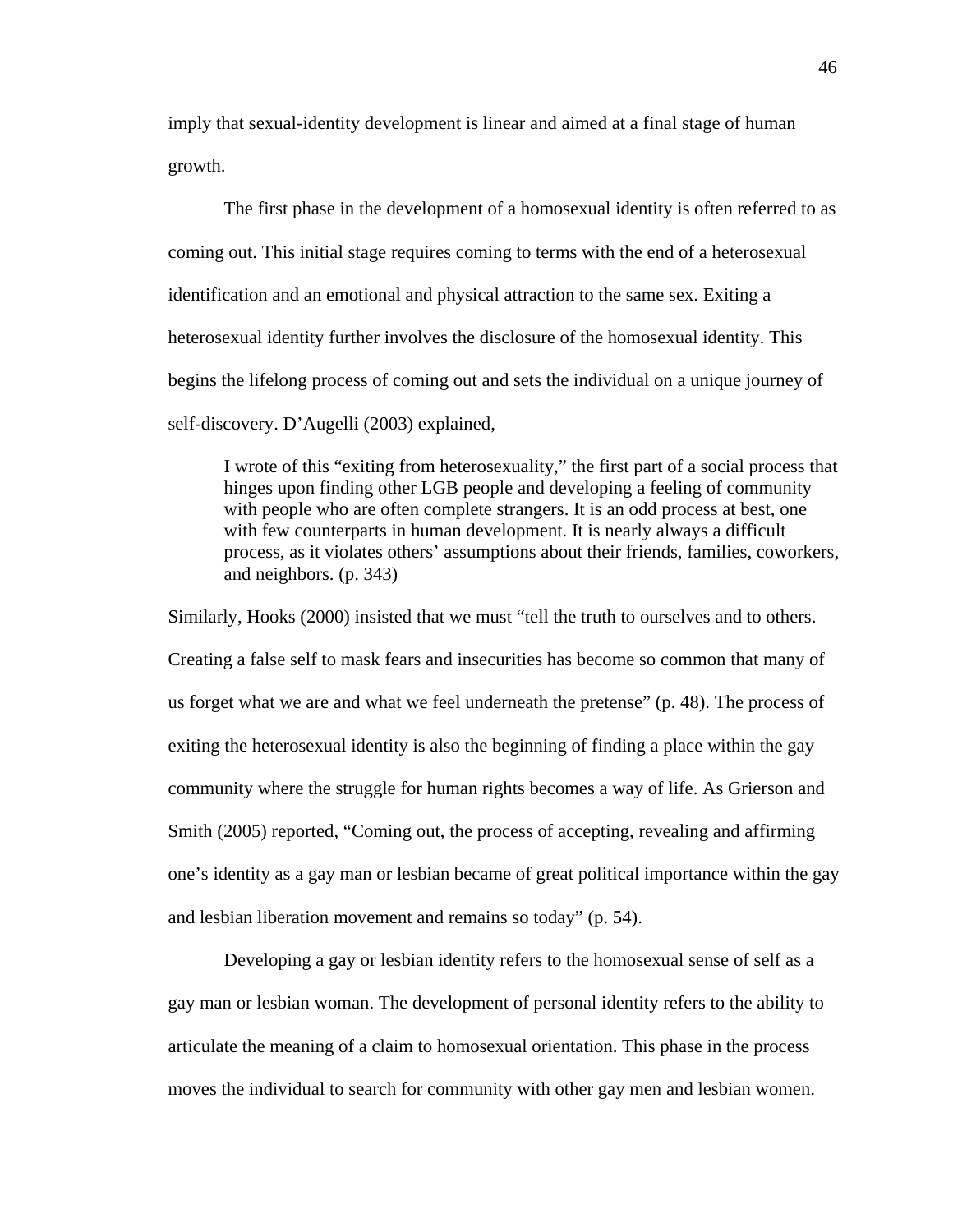imply that sexual-identity development is linear and aimed at a final stage of human growth.

 The first phase in the development of a homosexual identity is often referred to as coming out. This initial stage requires coming to terms with the end of a heterosexual identification and an emotional and physical attraction to the same sex. Exiting a heterosexual identity further involves the disclosure of the homosexual identity. This begins the lifelong process of coming out and sets the individual on a unique journey of self-discovery. D'Augelli (2003) explained,

I wrote of this "exiting from heterosexuality," the first part of a social process that hinges upon finding other LGB people and developing a feeling of community with people who are often complete strangers. It is an odd process at best, one with few counterparts in human development. It is nearly always a difficult process, as it violates others' assumptions about their friends, families, coworkers, and neighbors. (p. 343)

Similarly, Hooks (2000) insisted that we must "tell the truth to ourselves and to others. Creating a false self to mask fears and insecurities has become so common that many of us forget what we are and what we feel underneath the pretense" (p. 48). The process of exiting the heterosexual identity is also the beginning of finding a place within the gay community where the struggle for human rights becomes a way of life. As Grierson and Smith (2005) reported, "Coming out, the process of accepting, revealing and affirming one's identity as a gay man or lesbian became of great political importance within the gay and lesbian liberation movement and remains so today" (p. 54).

 Developing a gay or lesbian identity refers to the homosexual sense of self as a gay man or lesbian woman. The development of personal identity refers to the ability to articulate the meaning of a claim to homosexual orientation. This phase in the process moves the individual to search for community with other gay men and lesbian women.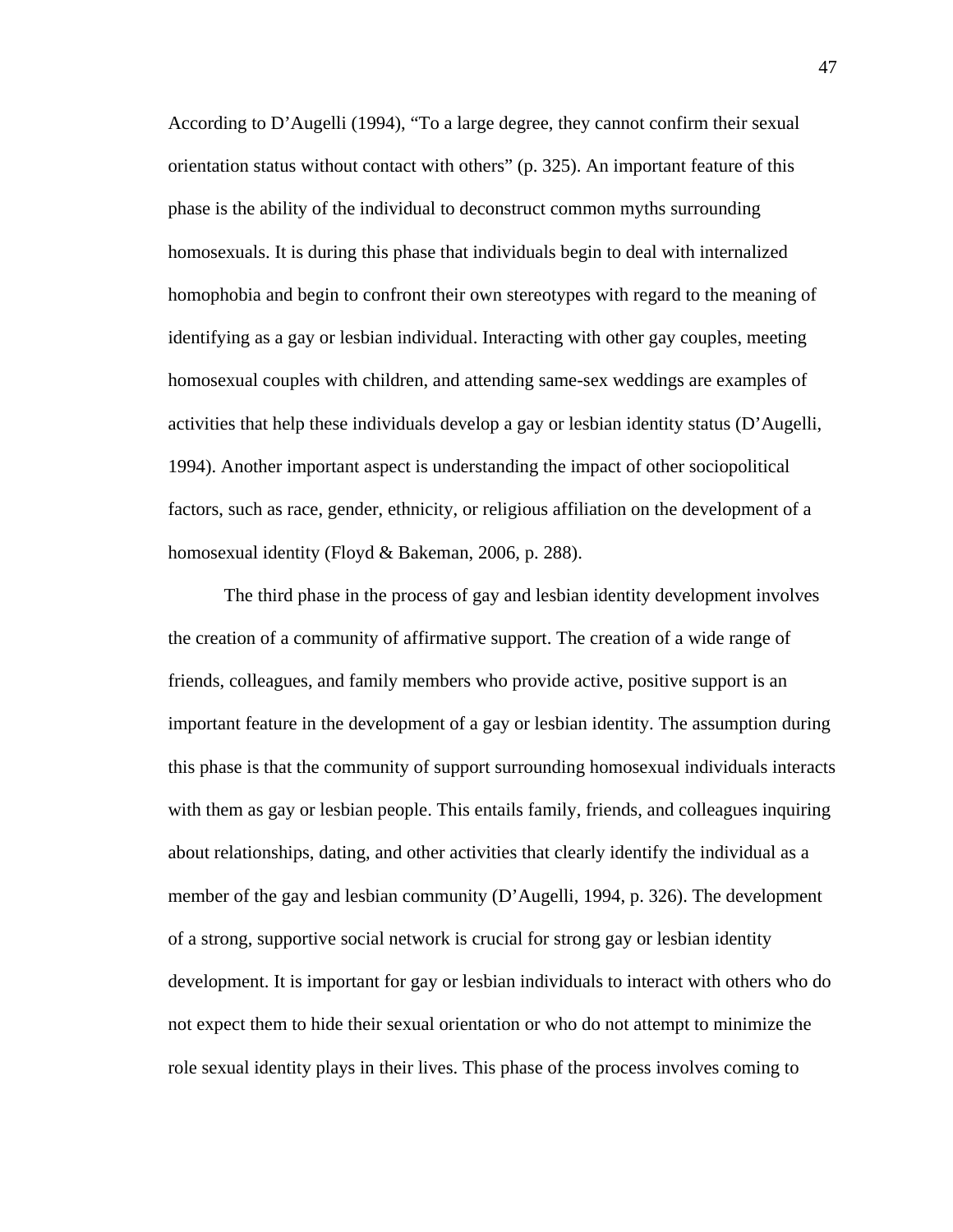According to D'Augelli (1994), "To a large degree, they cannot confirm their sexual orientation status without contact with others" (p. 325). An important feature of this phase is the ability of the individual to deconstruct common myths surrounding homosexuals. It is during this phase that individuals begin to deal with internalized homophobia and begin to confront their own stereotypes with regard to the meaning of identifying as a gay or lesbian individual. Interacting with other gay couples, meeting homosexual couples with children, and attending same-sex weddings are examples of activities that help these individuals develop a gay or lesbian identity status (D'Augelli, 1994). Another important aspect is understanding the impact of other sociopolitical factors, such as race, gender, ethnicity, or religious affiliation on the development of a homosexual identity (Floyd & Bakeman, 2006, p. 288).

 The third phase in the process of gay and lesbian identity development involves the creation of a community of affirmative support. The creation of a wide range of friends, colleagues, and family members who provide active, positive support is an important feature in the development of a gay or lesbian identity. The assumption during this phase is that the community of support surrounding homosexual individuals interacts with them as gay or lesbian people. This entails family, friends, and colleagues inquiring about relationships, dating, and other activities that clearly identify the individual as a member of the gay and lesbian community (D'Augelli, 1994, p. 326). The development of a strong, supportive social network is crucial for strong gay or lesbian identity development. It is important for gay or lesbian individuals to interact with others who do not expect them to hide their sexual orientation or who do not attempt to minimize the role sexual identity plays in their lives. This phase of the process involves coming to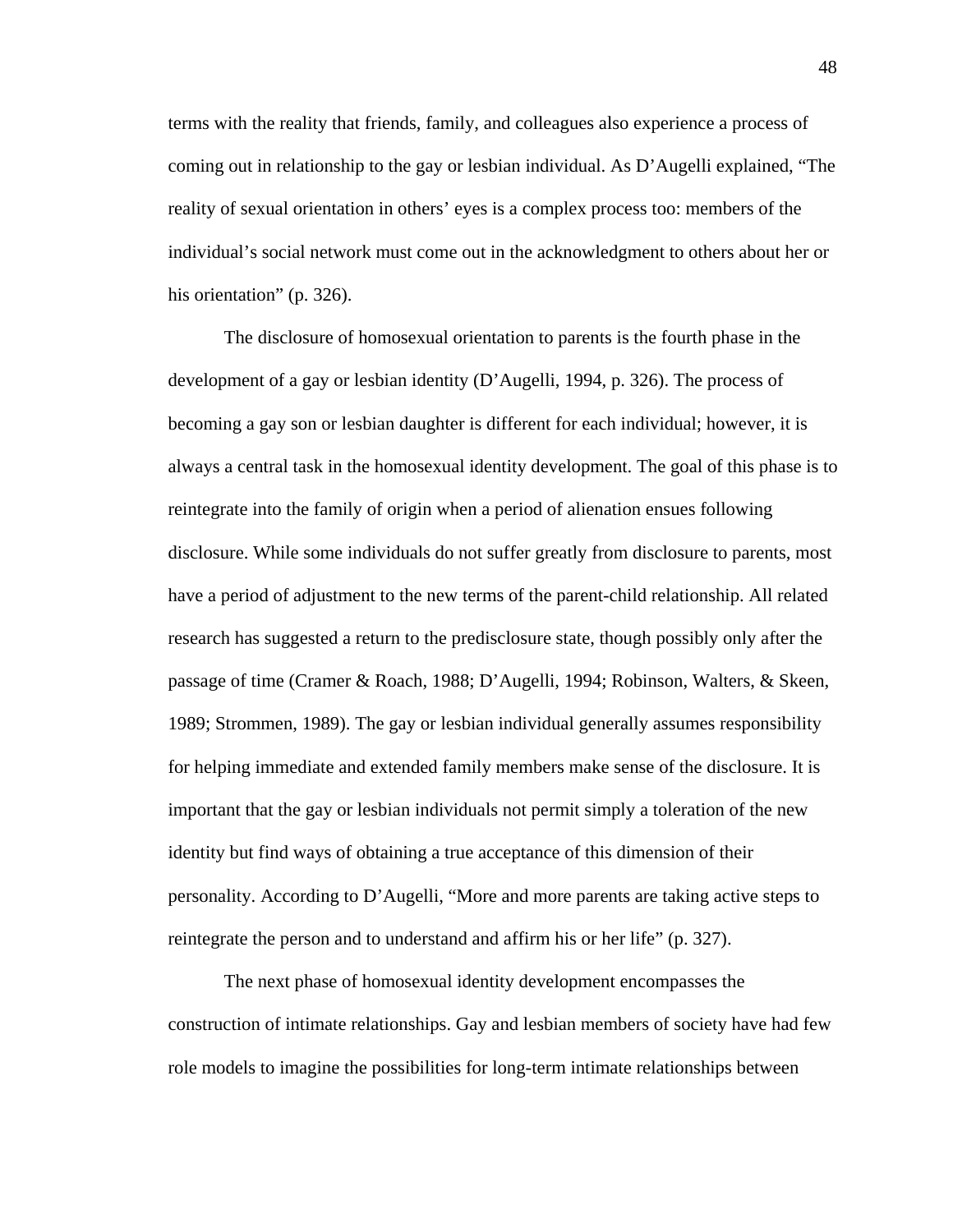terms with the reality that friends, family, and colleagues also experience a process of coming out in relationship to the gay or lesbian individual. As D'Augelli explained, "The reality of sexual orientation in others' eyes is a complex process too: members of the individual's social network must come out in the acknowledgment to others about her or his orientation" (p. 326).

 The disclosure of homosexual orientation to parents is the fourth phase in the development of a gay or lesbian identity (D'Augelli, 1994, p. 326). The process of becoming a gay son or lesbian daughter is different for each individual; however, it is always a central task in the homosexual identity development. The goal of this phase is to reintegrate into the family of origin when a period of alienation ensues following disclosure. While some individuals do not suffer greatly from disclosure to parents, most have a period of adjustment to the new terms of the parent-child relationship. All related research has suggested a return to the predisclosure state, though possibly only after the passage of time (Cramer & Roach, 1988; D'Augelli, 1994; Robinson, Walters, & Skeen, 1989; Strommen, 1989). The gay or lesbian individual generally assumes responsibility for helping immediate and extended family members make sense of the disclosure. It is important that the gay or lesbian individuals not permit simply a toleration of the new identity but find ways of obtaining a true acceptance of this dimension of their personality. According to D'Augelli, "More and more parents are taking active steps to reintegrate the person and to understand and affirm his or her life" (p. 327).

 The next phase of homosexual identity development encompasses the construction of intimate relationships. Gay and lesbian members of society have had few role models to imagine the possibilities for long-term intimate relationships between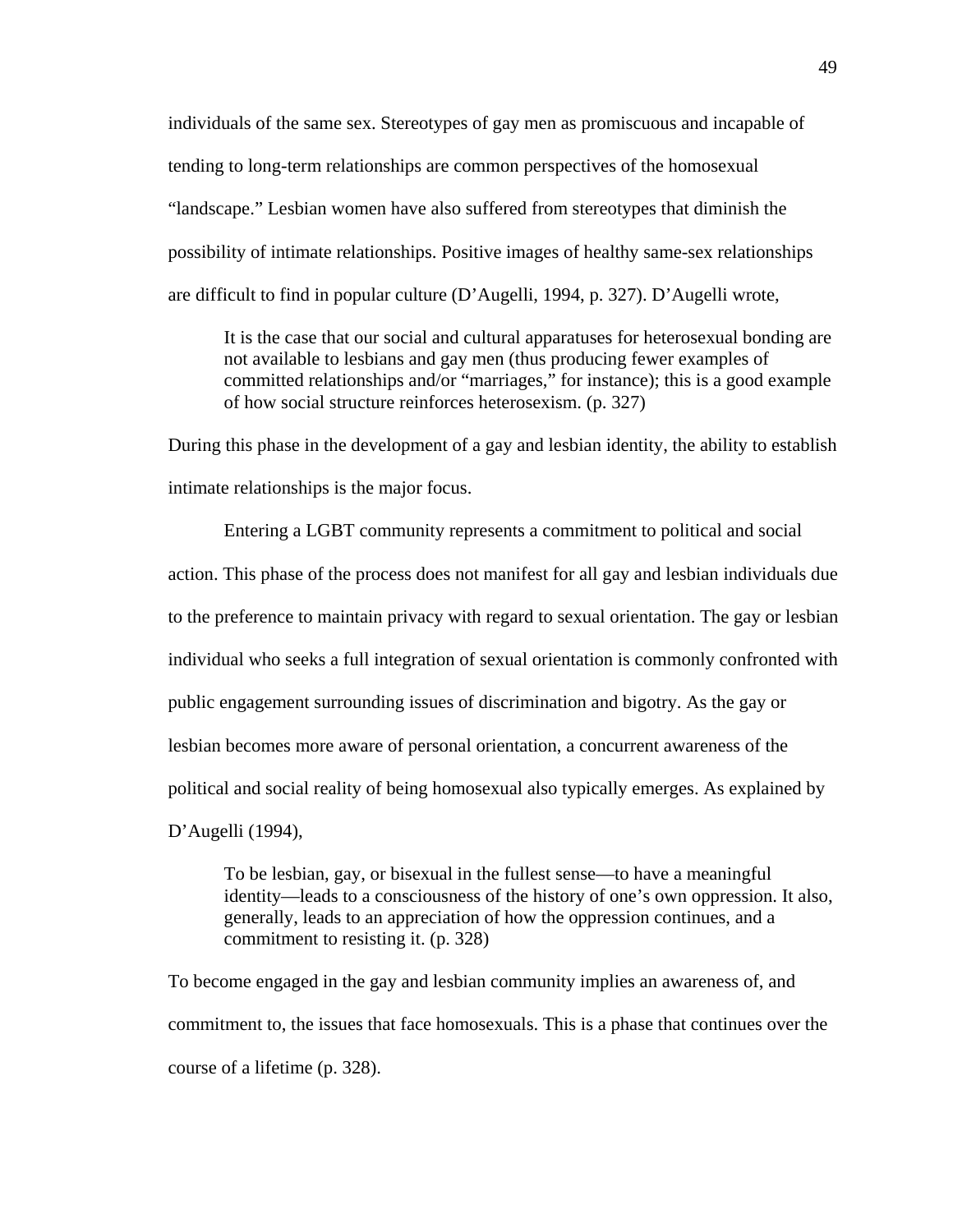individuals of the same sex. Stereotypes of gay men as promiscuous and incapable of tending to long-term relationships are common perspectives of the homosexual "landscape." Lesbian women have also suffered from stereotypes that diminish the possibility of intimate relationships. Positive images of healthy same-sex relationships are difficult to find in popular culture (D'Augelli, 1994, p. 327). D'Augelli wrote,

It is the case that our social and cultural apparatuses for heterosexual bonding are not available to lesbians and gay men (thus producing fewer examples of committed relationships and/or "marriages," for instance); this is a good example of how social structure reinforces heterosexism. (p. 327)

During this phase in the development of a gay and lesbian identity, the ability to establish intimate relationships is the major focus.

 Entering a LGBT community represents a commitment to political and social action. This phase of the process does not manifest for all gay and lesbian individuals due to the preference to maintain privacy with regard to sexual orientation. The gay or lesbian individual who seeks a full integration of sexual orientation is commonly confronted with public engagement surrounding issues of discrimination and bigotry. As the gay or lesbian becomes more aware of personal orientation, a concurrent awareness of the political and social reality of being homosexual also typically emerges. As explained by D'Augelli (1994),

To be lesbian, gay, or bisexual in the fullest sense—to have a meaningful identity—leads to a consciousness of the history of one's own oppression. It also, generally, leads to an appreciation of how the oppression continues, and a commitment to resisting it. (p. 328)

To become engaged in the gay and lesbian community implies an awareness of, and commitment to, the issues that face homosexuals. This is a phase that continues over the course of a lifetime (p. 328).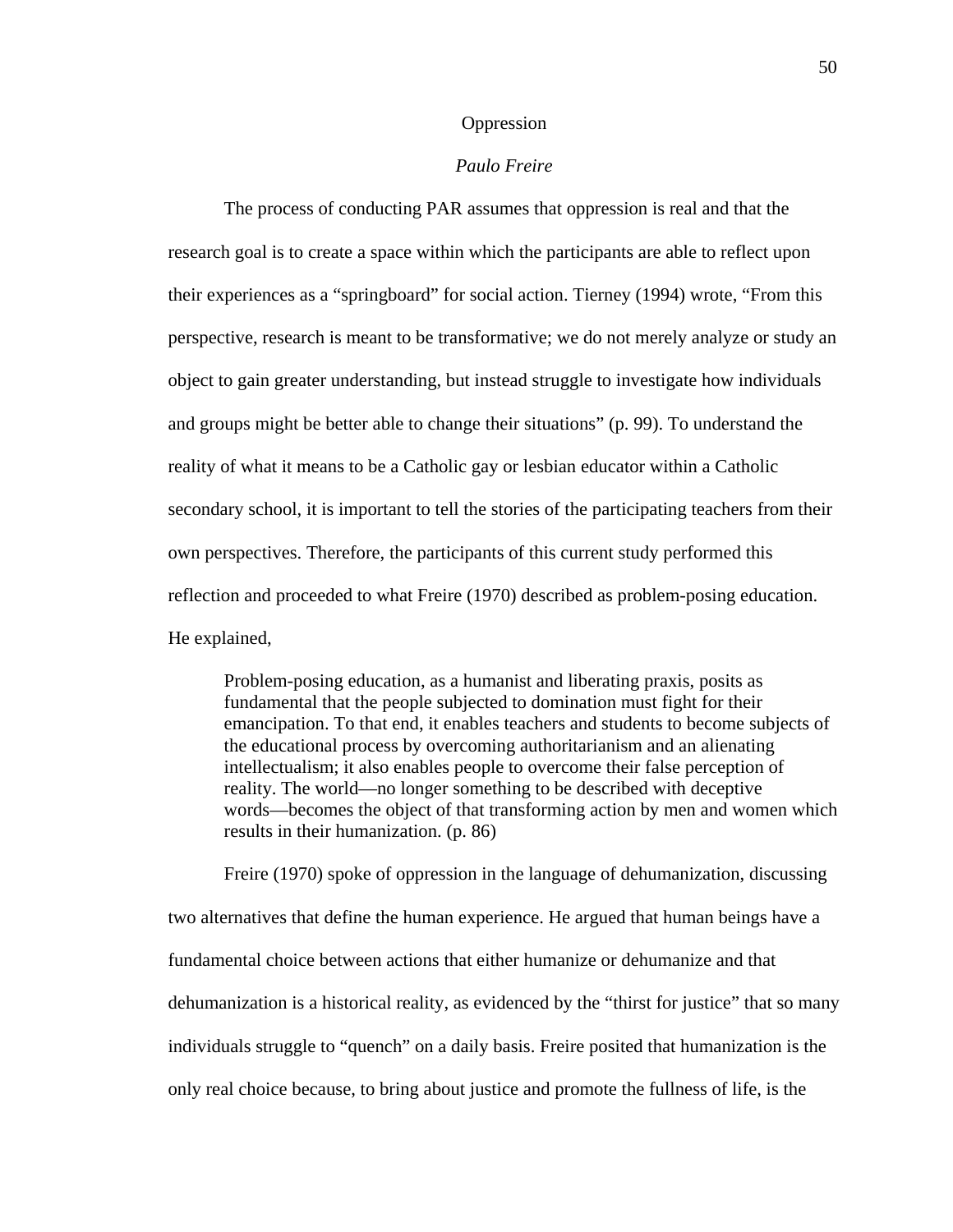## Oppression

### *Paulo Freire*

The process of conducting PAR assumes that oppression is real and that the research goal is to create a space within which the participants are able to reflect upon their experiences as a "springboard" for social action. Tierney (1994) wrote, "From this perspective, research is meant to be transformative; we do not merely analyze or study an object to gain greater understanding, but instead struggle to investigate how individuals and groups might be better able to change their situations" (p. 99). To understand the reality of what it means to be a Catholic gay or lesbian educator within a Catholic secondary school, it is important to tell the stories of the participating teachers from their own perspectives. Therefore, the participants of this current study performed this reflection and proceeded to what Freire (1970) described as problem-posing education. He explained,

Problem-posing education, as a humanist and liberating praxis, posits as fundamental that the people subjected to domination must fight for their emancipation. To that end, it enables teachers and students to become subjects of the educational process by overcoming authoritarianism and an alienating intellectualism; it also enables people to overcome their false perception of reality. The world—no longer something to be described with deceptive words—becomes the object of that transforming action by men and women which results in their humanization. (p. 86)

Freire (1970) spoke of oppression in the language of dehumanization, discussing two alternatives that define the human experience. He argued that human beings have a fundamental choice between actions that either humanize or dehumanize and that dehumanization is a historical reality, as evidenced by the "thirst for justice" that so many individuals struggle to "quench" on a daily basis. Freire posited that humanization is the only real choice because, to bring about justice and promote the fullness of life, is the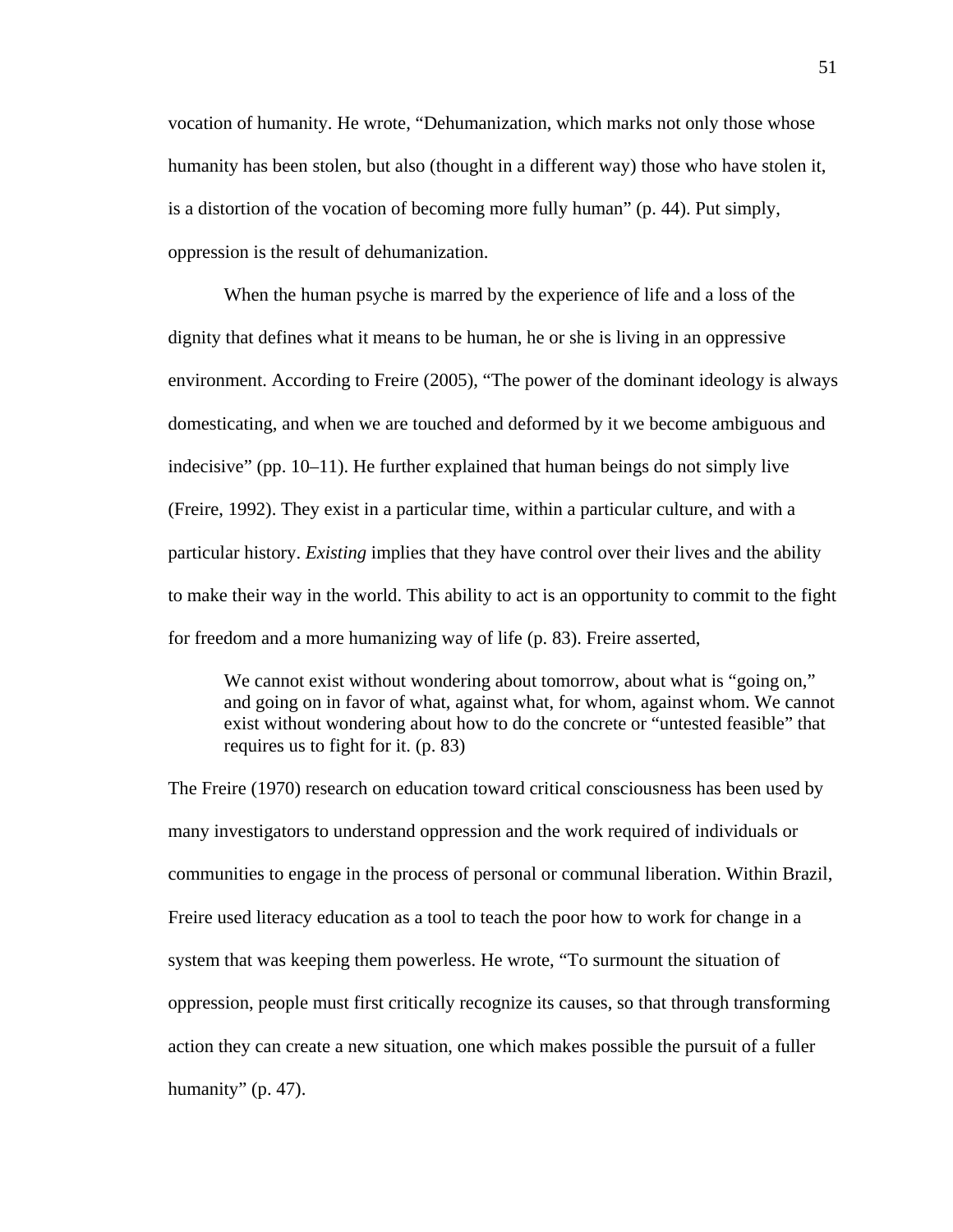vocation of humanity. He wrote, "Dehumanization, which marks not only those whose humanity has been stolen, but also (thought in a different way) those who have stolen it, is a distortion of the vocation of becoming more fully human" (p. 44). Put simply, oppression is the result of dehumanization.

When the human psyche is marred by the experience of life and a loss of the dignity that defines what it means to be human, he or she is living in an oppressive environment. According to Freire (2005), "The power of the dominant ideology is always domesticating, and when we are touched and deformed by it we become ambiguous and indecisive" (pp.  $10-11$ ). He further explained that human beings do not simply live (Freire, 1992). They exist in a particular time, within a particular culture, and with a particular history. *Existing* implies that they have control over their lives and the ability to make their way in the world. This ability to act is an opportunity to commit to the fight for freedom and a more humanizing way of life (p. 83). Freire asserted,

We cannot exist without wondering about tomorrow, about what is "going on," and going on in favor of what, against what, for whom, against whom. We cannot exist without wondering about how to do the concrete or "untested feasible" that requires us to fight for it. (p. 83)

The Freire (1970) research on education toward critical consciousness has been used by many investigators to understand oppression and the work required of individuals or communities to engage in the process of personal or communal liberation. Within Brazil, Freire used literacy education as a tool to teach the poor how to work for change in a system that was keeping them powerless. He wrote, "To surmount the situation of oppression, people must first critically recognize its causes, so that through transforming action they can create a new situation, one which makes possible the pursuit of a fuller humanity" (p. 47).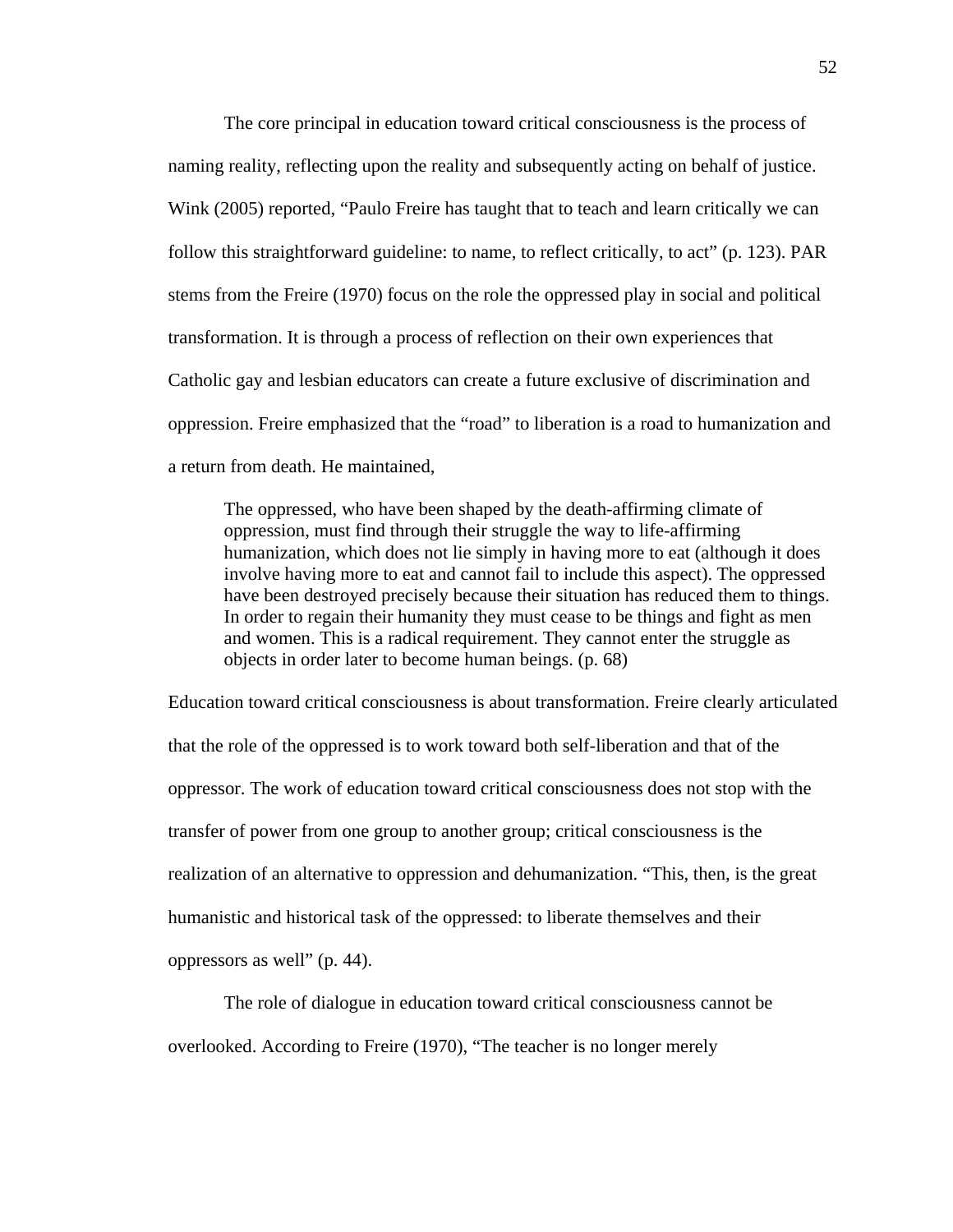The core principal in education toward critical consciousness is the process of naming reality, reflecting upon the reality and subsequently acting on behalf of justice. Wink (2005) reported, "Paulo Freire has taught that to teach and learn critically we can follow this straightforward guideline: to name, to reflect critically, to act" (p. 123). PAR stems from the Freire (1970) focus on the role the oppressed play in social and political transformation. It is through a process of reflection on their own experiences that Catholic gay and lesbian educators can create a future exclusive of discrimination and oppression. Freire emphasized that the "road" to liberation is a road to humanization and a return from death. He maintained,

The oppressed, who have been shaped by the death-affirming climate of oppression, must find through their struggle the way to life-affirming humanization, which does not lie simply in having more to eat (although it does involve having more to eat and cannot fail to include this aspect). The oppressed have been destroyed precisely because their situation has reduced them to things. In order to regain their humanity they must cease to be things and fight as men and women. This is a radical requirement. They cannot enter the struggle as objects in order later to become human beings. (p. 68)

Education toward critical consciousness is about transformation. Freire clearly articulated that the role of the oppressed is to work toward both self-liberation and that of the oppressor. The work of education toward critical consciousness does not stop with the transfer of power from one group to another group; critical consciousness is the realization of an alternative to oppression and dehumanization. "This, then, is the great humanistic and historical task of the oppressed: to liberate themselves and their oppressors as well" (p. 44).

 The role of dialogue in education toward critical consciousness cannot be overlooked. According to Freire (1970), "The teacher is no longer merely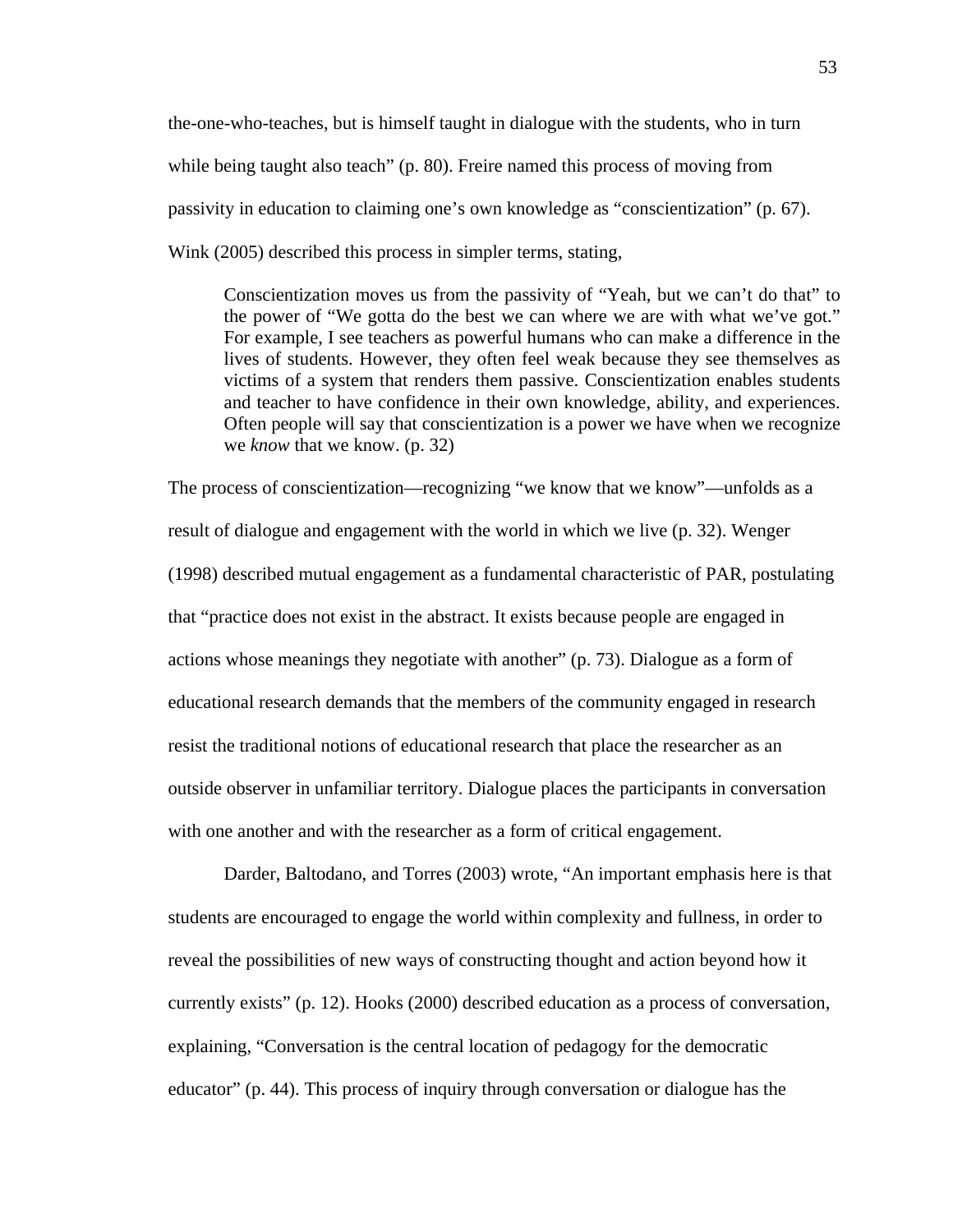the-one-who-teaches, but is himself taught in dialogue with the students, who in turn while being taught also teach" (p. 80). Freire named this process of moving from passivity in education to claiming one's own knowledge as "conscientization" (p. 67). Wink (2005) described this process in simpler terms, stating,

Conscientization moves us from the passivity of "Yeah, but we can't do that" to the power of "We gotta do the best we can where we are with what we've got." For example, I see teachers as powerful humans who can make a difference in the lives of students. However, they often feel weak because they see themselves as victims of a system that renders them passive. Conscientization enables students and teacher to have confidence in their own knowledge, ability, and experiences. Often people will say that conscientization is a power we have when we recognize we *know* that we know. (p. 32)

The process of conscientization—recognizing "we know that we know"—unfolds as a result of dialogue and engagement with the world in which we live (p. 32). Wenger (1998) described mutual engagement as a fundamental characteristic of PAR, postulating that "practice does not exist in the abstract. It exists because people are engaged in actions whose meanings they negotiate with another" (p. 73). Dialogue as a form of educational research demands that the members of the community engaged in research resist the traditional notions of educational research that place the researcher as an outside observer in unfamiliar territory. Dialogue places the participants in conversation with one another and with the researcher as a form of critical engagement.

 Darder, Baltodano, and Torres (2003) wrote, "An important emphasis here is that students are encouraged to engage the world within complexity and fullness, in order to reveal the possibilities of new ways of constructing thought and action beyond how it currently exists" (p. 12). Hooks (2000) described education as a process of conversation, explaining, "Conversation is the central location of pedagogy for the democratic educator" (p. 44). This process of inquiry through conversation or dialogue has the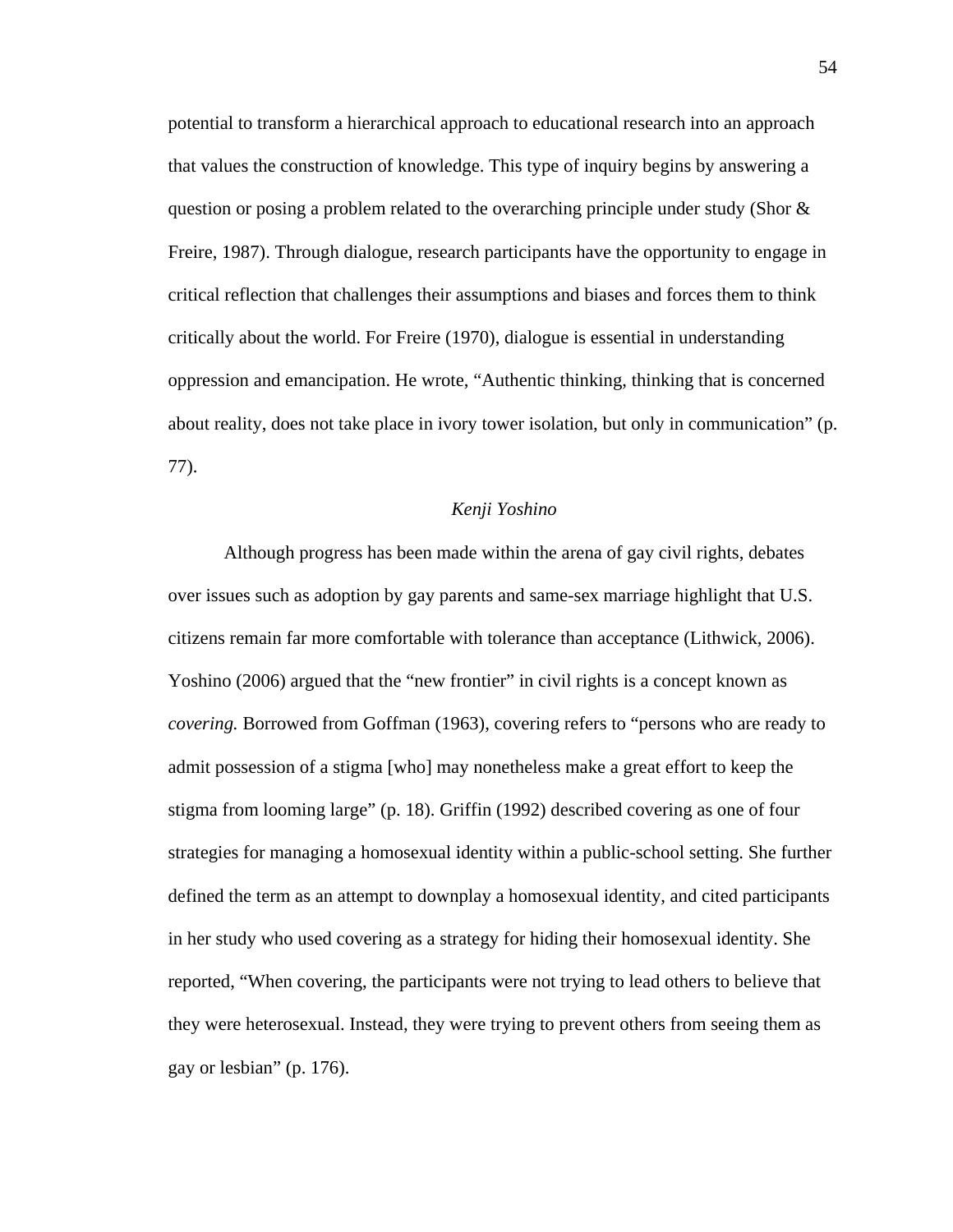potential to transform a hierarchical approach to educational research into an approach that values the construction of knowledge. This type of inquiry begins by answering a question or posing a problem related to the overarching principle under study (Shor  $\&$ Freire, 1987). Through dialogue, research participants have the opportunity to engage in critical reflection that challenges their assumptions and biases and forces them to think critically about the world. For Freire (1970), dialogue is essential in understanding oppression and emancipation. He wrote, "Authentic thinking, thinking that is concerned about reality, does not take place in ivory tower isolation, but only in communication" (p. 77).

#### *Kenji Yoshino*

Although progress has been made within the arena of gay civil rights, debates over issues such as adoption by gay parents and same-sex marriage highlight that U.S. citizens remain far more comfortable with tolerance than acceptance (Lithwick, 2006). Yoshino (2006) argued that the "new frontier" in civil rights is a concept known as *covering.* Borrowed from Goffman (1963), covering refers to "persons who are ready to admit possession of a stigma [who] may nonetheless make a great effort to keep the stigma from looming large" (p. 18). Griffin (1992) described covering as one of four strategies for managing a homosexual identity within a public-school setting. She further defined the term as an attempt to downplay a homosexual identity, and cited participants in her study who used covering as a strategy for hiding their homosexual identity. She reported, "When covering, the participants were not trying to lead others to believe that they were heterosexual. Instead, they were trying to prevent others from seeing them as gay or lesbian" (p. 176).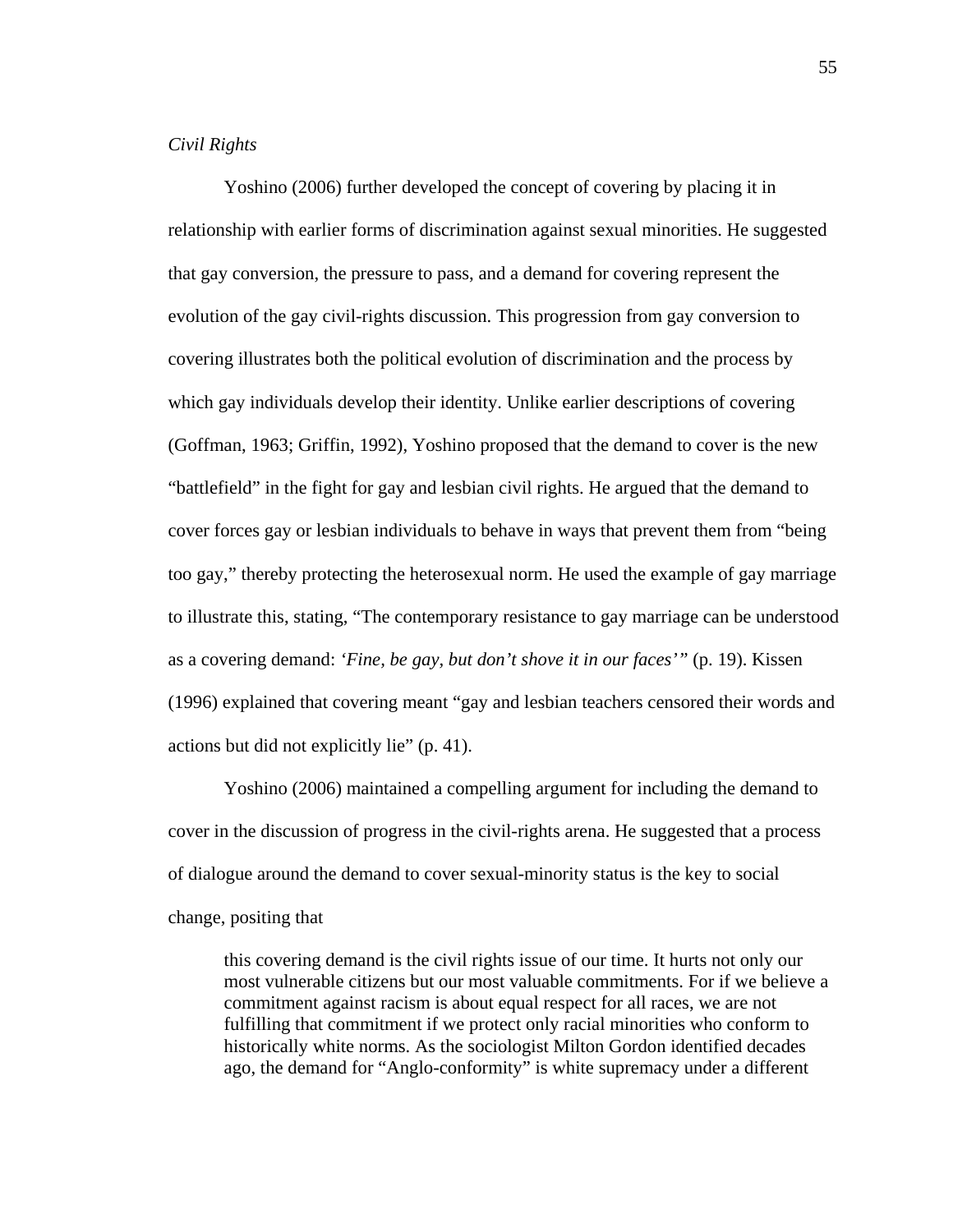# *Civil Rights*

Yoshino (2006) further developed the concept of covering by placing it in relationship with earlier forms of discrimination against sexual minorities. He suggested that gay conversion, the pressure to pass, and a demand for covering represent the evolution of the gay civil-rights discussion. This progression from gay conversion to covering illustrates both the political evolution of discrimination and the process by which gay individuals develop their identity. Unlike earlier descriptions of covering (Goffman, 1963; Griffin, 1992), Yoshino proposed that the demand to cover is the new "battlefield" in the fight for gay and lesbian civil rights. He argued that the demand to cover forces gay or lesbian individuals to behave in ways that prevent them from "being too gay," thereby protecting the heterosexual norm. He used the example of gay marriage to illustrate this, stating, "The contemporary resistance to gay marriage can be understood as a covering demand: *'Fine, be gay, but don't shove it in our faces'"* (p. 19). Kissen (1996) explained that covering meant "gay and lesbian teachers censored their words and actions but did not explicitly lie" (p. 41).

 Yoshino (2006) maintained a compelling argument for including the demand to cover in the discussion of progress in the civil-rights arena. He suggested that a process of dialogue around the demand to cover sexual-minority status is the key to social change, positing that

this covering demand is the civil rights issue of our time. It hurts not only our most vulnerable citizens but our most valuable commitments. For if we believe a commitment against racism is about equal respect for all races, we are not fulfilling that commitment if we protect only racial minorities who conform to historically white norms. As the sociologist Milton Gordon identified decades ago, the demand for "Anglo-conformity" is white supremacy under a different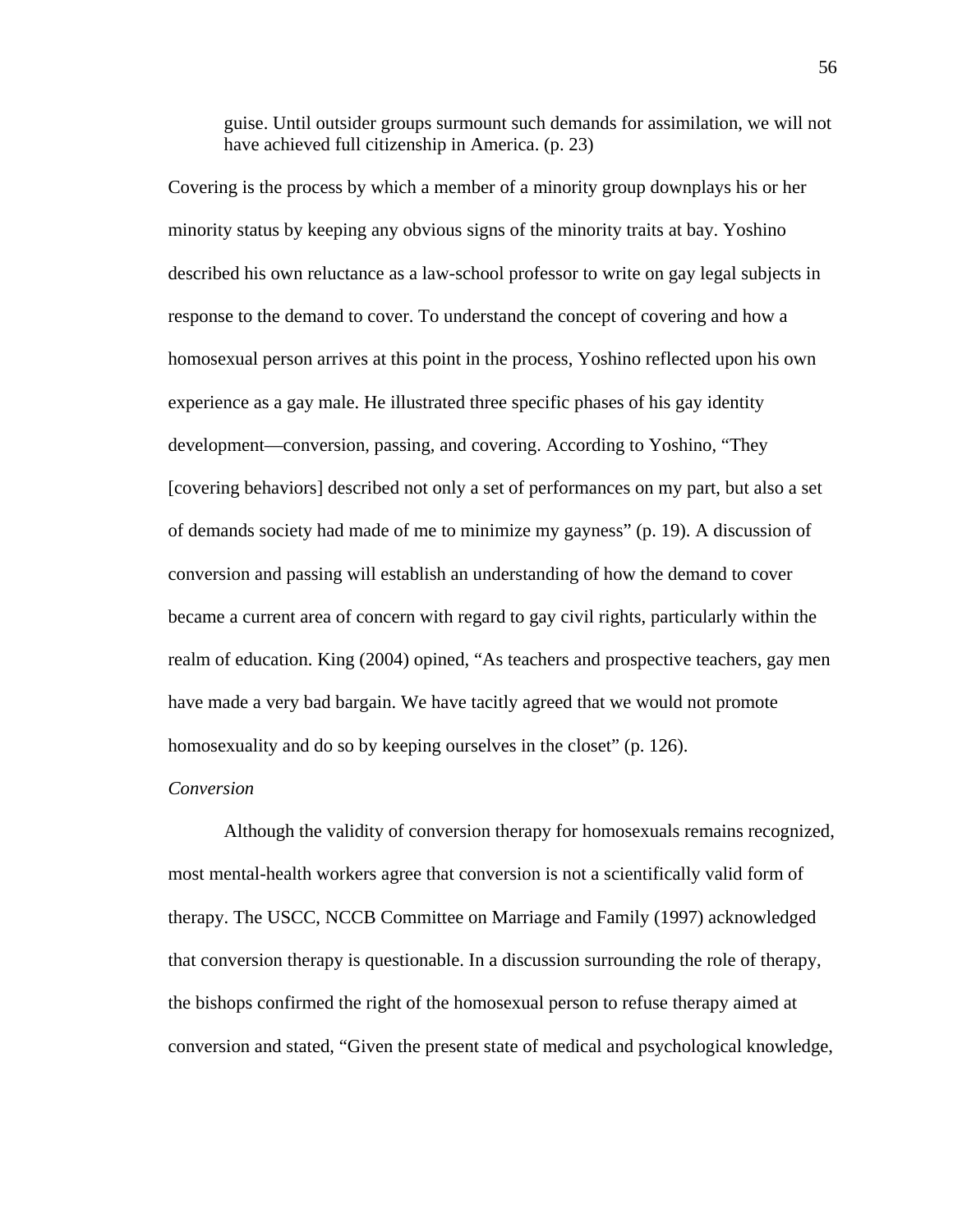guise. Until outsider groups surmount such demands for assimilation, we will not have achieved full citizenship in America. (p. 23)

Covering is the process by which a member of a minority group downplays his or her minority status by keeping any obvious signs of the minority traits at bay. Yoshino described his own reluctance as a law-school professor to write on gay legal subjects in response to the demand to cover. To understand the concept of covering and how a homosexual person arrives at this point in the process, Yoshino reflected upon his own experience as a gay male. He illustrated three specific phases of his gay identity development—conversion, passing, and covering. According to Yoshino, "They [covering behaviors] described not only a set of performances on my part, but also a set of demands society had made of me to minimize my gayness" (p. 19). A discussion of conversion and passing will establish an understanding of how the demand to cover became a current area of concern with regard to gay civil rights, particularly within the realm of education. King (2004) opined, "As teachers and prospective teachers, gay men have made a very bad bargain. We have tacitly agreed that we would not promote homosexuality and do so by keeping ourselves in the closet" (p. 126).

### *Conversion*

Although the validity of conversion therapy for homosexuals remains recognized, most mental-health workers agree that conversion is not a scientifically valid form of therapy. The USCC, NCCB Committee on Marriage and Family (1997) acknowledged that conversion therapy is questionable. In a discussion surrounding the role of therapy, the bishops confirmed the right of the homosexual person to refuse therapy aimed at conversion and stated, "Given the present state of medical and psychological knowledge,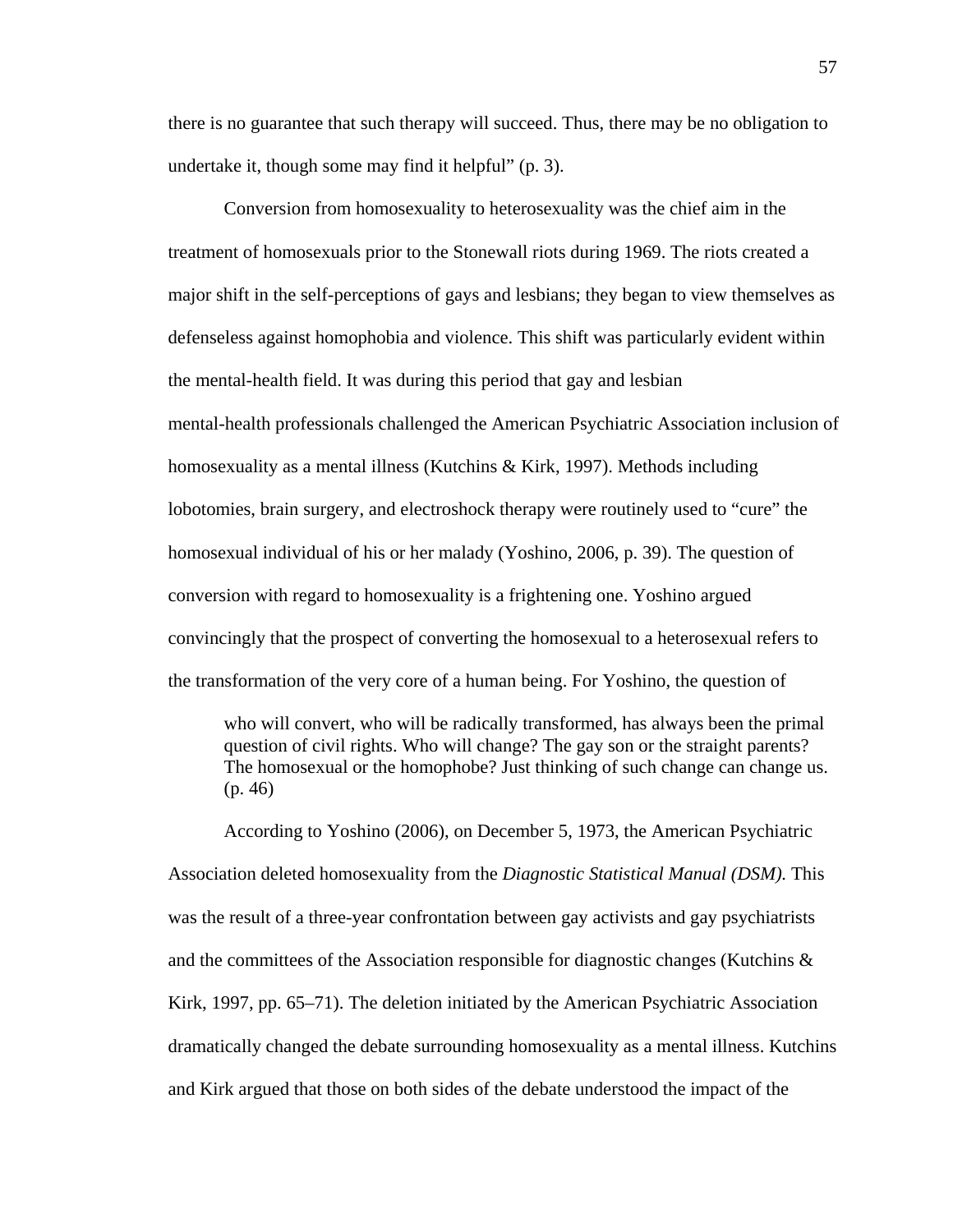there is no guarantee that such therapy will succeed. Thus, there may be no obligation to undertake it, though some may find it helpful" (p. 3).

 Conversion from homosexuality to heterosexuality was the chief aim in the treatment of homosexuals prior to the Stonewall riots during 1969. The riots created a major shift in the self-perceptions of gays and lesbians; they began to view themselves as defenseless against homophobia and violence. This shift was particularly evident within the mental-health field. It was during this period that gay and lesbian mental-health professionals challenged the American Psychiatric Association inclusion of homosexuality as a mental illness (Kutchins & Kirk, 1997). Methods including lobotomies, brain surgery, and electroshock therapy were routinely used to "cure" the homosexual individual of his or her malady (Yoshino, 2006, p. 39). The question of conversion with regard to homosexuality is a frightening one. Yoshino argued convincingly that the prospect of converting the homosexual to a heterosexual refers to the transformation of the very core of a human being. For Yoshino, the question of

who will convert, who will be radically transformed, has always been the primal question of civil rights. Who will change? The gay son or the straight parents? The homosexual or the homophobe? Just thinking of such change can change us. (p. 46)

According to Yoshino (2006), on December 5, 1973, the American Psychiatric Association deleted homosexuality from the *Diagnostic Statistical Manual (DSM).* This was the result of a three-year confrontation between gay activists and gay psychiatrists and the committees of the Association responsible for diagnostic changes (Kutchins  $\&$ Kirk, 1997, pp. 65–71). The deletion initiated by the American Psychiatric Association dramatically changed the debate surrounding homosexuality as a mental illness. Kutchins and Kirk argued that those on both sides of the debate understood the impact of the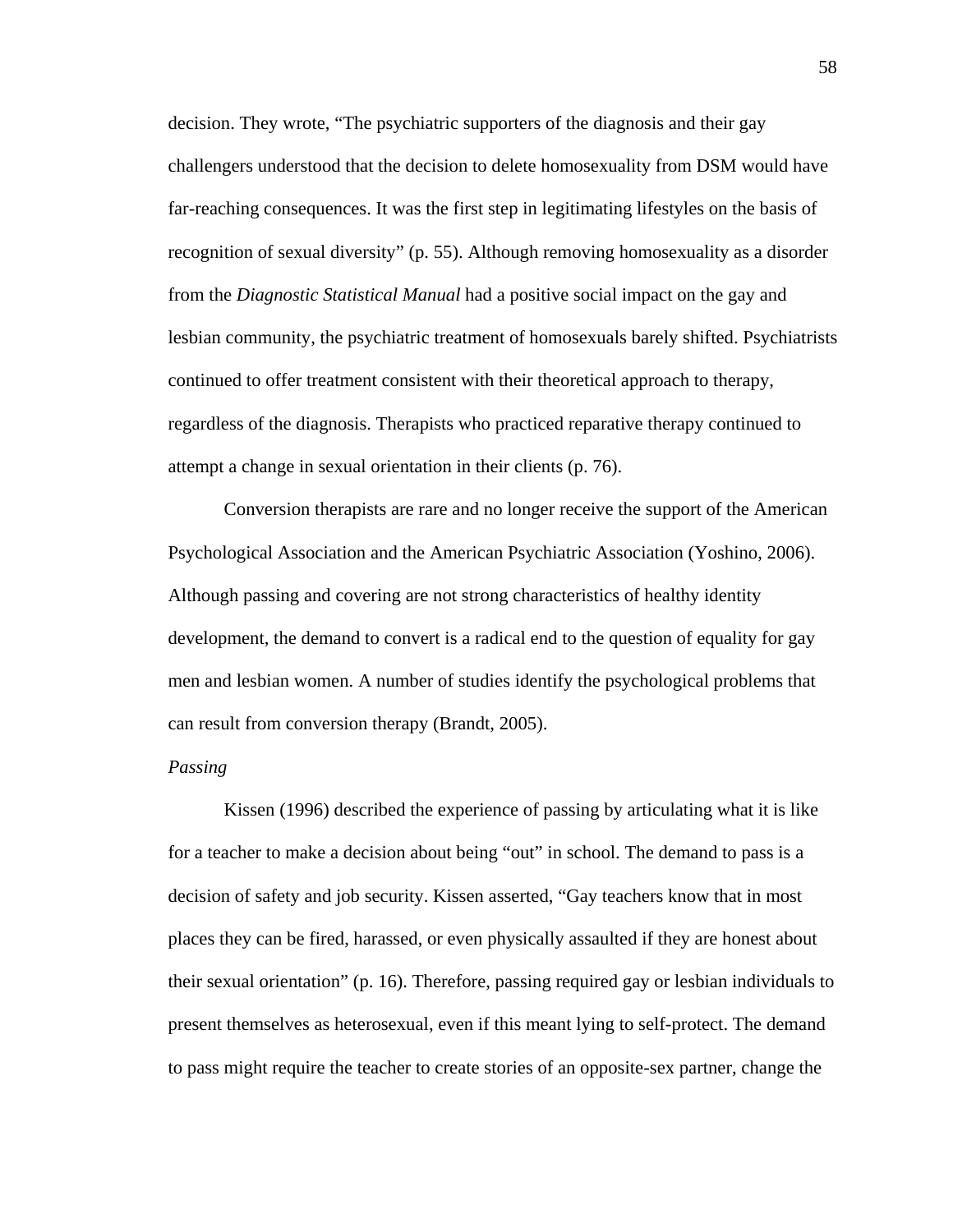decision. They wrote, "The psychiatric supporters of the diagnosis and their gay challengers understood that the decision to delete homosexuality from DSM would have far-reaching consequences. It was the first step in legitimating lifestyles on the basis of recognition of sexual diversity" (p. 55). Although removing homosexuality as a disorder from the *Diagnostic Statistical Manual* had a positive social impact on the gay and lesbian community, the psychiatric treatment of homosexuals barely shifted. Psychiatrists continued to offer treatment consistent with their theoretical approach to therapy, regardless of the diagnosis. Therapists who practiced reparative therapy continued to attempt a change in sexual orientation in their clients (p. 76).

Conversion therapists are rare and no longer receive the support of the American Psychological Association and the American Psychiatric Association (Yoshino, 2006). Although passing and covering are not strong characteristics of healthy identity development, the demand to convert is a radical end to the question of equality for gay men and lesbian women. A number of studies identify the psychological problems that can result from conversion therapy (Brandt, 2005).

#### *Passing*

 Kissen (1996) described the experience of passing by articulating what it is like for a teacher to make a decision about being "out" in school. The demand to pass is a decision of safety and job security. Kissen asserted, "Gay teachers know that in most places they can be fired, harassed, or even physically assaulted if they are honest about their sexual orientation" (p. 16). Therefore, passing required gay or lesbian individuals to present themselves as heterosexual, even if this meant lying to self-protect. The demand to pass might require the teacher to create stories of an opposite-sex partner, change the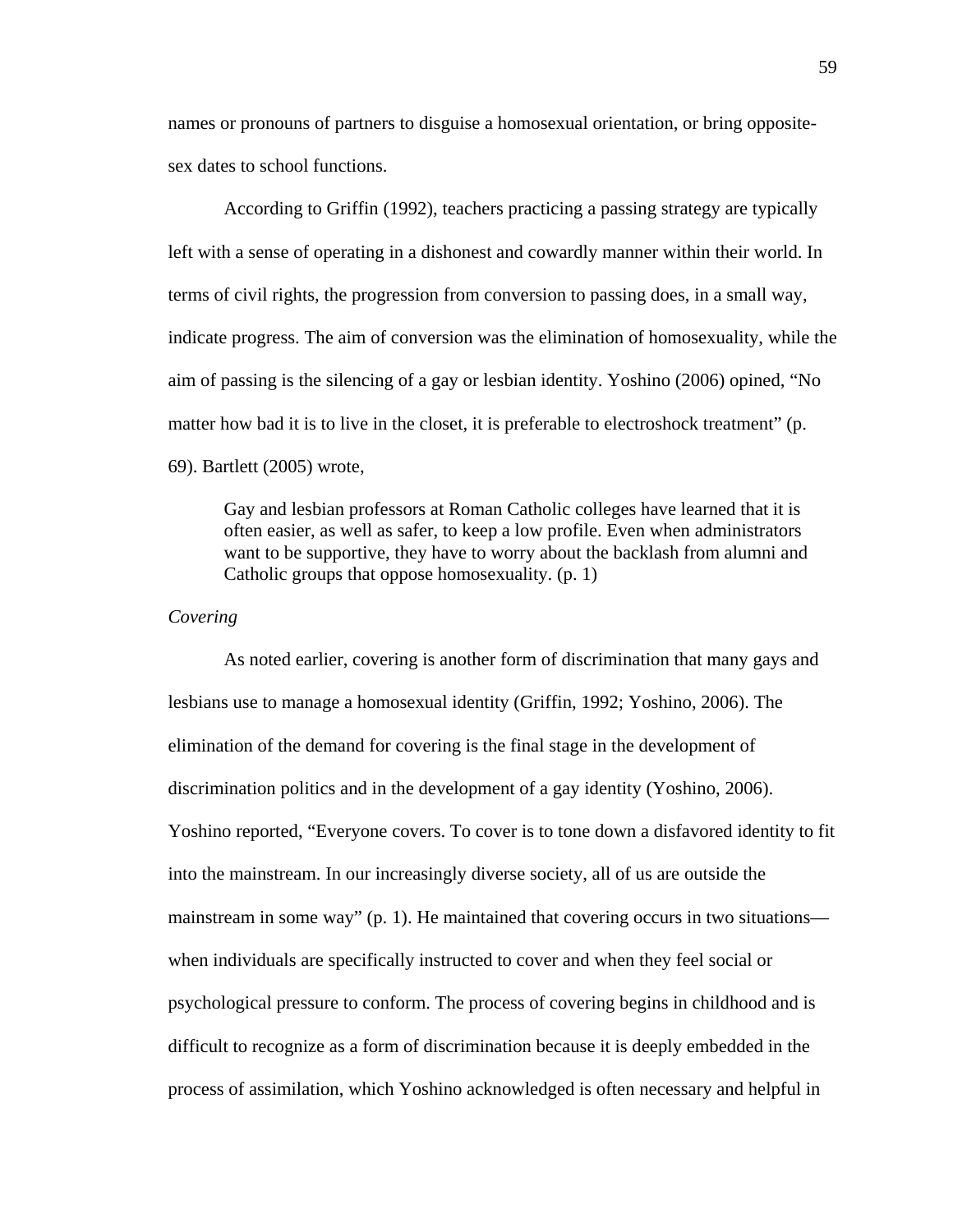names or pronouns of partners to disguise a homosexual orientation, or bring oppositesex dates to school functions.

 According to Griffin (1992), teachers practicing a passing strategy are typically left with a sense of operating in a dishonest and cowardly manner within their world. In terms of civil rights, the progression from conversion to passing does, in a small way, indicate progress. The aim of conversion was the elimination of homosexuality, while the aim of passing is the silencing of a gay or lesbian identity. Yoshino (2006) opined, "No matter how bad it is to live in the closet, it is preferable to electroshock treatment" (p. 69). Bartlett (2005) wrote,

Gay and lesbian professors at Roman Catholic colleges have learned that it is often easier, as well as safer, to keep a low profile. Even when administrators want to be supportive, they have to worry about the backlash from alumni and Catholic groups that oppose homosexuality. (p. 1)

# *Covering*

 As noted earlier, covering is another form of discrimination that many gays and lesbians use to manage a homosexual identity (Griffin, 1992; Yoshino, 2006). The elimination of the demand for covering is the final stage in the development of discrimination politics and in the development of a gay identity (Yoshino, 2006). Yoshino reported, "Everyone covers. To cover is to tone down a disfavored identity to fit into the mainstream. In our increasingly diverse society, all of us are outside the mainstream in some way" (p. 1). He maintained that covering occurs in two situations when individuals are specifically instructed to cover and when they feel social or psychological pressure to conform. The process of covering begins in childhood and is difficult to recognize as a form of discrimination because it is deeply embedded in the process of assimilation, which Yoshino acknowledged is often necessary and helpful in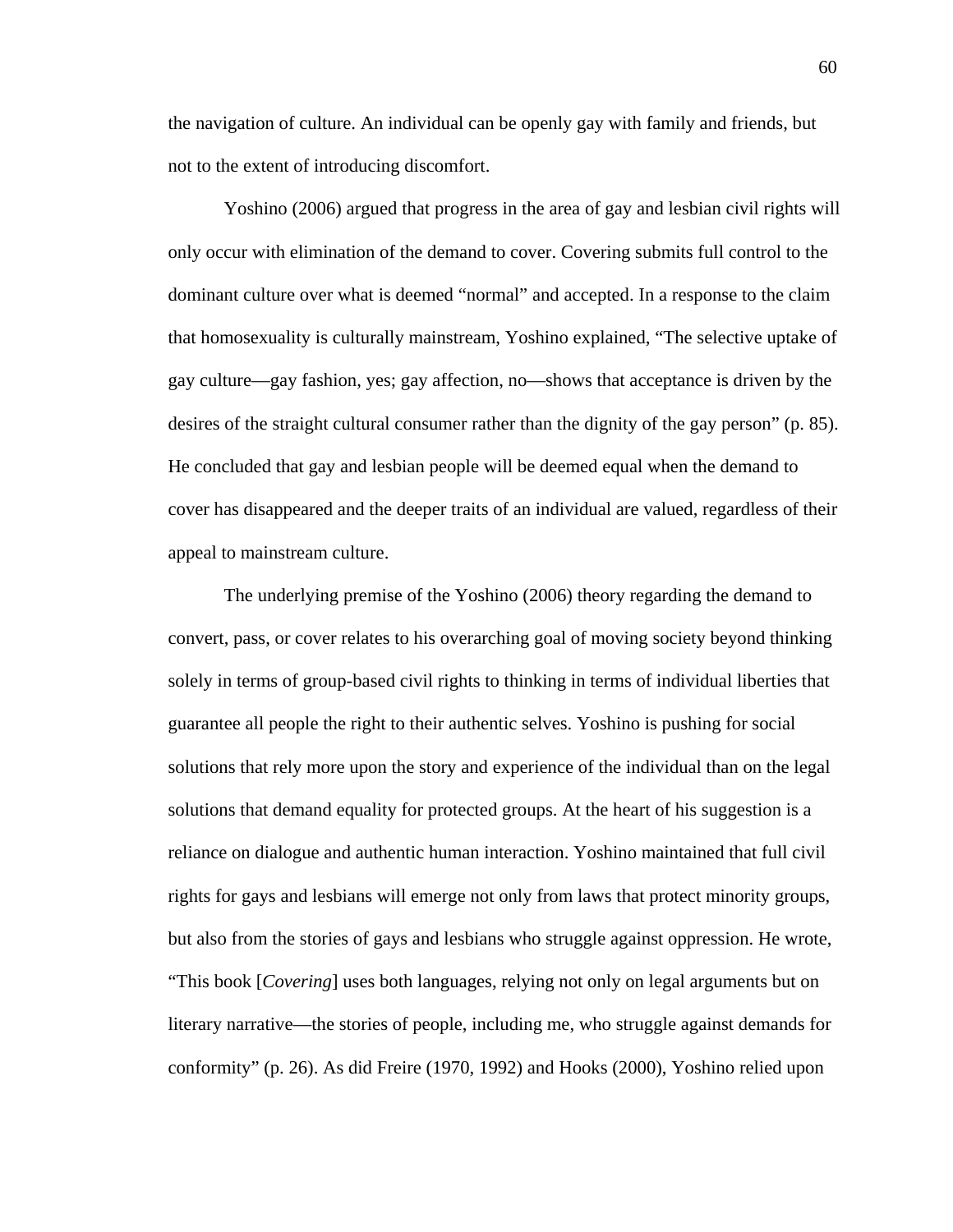the navigation of culture. An individual can be openly gay with family and friends, but not to the extent of introducing discomfort.

 Yoshino (2006) argued that progress in the area of gay and lesbian civil rights will only occur with elimination of the demand to cover. Covering submits full control to the dominant culture over what is deemed "normal" and accepted. In a response to the claim that homosexuality is culturally mainstream, Yoshino explained, "The selective uptake of gay culture—gay fashion, yes; gay affection, no—shows that acceptance is driven by the desires of the straight cultural consumer rather than the dignity of the gay person" (p. 85). He concluded that gay and lesbian people will be deemed equal when the demand to cover has disappeared and the deeper traits of an individual are valued, regardless of their appeal to mainstream culture.

 The underlying premise of the Yoshino (2006) theory regarding the demand to convert, pass, or cover relates to his overarching goal of moving society beyond thinking solely in terms of group-based civil rights to thinking in terms of individual liberties that guarantee all people the right to their authentic selves. Yoshino is pushing for social solutions that rely more upon the story and experience of the individual than on the legal solutions that demand equality for protected groups. At the heart of his suggestion is a reliance on dialogue and authentic human interaction. Yoshino maintained that full civil rights for gays and lesbians will emerge not only from laws that protect minority groups, but also from the stories of gays and lesbians who struggle against oppression. He wrote, "This book [*Covering*] uses both languages, relying not only on legal arguments but on literary narrative—the stories of people, including me, who struggle against demands for conformity" (p. 26). As did Freire (1970, 1992) and Hooks (2000), Yoshino relied upon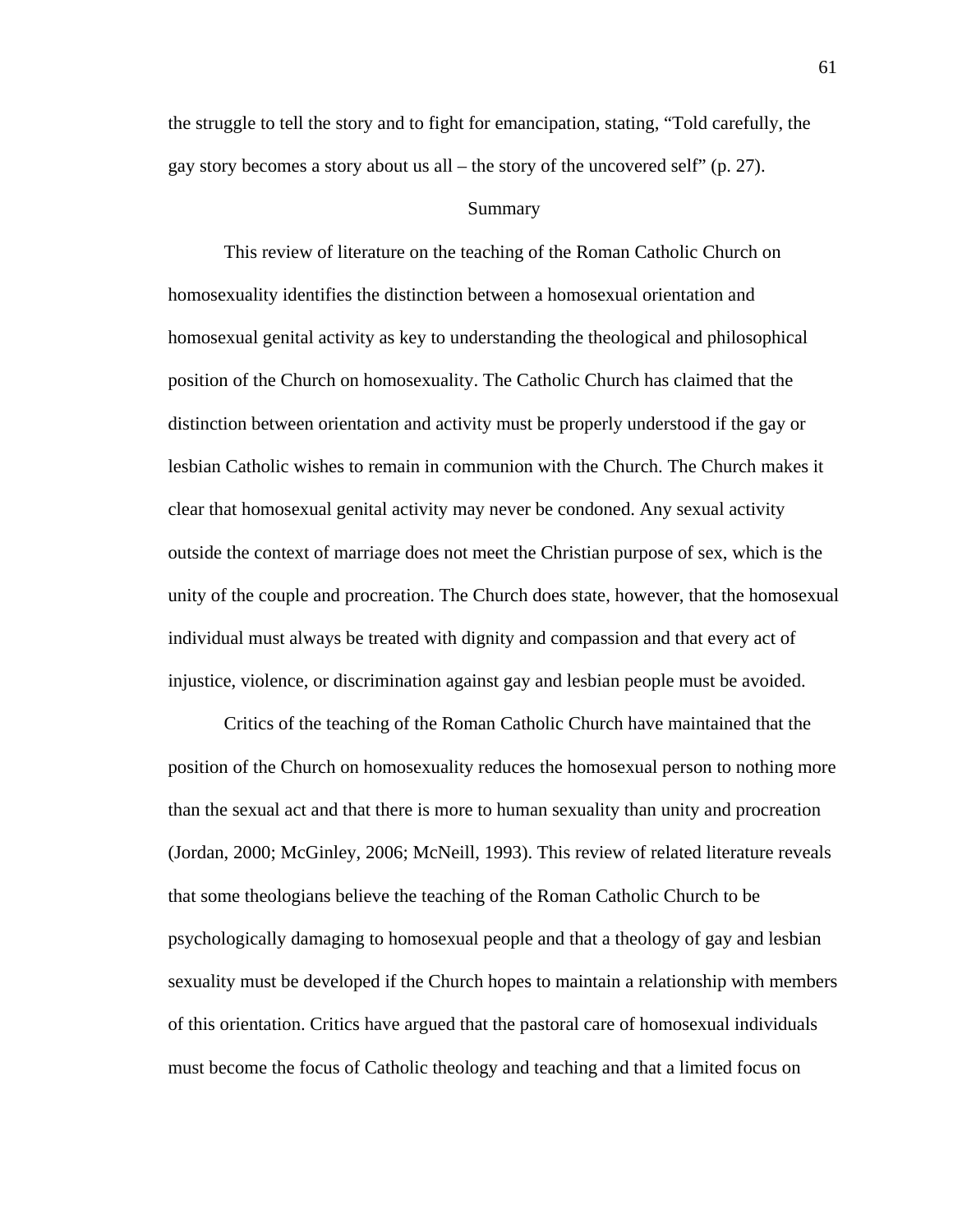the struggle to tell the story and to fight for emancipation, stating, "Told carefully, the gay story becomes a story about us all – the story of the uncovered self" (p. 27).

#### Summary

This review of literature on the teaching of the Roman Catholic Church on homosexuality identifies the distinction between a homosexual orientation and homosexual genital activity as key to understanding the theological and philosophical position of the Church on homosexuality. The Catholic Church has claimed that the distinction between orientation and activity must be properly understood if the gay or lesbian Catholic wishes to remain in communion with the Church. The Church makes it clear that homosexual genital activity may never be condoned. Any sexual activity outside the context of marriage does not meet the Christian purpose of sex, which is the unity of the couple and procreation. The Church does state, however, that the homosexual individual must always be treated with dignity and compassion and that every act of injustice, violence, or discrimination against gay and lesbian people must be avoided.

Critics of the teaching of the Roman Catholic Church have maintained that the position of the Church on homosexuality reduces the homosexual person to nothing more than the sexual act and that there is more to human sexuality than unity and procreation (Jordan, 2000; McGinley, 2006; McNeill, 1993). This review of related literature reveals that some theologians believe the teaching of the Roman Catholic Church to be psychologically damaging to homosexual people and that a theology of gay and lesbian sexuality must be developed if the Church hopes to maintain a relationship with members of this orientation. Critics have argued that the pastoral care of homosexual individuals must become the focus of Catholic theology and teaching and that a limited focus on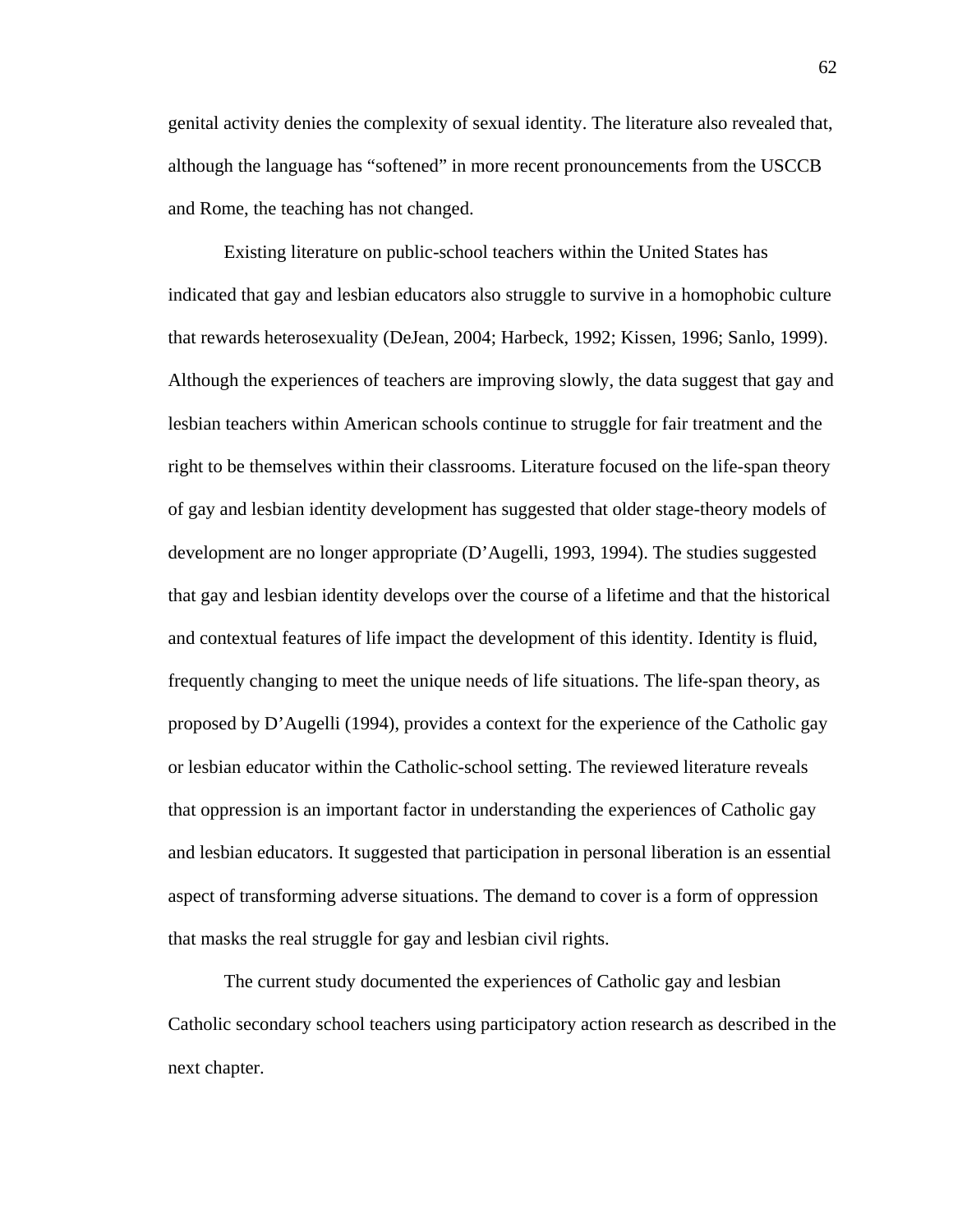genital activity denies the complexity of sexual identity. The literature also revealed that, although the language has "softened" in more recent pronouncements from the USCCB and Rome, the teaching has not changed.

Existing literature on public-school teachers within the United States has indicated that gay and lesbian educators also struggle to survive in a homophobic culture that rewards heterosexuality (DeJean, 2004; Harbeck, 1992; Kissen, 1996; Sanlo, 1999). Although the experiences of teachers are improving slowly, the data suggest that gay and lesbian teachers within American schools continue to struggle for fair treatment and the right to be themselves within their classrooms. Literature focused on the life-span theory of gay and lesbian identity development has suggested that older stage-theory models of development are no longer appropriate (D'Augelli, 1993, 1994). The studies suggested that gay and lesbian identity develops over the course of a lifetime and that the historical and contextual features of life impact the development of this identity. Identity is fluid, frequently changing to meet the unique needs of life situations. The life-span theory, as proposed by D'Augelli (1994), provides a context for the experience of the Catholic gay or lesbian educator within the Catholic-school setting. The reviewed literature reveals that oppression is an important factor in understanding the experiences of Catholic gay and lesbian educators. It suggested that participation in personal liberation is an essential aspect of transforming adverse situations. The demand to cover is a form of oppression that masks the real struggle for gay and lesbian civil rights.

 The current study documented the experiences of Catholic gay and lesbian Catholic secondary school teachers using participatory action research as described in the next chapter.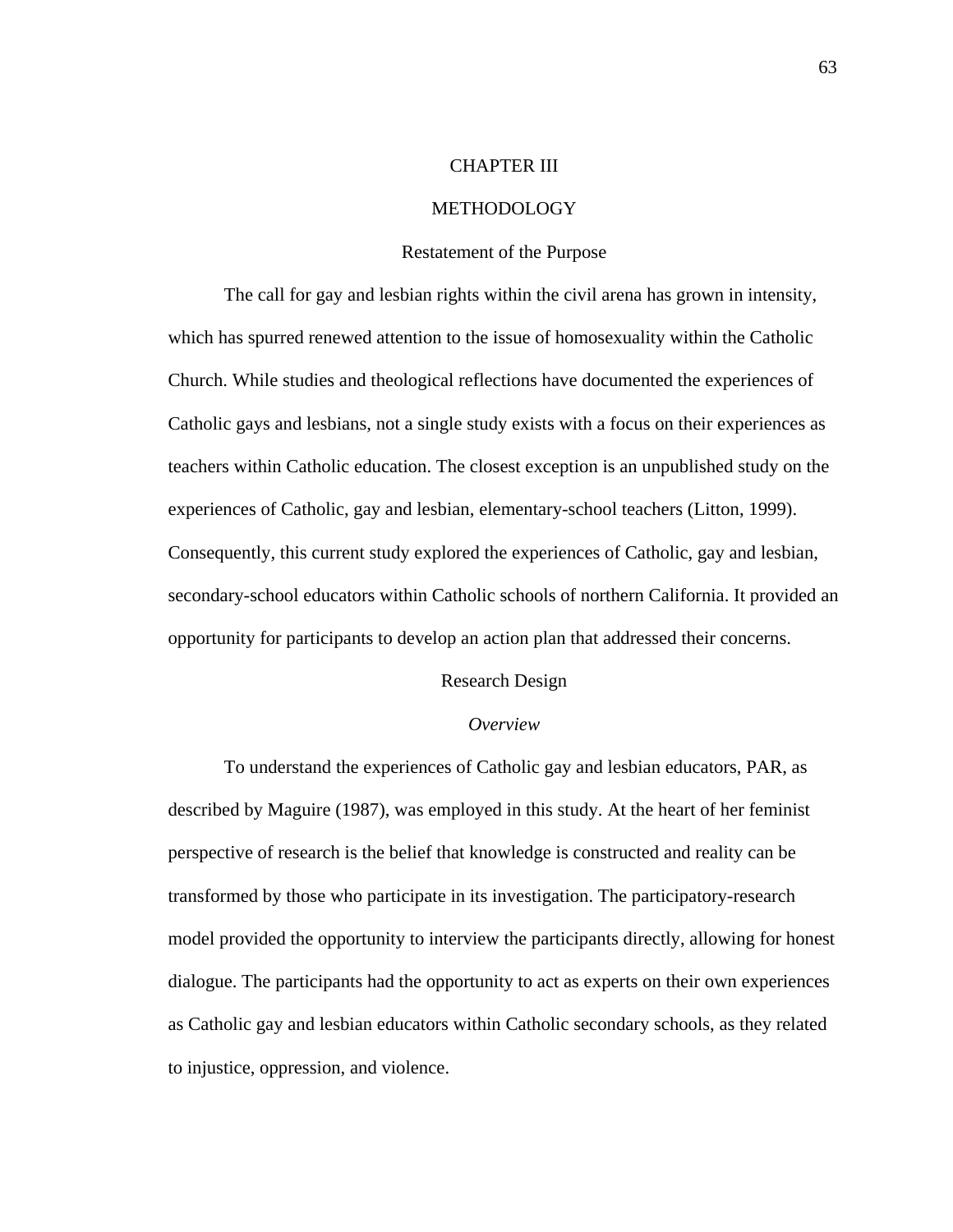# CHAPTER III

### **METHODOLOGY**

#### Restatement of the Purpose

 The call for gay and lesbian rights within the civil arena has grown in intensity, which has spurred renewed attention to the issue of homosexuality within the Catholic Church. While studies and theological reflections have documented the experiences of Catholic gays and lesbians, not a single study exists with a focus on their experiences as teachers within Catholic education. The closest exception is an unpublished study on the experiences of Catholic, gay and lesbian, elementary-school teachers (Litton, 1999). Consequently, this current study explored the experiences of Catholic, gay and lesbian, secondary-school educators within Catholic schools of northern California. It provided an opportunity for participants to develop an action plan that addressed their concerns.

#### Research Design

# *Overview*

To understand the experiences of Catholic gay and lesbian educators, PAR, as described by Maguire (1987), was employed in this study. At the heart of her feminist perspective of research is the belief that knowledge is constructed and reality can be transformed by those who participate in its investigation. The participatory-research model provided the opportunity to interview the participants directly, allowing for honest dialogue. The participants had the opportunity to act as experts on their own experiences as Catholic gay and lesbian educators within Catholic secondary schools, as they related to injustice, oppression, and violence.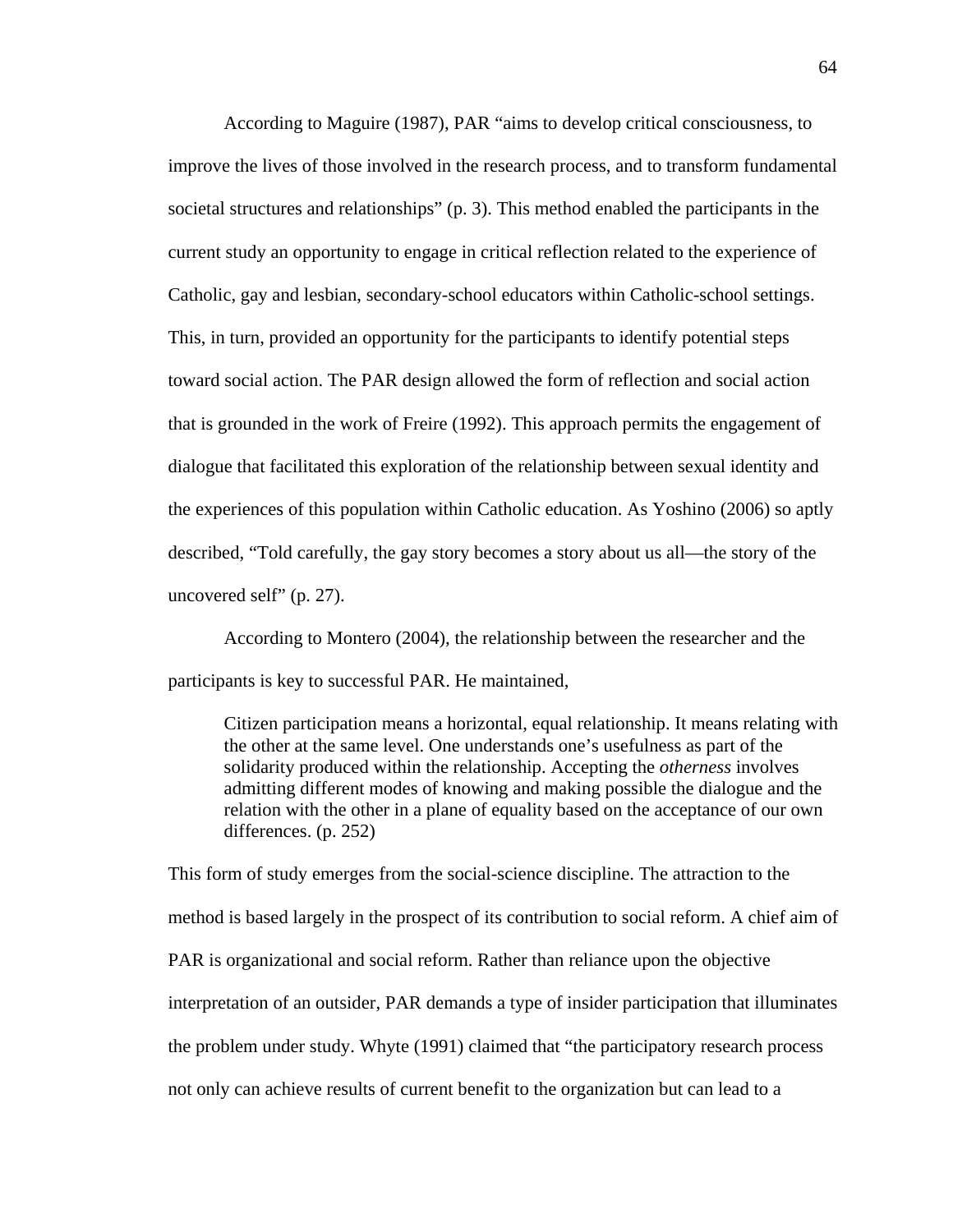According to Maguire (1987), PAR "aims to develop critical consciousness, to improve the lives of those involved in the research process, and to transform fundamental societal structures and relationships" (p. 3). This method enabled the participants in the current study an opportunity to engage in critical reflection related to the experience of Catholic, gay and lesbian, secondary-school educators within Catholic-school settings. This, in turn, provided an opportunity for the participants to identify potential steps toward social action. The PAR design allowed the form of reflection and social action that is grounded in the work of Freire (1992). This approach permits the engagement of dialogue that facilitated this exploration of the relationship between sexual identity and the experiences of this population within Catholic education. As Yoshino (2006) so aptly described, "Told carefully, the gay story becomes a story about us all—the story of the uncovered self" (p. 27).

According to Montero (2004), the relationship between the researcher and the participants is key to successful PAR. He maintained,

Citizen participation means a horizontal, equal relationship. It means relating with the other at the same level. One understands one's usefulness as part of the solidarity produced within the relationship. Accepting the *otherness* involves admitting different modes of knowing and making possible the dialogue and the relation with the other in a plane of equality based on the acceptance of our own differences. (p. 252)

This form of study emerges from the social-science discipline. The attraction to the method is based largely in the prospect of its contribution to social reform. A chief aim of PAR is organizational and social reform. Rather than reliance upon the objective interpretation of an outsider, PAR demands a type of insider participation that illuminates the problem under study. Whyte (1991) claimed that "the participatory research process not only can achieve results of current benefit to the organization but can lead to a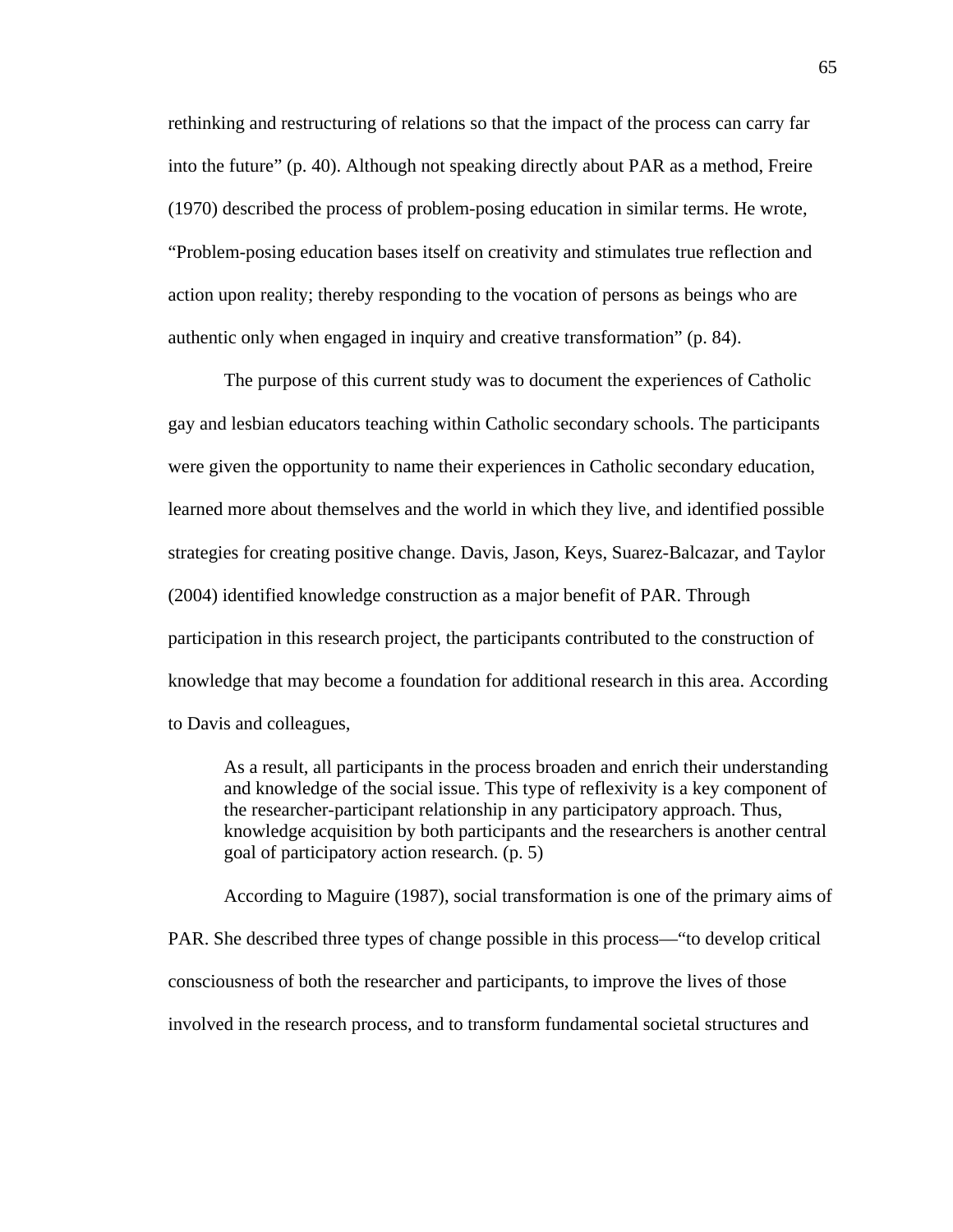rethinking and restructuring of relations so that the impact of the process can carry far into the future" (p. 40). Although not speaking directly about PAR as a method, Freire (1970) described the process of problem-posing education in similar terms. He wrote, "Problem-posing education bases itself on creativity and stimulates true reflection and action upon reality; thereby responding to the vocation of persons as beings who are authentic only when engaged in inquiry and creative transformation" (p. 84).

The purpose of this current study was to document the experiences of Catholic gay and lesbian educators teaching within Catholic secondary schools. The participants were given the opportunity to name their experiences in Catholic secondary education, learned more about themselves and the world in which they live, and identified possible strategies for creating positive change. Davis, Jason, Keys, Suarez-Balcazar, and Taylor (2004) identified knowledge construction as a major benefit of PAR. Through participation in this research project, the participants contributed to the construction of knowledge that may become a foundation for additional research in this area. According to Davis and colleagues,

As a result, all participants in the process broaden and enrich their understanding and knowledge of the social issue. This type of reflexivity is a key component of the researcher-participant relationship in any participatory approach. Thus, knowledge acquisition by both participants and the researchers is another central goal of participatory action research. (p. 5)

According to Maguire (1987), social transformation is one of the primary aims of PAR. She described three types of change possible in this process—"to develop critical consciousness of both the researcher and participants, to improve the lives of those involved in the research process, and to transform fundamental societal structures and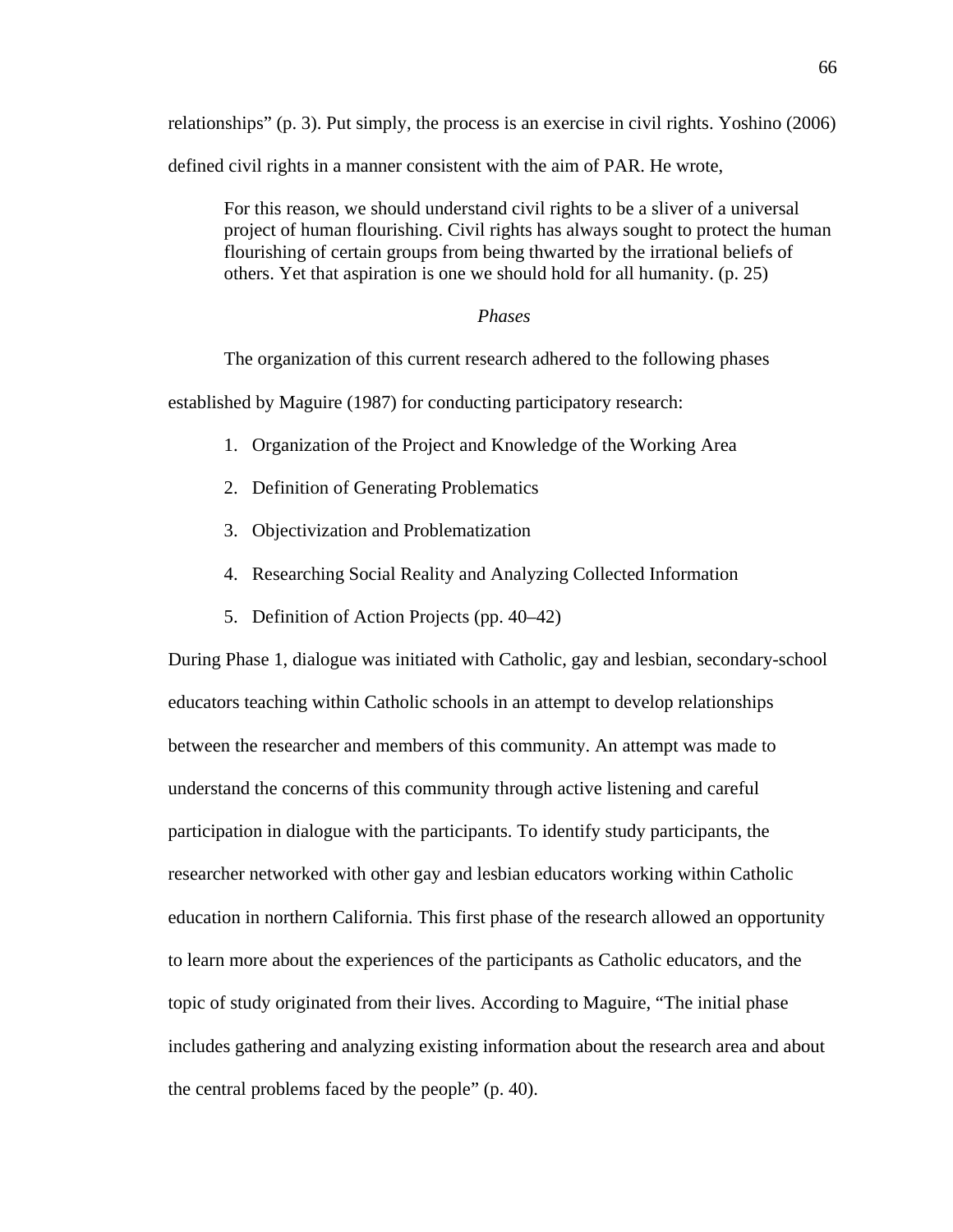relationships" (p. 3). Put simply, the process is an exercise in civil rights. Yoshino (2006) defined civil rights in a manner consistent with the aim of PAR. He wrote,

For this reason, we should understand civil rights to be a sliver of a universal project of human flourishing. Civil rights has always sought to protect the human flourishing of certain groups from being thwarted by the irrational beliefs of others. Yet that aspiration is one we should hold for all humanity. (p. 25)

# *Phases*

The organization of this current research adhered to the following phases

established by Maguire (1987) for conducting participatory research:

- 1. Organization of the Project and Knowledge of the Working Area
- 2. Definition of Generating Problematics
- 3. Objectivization and Problematization
- 4. Researching Social Reality and Analyzing Collected Information
- 5. Definition of Action Projects (pp. 40–42)

During Phase 1, dialogue was initiated with Catholic, gay and lesbian, secondary-school educators teaching within Catholic schools in an attempt to develop relationships between the researcher and members of this community. An attempt was made to understand the concerns of this community through active listening and careful participation in dialogue with the participants. To identify study participants, the researcher networked with other gay and lesbian educators working within Catholic education in northern California. This first phase of the research allowed an opportunity to learn more about the experiences of the participants as Catholic educators, and the topic of study originated from their lives. According to Maguire, "The initial phase includes gathering and analyzing existing information about the research area and about the central problems faced by the people" (p. 40).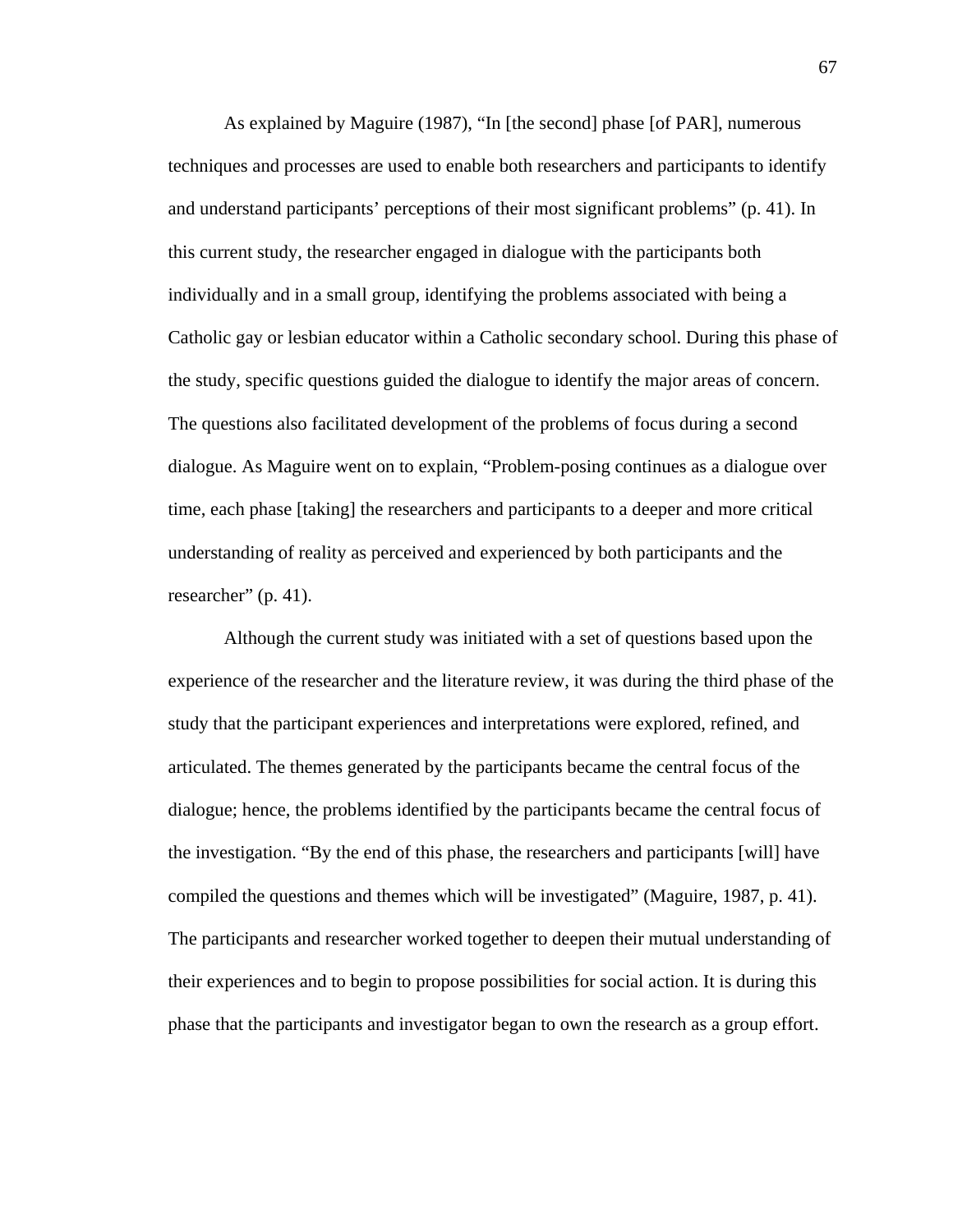As explained by Maguire (1987), "In [the second] phase [of PAR], numerous techniques and processes are used to enable both researchers and participants to identify and understand participants' perceptions of their most significant problems" (p. 41). In this current study, the researcher engaged in dialogue with the participants both individually and in a small group, identifying the problems associated with being a Catholic gay or lesbian educator within a Catholic secondary school. During this phase of the study, specific questions guided the dialogue to identify the major areas of concern. The questions also facilitated development of the problems of focus during a second dialogue. As Maguire went on to explain, "Problem-posing continues as a dialogue over time, each phase [taking] the researchers and participants to a deeper and more critical understanding of reality as perceived and experienced by both participants and the researcher" (p. 41).

 Although the current study was initiated with a set of questions based upon the experience of the researcher and the literature review, it was during the third phase of the study that the participant experiences and interpretations were explored, refined, and articulated. The themes generated by the participants became the central focus of the dialogue; hence, the problems identified by the participants became the central focus of the investigation. "By the end of this phase, the researchers and participants [will] have compiled the questions and themes which will be investigated" (Maguire, 1987, p. 41). The participants and researcher worked together to deepen their mutual understanding of their experiences and to begin to propose possibilities for social action. It is during this phase that the participants and investigator began to own the research as a group effort.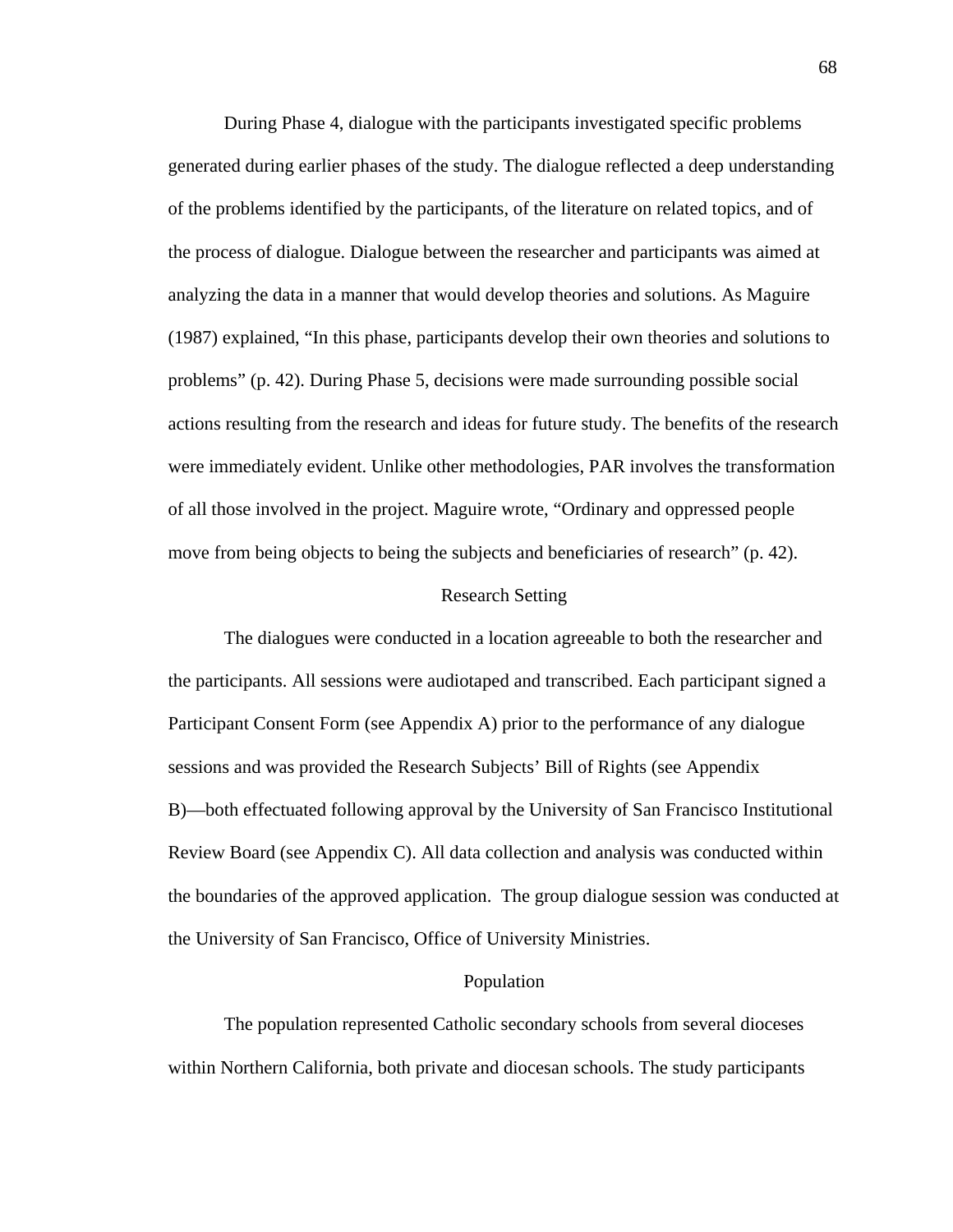During Phase 4, dialogue with the participants investigated specific problems generated during earlier phases of the study. The dialogue reflected a deep understanding of the problems identified by the participants, of the literature on related topics, and of the process of dialogue. Dialogue between the researcher and participants was aimed at analyzing the data in a manner that would develop theories and solutions. As Maguire (1987) explained, "In this phase, participants develop their own theories and solutions to problems" (p. 42). During Phase 5, decisions were made surrounding possible social actions resulting from the research and ideas for future study. The benefits of the research were immediately evident. Unlike other methodologies, PAR involves the transformation of all those involved in the project. Maguire wrote, "Ordinary and oppressed people move from being objects to being the subjects and beneficiaries of research" (p. 42).

#### Research Setting

 The dialogues were conducted in a location agreeable to both the researcher and the participants. All sessions were audiotaped and transcribed. Each participant signed a Participant Consent Form (see Appendix A) prior to the performance of any dialogue sessions and was provided the Research Subjects' Bill of Rights (see Appendix B)—both effectuated following approval by the University of San Francisco Institutional Review Board (see Appendix C). All data collection and analysis was conducted within the boundaries of the approved application. The group dialogue session was conducted at the University of San Francisco, Office of University Ministries.

## Population

The population represented Catholic secondary schools from several dioceses within Northern California, both private and diocesan schools. The study participants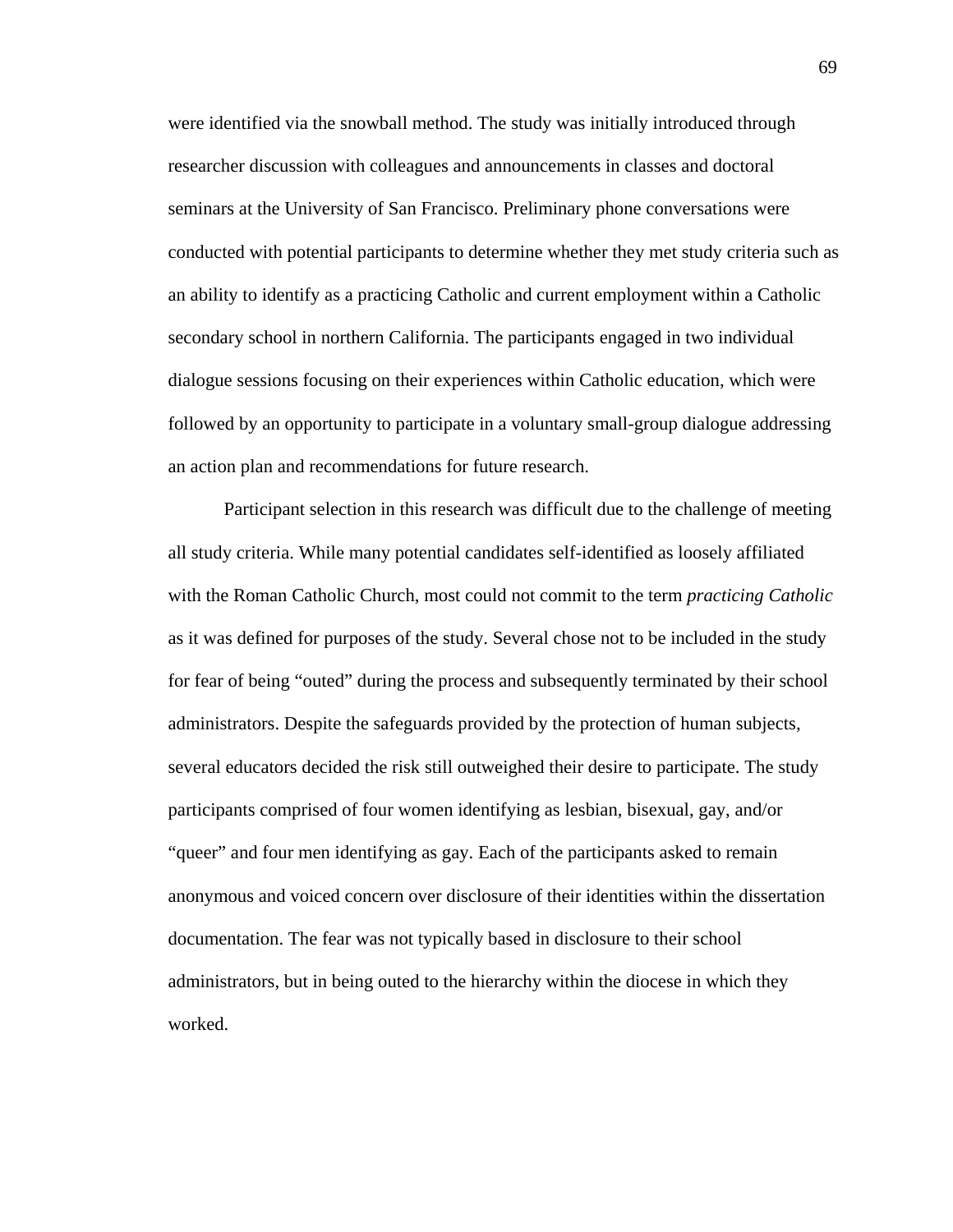were identified via the snowball method. The study was initially introduced through researcher discussion with colleagues and announcements in classes and doctoral seminars at the University of San Francisco. Preliminary phone conversations were conducted with potential participants to determine whether they met study criteria such as an ability to identify as a practicing Catholic and current employment within a Catholic secondary school in northern California. The participants engaged in two individual dialogue sessions focusing on their experiences within Catholic education, which were followed by an opportunity to participate in a voluntary small-group dialogue addressing an action plan and recommendations for future research.

Participant selection in this research was difficult due to the challenge of meeting all study criteria. While many potential candidates self-identified as loosely affiliated with the Roman Catholic Church, most could not commit to the term *practicing Catholic* as it was defined for purposes of the study. Several chose not to be included in the study for fear of being "outed" during the process and subsequently terminated by their school administrators. Despite the safeguards provided by the protection of human subjects, several educators decided the risk still outweighed their desire to participate. The study participants comprised of four women identifying as lesbian, bisexual, gay, and/or "queer" and four men identifying as gay. Each of the participants asked to remain anonymous and voiced concern over disclosure of their identities within the dissertation documentation. The fear was not typically based in disclosure to their school administrators, but in being outed to the hierarchy within the diocese in which they worked.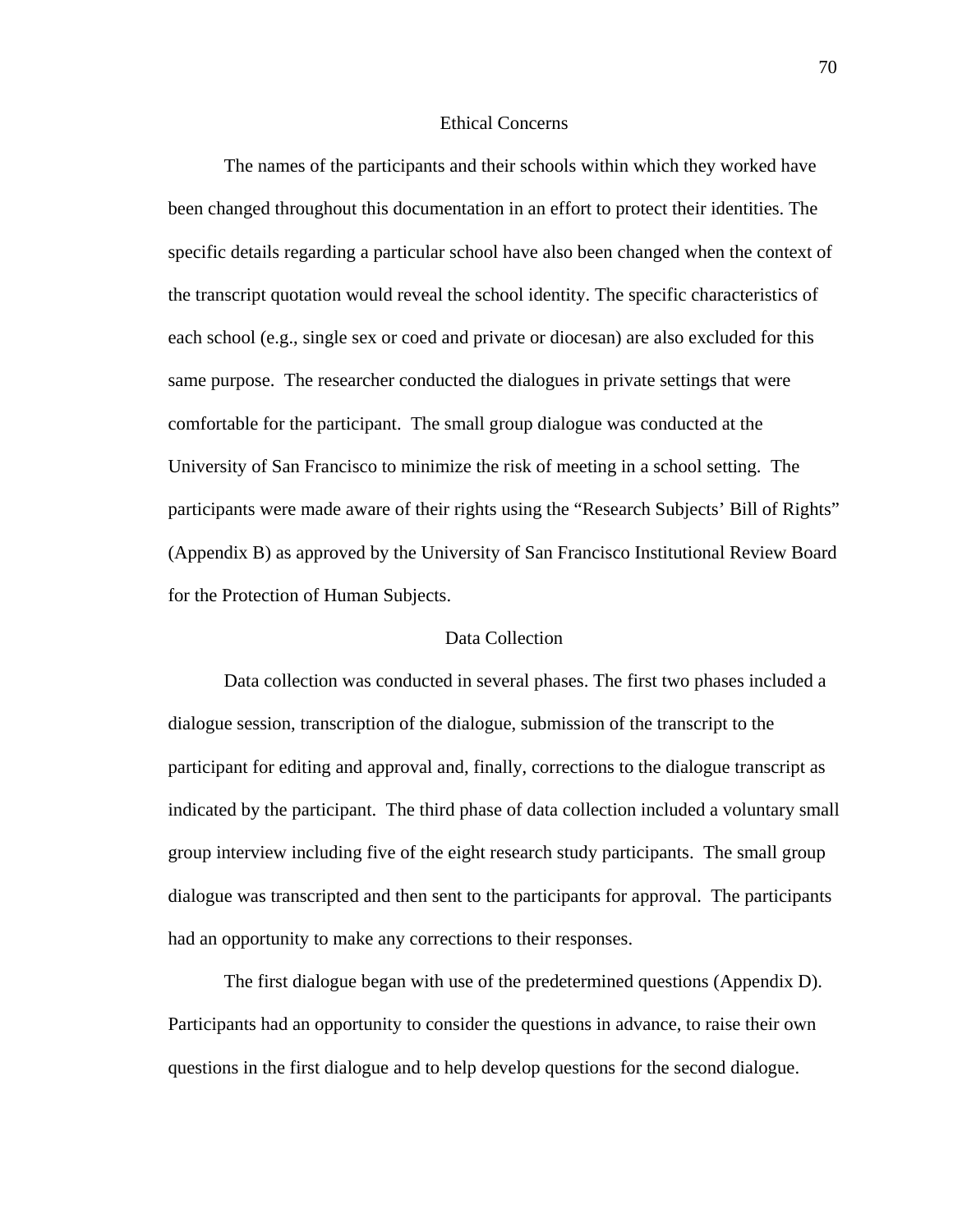# Ethical Concerns

The names of the participants and their schools within which they worked have been changed throughout this documentation in an effort to protect their identities. The specific details regarding a particular school have also been changed when the context of the transcript quotation would reveal the school identity. The specific characteristics of each school (e.g., single sex or coed and private or diocesan) are also excluded for this same purpose. The researcher conducted the dialogues in private settings that were comfortable for the participant. The small group dialogue was conducted at the University of San Francisco to minimize the risk of meeting in a school setting. The participants were made aware of their rights using the "Research Subjects' Bill of Rights" (Appendix B) as approved by the University of San Francisco Institutional Review Board for the Protection of Human Subjects.

# Data Collection

 Data collection was conducted in several phases. The first two phases included a dialogue session, transcription of the dialogue, submission of the transcript to the participant for editing and approval and, finally, corrections to the dialogue transcript as indicated by the participant. The third phase of data collection included a voluntary small group interview including five of the eight research study participants. The small group dialogue was transcripted and then sent to the participants for approval. The participants had an opportunity to make any corrections to their responses.

The first dialogue began with use of the predetermined questions (Appendix D). Participants had an opportunity to consider the questions in advance, to raise their own questions in the first dialogue and to help develop questions for the second dialogue.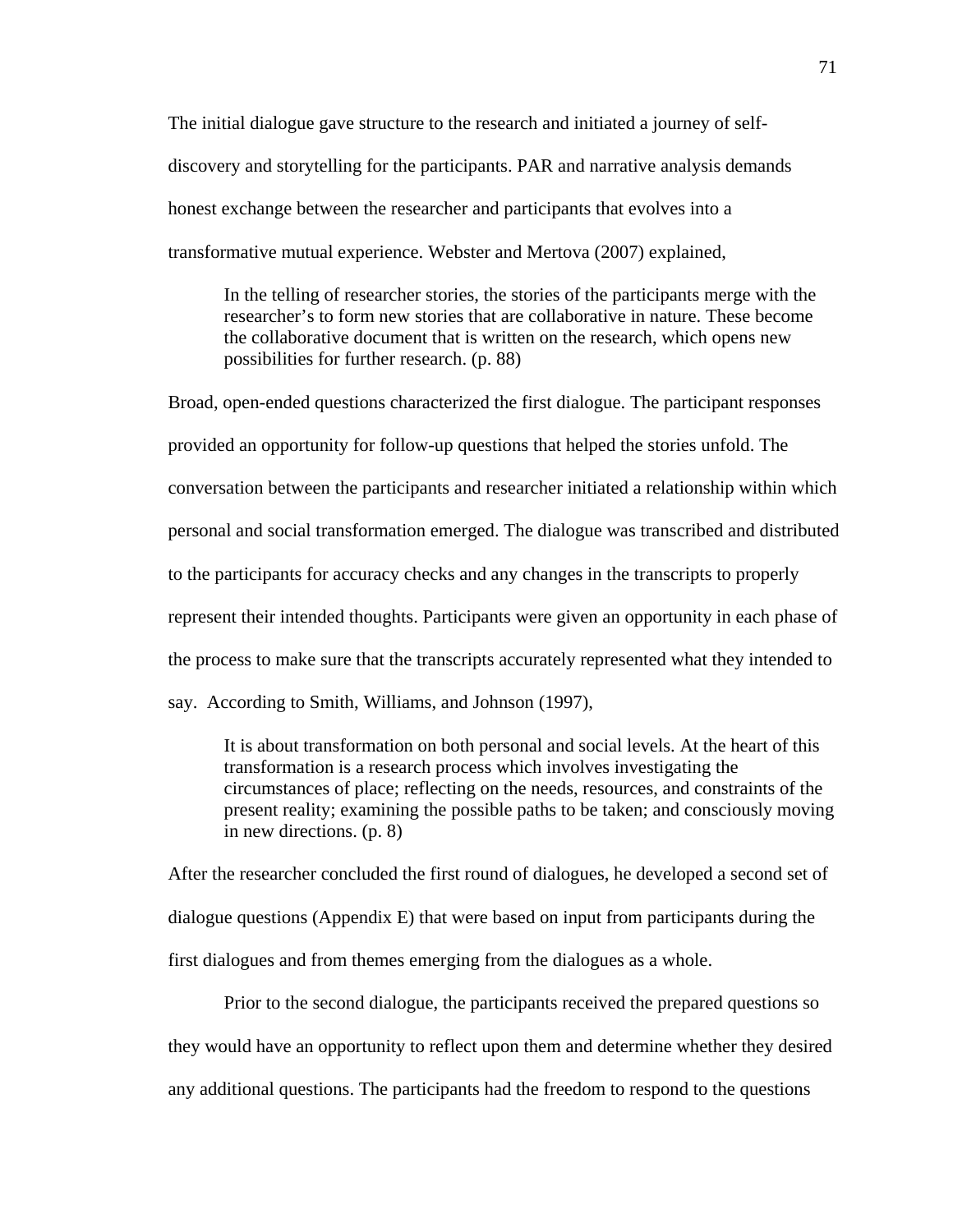The initial dialogue gave structure to the research and initiated a journey of selfdiscovery and storytelling for the participants. PAR and narrative analysis demands honest exchange between the researcher and participants that evolves into a transformative mutual experience. Webster and Mertova (2007) explained,

In the telling of researcher stories, the stories of the participants merge with the researcher's to form new stories that are collaborative in nature. These become the collaborative document that is written on the research, which opens new possibilities for further research. (p. 88)

Broad, open-ended questions characterized the first dialogue. The participant responses provided an opportunity for follow-up questions that helped the stories unfold. The conversation between the participants and researcher initiated a relationship within which personal and social transformation emerged. The dialogue was transcribed and distributed to the participants for accuracy checks and any changes in the transcripts to properly represent their intended thoughts. Participants were given an opportunity in each phase of the process to make sure that the transcripts accurately represented what they intended to say. According to Smith, Williams, and Johnson (1997),

It is about transformation on both personal and social levels. At the heart of this transformation is a research process which involves investigating the circumstances of place; reflecting on the needs, resources, and constraints of the present reality; examining the possible paths to be taken; and consciously moving in new directions. (p. 8)

After the researcher concluded the first round of dialogues, he developed a second set of dialogue questions (Appendix E) that were based on input from participants during the first dialogues and from themes emerging from the dialogues as a whole.

Prior to the second dialogue, the participants received the prepared questions so they would have an opportunity to reflect upon them and determine whether they desired any additional questions. The participants had the freedom to respond to the questions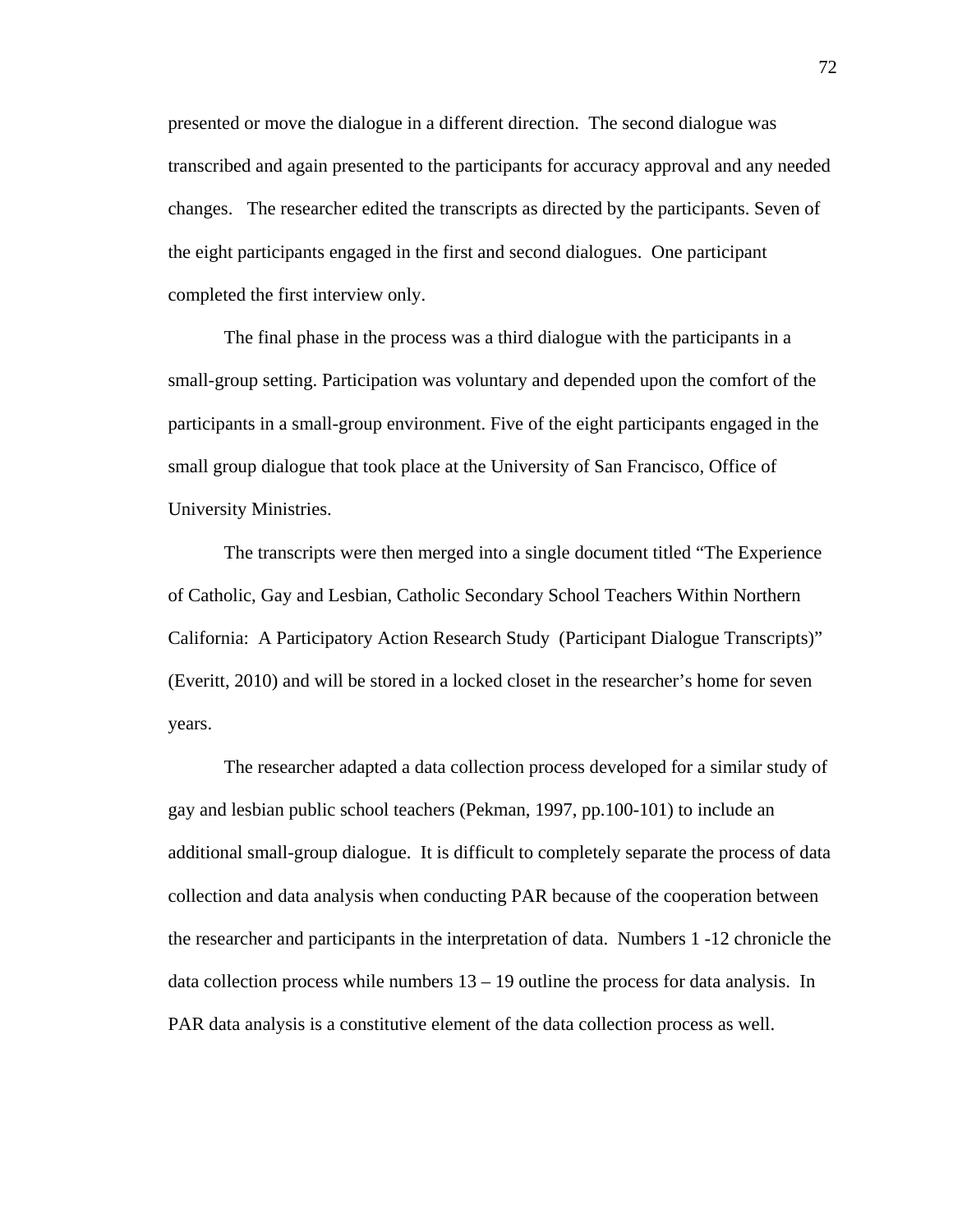presented or move the dialogue in a different direction. The second dialogue was transcribed and again presented to the participants for accuracy approval and any needed changes. The researcher edited the transcripts as directed by the participants. Seven of the eight participants engaged in the first and second dialogues. One participant completed the first interview only.

The final phase in the process was a third dialogue with the participants in a small-group setting. Participation was voluntary and depended upon the comfort of the participants in a small-group environment. Five of the eight participants engaged in the small group dialogue that took place at the University of San Francisco, Office of University Ministries.

The transcripts were then merged into a single document titled "The Experience of Catholic, Gay and Lesbian, Catholic Secondary School Teachers Within Northern California: A Participatory Action Research Study (Participant Dialogue Transcripts)" (Everitt, 2010) and will be stored in a locked closet in the researcher's home for seven years.

The researcher adapted a data collection process developed for a similar study of gay and lesbian public school teachers (Pekman, 1997, pp.100-101) to include an additional small-group dialogue. It is difficult to completely separate the process of data collection and data analysis when conducting PAR because of the cooperation between the researcher and participants in the interpretation of data. Numbers 1 -12 chronicle the data collection process while numbers  $13 - 19$  outline the process for data analysis. In PAR data analysis is a constitutive element of the data collection process as well.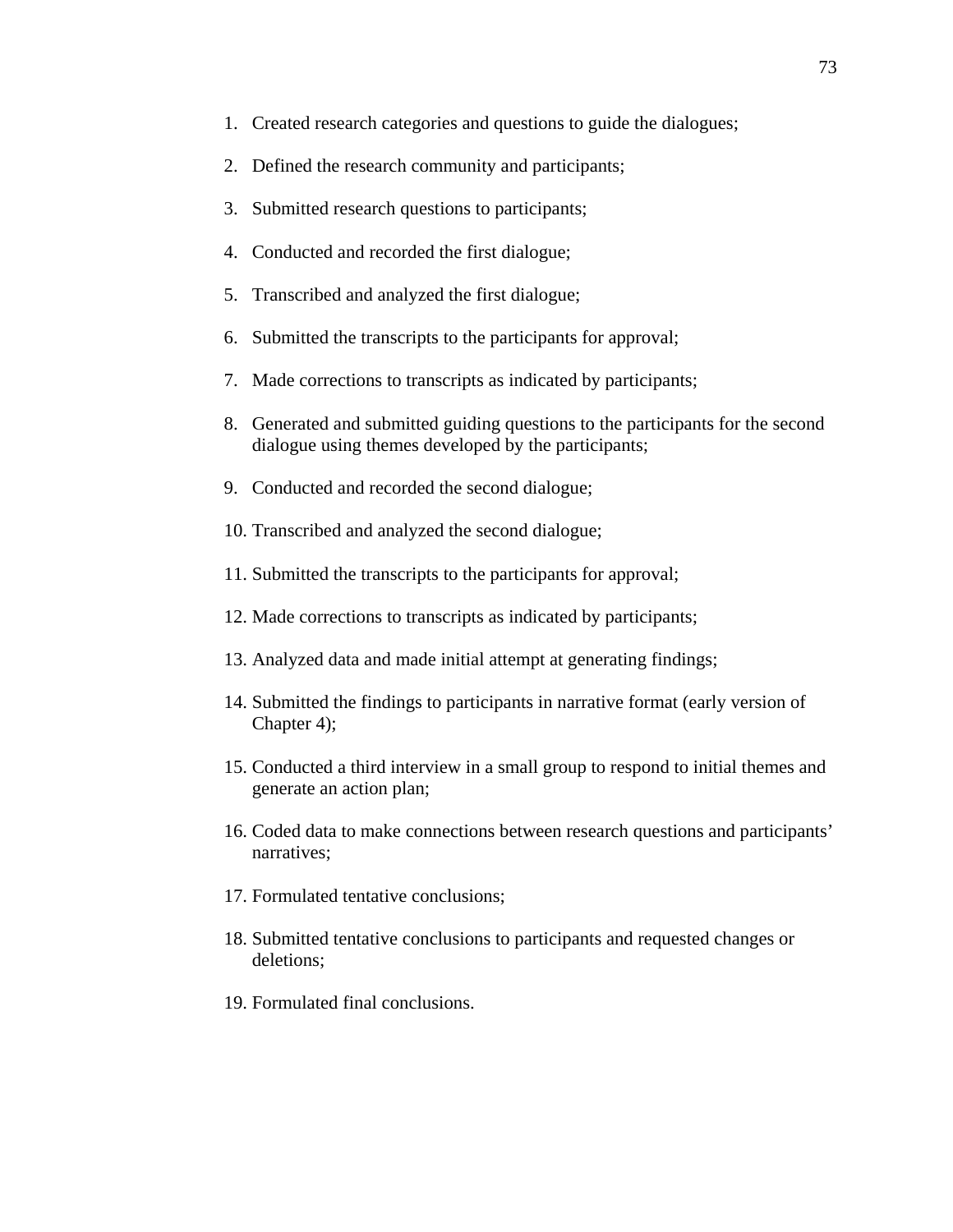- 1. Created research categories and questions to guide the dialogues;
- 2. Defined the research community and participants;
- 3. Submitted research questions to participants;
- 4. Conducted and recorded the first dialogue;
- 5. Transcribed and analyzed the first dialogue;
- 6. Submitted the transcripts to the participants for approval;
- 7. Made corrections to transcripts as indicated by participants;
- 8. Generated and submitted guiding questions to the participants for the second dialogue using themes developed by the participants;
- 9. Conducted and recorded the second dialogue;
- 10. Transcribed and analyzed the second dialogue;
- 11. Submitted the transcripts to the participants for approval;
- 12. Made corrections to transcripts as indicated by participants;
- 13. Analyzed data and made initial attempt at generating findings;
- 14. Submitted the findings to participants in narrative format (early version of Chapter 4);
- 15. Conducted a third interview in a small group to respond to initial themes and generate an action plan;
- 16. Coded data to make connections between research questions and participants' narratives;
- 17. Formulated tentative conclusions;
- 18. Submitted tentative conclusions to participants and requested changes or deletions;
- 19. Formulated final conclusions.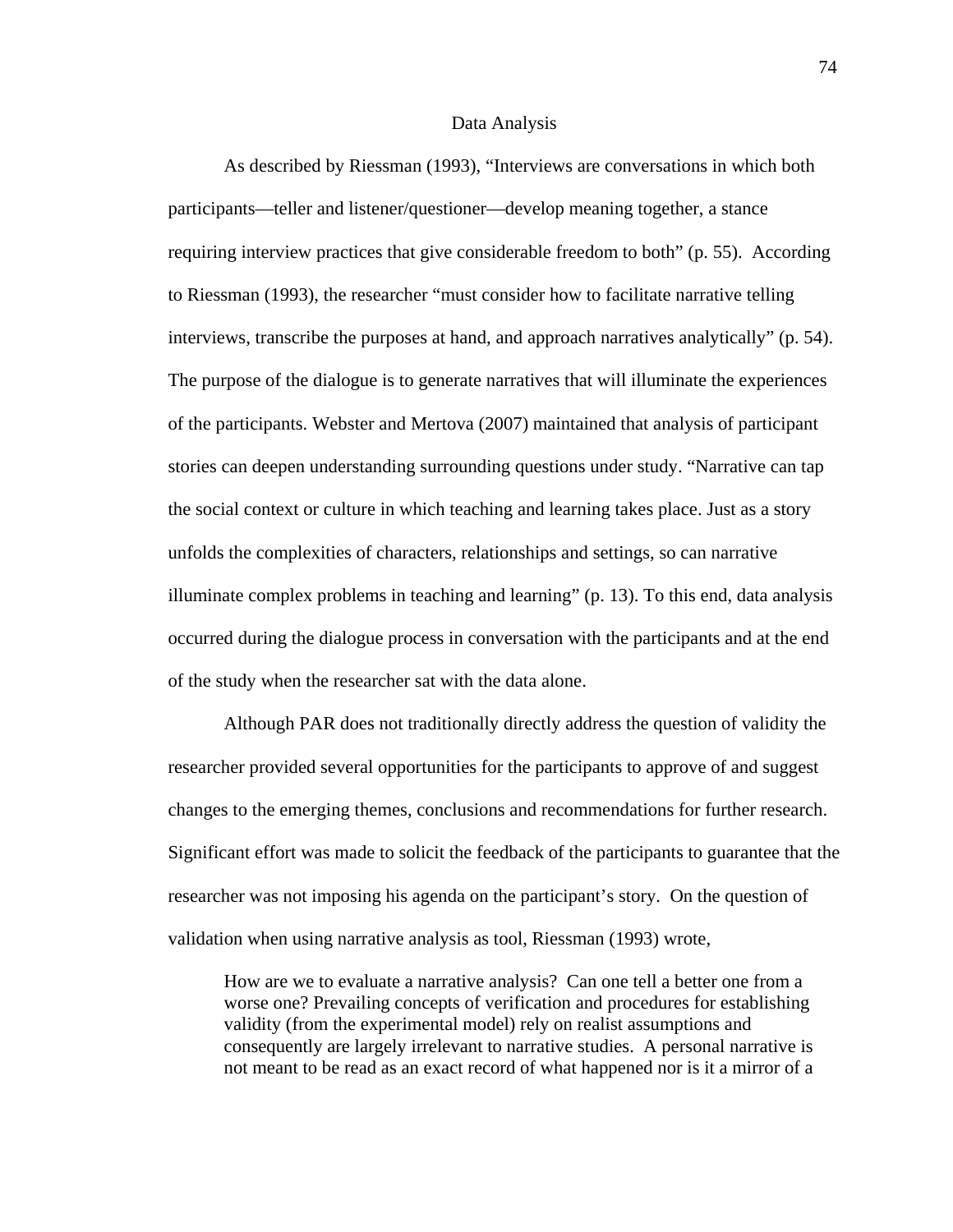#### Data Analysis

As described by Riessman (1993), "Interviews are conversations in which both participants—teller and listener/questioner—develop meaning together, a stance requiring interview practices that give considerable freedom to both" (p. 55). According to Riessman (1993), the researcher "must consider how to facilitate narrative telling interviews, transcribe the purposes at hand, and approach narratives analytically" (p. 54). The purpose of the dialogue is to generate narratives that will illuminate the experiences of the participants. Webster and Mertova (2007) maintained that analysis of participant stories can deepen understanding surrounding questions under study. "Narrative can tap the social context or culture in which teaching and learning takes place. Just as a story unfolds the complexities of characters, relationships and settings, so can narrative illuminate complex problems in teaching and learning" (p. 13). To this end, data analysis occurred during the dialogue process in conversation with the participants and at the end of the study when the researcher sat with the data alone.

Although PAR does not traditionally directly address the question of validity the researcher provided several opportunities for the participants to approve of and suggest changes to the emerging themes, conclusions and recommendations for further research. Significant effort was made to solicit the feedback of the participants to guarantee that the researcher was not imposing his agenda on the participant's story. On the question of validation when using narrative analysis as tool, Riessman (1993) wrote,

How are we to evaluate a narrative analysis? Can one tell a better one from a worse one? Prevailing concepts of verification and procedures for establishing validity (from the experimental model) rely on realist assumptions and consequently are largely irrelevant to narrative studies. A personal narrative is not meant to be read as an exact record of what happened nor is it a mirror of a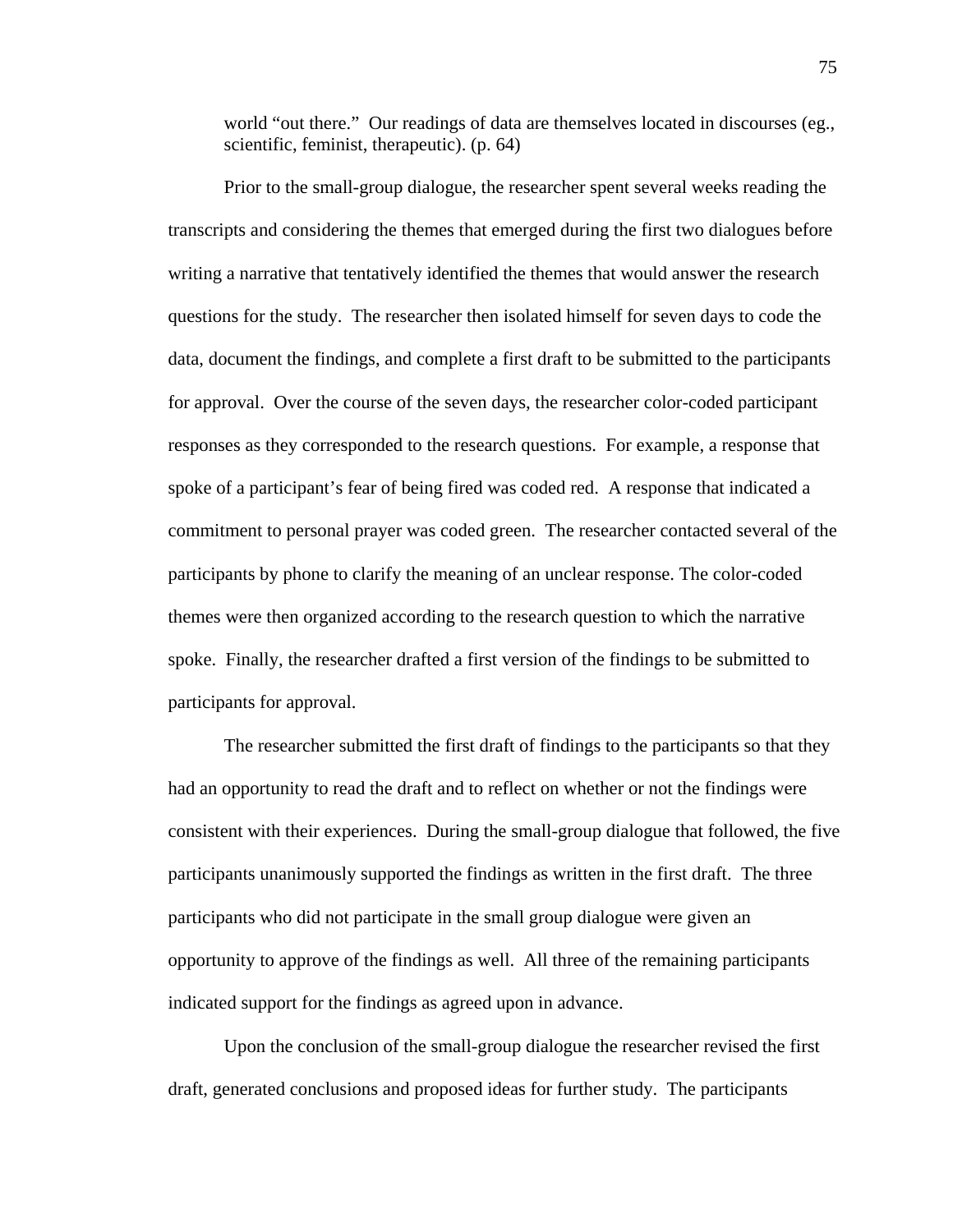world "out there." Our readings of data are themselves located in discourses (eg., scientific, feminist, therapeutic). (p. 64)

Prior to the small-group dialogue, the researcher spent several weeks reading the transcripts and considering the themes that emerged during the first two dialogues before writing a narrative that tentatively identified the themes that would answer the research questions for the study. The researcher then isolated himself for seven days to code the data, document the findings, and complete a first draft to be submitted to the participants for approval. Over the course of the seven days, the researcher color-coded participant responses as they corresponded to the research questions. For example, a response that spoke of a participant's fear of being fired was coded red. A response that indicated a commitment to personal prayer was coded green. The researcher contacted several of the participants by phone to clarify the meaning of an unclear response. The color-coded themes were then organized according to the research question to which the narrative spoke. Finally, the researcher drafted a first version of the findings to be submitted to participants for approval.

The researcher submitted the first draft of findings to the participants so that they had an opportunity to read the draft and to reflect on whether or not the findings were consistent with their experiences. During the small-group dialogue that followed, the five participants unanimously supported the findings as written in the first draft. The three participants who did not participate in the small group dialogue were given an opportunity to approve of the findings as well. All three of the remaining participants indicated support for the findings as agreed upon in advance.

Upon the conclusion of the small-group dialogue the researcher revised the first draft, generated conclusions and proposed ideas for further study. The participants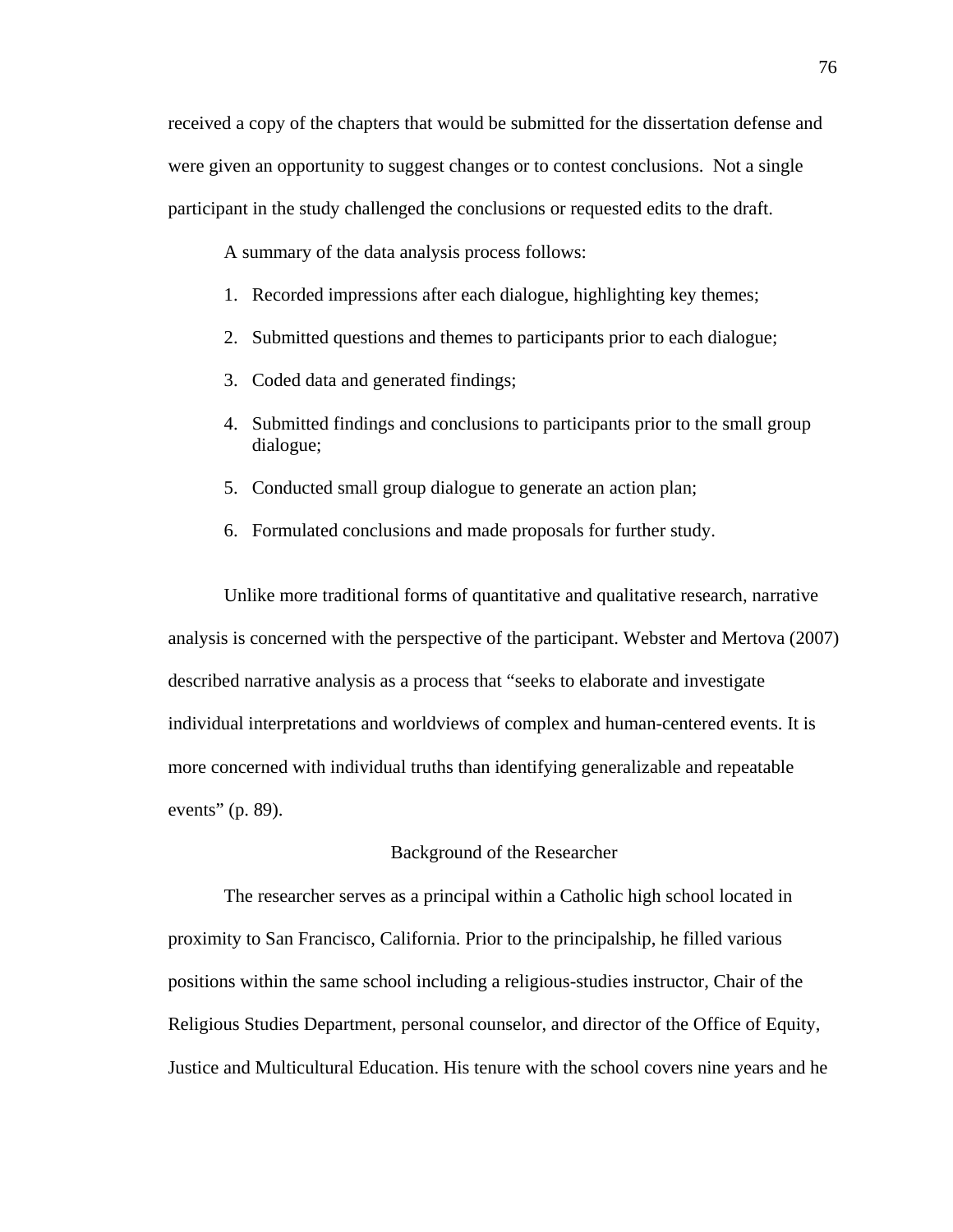received a copy of the chapters that would be submitted for the dissertation defense and were given an opportunity to suggest changes or to contest conclusions. Not a single participant in the study challenged the conclusions or requested edits to the draft.

A summary of the data analysis process follows:

- 1. Recorded impressions after each dialogue, highlighting key themes;
- 2. Submitted questions and themes to participants prior to each dialogue;
- 3. Coded data and generated findings;
- 4. Submitted findings and conclusions to participants prior to the small group dialogue;
- 5. Conducted small group dialogue to generate an action plan;
- 6. Formulated conclusions and made proposals for further study.

Unlike more traditional forms of quantitative and qualitative research, narrative analysis is concerned with the perspective of the participant. Webster and Mertova (2007) described narrative analysis as a process that "seeks to elaborate and investigate individual interpretations and worldviews of complex and human-centered events. It is more concerned with individual truths than identifying generalizable and repeatable events" (p. 89).

## Background of the Researcher

The researcher serves as a principal within a Catholic high school located in proximity to San Francisco, California. Prior to the principalship, he filled various positions within the same school including a religious-studies instructor, Chair of the Religious Studies Department, personal counselor, and director of the Office of Equity, Justice and Multicultural Education. His tenure with the school covers nine years and he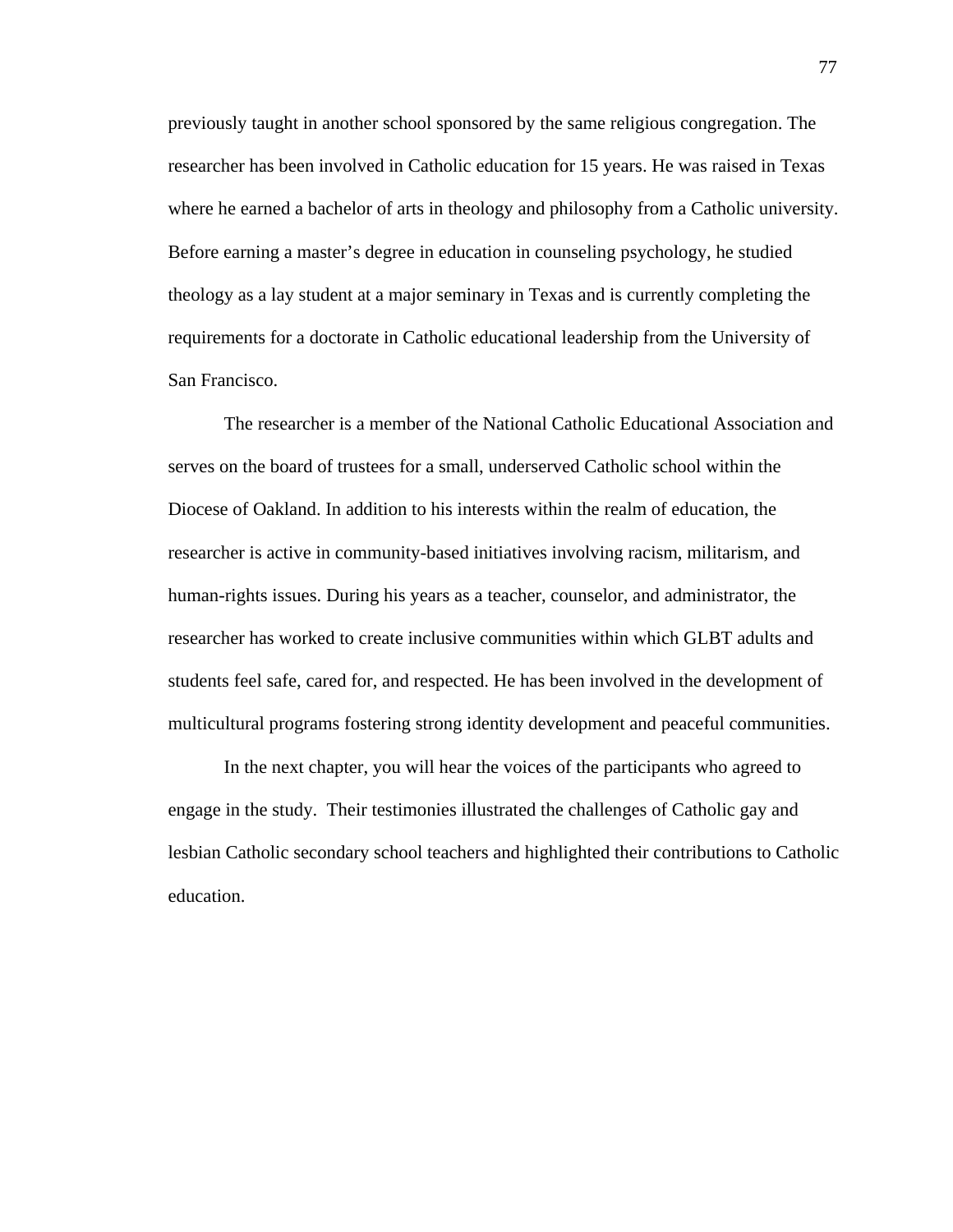previously taught in another school sponsored by the same religious congregation. The researcher has been involved in Catholic education for 15 years. He was raised in Texas where he earned a bachelor of arts in theology and philosophy from a Catholic university. Before earning a master's degree in education in counseling psychology, he studied theology as a lay student at a major seminary in Texas and is currently completing the requirements for a doctorate in Catholic educational leadership from the University of San Francisco.

The researcher is a member of the National Catholic Educational Association and serves on the board of trustees for a small, underserved Catholic school within the Diocese of Oakland. In addition to his interests within the realm of education, the researcher is active in community-based initiatives involving racism, militarism, and human-rights issues. During his years as a teacher, counselor, and administrator, the researcher has worked to create inclusive communities within which GLBT adults and students feel safe, cared for, and respected. He has been involved in the development of multicultural programs fostering strong identity development and peaceful communities.

 In the next chapter, you will hear the voices of the participants who agreed to engage in the study. Their testimonies illustrated the challenges of Catholic gay and lesbian Catholic secondary school teachers and highlighted their contributions to Catholic education.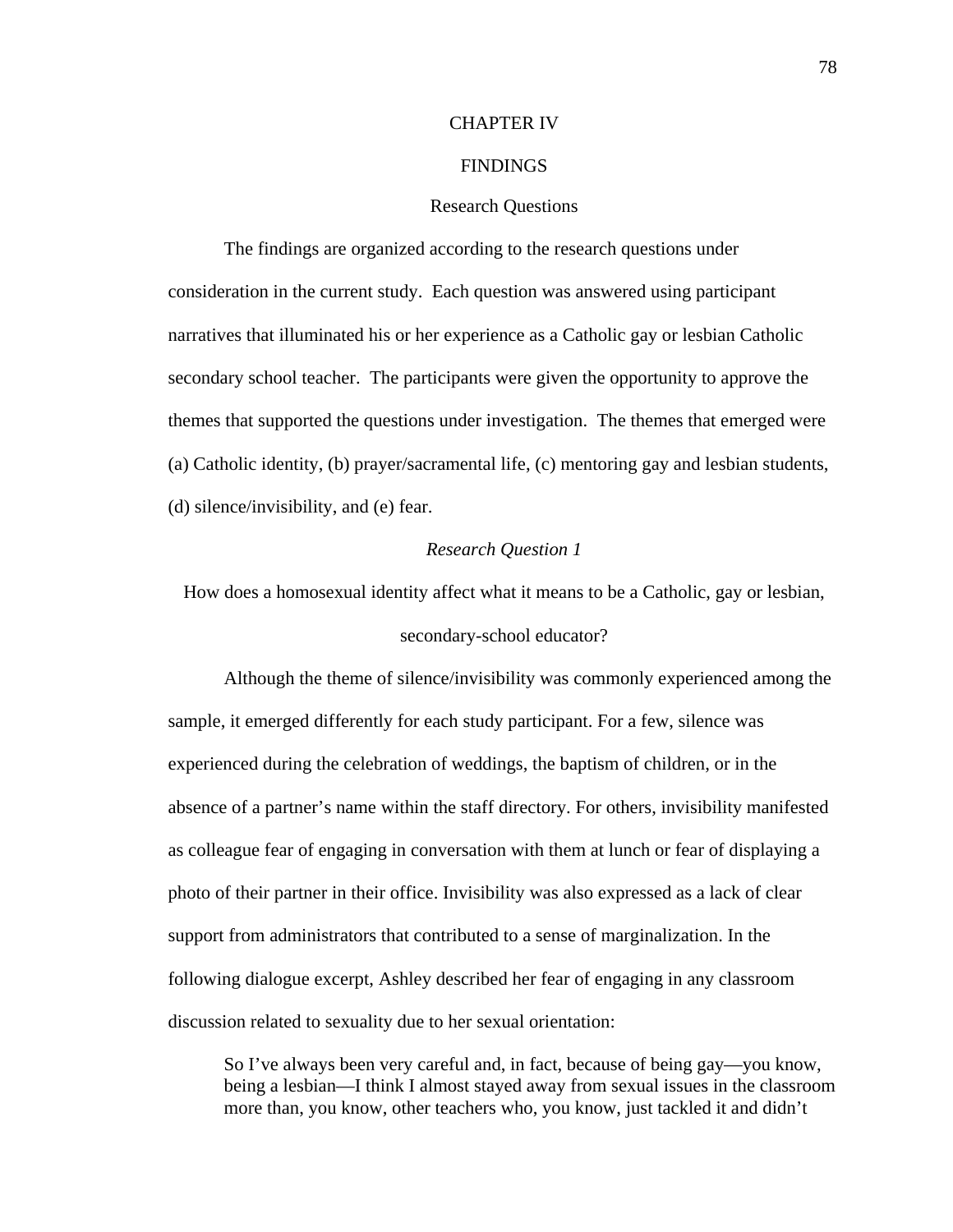## CHAPTER IV

## FINDINGS

## Research Questions

The findings are organized according to the research questions under consideration in the current study. Each question was answered using participant narratives that illuminated his or her experience as a Catholic gay or lesbian Catholic secondary school teacher. The participants were given the opportunity to approve the themes that supported the questions under investigation. The themes that emerged were (a) Catholic identity, (b) prayer/sacramental life, (c) mentoring gay and lesbian students, (d) silence/invisibility, and (e) fear.

# *Research Question 1*

How does a homosexual identity affect what it means to be a Catholic, gay or lesbian,

## secondary-school educator?

Although the theme of silence/invisibility was commonly experienced among the sample, it emerged differently for each study participant. For a few, silence was experienced during the celebration of weddings, the baptism of children, or in the absence of a partner's name within the staff directory. For others, invisibility manifested as colleague fear of engaging in conversation with them at lunch or fear of displaying a photo of their partner in their office. Invisibility was also expressed as a lack of clear support from administrators that contributed to a sense of marginalization. In the following dialogue excerpt, Ashley described her fear of engaging in any classroom discussion related to sexuality due to her sexual orientation:

So I've always been very careful and, in fact, because of being gay—you know, being a lesbian—I think I almost stayed away from sexual issues in the classroom more than, you know, other teachers who, you know, just tackled it and didn't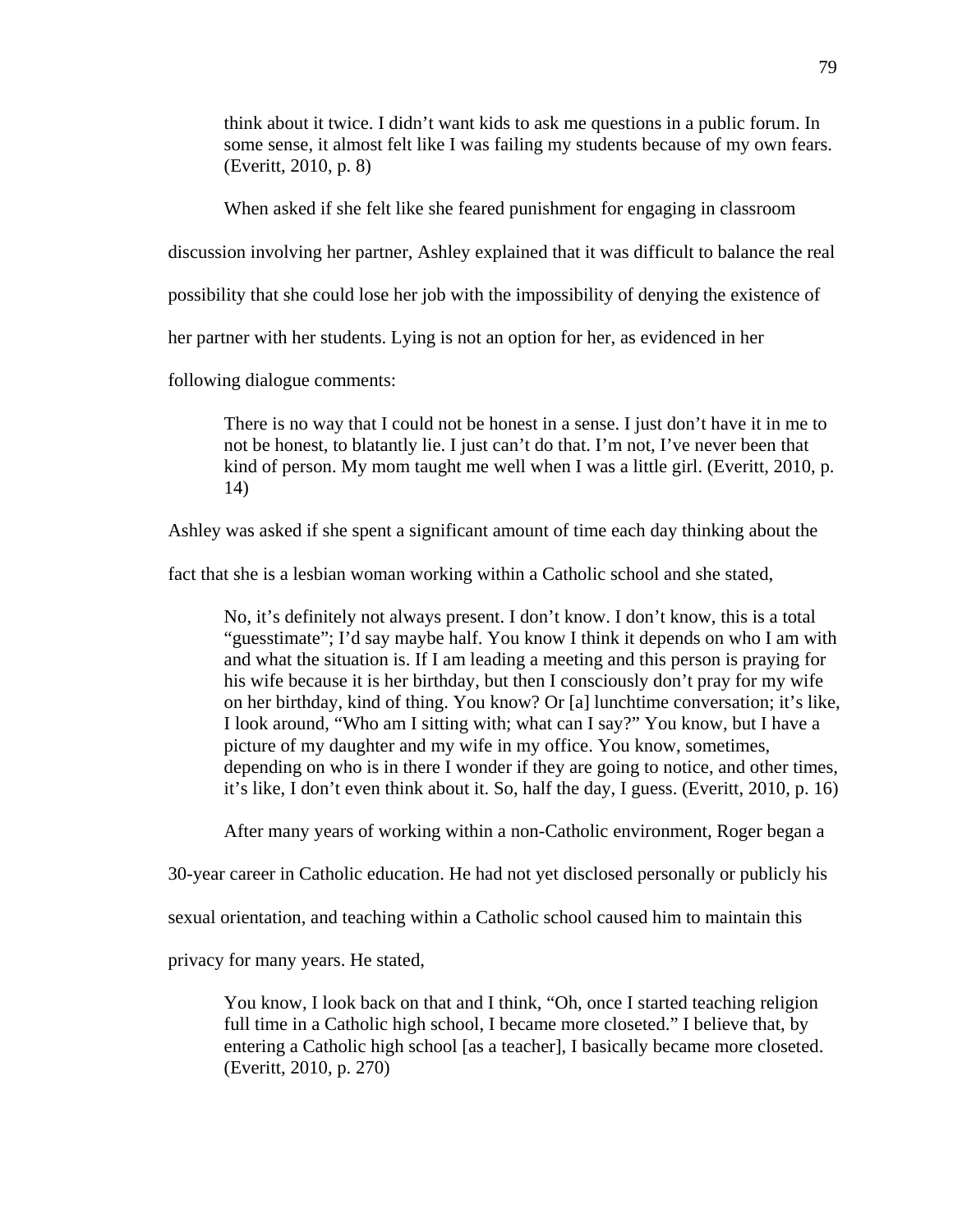think about it twice. I didn't want kids to ask me questions in a public forum. In some sense, it almost felt like I was failing my students because of my own fears. (Everitt, 2010, p. 8)

When asked if she felt like she feared punishment for engaging in classroom

discussion involving her partner, Ashley explained that it was difficult to balance the real

possibility that she could lose her job with the impossibility of denying the existence of

her partner with her students. Lying is not an option for her, as evidenced in her

following dialogue comments:

There is no way that I could not be honest in a sense. I just don't have it in me to not be honest, to blatantly lie. I just can't do that. I'm not, I've never been that kind of person. My mom taught me well when I was a little girl. (Everitt, 2010, p. 14)

Ashley was asked if she spent a significant amount of time each day thinking about the

fact that she is a lesbian woman working within a Catholic school and she stated,

No, it's definitely not always present. I don't know. I don't know, this is a total "guesstimate"; I'd say maybe half. You know I think it depends on who I am with and what the situation is. If I am leading a meeting and this person is praying for his wife because it is her birthday, but then I consciously don't pray for my wife on her birthday, kind of thing. You know? Or [a] lunchtime conversation; it's like, I look around, "Who am I sitting with; what can I say?" You know, but I have a picture of my daughter and my wife in my office. You know, sometimes, depending on who is in there I wonder if they are going to notice, and other times, it's like, I don't even think about it. So, half the day, I guess. (Everitt, 2010, p. 16)

After many years of working within a non-Catholic environment, Roger began a

30-year career in Catholic education. He had not yet disclosed personally or publicly his

sexual orientation, and teaching within a Catholic school caused him to maintain this

privacy for many years. He stated,

You know, I look back on that and I think, "Oh, once I started teaching religion full time in a Catholic high school, I became more closeted." I believe that, by entering a Catholic high school [as a teacher], I basically became more closeted. (Everitt, 2010, p. 270)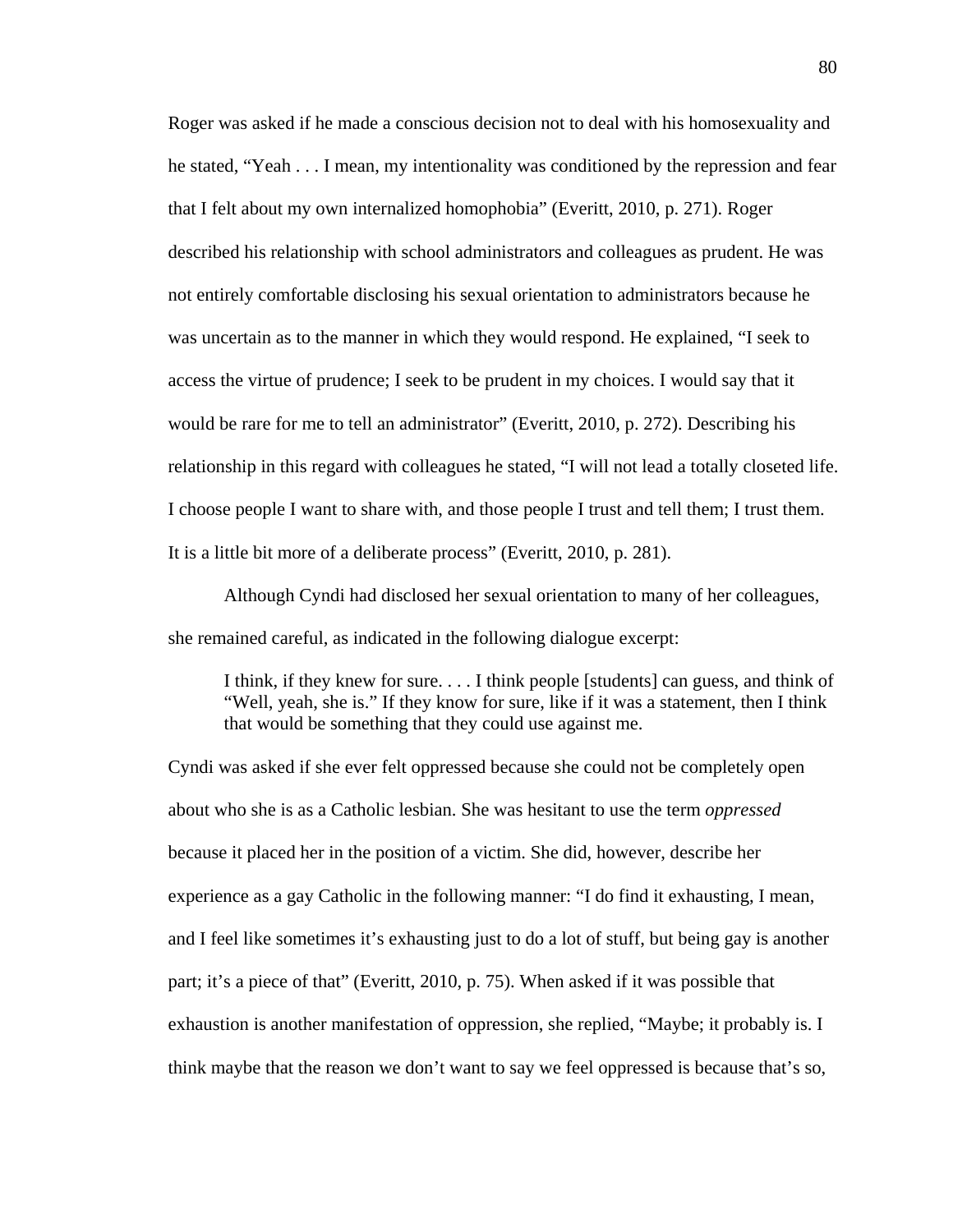Roger was asked if he made a conscious decision not to deal with his homosexuality and he stated, "Yeah . . . I mean, my intentionality was conditioned by the repression and fear that I felt about my own internalized homophobia" (Everitt, 2010, p. 271). Roger described his relationship with school administrators and colleagues as prudent. He was not entirely comfortable disclosing his sexual orientation to administrators because he was uncertain as to the manner in which they would respond. He explained, "I seek to access the virtue of prudence; I seek to be prudent in my choices. I would say that it would be rare for me to tell an administrator" (Everitt, 2010, p. 272). Describing his relationship in this regard with colleagues he stated, "I will not lead a totally closeted life. I choose people I want to share with, and those people I trust and tell them; I trust them. It is a little bit more of a deliberate process" (Everitt, 2010, p. 281).

Although Cyndi had disclosed her sexual orientation to many of her colleagues, she remained careful, as indicated in the following dialogue excerpt:

I think, if they knew for sure. . . . I think people [students] can guess, and think of "Well, yeah, she is." If they know for sure, like if it was a statement, then I think that would be something that they could use against me.

Cyndi was asked if she ever felt oppressed because she could not be completely open about who she is as a Catholic lesbian. She was hesitant to use the term *oppressed* because it placed her in the position of a victim. She did, however, describe her experience as a gay Catholic in the following manner: "I do find it exhausting, I mean, and I feel like sometimes it's exhausting just to do a lot of stuff, but being gay is another part; it's a piece of that" (Everitt, 2010, p. 75). When asked if it was possible that exhaustion is another manifestation of oppression, she replied, "Maybe; it probably is. I think maybe that the reason we don't want to say we feel oppressed is because that's so,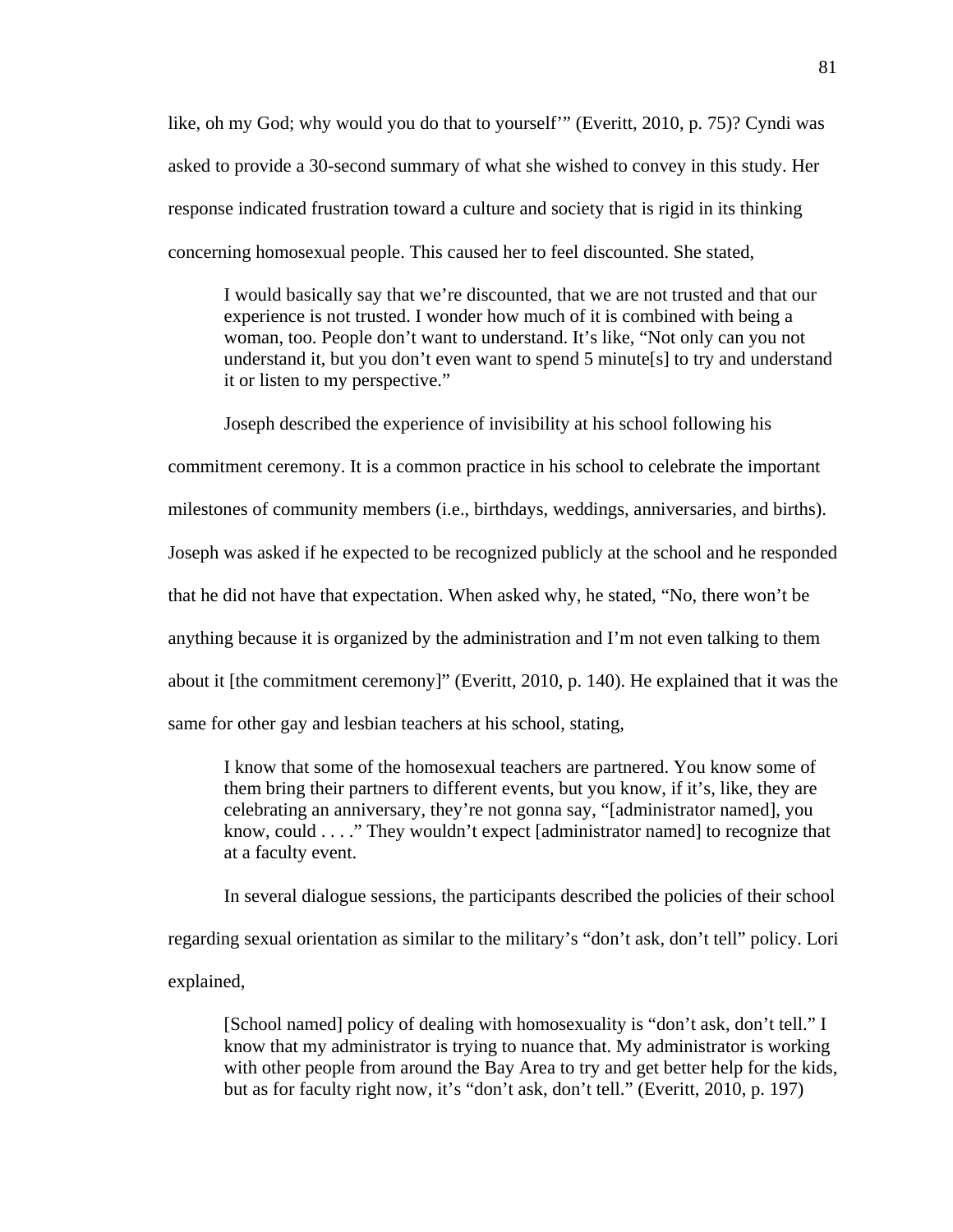like, oh my God; why would you do that to yourself'" (Everitt, 2010, p. 75)? Cyndi was asked to provide a 30-second summary of what she wished to convey in this study. Her response indicated frustration toward a culture and society that is rigid in its thinking concerning homosexual people. This caused her to feel discounted. She stated,

I would basically say that we're discounted, that we are not trusted and that our experience is not trusted. I wonder how much of it is combined with being a woman, too. People don't want to understand. It's like, "Not only can you not understand it, but you don't even want to spend 5 minute[s] to try and understand it or listen to my perspective."

 Joseph described the experience of invisibility at his school following his commitment ceremony. It is a common practice in his school to celebrate the important milestones of community members (i.e., birthdays, weddings, anniversaries, and births). Joseph was asked if he expected to be recognized publicly at the school and he responded that he did not have that expectation. When asked why, he stated, "No, there won't be anything because it is organized by the administration and I'm not even talking to them about it [the commitment ceremony]" (Everitt, 2010, p. 140). He explained that it was the same for other gay and lesbian teachers at his school, stating,

I know that some of the homosexual teachers are partnered. You know some of them bring their partners to different events, but you know, if it's, like, they are celebrating an anniversary, they're not gonna say, "[administrator named], you know, could . . . ." They wouldn't expect [administrator named] to recognize that at a faculty event.

In several dialogue sessions, the participants described the policies of their school regarding sexual orientation as similar to the military's "don't ask, don't tell" policy. Lori explained,

[School named] policy of dealing with homosexuality is "don't ask, don't tell." I know that my administrator is trying to nuance that. My administrator is working with other people from around the Bay Area to try and get better help for the kids, but as for faculty right now, it's "don't ask, don't tell." (Everitt, 2010, p. 197)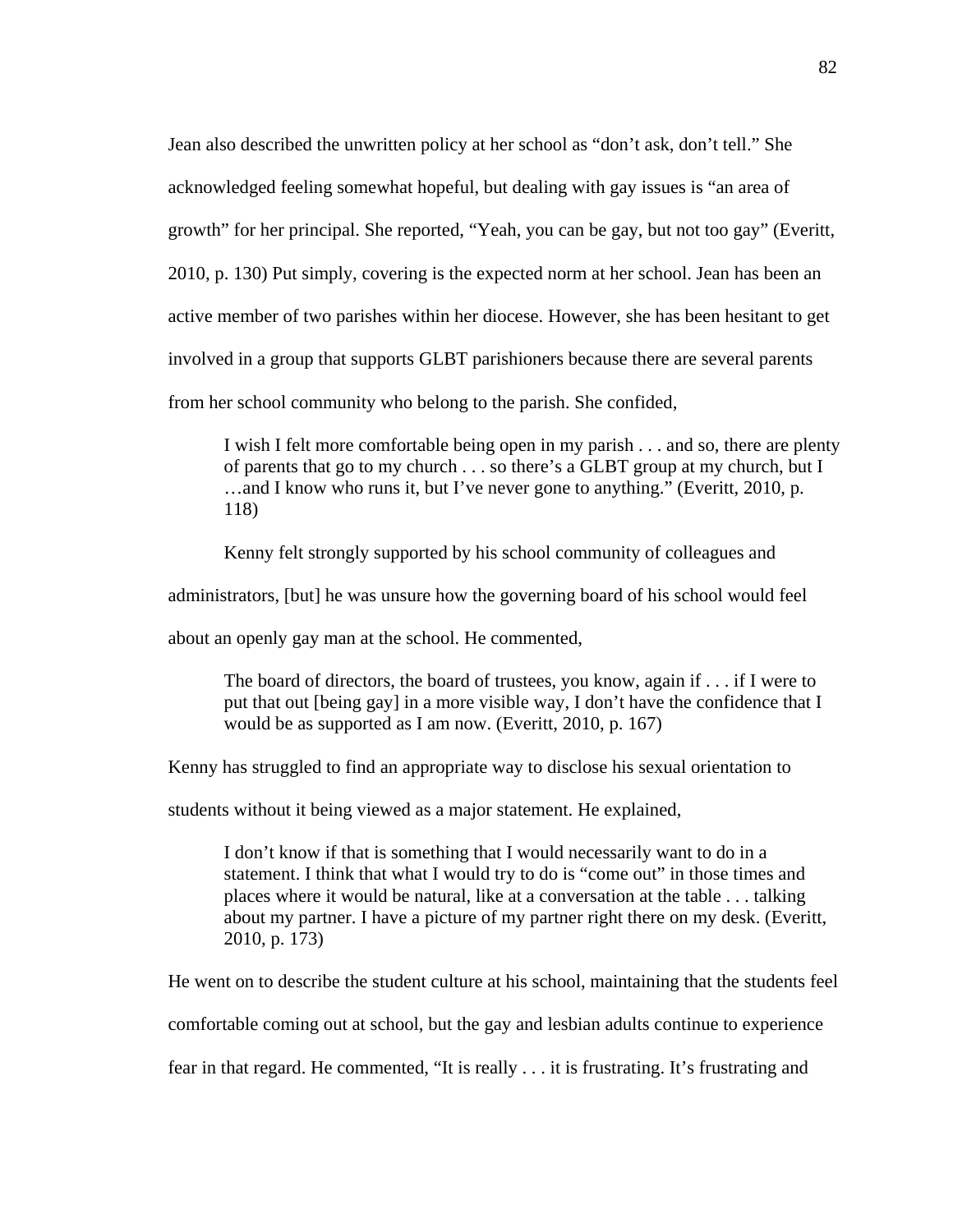Jean also described the unwritten policy at her school as "don't ask, don't tell." She acknowledged feeling somewhat hopeful, but dealing with gay issues is "an area of growth" for her principal. She reported, "Yeah, you can be gay, but not too gay" (Everitt, 2010, p. 130) Put simply, covering is the expected norm at her school. Jean has been an active member of two parishes within her diocese. However, she has been hesitant to get involved in a group that supports GLBT parishioners because there are several parents from her school community who belong to the parish. She confided,

I wish I felt more comfortable being open in my parish . . . and so, there are plenty of parents that go to my church . . . so there's a GLBT group at my church, but I …and I know who runs it, but I've never gone to anything." (Everitt, 2010, p. 118)

Kenny felt strongly supported by his school community of colleagues and

administrators, [but] he was unsure how the governing board of his school would feel

about an openly gay man at the school. He commented,

The board of directors, the board of trustees, you know, again if . . . if I were to put that out [being gay] in a more visible way, I don't have the confidence that I would be as supported as I am now. (Everitt, 2010, p. 167)

Kenny has struggled to find an appropriate way to disclose his sexual orientation to

students without it being viewed as a major statement. He explained,

I don't know if that is something that I would necessarily want to do in a statement. I think that what I would try to do is "come out" in those times and places where it would be natural, like at a conversation at the table . . . talking about my partner. I have a picture of my partner right there on my desk. (Everitt, 2010, p. 173)

He went on to describe the student culture at his school, maintaining that the students feel

comfortable coming out at school, but the gay and lesbian adults continue to experience

fear in that regard. He commented, "It is really . . . it is frustrating. It's frustrating and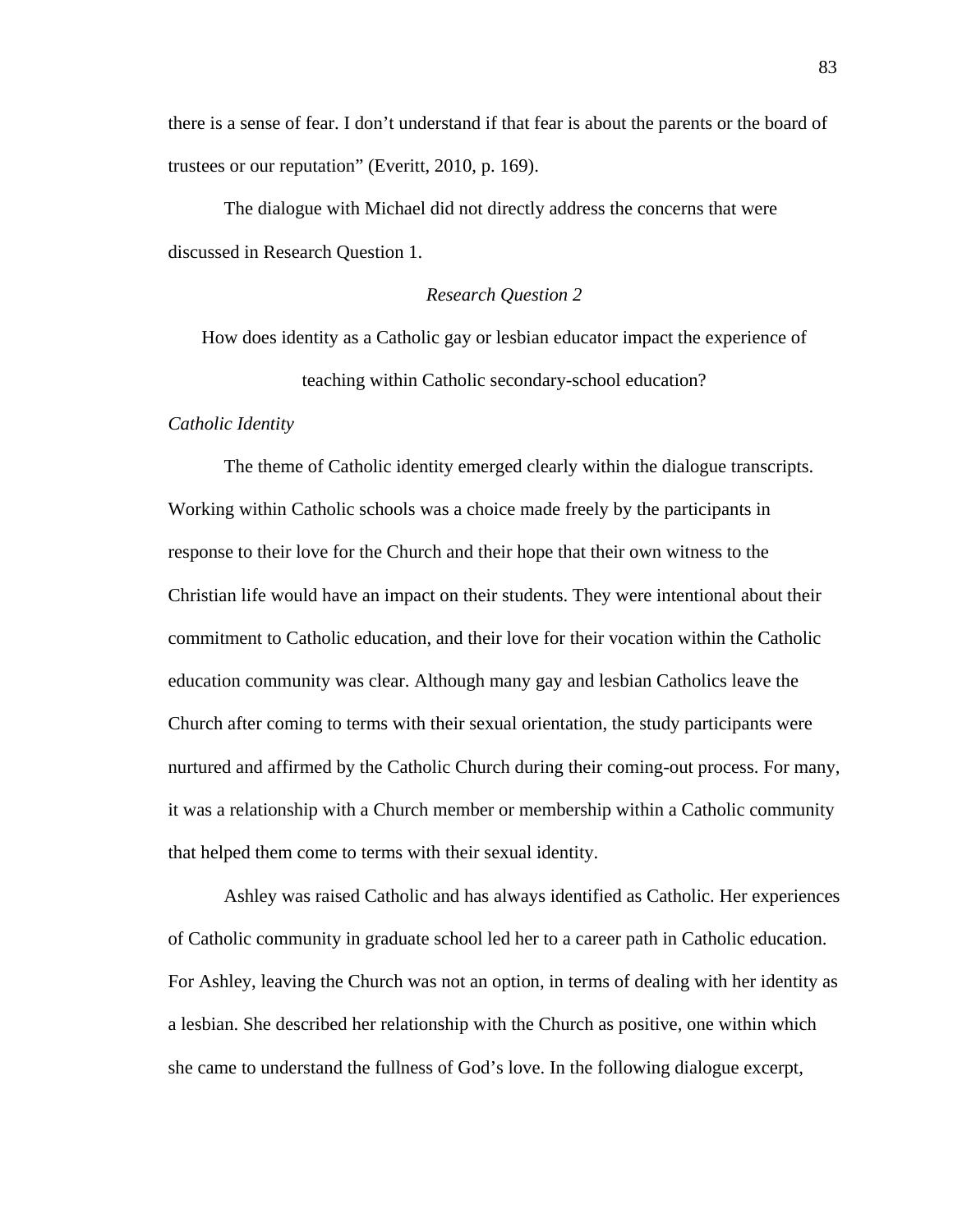there is a sense of fear. I don't understand if that fear is about the parents or the board of trustees or our reputation" (Everitt, 2010, p. 169).

 The dialogue with Michael did not directly address the concerns that were discussed in Research Question 1.

### *Research Question 2*

How does identity as a Catholic gay or lesbian educator impact the experience of teaching within Catholic secondary-school education?

#### *Catholic Identity*

The theme of Catholic identity emerged clearly within the dialogue transcripts. Working within Catholic schools was a choice made freely by the participants in response to their love for the Church and their hope that their own witness to the Christian life would have an impact on their students. They were intentional about their commitment to Catholic education, and their love for their vocation within the Catholic education community was clear. Although many gay and lesbian Catholics leave the Church after coming to terms with their sexual orientation, the study participants were nurtured and affirmed by the Catholic Church during their coming-out process. For many, it was a relationship with a Church member or membership within a Catholic community that helped them come to terms with their sexual identity.

Ashley was raised Catholic and has always identified as Catholic. Her experiences of Catholic community in graduate school led her to a career path in Catholic education. For Ashley, leaving the Church was not an option, in terms of dealing with her identity as a lesbian. She described her relationship with the Church as positive, one within which she came to understand the fullness of God's love. In the following dialogue excerpt,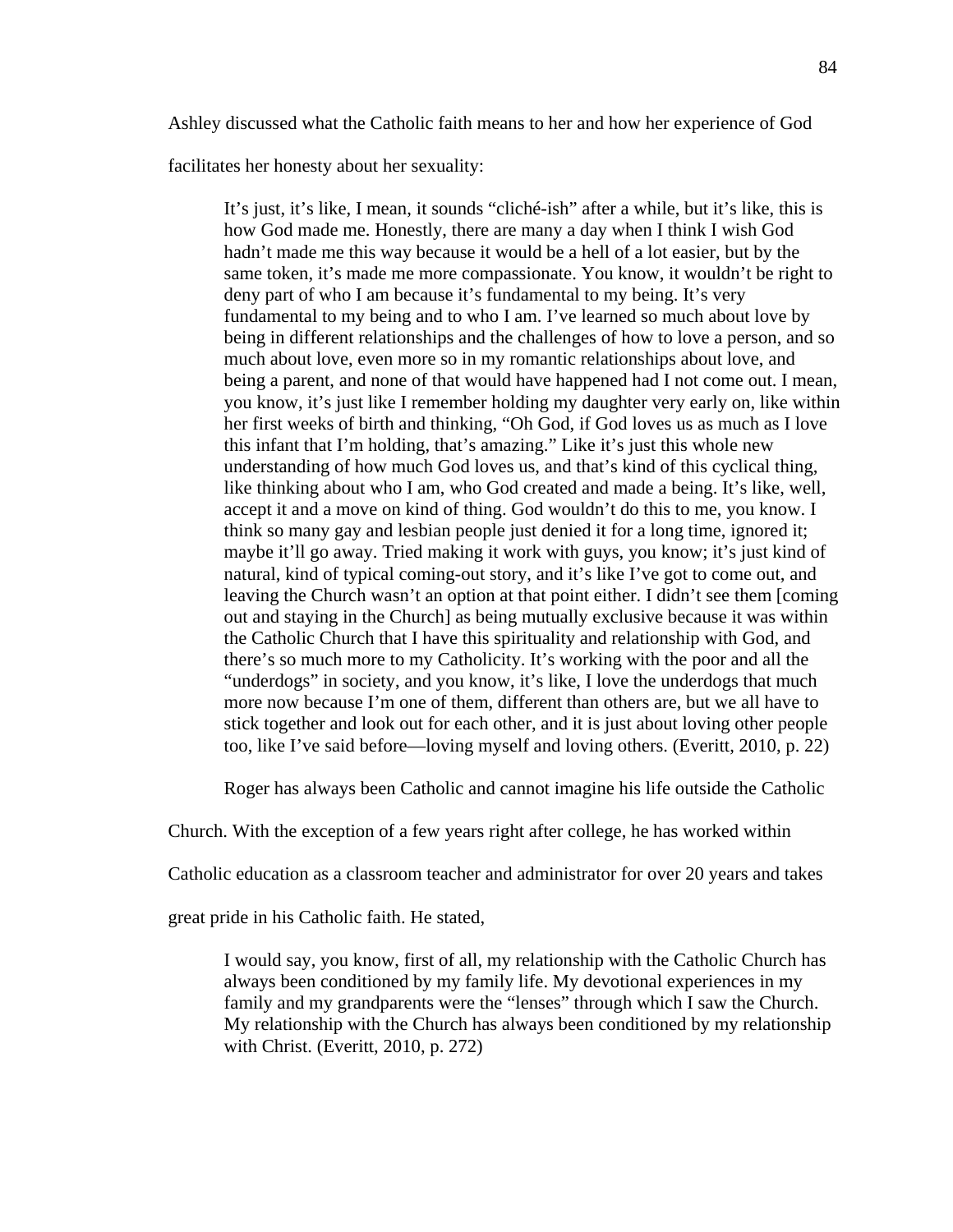Ashley discussed what the Catholic faith means to her and how her experience of God

facilitates her honesty about her sexuality:

It's just, it's like, I mean, it sounds "cliché-ish" after a while, but it's like, this is how God made me. Honestly, there are many a day when I think I wish God hadn't made me this way because it would be a hell of a lot easier, but by the same token, it's made me more compassionate. You know, it wouldn't be right to deny part of who I am because it's fundamental to my being. It's very fundamental to my being and to who I am. I've learned so much about love by being in different relationships and the challenges of how to love a person, and so much about love, even more so in my romantic relationships about love, and being a parent, and none of that would have happened had I not come out. I mean, you know, it's just like I remember holding my daughter very early on, like within her first weeks of birth and thinking, "Oh God, if God loves us as much as I love this infant that I'm holding, that's amazing." Like it's just this whole new understanding of how much God loves us, and that's kind of this cyclical thing, like thinking about who I am, who God created and made a being. It's like, well, accept it and a move on kind of thing. God wouldn't do this to me, you know. I think so many gay and lesbian people just denied it for a long time, ignored it; maybe it'll go away. Tried making it work with guys, you know; it's just kind of natural, kind of typical coming-out story, and it's like I've got to come out, and leaving the Church wasn't an option at that point either. I didn't see them [coming out and staying in the Church] as being mutually exclusive because it was within the Catholic Church that I have this spirituality and relationship with God, and there's so much more to my Catholicity. It's working with the poor and all the "underdogs" in society, and you know, it's like, I love the underdogs that much more now because I'm one of them, different than others are, but we all have to stick together and look out for each other, and it is just about loving other people too, like I've said before—loving myself and loving others. (Everitt, 2010, p. 22)

Roger has always been Catholic and cannot imagine his life outside the Catholic

Church. With the exception of a few years right after college, he has worked within

Catholic education as a classroom teacher and administrator for over 20 years and takes

great pride in his Catholic faith. He stated,

I would say, you know, first of all, my relationship with the Catholic Church has always been conditioned by my family life. My devotional experiences in my family and my grandparents were the "lenses" through which I saw the Church. My relationship with the Church has always been conditioned by my relationship with Christ. (Everitt, 2010, p. 272)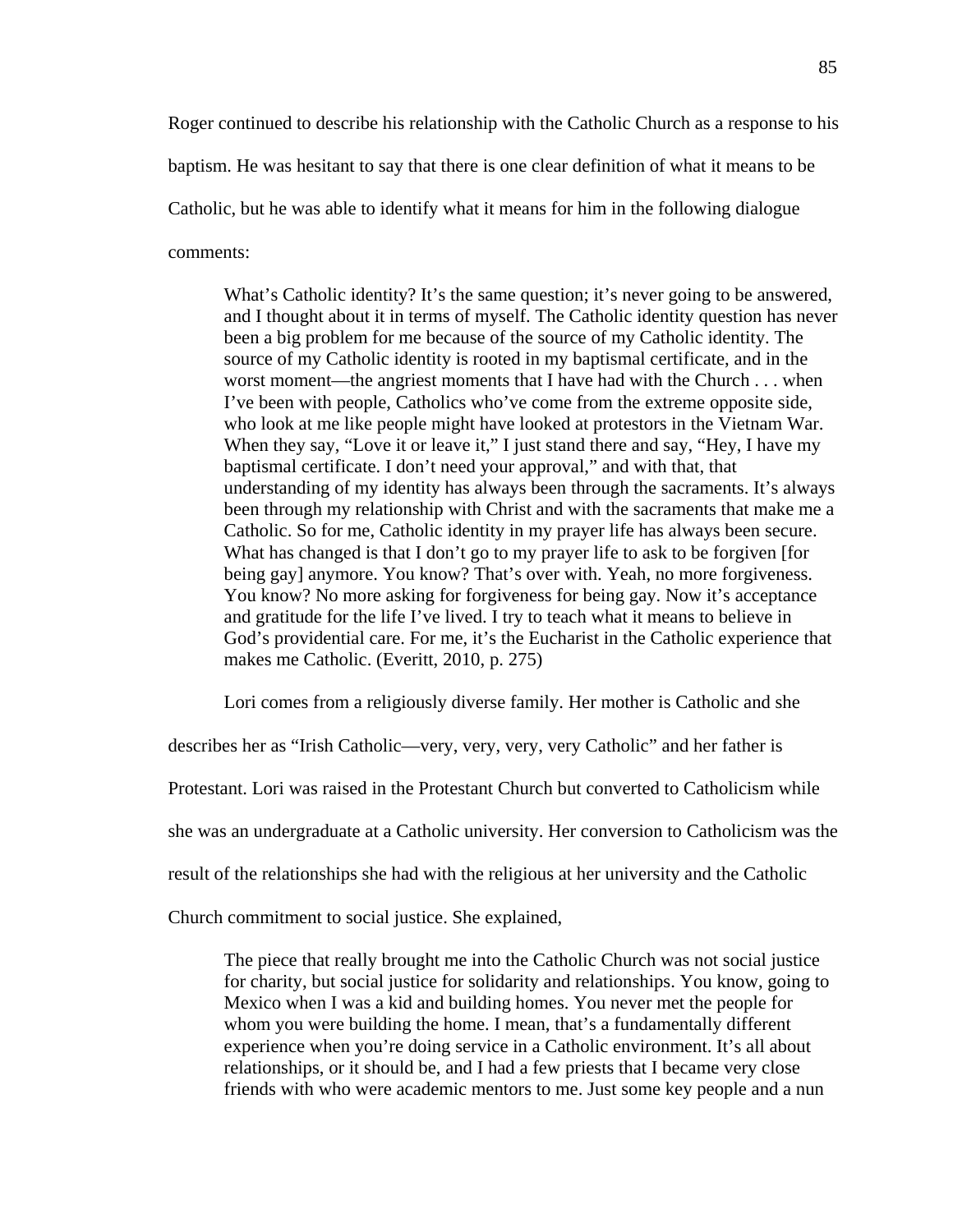Roger continued to describe his relationship with the Catholic Church as a response to his baptism. He was hesitant to say that there is one clear definition of what it means to be Catholic, but he was able to identify what it means for him in the following dialogue comments:

What's Catholic identity? It's the same question; it's never going to be answered, and I thought about it in terms of myself. The Catholic identity question has never been a big problem for me because of the source of my Catholic identity. The source of my Catholic identity is rooted in my baptismal certificate, and in the worst moment—the angriest moments that I have had with the Church . . . when I've been with people, Catholics who've come from the extreme opposite side, who look at me like people might have looked at protestors in the Vietnam War. When they say, "Love it or leave it," I just stand there and say, "Hey, I have my baptismal certificate. I don't need your approval," and with that, that understanding of my identity has always been through the sacraments. It's always been through my relationship with Christ and with the sacraments that make me a Catholic. So for me, Catholic identity in my prayer life has always been secure. What has changed is that I don't go to my prayer life to ask to be forgiven [for being gay] anymore. You know? That's over with. Yeah, no more forgiveness. You know? No more asking for forgiveness for being gay. Now it's acceptance and gratitude for the life I've lived. I try to teach what it means to believe in God's providential care. For me, it's the Eucharist in the Catholic experience that makes me Catholic. (Everitt, 2010, p. 275)

Lori comes from a religiously diverse family. Her mother is Catholic and she

describes her as "Irish Catholic—very, very, very, very Catholic" and her father is

Protestant. Lori was raised in the Protestant Church but converted to Catholicism while

she was an undergraduate at a Catholic university. Her conversion to Catholicism was the

result of the relationships she had with the religious at her university and the Catholic

Church commitment to social justice. She explained,

The piece that really brought me into the Catholic Church was not social justice for charity, but social justice for solidarity and relationships. You know, going to Mexico when I was a kid and building homes. You never met the people for whom you were building the home. I mean, that's a fundamentally different experience when you're doing service in a Catholic environment. It's all about relationships, or it should be, and I had a few priests that I became very close friends with who were academic mentors to me. Just some key people and a nun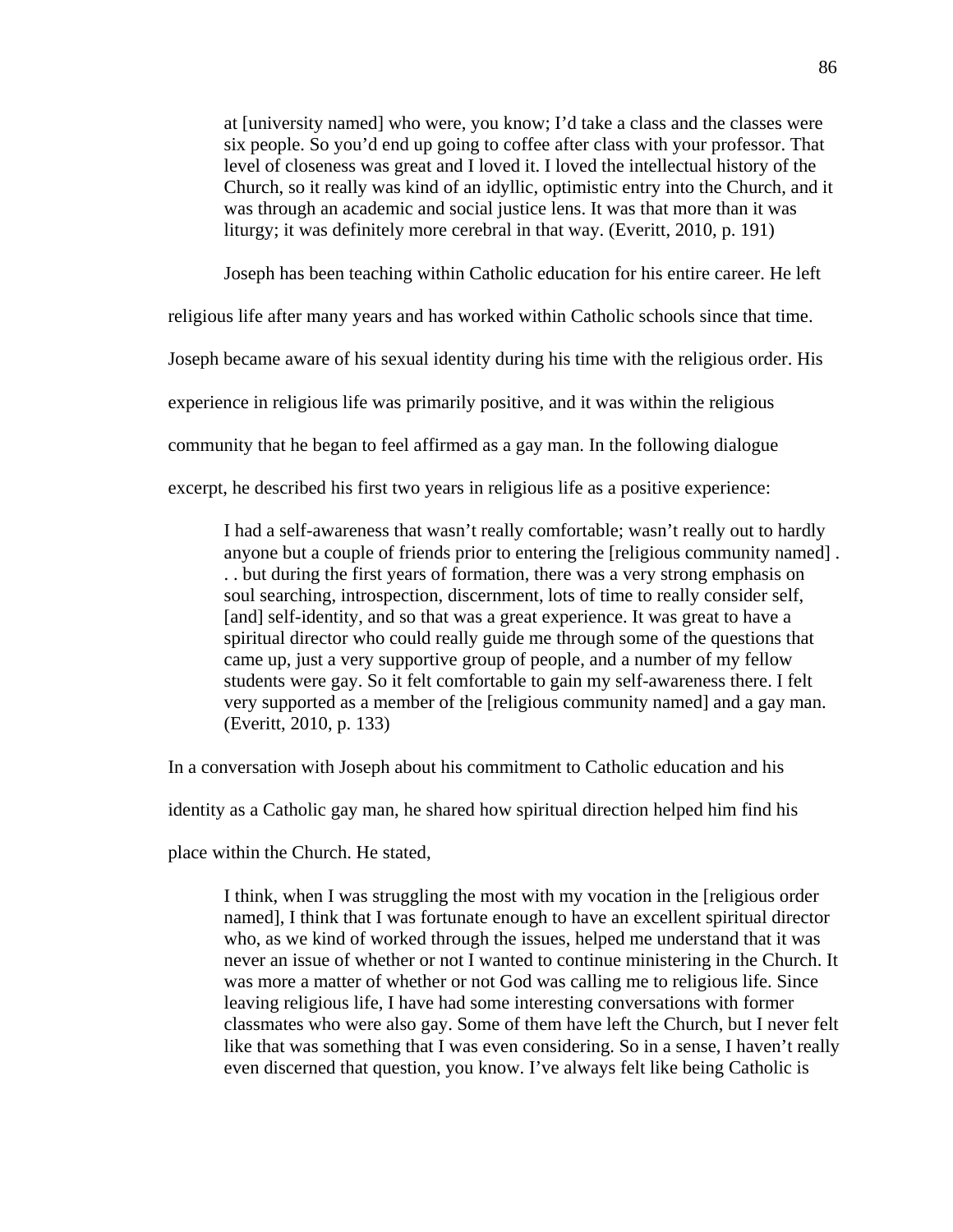at [university named] who were, you know; I'd take a class and the classes were six people. So you'd end up going to coffee after class with your professor. That level of closeness was great and I loved it. I loved the intellectual history of the Church, so it really was kind of an idyllic, optimistic entry into the Church, and it was through an academic and social justice lens. It was that more than it was liturgy; it was definitely more cerebral in that way. (Everitt, 2010, p. 191)

Joseph has been teaching within Catholic education for his entire career. He left

religious life after many years and has worked within Catholic schools since that time.

Joseph became aware of his sexual identity during his time with the religious order. His

experience in religious life was primarily positive, and it was within the religious

community that he began to feel affirmed as a gay man. In the following dialogue

excerpt, he described his first two years in religious life as a positive experience:

I had a self-awareness that wasn't really comfortable; wasn't really out to hardly anyone but a couple of friends prior to entering the [religious community named] . . . but during the first years of formation, there was a very strong emphasis on soul searching, introspection, discernment, lots of time to really consider self, [and] self-identity, and so that was a great experience. It was great to have a spiritual director who could really guide me through some of the questions that came up, just a very supportive group of people, and a number of my fellow students were gay. So it felt comfortable to gain my self-awareness there. I felt very supported as a member of the [religious community named] and a gay man. (Everitt, 2010, p. 133)

In a conversation with Joseph about his commitment to Catholic education and his

identity as a Catholic gay man, he shared how spiritual direction helped him find his

place within the Church. He stated,

I think, when I was struggling the most with my vocation in the [religious order named], I think that I was fortunate enough to have an excellent spiritual director who, as we kind of worked through the issues, helped me understand that it was never an issue of whether or not I wanted to continue ministering in the Church. It was more a matter of whether or not God was calling me to religious life. Since leaving religious life, I have had some interesting conversations with former classmates who were also gay. Some of them have left the Church, but I never felt like that was something that I was even considering. So in a sense, I haven't really even discerned that question, you know. I've always felt like being Catholic is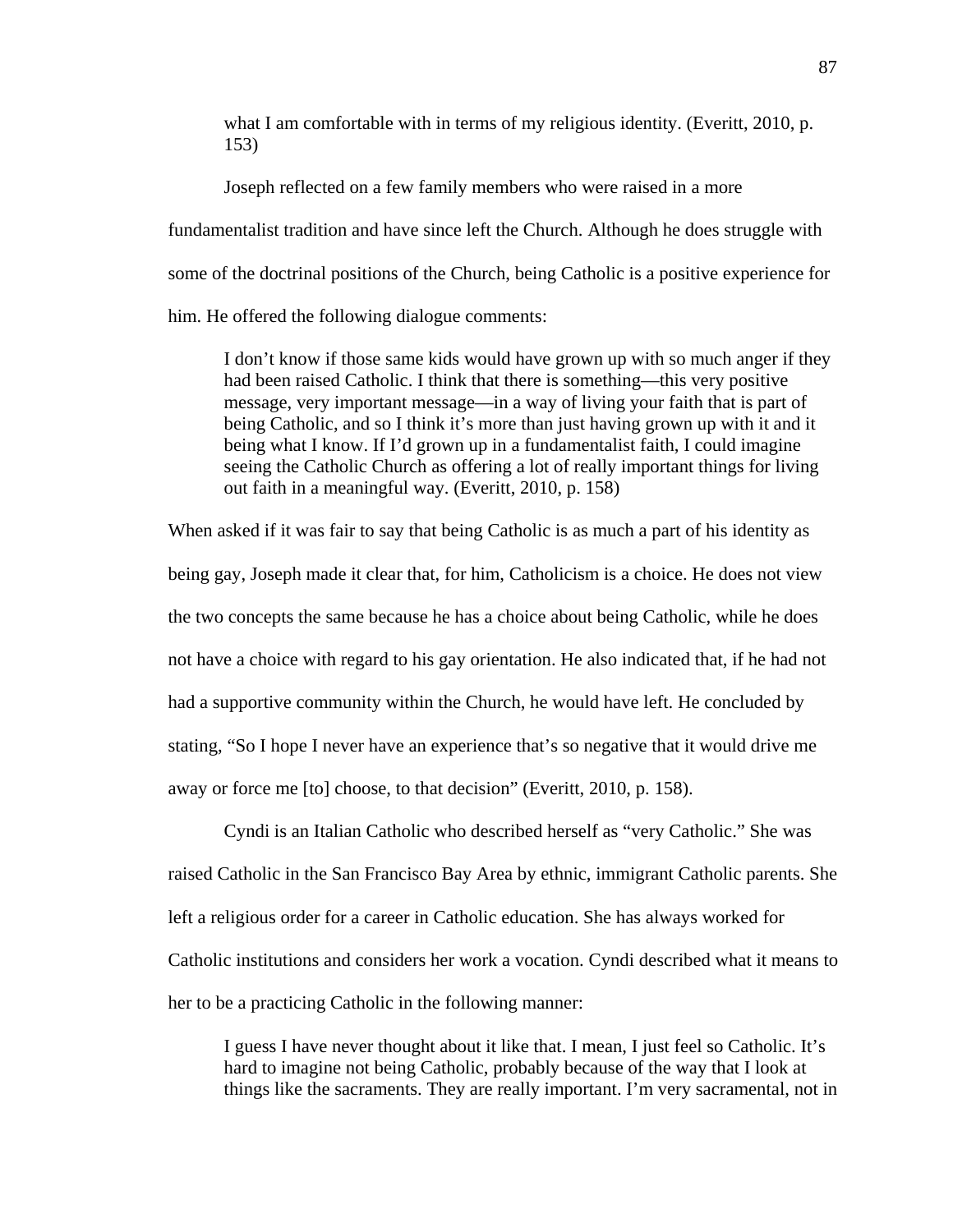what I am comfortable with in terms of my religious identity. (Everitt, 2010, p. 153)

Joseph reflected on a few family members who were raised in a more fundamentalist tradition and have since left the Church. Although he does struggle with some of the doctrinal positions of the Church, being Catholic is a positive experience for him. He offered the following dialogue comments:

I don't know if those same kids would have grown up with so much anger if they had been raised Catholic. I think that there is something—this very positive message, very important message—in a way of living your faith that is part of being Catholic, and so I think it's more than just having grown up with it and it being what I know. If I'd grown up in a fundamentalist faith, I could imagine seeing the Catholic Church as offering a lot of really important things for living out faith in a meaningful way. (Everitt, 2010, p. 158)

When asked if it was fair to say that being Catholic is as much a part of his identity as being gay, Joseph made it clear that, for him, Catholicism is a choice. He does not view the two concepts the same because he has a choice about being Catholic, while he does not have a choice with regard to his gay orientation. He also indicated that, if he had not had a supportive community within the Church, he would have left. He concluded by stating, "So I hope I never have an experience that's so negative that it would drive me away or force me [to] choose, to that decision" (Everitt, 2010, p. 158).

 Cyndi is an Italian Catholic who described herself as "very Catholic." She was raised Catholic in the San Francisco Bay Area by ethnic, immigrant Catholic parents. She left a religious order for a career in Catholic education. She has always worked for Catholic institutions and considers her work a vocation. Cyndi described what it means to her to be a practicing Catholic in the following manner:

I guess I have never thought about it like that. I mean, I just feel so Catholic. It's hard to imagine not being Catholic, probably because of the way that I look at things like the sacraments. They are really important. I'm very sacramental, not in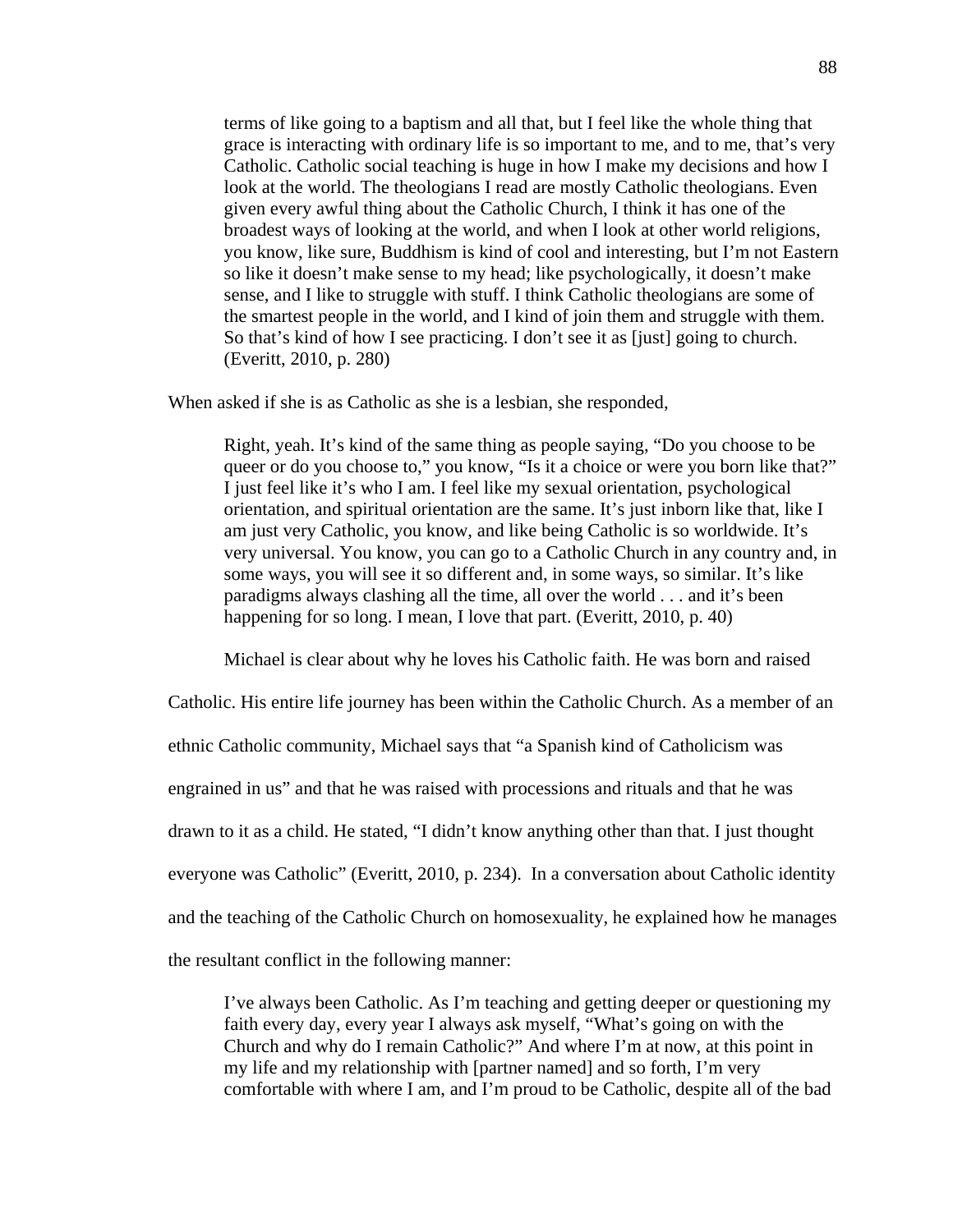terms of like going to a baptism and all that, but I feel like the whole thing that grace is interacting with ordinary life is so important to me, and to me, that's very Catholic. Catholic social teaching is huge in how I make my decisions and how I look at the world. The theologians I read are mostly Catholic theologians. Even given every awful thing about the Catholic Church, I think it has one of the broadest ways of looking at the world, and when I look at other world religions, you know, like sure, Buddhism is kind of cool and interesting, but I'm not Eastern so like it doesn't make sense to my head; like psychologically, it doesn't make sense, and I like to struggle with stuff. I think Catholic theologians are some of the smartest people in the world, and I kind of join them and struggle with them. So that's kind of how I see practicing. I don't see it as [just] going to church. (Everitt, 2010, p. 280)

When asked if she is as Catholic as she is a lesbian, she responded,

Right, yeah. It's kind of the same thing as people saying, "Do you choose to be queer or do you choose to," you know, "Is it a choice or were you born like that?" I just feel like it's who I am. I feel like my sexual orientation, psychological orientation, and spiritual orientation are the same. It's just inborn like that, like I am just very Catholic, you know, and like being Catholic is so worldwide. It's very universal. You know, you can go to a Catholic Church in any country and, in some ways, you will see it so different and, in some ways, so similar. It's like paradigms always clashing all the time, all over the world . . . and it's been happening for so long. I mean, I love that part. (Everitt, 2010, p. 40)

Michael is clear about why he loves his Catholic faith. He was born and raised

Catholic. His entire life journey has been within the Catholic Church. As a member of an ethnic Catholic community, Michael says that "a Spanish kind of Catholicism was engrained in us" and that he was raised with processions and rituals and that he was drawn to it as a child. He stated, "I didn't know anything other than that. I just thought everyone was Catholic" (Everitt, 2010, p. 234). In a conversation about Catholic identity and the teaching of the Catholic Church on homosexuality, he explained how he manages the resultant conflict in the following manner:

I've always been Catholic. As I'm teaching and getting deeper or questioning my faith every day, every year I always ask myself, "What's going on with the Church and why do I remain Catholic?" And where I'm at now, at this point in my life and my relationship with [partner named] and so forth, I'm very comfortable with where I am, and I'm proud to be Catholic, despite all of the bad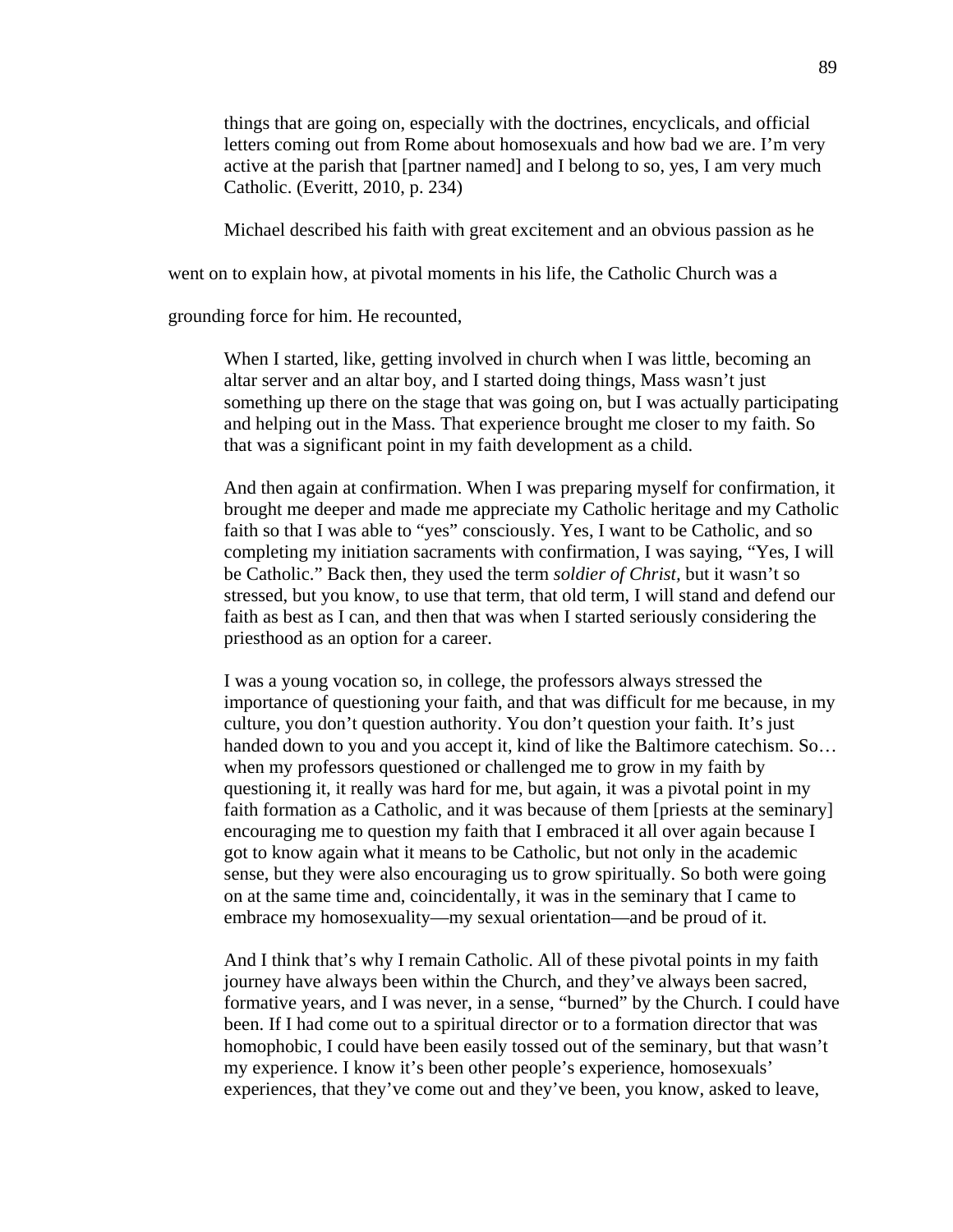things that are going on, especially with the doctrines, encyclicals, and official letters coming out from Rome about homosexuals and how bad we are. I'm very active at the parish that [partner named] and I belong to so, yes, I am very much Catholic. (Everitt, 2010, p. 234)

Michael described his faith with great excitement and an obvious passion as he

went on to explain how, at pivotal moments in his life, the Catholic Church was a

grounding force for him. He recounted,

When I started, like, getting involved in church when I was little, becoming an altar server and an altar boy, and I started doing things, Mass wasn't just something up there on the stage that was going on, but I was actually participating and helping out in the Mass. That experience brought me closer to my faith. So that was a significant point in my faith development as a child.

And then again at confirmation. When I was preparing myself for confirmation, it brought me deeper and made me appreciate my Catholic heritage and my Catholic faith so that I was able to "yes" consciously. Yes, I want to be Catholic, and so completing my initiation sacraments with confirmation, I was saying, "Yes, I will be Catholic." Back then, they used the term *soldier of Christ,* but it wasn't so stressed, but you know, to use that term, that old term, I will stand and defend our faith as best as I can, and then that was when I started seriously considering the priesthood as an option for a career.

I was a young vocation so, in college, the professors always stressed the importance of questioning your faith, and that was difficult for me because, in my culture, you don't question authority. You don't question your faith. It's just handed down to you and you accept it, kind of like the Baltimore catechism. So… when my professors questioned or challenged me to grow in my faith by questioning it, it really was hard for me, but again, it was a pivotal point in my faith formation as a Catholic, and it was because of them [priests at the seminary] encouraging me to question my faith that I embraced it all over again because I got to know again what it means to be Catholic, but not only in the academic sense, but they were also encouraging us to grow spiritually. So both were going on at the same time and, coincidentally, it was in the seminary that I came to embrace my homosexuality—my sexual orientation—and be proud of it.

And I think that's why I remain Catholic. All of these pivotal points in my faith journey have always been within the Church, and they've always been sacred, formative years, and I was never, in a sense, "burned" by the Church. I could have been. If I had come out to a spiritual director or to a formation director that was homophobic, I could have been easily tossed out of the seminary, but that wasn't my experience. I know it's been other people's experience, homosexuals' experiences, that they've come out and they've been, you know, asked to leave,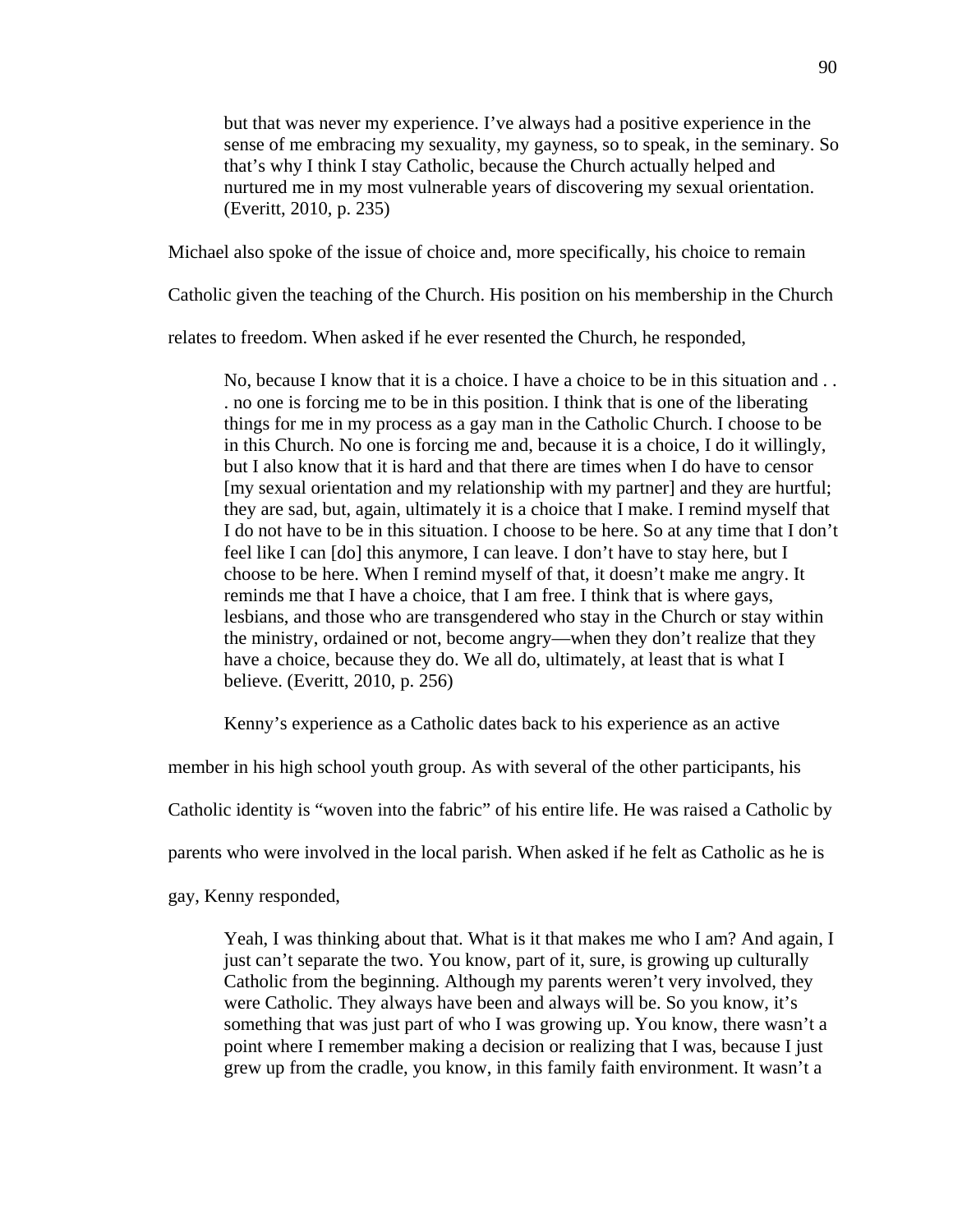but that was never my experience. I've always had a positive experience in the sense of me embracing my sexuality, my gayness, so to speak, in the seminary. So that's why I think I stay Catholic, because the Church actually helped and nurtured me in my most vulnerable years of discovering my sexual orientation. (Everitt, 2010, p. 235)

Michael also spoke of the issue of choice and, more specifically, his choice to remain

Catholic given the teaching of the Church. His position on his membership in the Church

relates to freedom. When asked if he ever resented the Church, he responded,

No, because I know that it is a choice. I have a choice to be in this situation and . . . no one is forcing me to be in this position. I think that is one of the liberating things for me in my process as a gay man in the Catholic Church. I choose to be in this Church. No one is forcing me and, because it is a choice, I do it willingly, but I also know that it is hard and that there are times when I do have to censor [my sexual orientation and my relationship with my partner] and they are hurtful; they are sad, but, again, ultimately it is a choice that I make. I remind myself that I do not have to be in this situation. I choose to be here. So at any time that I don't feel like I can [do] this anymore, I can leave. I don't have to stay here, but I choose to be here. When I remind myself of that, it doesn't make me angry. It reminds me that I have a choice, that I am free. I think that is where gays, lesbians, and those who are transgendered who stay in the Church or stay within the ministry, ordained or not, become angry—when they don't realize that they have a choice, because they do. We all do, ultimately, at least that is what I believe. (Everitt, 2010, p. 256)

Kenny's experience as a Catholic dates back to his experience as an active

member in his high school youth group. As with several of the other participants, his

Catholic identity is "woven into the fabric" of his entire life. He was raised a Catholic by

parents who were involved in the local parish. When asked if he felt as Catholic as he is

gay, Kenny responded,

Yeah, I was thinking about that. What is it that makes me who I am? And again, I just can't separate the two. You know, part of it, sure, is growing up culturally Catholic from the beginning. Although my parents weren't very involved, they were Catholic. They always have been and always will be. So you know, it's something that was just part of who I was growing up. You know, there wasn't a point where I remember making a decision or realizing that I was, because I just grew up from the cradle, you know, in this family faith environment. It wasn't a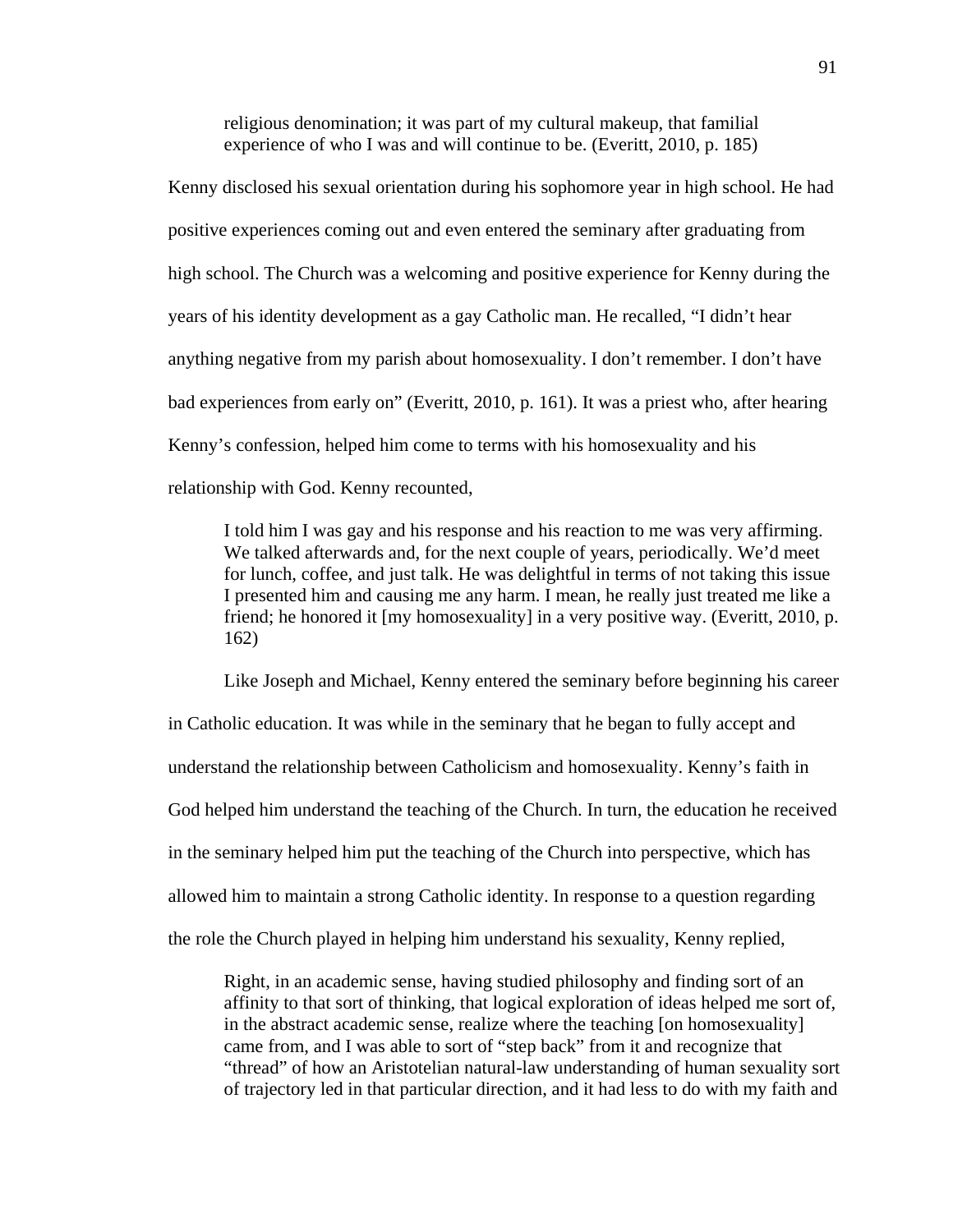religious denomination; it was part of my cultural makeup, that familial experience of who I was and will continue to be. (Everitt, 2010, p. 185)

Kenny disclosed his sexual orientation during his sophomore year in high school. He had positive experiences coming out and even entered the seminary after graduating from high school. The Church was a welcoming and positive experience for Kenny during the years of his identity development as a gay Catholic man. He recalled, "I didn't hear anything negative from my parish about homosexuality. I don't remember. I don't have bad experiences from early on" (Everitt, 2010, p. 161). It was a priest who, after hearing Kenny's confession, helped him come to terms with his homosexuality and his relationship with God. Kenny recounted,

I told him I was gay and his response and his reaction to me was very affirming. We talked afterwards and, for the next couple of years, periodically. We'd meet for lunch, coffee, and just talk. He was delightful in terms of not taking this issue I presented him and causing me any harm. I mean, he really just treated me like a friend; he honored it [my homosexuality] in a very positive way. (Everitt, 2010, p. 162)

Like Joseph and Michael, Kenny entered the seminary before beginning his career in Catholic education. It was while in the seminary that he began to fully accept and understand the relationship between Catholicism and homosexuality. Kenny's faith in God helped him understand the teaching of the Church. In turn, the education he received in the seminary helped him put the teaching of the Church into perspective, which has allowed him to maintain a strong Catholic identity. In response to a question regarding the role the Church played in helping him understand his sexuality, Kenny replied,

Right, in an academic sense, having studied philosophy and finding sort of an affinity to that sort of thinking, that logical exploration of ideas helped me sort of, in the abstract academic sense, realize where the teaching [on homosexuality] came from, and I was able to sort of "step back" from it and recognize that "thread" of how an Aristotelian natural-law understanding of human sexuality sort of trajectory led in that particular direction, and it had less to do with my faith and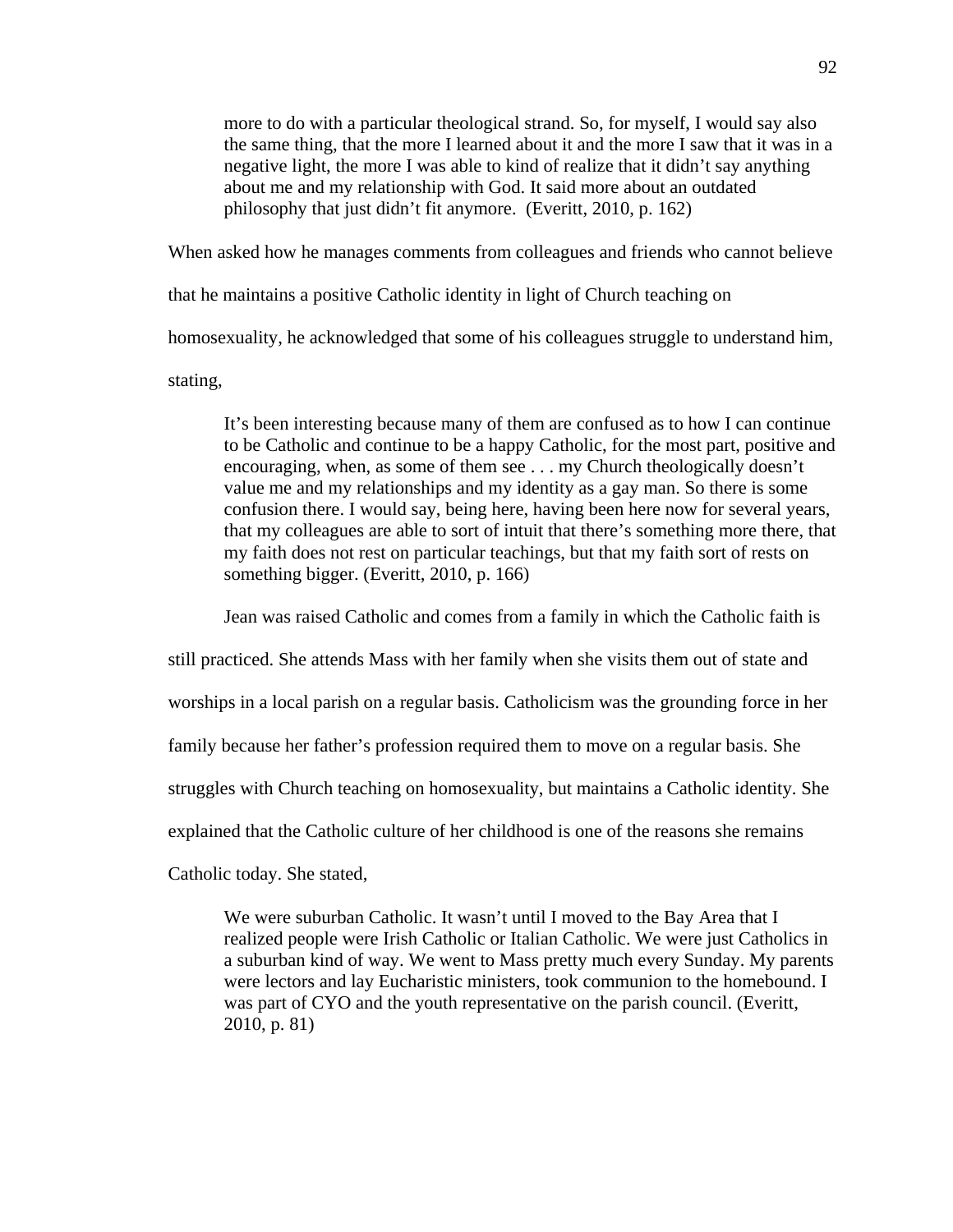more to do with a particular theological strand. So, for myself, I would say also the same thing, that the more I learned about it and the more I saw that it was in a negative light, the more I was able to kind of realize that it didn't say anything about me and my relationship with God. It said more about an outdated philosophy that just didn't fit anymore. (Everitt, 2010, p. 162)

When asked how he manages comments from colleagues and friends who cannot believe

that he maintains a positive Catholic identity in light of Church teaching on

homosexuality, he acknowledged that some of his colleagues struggle to understand him,

stating,

It's been interesting because many of them are confused as to how I can continue to be Catholic and continue to be a happy Catholic, for the most part, positive and encouraging, when, as some of them see . . . my Church theologically doesn't value me and my relationships and my identity as a gay man. So there is some confusion there. I would say, being here, having been here now for several years, that my colleagues are able to sort of intuit that there's something more there, that my faith does not rest on particular teachings, but that my faith sort of rests on something bigger. (Everitt, 2010, p. 166)

Jean was raised Catholic and comes from a family in which the Catholic faith is

still practiced. She attends Mass with her family when she visits them out of state and worships in a local parish on a regular basis. Catholicism was the grounding force in her family because her father's profession required them to move on a regular basis. She

struggles with Church teaching on homosexuality, but maintains a Catholic identity. She

explained that the Catholic culture of her childhood is one of the reasons she remains

Catholic today. She stated,

We were suburban Catholic. It wasn't until I moved to the Bay Area that I realized people were Irish Catholic or Italian Catholic. We were just Catholics in a suburban kind of way. We went to Mass pretty much every Sunday. My parents were lectors and lay Eucharistic ministers, took communion to the homebound. I was part of CYO and the youth representative on the parish council. (Everitt, 2010, p. 81)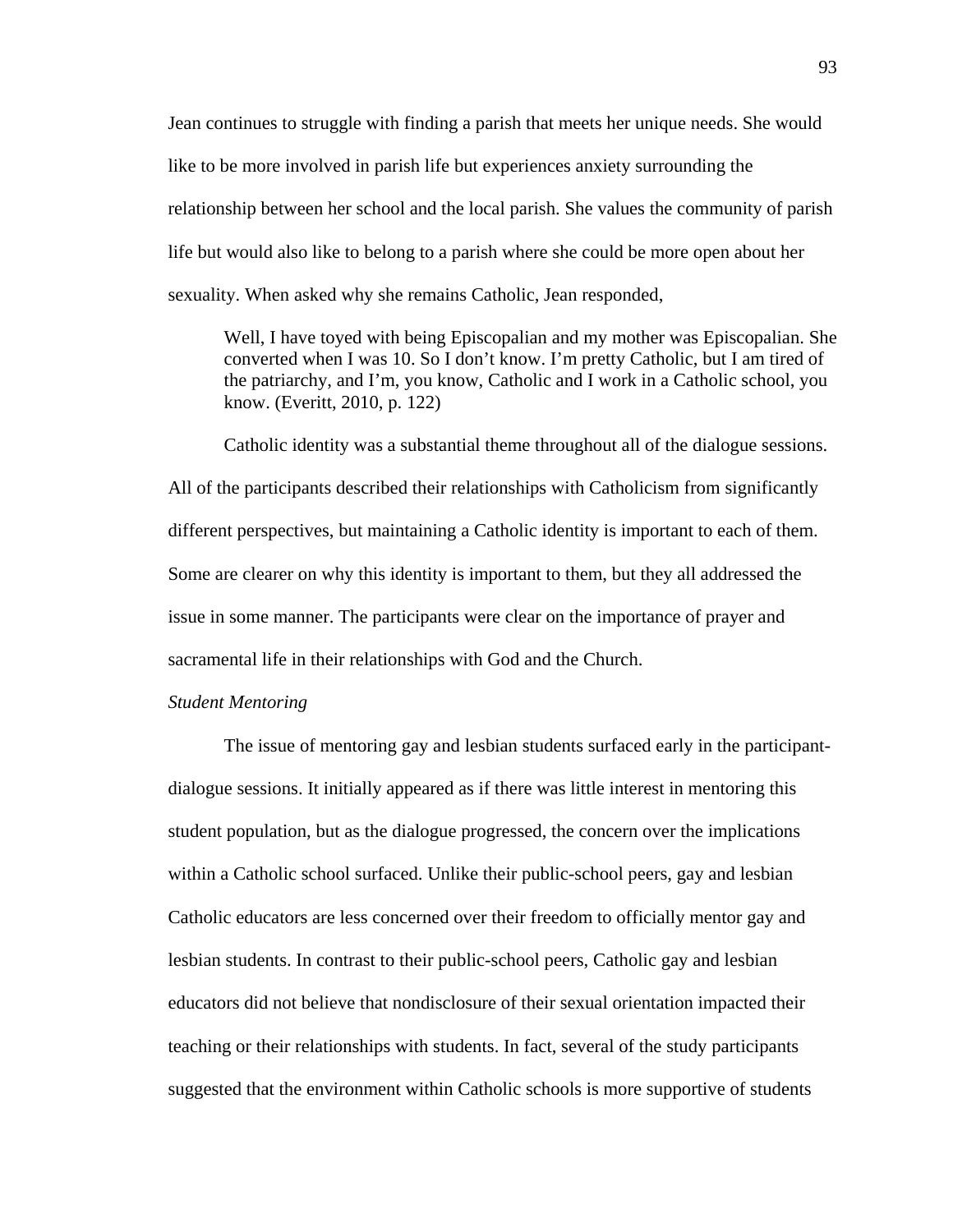Jean continues to struggle with finding a parish that meets her unique needs. She would like to be more involved in parish life but experiences anxiety surrounding the relationship between her school and the local parish. She values the community of parish life but would also like to belong to a parish where she could be more open about her sexuality. When asked why she remains Catholic, Jean responded,

Well, I have toyed with being Episcopalian and my mother was Episcopalian. She converted when I was 10. So I don't know. I'm pretty Catholic, but I am tired of the patriarchy, and I'm, you know, Catholic and I work in a Catholic school, you know. (Everitt, 2010, p. 122)

 Catholic identity was a substantial theme throughout all of the dialogue sessions. All of the participants described their relationships with Catholicism from significantly different perspectives, but maintaining a Catholic identity is important to each of them. Some are clearer on why this identity is important to them, but they all addressed the issue in some manner. The participants were clear on the importance of prayer and sacramental life in their relationships with God and the Church.

# *Student Mentoring*

The issue of mentoring gay and lesbian students surfaced early in the participantdialogue sessions. It initially appeared as if there was little interest in mentoring this student population, but as the dialogue progressed, the concern over the implications within a Catholic school surfaced. Unlike their public-school peers, gay and lesbian Catholic educators are less concerned over their freedom to officially mentor gay and lesbian students. In contrast to their public-school peers, Catholic gay and lesbian educators did not believe that nondisclosure of their sexual orientation impacted their teaching or their relationships with students. In fact, several of the study participants suggested that the environment within Catholic schools is more supportive of students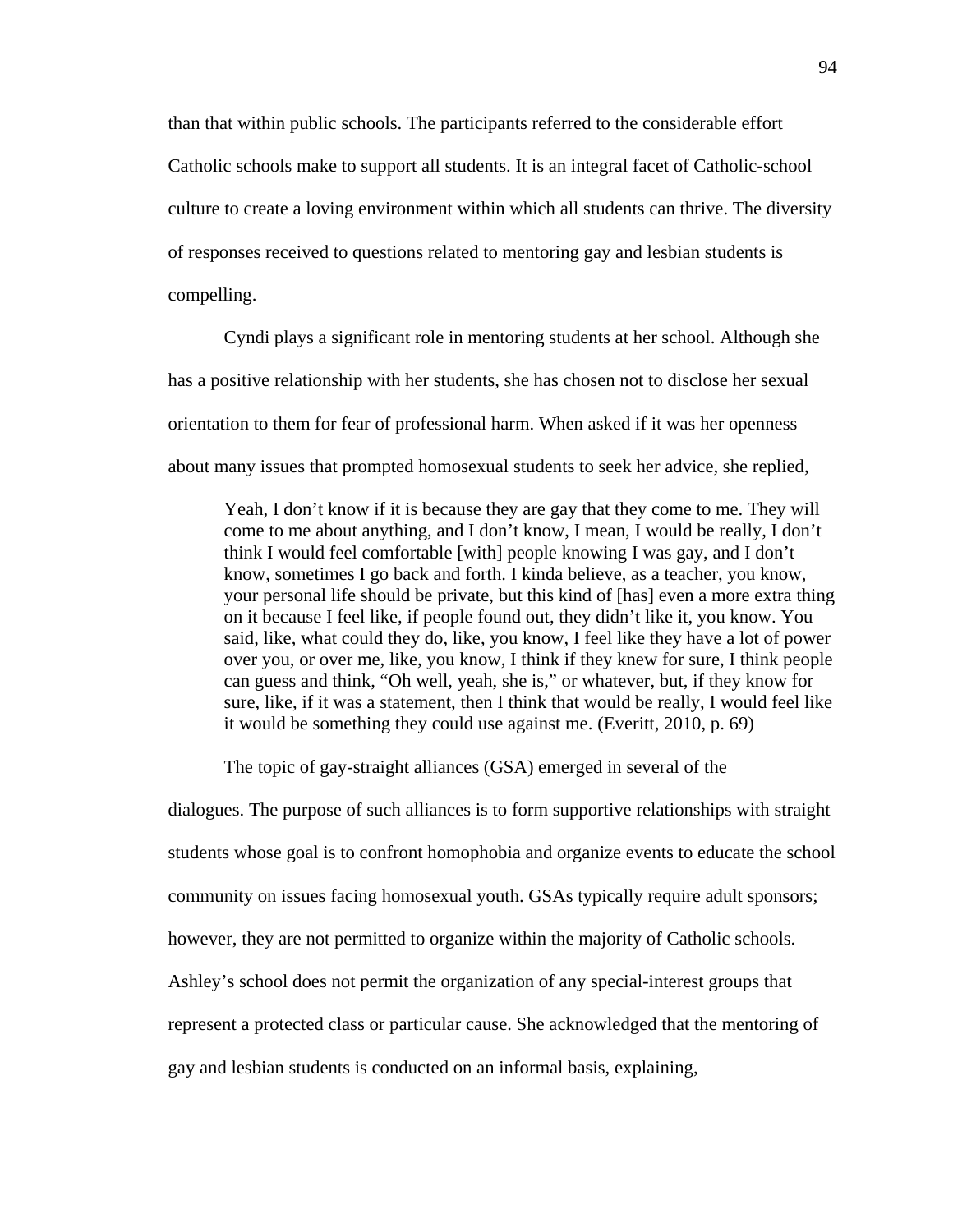than that within public schools. The participants referred to the considerable effort Catholic schools make to support all students. It is an integral facet of Catholic-school culture to create a loving environment within which all students can thrive. The diversity of responses received to questions related to mentoring gay and lesbian students is compelling.

Cyndi plays a significant role in mentoring students at her school. Although she has a positive relationship with her students, she has chosen not to disclose her sexual orientation to them for fear of professional harm. When asked if it was her openness about many issues that prompted homosexual students to seek her advice, she replied,

Yeah, I don't know if it is because they are gay that they come to me. They will come to me about anything, and I don't know, I mean, I would be really, I don't think I would feel comfortable [with] people knowing I was gay, and I don't know, sometimes I go back and forth. I kinda believe, as a teacher, you know, your personal life should be private, but this kind of [has] even a more extra thing on it because I feel like, if people found out, they didn't like it, you know. You said, like, what could they do, like, you know, I feel like they have a lot of power over you, or over me, like, you know, I think if they knew for sure, I think people can guess and think, "Oh well, yeah, she is," or whatever, but, if they know for sure, like, if it was a statement, then I think that would be really, I would feel like it would be something they could use against me. (Everitt, 2010, p. 69)

The topic of gay-straight alliances (GSA) emerged in several of the

dialogues. The purpose of such alliances is to form supportive relationships with straight students whose goal is to confront homophobia and organize events to educate the school community on issues facing homosexual youth. GSAs typically require adult sponsors; however, they are not permitted to organize within the majority of Catholic schools. Ashley's school does not permit the organization of any special-interest groups that represent a protected class or particular cause. She acknowledged that the mentoring of gay and lesbian students is conducted on an informal basis, explaining,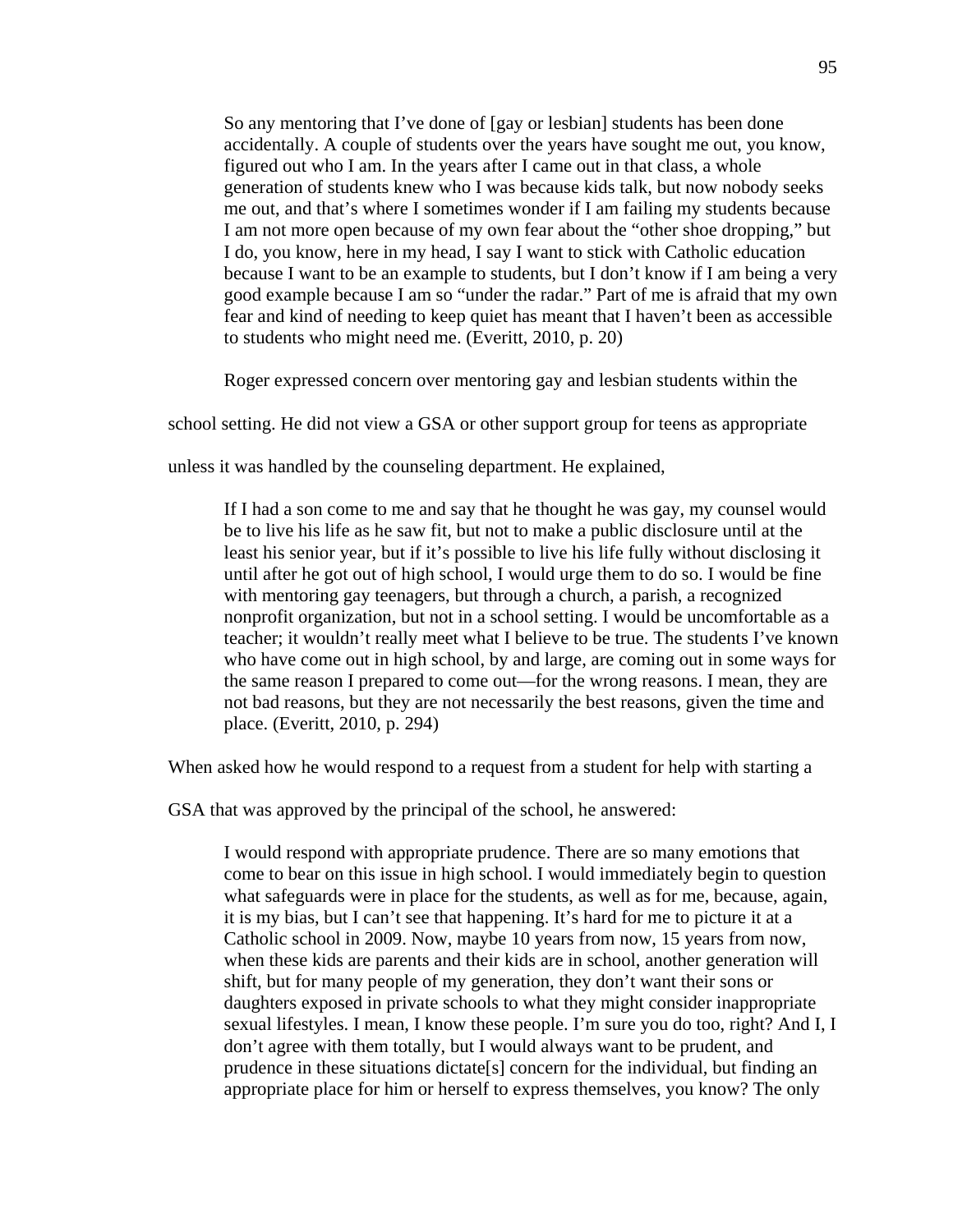So any mentoring that I've done of [gay or lesbian] students has been done accidentally. A couple of students over the years have sought me out, you know, figured out who I am. In the years after I came out in that class, a whole generation of students knew who I was because kids talk, but now nobody seeks me out, and that's where I sometimes wonder if I am failing my students because I am not more open because of my own fear about the "other shoe dropping," but I do, you know, here in my head, I say I want to stick with Catholic education because I want to be an example to students, but I don't know if I am being a very good example because I am so "under the radar." Part of me is afraid that my own fear and kind of needing to keep quiet has meant that I haven't been as accessible to students who might need me. (Everitt, 2010, p. 20)

Roger expressed concern over mentoring gay and lesbian students within the

school setting. He did not view a GSA or other support group for teens as appropriate

unless it was handled by the counseling department. He explained,

If I had a son come to me and say that he thought he was gay, my counsel would be to live his life as he saw fit, but not to make a public disclosure until at the least his senior year, but if it's possible to live his life fully without disclosing it until after he got out of high school, I would urge them to do so. I would be fine with mentoring gay teenagers, but through a church, a parish, a recognized nonprofit organization, but not in a school setting. I would be uncomfortable as a teacher; it wouldn't really meet what I believe to be true. The students I've known who have come out in high school, by and large, are coming out in some ways for the same reason I prepared to come out—for the wrong reasons. I mean, they are not bad reasons, but they are not necessarily the best reasons, given the time and place. (Everitt, 2010, p. 294)

When asked how he would respond to a request from a student for help with starting a

GSA that was approved by the principal of the school, he answered:

I would respond with appropriate prudence. There are so many emotions that come to bear on this issue in high school. I would immediately begin to question what safeguards were in place for the students, as well as for me, because, again, it is my bias, but I can't see that happening. It's hard for me to picture it at a Catholic school in 2009. Now, maybe 10 years from now, 15 years from now, when these kids are parents and their kids are in school, another generation will shift, but for many people of my generation, they don't want their sons or daughters exposed in private schools to what they might consider inappropriate sexual lifestyles. I mean, I know these people. I'm sure you do too, right? And I, I don't agree with them totally, but I would always want to be prudent, and prudence in these situations dictate[s] concern for the individual, but finding an appropriate place for him or herself to express themselves, you know? The only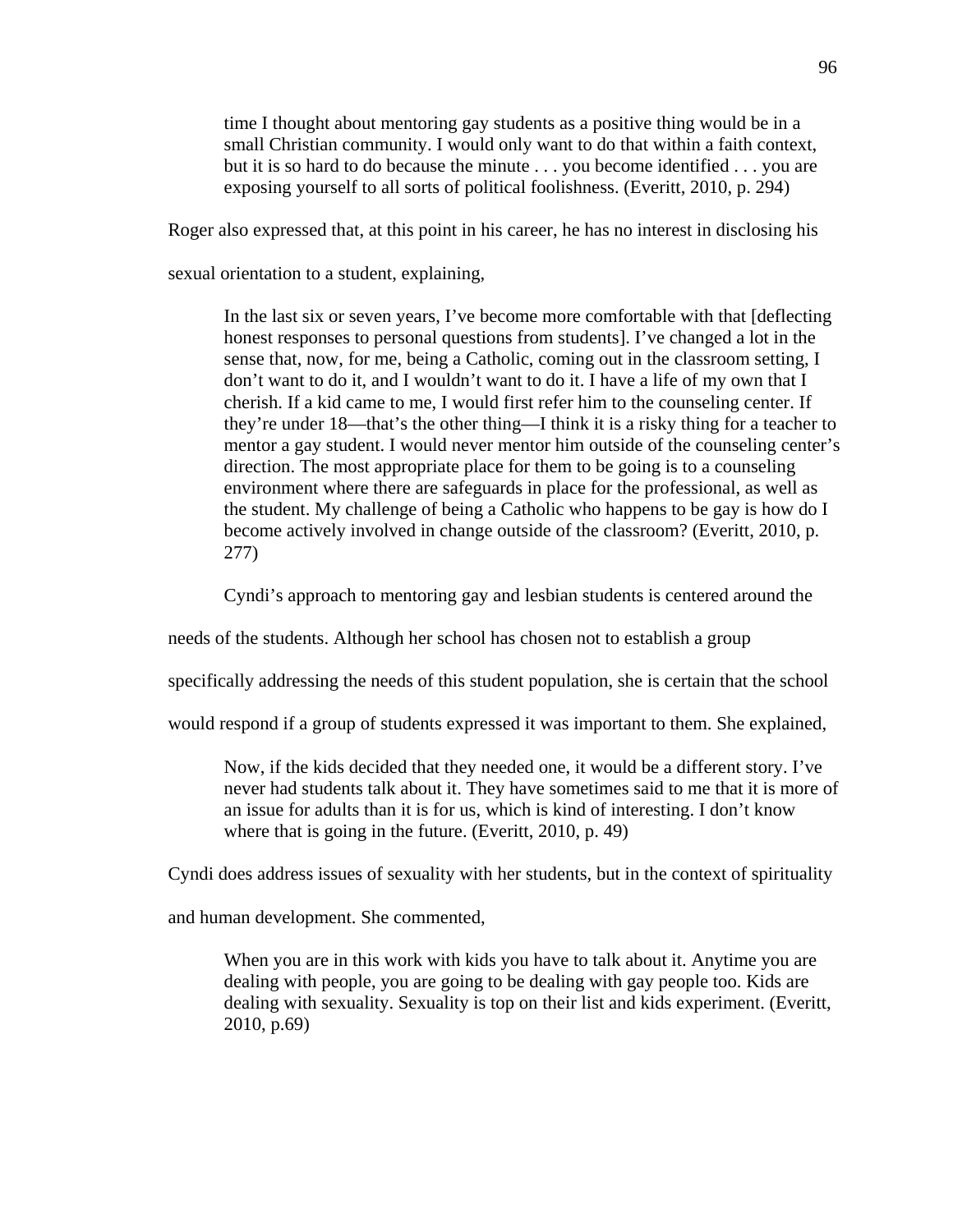time I thought about mentoring gay students as a positive thing would be in a small Christian community. I would only want to do that within a faith context, but it is so hard to do because the minute . . . you become identified . . . you are exposing yourself to all sorts of political foolishness. (Everitt, 2010, p. 294)

Roger also expressed that, at this point in his career, he has no interest in disclosing his

sexual orientation to a student, explaining,

In the last six or seven years, I've become more comfortable with that [deflecting honest responses to personal questions from students]. I've changed a lot in the sense that, now, for me, being a Catholic, coming out in the classroom setting, I don't want to do it, and I wouldn't want to do it. I have a life of my own that I cherish. If a kid came to me, I would first refer him to the counseling center. If they're under 18—that's the other thing—I think it is a risky thing for a teacher to mentor a gay student. I would never mentor him outside of the counseling center's direction. The most appropriate place for them to be going is to a counseling environment where there are safeguards in place for the professional, as well as the student. My challenge of being a Catholic who happens to be gay is how do I become actively involved in change outside of the classroom? (Everitt, 2010, p. 277)

Cyndi's approach to mentoring gay and lesbian students is centered around the

needs of the students. Although her school has chosen not to establish a group

specifically addressing the needs of this student population, she is certain that the school

would respond if a group of students expressed it was important to them. She explained,

Now, if the kids decided that they needed one, it would be a different story. I've never had students talk about it. They have sometimes said to me that it is more of an issue for adults than it is for us, which is kind of interesting. I don't know where that is going in the future. (Everitt, 2010, p. 49)

Cyndi does address issues of sexuality with her students, but in the context of spirituality

and human development. She commented,

When you are in this work with kids you have to talk about it. Anytime you are dealing with people, you are going to be dealing with gay people too. Kids are dealing with sexuality. Sexuality is top on their list and kids experiment. (Everitt, 2010, p.69)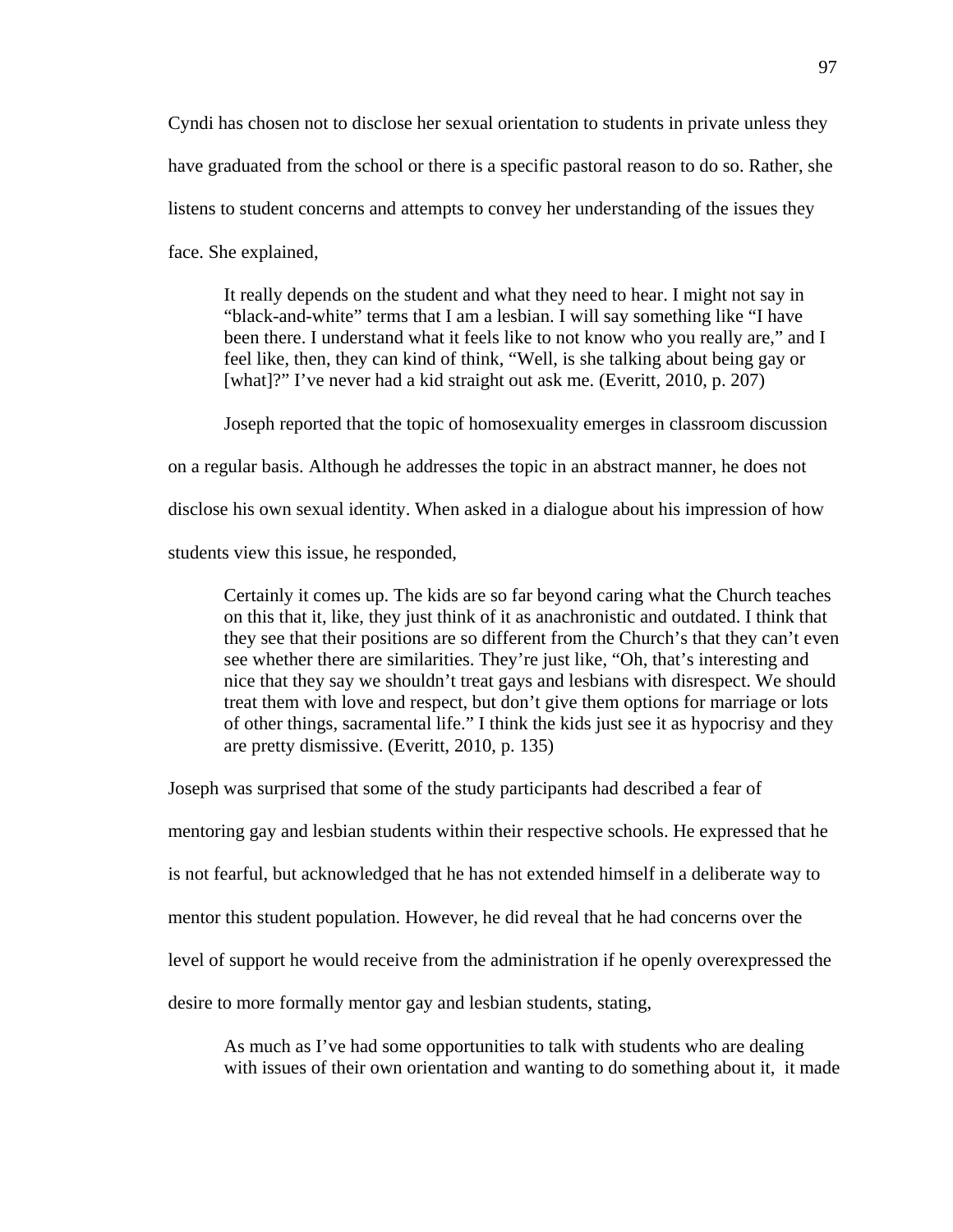Cyndi has chosen not to disclose her sexual orientation to students in private unless they have graduated from the school or there is a specific pastoral reason to do so. Rather, she listens to student concerns and attempts to convey her understanding of the issues they face. She explained,

It really depends on the student and what they need to hear. I might not say in "black-and-white" terms that I am a lesbian. I will say something like "I have been there. I understand what it feels like to not know who you really are," and I feel like, then, they can kind of think, "Well, is she talking about being gay or [what]?" I've never had a kid straight out ask me. (Everitt, 2010, p. 207)

 Joseph reported that the topic of homosexuality emerges in classroom discussion on a regular basis. Although he addresses the topic in an abstract manner, he does not disclose his own sexual identity. When asked in a dialogue about his impression of how students view this issue, he responded,

Certainly it comes up. The kids are so far beyond caring what the Church teaches on this that it, like, they just think of it as anachronistic and outdated. I think that they see that their positions are so different from the Church's that they can't even see whether there are similarities. They're just like, "Oh, that's interesting and nice that they say we shouldn't treat gays and lesbians with disrespect. We should treat them with love and respect, but don't give them options for marriage or lots of other things, sacramental life." I think the kids just see it as hypocrisy and they are pretty dismissive. (Everitt, 2010, p. 135)

Joseph was surprised that some of the study participants had described a fear of

mentoring gay and lesbian students within their respective schools. He expressed that he

is not fearful, but acknowledged that he has not extended himself in a deliberate way to

mentor this student population. However, he did reveal that he had concerns over the

level of support he would receive from the administration if he openly overexpressed the

desire to more formally mentor gay and lesbian students, stating,

As much as I've had some opportunities to talk with students who are dealing with issues of their own orientation and wanting to do something about it, it made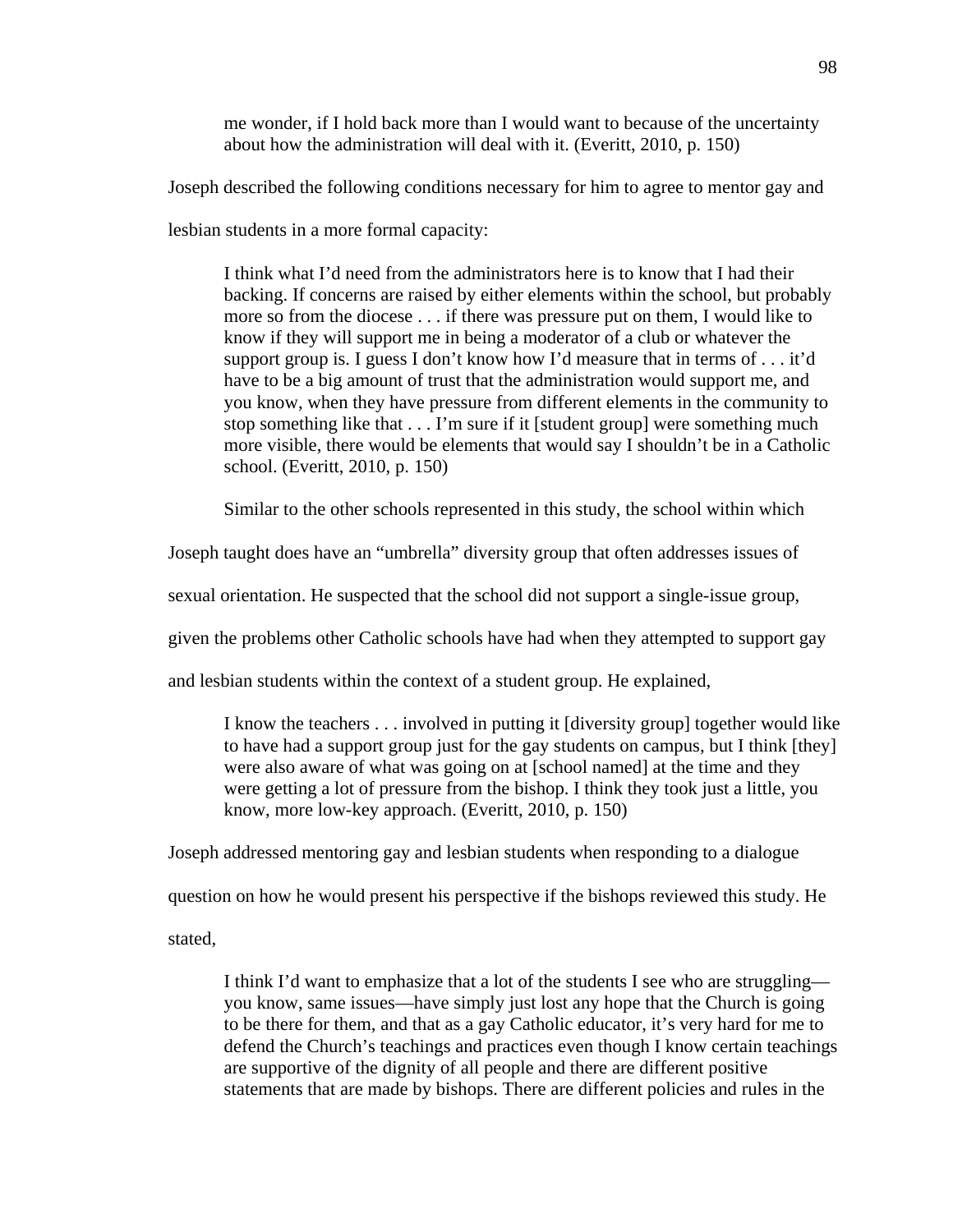me wonder, if I hold back more than I would want to because of the uncertainty about how the administration will deal with it. (Everitt, 2010, p. 150)

Joseph described the following conditions necessary for him to agree to mentor gay and

lesbian students in a more formal capacity:

I think what I'd need from the administrators here is to know that I had their backing. If concerns are raised by either elements within the school, but probably more so from the diocese . . . if there was pressure put on them, I would like to know if they will support me in being a moderator of a club or whatever the support group is. I guess I don't know how I'd measure that in terms of . . . it'd have to be a big amount of trust that the administration would support me, and you know, when they have pressure from different elements in the community to stop something like that . . . I'm sure if it [student group] were something much more visible, there would be elements that would say I shouldn't be in a Catholic school. (Everitt, 2010, p. 150)

Similar to the other schools represented in this study, the school within which

Joseph taught does have an "umbrella" diversity group that often addresses issues of

sexual orientation. He suspected that the school did not support a single-issue group,

given the problems other Catholic schools have had when they attempted to support gay

and lesbian students within the context of a student group. He explained,

I know the teachers . . . involved in putting it [diversity group] together would like to have had a support group just for the gay students on campus, but I think [they] were also aware of what was going on at [school named] at the time and they were getting a lot of pressure from the bishop. I think they took just a little, you know, more low-key approach. (Everitt, 2010, p. 150)

Joseph addressed mentoring gay and lesbian students when responding to a dialogue

question on how he would present his perspective if the bishops reviewed this study. He

stated,

I think I'd want to emphasize that a lot of the students I see who are struggling you know, same issues—have simply just lost any hope that the Church is going to be there for them, and that as a gay Catholic educator, it's very hard for me to defend the Church's teachings and practices even though I know certain teachings are supportive of the dignity of all people and there are different positive statements that are made by bishops. There are different policies and rules in the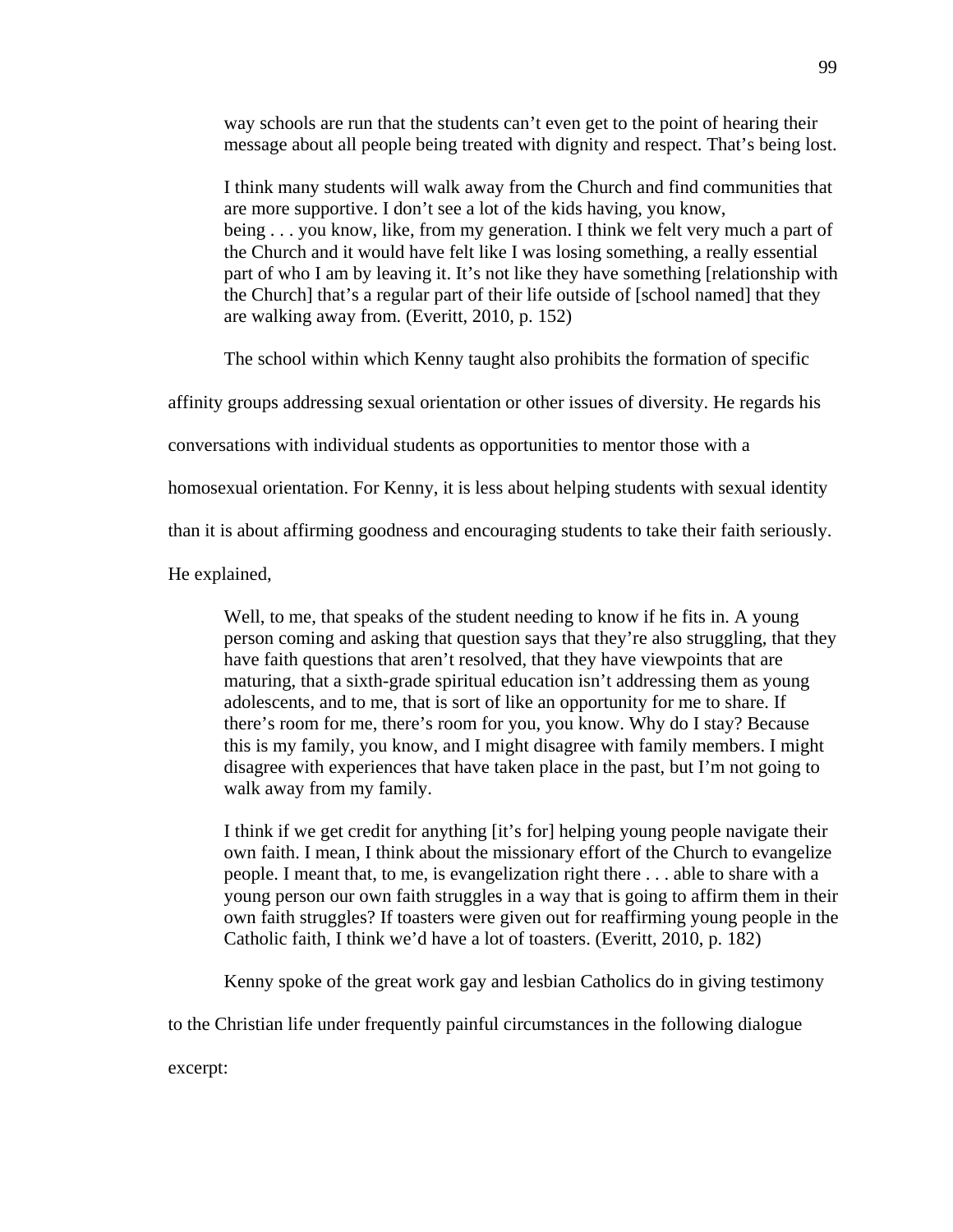way schools are run that the students can't even get to the point of hearing their message about all people being treated with dignity and respect. That's being lost.

I think many students will walk away from the Church and find communities that are more supportive. I don't see a lot of the kids having, you know, being . . . you know, like, from my generation. I think we felt very much a part of the Church and it would have felt like I was losing something, a really essential part of who I am by leaving it. It's not like they have something [relationship with the Church] that's a regular part of their life outside of [school named] that they are walking away from. (Everitt, 2010, p. 152)

The school within which Kenny taught also prohibits the formation of specific

affinity groups addressing sexual orientation or other issues of diversity. He regards his

conversations with individual students as opportunities to mentor those with a

homosexual orientation. For Kenny, it is less about helping students with sexual identity

than it is about affirming goodness and encouraging students to take their faith seriously.

He explained,

Well, to me, that speaks of the student needing to know if he fits in. A young person coming and asking that question says that they're also struggling, that they have faith questions that aren't resolved, that they have viewpoints that are maturing, that a sixth-grade spiritual education isn't addressing them as young adolescents, and to me, that is sort of like an opportunity for me to share. If there's room for me, there's room for you, you know. Why do I stay? Because this is my family, you know, and I might disagree with family members. I might disagree with experiences that have taken place in the past, but I'm not going to walk away from my family.

I think if we get credit for anything [it's for] helping young people navigate their own faith. I mean, I think about the missionary effort of the Church to evangelize people. I meant that, to me, is evangelization right there . . . able to share with a young person our own faith struggles in a way that is going to affirm them in their own faith struggles? If toasters were given out for reaffirming young people in the Catholic faith, I think we'd have a lot of toasters. (Everitt, 2010, p. 182)

Kenny spoke of the great work gay and lesbian Catholics do in giving testimony

to the Christian life under frequently painful circumstances in the following dialogue

excerpt: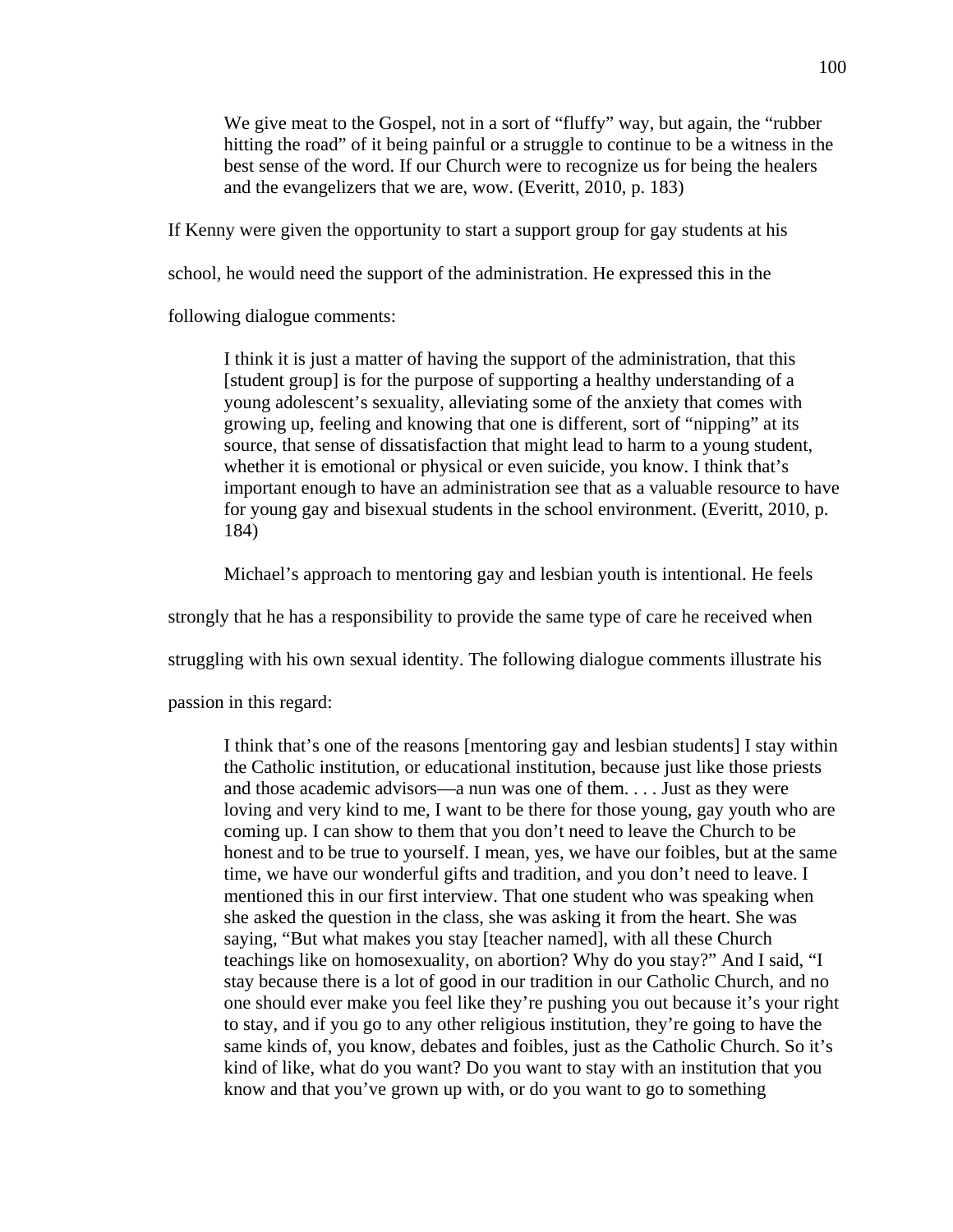We give meat to the Gospel, not in a sort of "fluffy" way, but again, the "rubber hitting the road" of it being painful or a struggle to continue to be a witness in the best sense of the word. If our Church were to recognize us for being the healers and the evangelizers that we are, wow. (Everitt, 2010, p. 183)

If Kenny were given the opportunity to start a support group for gay students at his

school, he would need the support of the administration. He expressed this in the

following dialogue comments:

I think it is just a matter of having the support of the administration, that this [student group] is for the purpose of supporting a healthy understanding of a young adolescent's sexuality, alleviating some of the anxiety that comes with growing up, feeling and knowing that one is different, sort of "nipping" at its source, that sense of dissatisfaction that might lead to harm to a young student, whether it is emotional or physical or even suicide, you know. I think that's important enough to have an administration see that as a valuable resource to have for young gay and bisexual students in the school environment. (Everitt, 2010, p. 184)

Michael's approach to mentoring gay and lesbian youth is intentional. He feels

strongly that he has a responsibility to provide the same type of care he received when

struggling with his own sexual identity. The following dialogue comments illustrate his

passion in this regard:

I think that's one of the reasons [mentoring gay and lesbian students] I stay within the Catholic institution, or educational institution, because just like those priests and those academic advisors—a nun was one of them. . . . Just as they were loving and very kind to me, I want to be there for those young, gay youth who are coming up. I can show to them that you don't need to leave the Church to be honest and to be true to yourself. I mean, yes, we have our foibles, but at the same time, we have our wonderful gifts and tradition, and you don't need to leave. I mentioned this in our first interview. That one student who was speaking when she asked the question in the class, she was asking it from the heart. She was saying, "But what makes you stay [teacher named], with all these Church teachings like on homosexuality, on abortion? Why do you stay?" And I said, "I stay because there is a lot of good in our tradition in our Catholic Church, and no one should ever make you feel like they're pushing you out because it's your right to stay, and if you go to any other religious institution, they're going to have the same kinds of, you know, debates and foibles, just as the Catholic Church. So it's kind of like, what do you want? Do you want to stay with an institution that you know and that you've grown up with, or do you want to go to something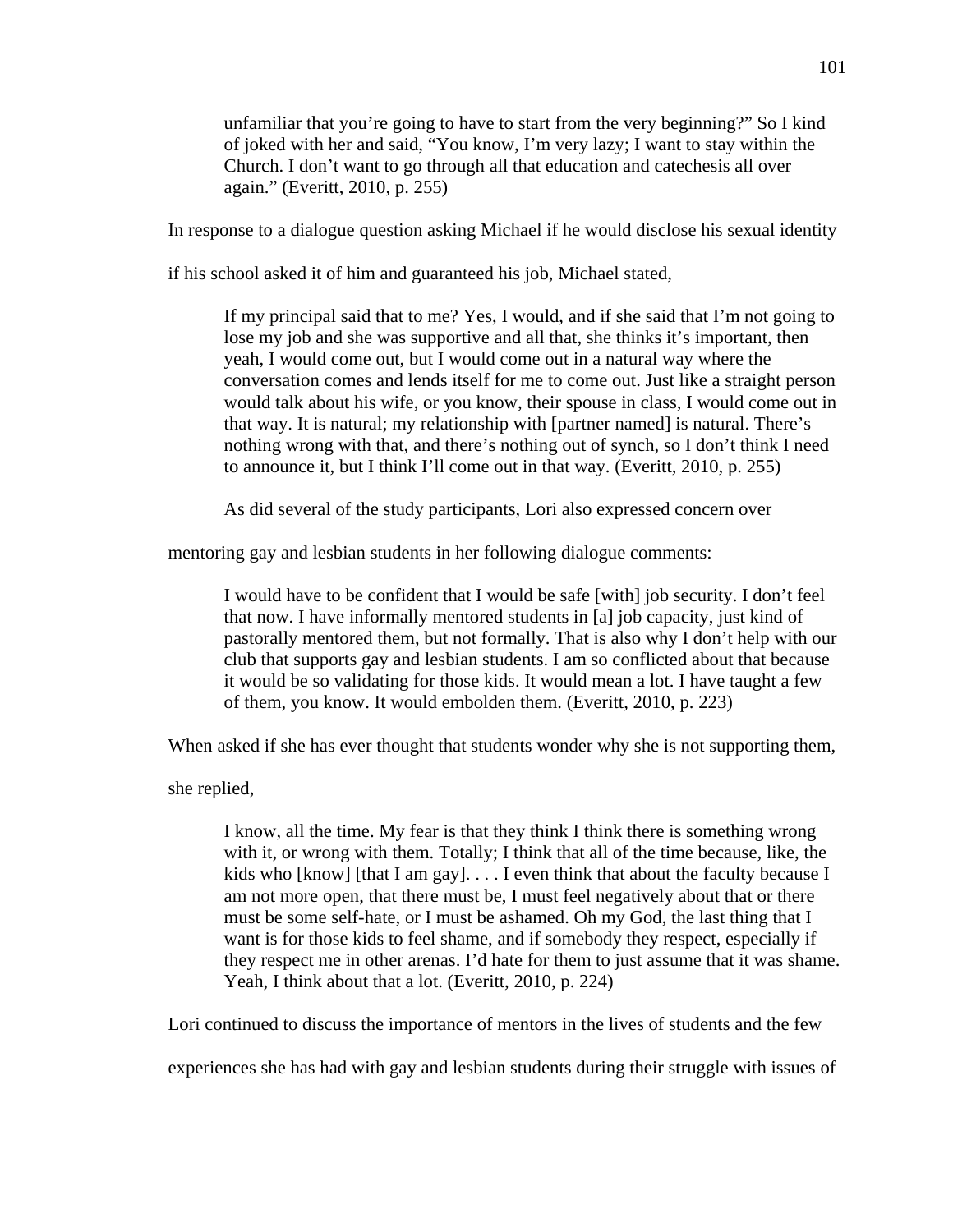unfamiliar that you're going to have to start from the very beginning?" So I kind of joked with her and said, "You know, I'm very lazy; I want to stay within the Church. I don't want to go through all that education and catechesis all over again." (Everitt, 2010, p. 255)

In response to a dialogue question asking Michael if he would disclose his sexual identity

if his school asked it of him and guaranteed his job, Michael stated,

If my principal said that to me? Yes, I would, and if she said that I'm not going to lose my job and she was supportive and all that, she thinks it's important, then yeah, I would come out, but I would come out in a natural way where the conversation comes and lends itself for me to come out. Just like a straight person would talk about his wife, or you know, their spouse in class, I would come out in that way. It is natural; my relationship with [partner named] is natural. There's nothing wrong with that, and there's nothing out of synch, so I don't think I need to announce it, but I think I'll come out in that way. (Everitt, 2010, p. 255)

As did several of the study participants, Lori also expressed concern over

mentoring gay and lesbian students in her following dialogue comments:

I would have to be confident that I would be safe [with] job security. I don't feel that now. I have informally mentored students in [a] job capacity, just kind of pastorally mentored them, but not formally. That is also why I don't help with our club that supports gay and lesbian students. I am so conflicted about that because it would be so validating for those kids. It would mean a lot. I have taught a few of them, you know. It would embolden them. (Everitt, 2010, p. 223)

When asked if she has ever thought that students wonder why she is not supporting them,

she replied,

I know, all the time. My fear is that they think I think there is something wrong with it, or wrong with them. Totally; I think that all of the time because, like, the kids who [know] [that I am gay].  $\dots$  I even think that about the faculty because I am not more open, that there must be, I must feel negatively about that or there must be some self-hate, or I must be ashamed. Oh my God, the last thing that I want is for those kids to feel shame, and if somebody they respect, especially if they respect me in other arenas. I'd hate for them to just assume that it was shame. Yeah, I think about that a lot. (Everitt, 2010, p. 224)

Lori continued to discuss the importance of mentors in the lives of students and the few

experiences she has had with gay and lesbian students during their struggle with issues of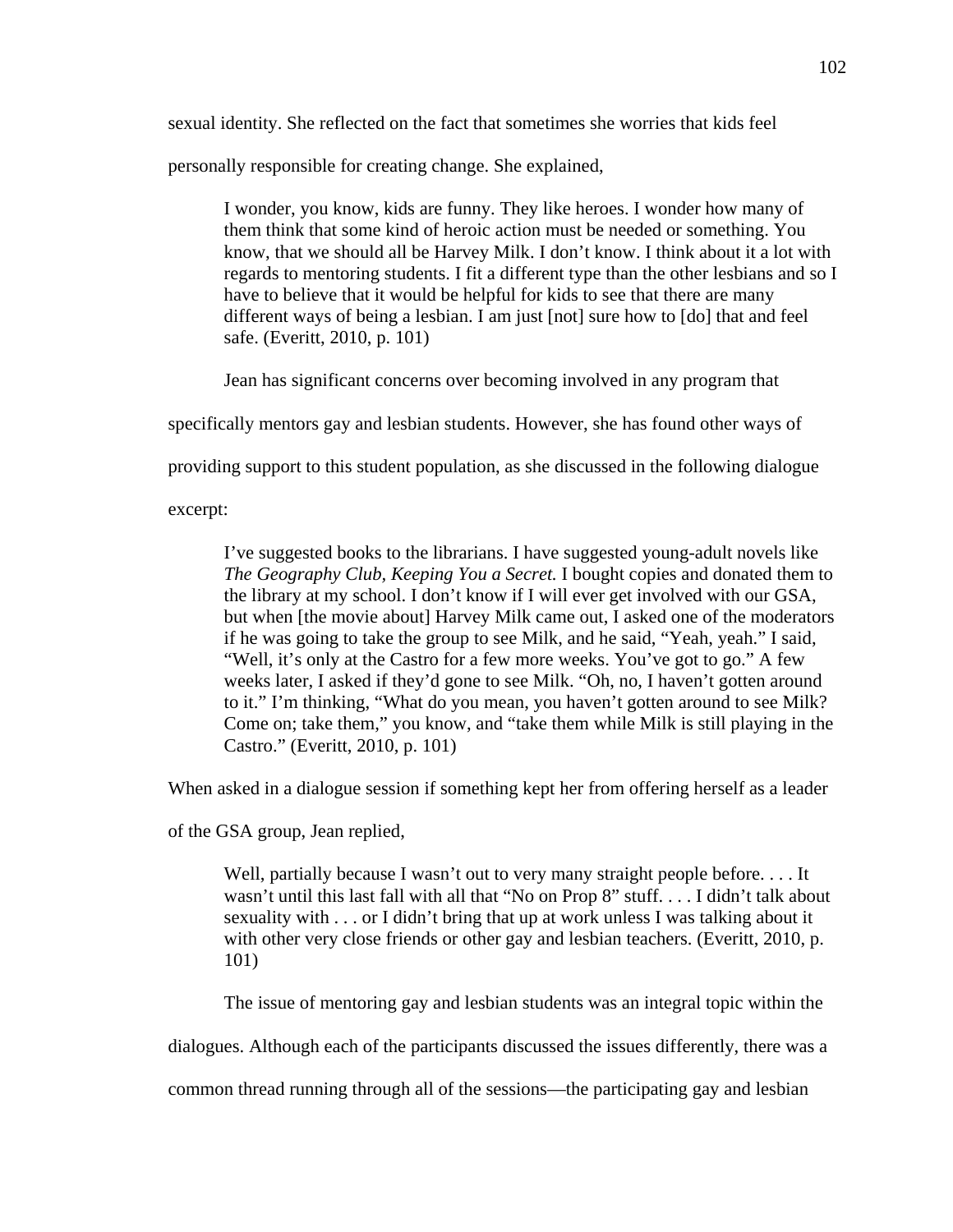sexual identity. She reflected on the fact that sometimes she worries that kids feel

personally responsible for creating change. She explained,

I wonder, you know, kids are funny. They like heroes. I wonder how many of them think that some kind of heroic action must be needed or something. You know, that we should all be Harvey Milk. I don't know. I think about it a lot with regards to mentoring students. I fit a different type than the other lesbians and so I have to believe that it would be helpful for kids to see that there are many different ways of being a lesbian. I am just [not] sure how to [do] that and feel safe. (Everitt, 2010, p. 101)

Jean has significant concerns over becoming involved in any program that

specifically mentors gay and lesbian students. However, she has found other ways of

providing support to this student population, as she discussed in the following dialogue

excerpt:

I've suggested books to the librarians. I have suggested young-adult novels like *The Geography Club, Keeping You a Secret.* I bought copies and donated them to the library at my school. I don't know if I will ever get involved with our GSA, but when [the movie about] Harvey Milk came out, I asked one of the moderators if he was going to take the group to see Milk, and he said, "Yeah, yeah." I said, "Well, it's only at the Castro for a few more weeks. You've got to go." A few weeks later, I asked if they'd gone to see Milk. "Oh, no, I haven't gotten around to it." I'm thinking, "What do you mean, you haven't gotten around to see Milk? Come on; take them," you know, and "take them while Milk is still playing in the Castro." (Everitt, 2010, p. 101)

When asked in a dialogue session if something kept her from offering herself as a leader

of the GSA group, Jean replied,

Well, partially because I wasn't out to very many straight people before.... It wasn't until this last fall with all that "No on Prop 8" stuff. . . . I didn't talk about sexuality with . . . or I didn't bring that up at work unless I was talking about it with other very close friends or other gay and lesbian teachers. (Everitt, 2010, p. 101)

The issue of mentoring gay and lesbian students was an integral topic within the

dialogues. Although each of the participants discussed the issues differently, there was a

common thread running through all of the sessions—the participating gay and lesbian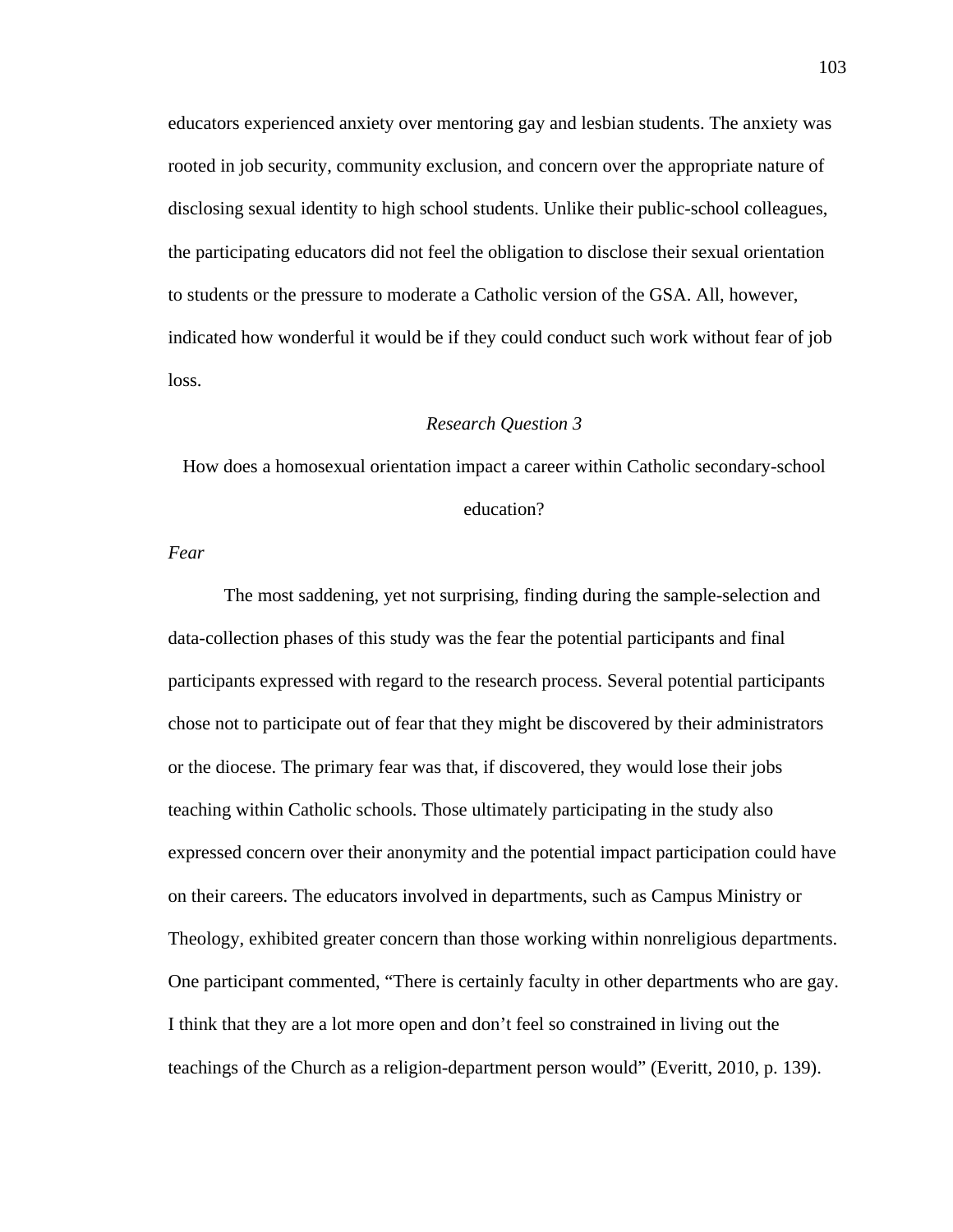educators experienced anxiety over mentoring gay and lesbian students. The anxiety was rooted in job security, community exclusion, and concern over the appropriate nature of disclosing sexual identity to high school students. Unlike their public-school colleagues, the participating educators did not feel the obligation to disclose their sexual orientation to students or the pressure to moderate a Catholic version of the GSA. All, however, indicated how wonderful it would be if they could conduct such work without fear of job loss.

### *Research Question 3*

How does a homosexual orientation impact a career within Catholic secondary-school

education?

*Fear* 

The most saddening, yet not surprising, finding during the sample-selection and data-collection phases of this study was the fear the potential participants and final participants expressed with regard to the research process. Several potential participants chose not to participate out of fear that they might be discovered by their administrators or the diocese. The primary fear was that, if discovered, they would lose their jobs teaching within Catholic schools. Those ultimately participating in the study also expressed concern over their anonymity and the potential impact participation could have on their careers. The educators involved in departments, such as Campus Ministry or Theology, exhibited greater concern than those working within nonreligious departments. One participant commented, "There is certainly faculty in other departments who are gay. I think that they are a lot more open and don't feel so constrained in living out the teachings of the Church as a religion-department person would" (Everitt, 2010, p. 139).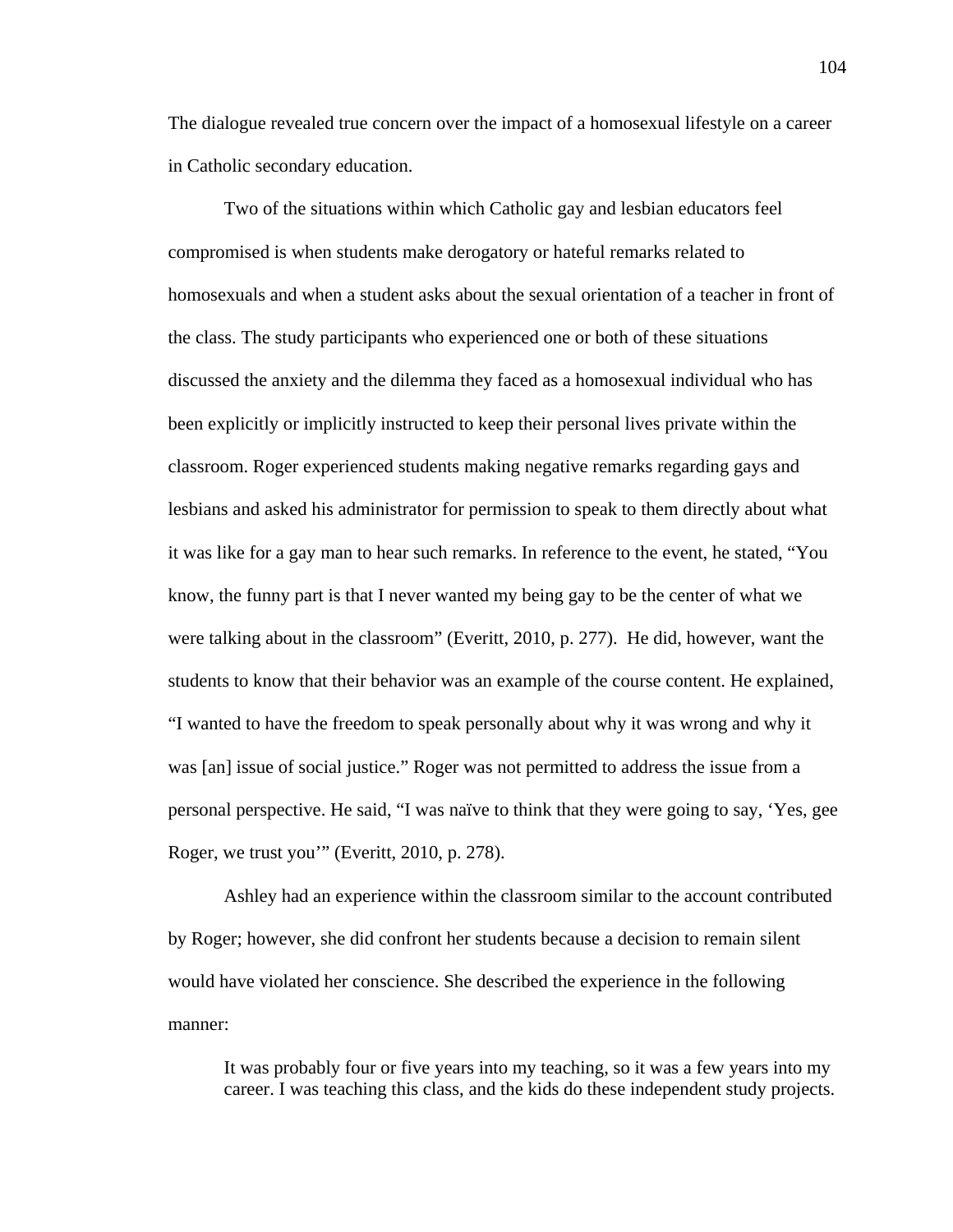The dialogue revealed true concern over the impact of a homosexual lifestyle on a career in Catholic secondary education.

 Two of the situations within which Catholic gay and lesbian educators feel compromised is when students make derogatory or hateful remarks related to homosexuals and when a student asks about the sexual orientation of a teacher in front of the class. The study participants who experienced one or both of these situations discussed the anxiety and the dilemma they faced as a homosexual individual who has been explicitly or implicitly instructed to keep their personal lives private within the classroom. Roger experienced students making negative remarks regarding gays and lesbians and asked his administrator for permission to speak to them directly about what it was like for a gay man to hear such remarks. In reference to the event, he stated, "You know, the funny part is that I never wanted my being gay to be the center of what we were talking about in the classroom" (Everitt, 2010, p. 277). He did, however, want the students to know that their behavior was an example of the course content. He explained, "I wanted to have the freedom to speak personally about why it was wrong and why it was [an] issue of social justice." Roger was not permitted to address the issue from a personal perspective. He said, "I was naïve to think that they were going to say, 'Yes, gee Roger, we trust you'" (Everitt, 2010, p. 278).

 Ashley had an experience within the classroom similar to the account contributed by Roger; however, she did confront her students because a decision to remain silent would have violated her conscience. She described the experience in the following manner:

It was probably four or five years into my teaching, so it was a few years into my career. I was teaching this class, and the kids do these independent study projects.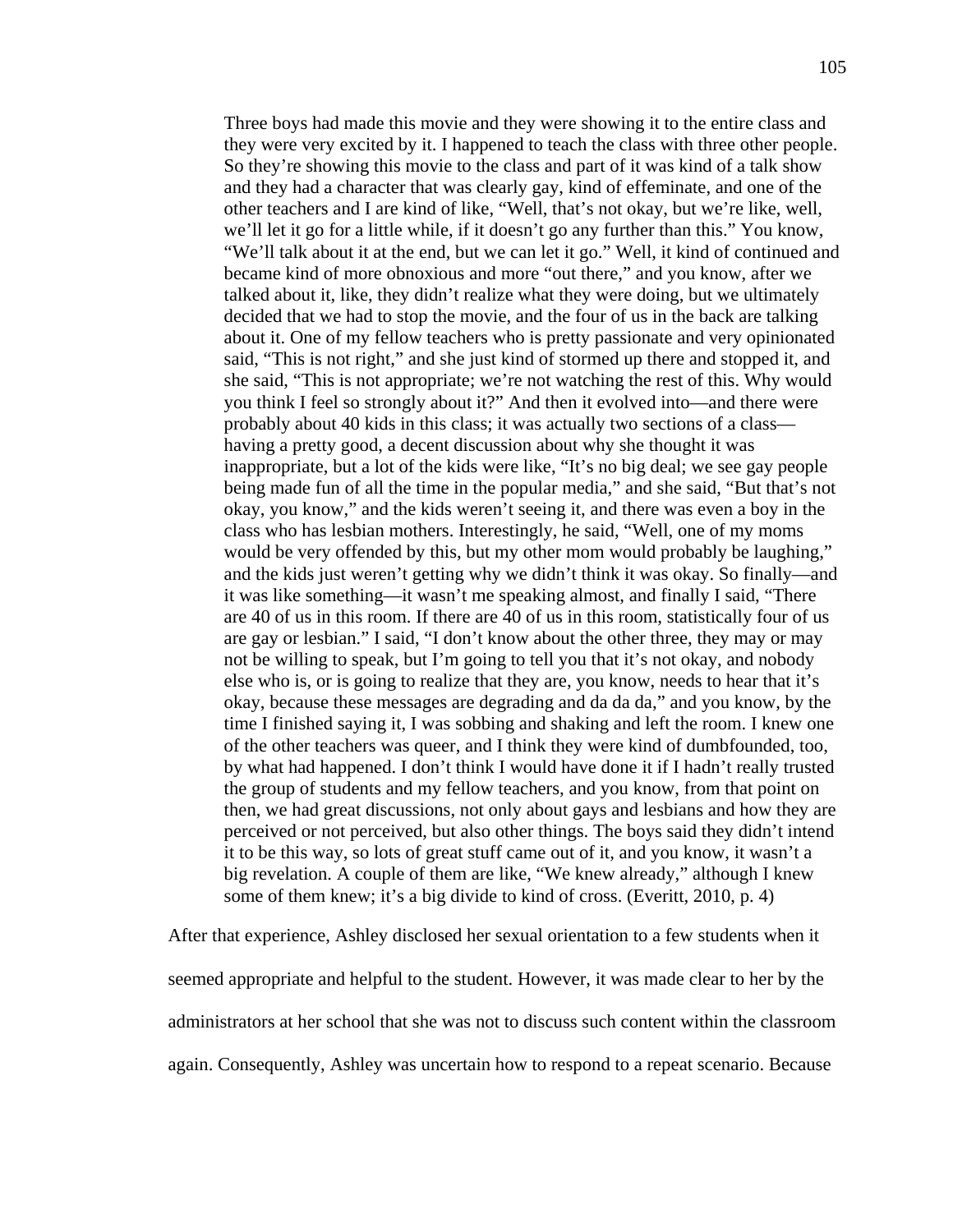Three boys had made this movie and they were showing it to the entire class and they were very excited by it. I happened to teach the class with three other people. So they're showing this movie to the class and part of it was kind of a talk show and they had a character that was clearly gay, kind of effeminate, and one of the other teachers and I are kind of like, "Well, that's not okay, but we're like, well, we'll let it go for a little while, if it doesn't go any further than this." You know, "We'll talk about it at the end, but we can let it go." Well, it kind of continued and became kind of more obnoxious and more "out there," and you know, after we talked about it, like, they didn't realize what they were doing, but we ultimately decided that we had to stop the movie, and the four of us in the back are talking about it. One of my fellow teachers who is pretty passionate and very opinionated said, "This is not right," and she just kind of stormed up there and stopped it, and she said, "This is not appropriate; we're not watching the rest of this. Why would you think I feel so strongly about it?" And then it evolved into—and there were probably about 40 kids in this class; it was actually two sections of a class having a pretty good, a decent discussion about why she thought it was inappropriate, but a lot of the kids were like, "It's no big deal; we see gay people being made fun of all the time in the popular media," and she said, "But that's not okay, you know," and the kids weren't seeing it, and there was even a boy in the class who has lesbian mothers. Interestingly, he said, "Well, one of my moms would be very offended by this, but my other mom would probably be laughing," and the kids just weren't getting why we didn't think it was okay. So finally—and it was like something—it wasn't me speaking almost, and finally I said, "There are 40 of us in this room. If there are 40 of us in this room, statistically four of us are gay or lesbian." I said, "I don't know about the other three, they may or may not be willing to speak, but I'm going to tell you that it's not okay, and nobody else who is, or is going to realize that they are, you know, needs to hear that it's okay, because these messages are degrading and da da da," and you know, by the time I finished saying it, I was sobbing and shaking and left the room. I knew one of the other teachers was queer, and I think they were kind of dumbfounded, too, by what had happened. I don't think I would have done it if I hadn't really trusted the group of students and my fellow teachers, and you know, from that point on then, we had great discussions, not only about gays and lesbians and how they are perceived or not perceived, but also other things. The boys said they didn't intend it to be this way, so lots of great stuff came out of it, and you know, it wasn't a big revelation. A couple of them are like, "We knew already," although I knew some of them knew; it's a big divide to kind of cross. (Everitt, 2010, p. 4)

After that experience, Ashley disclosed her sexual orientation to a few students when it seemed appropriate and helpful to the student. However, it was made clear to her by the administrators at her school that she was not to discuss such content within the classroom again. Consequently, Ashley was uncertain how to respond to a repeat scenario. Because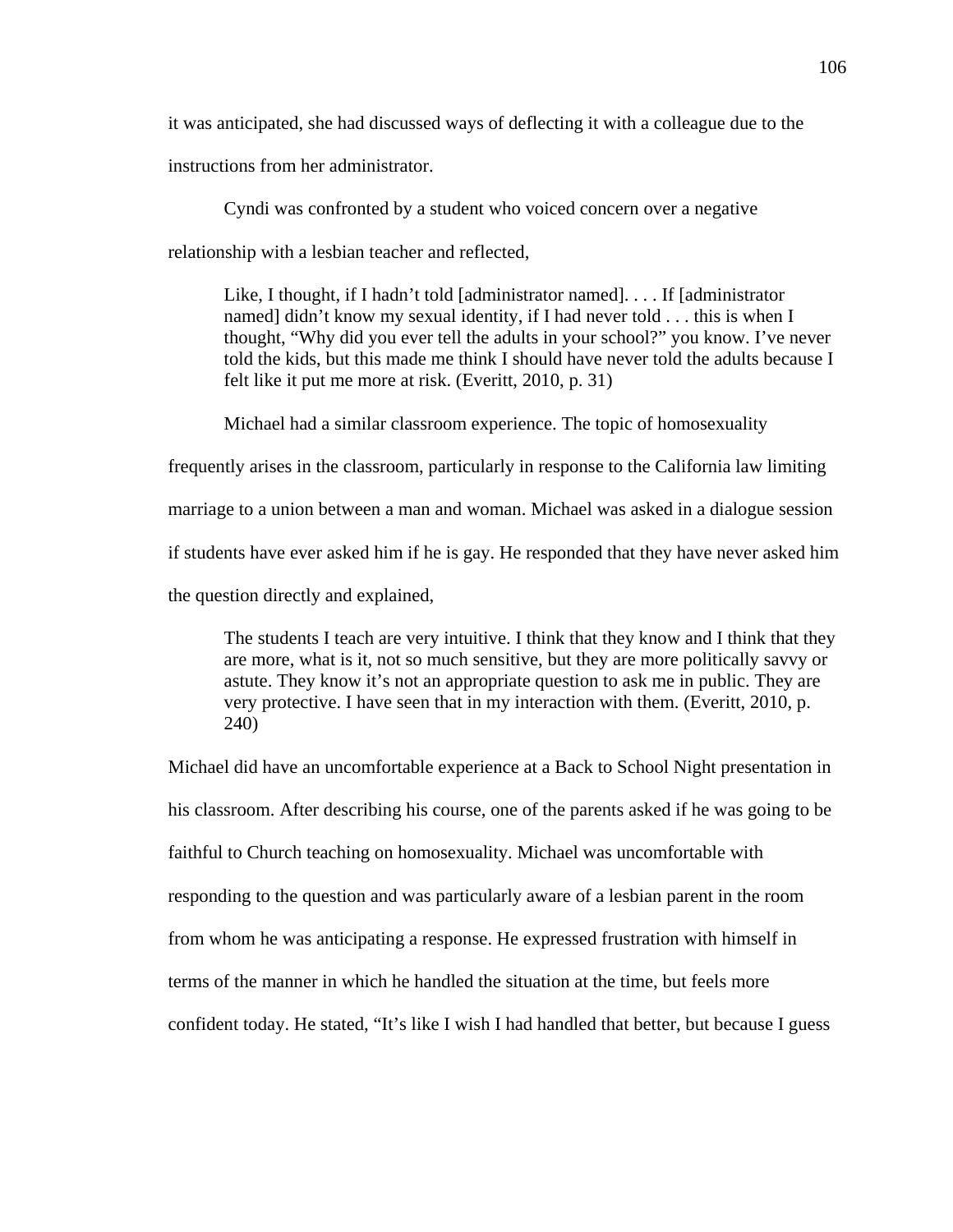it was anticipated, she had discussed ways of deflecting it with a colleague due to the

instructions from her administrator.

Cyndi was confronted by a student who voiced concern over a negative

relationship with a lesbian teacher and reflected,

Like, I thought, if I hadn't told [administrator named]. . . . If [administrator named] didn't know my sexual identity, if I had never told . . . this is when I thought, "Why did you ever tell the adults in your school?" you know. I've never told the kids, but this made me think I should have never told the adults because I felt like it put me more at risk. (Everitt, 2010, p. 31)

Michael had a similar classroom experience. The topic of homosexuality

frequently arises in the classroom, particularly in response to the California law limiting

marriage to a union between a man and woman. Michael was asked in a dialogue session

if students have ever asked him if he is gay. He responded that they have never asked him

the question directly and explained,

The students I teach are very intuitive. I think that they know and I think that they are more, what is it, not so much sensitive, but they are more politically savvy or astute. They know it's not an appropriate question to ask me in public. They are very protective. I have seen that in my interaction with them. (Everitt, 2010, p. 240)

Michael did have an uncomfortable experience at a Back to School Night presentation in his classroom. After describing his course, one of the parents asked if he was going to be faithful to Church teaching on homosexuality. Michael was uncomfortable with responding to the question and was particularly aware of a lesbian parent in the room from whom he was anticipating a response. He expressed frustration with himself in terms of the manner in which he handled the situation at the time, but feels more confident today. He stated, "It's like I wish I had handled that better, but because I guess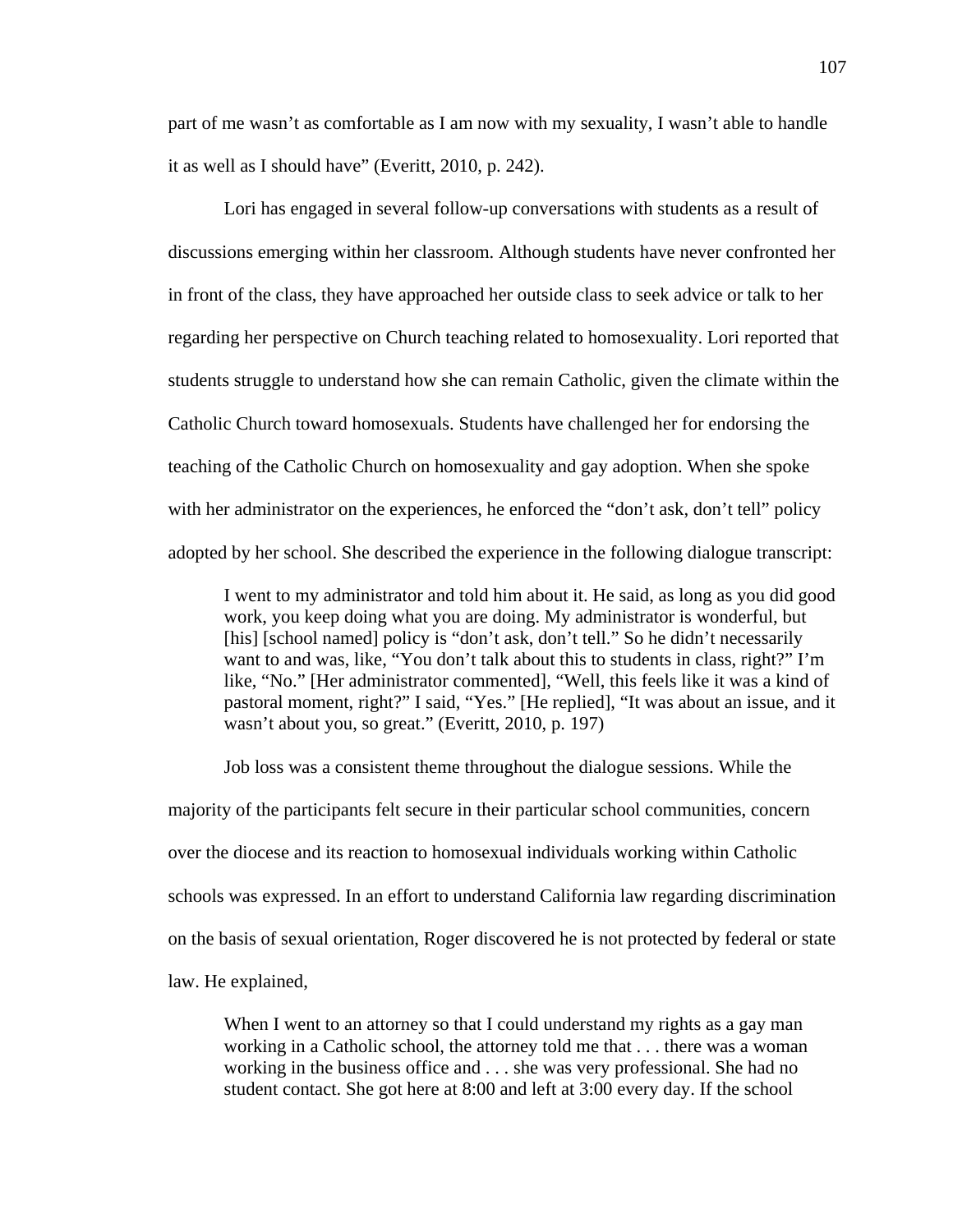part of me wasn't as comfortable as I am now with my sexuality, I wasn't able to handle it as well as I should have" (Everitt, 2010, p. 242).

 Lori has engaged in several follow-up conversations with students as a result of discussions emerging within her classroom. Although students have never confronted her in front of the class, they have approached her outside class to seek advice or talk to her regarding her perspective on Church teaching related to homosexuality. Lori reported that students struggle to understand how she can remain Catholic, given the climate within the Catholic Church toward homosexuals. Students have challenged her for endorsing the teaching of the Catholic Church on homosexuality and gay adoption. When she spoke with her administrator on the experiences, he enforced the "don't ask, don't tell" policy adopted by her school. She described the experience in the following dialogue transcript:

I went to my administrator and told him about it. He said, as long as you did good work, you keep doing what you are doing. My administrator is wonderful, but [his] [school named] policy is "don't ask, don't tell." So he didn't necessarily want to and was, like, "You don't talk about this to students in class, right?" I'm like, "No." [Her administrator commented], "Well, this feels like it was a kind of pastoral moment, right?" I said, "Yes." [He replied], "It was about an issue, and it wasn't about you, so great." (Everitt, 2010, p. 197)

 Job loss was a consistent theme throughout the dialogue sessions. While the majority of the participants felt secure in their particular school communities, concern over the diocese and its reaction to homosexual individuals working within Catholic schools was expressed. In an effort to understand California law regarding discrimination on the basis of sexual orientation, Roger discovered he is not protected by federal or state law. He explained,

When I went to an attorney so that I could understand my rights as a gay man working in a Catholic school, the attorney told me that . . . there was a woman working in the business office and . . . she was very professional. She had no student contact. She got here at 8:00 and left at 3:00 every day. If the school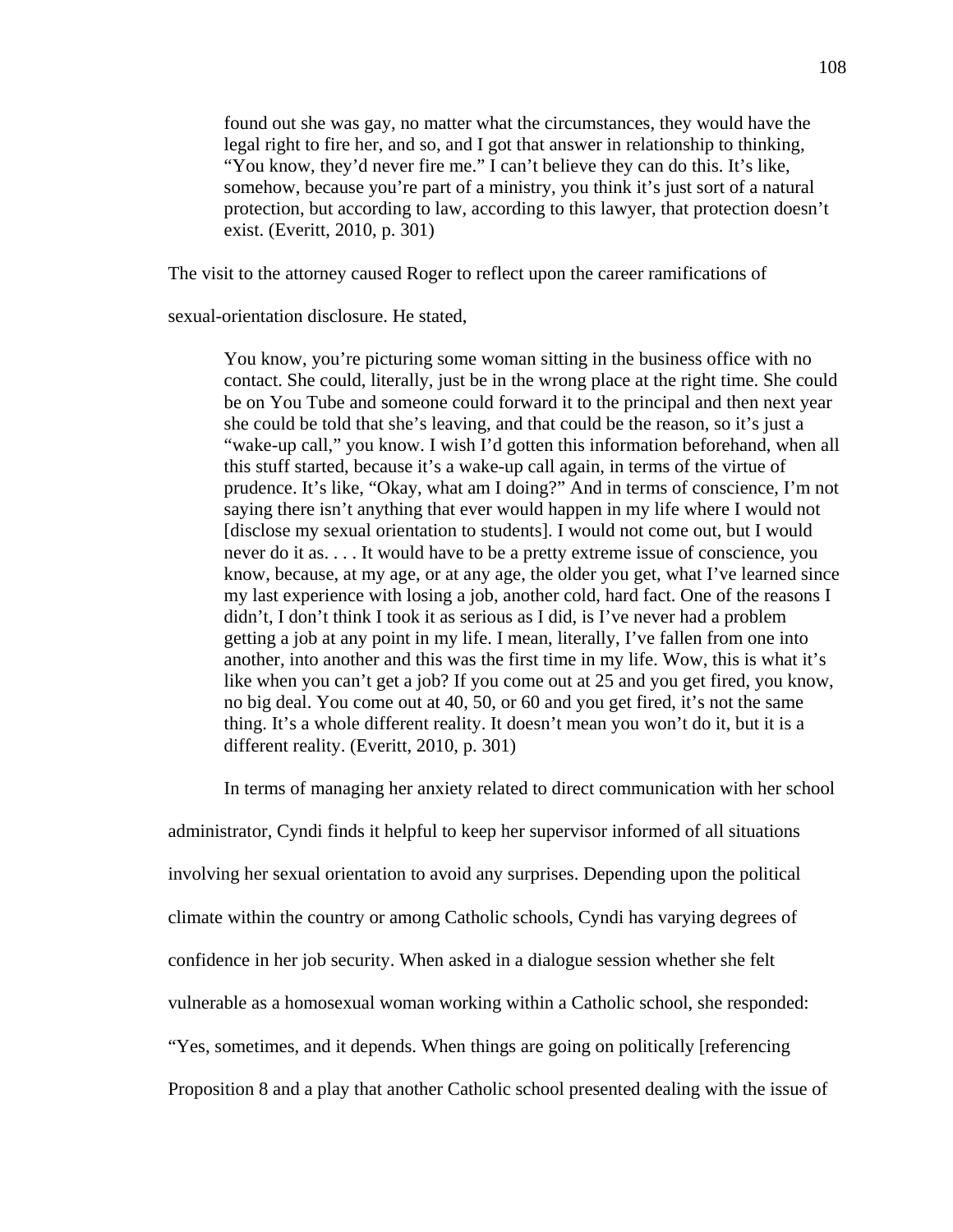found out she was gay, no matter what the circumstances, they would have the legal right to fire her, and so, and I got that answer in relationship to thinking, "You know, they'd never fire me." I can't believe they can do this. It's like, somehow, because you're part of a ministry, you think it's just sort of a natural protection, but according to law, according to this lawyer, that protection doesn't exist. (Everitt, 2010, p. 301)

The visit to the attorney caused Roger to reflect upon the career ramifications of

sexual-orientation disclosure. He stated,

You know, you're picturing some woman sitting in the business office with no contact. She could, literally, just be in the wrong place at the right time. She could be on You Tube and someone could forward it to the principal and then next year she could be told that she's leaving, and that could be the reason, so it's just a "wake-up call," you know. I wish I'd gotten this information beforehand, when all this stuff started, because it's a wake-up call again, in terms of the virtue of prudence. It's like, "Okay, what am I doing?" And in terms of conscience, I'm not saying there isn't anything that ever would happen in my life where I would not [disclose my sexual orientation to students]. I would not come out, but I would never do it as. . . . It would have to be a pretty extreme issue of conscience, you know, because, at my age, or at any age, the older you get, what I've learned since my last experience with losing a job, another cold, hard fact. One of the reasons I didn't, I don't think I took it as serious as I did, is I've never had a problem getting a job at any point in my life. I mean, literally, I've fallen from one into another, into another and this was the first time in my life. Wow, this is what it's like when you can't get a job? If you come out at 25 and you get fired, you know, no big deal. You come out at 40, 50, or 60 and you get fired, it's not the same thing. It's a whole different reality. It doesn't mean you won't do it, but it is a different reality. (Everitt, 2010, p. 301)

In terms of managing her anxiety related to direct communication with her school

administrator, Cyndi finds it helpful to keep her supervisor informed of all situations involving her sexual orientation to avoid any surprises. Depending upon the political climate within the country or among Catholic schools, Cyndi has varying degrees of confidence in her job security. When asked in a dialogue session whether she felt vulnerable as a homosexual woman working within a Catholic school, she responded: "Yes, sometimes, and it depends. When things are going on politically [referencing Proposition 8 and a play that another Catholic school presented dealing with the issue of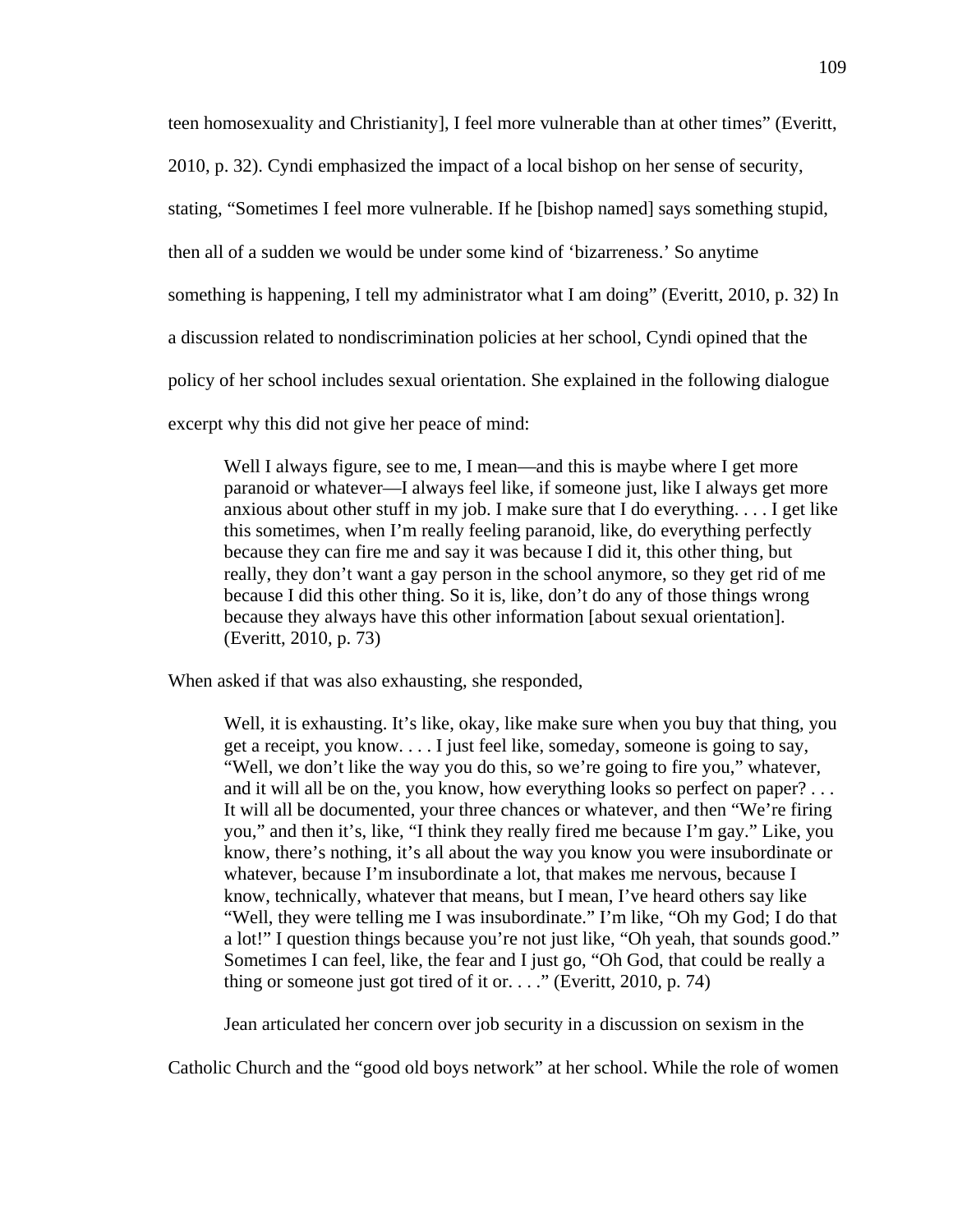teen homosexuality and Christianity], I feel more vulnerable than at other times" (Everitt,

2010, p. 32). Cyndi emphasized the impact of a local bishop on her sense of security,

stating, "Sometimes I feel more vulnerable. If he [bishop named] says something stupid,

then all of a sudden we would be under some kind of 'bizarreness.' So anytime

something is happening, I tell my administrator what I am doing" (Everitt, 2010, p. 32) In

a discussion related to nondiscrimination policies at her school, Cyndi opined that the

policy of her school includes sexual orientation. She explained in the following dialogue

excerpt why this did not give her peace of mind:

Well I always figure, see to me, I mean—and this is maybe where I get more paranoid or whatever—I always feel like, if someone just, like I always get more anxious about other stuff in my job. I make sure that I do everything. . . . I get like this sometimes, when I'm really feeling paranoid, like, do everything perfectly because they can fire me and say it was because I did it, this other thing, but really, they don't want a gay person in the school anymore, so they get rid of me because I did this other thing. So it is, like, don't do any of those things wrong because they always have this other information [about sexual orientation]. (Everitt, 2010, p. 73)

When asked if that was also exhausting, she responded,

Well, it is exhausting. It's like, okay, like make sure when you buy that thing, you get a receipt, you know. . . . I just feel like, someday, someone is going to say, "Well, we don't like the way you do this, so we're going to fire you," whatever, and it will all be on the, you know, how everything looks so perfect on paper? . . . It will all be documented, your three chances or whatever, and then "We're firing you," and then it's, like, "I think they really fired me because I'm gay." Like, you know, there's nothing, it's all about the way you know you were insubordinate or whatever, because I'm insubordinate a lot, that makes me nervous, because I know, technically, whatever that means, but I mean, I've heard others say like "Well, they were telling me I was insubordinate." I'm like, "Oh my God; I do that a lot!" I question things because you're not just like, "Oh yeah, that sounds good." Sometimes I can feel, like, the fear and I just go, "Oh God, that could be really a thing or someone just got tired of it or. . . ." (Everitt, 2010, p. 74)

Jean articulated her concern over job security in a discussion on sexism in the

Catholic Church and the "good old boys network" at her school. While the role of women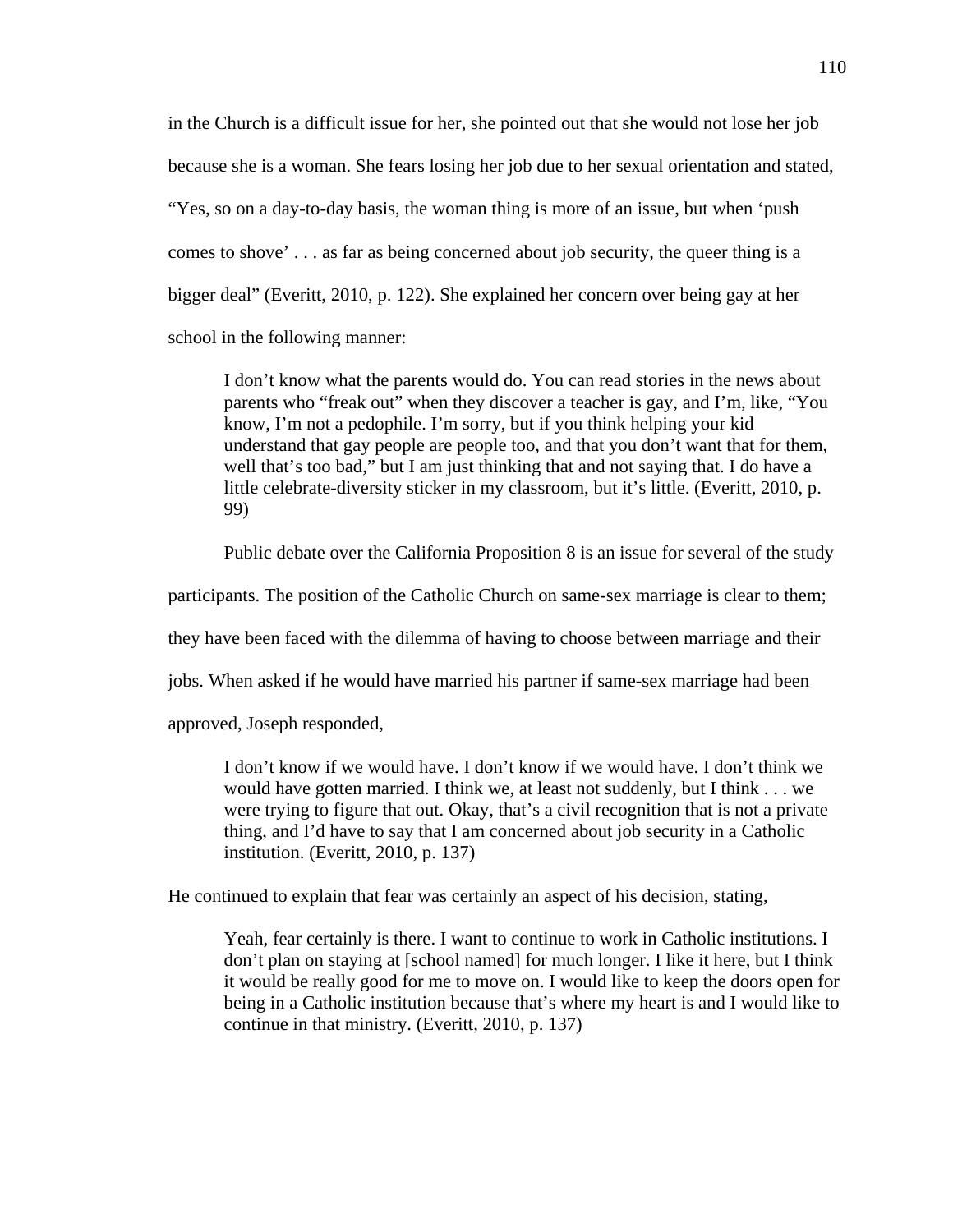in the Church is a difficult issue for her, she pointed out that she would not lose her job because she is a woman. She fears losing her job due to her sexual orientation and stated, "Yes, so on a day-to-day basis, the woman thing is more of an issue, but when 'push comes to shove' . . . as far as being concerned about job security, the queer thing is a bigger deal" (Everitt, 2010, p. 122). She explained her concern over being gay at her school in the following manner:

I don't know what the parents would do. You can read stories in the news about parents who "freak out" when they discover a teacher is gay, and I'm, like, "You know, I'm not a pedophile. I'm sorry, but if you think helping your kid understand that gay people are people too, and that you don't want that for them, well that's too bad," but I am just thinking that and not saying that. I do have a little celebrate-diversity sticker in my classroom, but it's little. (Everitt, 2010, p. 99)

Public debate over the California Proposition 8 is an issue for several of the study

participants. The position of the Catholic Church on same-sex marriage is clear to them;

they have been faced with the dilemma of having to choose between marriage and their

jobs. When asked if he would have married his partner if same-sex marriage had been

approved, Joseph responded,

I don't know if we would have. I don't know if we would have. I don't think we would have gotten married. I think we, at least not suddenly, but I think . . . we were trying to figure that out. Okay, that's a civil recognition that is not a private thing, and I'd have to say that I am concerned about job security in a Catholic institution. (Everitt, 2010, p. 137)

He continued to explain that fear was certainly an aspect of his decision, stating,

Yeah, fear certainly is there. I want to continue to work in Catholic institutions. I don't plan on staying at [school named] for much longer. I like it here, but I think it would be really good for me to move on. I would like to keep the doors open for being in a Catholic institution because that's where my heart is and I would like to continue in that ministry. (Everitt, 2010, p. 137)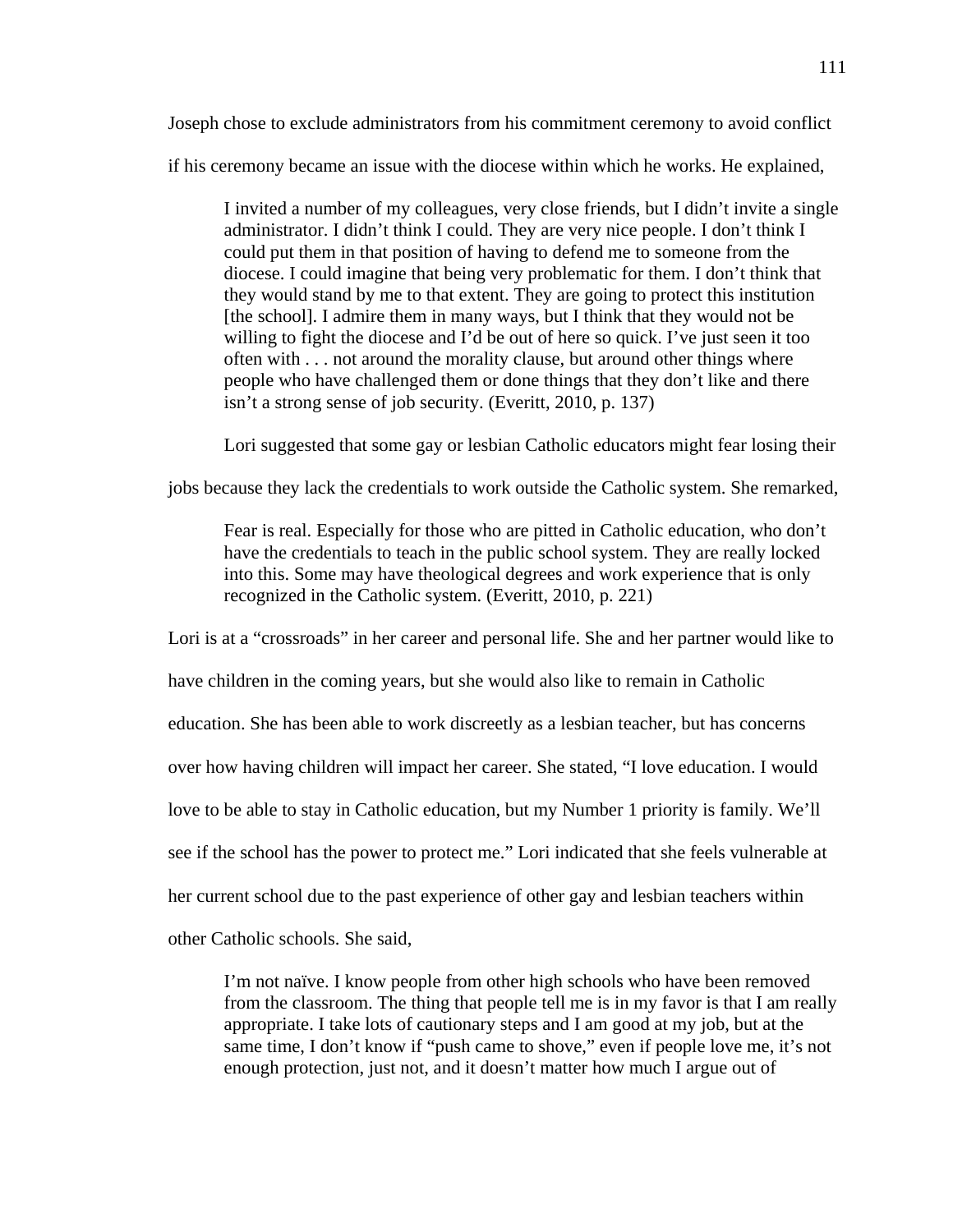Joseph chose to exclude administrators from his commitment ceremony to avoid conflict

if his ceremony became an issue with the diocese within which he works. He explained,

I invited a number of my colleagues, very close friends, but I didn't invite a single administrator. I didn't think I could. They are very nice people. I don't think I could put them in that position of having to defend me to someone from the diocese. I could imagine that being very problematic for them. I don't think that they would stand by me to that extent. They are going to protect this institution [the school]. I admire them in many ways, but I think that they would not be willing to fight the diocese and I'd be out of here so quick. I've just seen it too often with . . . not around the morality clause, but around other things where people who have challenged them or done things that they don't like and there isn't a strong sense of job security. (Everitt, 2010, p. 137)

Lori suggested that some gay or lesbian Catholic educators might fear losing their

jobs because they lack the credentials to work outside the Catholic system. She remarked,

Fear is real. Especially for those who are pitted in Catholic education, who don't have the credentials to teach in the public school system. They are really locked into this. Some may have theological degrees and work experience that is only recognized in the Catholic system. (Everitt, 2010, p. 221)

Lori is at a "crossroads" in her career and personal life. She and her partner would like to

have children in the coming years, but she would also like to remain in Catholic

education. She has been able to work discreetly as a lesbian teacher, but has concerns

over how having children will impact her career. She stated, "I love education. I would

love to be able to stay in Catholic education, but my Number 1 priority is family. We'll

see if the school has the power to protect me." Lori indicated that she feels vulnerable at

her current school due to the past experience of other gay and lesbian teachers within

other Catholic schools. She said,

I'm not naïve. I know people from other high schools who have been removed from the classroom. The thing that people tell me is in my favor is that I am really appropriate. I take lots of cautionary steps and I am good at my job, but at the same time, I don't know if "push came to shove," even if people love me, it's not enough protection, just not, and it doesn't matter how much I argue out of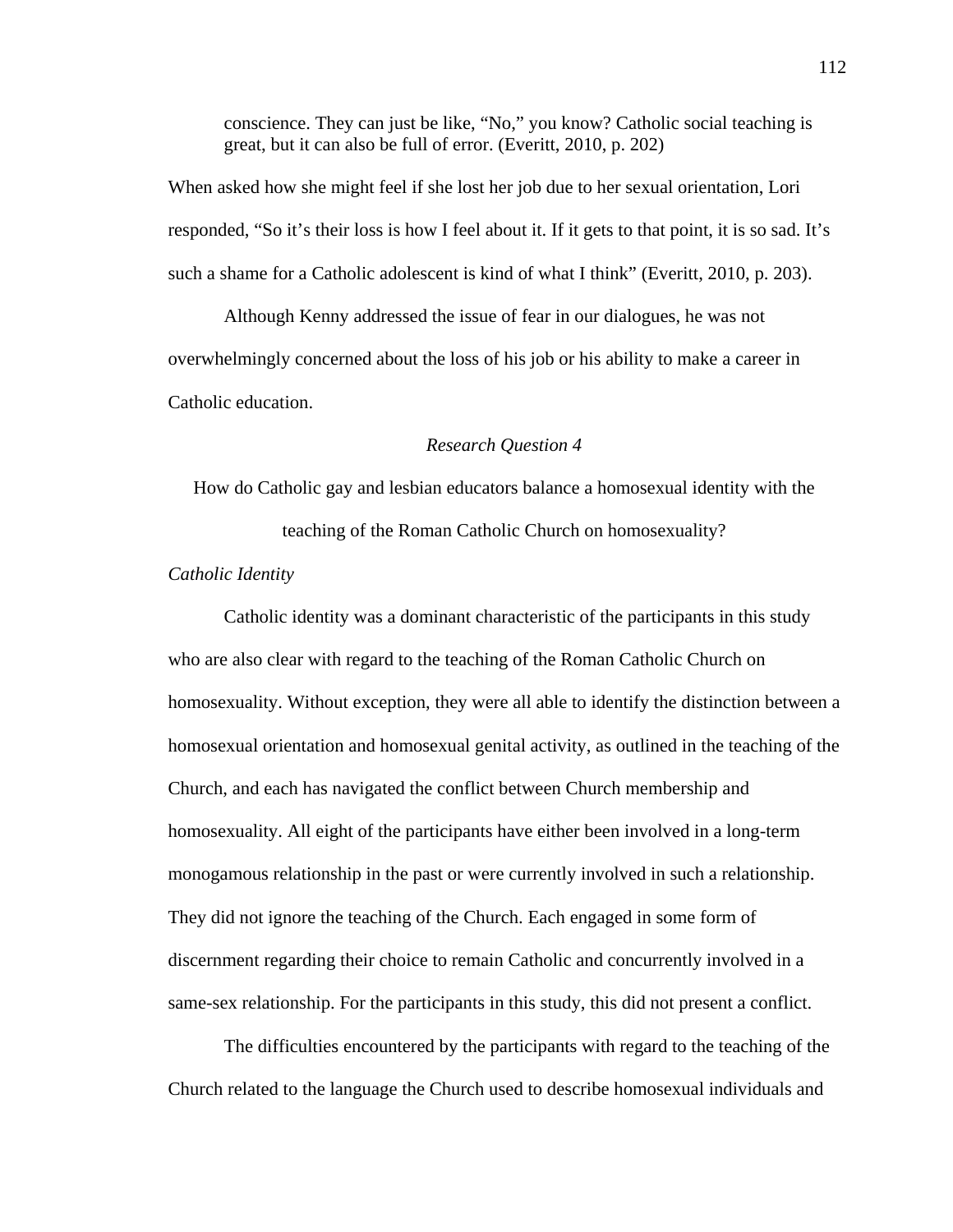conscience. They can just be like, "No," you know? Catholic social teaching is great, but it can also be full of error. (Everitt, 2010, p. 202)

When asked how she might feel if she lost her job due to her sexual orientation, Lori responded, "So it's their loss is how I feel about it. If it gets to that point, it is so sad. It's such a shame for a Catholic adolescent is kind of what I think" (Everitt, 2010, p. 203).

 Although Kenny addressed the issue of fear in our dialogues, he was not overwhelmingly concerned about the loss of his job or his ability to make a career in Catholic education.

# *Research Question 4*

How do Catholic gay and lesbian educators balance a homosexual identity with the teaching of the Roman Catholic Church on homosexuality?

# *Catholic Identity*

 Catholic identity was a dominant characteristic of the participants in this study who are also clear with regard to the teaching of the Roman Catholic Church on homosexuality. Without exception, they were all able to identify the distinction between a homosexual orientation and homosexual genital activity, as outlined in the teaching of the Church, and each has navigated the conflict between Church membership and homosexuality. All eight of the participants have either been involved in a long-term monogamous relationship in the past or were currently involved in such a relationship. They did not ignore the teaching of the Church. Each engaged in some form of discernment regarding their choice to remain Catholic and concurrently involved in a same-sex relationship. For the participants in this study, this did not present a conflict.

The difficulties encountered by the participants with regard to the teaching of the Church related to the language the Church used to describe homosexual individuals and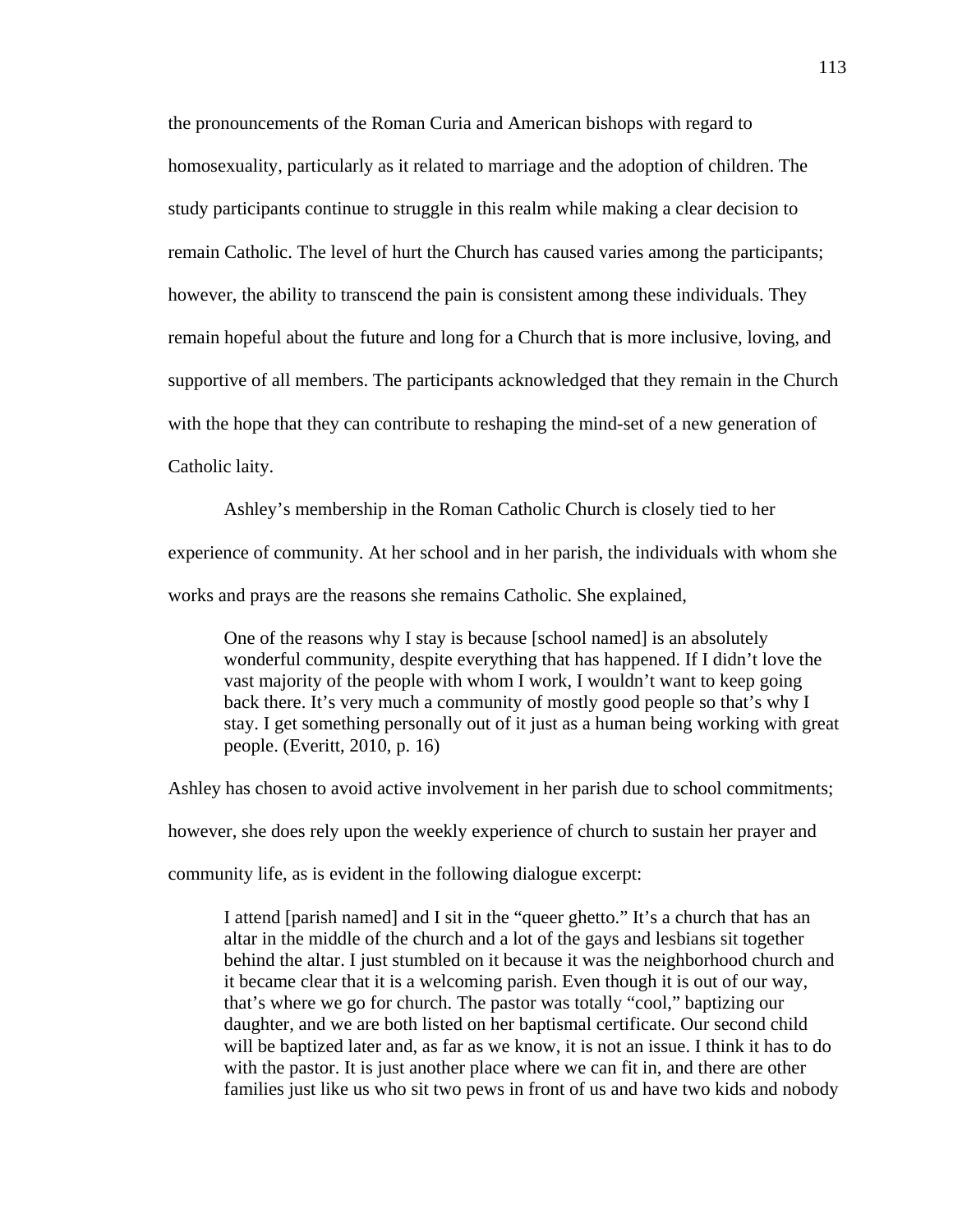the pronouncements of the Roman Curia and American bishops with regard to homosexuality, particularly as it related to marriage and the adoption of children. The study participants continue to struggle in this realm while making a clear decision to remain Catholic. The level of hurt the Church has caused varies among the participants; however, the ability to transcend the pain is consistent among these individuals. They remain hopeful about the future and long for a Church that is more inclusive, loving, and supportive of all members. The participants acknowledged that they remain in the Church with the hope that they can contribute to reshaping the mind-set of a new generation of Catholic laity.

 Ashley's membership in the Roman Catholic Church is closely tied to her experience of community. At her school and in her parish, the individuals with whom she works and prays are the reasons she remains Catholic. She explained,

One of the reasons why I stay is because [school named] is an absolutely wonderful community, despite everything that has happened. If I didn't love the vast majority of the people with whom I work, I wouldn't want to keep going back there. It's very much a community of mostly good people so that's why I stay. I get something personally out of it just as a human being working with great people. (Everitt, 2010, p. 16)

Ashley has chosen to avoid active involvement in her parish due to school commitments;

however, she does rely upon the weekly experience of church to sustain her prayer and

community life, as is evident in the following dialogue excerpt:

I attend [parish named] and I sit in the "queer ghetto." It's a church that has an altar in the middle of the church and a lot of the gays and lesbians sit together behind the altar. I just stumbled on it because it was the neighborhood church and it became clear that it is a welcoming parish. Even though it is out of our way, that's where we go for church. The pastor was totally "cool," baptizing our daughter, and we are both listed on her baptismal certificate. Our second child will be baptized later and, as far as we know, it is not an issue. I think it has to do with the pastor. It is just another place where we can fit in, and there are other families just like us who sit two pews in front of us and have two kids and nobody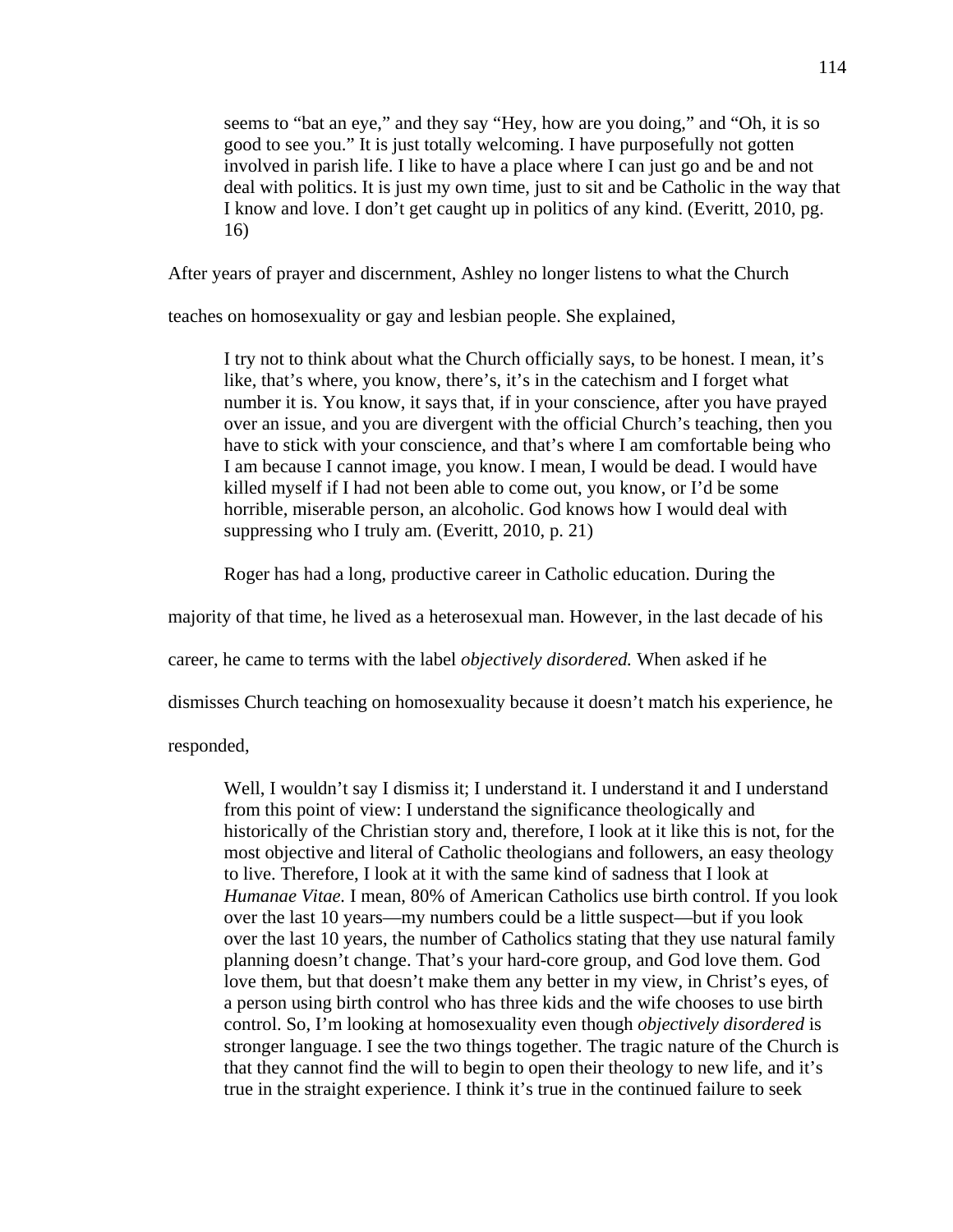seems to "bat an eye," and they say "Hey, how are you doing," and "Oh, it is so good to see you." It is just totally welcoming. I have purposefully not gotten involved in parish life. I like to have a place where I can just go and be and not deal with politics. It is just my own time, just to sit and be Catholic in the way that I know and love. I don't get caught up in politics of any kind. (Everitt, 2010, pg. 16)

After years of prayer and discernment, Ashley no longer listens to what the Church

teaches on homosexuality or gay and lesbian people. She explained,

I try not to think about what the Church officially says, to be honest. I mean, it's like, that's where, you know, there's, it's in the catechism and I forget what number it is. You know, it says that, if in your conscience, after you have prayed over an issue, and you are divergent with the official Church's teaching, then you have to stick with your conscience, and that's where I am comfortable being who I am because I cannot image, you know. I mean, I would be dead. I would have killed myself if I had not been able to come out, you know, or I'd be some horrible, miserable person, an alcoholic. God knows how I would deal with suppressing who I truly am. (Everitt, 2010, p. 21)

Roger has had a long, productive career in Catholic education. During the

majority of that time, he lived as a heterosexual man. However, in the last decade of his

career, he came to terms with the label *objectively disordered.* When asked if he

dismisses Church teaching on homosexuality because it doesn't match his experience, he

responded,

Well, I wouldn't say I dismiss it; I understand it. I understand it and I understand from this point of view: I understand the significance theologically and historically of the Christian story and, therefore, I look at it like this is not, for the most objective and literal of Catholic theologians and followers, an easy theology to live. Therefore, I look at it with the same kind of sadness that I look at *Humanae Vitae.* I mean, 80% of American Catholics use birth control. If you look over the last 10 years—my numbers could be a little suspect—but if you look over the last 10 years, the number of Catholics stating that they use natural family planning doesn't change. That's your hard-core group, and God love them. God love them, but that doesn't make them any better in my view, in Christ's eyes, of a person using birth control who has three kids and the wife chooses to use birth control. So, I'm looking at homosexuality even though *objectively disordered* is stronger language. I see the two things together. The tragic nature of the Church is that they cannot find the will to begin to open their theology to new life, and it's true in the straight experience. I think it's true in the continued failure to seek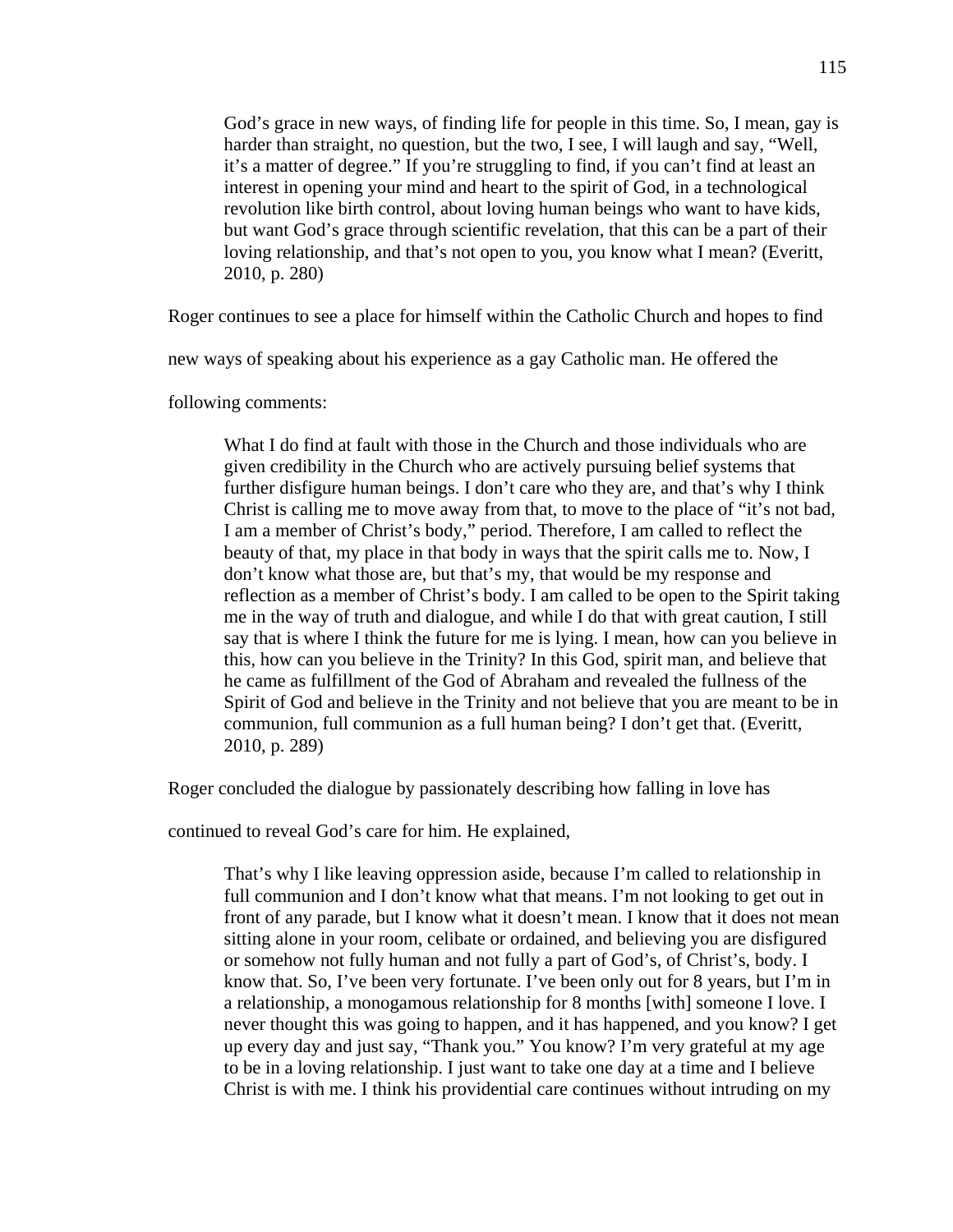God's grace in new ways, of finding life for people in this time. So, I mean, gay is harder than straight, no question, but the two, I see, I will laugh and say, "Well, it's a matter of degree." If you're struggling to find, if you can't find at least an interest in opening your mind and heart to the spirit of God, in a technological revolution like birth control, about loving human beings who want to have kids, but want God's grace through scientific revelation, that this can be a part of their loving relationship, and that's not open to you, you know what I mean? (Everitt, 2010, p. 280)

Roger continues to see a place for himself within the Catholic Church and hopes to find

new ways of speaking about his experience as a gay Catholic man. He offered the

following comments:

What I do find at fault with those in the Church and those individuals who are given credibility in the Church who are actively pursuing belief systems that further disfigure human beings. I don't care who they are, and that's why I think Christ is calling me to move away from that, to move to the place of "it's not bad, I am a member of Christ's body," period. Therefore, I am called to reflect the beauty of that, my place in that body in ways that the spirit calls me to. Now, I don't know what those are, but that's my, that would be my response and reflection as a member of Christ's body. I am called to be open to the Spirit taking me in the way of truth and dialogue, and while I do that with great caution, I still say that is where I think the future for me is lying. I mean, how can you believe in this, how can you believe in the Trinity? In this God, spirit man, and believe that he came as fulfillment of the God of Abraham and revealed the fullness of the Spirit of God and believe in the Trinity and not believe that you are meant to be in communion, full communion as a full human being? I don't get that. (Everitt, 2010, p. 289)

Roger concluded the dialogue by passionately describing how falling in love has

continued to reveal God's care for him. He explained,

That's why I like leaving oppression aside, because I'm called to relationship in full communion and I don't know what that means. I'm not looking to get out in front of any parade, but I know what it doesn't mean. I know that it does not mean sitting alone in your room, celibate or ordained, and believing you are disfigured or somehow not fully human and not fully a part of God's, of Christ's, body. I know that. So, I've been very fortunate. I've been only out for 8 years, but I'm in a relationship, a monogamous relationship for 8 months [with] someone I love. I never thought this was going to happen, and it has happened, and you know? I get up every day and just say, "Thank you." You know? I'm very grateful at my age to be in a loving relationship. I just want to take one day at a time and I believe Christ is with me. I think his providential care continues without intruding on my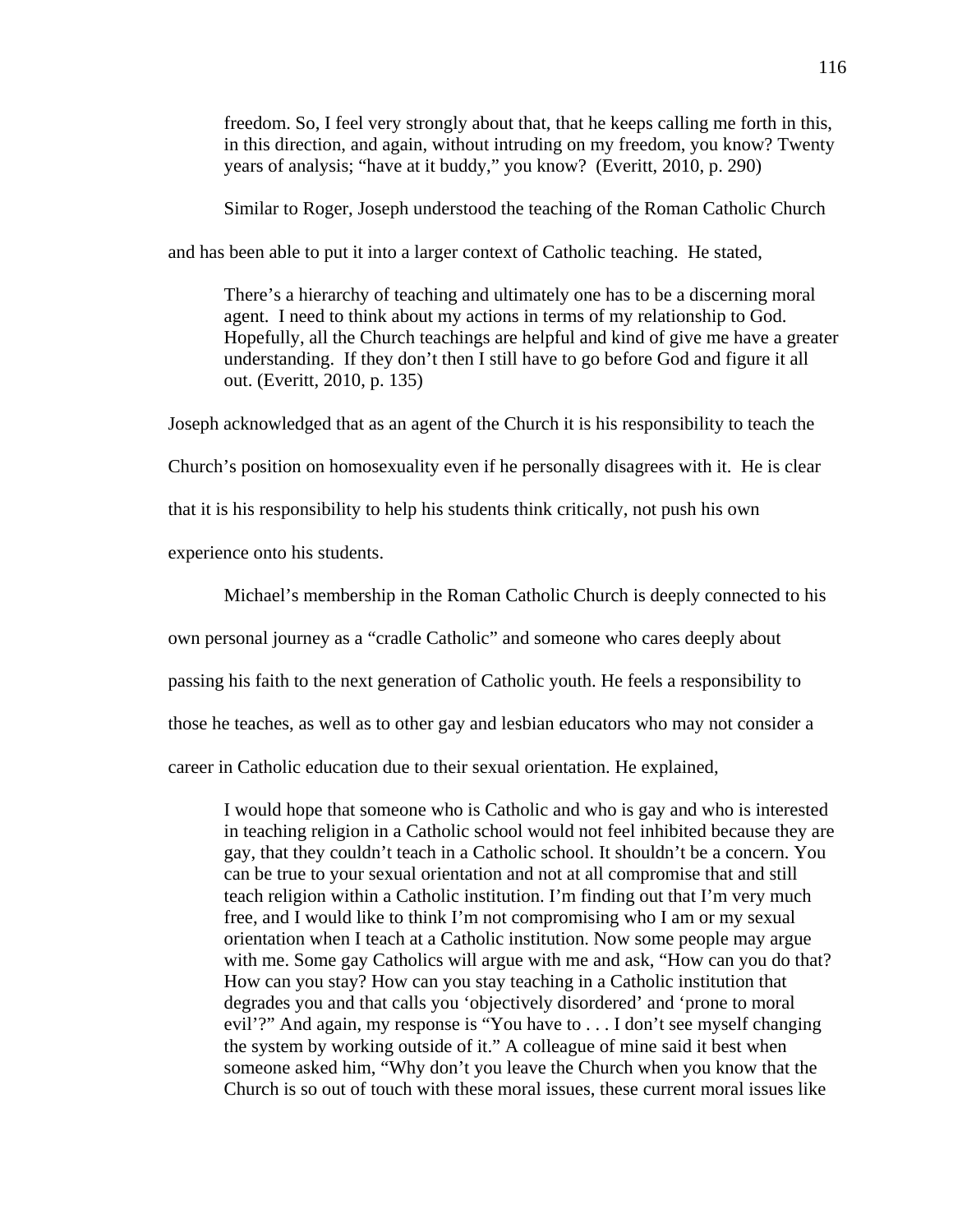freedom. So, I feel very strongly about that, that he keeps calling me forth in this, in this direction, and again, without intruding on my freedom, you know? Twenty years of analysis; "have at it buddy," you know? (Everitt, 2010, p. 290)

Similar to Roger, Joseph understood the teaching of the Roman Catholic Church

and has been able to put it into a larger context of Catholic teaching. He stated,

There's a hierarchy of teaching and ultimately one has to be a discerning moral agent. I need to think about my actions in terms of my relationship to God. Hopefully, all the Church teachings are helpful and kind of give me have a greater understanding. If they don't then I still have to go before God and figure it all out. (Everitt, 2010, p. 135)

Joseph acknowledged that as an agent of the Church it is his responsibility to teach the

Church's position on homosexuality even if he personally disagrees with it. He is clear

that it is his responsibility to help his students think critically, not push his own

experience onto his students.

Michael's membership in the Roman Catholic Church is deeply connected to his

own personal journey as a "cradle Catholic" and someone who cares deeply about

passing his faith to the next generation of Catholic youth. He feels a responsibility to

those he teaches, as well as to other gay and lesbian educators who may not consider a

career in Catholic education due to their sexual orientation. He explained,

I would hope that someone who is Catholic and who is gay and who is interested in teaching religion in a Catholic school would not feel inhibited because they are gay, that they couldn't teach in a Catholic school. It shouldn't be a concern. You can be true to your sexual orientation and not at all compromise that and still teach religion within a Catholic institution. I'm finding out that I'm very much free, and I would like to think I'm not compromising who I am or my sexual orientation when I teach at a Catholic institution. Now some people may argue with me. Some gay Catholics will argue with me and ask, "How can you do that? How can you stay? How can you stay teaching in a Catholic institution that degrades you and that calls you 'objectively disordered' and 'prone to moral evil'?" And again, my response is "You have to . . . I don't see myself changing the system by working outside of it." A colleague of mine said it best when someone asked him, "Why don't you leave the Church when you know that the Church is so out of touch with these moral issues, these current moral issues like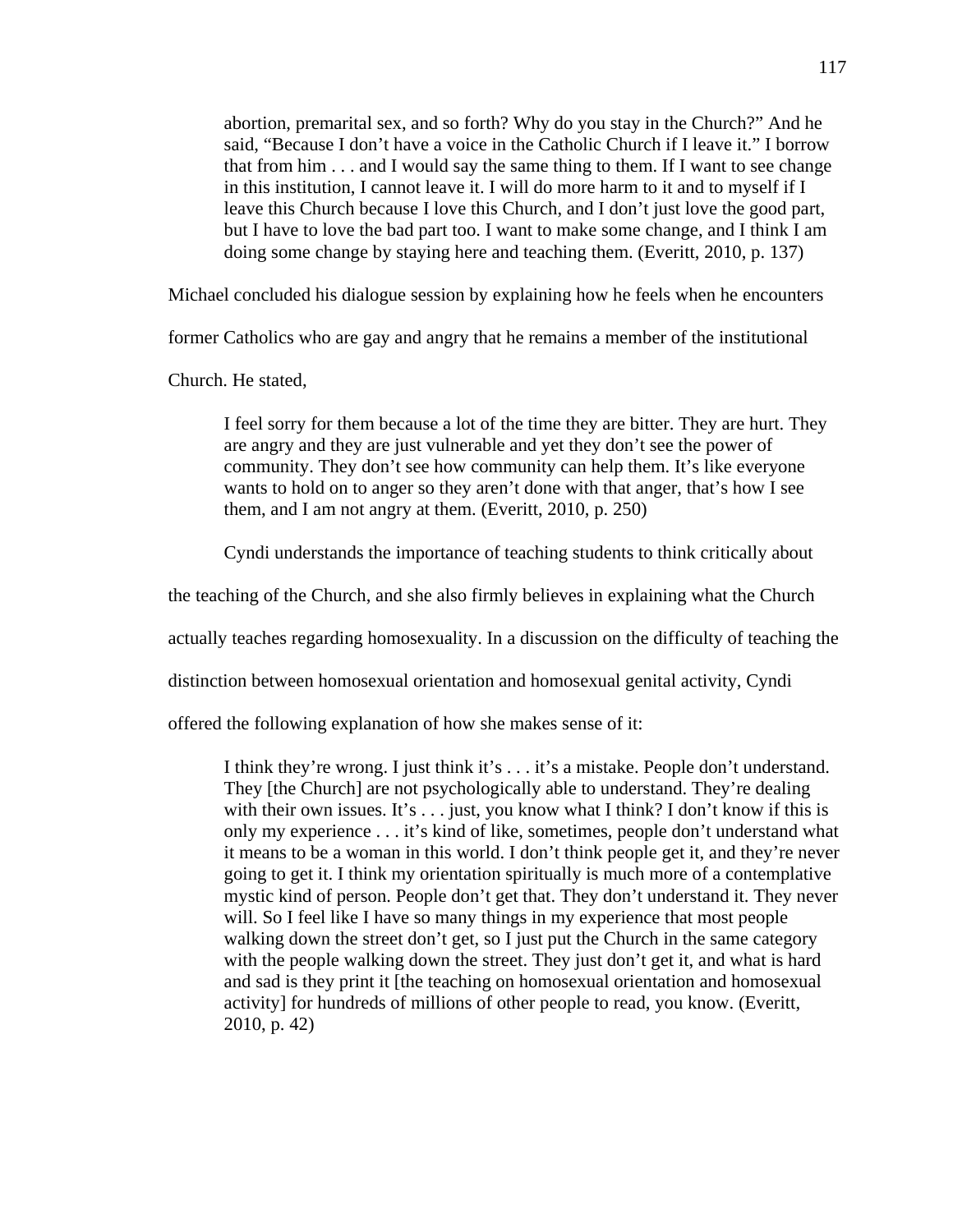abortion, premarital sex, and so forth? Why do you stay in the Church?" And he said, "Because I don't have a voice in the Catholic Church if I leave it." I borrow that from him . . . and I would say the same thing to them. If I want to see change in this institution, I cannot leave it. I will do more harm to it and to myself if I leave this Church because I love this Church, and I don't just love the good part, but I have to love the bad part too. I want to make some change, and I think I am doing some change by staying here and teaching them. (Everitt, 2010, p. 137)

Michael concluded his dialogue session by explaining how he feels when he encounters

former Catholics who are gay and angry that he remains a member of the institutional

Church. He stated,

I feel sorry for them because a lot of the time they are bitter. They are hurt. They are angry and they are just vulnerable and yet they don't see the power of community. They don't see how community can help them. It's like everyone wants to hold on to anger so they aren't done with that anger, that's how I see them, and I am not angry at them. (Everitt, 2010, p. 250)

Cyndi understands the importance of teaching students to think critically about

the teaching of the Church, and she also firmly believes in explaining what the Church

actually teaches regarding homosexuality. In a discussion on the difficulty of teaching the

distinction between homosexual orientation and homosexual genital activity, Cyndi

offered the following explanation of how she makes sense of it:

I think they're wrong. I just think it's . . . it's a mistake. People don't understand. They [the Church] are not psychologically able to understand. They're dealing with their own issues. It's  $\dots$  just, you know what I think? I don't know if this is only my experience . . . it's kind of like, sometimes, people don't understand what it means to be a woman in this world. I don't think people get it, and they're never going to get it. I think my orientation spiritually is much more of a contemplative mystic kind of person. People don't get that. They don't understand it. They never will. So I feel like I have so many things in my experience that most people walking down the street don't get, so I just put the Church in the same category with the people walking down the street. They just don't get it, and what is hard and sad is they print it [the teaching on homosexual orientation and homosexual activity] for hundreds of millions of other people to read, you know. (Everitt, 2010, p. 42)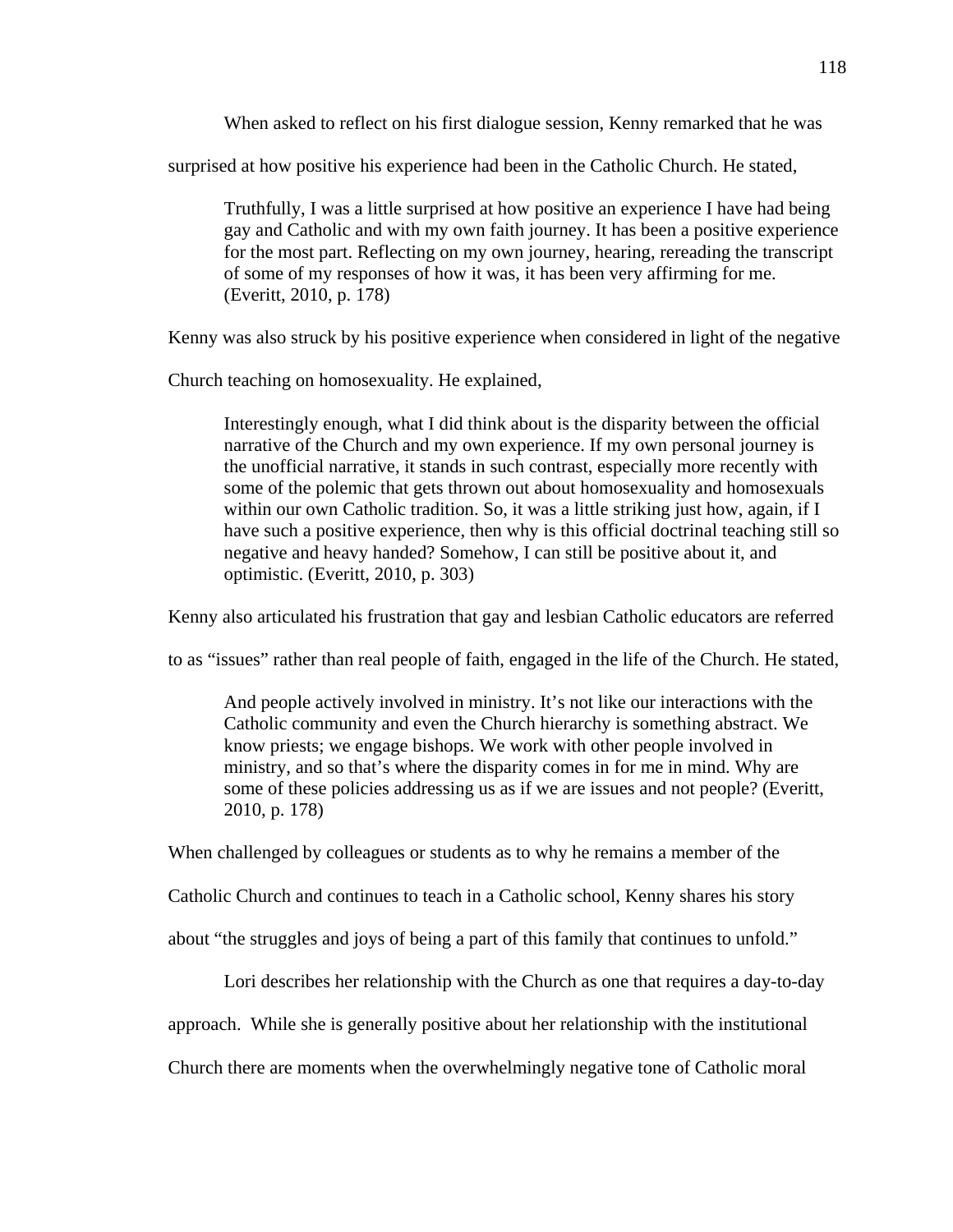When asked to reflect on his first dialogue session, Kenny remarked that he was

surprised at how positive his experience had been in the Catholic Church. He stated,

Truthfully, I was a little surprised at how positive an experience I have had being gay and Catholic and with my own faith journey. It has been a positive experience for the most part. Reflecting on my own journey, hearing, rereading the transcript of some of my responses of how it was, it has been very affirming for me. (Everitt, 2010, p. 178)

Kenny was also struck by his positive experience when considered in light of the negative

Church teaching on homosexuality. He explained,

Interestingly enough, what I did think about is the disparity between the official narrative of the Church and my own experience. If my own personal journey is the unofficial narrative, it stands in such contrast, especially more recently with some of the polemic that gets thrown out about homosexuality and homosexuals within our own Catholic tradition. So, it was a little striking just how, again, if I have such a positive experience, then why is this official doctrinal teaching still so negative and heavy handed? Somehow, I can still be positive about it, and optimistic. (Everitt, 2010, p. 303)

Kenny also articulated his frustration that gay and lesbian Catholic educators are referred

to as "issues" rather than real people of faith, engaged in the life of the Church. He stated,

And people actively involved in ministry. It's not like our interactions with the Catholic community and even the Church hierarchy is something abstract. We know priests; we engage bishops. We work with other people involved in ministry, and so that's where the disparity comes in for me in mind. Why are some of these policies addressing us as if we are issues and not people? (Everitt, 2010, p. 178)

When challenged by colleagues or students as to why he remains a member of the

Catholic Church and continues to teach in a Catholic school, Kenny shares his story

about "the struggles and joys of being a part of this family that continues to unfold."

Lori describes her relationship with the Church as one that requires a day-to-day

approach. While she is generally positive about her relationship with the institutional

Church there are moments when the overwhelmingly negative tone of Catholic moral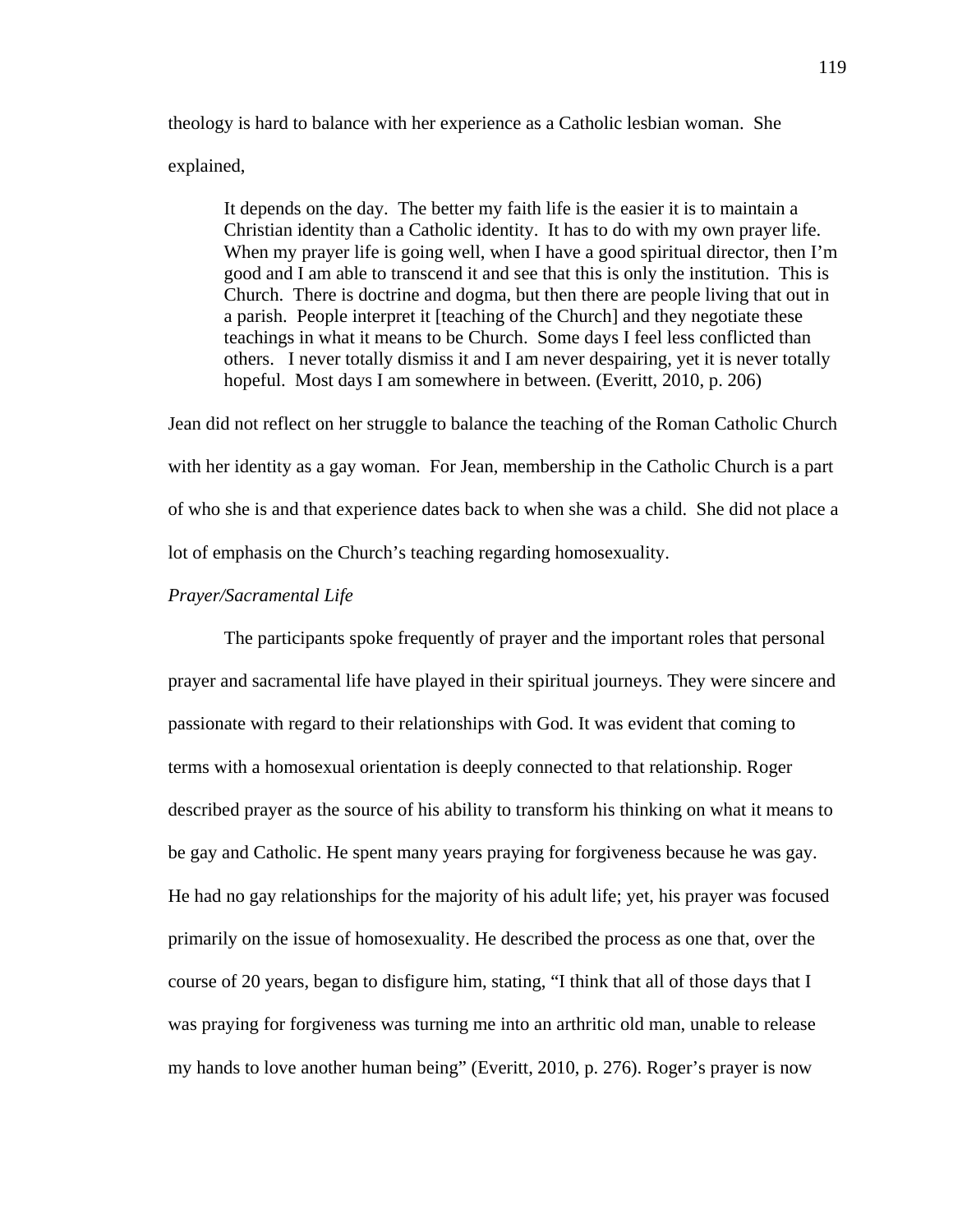theology is hard to balance with her experience as a Catholic lesbian woman. She explained,

It depends on the day. The better my faith life is the easier it is to maintain a Christian identity than a Catholic identity. It has to do with my own prayer life. When my prayer life is going well, when I have a good spiritual director, then I'm good and I am able to transcend it and see that this is only the institution. This is Church. There is doctrine and dogma, but then there are people living that out in a parish. People interpret it [teaching of the Church] and they negotiate these teachings in what it means to be Church. Some days I feel less conflicted than others. I never totally dismiss it and I am never despairing, yet it is never totally hopeful. Most days I am somewhere in between. (Everitt, 2010, p. 206)

Jean did not reflect on her struggle to balance the teaching of the Roman Catholic Church with her identity as a gay woman. For Jean, membership in the Catholic Church is a part of who she is and that experience dates back to when she was a child. She did not place a lot of emphasis on the Church's teaching regarding homosexuality.

#### *Prayer/Sacramental Life*

 The participants spoke frequently of prayer and the important roles that personal prayer and sacramental life have played in their spiritual journeys. They were sincere and passionate with regard to their relationships with God. It was evident that coming to terms with a homosexual orientation is deeply connected to that relationship. Roger described prayer as the source of his ability to transform his thinking on what it means to be gay and Catholic. He spent many years praying for forgiveness because he was gay. He had no gay relationships for the majority of his adult life; yet, his prayer was focused primarily on the issue of homosexuality. He described the process as one that, over the course of 20 years, began to disfigure him, stating, "I think that all of those days that I was praying for forgiveness was turning me into an arthritic old man, unable to release my hands to love another human being" (Everitt, 2010, p. 276). Roger's prayer is now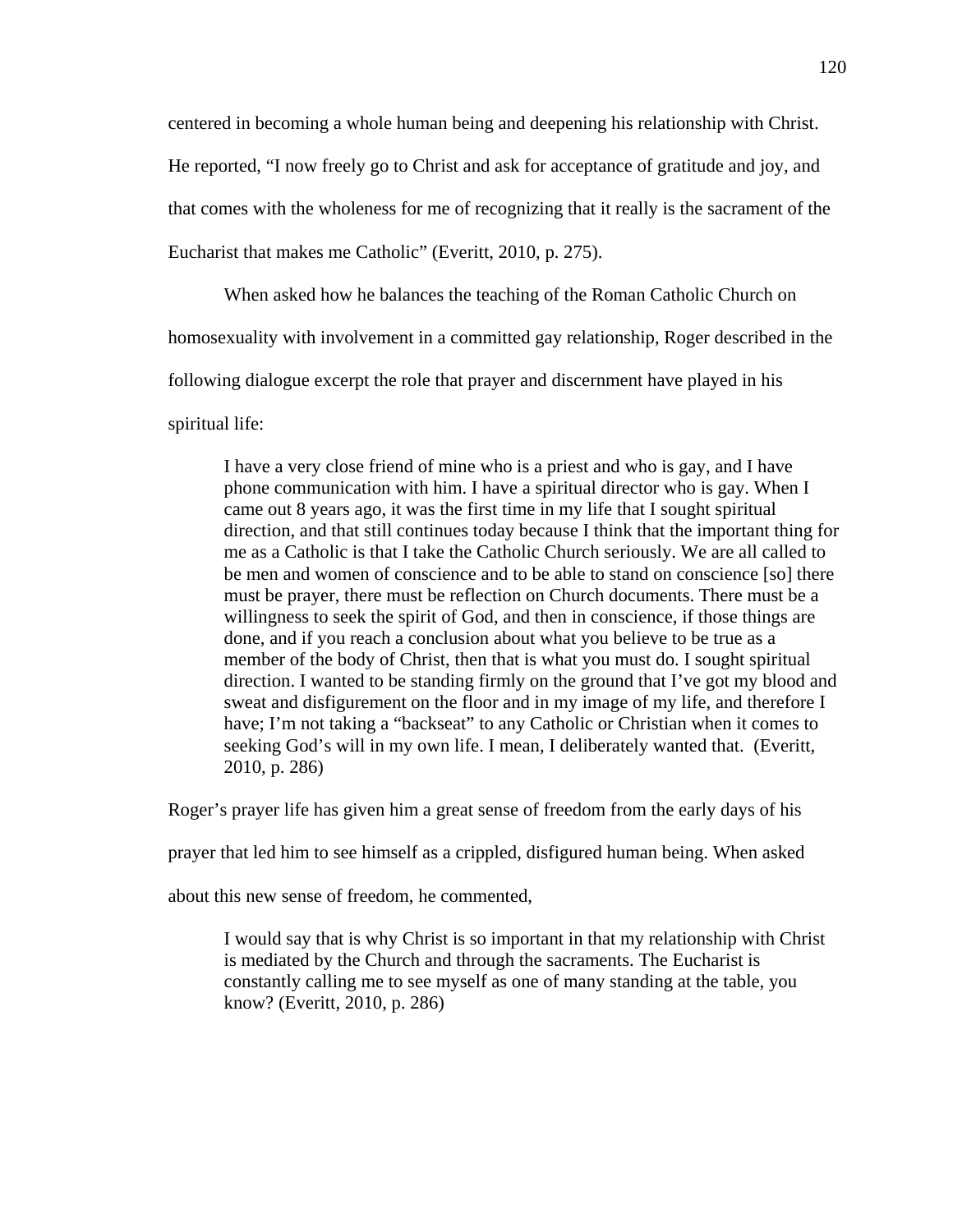centered in becoming a whole human being and deepening his relationship with Christ.

He reported, "I now freely go to Christ and ask for acceptance of gratitude and joy, and

that comes with the wholeness for me of recognizing that it really is the sacrament of the

Eucharist that makes me Catholic" (Everitt, 2010, p. 275).

When asked how he balances the teaching of the Roman Catholic Church on

homosexuality with involvement in a committed gay relationship, Roger described in the

following dialogue excerpt the role that prayer and discernment have played in his

spiritual life:

I have a very close friend of mine who is a priest and who is gay, and I have phone communication with him. I have a spiritual director who is gay. When I came out 8 years ago, it was the first time in my life that I sought spiritual direction, and that still continues today because I think that the important thing for me as a Catholic is that I take the Catholic Church seriously. We are all called to be men and women of conscience and to be able to stand on conscience [so] there must be prayer, there must be reflection on Church documents. There must be a willingness to seek the spirit of God, and then in conscience, if those things are done, and if you reach a conclusion about what you believe to be true as a member of the body of Christ, then that is what you must do. I sought spiritual direction. I wanted to be standing firmly on the ground that I've got my blood and sweat and disfigurement on the floor and in my image of my life, and therefore I have; I'm not taking a "backseat" to any Catholic or Christian when it comes to seeking God's will in my own life. I mean, I deliberately wanted that. (Everitt, 2010, p. 286)

Roger's prayer life has given him a great sense of freedom from the early days of his

prayer that led him to see himself as a crippled, disfigured human being. When asked

about this new sense of freedom, he commented,

I would say that is why Christ is so important in that my relationship with Christ is mediated by the Church and through the sacraments. The Eucharist is constantly calling me to see myself as one of many standing at the table, you know? (Everitt, 2010, p. 286)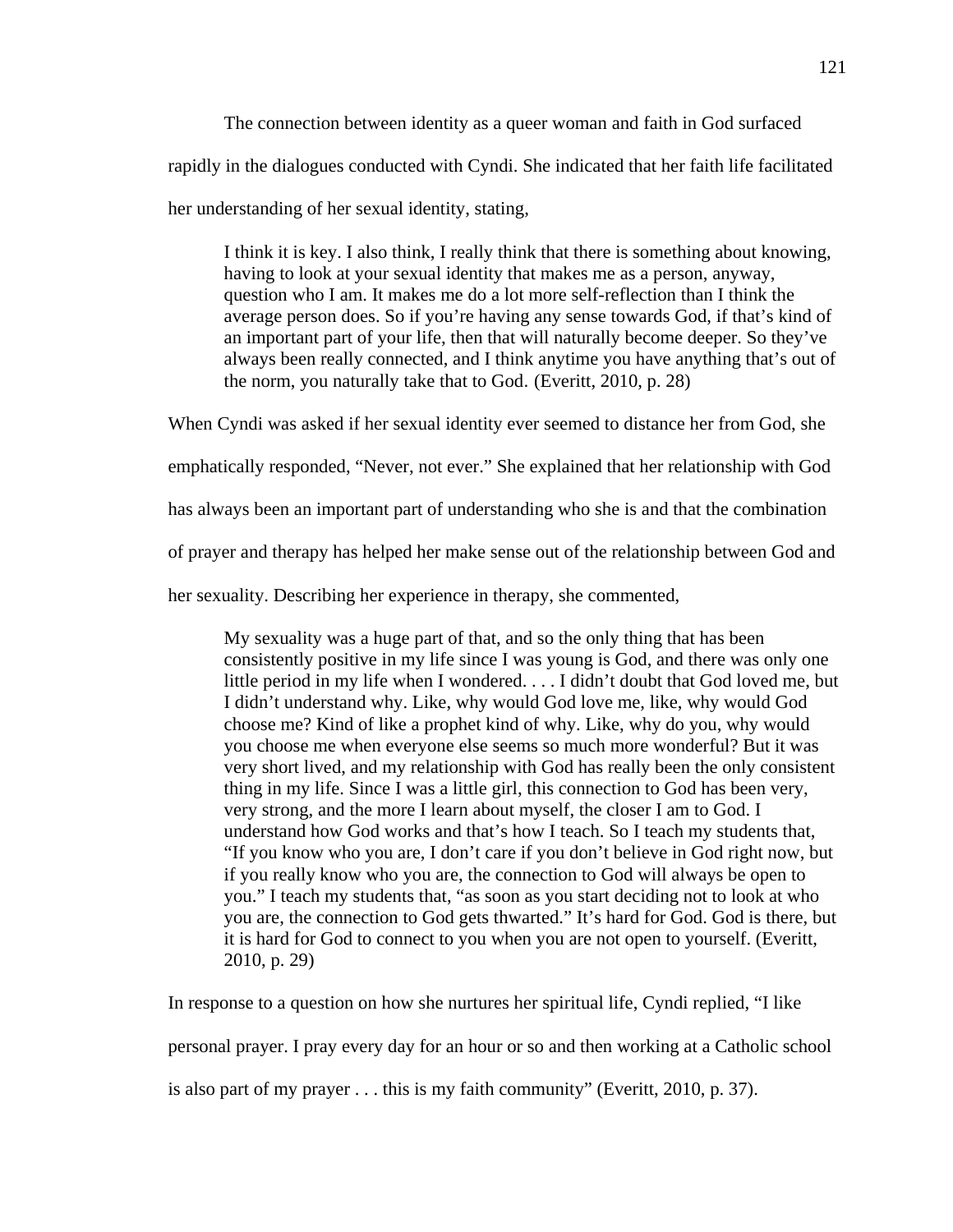The connection between identity as a queer woman and faith in God surfaced rapidly in the dialogues conducted with Cyndi. She indicated that her faith life facilitated her understanding of her sexual identity, stating,

I think it is key. I also think, I really think that there is something about knowing, having to look at your sexual identity that makes me as a person, anyway, question who I am. It makes me do a lot more self-reflection than I think the average person does. So if you're having any sense towards God, if that's kind of an important part of your life, then that will naturally become deeper. So they've always been really connected, and I think anytime you have anything that's out of the norm, you naturally take that to God. (Everitt, 2010, p. 28)

When Cyndi was asked if her sexual identity ever seemed to distance her from God, she

emphatically responded, "Never, not ever." She explained that her relationship with God

has always been an important part of understanding who she is and that the combination

of prayer and therapy has helped her make sense out of the relationship between God and

her sexuality. Describing her experience in therapy, she commented,

My sexuality was a huge part of that, and so the only thing that has been consistently positive in my life since I was young is God, and there was only one little period in my life when I wondered. . . . I didn't doubt that God loved me, but I didn't understand why. Like, why would God love me, like, why would God choose me? Kind of like a prophet kind of why. Like, why do you, why would you choose me when everyone else seems so much more wonderful? But it was very short lived, and my relationship with God has really been the only consistent thing in my life. Since I was a little girl, this connection to God has been very, very strong, and the more I learn about myself, the closer I am to God. I understand how God works and that's how I teach. So I teach my students that, "If you know who you are, I don't care if you don't believe in God right now, but if you really know who you are, the connection to God will always be open to you." I teach my students that, "as soon as you start deciding not to look at who you are, the connection to God gets thwarted." It's hard for God. God is there, but it is hard for God to connect to you when you are not open to yourself. (Everitt, 2010, p. 29)

In response to a question on how she nurtures her spiritual life, Cyndi replied, "I like

personal prayer. I pray every day for an hour or so and then working at a Catholic school

is also part of my prayer . . . this is my faith community" (Everitt, 2010, p. 37).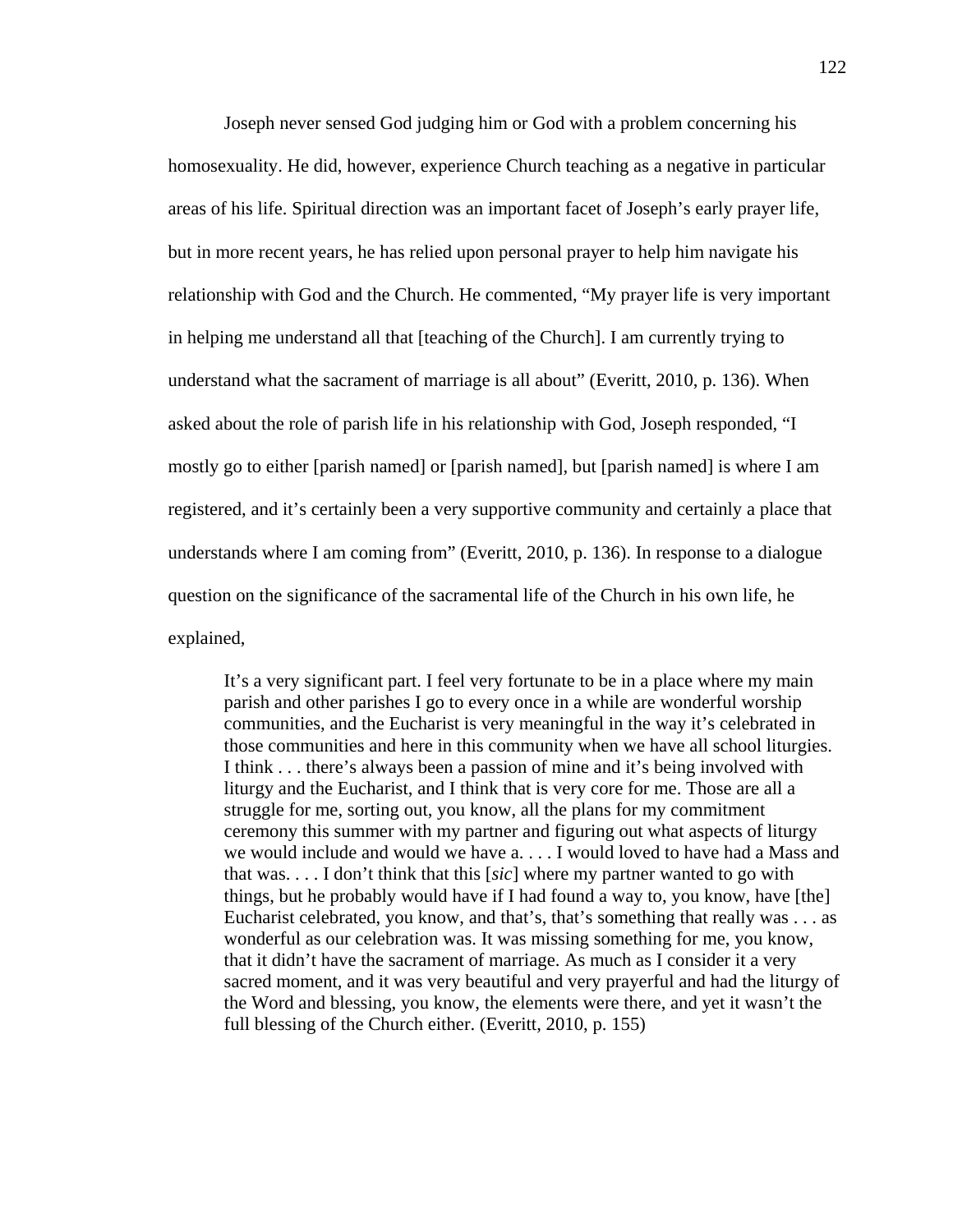Joseph never sensed God judging him or God with a problem concerning his homosexuality. He did, however, experience Church teaching as a negative in particular areas of his life. Spiritual direction was an important facet of Joseph's early prayer life, but in more recent years, he has relied upon personal prayer to help him navigate his relationship with God and the Church. He commented, "My prayer life is very important in helping me understand all that [teaching of the Church]. I am currently trying to understand what the sacrament of marriage is all about" (Everitt, 2010, p. 136). When asked about the role of parish life in his relationship with God, Joseph responded, "I mostly go to either [parish named] or [parish named], but [parish named] is where I am registered, and it's certainly been a very supportive community and certainly a place that understands where I am coming from" (Everitt, 2010, p. 136). In response to a dialogue question on the significance of the sacramental life of the Church in his own life, he explained,

It's a very significant part. I feel very fortunate to be in a place where my main parish and other parishes I go to every once in a while are wonderful worship communities, and the Eucharist is very meaningful in the way it's celebrated in those communities and here in this community when we have all school liturgies. I think . . . there's always been a passion of mine and it's being involved with liturgy and the Eucharist, and I think that is very core for me. Those are all a struggle for me, sorting out, you know, all the plans for my commitment ceremony this summer with my partner and figuring out what aspects of liturgy we would include and would we have a. . . . I would loved to have had a Mass and that was. . . . I don't think that this [*sic*] where my partner wanted to go with things, but he probably would have if I had found a way to, you know, have [the] Eucharist celebrated, you know, and that's, that's something that really was . . . as wonderful as our celebration was. It was missing something for me, you know, that it didn't have the sacrament of marriage. As much as I consider it a very sacred moment, and it was very beautiful and very prayerful and had the liturgy of the Word and blessing, you know, the elements were there, and yet it wasn't the full blessing of the Church either. (Everitt, 2010, p. 155)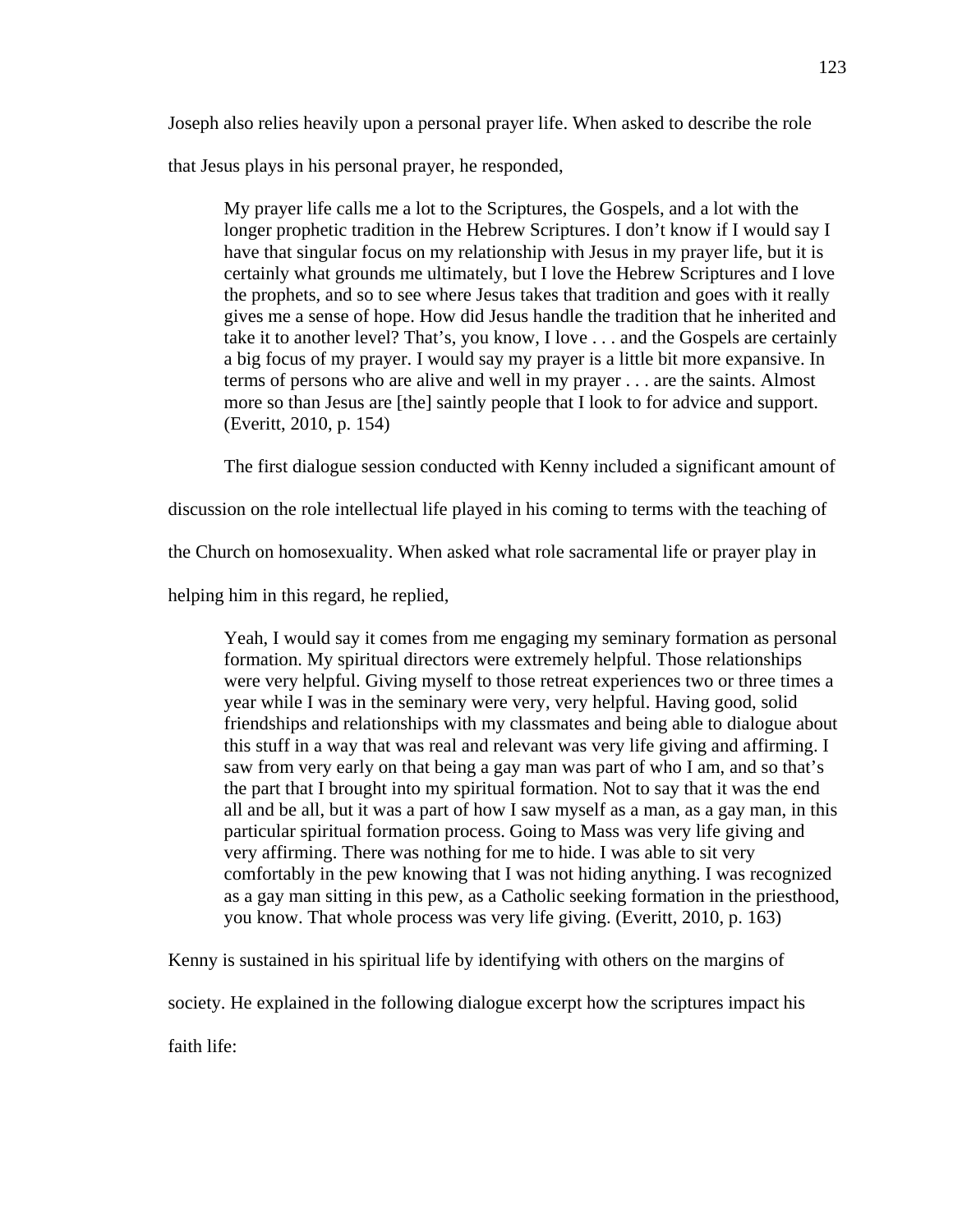Joseph also relies heavily upon a personal prayer life. When asked to describe the role

that Jesus plays in his personal prayer, he responded,

My prayer life calls me a lot to the Scriptures, the Gospels, and a lot with the longer prophetic tradition in the Hebrew Scriptures. I don't know if I would say I have that singular focus on my relationship with Jesus in my prayer life, but it is certainly what grounds me ultimately, but I love the Hebrew Scriptures and I love the prophets, and so to see where Jesus takes that tradition and goes with it really gives me a sense of hope. How did Jesus handle the tradition that he inherited and take it to another level? That's, you know, I love . . . and the Gospels are certainly a big focus of my prayer. I would say my prayer is a little bit more expansive. In terms of persons who are alive and well in my prayer . . . are the saints. Almost more so than Jesus are [the] saintly people that I look to for advice and support. (Everitt, 2010, p. 154)

The first dialogue session conducted with Kenny included a significant amount of

discussion on the role intellectual life played in his coming to terms with the teaching of

the Church on homosexuality. When asked what role sacramental life or prayer play in

helping him in this regard, he replied,

Yeah, I would say it comes from me engaging my seminary formation as personal formation. My spiritual directors were extremely helpful. Those relationships were very helpful. Giving myself to those retreat experiences two or three times a year while I was in the seminary were very, very helpful. Having good, solid friendships and relationships with my classmates and being able to dialogue about this stuff in a way that was real and relevant was very life giving and affirming. I saw from very early on that being a gay man was part of who I am, and so that's the part that I brought into my spiritual formation. Not to say that it was the end all and be all, but it was a part of how I saw myself as a man, as a gay man, in this particular spiritual formation process. Going to Mass was very life giving and very affirming. There was nothing for me to hide. I was able to sit very comfortably in the pew knowing that I was not hiding anything. I was recognized as a gay man sitting in this pew, as a Catholic seeking formation in the priesthood, you know. That whole process was very life giving. (Everitt, 2010, p. 163)

Kenny is sustained in his spiritual life by identifying with others on the margins of

society. He explained in the following dialogue excerpt how the scriptures impact his

faith life: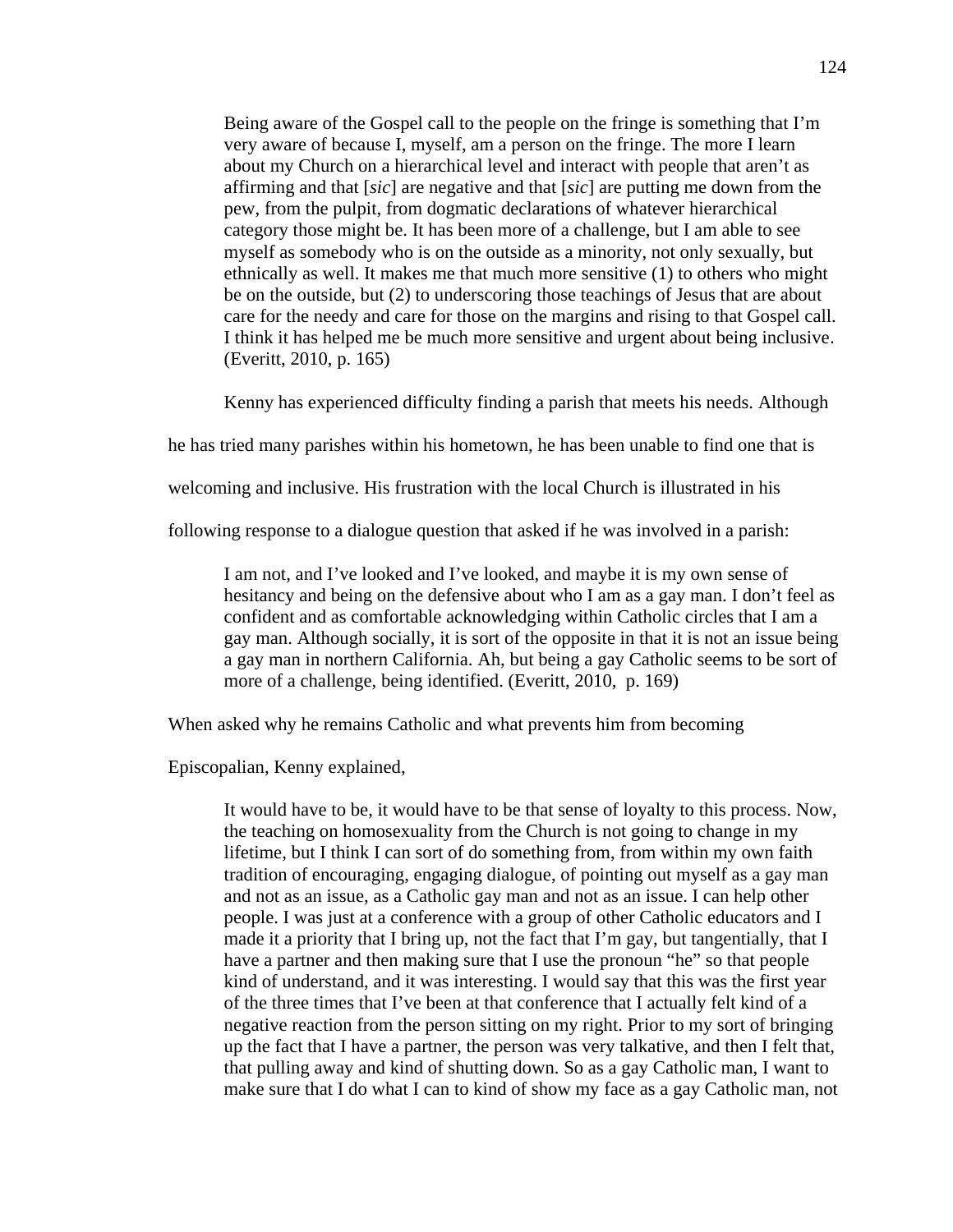Being aware of the Gospel call to the people on the fringe is something that I'm very aware of because I, myself, am a person on the fringe. The more I learn about my Church on a hierarchical level and interact with people that aren't as affirming and that [*sic*] are negative and that [*sic*] are putting me down from the pew, from the pulpit, from dogmatic declarations of whatever hierarchical category those might be. It has been more of a challenge, but I am able to see myself as somebody who is on the outside as a minority, not only sexually, but ethnically as well. It makes me that much more sensitive (1) to others who might be on the outside, but (2) to underscoring those teachings of Jesus that are about care for the needy and care for those on the margins and rising to that Gospel call. I think it has helped me be much more sensitive and urgent about being inclusive. (Everitt, 2010, p. 165)

Kenny has experienced difficulty finding a parish that meets his needs. Although

he has tried many parishes within his hometown, he has been unable to find one that is

welcoming and inclusive. His frustration with the local Church is illustrated in his

following response to a dialogue question that asked if he was involved in a parish:

I am not, and I've looked and I've looked, and maybe it is my own sense of hesitancy and being on the defensive about who I am as a gay man. I don't feel as confident and as comfortable acknowledging within Catholic circles that I am a gay man. Although socially, it is sort of the opposite in that it is not an issue being a gay man in northern California. Ah, but being a gay Catholic seems to be sort of more of a challenge, being identified. (Everitt, 2010, p. 169)

When asked why he remains Catholic and what prevents him from becoming

Episcopalian, Kenny explained,

It would have to be, it would have to be that sense of loyalty to this process. Now, the teaching on homosexuality from the Church is not going to change in my lifetime, but I think I can sort of do something from, from within my own faith tradition of encouraging, engaging dialogue, of pointing out myself as a gay man and not as an issue, as a Catholic gay man and not as an issue. I can help other people. I was just at a conference with a group of other Catholic educators and I made it a priority that I bring up, not the fact that I'm gay, but tangentially, that I have a partner and then making sure that I use the pronoun "he" so that people kind of understand, and it was interesting. I would say that this was the first year of the three times that I've been at that conference that I actually felt kind of a negative reaction from the person sitting on my right. Prior to my sort of bringing up the fact that I have a partner, the person was very talkative, and then I felt that, that pulling away and kind of shutting down. So as a gay Catholic man, I want to make sure that I do what I can to kind of show my face as a gay Catholic man, not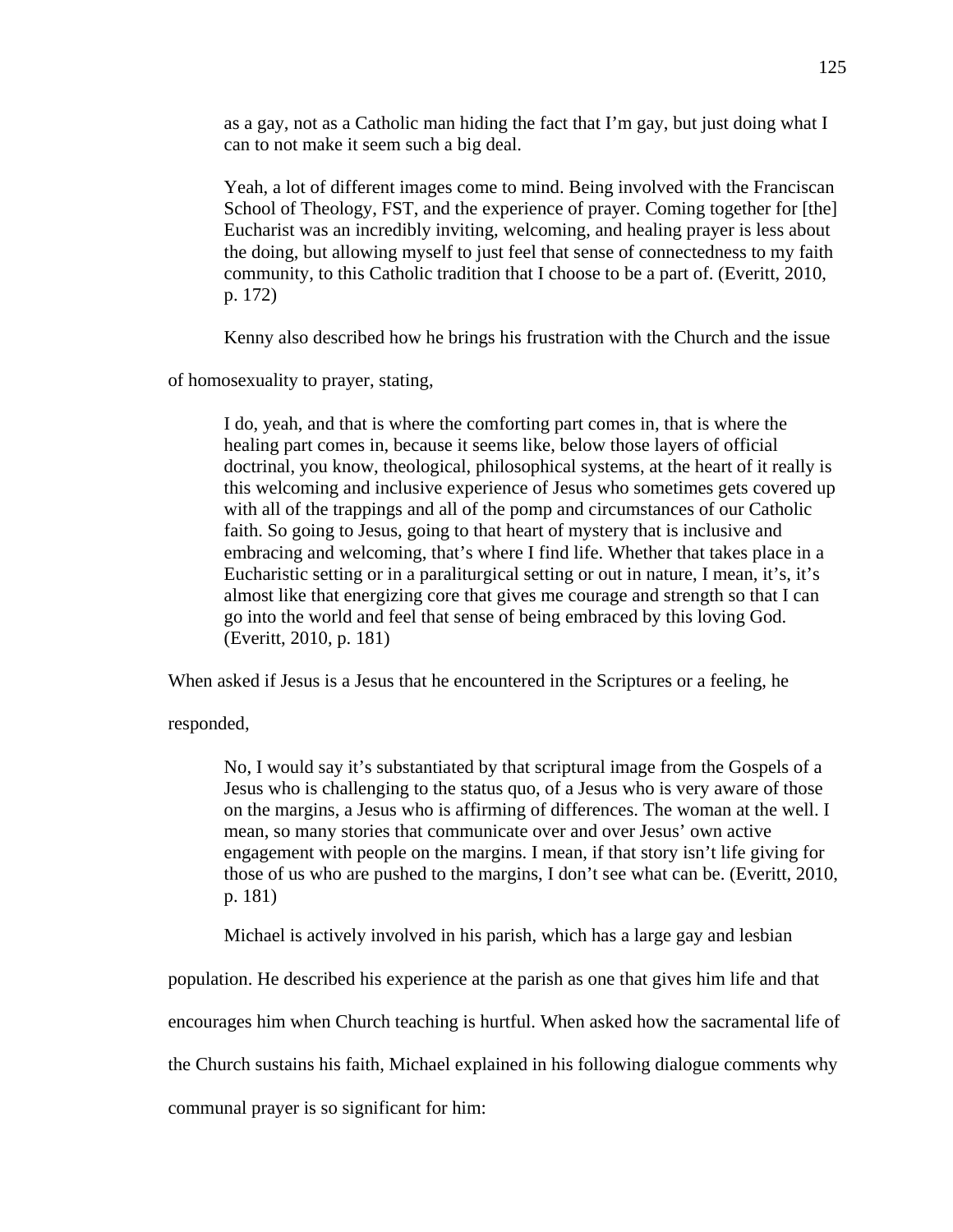as a gay, not as a Catholic man hiding the fact that I'm gay, but just doing what I can to not make it seem such a big deal.

Yeah, a lot of different images come to mind. Being involved with the Franciscan School of Theology, FST, and the experience of prayer. Coming together for [the] Eucharist was an incredibly inviting, welcoming, and healing prayer is less about the doing, but allowing myself to just feel that sense of connectedness to my faith community, to this Catholic tradition that I choose to be a part of. (Everitt, 2010, p. 172)

Kenny also described how he brings his frustration with the Church and the issue

of homosexuality to prayer, stating,

I do, yeah, and that is where the comforting part comes in, that is where the healing part comes in, because it seems like, below those layers of official doctrinal, you know, theological, philosophical systems, at the heart of it really is this welcoming and inclusive experience of Jesus who sometimes gets covered up with all of the trappings and all of the pomp and circumstances of our Catholic faith. So going to Jesus, going to that heart of mystery that is inclusive and embracing and welcoming, that's where I find life. Whether that takes place in a Eucharistic setting or in a paraliturgical setting or out in nature, I mean, it's, it's almost like that energizing core that gives me courage and strength so that I can go into the world and feel that sense of being embraced by this loving God. (Everitt, 2010, p. 181)

When asked if Jesus is a Jesus that he encountered in the Scriptures or a feeling, he

responded,

No, I would say it's substantiated by that scriptural image from the Gospels of a Jesus who is challenging to the status quo, of a Jesus who is very aware of those on the margins, a Jesus who is affirming of differences. The woman at the well. I mean, so many stories that communicate over and over Jesus' own active engagement with people on the margins. I mean, if that story isn't life giving for those of us who are pushed to the margins, I don't see what can be. (Everitt, 2010, p. 181)

Michael is actively involved in his parish, which has a large gay and lesbian

population. He described his experience at the parish as one that gives him life and that

encourages him when Church teaching is hurtful. When asked how the sacramental life of

the Church sustains his faith, Michael explained in his following dialogue comments why

communal prayer is so significant for him: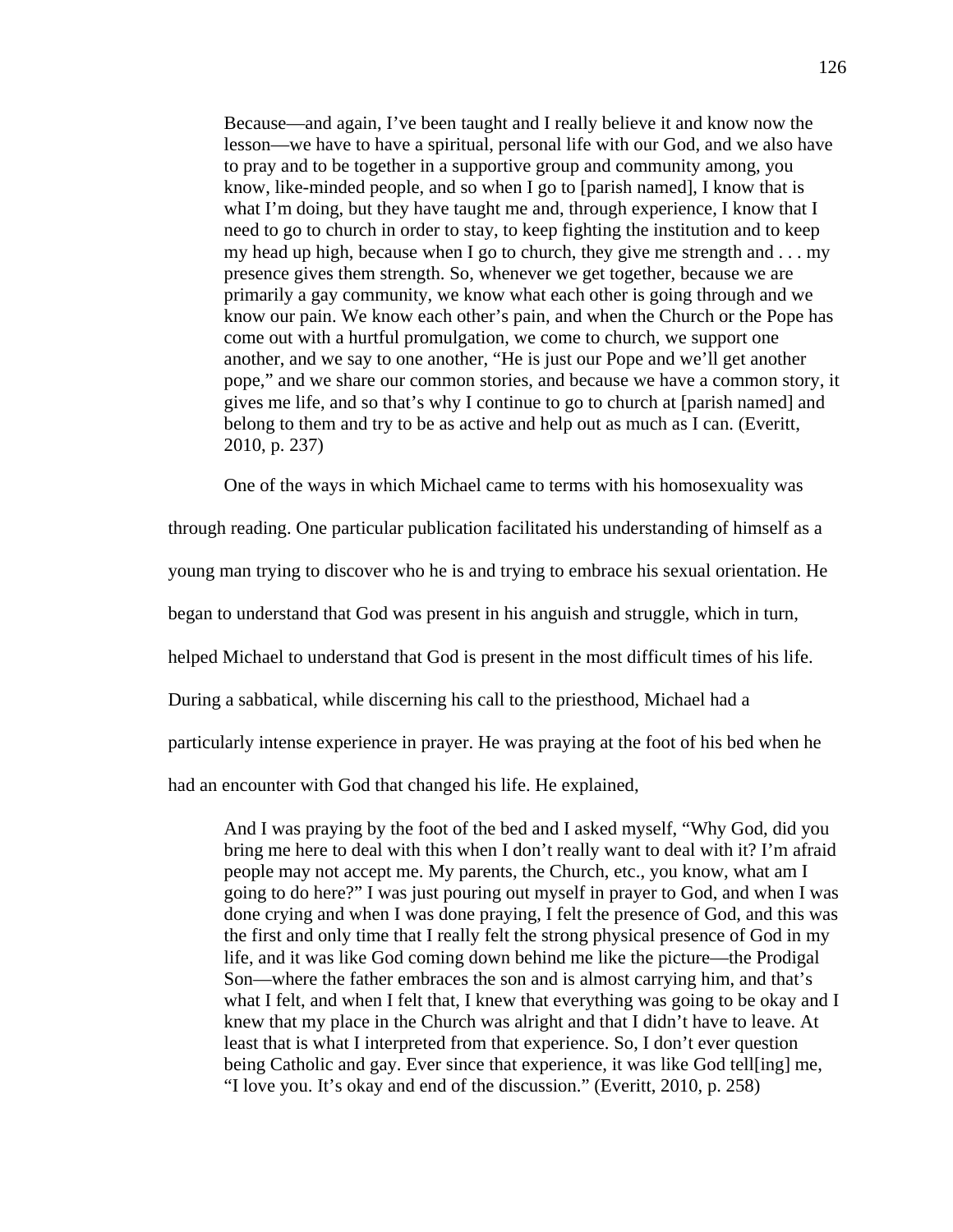Because—and again, I've been taught and I really believe it and know now the lesson—we have to have a spiritual, personal life with our God, and we also have to pray and to be together in a supportive group and community among, you know, like-minded people, and so when I go to [parish named], I know that is what I'm doing, but they have taught me and, through experience, I know that I need to go to church in order to stay, to keep fighting the institution and to keep my head up high, because when I go to church, they give me strength and . . . my presence gives them strength. So, whenever we get together, because we are primarily a gay community, we know what each other is going through and we know our pain. We know each other's pain, and when the Church or the Pope has come out with a hurtful promulgation, we come to church, we support one another, and we say to one another, "He is just our Pope and we'll get another pope," and we share our common stories, and because we have a common story, it gives me life, and so that's why I continue to go to church at [parish named] and belong to them and try to be as active and help out as much as I can. (Everitt, 2010, p. 237)

One of the ways in which Michael came to terms with his homosexuality was

through reading. One particular publication facilitated his understanding of himself as a

young man trying to discover who he is and trying to embrace his sexual orientation. He

began to understand that God was present in his anguish and struggle, which in turn,

helped Michael to understand that God is present in the most difficult times of his life.

During a sabbatical, while discerning his call to the priesthood, Michael had a

particularly intense experience in prayer. He was praying at the foot of his bed when he

had an encounter with God that changed his life. He explained,

And I was praying by the foot of the bed and I asked myself, "Why God, did you bring me here to deal with this when I don't really want to deal with it? I'm afraid people may not accept me. My parents, the Church, etc., you know, what am I going to do here?" I was just pouring out myself in prayer to God, and when I was done crying and when I was done praying, I felt the presence of God, and this was the first and only time that I really felt the strong physical presence of God in my life, and it was like God coming down behind me like the picture—the Prodigal Son—where the father embraces the son and is almost carrying him, and that's what I felt, and when I felt that, I knew that everything was going to be okay and I knew that my place in the Church was alright and that I didn't have to leave. At least that is what I interpreted from that experience. So, I don't ever question being Catholic and gay. Ever since that experience, it was like God tell[ing] me, "I love you. It's okay and end of the discussion." (Everitt, 2010, p. 258)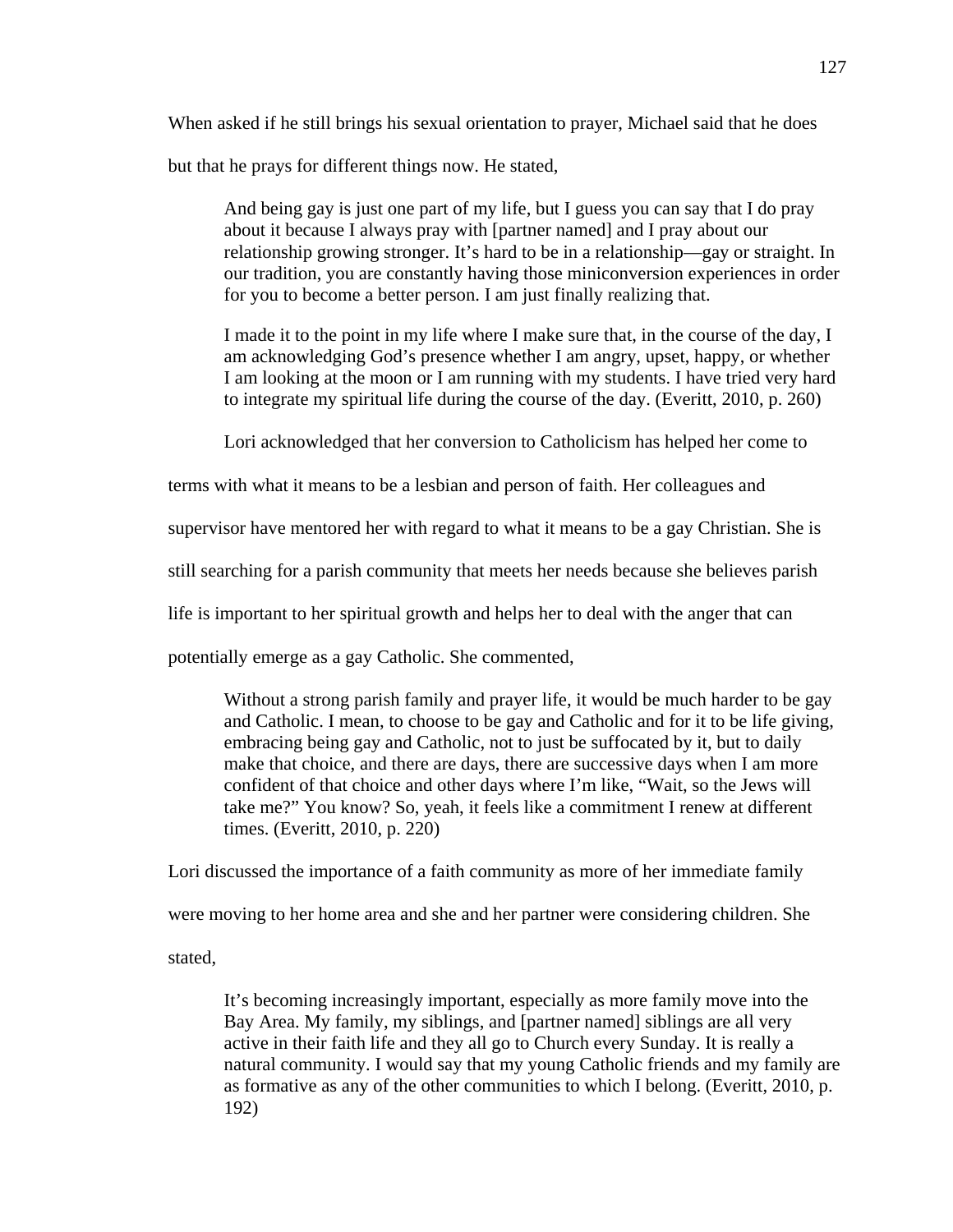When asked if he still brings his sexual orientation to prayer, Michael said that he does but that he prays for different things now. He stated,

And being gay is just one part of my life, but I guess you can say that I do pray about it because I always pray with [partner named] and I pray about our relationship growing stronger. It's hard to be in a relationship—gay or straight. In our tradition, you are constantly having those miniconversion experiences in order for you to become a better person. I am just finally realizing that.

I made it to the point in my life where I make sure that, in the course of the day, I am acknowledging God's presence whether I am angry, upset, happy, or whether I am looking at the moon or I am running with my students. I have tried very hard to integrate my spiritual life during the course of the day. (Everitt, 2010, p. 260)

Lori acknowledged that her conversion to Catholicism has helped her come to

terms with what it means to be a lesbian and person of faith. Her colleagues and

supervisor have mentored her with regard to what it means to be a gay Christian. She is

still searching for a parish community that meets her needs because she believes parish

life is important to her spiritual growth and helps her to deal with the anger that can

potentially emerge as a gay Catholic. She commented,

Without a strong parish family and prayer life, it would be much harder to be gay and Catholic. I mean, to choose to be gay and Catholic and for it to be life giving, embracing being gay and Catholic, not to just be suffocated by it, but to daily make that choice, and there are days, there are successive days when I am more confident of that choice and other days where I'm like, "Wait, so the Jews will take me?" You know? So, yeah, it feels like a commitment I renew at different times. (Everitt, 2010, p. 220)

Lori discussed the importance of a faith community as more of her immediate family

were moving to her home area and she and her partner were considering children. She

stated,

It's becoming increasingly important, especially as more family move into the Bay Area. My family, my siblings, and [partner named] siblings are all very active in their faith life and they all go to Church every Sunday. It is really a natural community. I would say that my young Catholic friends and my family are as formative as any of the other communities to which I belong. (Everitt, 2010, p. 192)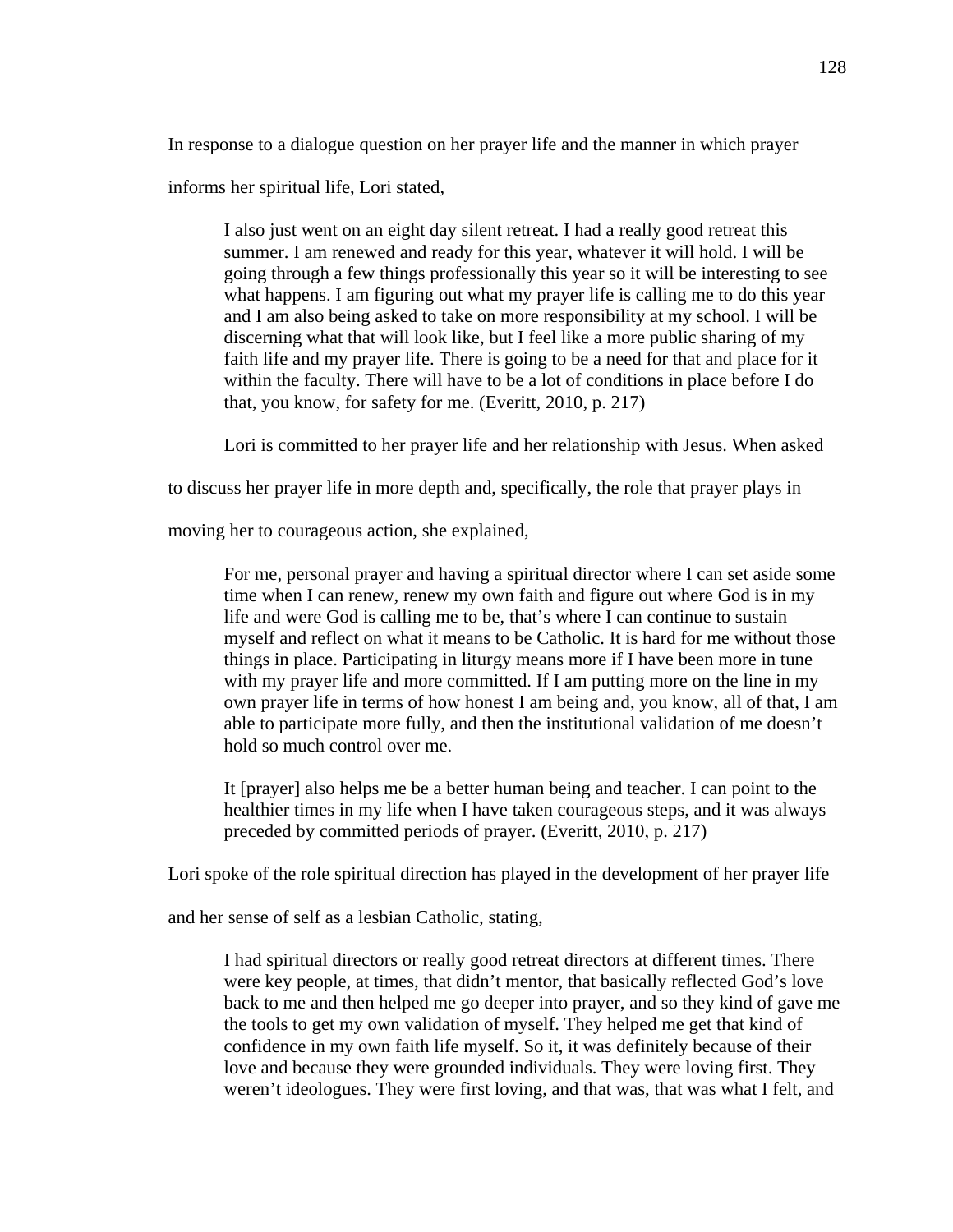In response to a dialogue question on her prayer life and the manner in which prayer

informs her spiritual life, Lori stated,

I also just went on an eight day silent retreat. I had a really good retreat this summer. I am renewed and ready for this year, whatever it will hold. I will be going through a few things professionally this year so it will be interesting to see what happens. I am figuring out what my prayer life is calling me to do this year and I am also being asked to take on more responsibility at my school. I will be discerning what that will look like, but I feel like a more public sharing of my faith life and my prayer life. There is going to be a need for that and place for it within the faculty. There will have to be a lot of conditions in place before I do that, you know, for safety for me. (Everitt, 2010, p. 217)

Lori is committed to her prayer life and her relationship with Jesus. When asked

to discuss her prayer life in more depth and, specifically, the role that prayer plays in

moving her to courageous action, she explained,

For me, personal prayer and having a spiritual director where I can set aside some time when I can renew, renew my own faith and figure out where God is in my life and were God is calling me to be, that's where I can continue to sustain myself and reflect on what it means to be Catholic. It is hard for me without those things in place. Participating in liturgy means more if I have been more in tune with my prayer life and more committed. If I am putting more on the line in my own prayer life in terms of how honest I am being and, you know, all of that, I am able to participate more fully, and then the institutional validation of me doesn't hold so much control over me.

It [prayer] also helps me be a better human being and teacher. I can point to the healthier times in my life when I have taken courageous steps, and it was always preceded by committed periods of prayer. (Everitt, 2010, p. 217)

Lori spoke of the role spiritual direction has played in the development of her prayer life

and her sense of self as a lesbian Catholic, stating,

I had spiritual directors or really good retreat directors at different times. There were key people, at times, that didn't mentor, that basically reflected God's love back to me and then helped me go deeper into prayer, and so they kind of gave me the tools to get my own validation of myself. They helped me get that kind of confidence in my own faith life myself. So it, it was definitely because of their love and because they were grounded individuals. They were loving first. They weren't ideologues. They were first loving, and that was, that was what I felt, and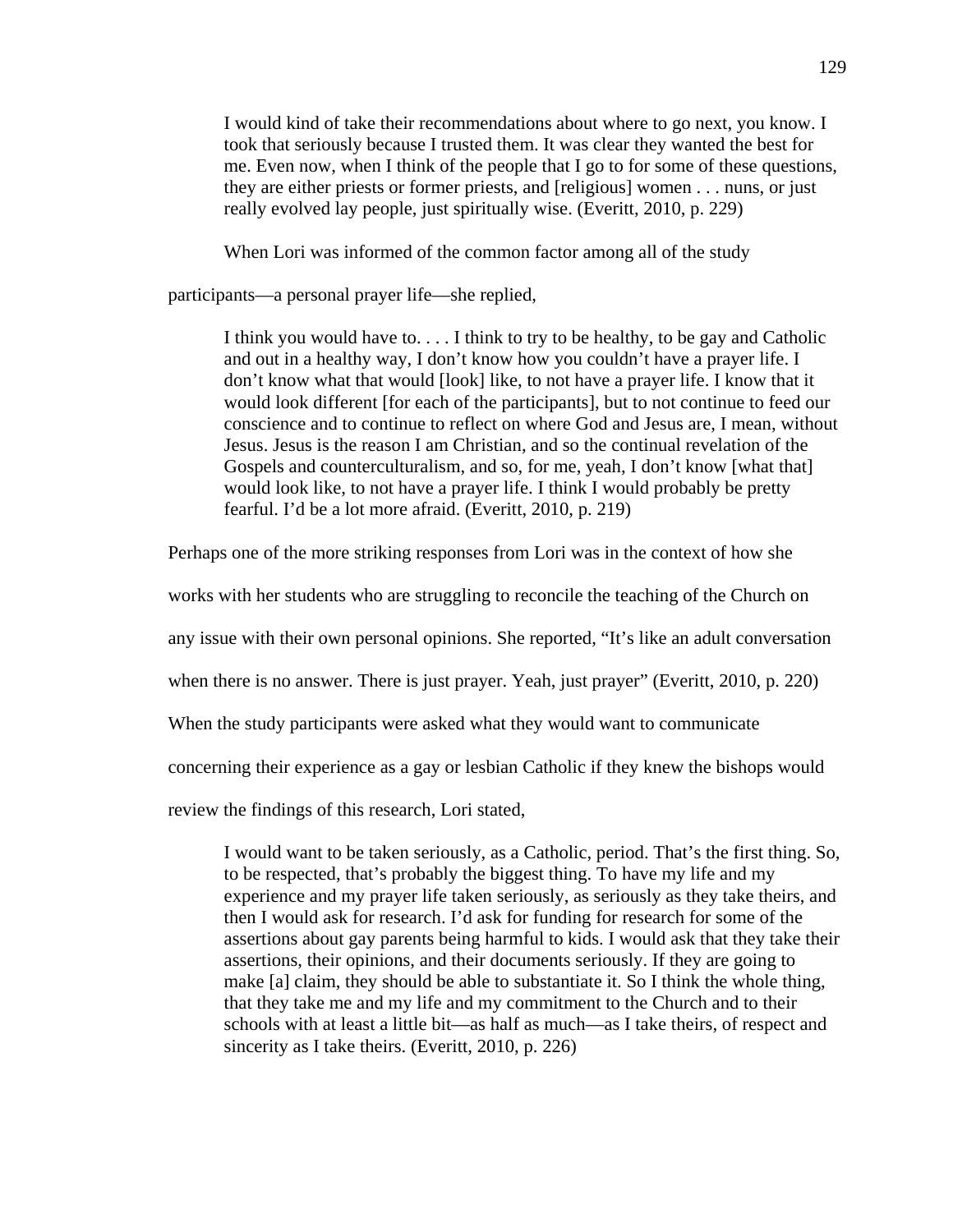I would kind of take their recommendations about where to go next, you know. I took that seriously because I trusted them. It was clear they wanted the best for me. Even now, when I think of the people that I go to for some of these questions, they are either priests or former priests, and [religious] women . . . nuns, or just really evolved lay people, just spiritually wise. (Everitt, 2010, p. 229)

When Lori was informed of the common factor among all of the study

participants—a personal prayer life—she replied,

I think you would have to. . . . I think to try to be healthy, to be gay and Catholic and out in a healthy way, I don't know how you couldn't have a prayer life. I don't know what that would [look] like, to not have a prayer life. I know that it would look different [for each of the participants], but to not continue to feed our conscience and to continue to reflect on where God and Jesus are, I mean, without Jesus. Jesus is the reason I am Christian, and so the continual revelation of the Gospels and counterculturalism, and so, for me, yeah, I don't know [what that] would look like, to not have a prayer life. I think I would probably be pretty fearful. I'd be a lot more afraid. (Everitt, 2010, p. 219)

Perhaps one of the more striking responses from Lori was in the context of how she

works with her students who are struggling to reconcile the teaching of the Church on

any issue with their own personal opinions. She reported, "It's like an adult conversation

when there is no answer. There is just prayer. Yeah, just prayer" (Everitt, 2010, p. 220)

When the study participants were asked what they would want to communicate

concerning their experience as a gay or lesbian Catholic if they knew the bishops would

review the findings of this research, Lori stated,

I would want to be taken seriously, as a Catholic, period. That's the first thing. So, to be respected, that's probably the biggest thing. To have my life and my experience and my prayer life taken seriously, as seriously as they take theirs, and then I would ask for research. I'd ask for funding for research for some of the assertions about gay parents being harmful to kids. I would ask that they take their assertions, their opinions, and their documents seriously. If they are going to make [a] claim, they should be able to substantiate it. So I think the whole thing, that they take me and my life and my commitment to the Church and to their schools with at least a little bit—as half as much—as I take theirs, of respect and sincerity as I take theirs. (Everitt, 2010, p. 226)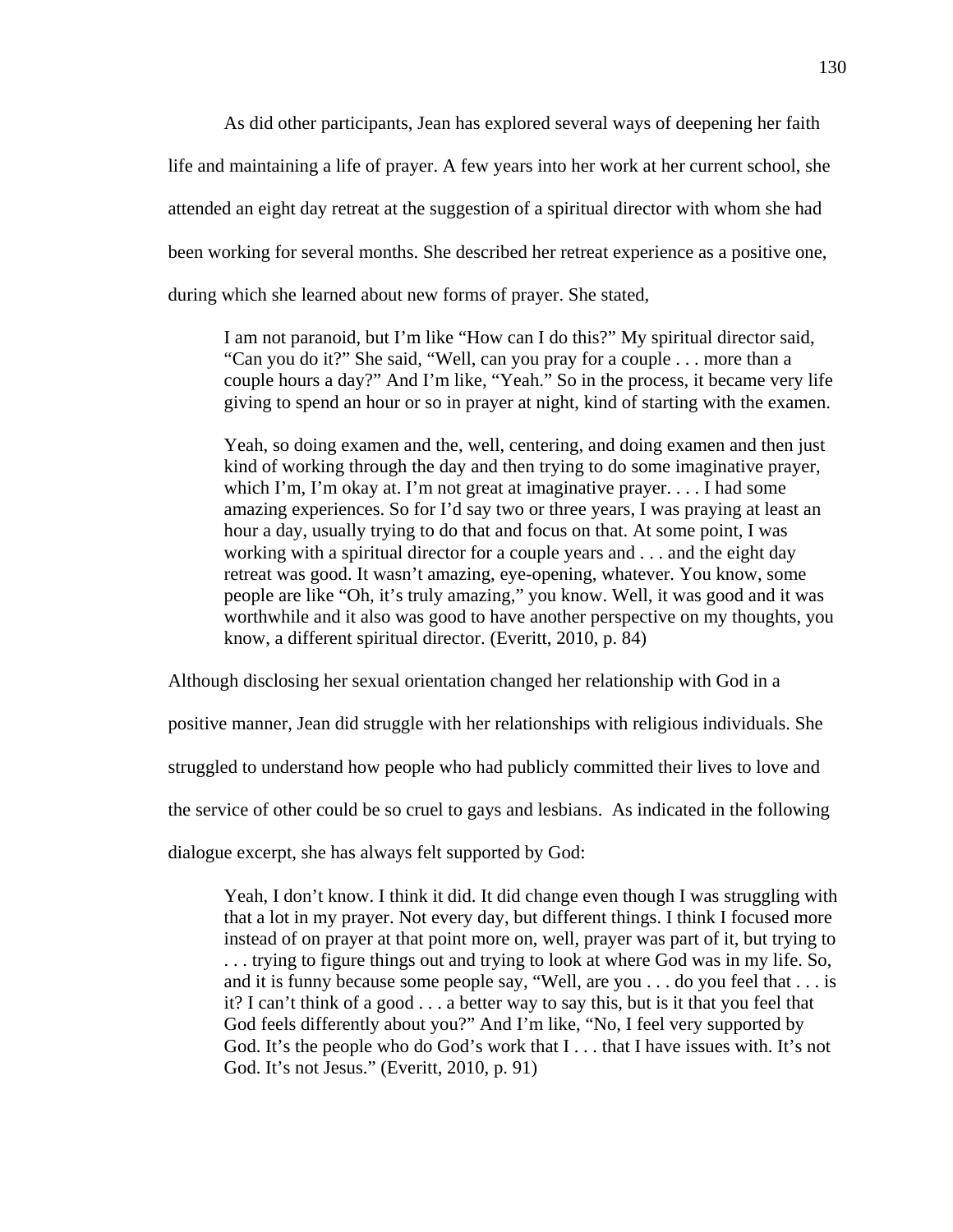As did other participants, Jean has explored several ways of deepening her faith life and maintaining a life of prayer. A few years into her work at her current school, she attended an eight day retreat at the suggestion of a spiritual director with whom she had been working for several months. She described her retreat experience as a positive one, during which she learned about new forms of prayer. She stated,

I am not paranoid, but I'm like "How can I do this?" My spiritual director said, "Can you do it?" She said, "Well, can you pray for a couple . . . more than a couple hours a day?" And I'm like, "Yeah." So in the process, it became very life giving to spend an hour or so in prayer at night, kind of starting with the examen.

Yeah, so doing examen and the, well, centering, and doing examen and then just kind of working through the day and then trying to do some imaginative prayer, which I'm, I'm okay at. I'm not great at imaginative prayer.... I had some amazing experiences. So for I'd say two or three years, I was praying at least an hour a day, usually trying to do that and focus on that. At some point, I was working with a spiritual director for a couple years and . . . and the eight day retreat was good. It wasn't amazing, eye-opening, whatever. You know, some people are like "Oh, it's truly amazing," you know. Well, it was good and it was worthwhile and it also was good to have another perspective on my thoughts, you know, a different spiritual director. (Everitt, 2010, p. 84)

Although disclosing her sexual orientation changed her relationship with God in a

positive manner, Jean did struggle with her relationships with religious individuals. She

struggled to understand how people who had publicly committed their lives to love and

the service of other could be so cruel to gays and lesbians. As indicated in the following

dialogue excerpt, she has always felt supported by God:

Yeah, I don't know. I think it did. It did change even though I was struggling with that a lot in my prayer. Not every day, but different things. I think I focused more instead of on prayer at that point more on, well, prayer was part of it, but trying to . . . trying to figure things out and trying to look at where God was in my life. So, and it is funny because some people say, "Well, are you . . . do you feel that . . . is it? I can't think of a good . . . a better way to say this, but is it that you feel that God feels differently about you?" And I'm like, "No, I feel very supported by God. It's the people who do God's work that I . . . that I have issues with. It's not God. It's not Jesus." (Everitt, 2010, p. 91)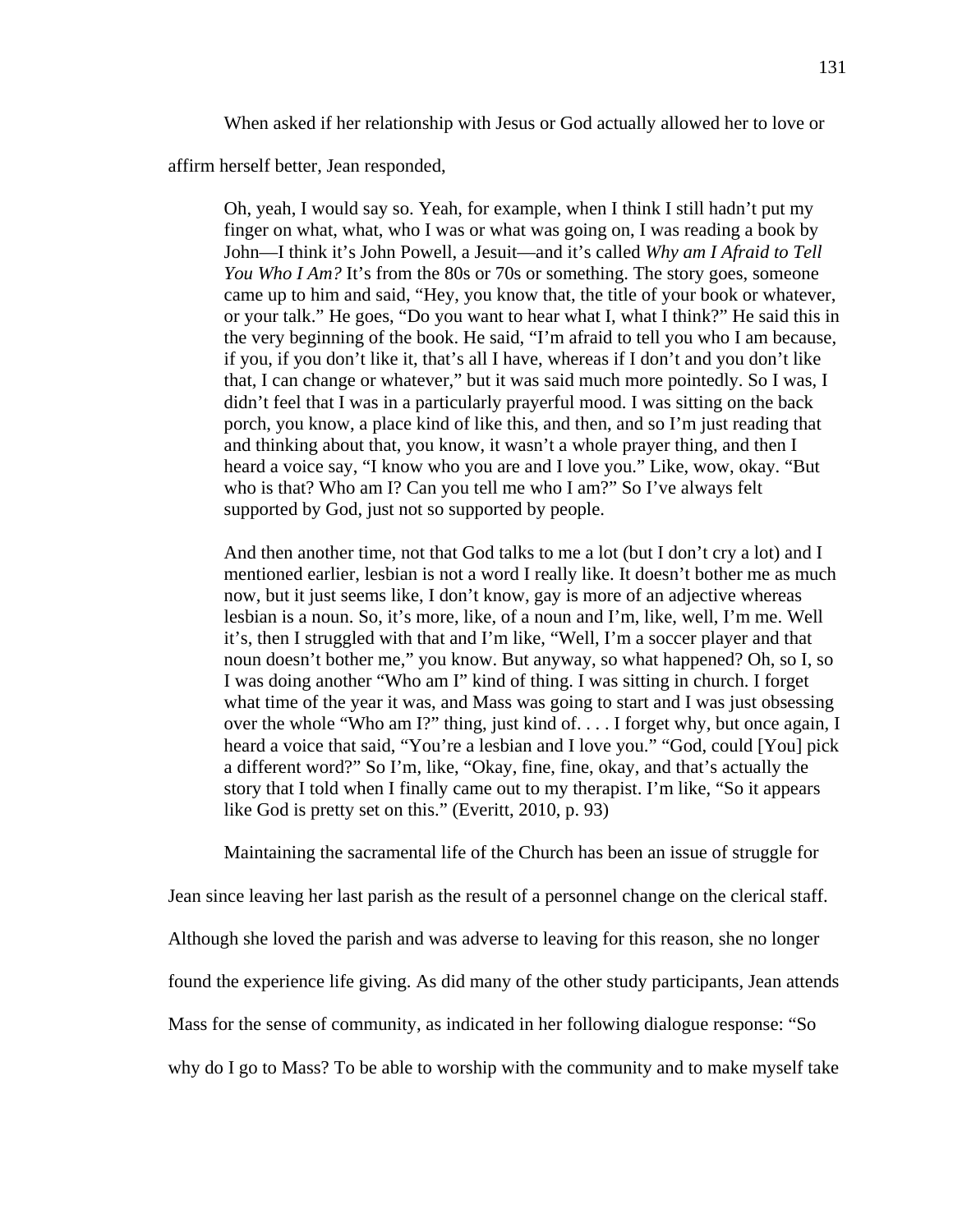When asked if her relationship with Jesus or God actually allowed her to love or

affirm herself better, Jean responded,

Oh, yeah, I would say so. Yeah, for example, when I think I still hadn't put my finger on what, what, who I was or what was going on, I was reading a book by John—I think it's John Powell, a Jesuit—and it's called *Why am I Afraid to Tell You Who I Am?* It's from the 80s or 70s or something. The story goes, someone came up to him and said, "Hey, you know that, the title of your book or whatever, or your talk." He goes, "Do you want to hear what I, what I think?" He said this in the very beginning of the book. He said, "I'm afraid to tell you who I am because, if you, if you don't like it, that's all I have, whereas if I don't and you don't like that, I can change or whatever," but it was said much more pointedly. So I was, I didn't feel that I was in a particularly prayerful mood. I was sitting on the back porch, you know, a place kind of like this, and then, and so I'm just reading that and thinking about that, you know, it wasn't a whole prayer thing, and then I heard a voice say, "I know who you are and I love you." Like, wow, okay. "But who is that? Who am I? Can you tell me who I am?" So I've always felt supported by God, just not so supported by people.

And then another time, not that God talks to me a lot (but I don't cry a lot) and I mentioned earlier, lesbian is not a word I really like. It doesn't bother me as much now, but it just seems like, I don't know, gay is more of an adjective whereas lesbian is a noun. So, it's more, like, of a noun and I'm, like, well, I'm me. Well it's, then I struggled with that and I'm like, "Well, I'm a soccer player and that noun doesn't bother me," you know. But anyway, so what happened? Oh, so I, so I was doing another "Who am I" kind of thing. I was sitting in church. I forget what time of the year it was, and Mass was going to start and I was just obsessing over the whole "Who am I?" thing, just kind of. . . . I forget why, but once again, I heard a voice that said, "You're a lesbian and I love you." "God, could [You] pick a different word?" So I'm, like, "Okay, fine, fine, okay, and that's actually the story that I told when I finally came out to my therapist. I'm like, "So it appears like God is pretty set on this." (Everitt, 2010, p. 93)

Maintaining the sacramental life of the Church has been an issue of struggle for

Jean since leaving her last parish as the result of a personnel change on the clerical staff. Although she loved the parish and was adverse to leaving for this reason, she no longer found the experience life giving. As did many of the other study participants, Jean attends Mass for the sense of community, as indicated in her following dialogue response: "So why do I go to Mass? To be able to worship with the community and to make myself take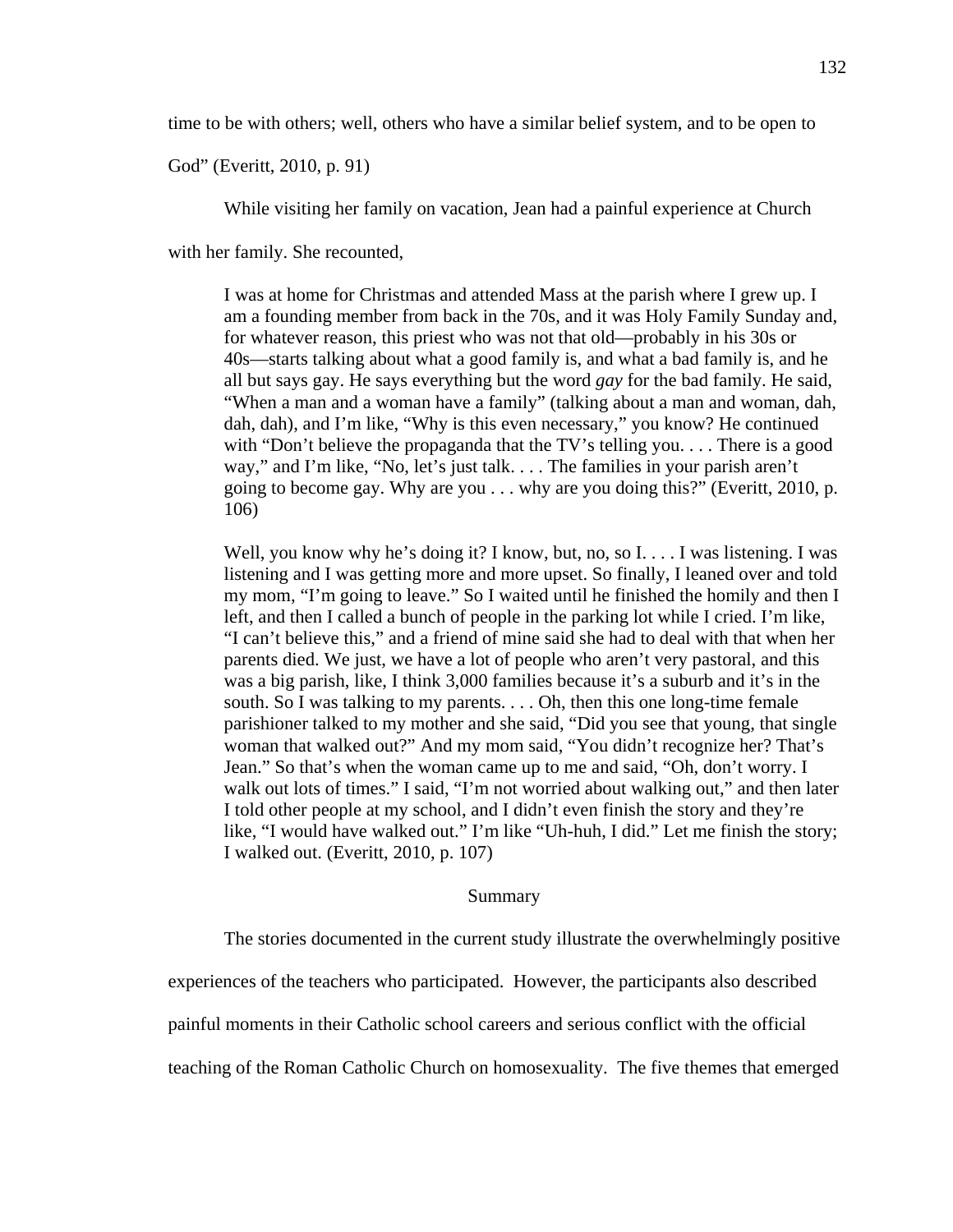time to be with others; well, others who have a similar belief system, and to be open to

God" (Everitt, 2010, p. 91)

While visiting her family on vacation, Jean had a painful experience at Church

with her family. She recounted,

I was at home for Christmas and attended Mass at the parish where I grew up. I am a founding member from back in the 70s, and it was Holy Family Sunday and, for whatever reason, this priest who was not that old—probably in his 30s or 40s—starts talking about what a good family is, and what a bad family is, and he all but says gay. He says everything but the word *gay* for the bad family. He said, "When a man and a woman have a family" (talking about a man and woman, dah, dah, dah), and I'm like, "Why is this even necessary," you know? He continued with "Don't believe the propaganda that the TV's telling you. . . . There is a good way," and I'm like, "No, let's just talk. . . . The families in your parish aren't going to become gay. Why are you . . . why are you doing this?" (Everitt, 2010, p. 106)

Well, you know why he's doing it? I know, but, no, so I... I was listening. I was listening and I was getting more and more upset. So finally, I leaned over and told my mom, "I'm going to leave." So I waited until he finished the homily and then I left, and then I called a bunch of people in the parking lot while I cried. I'm like, "I can't believe this," and a friend of mine said she had to deal with that when her parents died. We just, we have a lot of people who aren't very pastoral, and this was a big parish, like, I think 3,000 families because it's a suburb and it's in the south. So I was talking to my parents. . . . Oh, then this one long-time female parishioner talked to my mother and she said, "Did you see that young, that single woman that walked out?" And my mom said, "You didn't recognize her? That's Jean." So that's when the woman came up to me and said, "Oh, don't worry. I walk out lots of times." I said, "I'm not worried about walking out," and then later I told other people at my school, and I didn't even finish the story and they're like, "I would have walked out." I'm like "Uh-huh, I did." Let me finish the story; I walked out. (Everitt, 2010, p. 107)

#### Summary

The stories documented in the current study illustrate the overwhelmingly positive

experiences of the teachers who participated. However, the participants also described

painful moments in their Catholic school careers and serious conflict with the official

teaching of the Roman Catholic Church on homosexuality. The five themes that emerged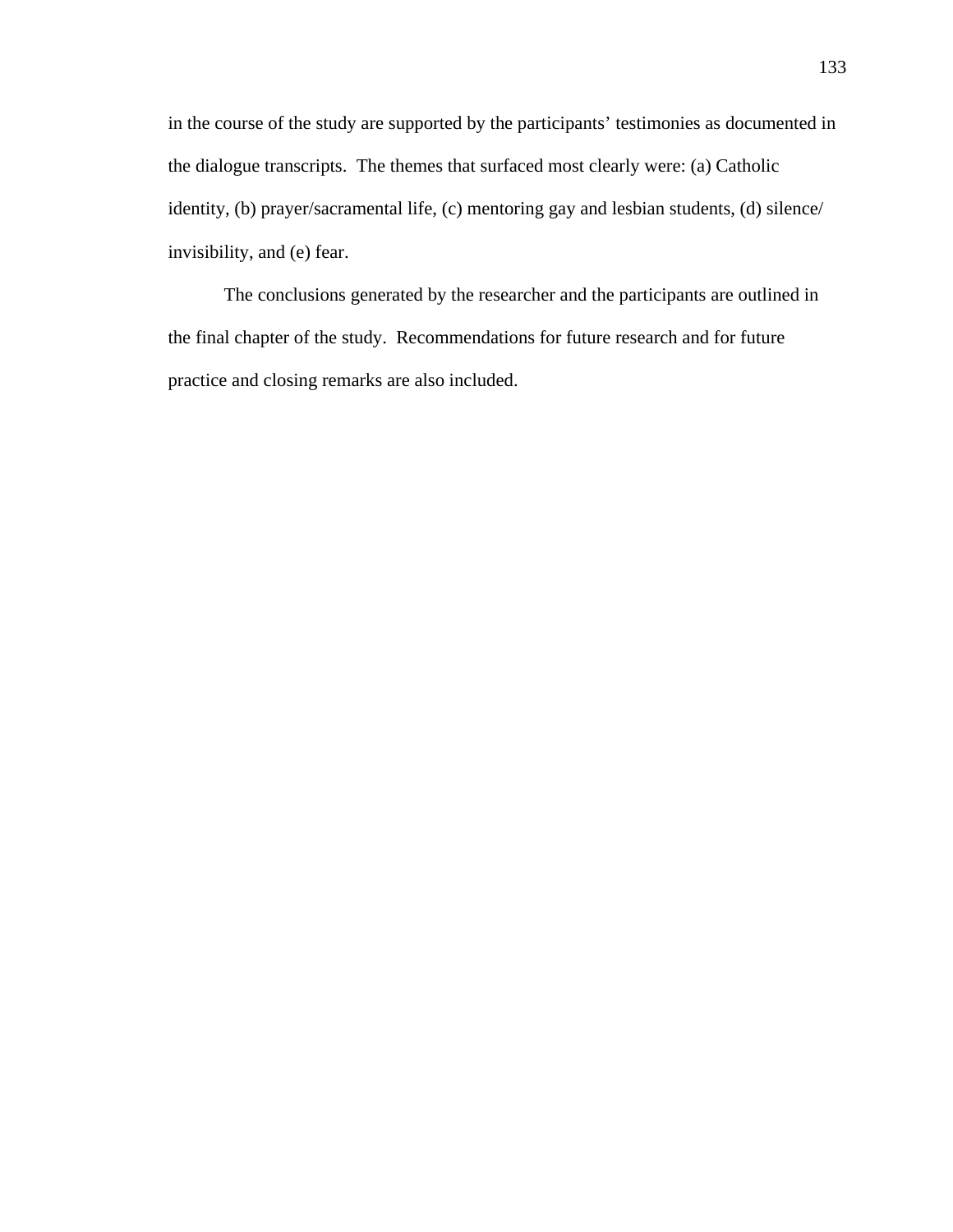in the course of the study are supported by the participants' testimonies as documented in the dialogue transcripts. The themes that surfaced most clearly were: (a) Catholic identity, (b) prayer/sacramental life, (c) mentoring gay and lesbian students, (d) silence/ invisibility, and (e) fear.

 The conclusions generated by the researcher and the participants are outlined in the final chapter of the study. Recommendations for future research and for future practice and closing remarks are also included.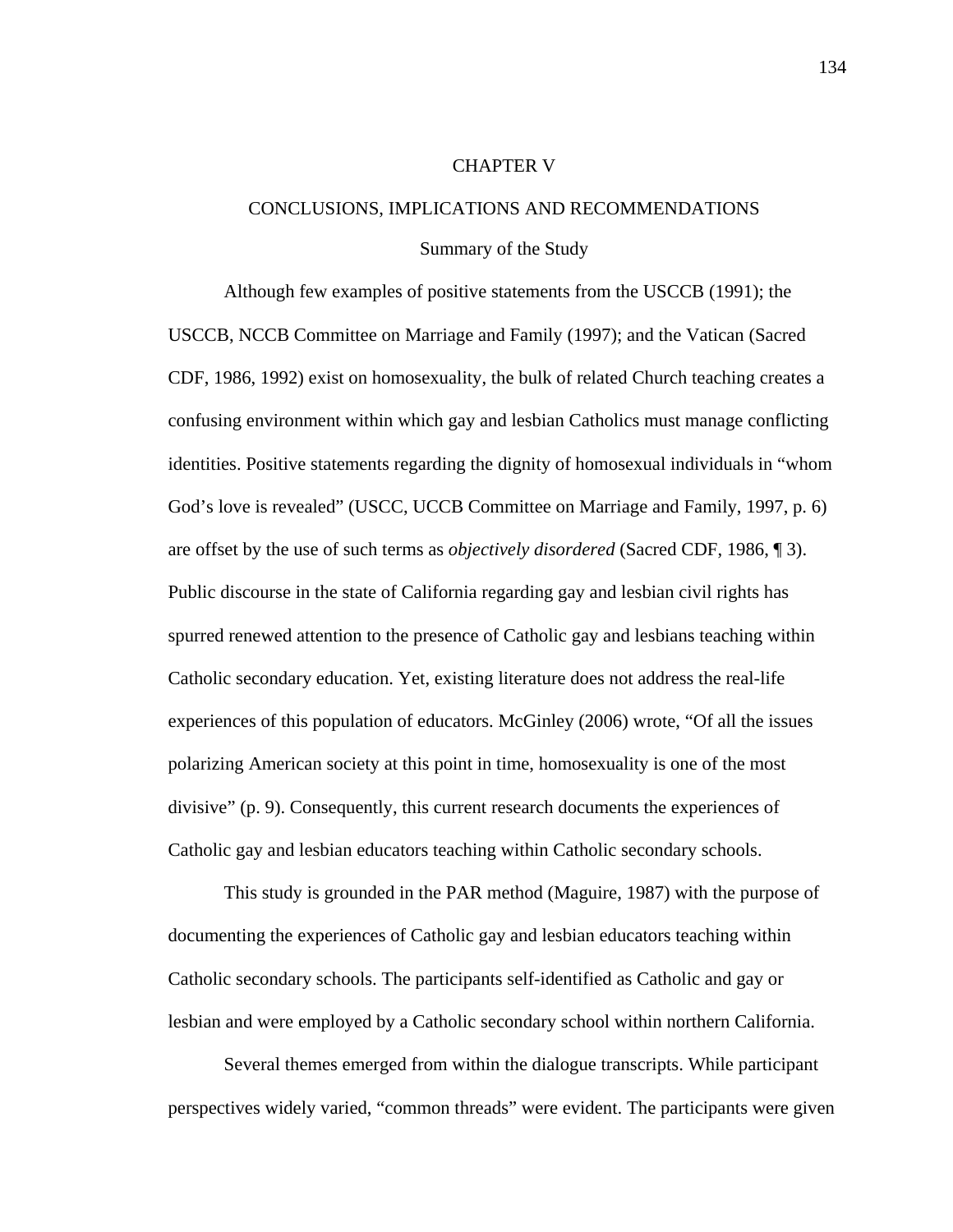### CHAPTER V

## CONCLUSIONS, IMPLICATIONS AND RECOMMENDATIONS

### Summary of the Study

Although few examples of positive statements from the USCCB (1991); the USCCB, NCCB Committee on Marriage and Family (1997); and the Vatican (Sacred CDF, 1986, 1992) exist on homosexuality, the bulk of related Church teaching creates a confusing environment within which gay and lesbian Catholics must manage conflicting identities. Positive statements regarding the dignity of homosexual individuals in "whom God's love is revealed" (USCC, UCCB Committee on Marriage and Family, 1997, p. 6) are offset by the use of such terms as *objectively disordered* (Sacred CDF, 1986, ¶ 3). Public discourse in the state of California regarding gay and lesbian civil rights has spurred renewed attention to the presence of Catholic gay and lesbians teaching within Catholic secondary education. Yet, existing literature does not address the real-life experiences of this population of educators. McGinley (2006) wrote, "Of all the issues polarizing American society at this point in time, homosexuality is one of the most divisive" (p. 9). Consequently, this current research documents the experiences of Catholic gay and lesbian educators teaching within Catholic secondary schools.

This study is grounded in the PAR method (Maguire, 1987) with the purpose of documenting the experiences of Catholic gay and lesbian educators teaching within Catholic secondary schools. The participants self-identified as Catholic and gay or lesbian and were employed by a Catholic secondary school within northern California.

Several themes emerged from within the dialogue transcripts. While participant perspectives widely varied, "common threads" were evident. The participants were given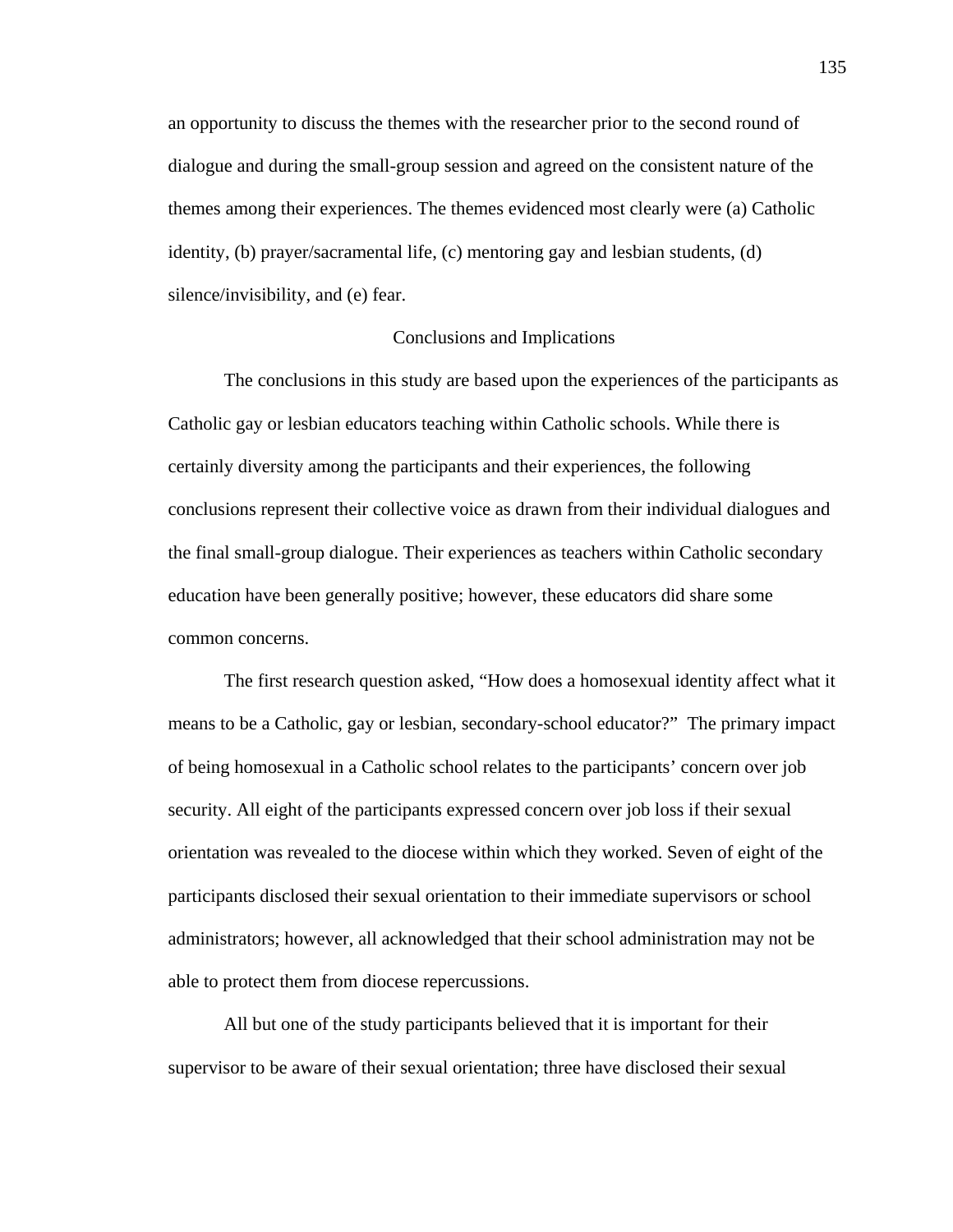an opportunity to discuss the themes with the researcher prior to the second round of dialogue and during the small-group session and agreed on the consistent nature of the themes among their experiences. The themes evidenced most clearly were (a) Catholic identity, (b) prayer/sacramental life, (c) mentoring gay and lesbian students, (d) silence/invisibility, and (e) fear.

## Conclusions and Implications

 The conclusions in this study are based upon the experiences of the participants as Catholic gay or lesbian educators teaching within Catholic schools. While there is certainly diversity among the participants and their experiences, the following conclusions represent their collective voice as drawn from their individual dialogues and the final small-group dialogue. Their experiences as teachers within Catholic secondary education have been generally positive; however, these educators did share some common concerns.

The first research question asked, "How does a homosexual identity affect what it means to be a Catholic, gay or lesbian, secondary-school educator?" The primary impact of being homosexual in a Catholic school relates to the participants' concern over job security. All eight of the participants expressed concern over job loss if their sexual orientation was revealed to the diocese within which they worked. Seven of eight of the participants disclosed their sexual orientation to their immediate supervisors or school administrators; however, all acknowledged that their school administration may not be able to protect them from diocese repercussions.

All but one of the study participants believed that it is important for their supervisor to be aware of their sexual orientation; three have disclosed their sexual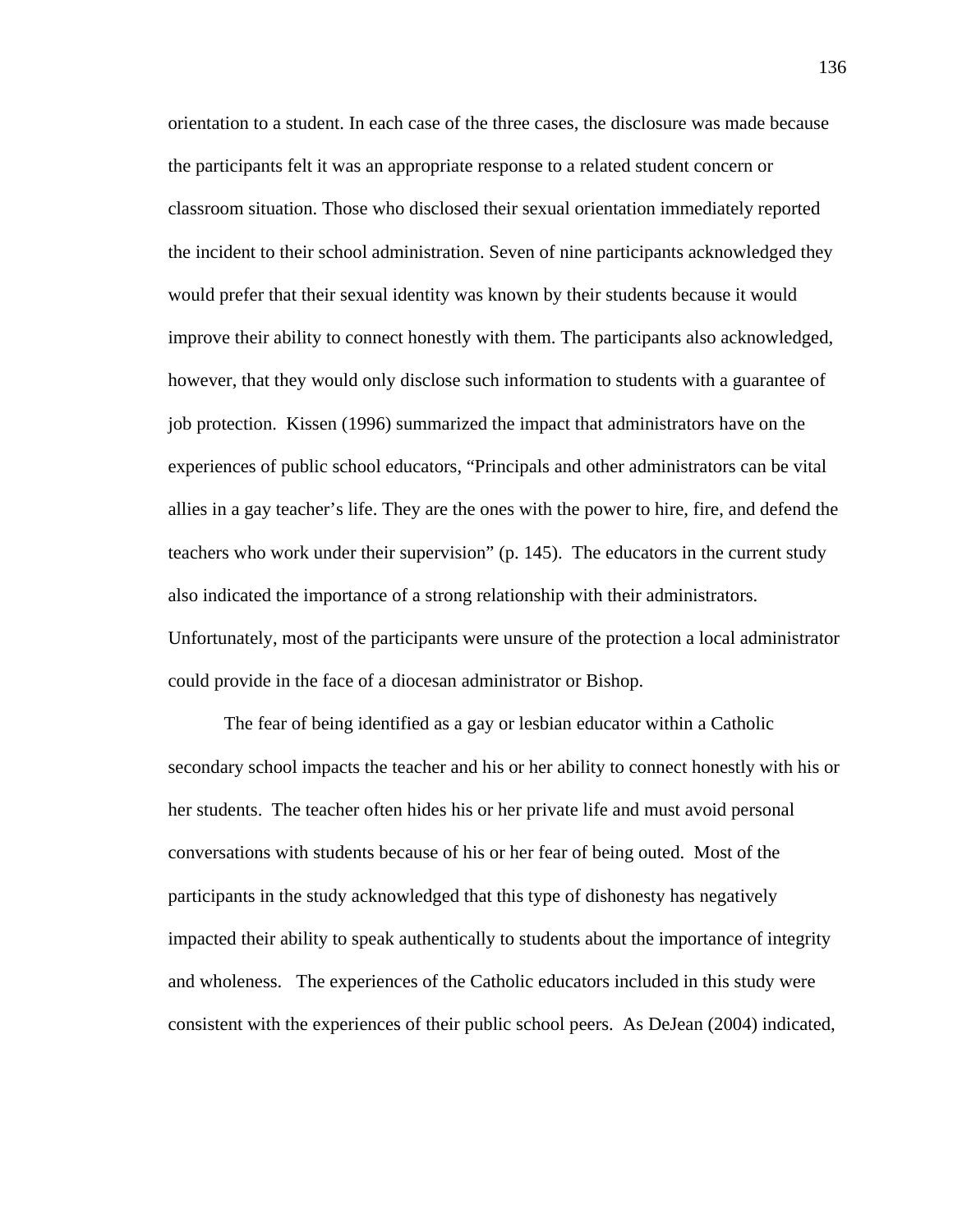orientation to a student. In each case of the three cases, the disclosure was made because the participants felt it was an appropriate response to a related student concern or classroom situation. Those who disclosed their sexual orientation immediately reported the incident to their school administration. Seven of nine participants acknowledged they would prefer that their sexual identity was known by their students because it would improve their ability to connect honestly with them. The participants also acknowledged, however, that they would only disclose such information to students with a guarantee of job protection. Kissen (1996) summarized the impact that administrators have on the experiences of public school educators, "Principals and other administrators can be vital allies in a gay teacher's life. They are the ones with the power to hire, fire, and defend the teachers who work under their supervision" (p. 145). The educators in the current study also indicated the importance of a strong relationship with their administrators. Unfortunately, most of the participants were unsure of the protection a local administrator could provide in the face of a diocesan administrator or Bishop.

The fear of being identified as a gay or lesbian educator within a Catholic secondary school impacts the teacher and his or her ability to connect honestly with his or her students. The teacher often hides his or her private life and must avoid personal conversations with students because of his or her fear of being outed. Most of the participants in the study acknowledged that this type of dishonesty has negatively impacted their ability to speak authentically to students about the importance of integrity and wholeness. The experiences of the Catholic educators included in this study were consistent with the experiences of their public school peers. As DeJean (2004) indicated,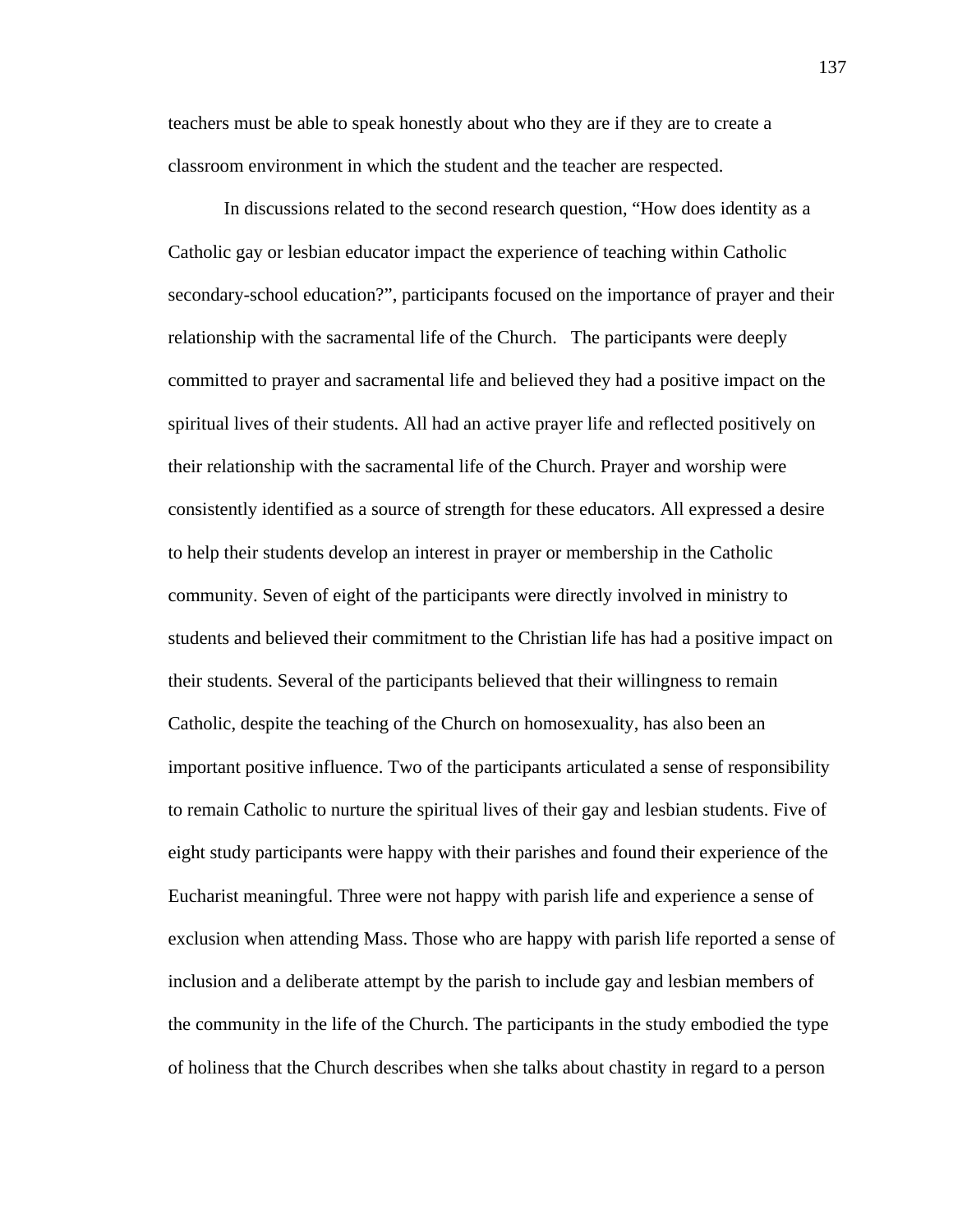teachers must be able to speak honestly about who they are if they are to create a classroom environment in which the student and the teacher are respected.

In discussions related to the second research question, "How does identity as a Catholic gay or lesbian educator impact the experience of teaching within Catholic secondary-school education?", participants focused on the importance of prayer and their relationship with the sacramental life of the Church. The participants were deeply committed to prayer and sacramental life and believed they had a positive impact on the spiritual lives of their students. All had an active prayer life and reflected positively on their relationship with the sacramental life of the Church. Prayer and worship were consistently identified as a source of strength for these educators. All expressed a desire to help their students develop an interest in prayer or membership in the Catholic community. Seven of eight of the participants were directly involved in ministry to students and believed their commitment to the Christian life has had a positive impact on their students. Several of the participants believed that their willingness to remain Catholic, despite the teaching of the Church on homosexuality, has also been an important positive influence. Two of the participants articulated a sense of responsibility to remain Catholic to nurture the spiritual lives of their gay and lesbian students. Five of eight study participants were happy with their parishes and found their experience of the Eucharist meaningful. Three were not happy with parish life and experience a sense of exclusion when attending Mass. Those who are happy with parish life reported a sense of inclusion and a deliberate attempt by the parish to include gay and lesbian members of the community in the life of the Church. The participants in the study embodied the type of holiness that the Church describes when she talks about chastity in regard to a person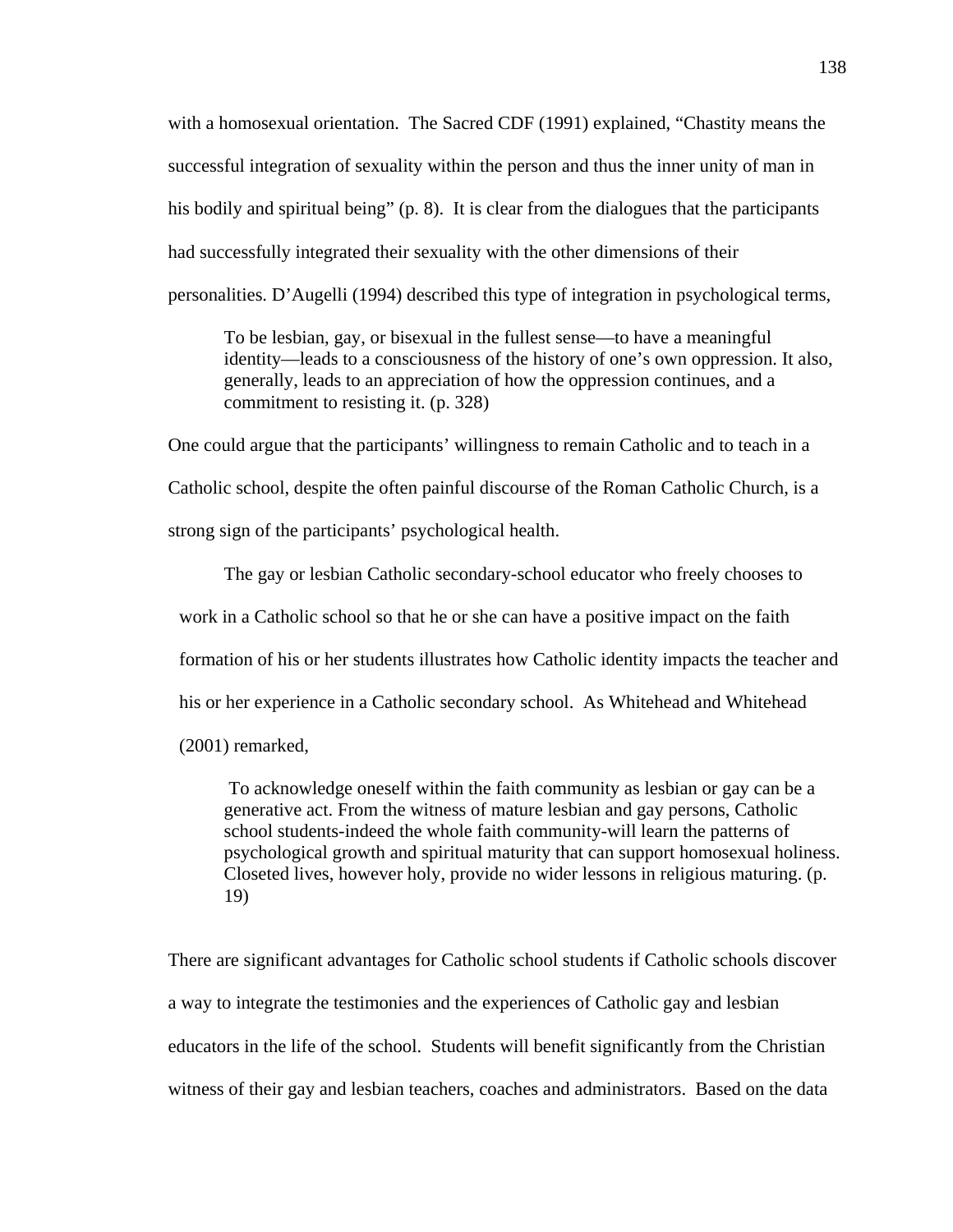with a homosexual orientation. The Sacred CDF (1991) explained, "Chastity means the successful integration of sexuality within the person and thus the inner unity of man in his bodily and spiritual being" (p. 8). It is clear from the dialogues that the participants had successfully integrated their sexuality with the other dimensions of their personalities. D'Augelli (1994) described this type of integration in psychological terms,

To be lesbian, gay, or bisexual in the fullest sense—to have a meaningful identity—leads to a consciousness of the history of one's own oppression. It also, generally, leads to an appreciation of how the oppression continues, and a commitment to resisting it. (p. 328)

One could argue that the participants' willingness to remain Catholic and to teach in a Catholic school, despite the often painful discourse of the Roman Catholic Church, is a strong sign of the participants' psychological health.

The gay or lesbian Catholic secondary-school educator who freely chooses to work in a Catholic school so that he or she can have a positive impact on the faith formation of his or her students illustrates how Catholic identity impacts the teacher and his or her experience in a Catholic secondary school. As Whitehead and Whitehead (2001) remarked,

To acknowledge oneself within the faith community as lesbian or gay can be a generative act. From the witness of mature lesbian and gay persons, Catholic school students-indeed the whole faith community-will learn the patterns of psychological growth and spiritual maturity that can support homosexual holiness. Closeted lives, however holy, provide no wider lessons in religious maturing. (p. 19)

There are significant advantages for Catholic school students if Catholic schools discover a way to integrate the testimonies and the experiences of Catholic gay and lesbian educators in the life of the school. Students will benefit significantly from the Christian witness of their gay and lesbian teachers, coaches and administrators. Based on the data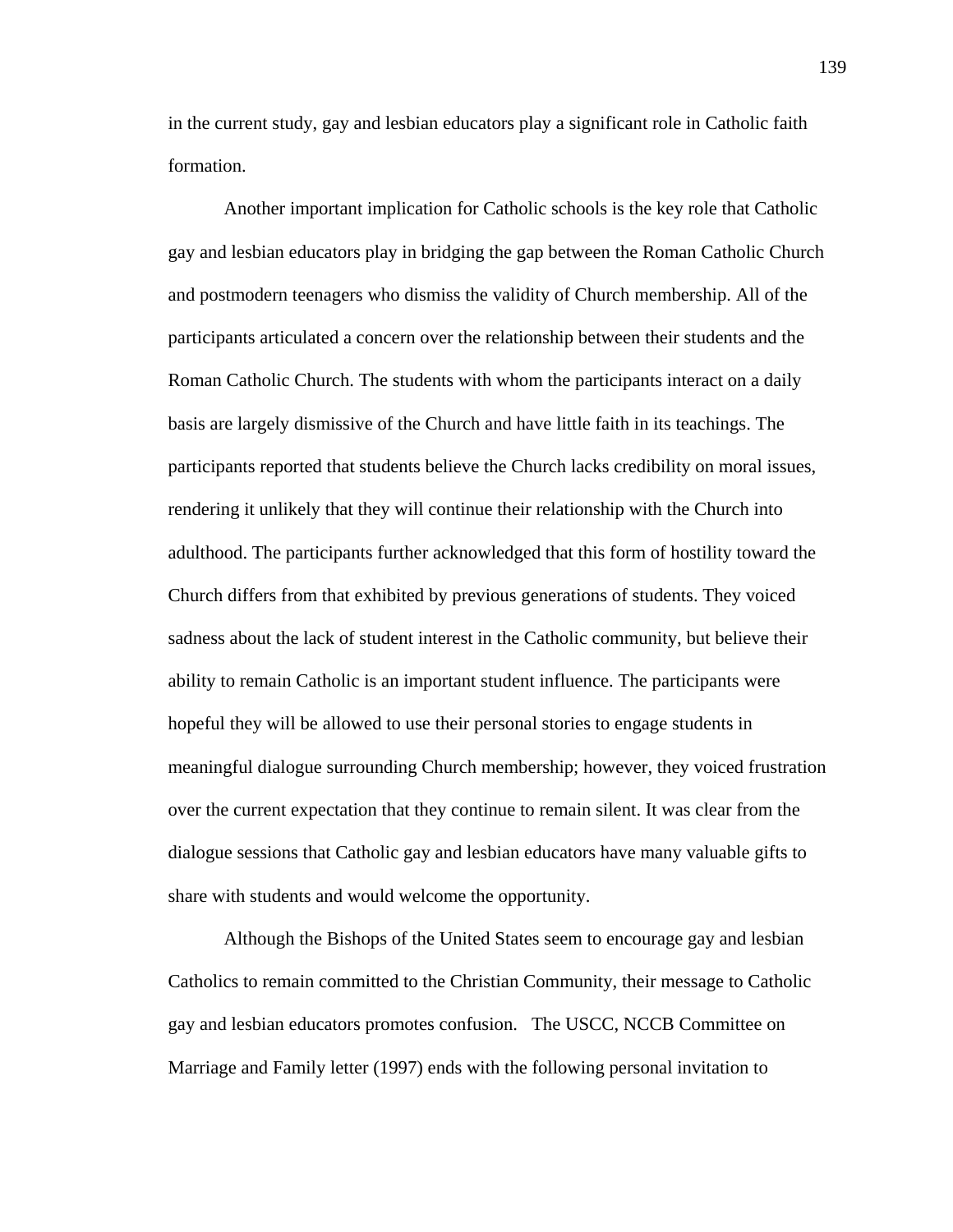in the current study, gay and lesbian educators play a significant role in Catholic faith formation.

Another important implication for Catholic schools is the key role that Catholic gay and lesbian educators play in bridging the gap between the Roman Catholic Church and postmodern teenagers who dismiss the validity of Church membership. All of the participants articulated a concern over the relationship between their students and the Roman Catholic Church. The students with whom the participants interact on a daily basis are largely dismissive of the Church and have little faith in its teachings. The participants reported that students believe the Church lacks credibility on moral issues, rendering it unlikely that they will continue their relationship with the Church into adulthood. The participants further acknowledged that this form of hostility toward the Church differs from that exhibited by previous generations of students. They voiced sadness about the lack of student interest in the Catholic community, but believe their ability to remain Catholic is an important student influence. The participants were hopeful they will be allowed to use their personal stories to engage students in meaningful dialogue surrounding Church membership; however, they voiced frustration over the current expectation that they continue to remain silent. It was clear from the dialogue sessions that Catholic gay and lesbian educators have many valuable gifts to share with students and would welcome the opportunity.

Although the Bishops of the United States seem to encourage gay and lesbian Catholics to remain committed to the Christian Community, their message to Catholic gay and lesbian educators promotes confusion. The USCC, NCCB Committee on Marriage and Family letter (1997) ends with the following personal invitation to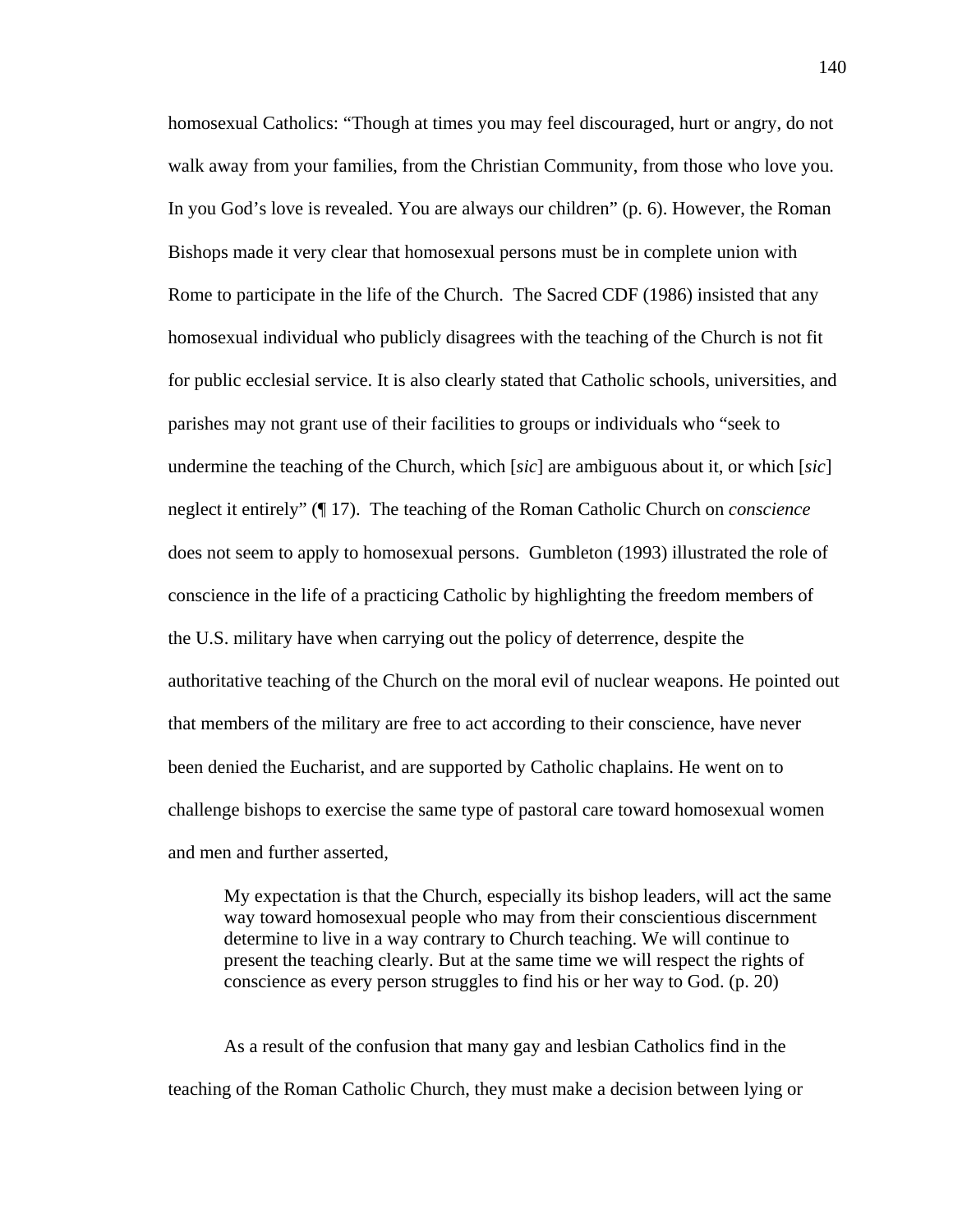homosexual Catholics: "Though at times you may feel discouraged, hurt or angry, do not walk away from your families, from the Christian Community, from those who love you. In you God's love is revealed. You are always our children" (p. 6). However, the Roman Bishops made it very clear that homosexual persons must be in complete union with Rome to participate in the life of the Church. The Sacred CDF (1986) insisted that any homosexual individual who publicly disagrees with the teaching of the Church is not fit for public ecclesial service. It is also clearly stated that Catholic schools, universities, and parishes may not grant use of their facilities to groups or individuals who "seek to undermine the teaching of the Church, which [*sic*] are ambiguous about it, or which [*sic*] neglect it entirely" (¶ 17). The teaching of the Roman Catholic Church on *conscience* does not seem to apply to homosexual persons. Gumbleton (1993) illustrated the role of conscience in the life of a practicing Catholic by highlighting the freedom members of the U.S. military have when carrying out the policy of deterrence, despite the authoritative teaching of the Church on the moral evil of nuclear weapons. He pointed out that members of the military are free to act according to their conscience, have never been denied the Eucharist, and are supported by Catholic chaplains. He went on to challenge bishops to exercise the same type of pastoral care toward homosexual women and men and further asserted,

My expectation is that the Church, especially its bishop leaders, will act the same way toward homosexual people who may from their conscientious discernment determine to live in a way contrary to Church teaching. We will continue to present the teaching clearly. But at the same time we will respect the rights of conscience as every person struggles to find his or her way to God. (p. 20)

As a result of the confusion that many gay and lesbian Catholics find in the teaching of the Roman Catholic Church, they must make a decision between lying or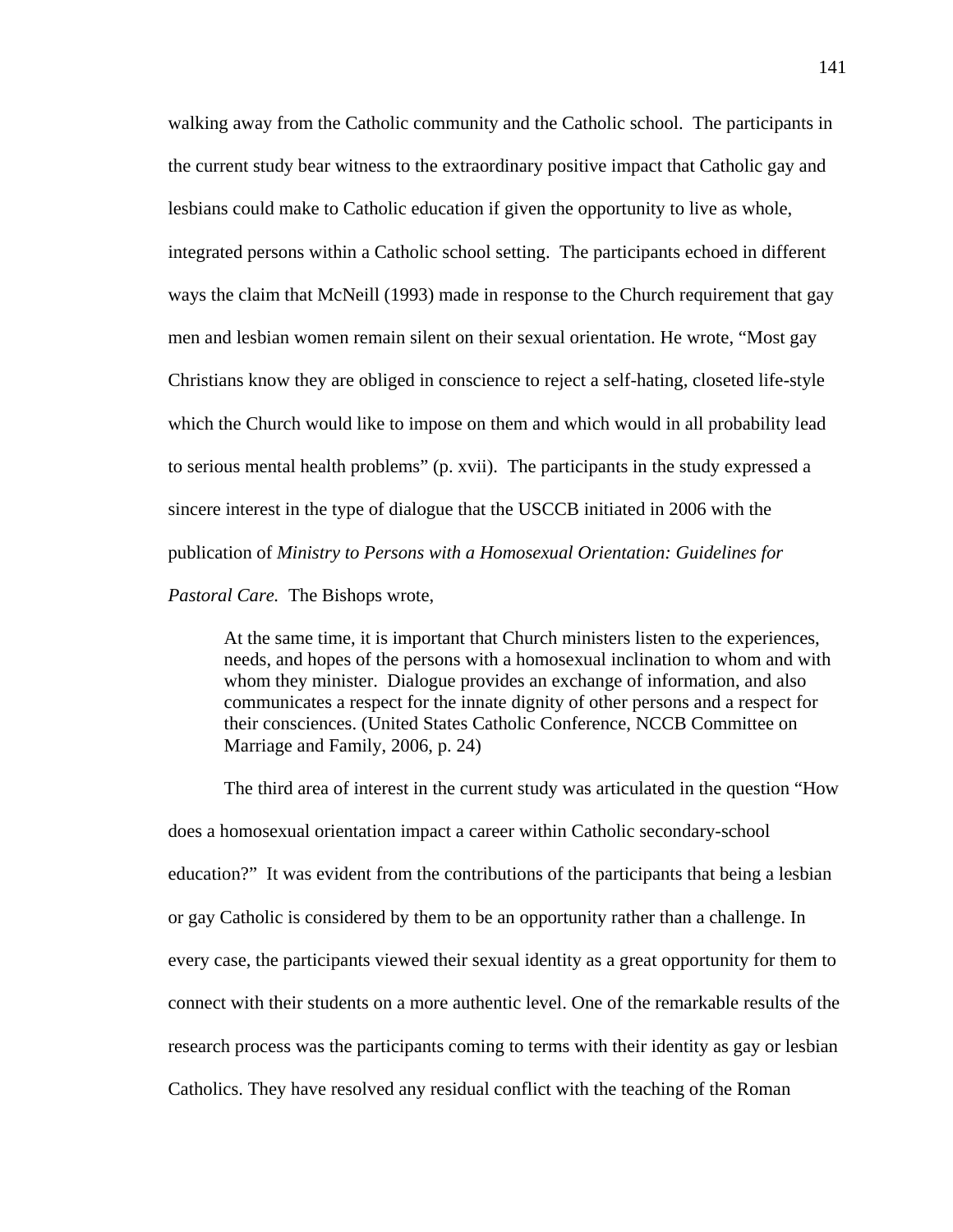walking away from the Catholic community and the Catholic school. The participants in the current study bear witness to the extraordinary positive impact that Catholic gay and lesbians could make to Catholic education if given the opportunity to live as whole, integrated persons within a Catholic school setting. The participants echoed in different ways the claim that McNeill (1993) made in response to the Church requirement that gay men and lesbian women remain silent on their sexual orientation. He wrote, "Most gay Christians know they are obliged in conscience to reject a self-hating, closeted life-style which the Church would like to impose on them and which would in all probability lead to serious mental health problems" (p. xvii). The participants in the study expressed a sincere interest in the type of dialogue that the USCCB initiated in 2006 with the publication of *Ministry to Persons with a Homosexual Orientation: Guidelines for* 

*Pastoral Care.* The Bishops wrote,

At the same time, it is important that Church ministers listen to the experiences, needs, and hopes of the persons with a homosexual inclination to whom and with whom they minister. Dialogue provides an exchange of information, and also communicates a respect for the innate dignity of other persons and a respect for their consciences. (United States Catholic Conference, NCCB Committee on Marriage and Family, 2006, p. 24)

The third area of interest in the current study was articulated in the question "How does a homosexual orientation impact a career within Catholic secondary-school education?" It was evident from the contributions of the participants that being a lesbian or gay Catholic is considered by them to be an opportunity rather than a challenge. In every case, the participants viewed their sexual identity as a great opportunity for them to connect with their students on a more authentic level. One of the remarkable results of the research process was the participants coming to terms with their identity as gay or lesbian Catholics. They have resolved any residual conflict with the teaching of the Roman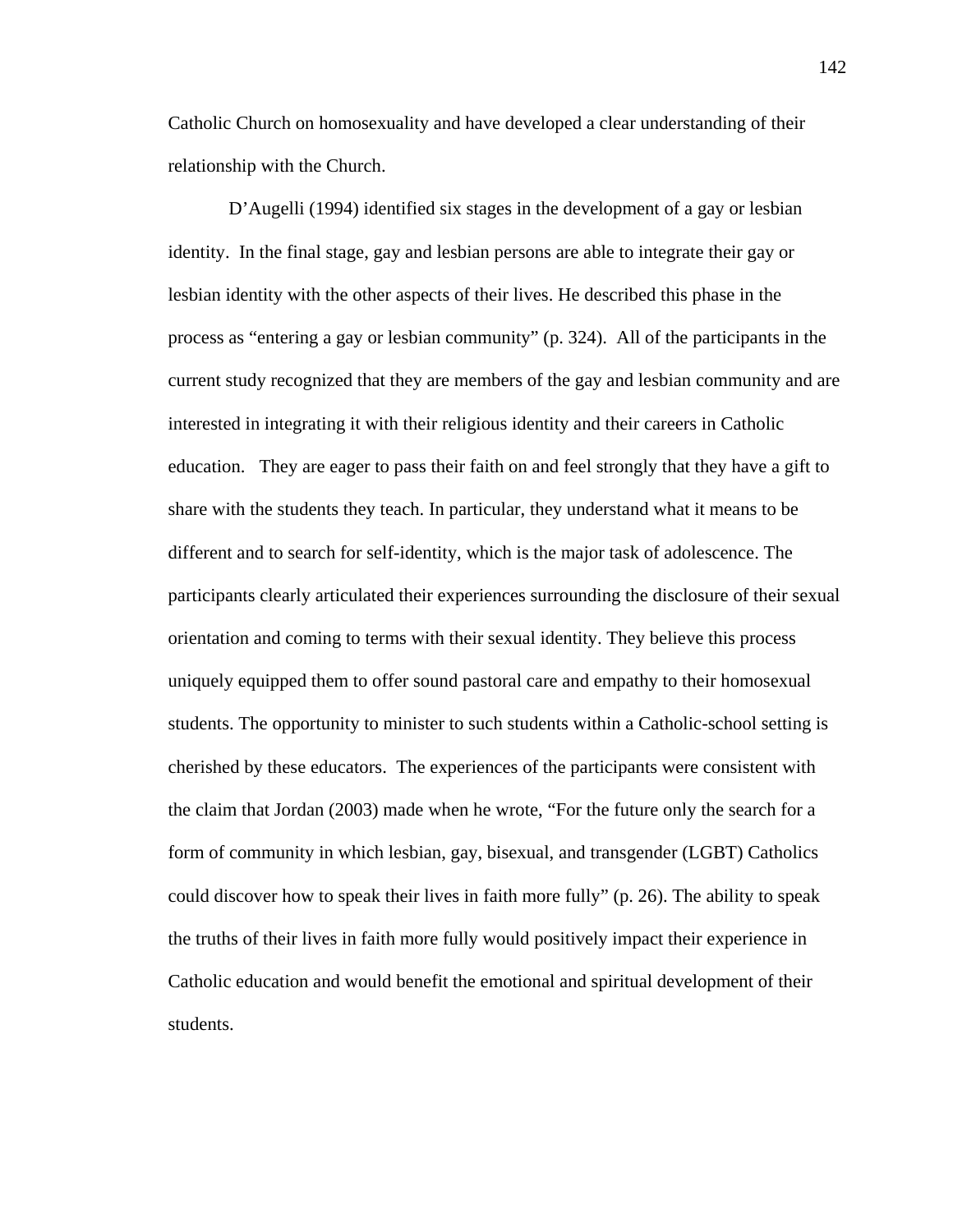Catholic Church on homosexuality and have developed a clear understanding of their relationship with the Church.

 D'Augelli (1994) identified six stages in the development of a gay or lesbian identity. In the final stage, gay and lesbian persons are able to integrate their gay or lesbian identity with the other aspects of their lives. He described this phase in the process as "entering a gay or lesbian community" (p. 324). All of the participants in the current study recognized that they are members of the gay and lesbian community and are interested in integrating it with their religious identity and their careers in Catholic education. They are eager to pass their faith on and feel strongly that they have a gift to share with the students they teach. In particular, they understand what it means to be different and to search for self-identity, which is the major task of adolescence. The participants clearly articulated their experiences surrounding the disclosure of their sexual orientation and coming to terms with their sexual identity. They believe this process uniquely equipped them to offer sound pastoral care and empathy to their homosexual students. The opportunity to minister to such students within a Catholic-school setting is cherished by these educators. The experiences of the participants were consistent with the claim that Jordan (2003) made when he wrote, "For the future only the search for a form of community in which lesbian, gay, bisexual, and transgender (LGBT) Catholics could discover how to speak their lives in faith more fully" (p. 26). The ability to speak the truths of their lives in faith more fully would positively impact their experience in Catholic education and would benefit the emotional and spiritual development of their students.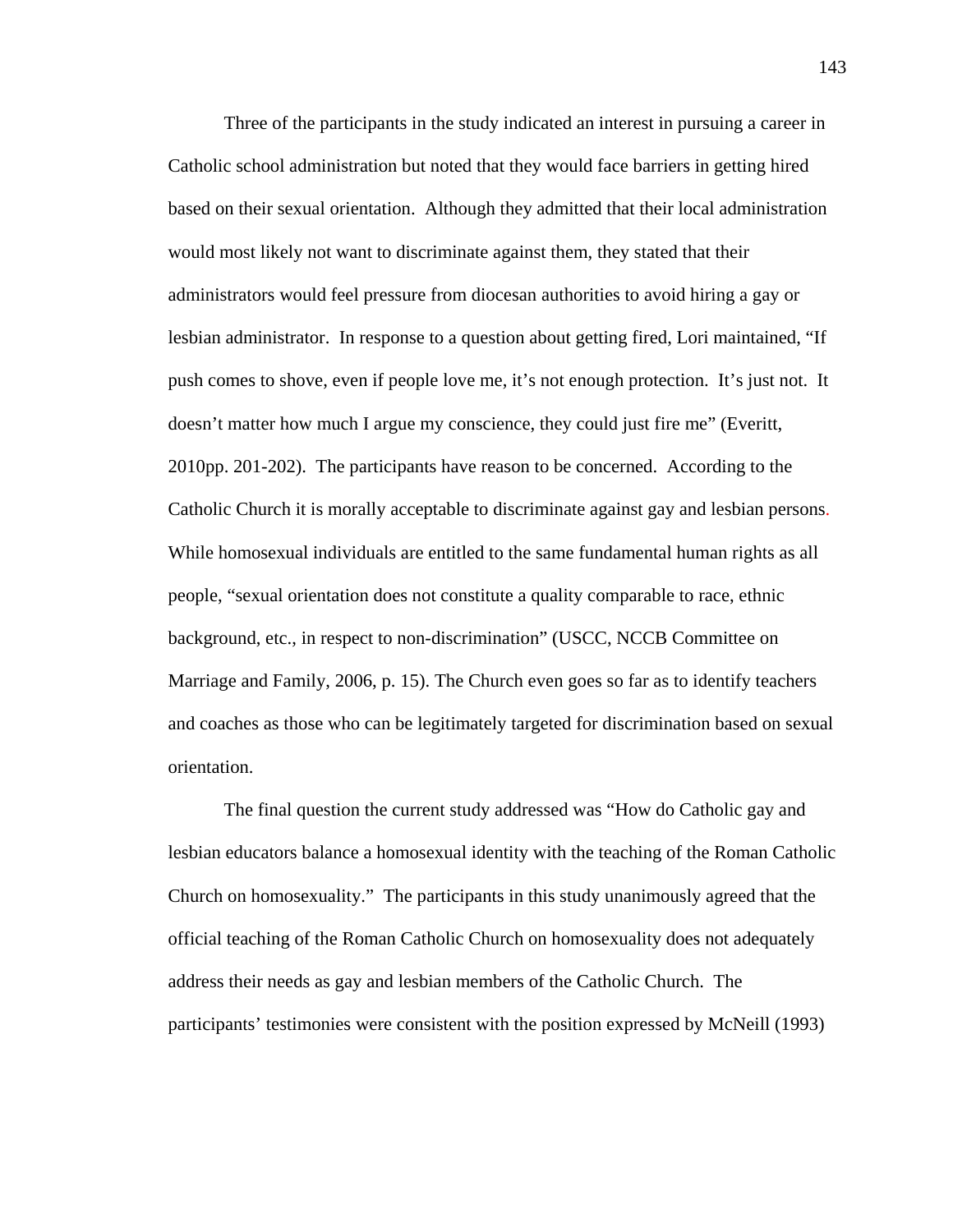Three of the participants in the study indicated an interest in pursuing a career in Catholic school administration but noted that they would face barriers in getting hired based on their sexual orientation. Although they admitted that their local administration would most likely not want to discriminate against them, they stated that their administrators would feel pressure from diocesan authorities to avoid hiring a gay or lesbian administrator. In response to a question about getting fired, Lori maintained, "If push comes to shove, even if people love me, it's not enough protection. It's just not. It doesn't matter how much I argue my conscience, they could just fire me" (Everitt, 2010pp. 201-202). The participants have reason to be concerned. According to the Catholic Church it is morally acceptable to discriminate against gay and lesbian persons. While homosexual individuals are entitled to the same fundamental human rights as all people, "sexual orientation does not constitute a quality comparable to race, ethnic background, etc., in respect to non-discrimination" (USCC, NCCB Committee on Marriage and Family, 2006, p. 15). The Church even goes so far as to identify teachers and coaches as those who can be legitimately targeted for discrimination based on sexual orientation.

The final question the current study addressed was "How do Catholic gay and lesbian educators balance a homosexual identity with the teaching of the Roman Catholic Church on homosexuality." The participants in this study unanimously agreed that the official teaching of the Roman Catholic Church on homosexuality does not adequately address their needs as gay and lesbian members of the Catholic Church. The participants' testimonies were consistent with the position expressed by McNeill (1993)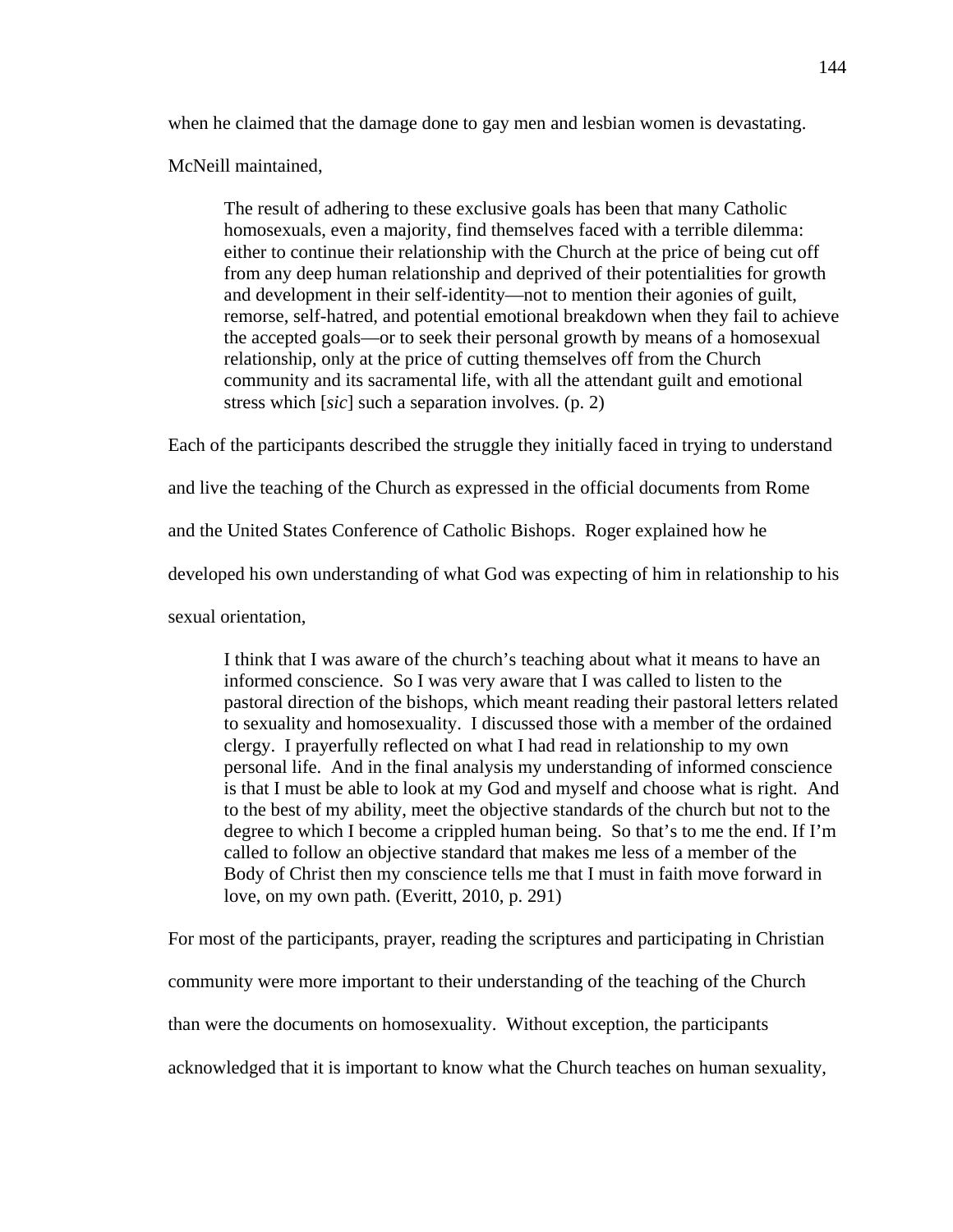when he claimed that the damage done to gay men and lesbian women is devastating.

McNeill maintained,

The result of adhering to these exclusive goals has been that many Catholic homosexuals, even a majority, find themselves faced with a terrible dilemma: either to continue their relationship with the Church at the price of being cut off from any deep human relationship and deprived of their potentialities for growth and development in their self-identity—not to mention their agonies of guilt, remorse, self-hatred, and potential emotional breakdown when they fail to achieve the accepted goals—or to seek their personal growth by means of a homosexual relationship, only at the price of cutting themselves off from the Church community and its sacramental life, with all the attendant guilt and emotional stress which [*sic*] such a separation involves. (p. 2)

Each of the participants described the struggle they initially faced in trying to understand and live the teaching of the Church as expressed in the official documents from Rome and the United States Conference of Catholic Bishops. Roger explained how he developed his own understanding of what God was expecting of him in relationship to his sexual orientation,

I think that I was aware of the church's teaching about what it means to have an informed conscience. So I was very aware that I was called to listen to the pastoral direction of the bishops, which meant reading their pastoral letters related to sexuality and homosexuality. I discussed those with a member of the ordained clergy. I prayerfully reflected on what I had read in relationship to my own personal life. And in the final analysis my understanding of informed conscience is that I must be able to look at my God and myself and choose what is right. And to the best of my ability, meet the objective standards of the church but not to the degree to which I become a crippled human being. So that's to me the end. If I'm called to follow an objective standard that makes me less of a member of the Body of Christ then my conscience tells me that I must in faith move forward in love, on my own path. (Everitt, 2010, p. 291)

For most of the participants, prayer, reading the scriptures and participating in Christian community were more important to their understanding of the teaching of the Church than were the documents on homosexuality. Without exception, the participants acknowledged that it is important to know what the Church teaches on human sexuality,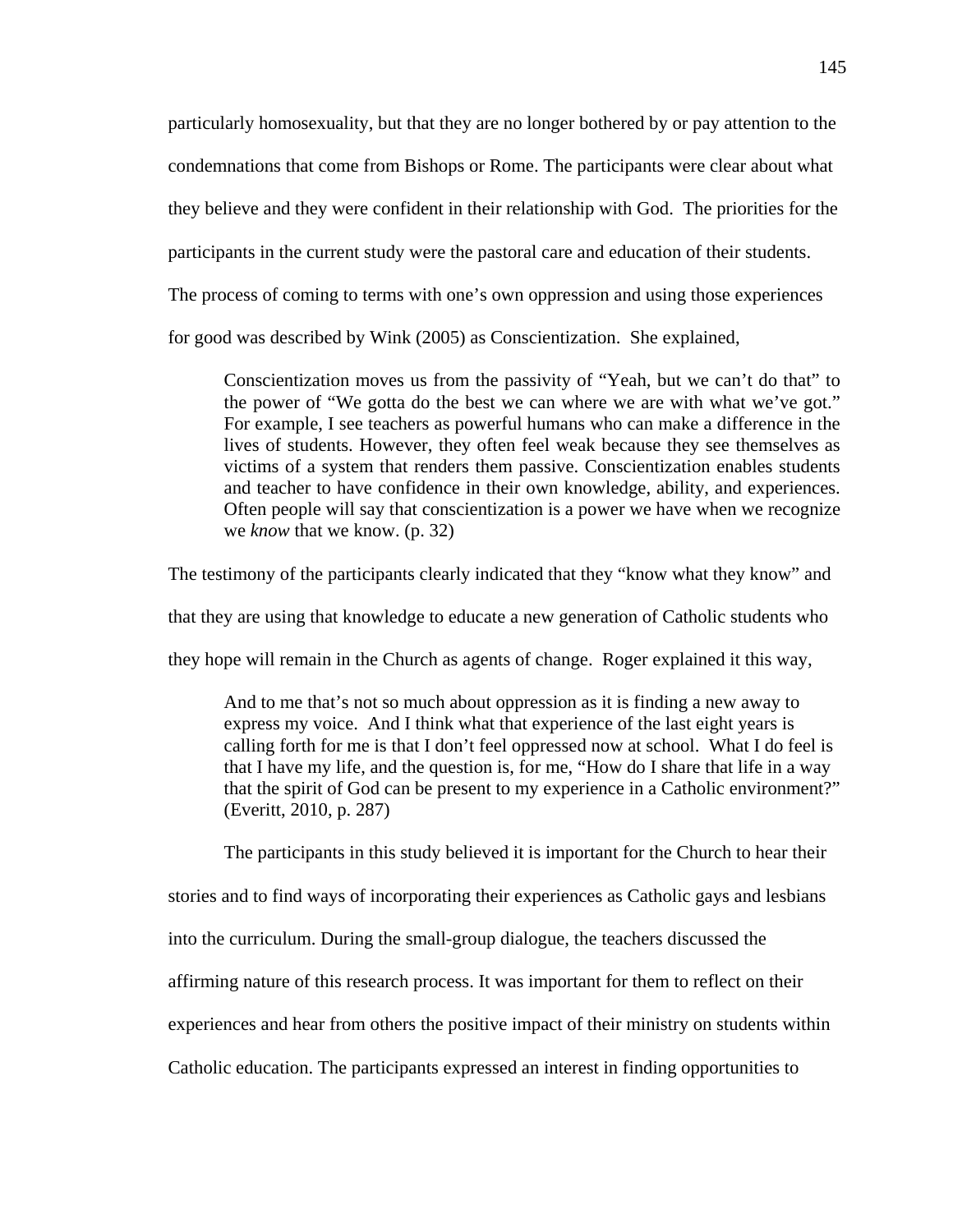particularly homosexuality, but that they are no longer bothered by or pay attention to the condemnations that come from Bishops or Rome. The participants were clear about what they believe and they were confident in their relationship with God. The priorities for the participants in the current study were the pastoral care and education of their students. The process of coming to terms with one's own oppression and using those experiences for good was described by Wink (2005) as Conscientization. She explained,

Conscientization moves us from the passivity of "Yeah, but we can't do that" to the power of "We gotta do the best we can where we are with what we've got." For example, I see teachers as powerful humans who can make a difference in the lives of students. However, they often feel weak because they see themselves as victims of a system that renders them passive. Conscientization enables students and teacher to have confidence in their own knowledge, ability, and experiences. Often people will say that conscientization is a power we have when we recognize we *know* that we know. (p. 32)

The testimony of the participants clearly indicated that they "know what they know" and

that they are using that knowledge to educate a new generation of Catholic students who

they hope will remain in the Church as agents of change. Roger explained it this way,

And to me that's not so much about oppression as it is finding a new away to express my voice. And I think what that experience of the last eight years is calling forth for me is that I don't feel oppressed now at school. What I do feel is that I have my life, and the question is, for me, "How do I share that life in a way that the spirit of God can be present to my experience in a Catholic environment?" (Everitt, 2010, p. 287)

The participants in this study believed it is important for the Church to hear their

stories and to find ways of incorporating their experiences as Catholic gays and lesbians

into the curriculum. During the small-group dialogue, the teachers discussed the

affirming nature of this research process. It was important for them to reflect on their

experiences and hear from others the positive impact of their ministry on students within

Catholic education. The participants expressed an interest in finding opportunities to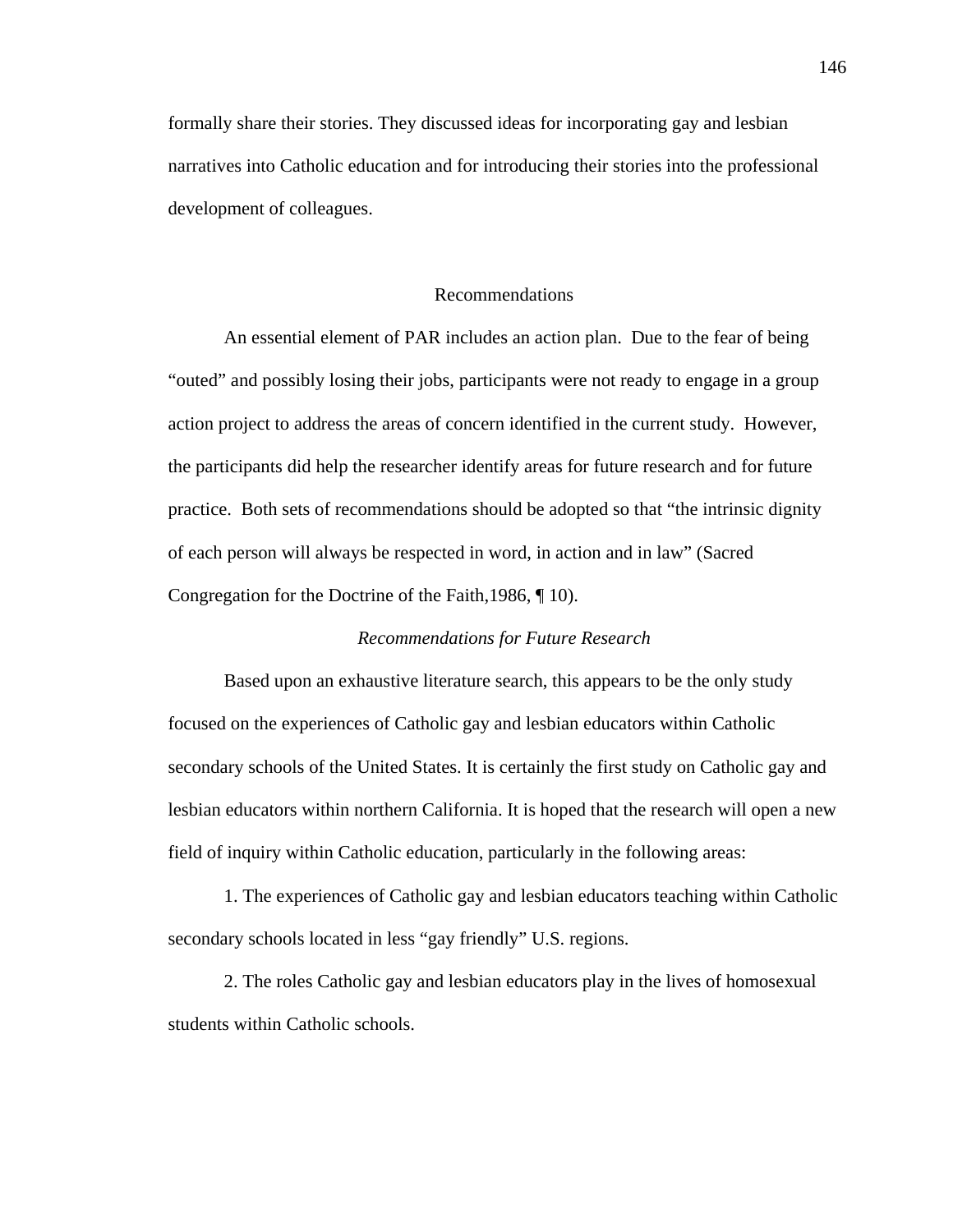formally share their stories. They discussed ideas for incorporating gay and lesbian narratives into Catholic education and for introducing their stories into the professional development of colleagues.

### Recommendations

An essential element of PAR includes an action plan. Due to the fear of being "outed" and possibly losing their jobs, participants were not ready to engage in a group action project to address the areas of concern identified in the current study. However, the participants did help the researcher identify areas for future research and for future practice. Both sets of recommendations should be adopted so that "the intrinsic dignity of each person will always be respected in word, in action and in law" (Sacred Congregation for the Doctrine of the Faith,1986, ¶ 10).

## *Recommendations for Future Research*

Based upon an exhaustive literature search, this appears to be the only study focused on the experiences of Catholic gay and lesbian educators within Catholic secondary schools of the United States. It is certainly the first study on Catholic gay and lesbian educators within northern California. It is hoped that the research will open a new field of inquiry within Catholic education, particularly in the following areas:

1. The experiences of Catholic gay and lesbian educators teaching within Catholic secondary schools located in less "gay friendly" U.S. regions.

2. The roles Catholic gay and lesbian educators play in the lives of homosexual students within Catholic schools.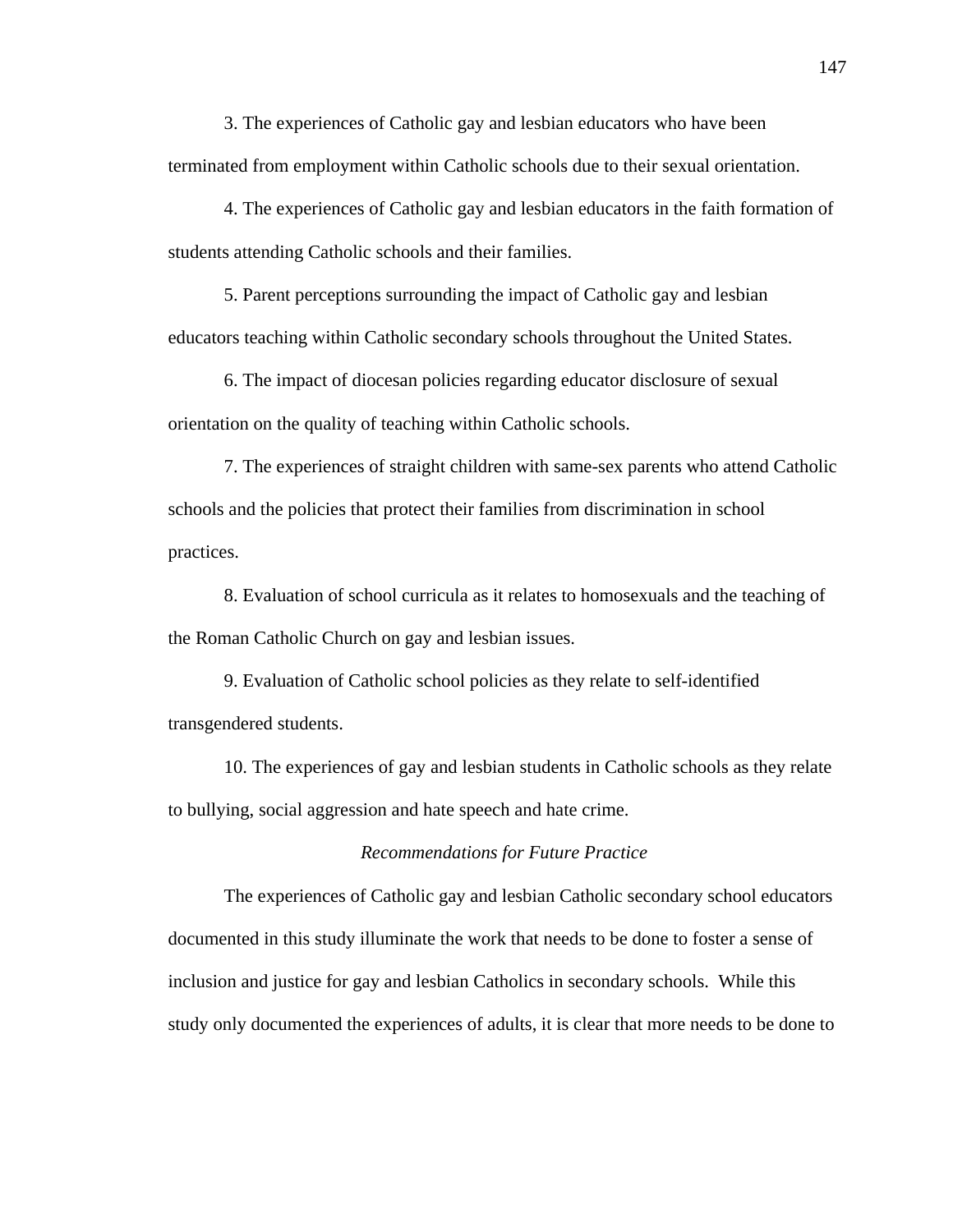3. The experiences of Catholic gay and lesbian educators who have been terminated from employment within Catholic schools due to their sexual orientation.

4. The experiences of Catholic gay and lesbian educators in the faith formation of students attending Catholic schools and their families.

5. Parent perceptions surrounding the impact of Catholic gay and lesbian educators teaching within Catholic secondary schools throughout the United States.

6. The impact of diocesan policies regarding educator disclosure of sexual orientation on the quality of teaching within Catholic schools.

7. The experiences of straight children with same-sex parents who attend Catholic schools and the policies that protect their families from discrimination in school practices.

8. Evaluation of school curricula as it relates to homosexuals and the teaching of the Roman Catholic Church on gay and lesbian issues.

9. Evaluation of Catholic school policies as they relate to self-identified transgendered students.

10. The experiences of gay and lesbian students in Catholic schools as they relate to bullying, social aggression and hate speech and hate crime.

### *Recommendations for Future Practice*

 The experiences of Catholic gay and lesbian Catholic secondary school educators documented in this study illuminate the work that needs to be done to foster a sense of inclusion and justice for gay and lesbian Catholics in secondary schools. While this study only documented the experiences of adults, it is clear that more needs to be done to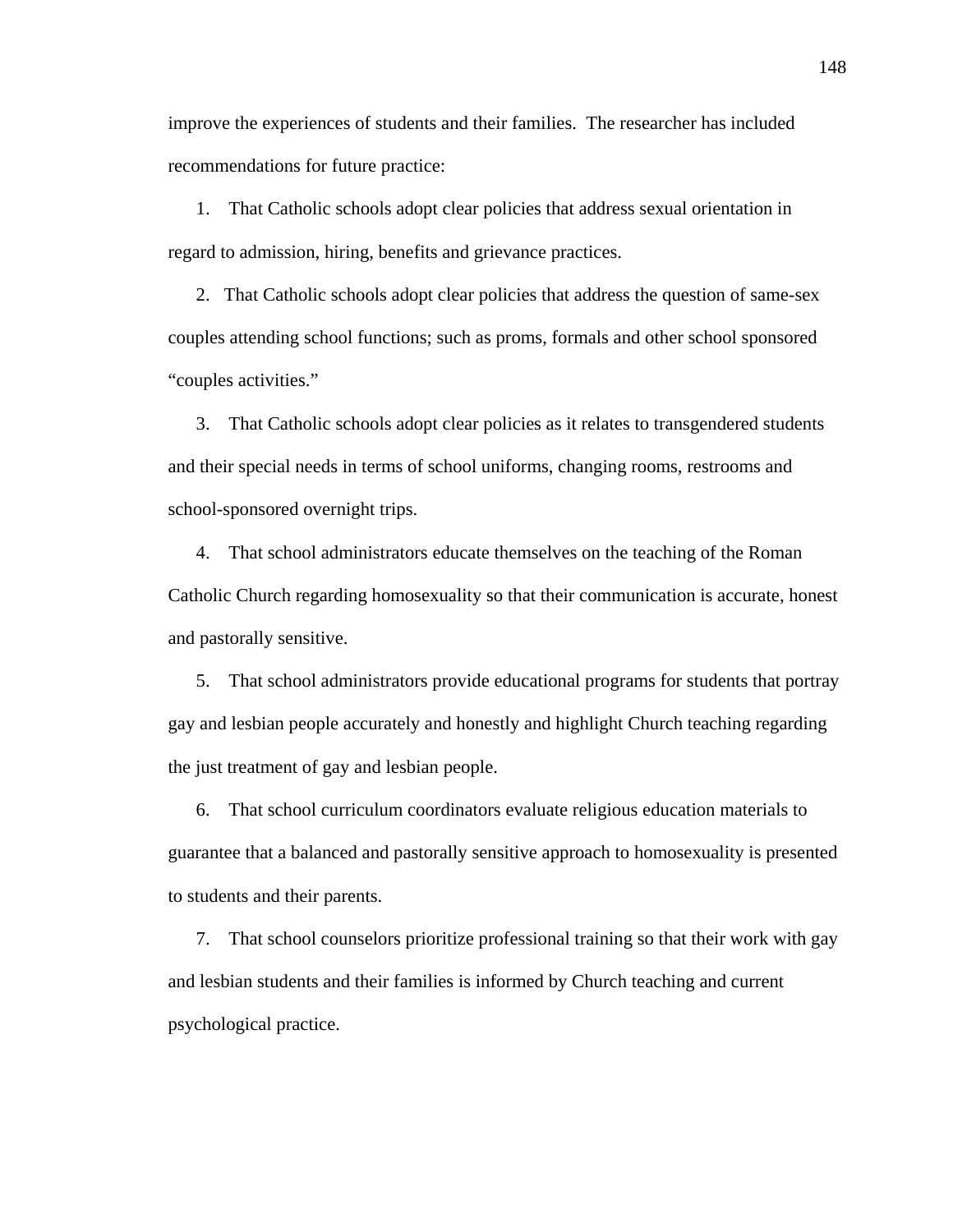improve the experiences of students and their families. The researcher has included recommendations for future practice:

1. That Catholic schools adopt clear policies that address sexual orientation in regard to admission, hiring, benefits and grievance practices.

2. That Catholic schools adopt clear policies that address the question of same-sex couples attending school functions; such as proms, formals and other school sponsored "couples activities."

3. That Catholic schools adopt clear policies as it relates to transgendered students and their special needs in terms of school uniforms, changing rooms, restrooms and school-sponsored overnight trips.

4. That school administrators educate themselves on the teaching of the Roman Catholic Church regarding homosexuality so that their communication is accurate, honest and pastorally sensitive.

5. That school administrators provide educational programs for students that portray gay and lesbian people accurately and honestly and highlight Church teaching regarding the just treatment of gay and lesbian people.

6. That school curriculum coordinators evaluate religious education materials to guarantee that a balanced and pastorally sensitive approach to homosexuality is presented to students and their parents.

7. That school counselors prioritize professional training so that their work with gay and lesbian students and their families is informed by Church teaching and current psychological practice.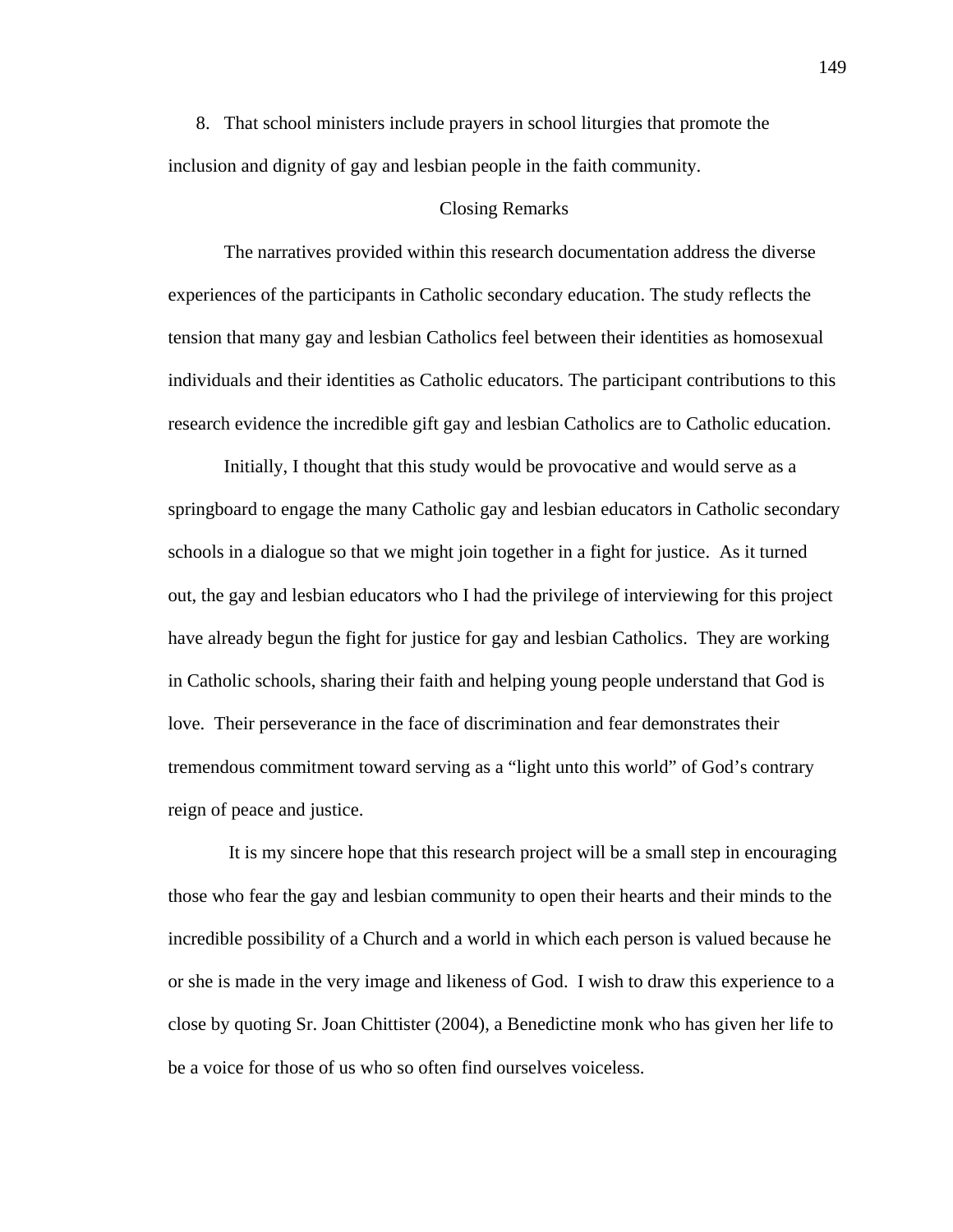8. That school ministers include prayers in school liturgies that promote the inclusion and dignity of gay and lesbian people in the faith community.

### Closing Remarks

The narratives provided within this research documentation address the diverse experiences of the participants in Catholic secondary education. The study reflects the tension that many gay and lesbian Catholics feel between their identities as homosexual individuals and their identities as Catholic educators. The participant contributions to this research evidence the incredible gift gay and lesbian Catholics are to Catholic education.

Initially, I thought that this study would be provocative and would serve as a springboard to engage the many Catholic gay and lesbian educators in Catholic secondary schools in a dialogue so that we might join together in a fight for justice. As it turned out, the gay and lesbian educators who I had the privilege of interviewing for this project have already begun the fight for justice for gay and lesbian Catholics. They are working in Catholic schools, sharing their faith and helping young people understand that God is love. Their perseverance in the face of discrimination and fear demonstrates their tremendous commitment toward serving as a "light unto this world" of God's contrary reign of peace and justice.

 It is my sincere hope that this research project will be a small step in encouraging those who fear the gay and lesbian community to open their hearts and their minds to the incredible possibility of a Church and a world in which each person is valued because he or she is made in the very image and likeness of God. I wish to draw this experience to a close by quoting Sr. Joan Chittister (2004), a Benedictine monk who has given her life to be a voice for those of us who so often find ourselves voiceless.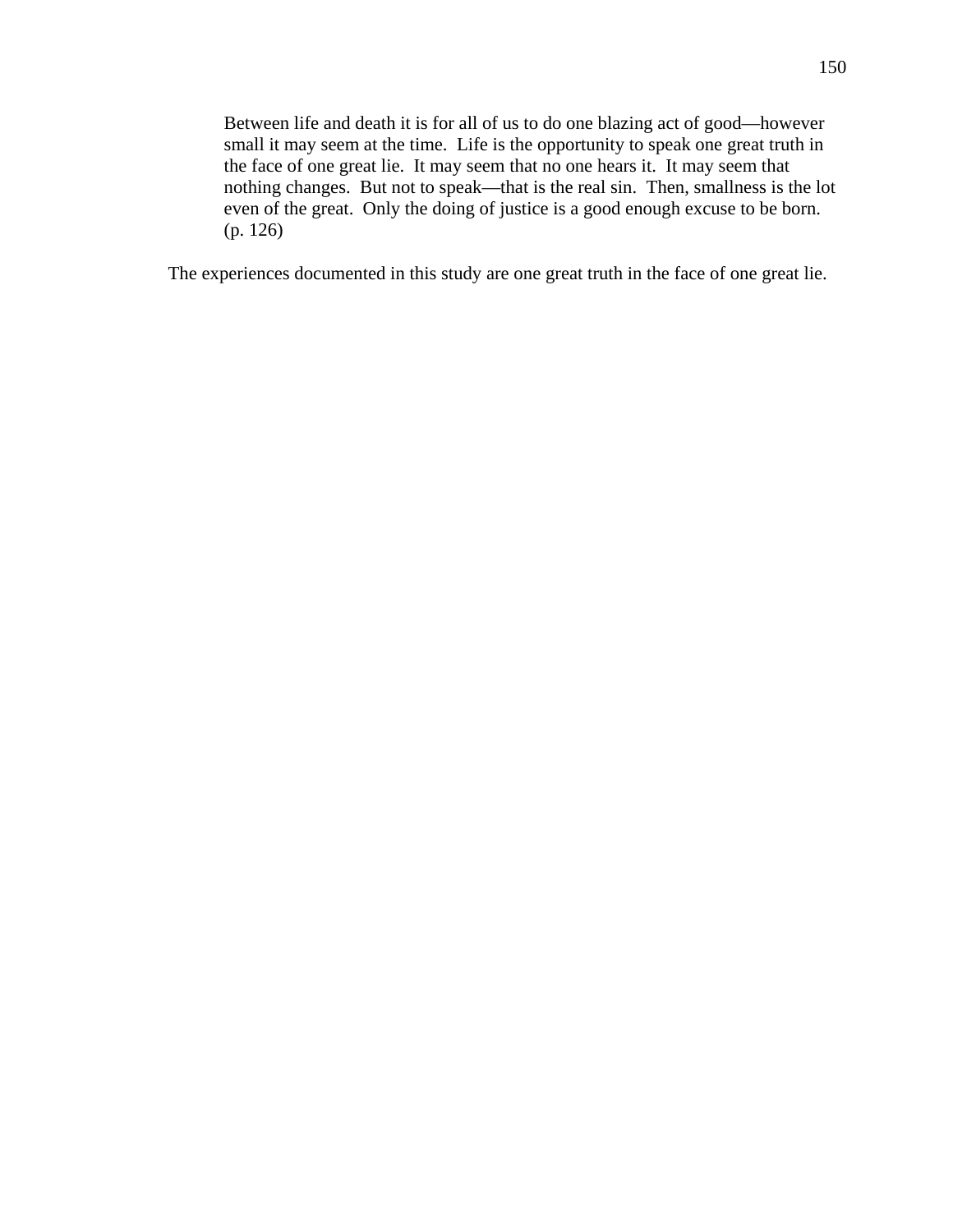Between life and death it is for all of us to do one blazing act of good—however small it may seem at the time. Life is the opportunity to speak one great truth in the face of one great lie. It may seem that no one hears it. It may seem that nothing changes. But not to speak—that is the real sin. Then, smallness is the lot even of the great. Only the doing of justice is a good enough excuse to be born. (p. 126)

The experiences documented in this study are one great truth in the face of one great lie.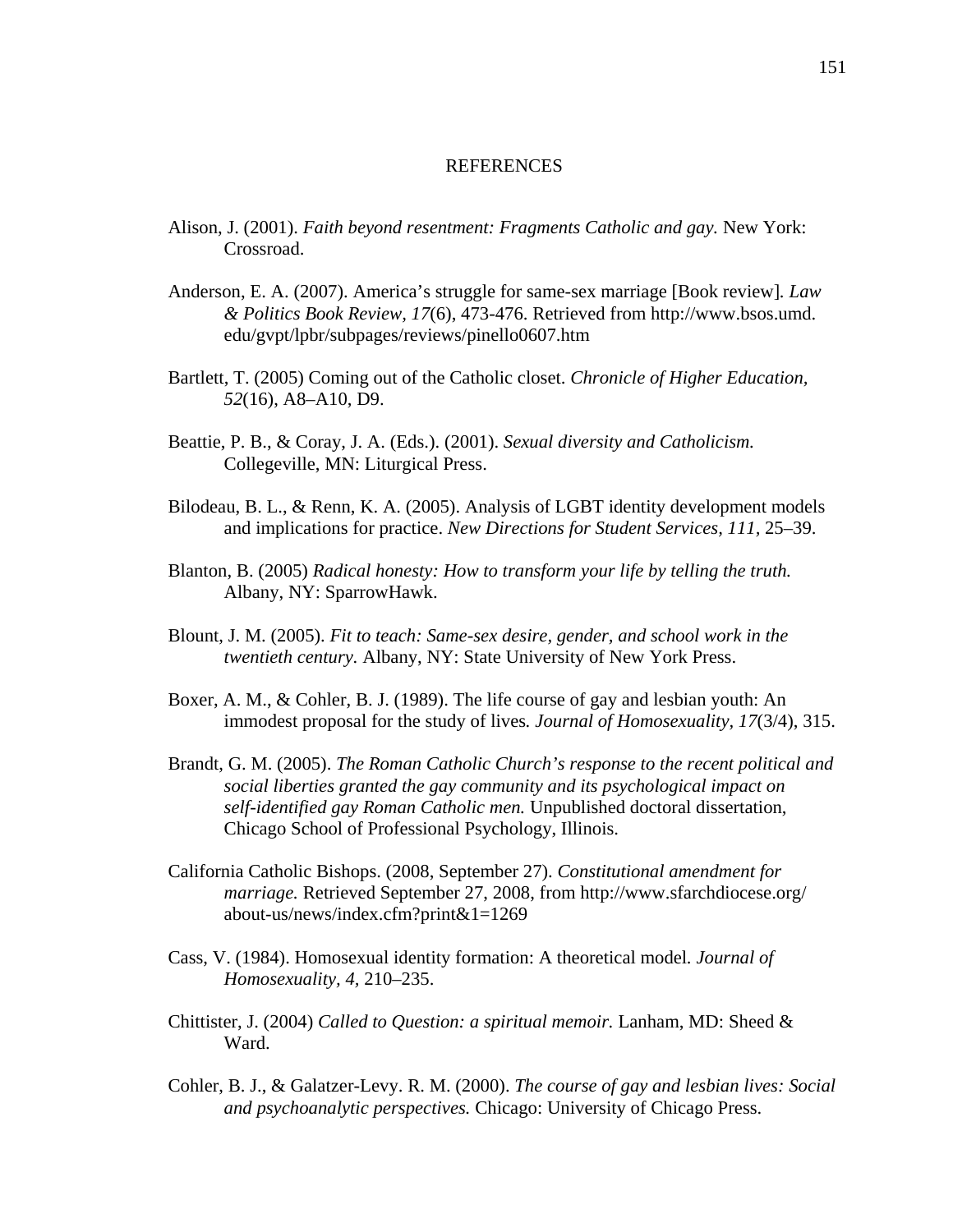### REFERENCES

- Alison, J. (2001). *Faith beyond resentment: Fragments Catholic and gay.* New York: Crossroad.
- Anderson, E. A. (2007). America's struggle for same-sex marriage [Book review]*. Law & Politics Book Review, 17*(6), 473-476. Retrieved from [http://www.bsos.umd.](http://www.bsos.umd.edu/gvpt/lpbr/subpages/reviews/pinello0607.htm)  [edu/gvpt/lpbr/subpages/reviews/pinello0607.htm](http://www.bsos.umd.edu/gvpt/lpbr/subpages/reviews/pinello0607.htm)
- Bartlett, T. (2005) Coming out of the Catholic closet. *Chronicle of Higher Education, 52*(16), A8–A10, D9.
- Beattie, P. B., & Coray, J. A. (Eds.). (2001). *Sexual diversity and Catholicism.* Collegeville, MN: Liturgical Press.
- Bilodeau, B. L., & Renn, K. A. (2005). Analysis of LGBT identity development models and implications for practice. *New Directions for Student Services, 111,* 25–39.
- Blanton, B. (2005) *Radical honesty: How to transform your life by telling the truth.* Albany, NY: SparrowHawk.
- Blount, J. M. (2005). *Fit to teach: Same-sex desire, gender, and school work in the twentieth century.* Albany, NY: State University of New York Press.
- Boxer, A. M., & Cohler, B. J. (1989). The life course of gay and lesbian youth: An immodest proposal for the study of lives*. Journal of Homosexuality, 17*(3/4), 315.
- Brandt, G. M. (2005). *The Roman Catholic Church's response to the recent political and social liberties granted the gay community and its psychological impact on self-identified gay Roman Catholic men.* Unpublished doctoral dissertation, Chicago School of Professional Psychology, Illinois.
- California Catholic Bishops. (2008, September 27). *Constitutional amendment for marriage.* Retrieved September 27, 2008, from [http://www.sfarchdiocese.org/](http://www.sfarchdiocese.org/about-us/news/index.cfm?print&1=1269)  [about-us/news/index.cfm?print&1=1269](http://www.sfarchdiocese.org/about-us/news/index.cfm?print&1=1269)
- Cass, V. (1984). Homosexual identity formation: A theoretical model*. Journal of Homosexuality, 4,* 210–235.
- Chittister, J. (2004) *Called to Question: a spiritual memoir.* Lanham, MD: Sheed & Ward.
- Cohler, B. J., & Galatzer-Levy. R. M. (2000). *The course of gay and lesbian lives: Social and psychoanalytic perspectives.* Chicago: University of Chicago Press.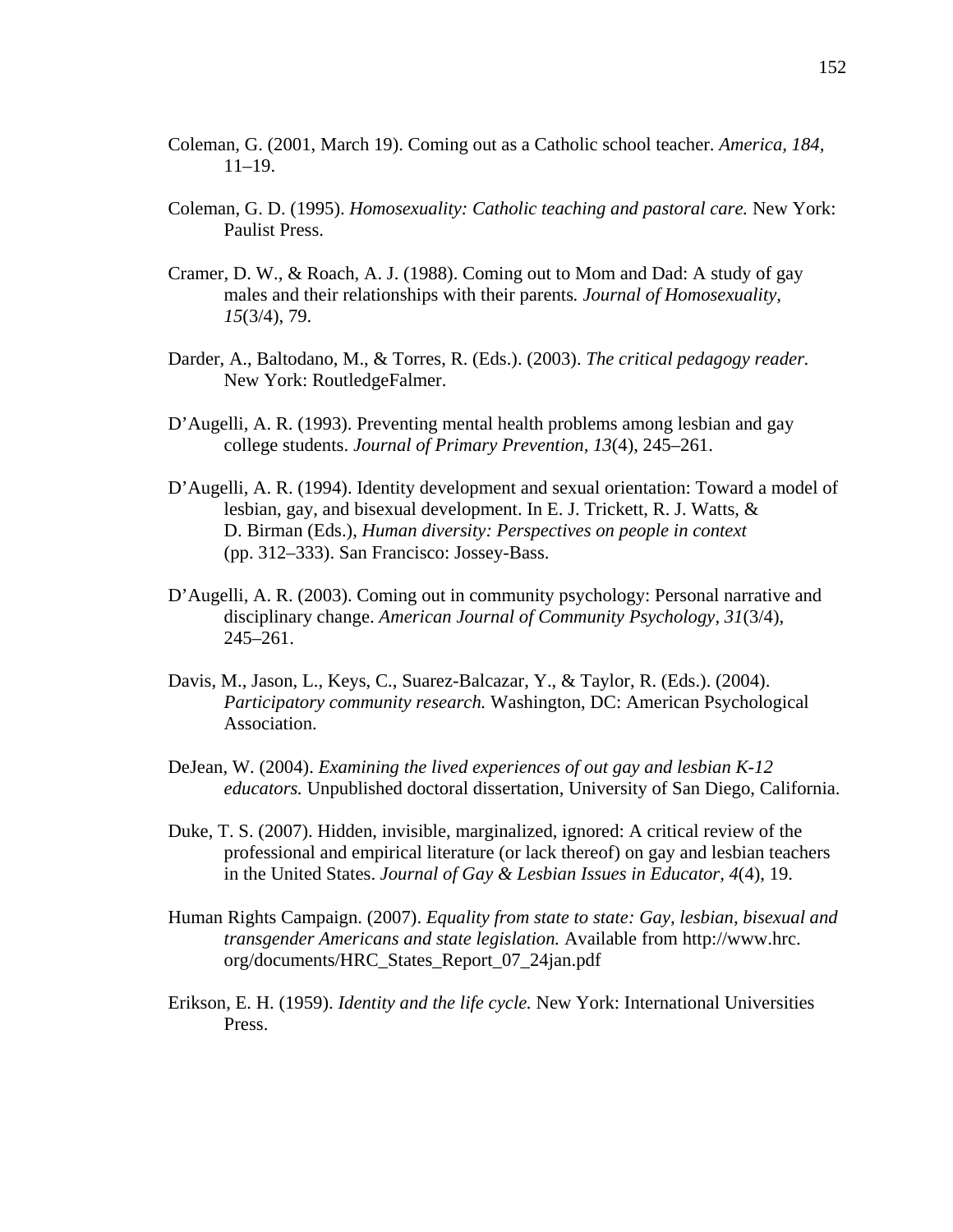- Coleman, G. (2001, March 19). Coming out as a Catholic school teacher. *America, 184,* 11–19.
- Coleman, G. D. (1995). *Homosexuality: Catholic teaching and pastoral care.* New York: Paulist Press.
- Cramer, D. W., & Roach, A. J. (1988). Coming out to Mom and Dad: A study of gay males and their relationships with their parents*. Journal of Homosexuality, 15*(3/4), 79.
- Darder, A., Baltodano, M., & Torres, R. (Eds.). (2003). *The critical pedagogy reader.* New York: RoutledgeFalmer.
- D'Augelli, A. R. (1993). Preventing mental health problems among lesbian and gay college students. *Journal of Primary Prevention, 13*(4), 245–261.
- D'Augelli, A. R. (1994). Identity development and sexual orientation: Toward a model of lesbian, gay, and bisexual development. In E. J. Trickett, R. J. Watts, & D. Birman (Eds.), *Human diversity: Perspectives on people in context* (pp. 312–333). San Francisco: Jossey-Bass.
- D'Augelli, A. R. (2003). Coming out in community psychology: Personal narrative and disciplinary change. *American Journal of Community Psychology, 31*(3/4), 245–261.
- Davis, M., Jason, L., Keys, C., Suarez-Balcazar, Y., & Taylor, R. (Eds.). (2004). *Participatory community research.* Washington, DC: American Psychological Association.
- DeJean, W. (2004). *Examining the lived experiences of out gay and lesbian K*-*12 educators.* Unpublished doctoral dissertation, University of San Diego, California.
- Duke, T. S. (2007). Hidden, invisible, marginalized, ignored: A critical review of the professional and empirical literature (or lack thereof) on gay and lesbian teachers in the United States. *Journal of Gay & Lesbian Issues in Educator, 4*(4), 19.
- Human Rights Campaign. (2007). *Equality from state to state: Gay, lesbian, bisexual and transgender Americans and state legislation.* Available from [http://www.hrc.](http://www.hrc.org/documents/HRC_States_Report_07_24jan.pdf)  [org/documents/HRC\\_States\\_Report\\_07\\_24jan.pdf](http://www.hrc.org/documents/HRC_States_Report_07_24jan.pdf)
- Erikson, E. H. (1959). *Identity and the life cycle.* New York: International Universities Press.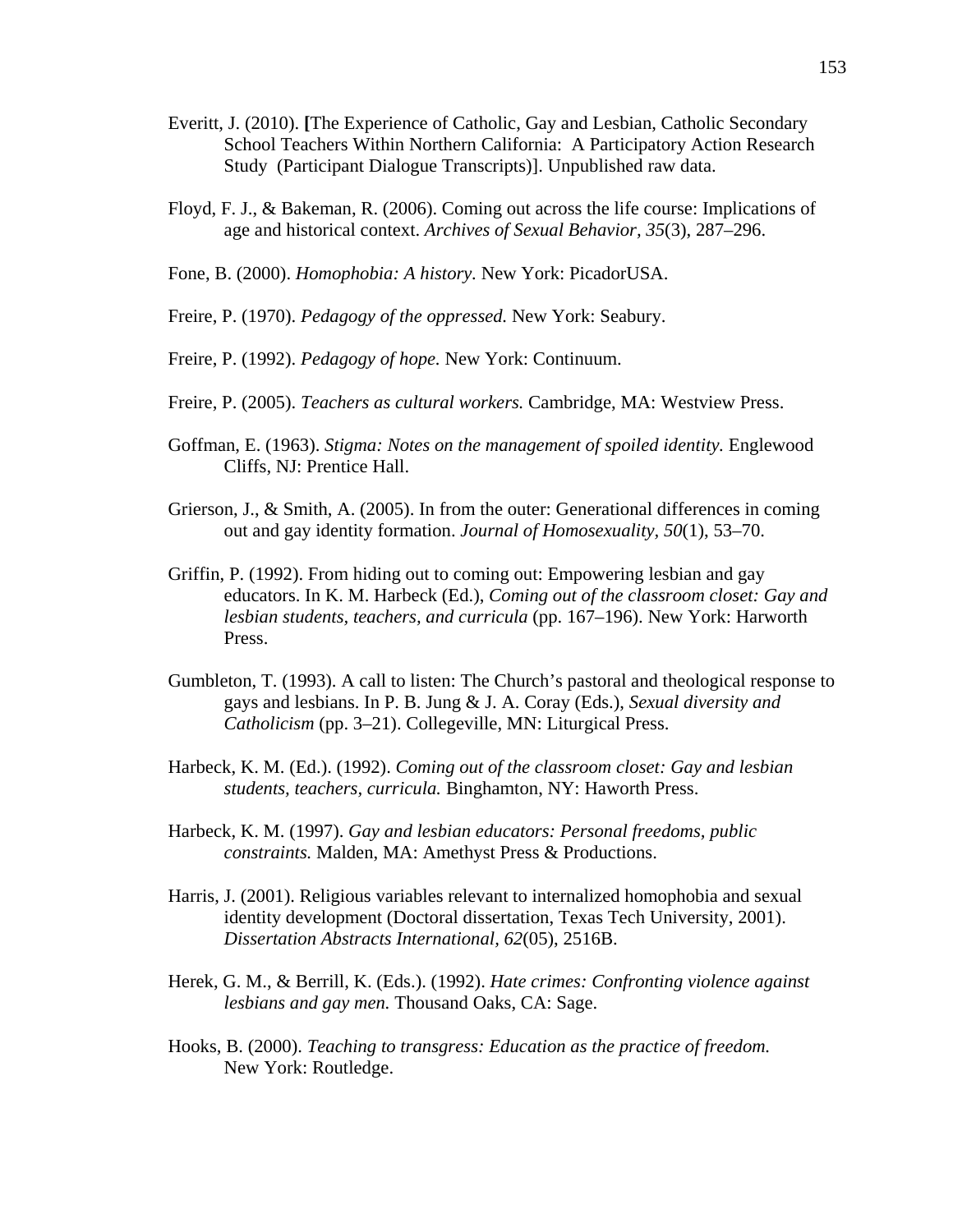- Everitt, J. (2010). **[**The Experience of Catholic, Gay and Lesbian, Catholic Secondary School Teachers Within Northern California: A Participatory Action Research Study (Participant Dialogue Transcripts)]. Unpublished raw data.
- Floyd, F. J., & Bakeman, R. (2006). Coming out across the life course: Implications of age and historical context. *Archives of Sexual Behavior, 35*(3), 287–296.
- Fone, B. (2000). *Homophobia: A history.* New York: PicadorUSA.
- Freire, P. (1970). *Pedagogy of the oppressed.* New York: Seabury.
- Freire, P. (1992). *Pedagogy of hope.* New York: Continuum.
- Freire, P. (2005). *Teachers as cultural workers.* Cambridge, MA: Westview Press.
- Goffman, E. (1963). *Stigma: Notes on the management of spoiled identity.* Englewood Cliffs, NJ: Prentice Hall.
- Grierson, J., & Smith, A. (2005). In from the outer: Generational differences in coming out and gay identity formation. *Journal of Homosexuality, 50*(1), 53–70.
- Griffin, P. (1992). From hiding out to coming out: Empowering lesbian and gay educators. In K. M. Harbeck (Ed.), *Coming out of the classroom closet: Gay and lesbian students, teachers, and curricula* (pp. 167–196). New York: Harworth Press.
- Gumbleton, T. (1993). A call to listen: The Church's pastoral and theological response to gays and lesbians. In P. B. Jung & J. A. Coray (Eds.), *Sexual diversity and Catholicism* (pp. 3–21). Collegeville, MN: Liturgical Press.
- Harbeck, K. M. (Ed.). (1992). *Coming out of the classroom closet: Gay and lesbian students, teachers, curricula.* Binghamton, NY: Haworth Press.
- Harbeck, K. M. (1997). *Gay and lesbian educators: Personal freedoms, public constraints.* Malden, MA: Amethyst Press & Productions.
- Harris, J. (2001). Religious variables relevant to internalized homophobia and sexual identity development (Doctoral dissertation, Texas Tech University, 2001). *Dissertation Abstracts International, 62*(05), 2516B.
- Herek, G. M., & Berrill, K. (Eds.). (1992). *[Hate crimes: Confronting violence against](http://psychology.ucdavis.edu/rainbow/HTML/hate_crimes_book.html)  [lesbians and gay men.](http://psychology.ucdavis.edu/rainbow/HTML/hate_crimes_book.html)* Thousand Oaks, CA: Sage.
- Hooks, B. (2000). *Teaching to transgress: Education as the practice of freedom.* New York: Routledge.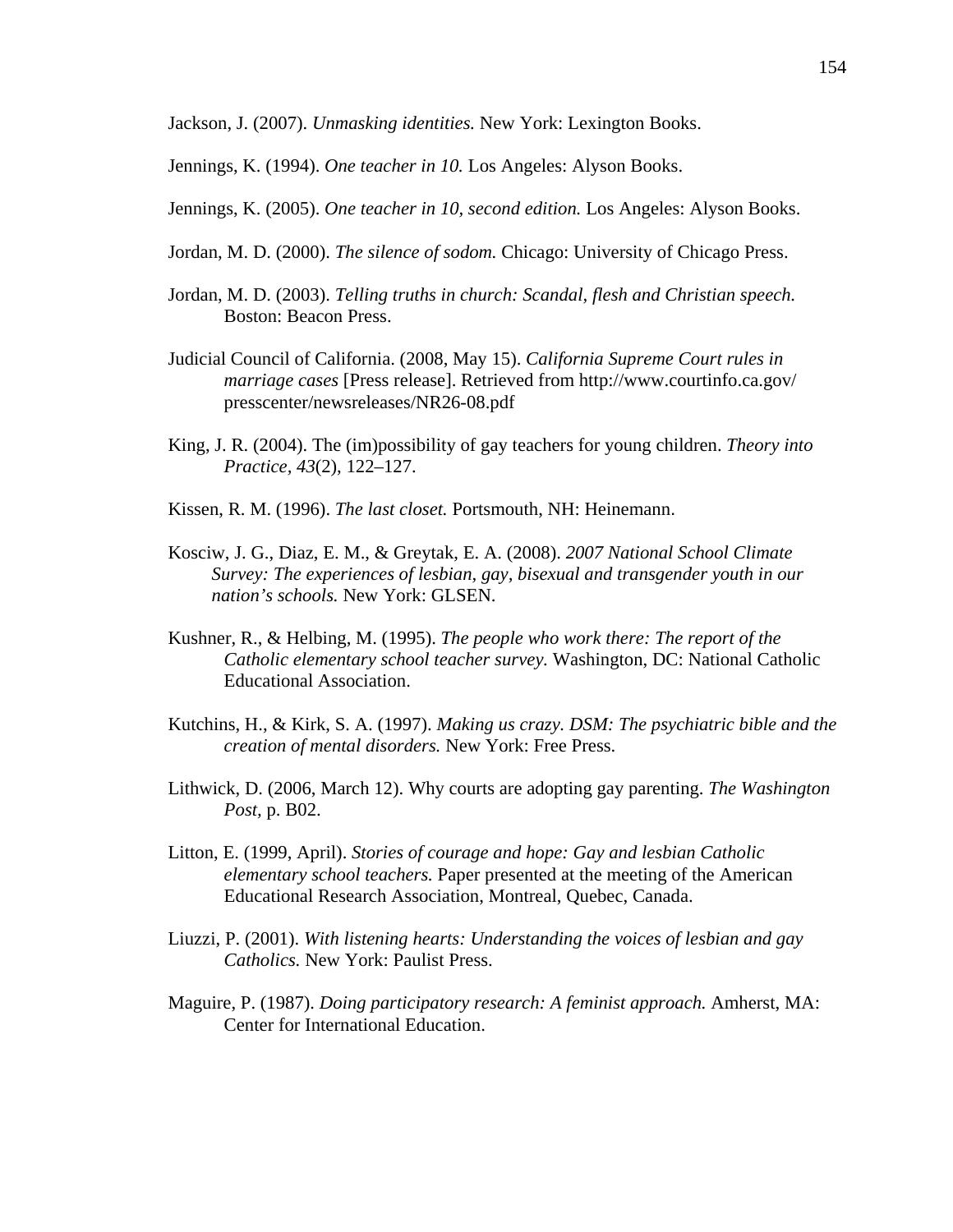Jackson, J. (2007). *Unmasking identities.* New York: Lexington Books.

Jennings, K. (1994). *One teacher in 10.* Los Angeles: Alyson Books.

- Jennings, K. (2005). *One teacher in 10, second edition.* Los Angeles: Alyson Books.
- Jordan, M. D. (2000). *The silence of sodom.* Chicago: University of Chicago Press.
- Jordan, M. D. (2003). *Telling truths in church: Scandal, flesh and Christian speech.* Boston: Beacon Press.
- Judicial Council of California. (2008, May 15). *California Supreme Court rules in marriage cases* [Press release]. Retrieved from http://www.courtinfo.ca.gov/ presscenter/newsreleases/NR26-08.pdf
- King, J. R. (2004). The (im)possibility of gay teachers for young children. *Theory into Practice, 43*(2), 122–127.
- Kissen, R. M. (1996). *The last closet.* Portsmouth, NH: Heinemann.
- Kosciw, J. G., Diaz, E. M., & Greytak, E. A. (2008). *2007 National School Climate Survey: The experiences of lesbian, gay, bisexual and transgender youth in our nation's schools.* New York: GLSEN.
- Kushner, R., & Helbing, M. (1995). *The people who work there: The report of the Catholic elementary school teacher survey.* Washington, DC: National Catholic Educational Association.
- Kutchins, H., & Kirk, S. A. (1997). *Making us crazy. DSM: The psychiatric bible and the creation of mental disorders.* New York: Free Press.
- Lithwick, D. (2006, March 12). Why courts are adopting gay parenting. *The Washington Post,* p. B02.
- Litton, E. (1999, April). *Stories of courage and hope: Gay and lesbian Catholic elementary school teachers.* Paper presented at the meeting of the American Educational Research Association, Montreal, Quebec, Canada.
- Liuzzi, P. (2001). *With listening hearts: Understanding the voices of lesbian and gay Catholics.* New York: Paulist Press.
- Maguire, P. (1987). *Doing participatory research: A feminist approach.* Amherst, MA: Center for International Education.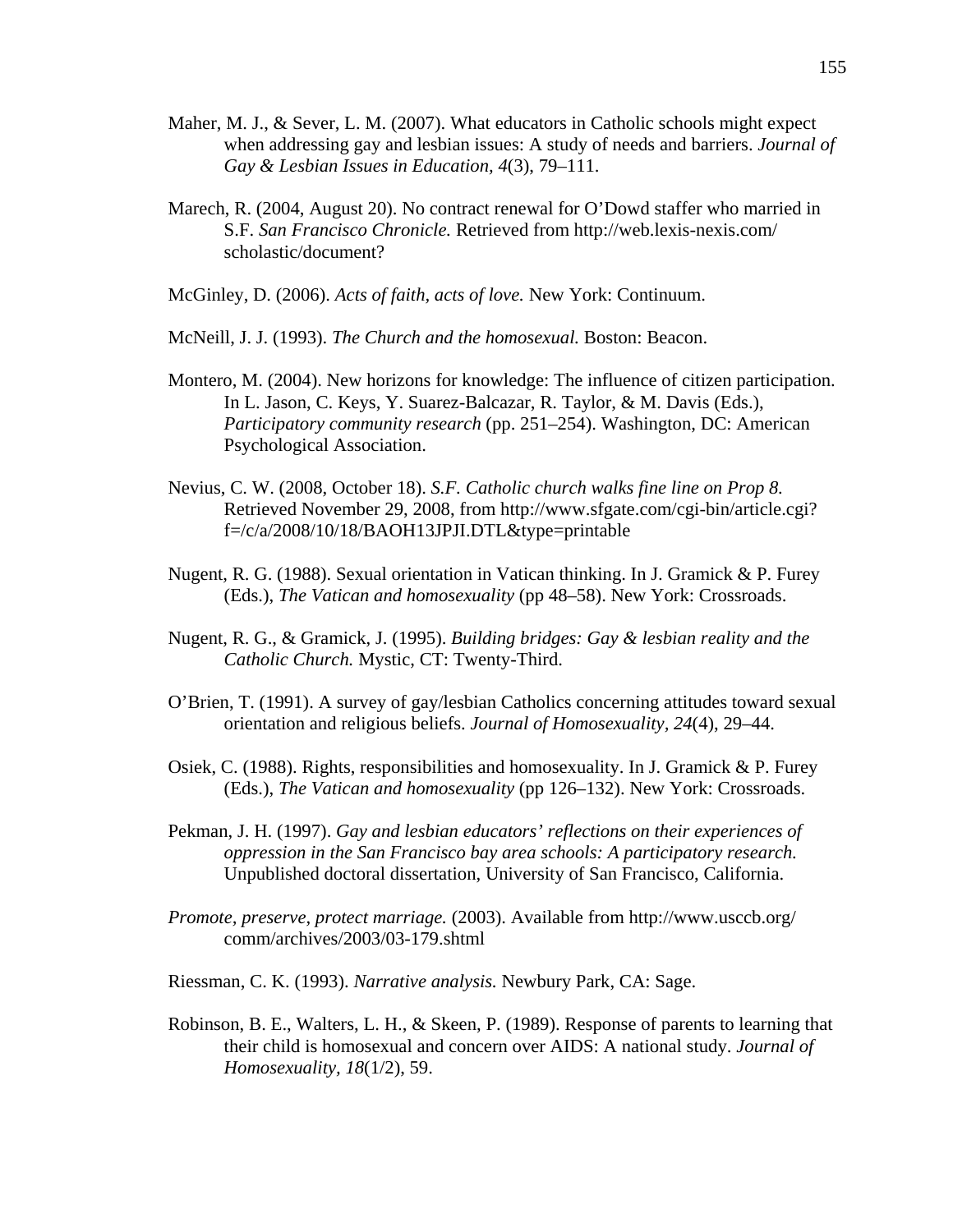- Maher, M. J., & Sever, L. M. (2007). What educators in Catholic schools might expect when addressing gay and lesbian issues: A study of needs and barriers. *Journal of Gay & Lesbian Issues in Education, 4*(3), 79–111.
- Marech, R. (2004, August 20). No contract renewal for O'Dowd staffer who married in S.F. *San Francisco Chronicle.* Retrieved from [http://web.lexis-nexis.com/](http://web.lexis-nexis.com/scholastic/document)  [scholastic/document?](http://web.lexis-nexis.com/scholastic/document)
- McGinley, D. (2006). *Acts of faith, acts of love.* New York: Continuum.
- McNeill, J. J. (1993). *The Church and the homosexual.* Boston: Beacon.
- Montero, M. (2004). New horizons for knowledge: The influence of citizen participation. In L. Jason, C. Keys, Y. Suarez-Balcazar, R. Taylor, & M. Davis (Eds.), *Participatory community research* (pp. 251–254). Washington, DC: American Psychological Association.
- Nevius, C. W. (2008, October 18). *S.F. Catholic church walks fine line on Prop 8.* Retrieved November 29, 2008, from [http://www.sfgate.com/cgi-bin/article.cgi?](http://www.sfgate.com/cgi-bin/article.cgi?f=/c/a/2008/10/18/BAOH13JPJI.DTL&type=printable)  [f=/c/a/2008/10/18/BAOH13JPJI.DTL&type=printable](http://www.sfgate.com/cgi-bin/article.cgi?f=/c/a/2008/10/18/BAOH13JPJI.DTL&type=printable)
- Nugent, R. G. (1988). Sexual orientation in Vatican thinking. In J. Gramick & P. Furey (Eds.), *The Vatican and homosexuality* (pp 48–58). New York: Crossroads.
- Nugent, R. G., & Gramick, J. (1995). *Building bridges: Gay & lesbian reality and the Catholic Church.* Mystic, CT: Twenty-Third.
- O'Brien, T. (1991). A survey of gay/lesbian Catholics concerning attitudes toward sexual orientation and religious beliefs. *Journal of Homosexuality, 24*(4), 29–44.
- Osiek, C. (1988). Rights, responsibilities and homosexuality. In J. Gramick & P. Furey (Eds.), *The Vatican and homosexuality* (pp 126–132). New York: Crossroads.
- Pekman, J. H. (1997). *Gay and lesbian educators' reflections on their experiences of oppression in the San Francisco bay area schools: A participatory research.* Unpublished doctoral dissertation, University of San Francisco, California.
- *Promote, preserve, protect marriage.* (2003). Available from [http://www.usccb.org/](http://www.usccb.org/comm/archives/2003/03-179.shtml)  [comm/archives/2003/03-179.shtml](http://www.usccb.org/comm/archives/2003/03-179.shtml)
- Riessman, C. K. (1993). *Narrative analysis.* Newbury Park, CA: Sage.
- Robinson, B. E., Walters, L. H., & Skeen, P. (1989). Response of parents to learning that their child is homosexual and concern over AIDS: A national study. *Journal of Homosexuality, 18*(1/2), 59.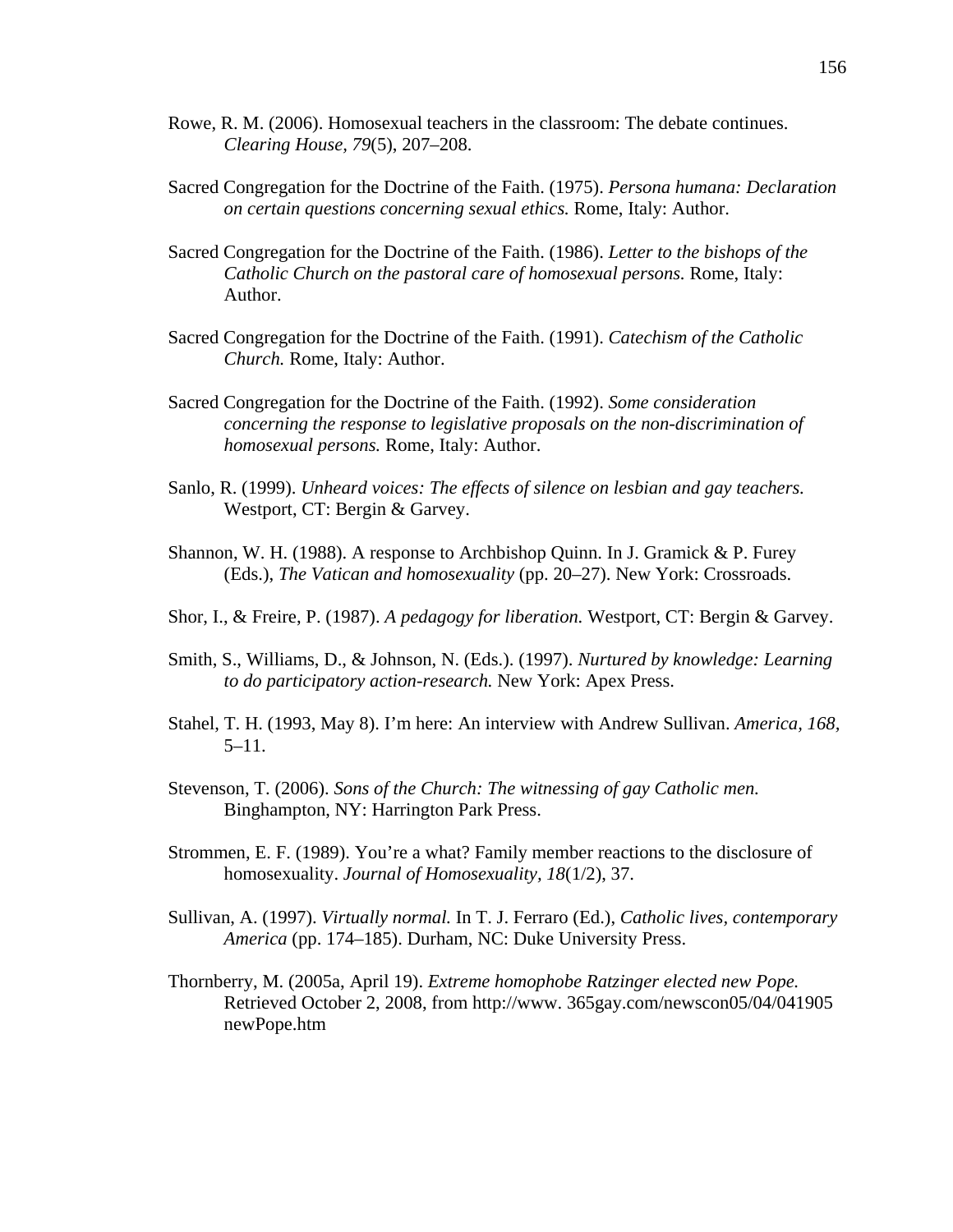- Rowe, R. M. (2006). Homosexual teachers in the classroom: The debate continues. *Clearing House, 79*(5), 207–208.
- Sacred Congregation for the Doctrine of the Faith. (1975). *Persona humana: Declaration on certain questions concerning sexual ethics.* Rome, Italy: Author.
- Sacred Congregation for the Doctrine of the Faith. (1986). *Letter to the bishops of the Catholic Church on the pastoral care of homosexual persons.* Rome, Italy: Author.
- Sacred Congregation for the Doctrine of the Faith. (1991). *Catechism of the Catholic Church.* Rome, Italy: Author.
- Sacred Congregation for the Doctrine of the Faith. (1992). *Some consideration concerning the response to legislative proposals on the non-discrimination of homosexual persons.* Rome, Italy: Author.
- Sanlo, R. (1999). *Unheard voices: The effects of silence on lesbian and gay teachers.*  Westport, CT: Bergin & Garvey.
- Shannon, W. H. (1988). A response to Archbishop Quinn. In J. Gramick & P. Furey (Eds.), *The Vatican and homosexuality* (pp. 20–27). New York: Crossroads.
- Shor, I., & Freire, P. (1987). *A pedagogy for liberation.* Westport, CT: Bergin & Garvey.
- Smith, S., Williams, D., & Johnson, N. (Eds.). (1997). *Nurtured by knowledge: Learning to do participatory action-research.* New York: Apex Press.
- Stahel, T. H. (1993, May 8). I'm here: An interview with Andrew Sullivan. *America, 168,* 5–11.
- Stevenson, T. (2006). *Sons of the Church: The witnessing of gay Catholic men.* Binghampton, NY: Harrington Park Press.
- Strommen, E. F. (1989). You're a what? Family member reactions to the disclosure of homosexuality. *Journal of Homosexuality, 18*(1/2), 37.
- Sullivan, A. (1997). *Virtually normal.* In T. J. Ferraro (Ed.), *Catholic lives, contemporary America* (pp. 174–185). Durham, NC: Duke University Press.
- Thornberry, M. (2005a, April 19). *Extreme homophobe Ratzinger elected new Pope.* Retrieved October 2, 2008, from [http://www](http://www/). 365gay.com/newscon05/04/041905 newPope.htm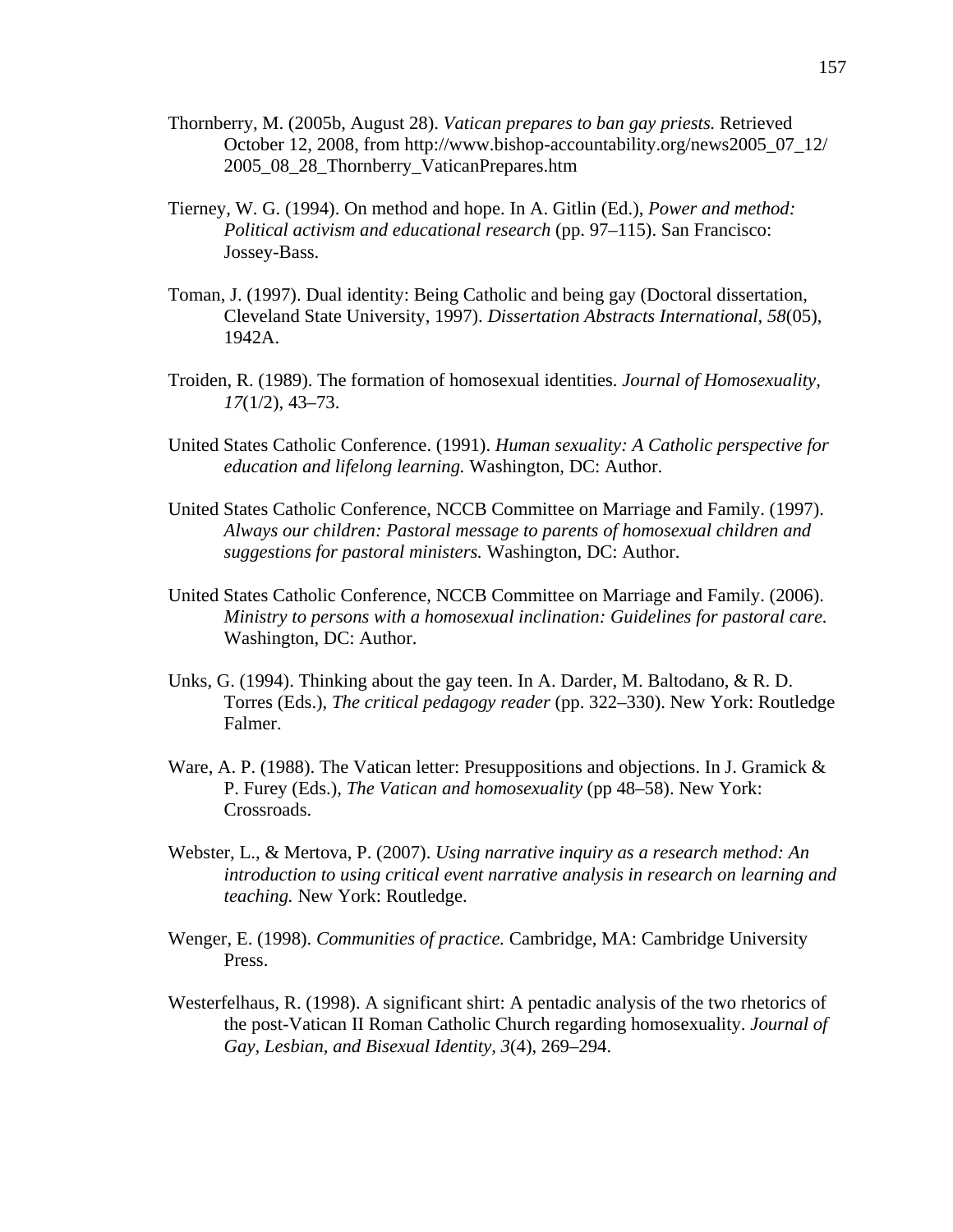- Thornberry, M. (2005b, August 28). *Vatican prepares to ban gay priests.* Retrieved October 12, 2008, from [http://www.bishop-accountability.org/news2005\\_07\\_12/](http://www.bishop-accountability.org/news2005_07_12/2005_08_28_Thornberry_VaticanPrepares.htm)  [2005\\_08\\_28\\_Thornberry\\_VaticanPrepares.htm](http://www.bishop-accountability.org/news2005_07_12/2005_08_28_Thornberry_VaticanPrepares.htm)
- Tierney, W. G. (1994). On method and hope. In A. Gitlin (Ed.), *Power and method: Political activism and educational research* (pp. 97–115). San Francisco: Jossey-Bass.
- Toman, J. (1997). Dual identity: Being Catholic and being gay (Doctoral dissertation, Cleveland State University, 1997). *Dissertation Abstracts International, 58*(05), 1942A.
- Troiden, R. (1989). The formation of homosexual identities. *Journal of Homosexuality, 17*(1/2), 43–73.
- United States Catholic Conference. (1991). *Human sexuality: A Catholic perspective for education and lifelong learning.* Washington, DC: Author.
- United States Catholic Conference, NCCB Committee on Marriage and Family. (1997). *Always our children: Pastoral message to parents of homosexual children and suggestions for pastoral ministers.* Washington, DC: Author.
- United States Catholic Conference, NCCB Committee on Marriage and Family. (2006). *Ministry to persons with a homosexual inclination: Guidelines for pastoral care.* Washington, DC: Author.
- Unks, G. (1994). Thinking about the gay teen. In A. Darder, M. Baltodano, & R. D. Torres (Eds.), *The critical pedagogy reader* (pp. 322–330). New York: Routledge Falmer.
- Ware, A. P. (1988). The Vatican letter: Presuppositions and objections. In J. Gramick  $\&$ P. Furey (Eds.), *The Vatican and homosexuality* (pp 48–58). New York: Crossroads.
- Webster, L., & Mertova, P. (2007). *Using narrative inquiry as a research method: An introduction to using critical event narrative analysis in research on learning and teaching.* New York: Routledge.
- Wenger, E. (1998). *Communities of practice.* Cambridge, MA: Cambridge University Press.
- Westerfelhaus, R. (1998). A significant shirt: A pentadic analysis of the two rhetorics of the post-Vatican II Roman Catholic Church regarding homosexuality. *Journal of Gay, Lesbian, and Bisexual Identity, 3*(4), 269–294.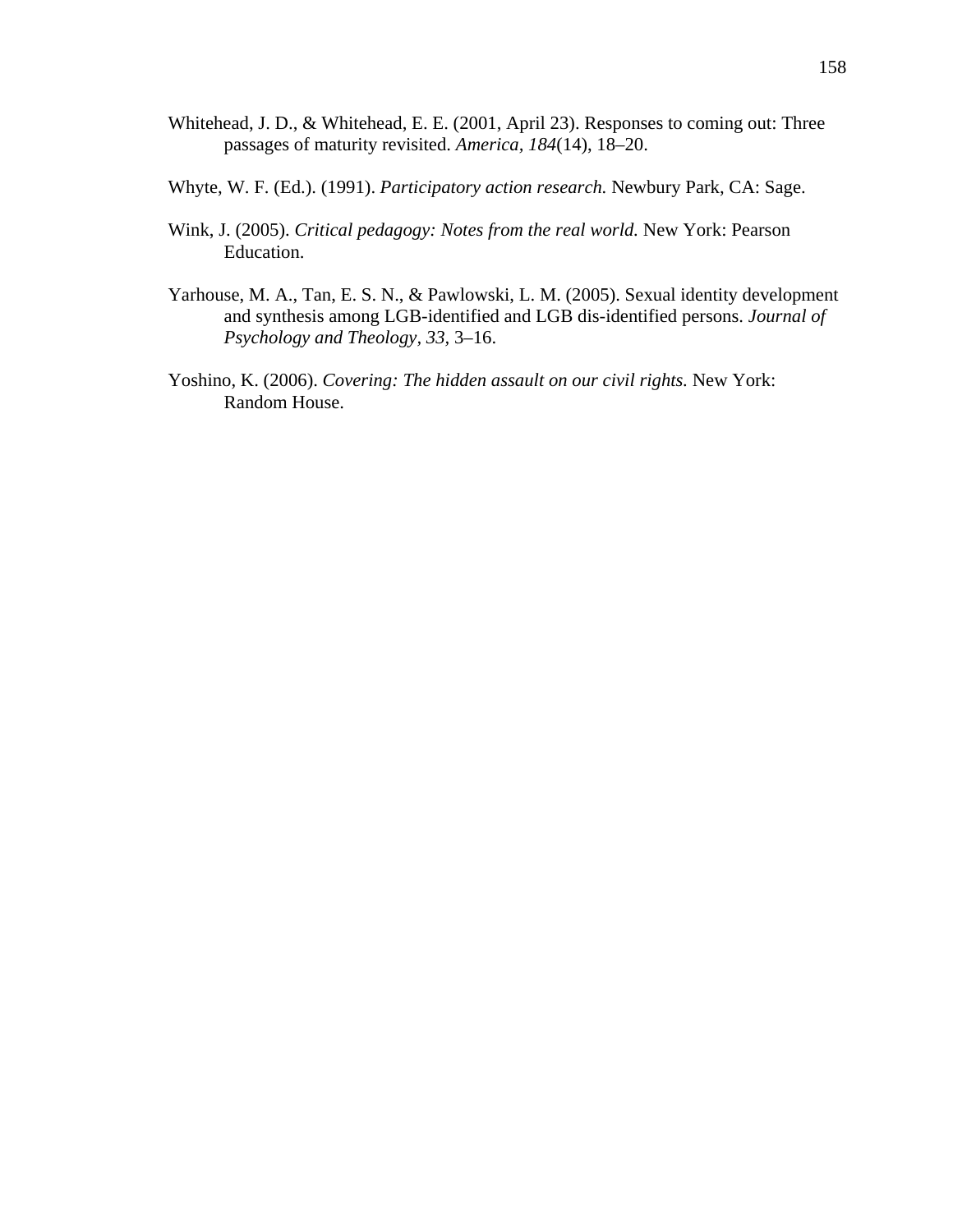- Whitehead, J. D., & Whitehead, E. E. (2001, April 23). Responses to coming out: Three passages of maturity revisited. *America, 184*(14), 18–20.
- Whyte, W. F. (Ed.). (1991). *Participatory action research.* Newbury Park, CA: Sage.
- Wink, J. (2005). *Critical pedagogy: Notes from the real world.* New York: Pearson Education.
- Yarhouse, M. A., Tan, E. S. N., & Pawlowski, L. M. (2005). Sexual identity development and synthesis among LGB-identified and LGB dis-identified persons. *Journal of Psychology and Theology, 33,* 3–16.
- Yoshino, K. (2006). *Covering: The hidden assault on our civil rights.* New York: Random House.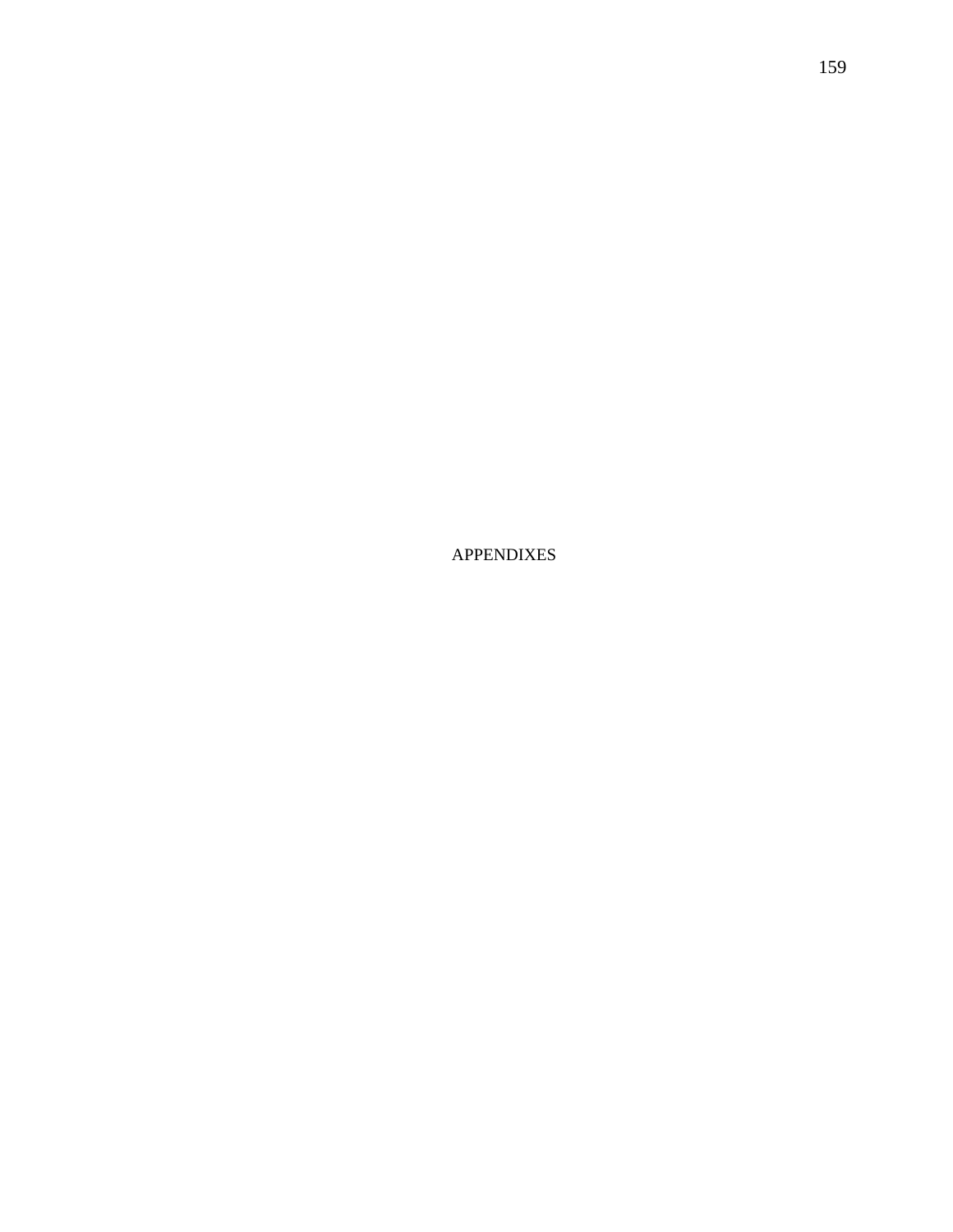APPENDIXES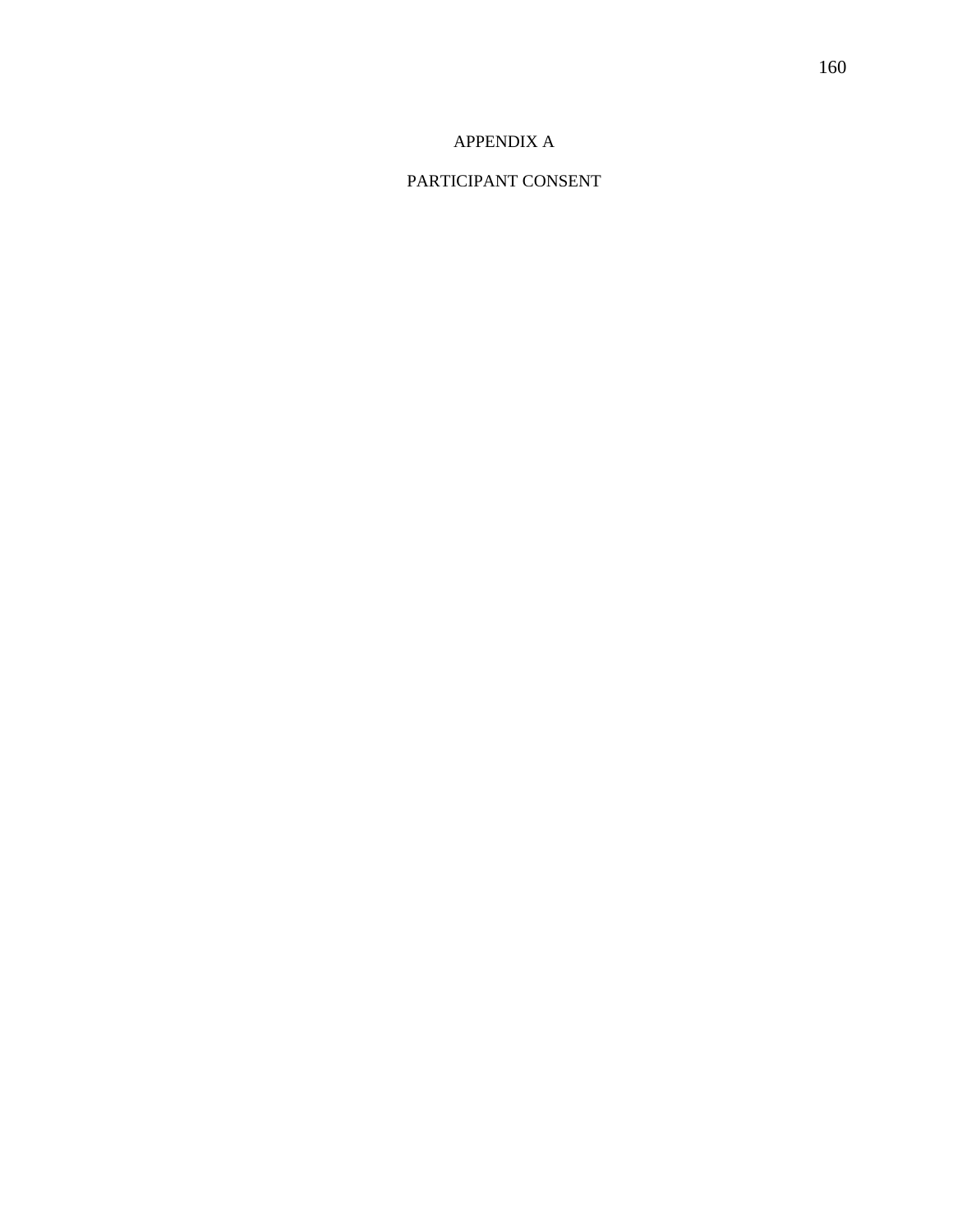## APPENDIX A

# PARTICIPANT CONSENT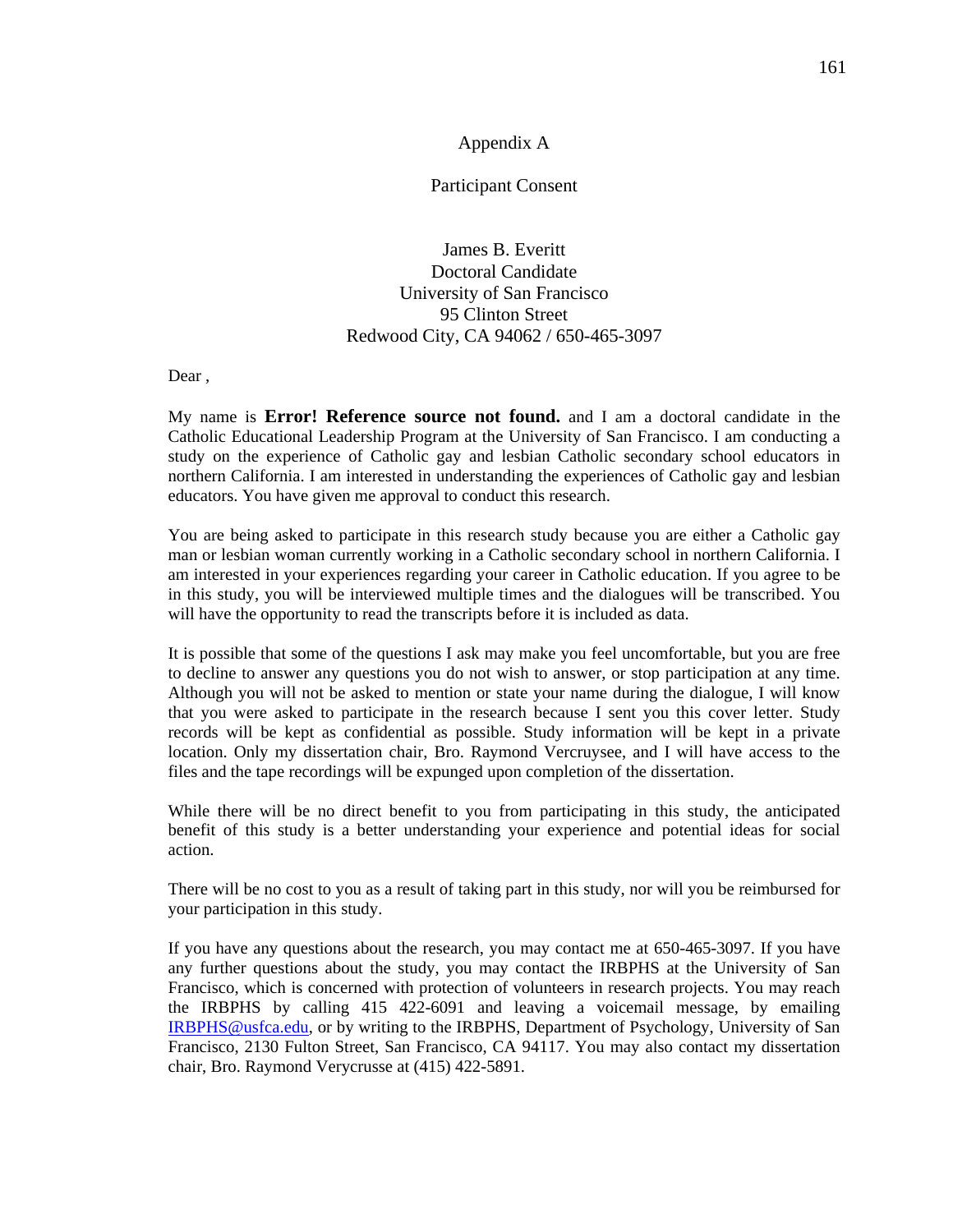### Appendix A

Participant Consent

James B. Everitt Doctoral Candidate University of San Francisco 95 Clinton Street Redwood City, CA 94062 / 650-465-3097

Dear ,

My name is **Error! Reference source not found.** and I am a doctoral candidate in the Catholic Educational Leadership Program at the University of San Francisco. I am conducting a study on the experience of Catholic gay and lesbian Catholic secondary school educators in northern California. I am interested in understanding the experiences of Catholic gay and lesbian educators. You have given me approval to conduct this research.

You are being asked to participate in this research study because you are either a Catholic gay man or lesbian woman currently working in a Catholic secondary school in northern California. I am interested in your experiences regarding your career in Catholic education. If you agree to be in this study, you will be interviewed multiple times and the dialogues will be transcribed. You will have the opportunity to read the transcripts before it is included as data.

It is possible that some of the questions I ask may make you feel uncomfortable, but you are free to decline to answer any questions you do not wish to answer, or stop participation at any time. Although you will not be asked to mention or state your name during the dialogue, I will know that you were asked to participate in the research because I sent you this cover letter. Study records will be kept as confidential as possible. Study information will be kept in a private location. Only my dissertation chair, Bro. Raymond Vercruysee, and I will have access to the files and the tape recordings will be expunged upon completion of the dissertation.

While there will be no direct benefit to you from participating in this study, the anticipated benefit of this study is a better understanding your experience and potential ideas for social action.

There will be no cost to you as a result of taking part in this study, nor will you be reimbursed for your participation in this study.

If you have any questions about the research, you may contact me at 650-465-3097. If you have any further questions about the study, you may contact the IRBPHS at the University of San Francisco, which is concerned with protection of volunteers in research projects. You may reach the IRBPHS by calling 415 422-6091 and leaving a voicemail message, by emailing [IRBPHS@usfca.edu](mailto:IRBPHS@usfca.edu), or by writing to the IRBPHS, Department of Psychology, University of San Francisco, 2130 Fulton Street, San Francisco, CA 94117. You may also contact my dissertation chair, Bro. Raymond Verycrusse at (415) 422-5891.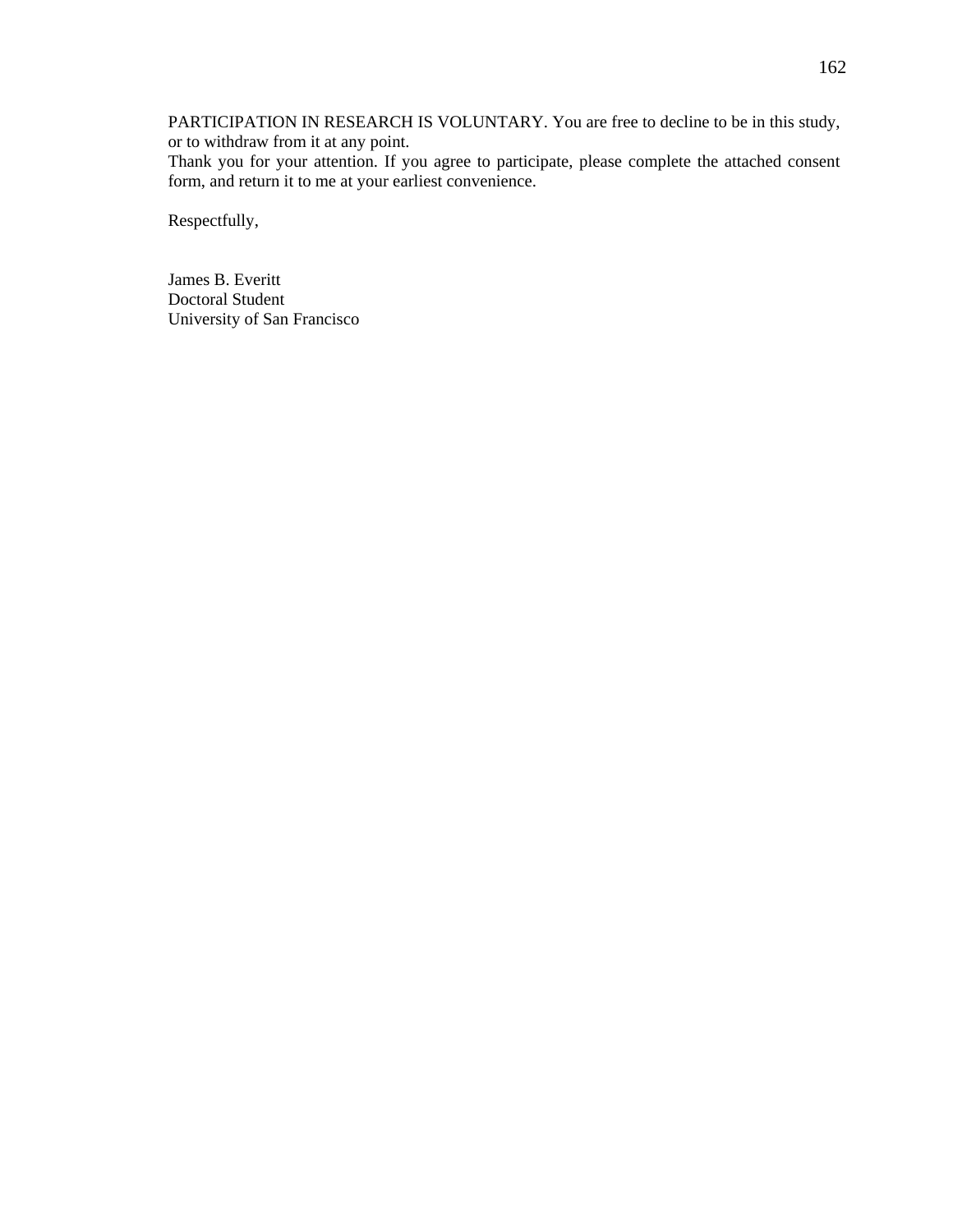PARTICIPATION IN RESEARCH IS VOLUNTARY. You are free to decline to be in this study, or to withdraw from it at any point.

Thank you for your attention. If you agree to participate, please complete the attached consent form, and return it to me at your earliest convenience.

Respectfully,

James B. Everitt Doctoral Student University of San Francisco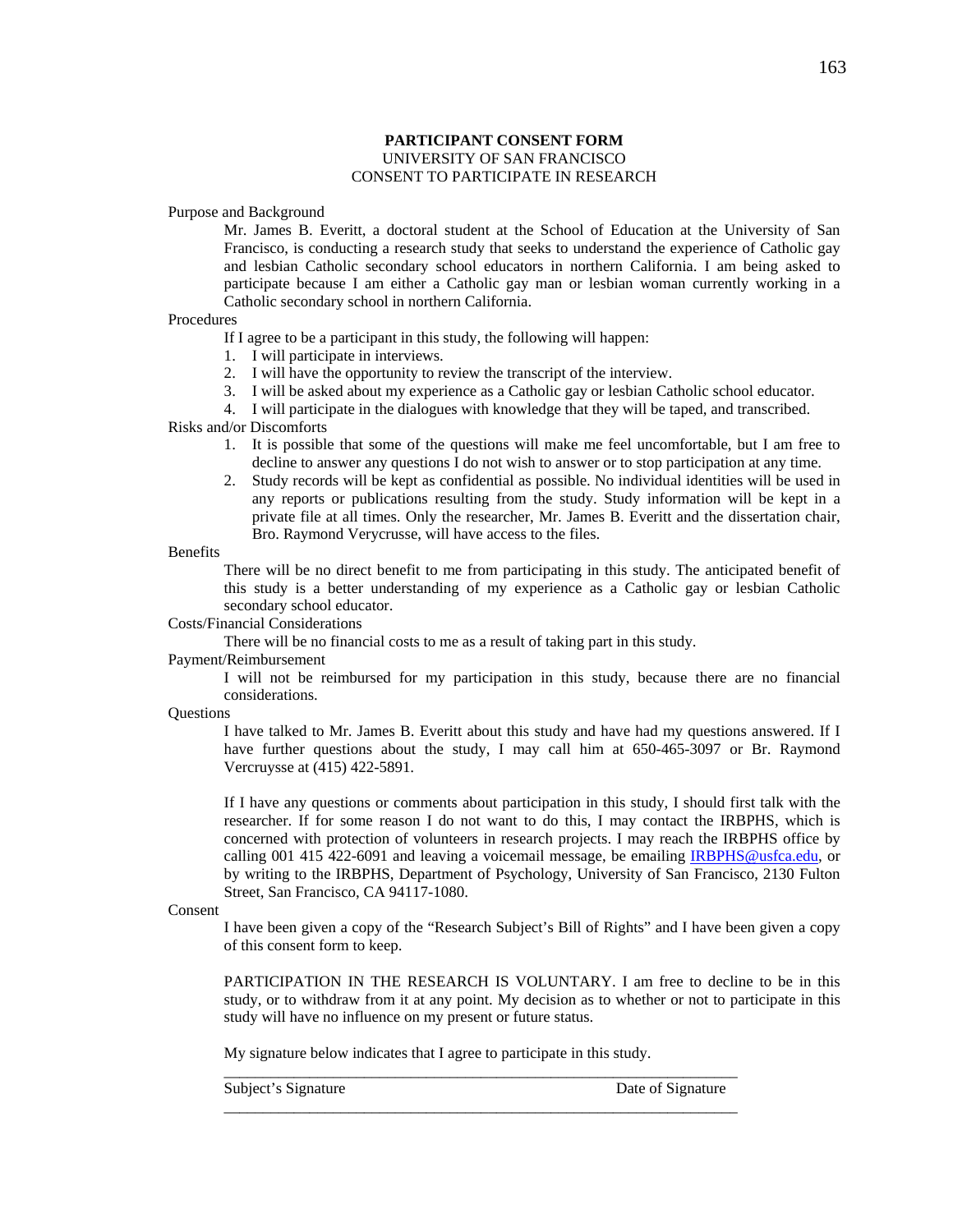### **PARTICIPANT CONSENT FORM** UNIVERSITY OF SAN FRANCISCO CONSENT TO PARTICIPATE IN RESEARCH

Purpose and Background

Mr. James B. Everitt, a doctoral student at the School of Education at the University of San Francisco, is conducting a research study that seeks to understand the experience of Catholic gay and lesbian Catholic secondary school educators in northern California. I am being asked to participate because I am either a Catholic gay man or lesbian woman currently working in a Catholic secondary school in northern California.

#### Procedures

If I agree to be a participant in this study, the following will happen:

- 1. I will participate in interviews.
- 2. I will have the opportunity to review the transcript of the interview.
- 3. I will be asked about my experience as a Catholic gay or lesbian Catholic school educator.

4. I will participate in the dialogues with knowledge that they will be taped, and transcribed.

Risks and/or Discomforts

- 1. It is possible that some of the questions will make me feel uncomfortable, but I am free to decline to answer any questions I do not wish to answer or to stop participation at any time.
- 2. Study records will be kept as confidential as possible. No individual identities will be used in any reports or publications resulting from the study. Study information will be kept in a private file at all times. Only the researcher, Mr. James B. Everitt and the dissertation chair, Bro. Raymond Verycrusse, will have access to the files.

Benefits

There will be no direct benefit to me from participating in this study. The anticipated benefit of this study is a better understanding of my experience as a Catholic gay or lesbian Catholic secondary school educator.

#### Costs/Financial Considerations

There will be no financial costs to me as a result of taking part in this study.

#### Payment/Reimbursement

I will not be reimbursed for my participation in this study, because there are no financial considerations.

**Questions** 

I have talked to Mr. James B. Everitt about this study and have had my questions answered. If I have further questions about the study, I may call him at 650-465-3097 or Br. Raymond Vercruysse at (415) 422-5891.

If I have any questions or comments about participation in this study, I should first talk with the researcher. If for some reason I do not want to do this, I may contact the IRBPHS, which is concerned with protection of volunteers in research projects. I may reach the IRBPHS office by calling 001 415 422-6091 and leaving a voicemail message, be emailing [IRBPHS@usfca.edu,](mailto:IRBPHS@usfca.edu) or by writing to the IRBPHS, Department of Psychology, University of San Francisco, 2130 Fulton Street, San Francisco, CA 94117-1080.

#### Consent

I have been given a copy of the "Research Subject's Bill of Rights" and I have been given a copy of this consent form to keep.

PARTICIPATION IN THE RESEARCH IS VOLUNTARY. I am free to decline to be in this study, or to withdraw from it at any point. My decision as to whether or not to participate in this study will have no influence on my present or future status.

My signature below indicates that I agree to participate in this study.

\_\_\_\_\_\_\_\_\_\_\_\_\_\_\_\_\_\_\_\_\_\_\_\_\_\_\_\_\_\_\_\_\_\_\_\_\_\_\_\_\_\_\_\_\_\_\_\_\_\_\_\_\_\_\_\_\_\_\_\_\_\_\_\_\_\_

\_\_\_\_\_\_\_\_\_\_\_\_\_\_\_\_\_\_\_\_\_\_\_\_\_\_\_\_\_\_\_\_\_\_\_\_\_\_\_\_\_\_\_\_\_\_\_\_\_\_\_\_\_\_\_\_\_\_\_\_\_\_\_\_\_\_

Subject's Signature Date of Signature Date of Signature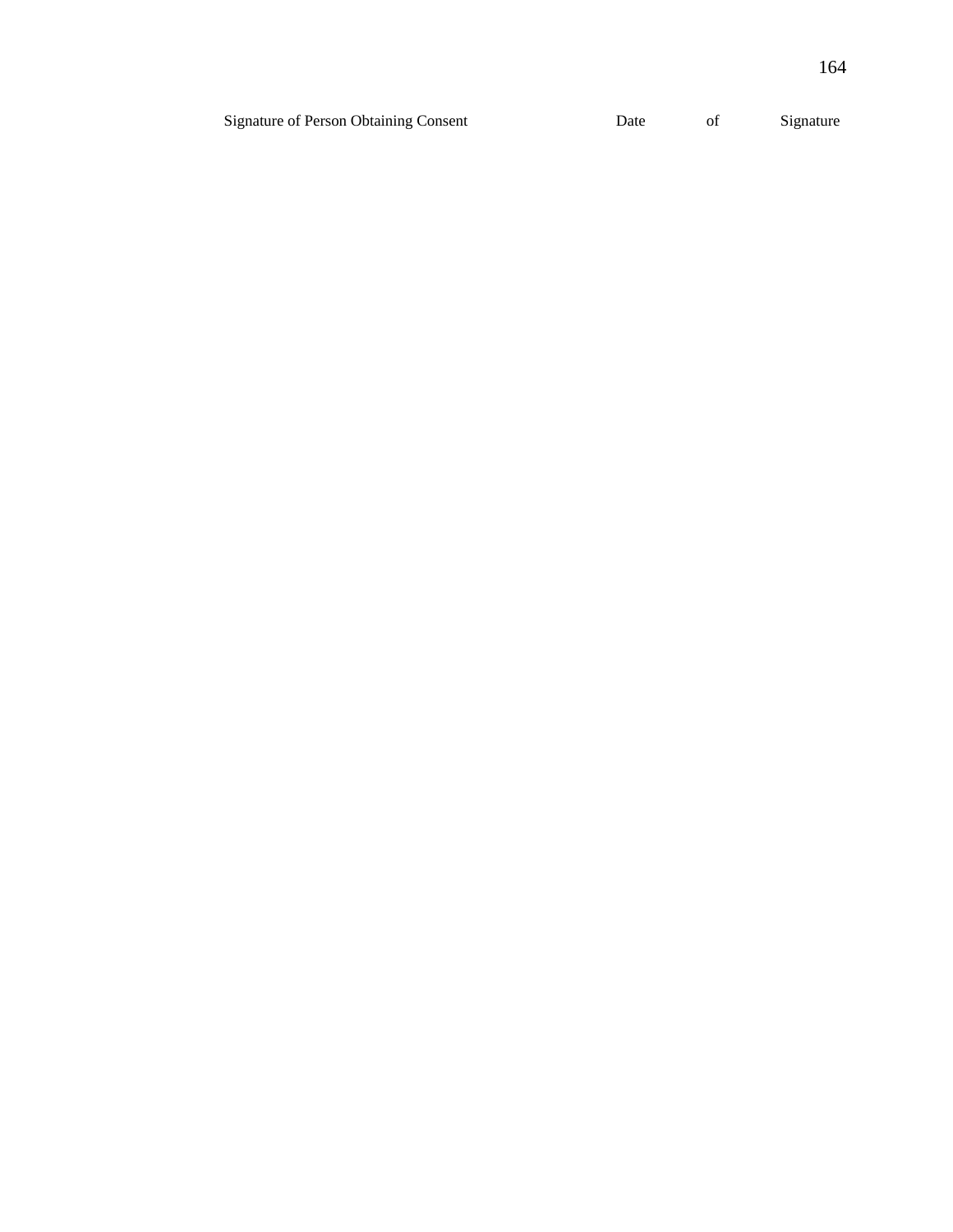| <b>Signature of Person Obtaining Consent</b> | Date | Signature |
|----------------------------------------------|------|-----------|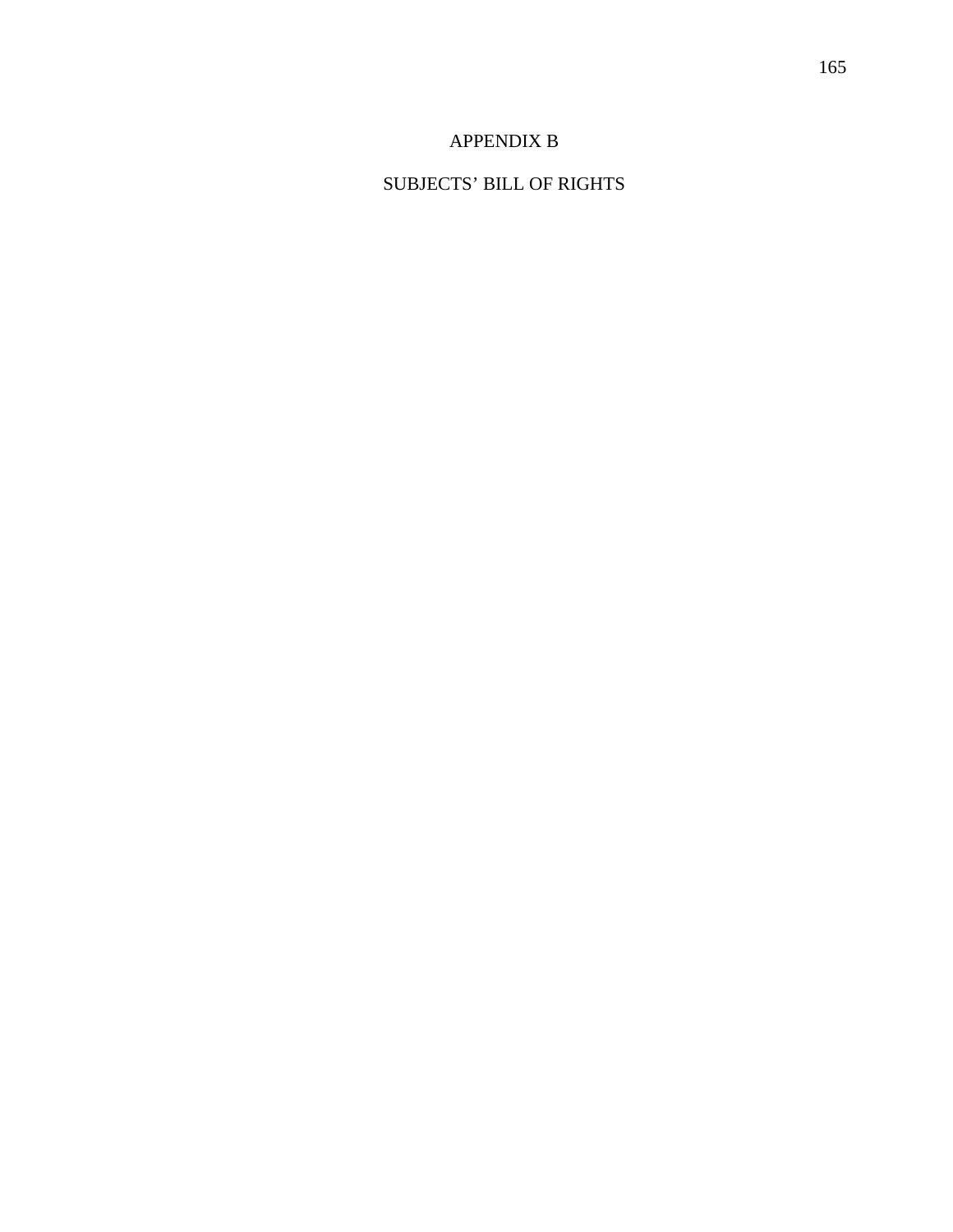# APPENDIX B

# SUBJECTS' BILL OF RIGHTS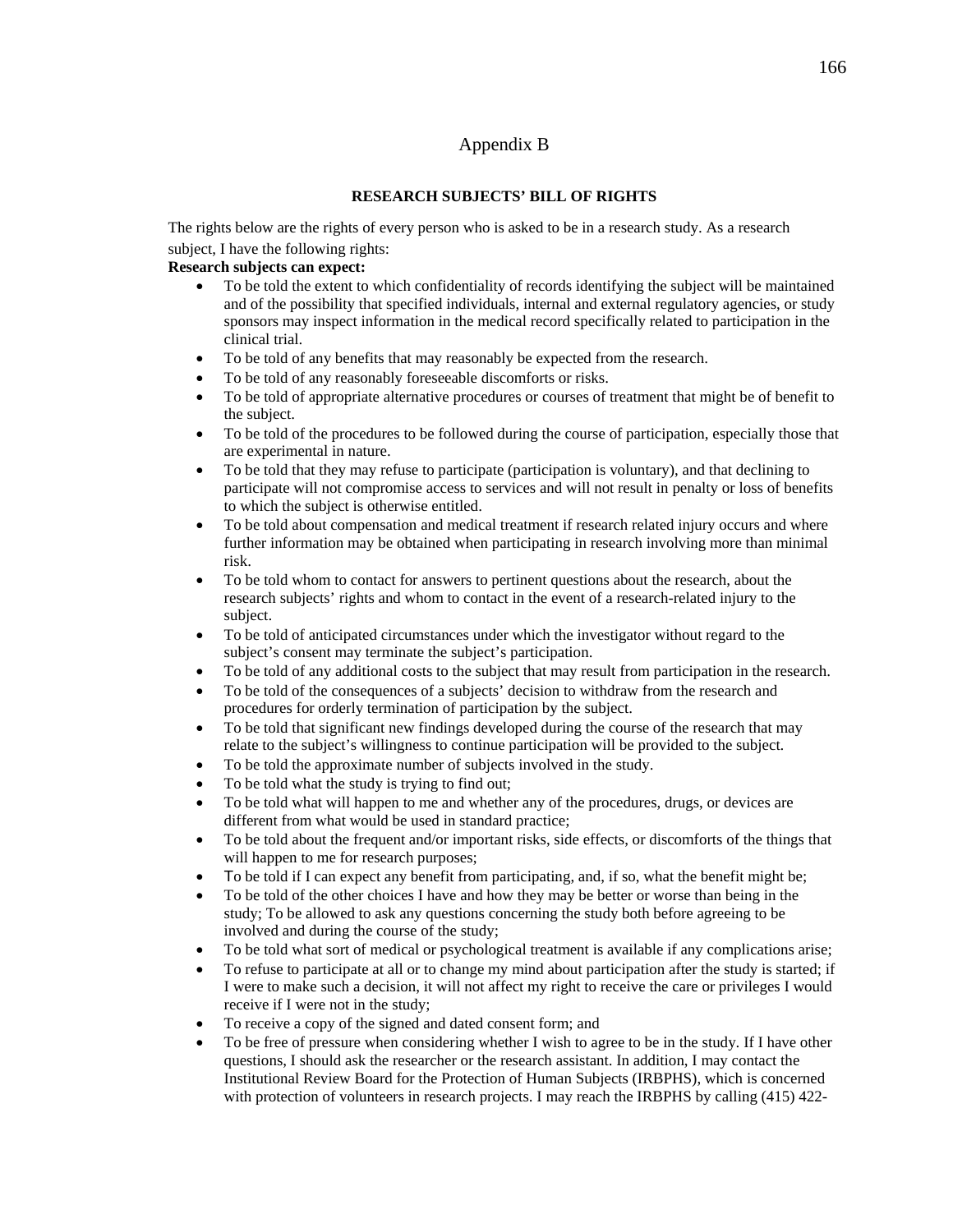# Appendix B

### **RESEARCH SUBJECTS' BILL OF RIGHTS**

The rights below are the rights of every person who is asked to be in a research study. As a research subject, I have the following rights:

### **Research subjects can expect:**

- To be told the extent to which confidentiality of records identifying the subject will be maintained and of the possibility that specified individuals, internal and external regulatory agencies, or study sponsors may inspect information in the medical record specifically related to participation in the clinical trial.
- To be told of any benefits that may reasonably be expected from the research.
- To be told of any reasonably foreseeable discomforts or risks.
- To be told of appropriate alternative procedures or courses of treatment that might be of benefit to the subject.
- To be told of the procedures to be followed during the course of participation, especially those that are experimental in nature.
- To be told that they may refuse to participate (participation is voluntary), and that declining to participate will not compromise access to services and will not result in penalty or loss of benefits to which the subject is otherwise entitled.
- To be told about compensation and medical treatment if research related injury occurs and where further information may be obtained when participating in research involving more than minimal risk.
- To be told whom to contact for answers to pertinent questions about the research, about the research subjects' rights and whom to contact in the event of a research-related injury to the subject.
- To be told of anticipated circumstances under which the investigator without regard to the subject's consent may terminate the subject's participation.
- To be told of any additional costs to the subject that may result from participation in the research.
- To be told of the consequences of a subjects' decision to withdraw from the research and procedures for orderly termination of participation by the subject.
- To be told that significant new findings developed during the course of the research that may relate to the subject's willingness to continue participation will be provided to the subject.
- To be told the approximate number of subjects involved in the study.
- To be told what the study is trying to find out;
- To be told what will happen to me and whether any of the procedures, drugs, or devices are different from what would be used in standard practice;
- To be told about the frequent and/or important risks, side effects, or discomforts of the things that will happen to me for research purposes;
- To be told if I can expect any benefit from participating, and, if so, what the benefit might be;
- To be told of the other choices I have and how they may be better or worse than being in the study; To be allowed to ask any questions concerning the study both before agreeing to be involved and during the course of the study;
- To be told what sort of medical or psychological treatment is available if any complications arise;
- To refuse to participate at all or to change my mind about participation after the study is started; if I were to make such a decision, it will not affect my right to receive the care or privileges I would receive if I were not in the study;
- To receive a copy of the signed and dated consent form; and
- To be free of pressure when considering whether I wish to agree to be in the study. If I have other questions, I should ask the researcher or the research assistant. In addition, I may contact the Institutional Review Board for the Protection of Human Subjects (IRBPHS), which is concerned with protection of volunteers in research projects. I may reach the IRBPHS by calling (415) 422-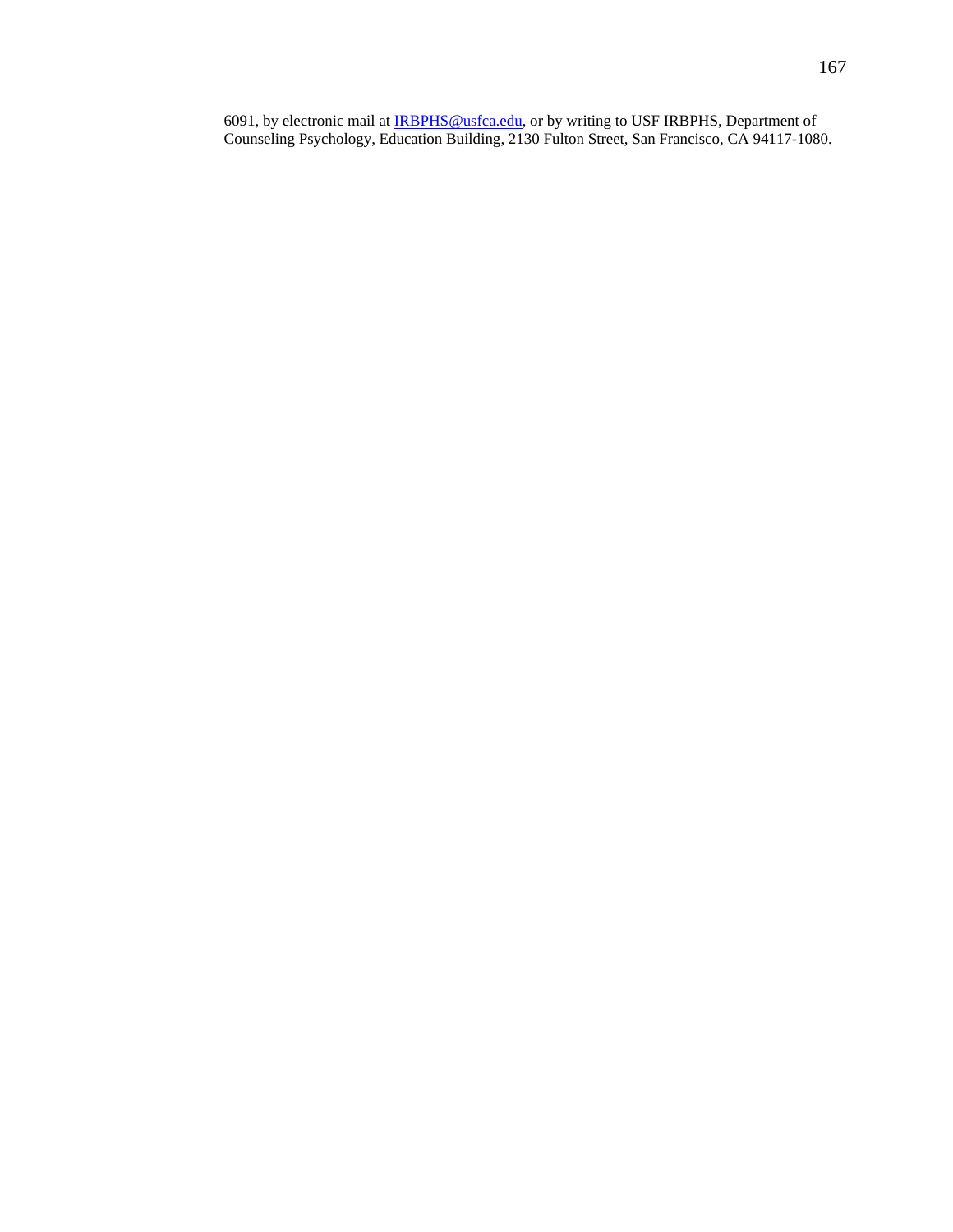6091, by electronic mail at **IRBPHS@usfca.edu**, or by writing to USF IRBPHS, Department of Counseling Psychology, Education Building, 2130 Fulton Street, San Francisco, CA 94117-1080.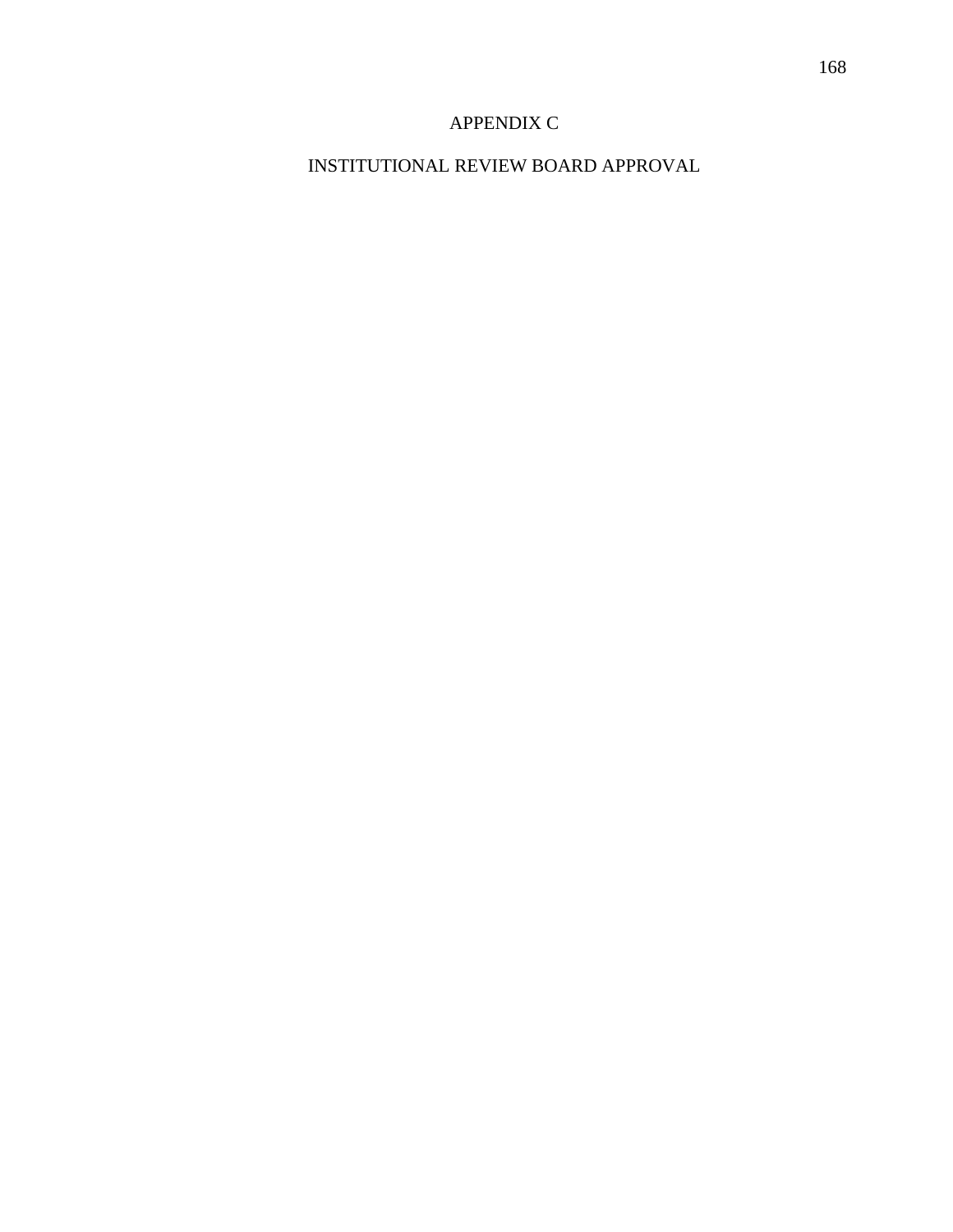# APPENDIX C

# INSTITUTIONAL REVIEW BOARD APPROVAL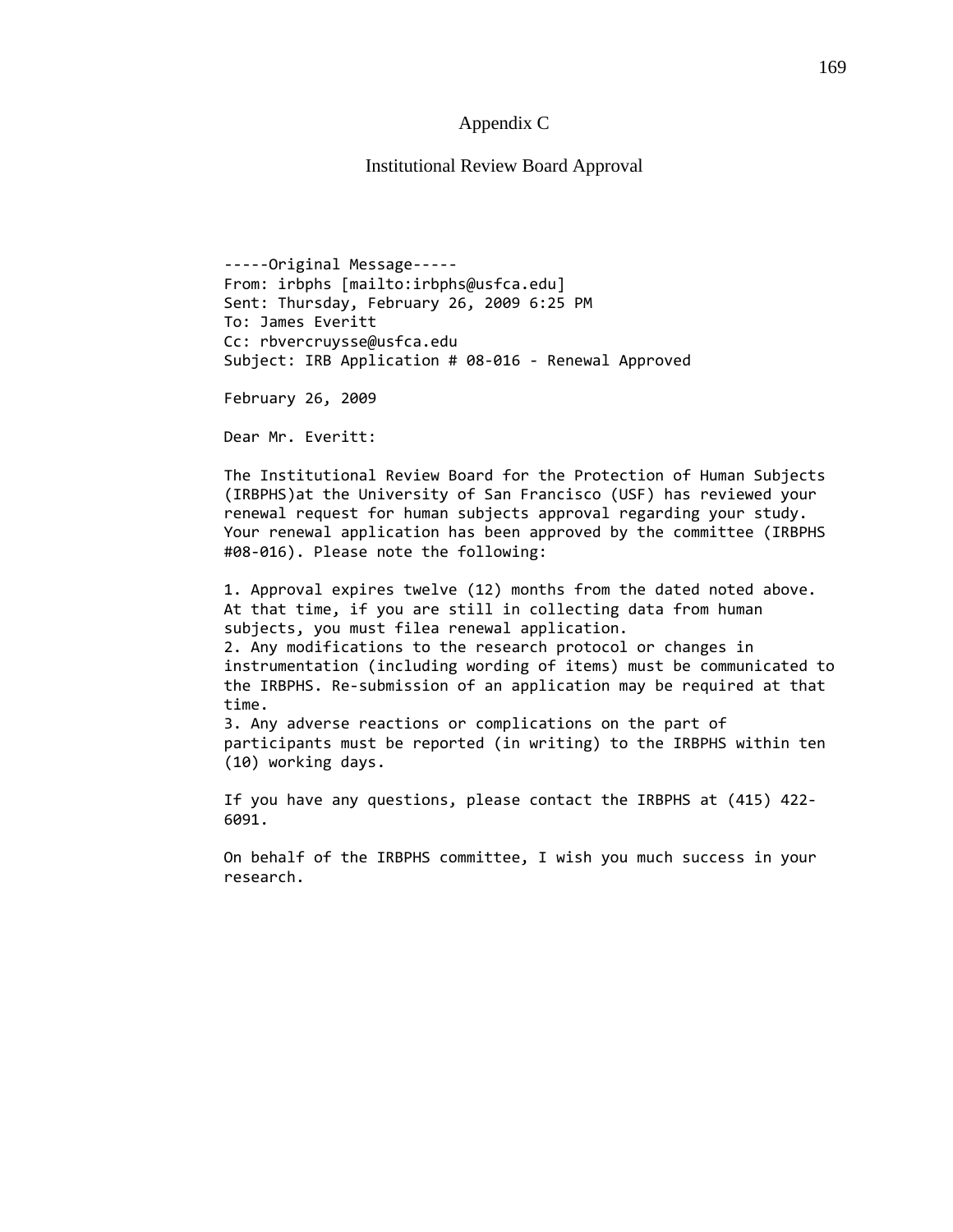### Appendix C

Institutional Review Board Approval

‐‐‐‐‐Original Message‐‐‐‐‐ From: irbphs [mailto:irbphs@usfca.edu] Sent: Thursday, February 26, 2009 6:25 PM To: James Everitt Cc: rbvercruysse@usfca.edu Subject: IRB Application # 08‐016 ‐ Renewal Approved

February 26, 2009

Dear Mr. Everitt:

(10) working days.

The Institutional Review Board for the Protection of Human Subjects (IRBPHS)at the University of San Francisco (USF) has reviewed your renewal request for human subjects approval regarding your study. Your renewal application has been approved by the committee (IRBPHS #08‐016). Please note the following:

1. Approval expires twelve (12) months from the dated noted above. At that time, if you are still in collecting data from human subjects, you must filea renewal application. 2. Any modifications to the research protocol or changes in instrumentation (including wording of items) must be communicated to the IRBPHS. Re‐submission of an application may be required at that time. 3. Any adverse reactions or complications on the part of participants must be reported (in writing) to the IRBPHS within ten

If you have any questions, please contact the IRBPHS at (415) 422‐ 6091.

On behalf of the IRBPHS committee, I wish you much success in your research.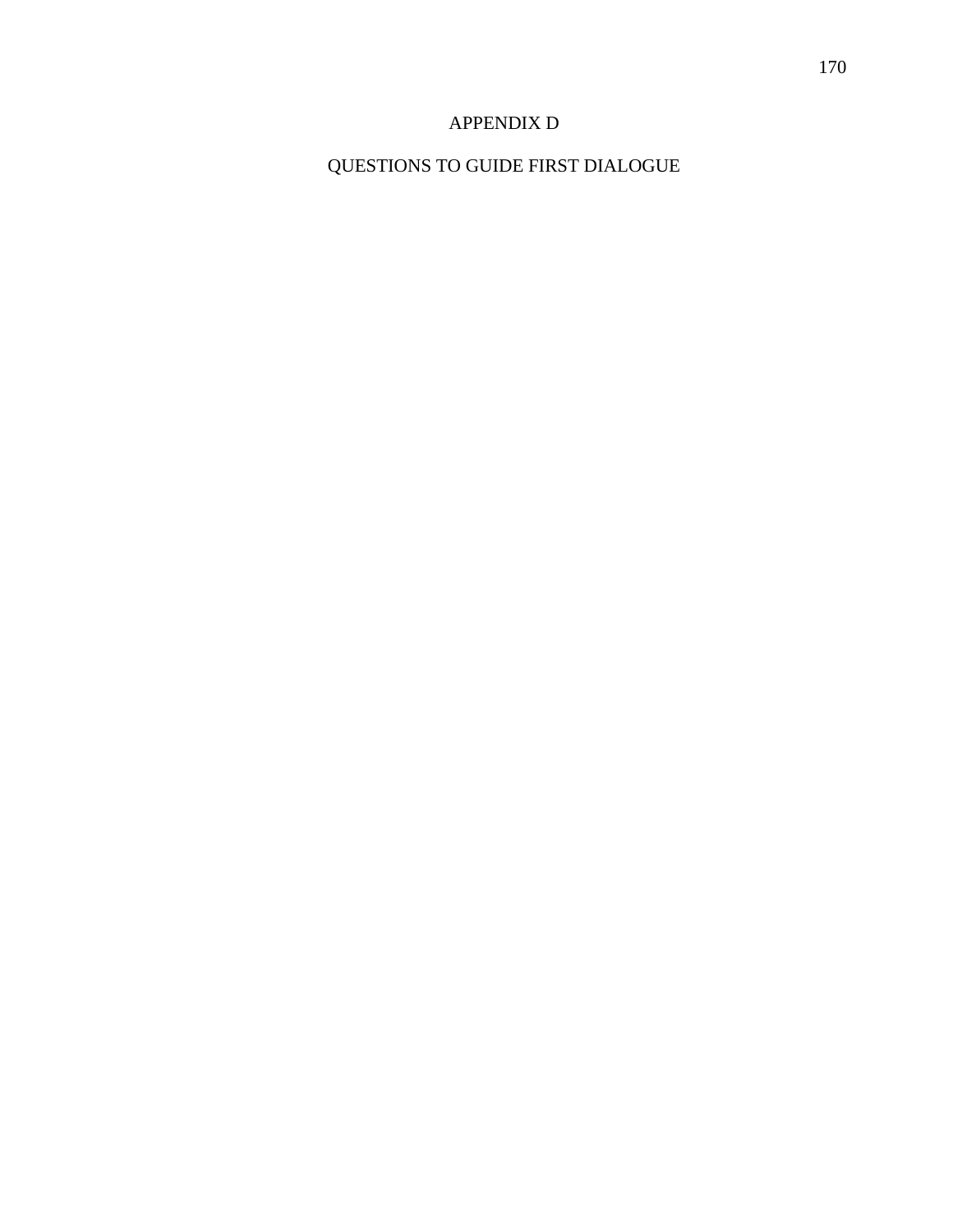### APPENDIX D

# QUESTIONS TO GUIDE FIRST DIALOGUE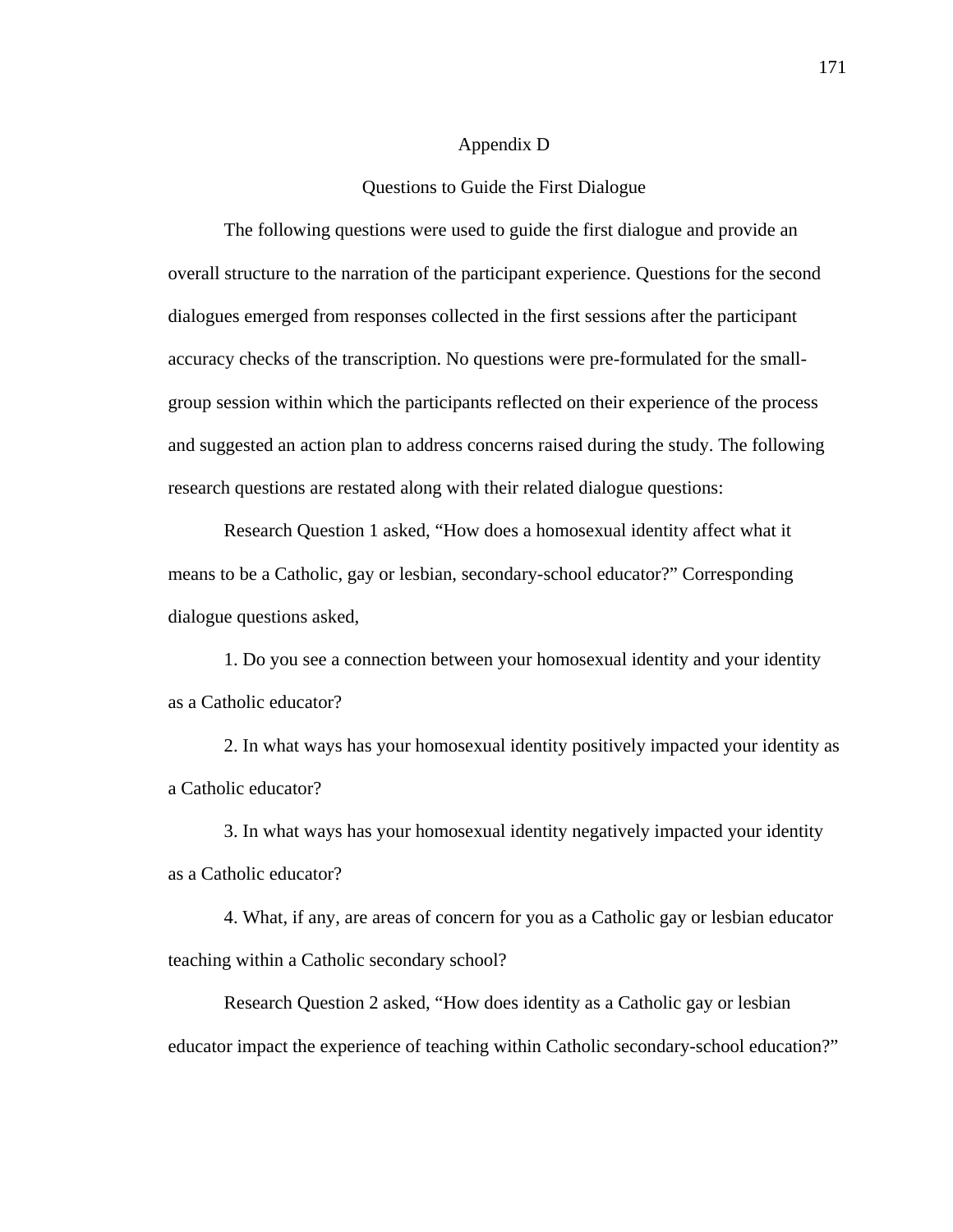#### Appendix D

#### Questions to Guide the First Dialogue

The following questions were used to guide the first dialogue and provide an overall structure to the narration of the participant experience. Questions for the second dialogues emerged from responses collected in the first sessions after the participant accuracy checks of the transcription. No questions were pre-formulated for the smallgroup session within which the participants reflected on their experience of the process and suggested an action plan to address concerns raised during the study. The following research questions are restated along with their related dialogue questions:

Research Question 1 asked, "How does a homosexual identity affect what it means to be a Catholic, gay or lesbian, secondary-school educator?" Corresponding dialogue questions asked,

 1. Do you see a connection between your homosexual identity and your identity as a Catholic educator?

2. In what ways has your homosexual identity positively impacted your identity as a Catholic educator?

3. In what ways has your homosexual identity negatively impacted your identity as a Catholic educator?

4. What, if any, are areas of concern for you as a Catholic gay or lesbian educator teaching within a Catholic secondary school?

Research Question 2 asked, "How does identity as a Catholic gay or lesbian educator impact the experience of teaching within Catholic secondary-school education?"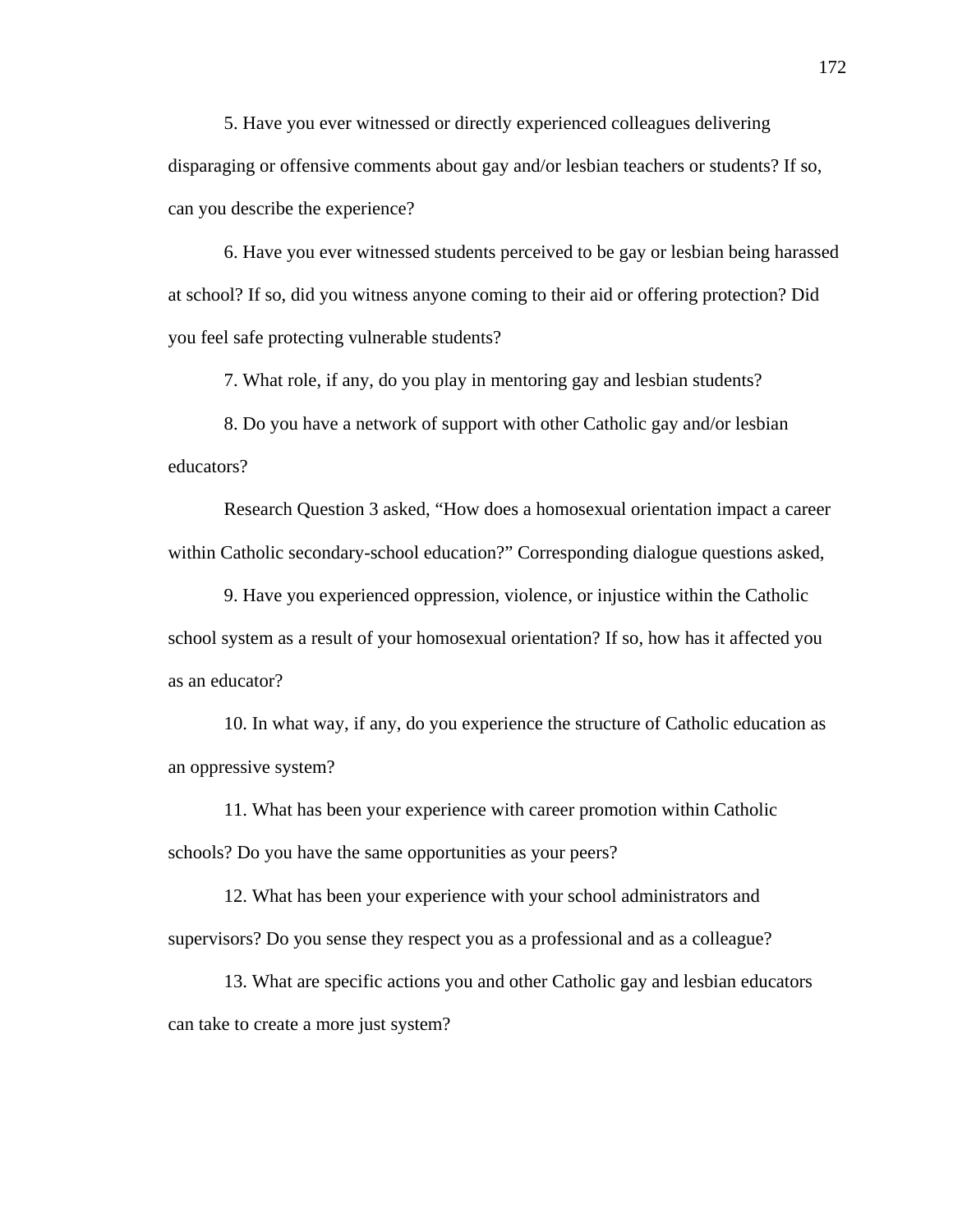5. Have you ever witnessed or directly experienced colleagues delivering disparaging or offensive comments about gay and/or lesbian teachers or students? If so, can you describe the experience?

6. Have you ever witnessed students perceived to be gay or lesbian being harassed at school? If so, did you witness anyone coming to their aid or offering protection? Did you feel safe protecting vulnerable students?

7. What role, if any, do you play in mentoring gay and lesbian students?

8. Do you have a network of support with other Catholic gay and/or lesbian educators?

Research Question 3 asked, "How does a homosexual orientation impact a career within Catholic secondary-school education?" Corresponding dialogue questions asked,

9. Have you experienced oppression, violence, or injustice within the Catholic school system as a result of your homosexual orientation? If so, how has it affected you as an educator?

10. In what way, if any, do you experience the structure of Catholic education as an oppressive system?

11. What has been your experience with career promotion within Catholic schools? Do you have the same opportunities as your peers?

12. What has been your experience with your school administrators and supervisors? Do you sense they respect you as a professional and as a colleague?

13. What are specific actions you and other Catholic gay and lesbian educators can take to create a more just system?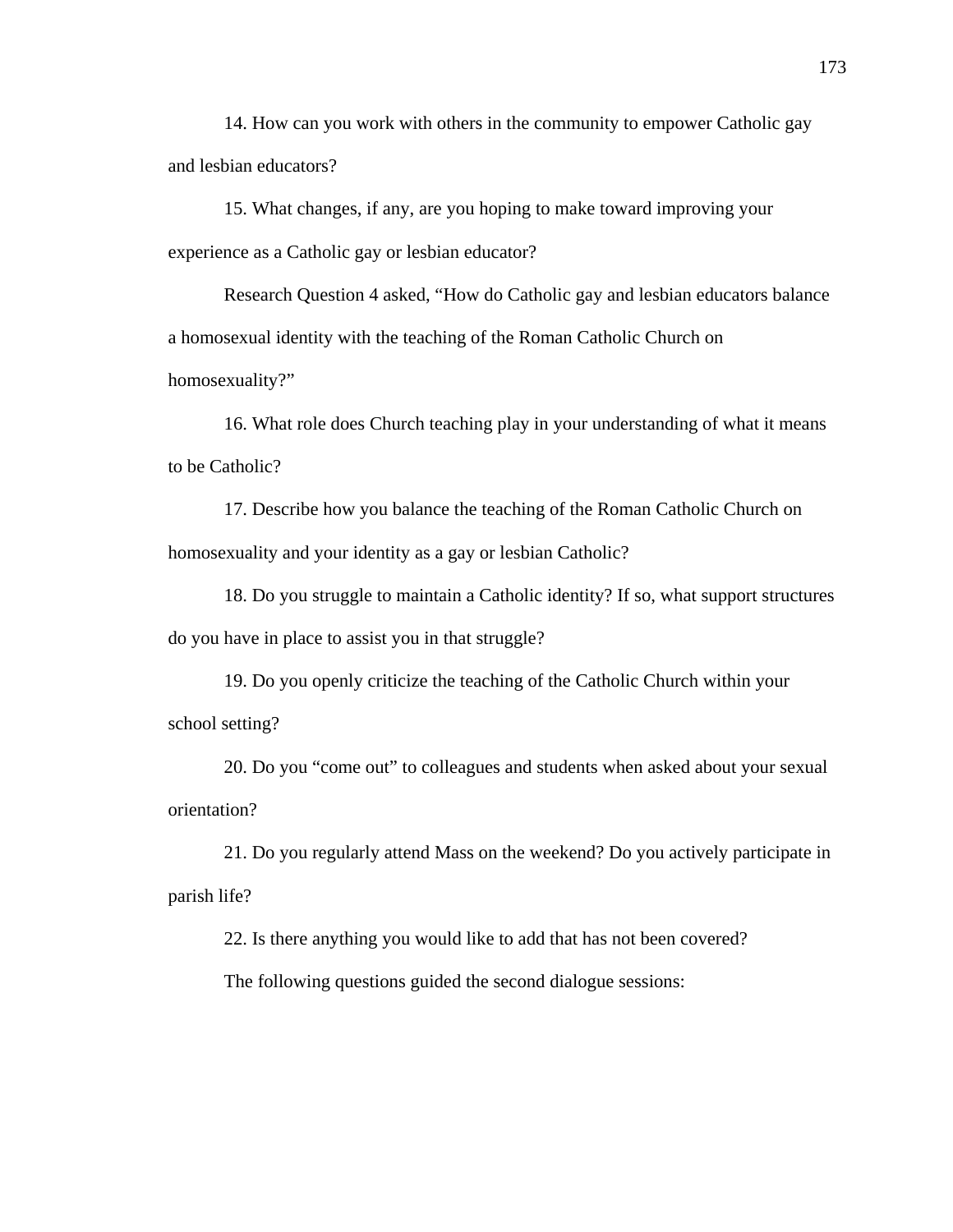14. How can you work with others in the community to empower Catholic gay and lesbian educators?

15. What changes, if any, are you hoping to make toward improving your experience as a Catholic gay or lesbian educator?

Research Question 4 asked, "How do Catholic gay and lesbian educators balance a homosexual identity with the teaching of the Roman Catholic Church on homosexuality?"

16. What role does Church teaching play in your understanding of what it means to be Catholic?

17. Describe how you balance the teaching of the Roman Catholic Church on homosexuality and your identity as a gay or lesbian Catholic?

18. Do you struggle to maintain a Catholic identity? If so, what support structures do you have in place to assist you in that struggle?

19. Do you openly criticize the teaching of the Catholic Church within your school setting?

20. Do you "come out" to colleagues and students when asked about your sexual orientation?

21. Do you regularly attend Mass on the weekend? Do you actively participate in parish life?

22. Is there anything you would like to add that has not been covered?

The following questions guided the second dialogue sessions: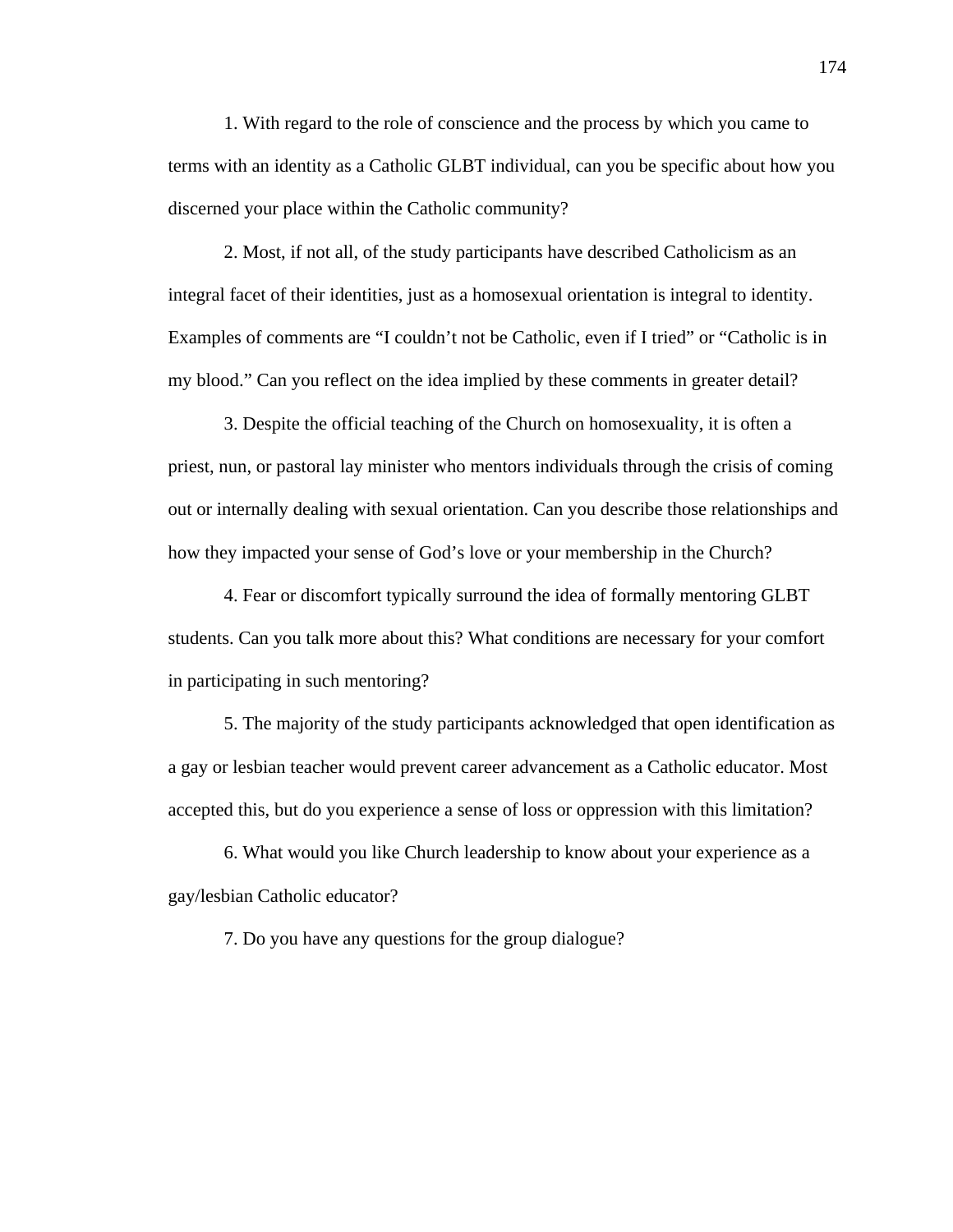1. With regard to the role of conscience and the process by which you came to terms with an identity as a Catholic GLBT individual, can you be specific about how you discerned your place within the Catholic community?

2. Most, if not all, of the study participants have described Catholicism as an integral facet of their identities, just as a homosexual orientation is integral to identity. Examples of comments are "I couldn't not be Catholic, even if I tried" or "Catholic is in my blood." Can you reflect on the idea implied by these comments in greater detail?

3. Despite the official teaching of the Church on homosexuality, it is often a priest, nun, or pastoral lay minister who mentors individuals through the crisis of coming out or internally dealing with sexual orientation. Can you describe those relationships and how they impacted your sense of God's love or your membership in the Church?

4. Fear or discomfort typically surround the idea of formally mentoring GLBT students. Can you talk more about this? What conditions are necessary for your comfort in participating in such mentoring?

5. The majority of the study participants acknowledged that open identification as a gay or lesbian teacher would prevent career advancement as a Catholic educator. Most accepted this, but do you experience a sense of loss or oppression with this limitation?

6. What would you like Church leadership to know about your experience as a gay/lesbian Catholic educator?

7. Do you have any questions for the group dialogue?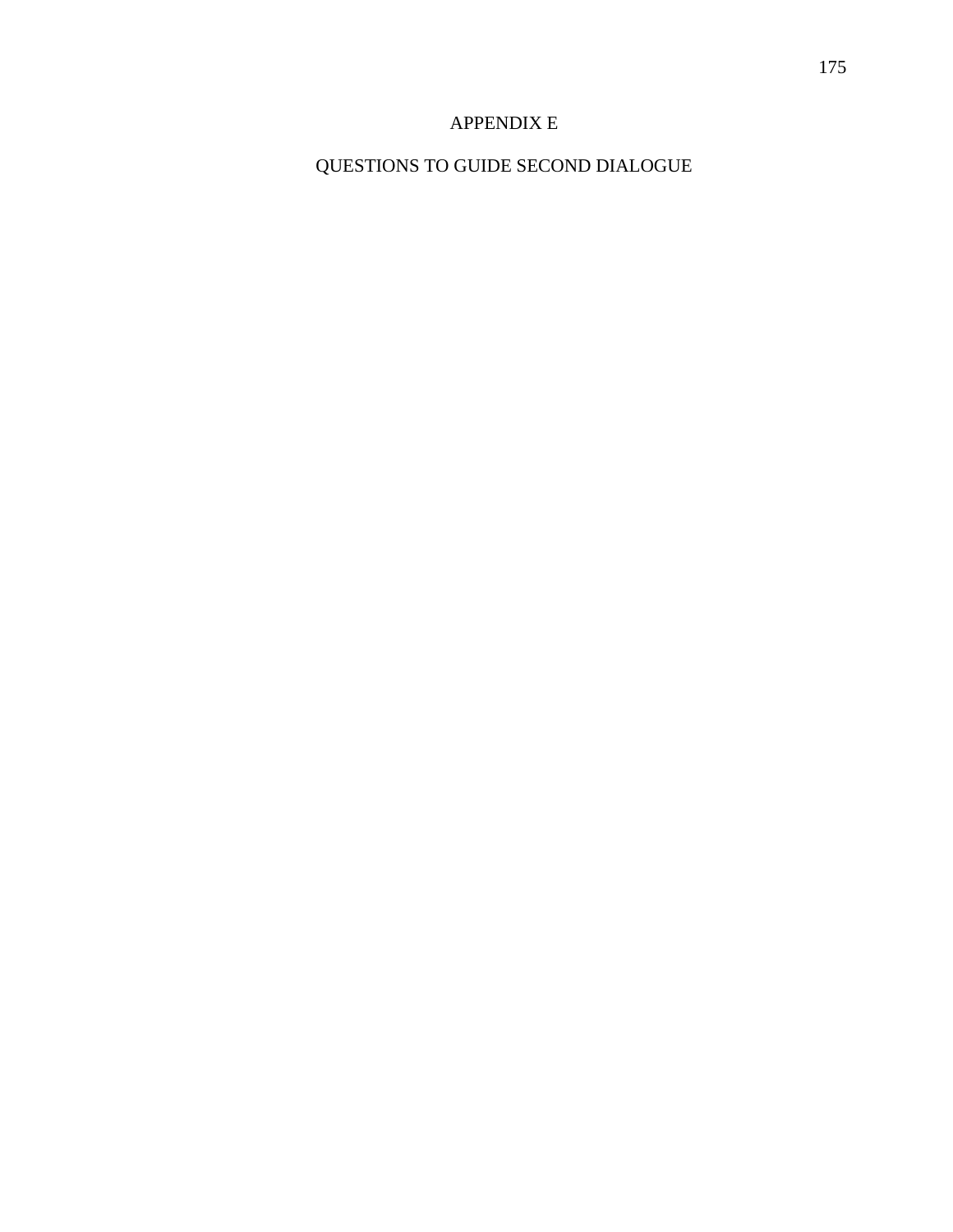### APPENDIX E

## QUESTIONS TO GUIDE SECOND DIALOGUE